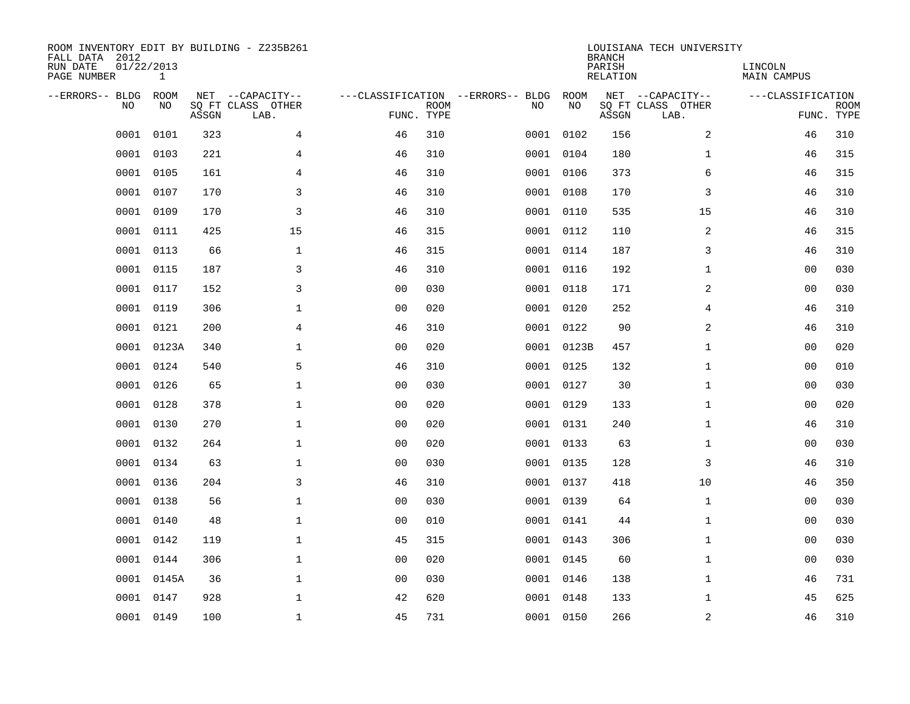| ROOM INVENTORY EDIT BY BUILDING - Z235B261<br>FALL DATA 2012<br>RUN DATE<br>PAGE NUMBER | 01/22/2013<br>$\mathbf{1}$ |       |                                               |                |             |                                         |            | <b>BRANCH</b><br>PARISH<br><b>RELATION</b> | LOUISIANA TECH UNIVERSITY                     | LINCOLN<br><b>MAIN CAMPUS</b> |                           |
|-----------------------------------------------------------------------------------------|----------------------------|-------|-----------------------------------------------|----------------|-------------|-----------------------------------------|------------|--------------------------------------------|-----------------------------------------------|-------------------------------|---------------------------|
| --ERRORS-- BLDG<br>NO                                                                   | ROOM<br>NO                 | ASSGN | NET --CAPACITY--<br>SQ FT CLASS OTHER<br>LAB. | FUNC. TYPE     | <b>ROOM</b> | ---CLASSIFICATION --ERRORS-- BLDG<br>NO | ROOM<br>NO | ASSGN                                      | NET --CAPACITY--<br>SQ FT CLASS OTHER<br>LAB. | ---CLASSIFICATION             | <b>ROOM</b><br>FUNC. TYPE |
| 0001                                                                                    | 0101                       | 323   | 4                                             | 46             | 310         | 0001                                    | 0102       | 156                                        | 2                                             | 46                            | 310                       |
| 0001                                                                                    | 0103                       | 221   | 4                                             | 46             | 310         |                                         | 0001 0104  | 180                                        | $\mathbf{1}$                                  | 46                            | 315                       |
| 0001                                                                                    | 0105                       | 161   | 4                                             | 46             | 310         |                                         | 0001 0106  | 373                                        | 6                                             | 46                            | 315                       |
| 0001                                                                                    | 0107                       | 170   | $\mathsf{3}$                                  | 46             | 310         |                                         | 0001 0108  | 170                                        | 3                                             | 46                            | 310                       |
| 0001                                                                                    | 0109                       | 170   | 3                                             | 46             | 310         |                                         | 0001 0110  | 535                                        | 15                                            | 46                            | 310                       |
| 0001                                                                                    | 0111                       | 425   | 15                                            | 46             | 315         |                                         | 0001 0112  | 110                                        | 2                                             | 46                            | 315                       |
| 0001                                                                                    | 0113                       | 66    | $\mathbf{1}$                                  | 46             | 315         |                                         | 0001 0114  | 187                                        | 3                                             | 46                            | 310                       |
| 0001                                                                                    | 0115                       | 187   | 3                                             | 46             | 310         |                                         | 0001 0116  | 192                                        | $\mathbf{1}$                                  | 0 <sub>0</sub>                | 030                       |
| 0001                                                                                    | 0117                       | 152   | 3                                             | 0 <sub>0</sub> | 030         |                                         | 0001 0118  | 171                                        | 2                                             | 00                            | 030                       |
| 0001                                                                                    | 0119                       | 306   | $\mathbf 1$                                   | 0 <sub>0</sub> | 020         |                                         | 0001 0120  | 252                                        | 4                                             | 46                            | 310                       |
| 0001                                                                                    | 0121                       | 200   | $\overline{4}$                                | 46             | 310         |                                         | 0001 0122  | 90                                         | 2                                             | 46                            | 310                       |
| 0001                                                                                    | 0123A                      | 340   | $\mathbf 1$                                   | 0 <sub>0</sub> | 020         |                                         | 0001 0123B | 457                                        | $\mathbf{1}$                                  | 0 <sub>0</sub>                | 020                       |
| 0001                                                                                    | 0124                       | 540   | 5                                             | 46             | 310         |                                         | 0001 0125  | 132                                        | $\mathbf{1}$                                  | 0 <sub>0</sub>                | 010                       |
| 0001                                                                                    | 0126                       | 65    | $\mathbf{1}$                                  | 00             | 030         |                                         | 0001 0127  | 30                                         | $\mathbf{1}$                                  | 00                            | 030                       |
| 0001                                                                                    | 0128                       | 378   | 1                                             | 0 <sub>0</sub> | 020         | 0001                                    | 0129       | 133                                        | $\mathbf{1}$                                  | 00                            | 020                       |
| 0001                                                                                    | 0130                       | 270   | $\mathbf 1$                                   | 0 <sub>0</sub> | 020         |                                         | 0001 0131  | 240                                        | $\mathbf{1}$                                  | 46                            | 310                       |
| 0001                                                                                    | 0132                       | 264   | $\mathbf 1$                                   | 0 <sub>0</sub> | 020         |                                         | 0001 0133  | 63                                         | $\mathbf{1}$                                  | 00                            | 030                       |
| 0001                                                                                    | 0134                       | 63    | $\mathbf 1$                                   | 0 <sub>0</sub> | 030         |                                         | 0001 0135  | 128                                        | 3                                             | 46                            | 310                       |
| 0001                                                                                    | 0136                       | 204   | 3                                             | 46             | 310         |                                         | 0001 0137  | 418                                        | 10                                            | 46                            | 350                       |
| 0001                                                                                    | 0138                       | 56    | $\mathbf 1$                                   | 0 <sub>0</sub> | 030         |                                         | 0001 0139  | 64                                         | $\mathbf{1}$                                  | 00                            | 030                       |
| 0001                                                                                    | 0140                       | 48    | $\mathbf{1}$                                  | 0 <sub>0</sub> | 010         |                                         | 0001 0141  | 44                                         | $\mathbf{1}$                                  | 0 <sub>0</sub>                | 030                       |
| 0001                                                                                    | 0142                       | 119   | $\mathbf{1}$                                  | 45             | 315         |                                         | 0001 0143  | 306                                        | $\mathbf{1}$                                  | 00                            | 030                       |
| 0001                                                                                    | 0144                       | 306   | $\mathbf{1}$                                  | 0 <sub>0</sub> | 020         |                                         | 0001 0145  | 60                                         | $\mathbf{1}$                                  | 0 <sub>0</sub>                | 030                       |
| 0001                                                                                    | 0145A                      | 36    | $\mathbf 1$                                   | 00             | 030         |                                         | 0001 0146  | 138                                        | $\mathbf{1}$                                  | 46                            | 731                       |
| 0001                                                                                    | 0147                       | 928   | $\mathbf 1$                                   | 42             | 620         |                                         | 0001 0148  | 133                                        | $\mathbf{1}$                                  | 45                            | 625                       |
|                                                                                         | 0001 0149                  | 100   | $\mathbf 1$                                   | 45             | 731         |                                         | 0001 0150  | 266                                        | 2                                             | 46                            | 310                       |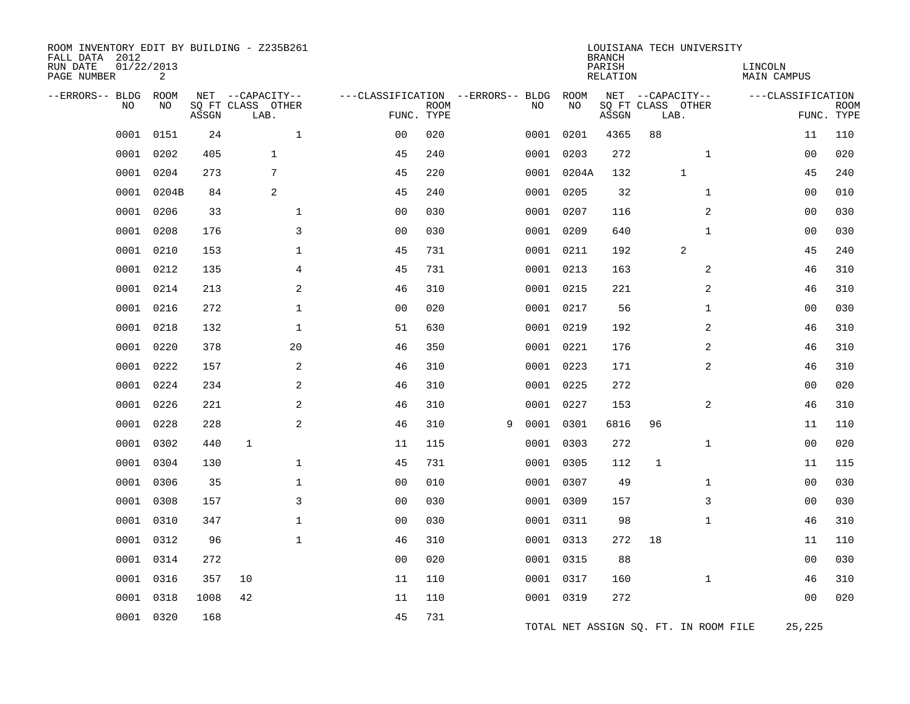| ROOM INVENTORY EDIT BY BUILDING - Z235B261<br>FALL DATA 2012<br>RUN DATE<br>PAGE NUMBER | 01/22/2013<br>2   |       |                                               |                                                 |             |   |      |            | <b>BRANCH</b><br>PARISH<br><b>RELATION</b> |                                               | LOUISIANA TECH UNIVERSITY             | LINCOLN<br><b>MAIN CAMPUS</b> |                           |
|-----------------------------------------------------------------------------------------|-------------------|-------|-----------------------------------------------|-------------------------------------------------|-------------|---|------|------------|--------------------------------------------|-----------------------------------------------|---------------------------------------|-------------------------------|---------------------------|
| --ERRORS-- BLDG<br>NO                                                                   | <b>ROOM</b><br>NO | ASSGN | NET --CAPACITY--<br>SQ FT CLASS OTHER<br>LAB. | ---CLASSIFICATION --ERRORS-- BLDG<br>FUNC. TYPE | <b>ROOM</b> |   | NO   | ROOM<br>NO | ASSGN                                      | NET --CAPACITY--<br>SQ FT CLASS OTHER<br>LAB. |                                       | ---CLASSIFICATION             | <b>ROOM</b><br>FUNC. TYPE |
| 0001                                                                                    | 0151              | 24    | $\mathbf{1}$                                  | 0 <sub>0</sub>                                  | 020         |   | 0001 | 0201       | 4365                                       | 88                                            |                                       | 11                            | 110                       |
| 0001                                                                                    | 0202              | 405   | $\mathbf{1}$                                  | 45                                              | 240         |   | 0001 | 0203       | 272                                        |                                               | $\mathbf{1}$                          | 0 <sub>0</sub>                | 020                       |
| 0001                                                                                    | 0204              | 273   | $\overline{7}$                                | 45                                              | 220         |   |      | 0001 0204A | 132                                        |                                               | $\mathbf{1}$                          | 45                            | 240                       |
| 0001                                                                                    | 0204B             | 84    | 2                                             | 45                                              | 240         |   |      | 0001 0205  | 32                                         |                                               | $\mathbf{1}$                          | 0 <sub>0</sub>                | 010                       |
| 0001                                                                                    | 0206              | 33    | $\mathbf 1$                                   | 0 <sub>0</sub>                                  | 030         |   |      | 0001 0207  | 116                                        |                                               | 2                                     | 00                            | 030                       |
| 0001                                                                                    | 0208              | 176   | 3                                             | 0 <sub>0</sub>                                  | 030         |   | 0001 | 0209       | 640                                        |                                               | $\mathbf{1}$                          | 0 <sub>0</sub>                | 030                       |
| 0001                                                                                    | 0210              | 153   | $\mathbf{1}$                                  | 45                                              | 731         |   |      | 0001 0211  | 192                                        |                                               | 2                                     | 45                            | 240                       |
| 0001                                                                                    | 0212              | 135   | 4                                             | 45                                              | 731         |   |      | 0001 0213  | 163                                        |                                               | 2                                     | 46                            | 310                       |
| 0001                                                                                    | 0214              | 213   | 2                                             | 46                                              | 310         |   |      | 0001 0215  | 221                                        |                                               | 2                                     | 46                            | 310                       |
| 0001                                                                                    | 0216              | 272   | $\mathbf{1}$                                  | 0 <sub>0</sub>                                  | 020         |   |      | 0001 0217  | 56                                         |                                               | $\mathbf{1}$                          | 0 <sub>0</sub>                | 030                       |
| 0001                                                                                    | 0218              | 132   | $\mathbf 1$                                   | 51                                              | 630         |   | 0001 | 0219       | 192                                        |                                               | $\overline{a}$                        | 46                            | 310                       |
| 0001                                                                                    | 0220              | 378   | 20                                            | 46                                              | 350         |   |      | 0001 0221  | 176                                        |                                               | $\overline{a}$                        | 46                            | 310                       |
| 0001                                                                                    | 0222              | 157   | 2                                             | 46                                              | 310         |   |      | 0001 0223  | 171                                        |                                               | $\overline{2}$                        | 46                            | 310                       |
| 0001                                                                                    | 0224              | 234   | $\overline{a}$                                | 46                                              | 310         |   |      | 0001 0225  | 272                                        |                                               |                                       | 0 <sub>0</sub>                | 020                       |
| 0001                                                                                    | 0226              | 221   | 2                                             | 46                                              | 310         |   |      | 0001 0227  | 153                                        |                                               | 2                                     | 46                            | 310                       |
| 0001                                                                                    | 0228              | 228   | 2                                             | 46                                              | 310         | 9 | 0001 | 0301       | 6816                                       | 96                                            |                                       | 11                            | 110                       |
| 0001                                                                                    | 0302              | 440   | $\mathbf{1}$                                  | 11                                              | 115         |   |      | 0001 0303  | 272                                        |                                               | $\mathbf{1}$                          | 00                            | 020                       |
| 0001                                                                                    | 0304              | 130   | $\mathbf{1}$                                  | 45                                              | 731         |   |      | 0001 0305  | 112                                        | $\mathbf{1}$                                  |                                       | 11                            | 115                       |
| 0001                                                                                    | 0306              | 35    | $\mathbf 1$                                   | 0 <sub>0</sub>                                  | 010         |   |      | 0001 0307  | 49                                         |                                               | $\mathbf{1}$                          | 0 <sub>0</sub>                | 030                       |
| 0001                                                                                    | 0308              | 157   | 3                                             | 0 <sub>0</sub>                                  | 030         |   |      | 0001 0309  | 157                                        |                                               | 3                                     | 00                            | 030                       |
| 0001                                                                                    | 0310              | 347   | $\mathbf{1}$                                  | 0 <sub>0</sub>                                  | 030         |   |      | 0001 0311  | 98                                         |                                               | $\mathbf{1}$                          | 46                            | 310                       |
| 0001                                                                                    | 0312              | 96    | $\mathbf{1}$                                  | 46                                              | 310         |   |      | 0001 0313  | 272                                        | 18                                            |                                       | 11                            | 110                       |
| 0001                                                                                    | 0314              | 272   |                                               | 0 <sub>0</sub>                                  | 020         |   |      | 0001 0315  | 88                                         |                                               |                                       | 00                            | 030                       |
| 0001                                                                                    | 0316              | 357   | 10                                            | 11                                              | 110         |   |      | 0001 0317  | 160                                        |                                               | $\mathbf{1}$                          | 46                            | 310                       |
| 0001                                                                                    | 0318              | 1008  | 42                                            | 11                                              | 110         |   |      | 0001 0319  | 272                                        |                                               |                                       | 0 <sub>0</sub>                | 020                       |
| 0001                                                                                    | 0320              | 168   |                                               | 45                                              | 731         |   |      |            |                                            |                                               | TOTAL NET ASSIGN SQ. FT. IN ROOM FILE | 25,225                        |                           |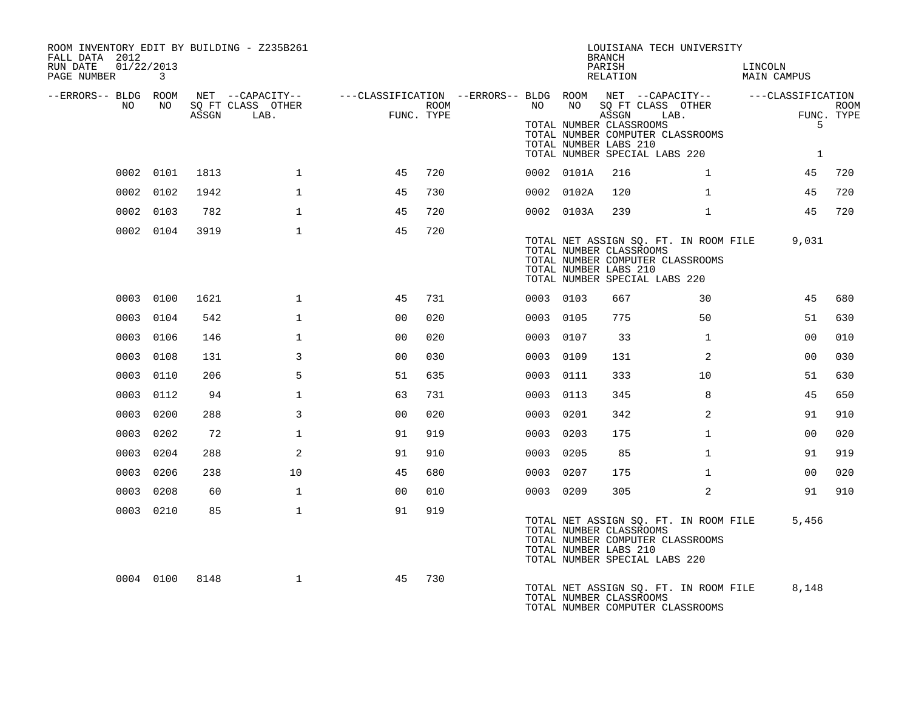| ROOM INVENTORY EDIT BY BUILDING - Z235B261<br>FALL DATA 2012 |           |      |                   |                                                                                                |      |           |            | <b>BRANCH</b>                                                                     | LOUISIANA TECH UNIVERSITY                                                 |                        |             |
|--------------------------------------------------------------|-----------|------|-------------------|------------------------------------------------------------------------------------------------|------|-----------|------------|-----------------------------------------------------------------------------------|---------------------------------------------------------------------------|------------------------|-------------|
| RUN DATE<br>01/22/2013<br>PAGE NUMBER 3                      |           |      |                   |                                                                                                |      |           |            | PARISH<br>RELATION                                                                |                                                                           | LINCOLN<br>MAIN CAMPUS |             |
| --ERRORS-- BLDG ROOM<br>NO                                   | NO        |      | SO FT CLASS OTHER | NET --CAPACITY-- - ---CLASSIFICATION --ERRORS-- BLDG ROOM NET --CAPACITY-- - ---CLASSIFICATION | ROOM | NO        |            |                                                                                   | NO SOFT CLASS OTHER                                                       |                        | <b>ROOM</b> |
|                                                              |           |      | ASSGN LAB.        | $\overline{1}$<br>FUNC. TYPE                                                                   |      |           |            | TOTAL NUMBER CLASSROOMS<br>TOTAL NUMBER LABS 210<br>TOTAL NUMBER SPECIAL LABS 220 | ASSGN LAB.<br>TOTAL NUMBER COMPUTER CLASSROOMS                            | 5<br>1                 | FUNC. TYPE  |
|                                                              | 0002 0101 | 1813 | $\mathbf{1}$      | 45                                                                                             | 720  |           | 0002 0101A | 216                                                                               | $\mathbf{1}$                                                              | 45                     | 720         |
|                                                              | 0002 0102 | 1942 | $\mathbf{1}$      | 45                                                                                             | 730  |           | 0002 0102A | 120                                                                               | $\mathbf{1}$                                                              | 45                     | 720         |
|                                                              | 0002 0103 | 782  | $\mathbf{1}$      | 45                                                                                             | 720  |           | 0002 0103A | 239                                                                               | $\mathbf{1}$                                                              | 45                     | 720         |
|                                                              | 0002 0104 | 3919 | $\mathbf{1}$      | 45                                                                                             | 720  |           |            | TOTAL NUMBER CLASSROOMS<br>TOTAL NUMBER LABS 210<br>TOTAL NUMBER SPECIAL LABS 220 | TOTAL NET ASSIGN SQ. FT. IN ROOM FILE<br>TOTAL NUMBER COMPUTER CLASSROOMS | 9,031                  |             |
|                                                              | 0003 0100 | 1621 | $\mathbf{1}$      | 45                                                                                             | 731  | 0003 0103 |            | 667                                                                               | 30                                                                        | 45                     | 680         |
|                                                              | 0003 0104 | 542  | $\mathbf{1}$      | 0 <sub>0</sub>                                                                                 | 020  | 0003 0105 |            | 775                                                                               | 50                                                                        | 51                     | 630         |
|                                                              | 0003 0106 | 146  | $\mathbf{1}$      | 0 <sub>0</sub>                                                                                 | 020  | 0003 0107 |            | 33                                                                                | $\mathbf{1}$                                                              | 00                     | 010         |
|                                                              | 0003 0108 | 131  | 3                 | 0 <sub>0</sub>                                                                                 | 030  | 0003 0109 |            | 131                                                                               | $\overline{2}$                                                            | 0 <sub>0</sub>         | 030         |
|                                                              | 0003 0110 | 206  | 5                 | 51                                                                                             | 635  | 0003 0111 |            | 333                                                                               | 10                                                                        | 51                     | 630         |
|                                                              | 0003 0112 | 94   | $\mathbf{1}$      | 63                                                                                             | 731  | 0003 0113 |            | 345                                                                               | 8                                                                         | 45                     | 650         |
|                                                              | 0003 0200 | 288  | 3                 | 0 <sub>0</sub>                                                                                 | 020  | 0003 0201 |            | 342                                                                               | $\overline{2}$                                                            | 91                     | 910         |
|                                                              | 0003 0202 | 72   | $\mathbf{1}$      | 91                                                                                             | 919  | 0003 0203 |            | 175                                                                               | $\mathbf{1}$                                                              | 0 <sub>0</sub>         | 020         |
|                                                              | 0003 0204 | 288  | 2                 | 91                                                                                             | 910  | 0003 0205 |            | 85                                                                                | $\mathbf{1}$                                                              | 91                     | 919         |
|                                                              | 0003 0206 | 238  | 10                | 45                                                                                             | 680  | 0003 0207 |            | 175                                                                               | $\mathbf{1}$                                                              | 00                     | 020         |
|                                                              | 0003 0208 | 60   | $\mathbf{1}$      | 0 <sub>0</sub>                                                                                 | 010  | 0003 0209 |            | 305                                                                               | 2                                                                         | 91                     | 910         |
|                                                              | 0003 0210 | 85   | $\mathbf{1}$      | 91                                                                                             | 919  |           |            | TOTAL NUMBER CLASSROOMS<br>TOTAL NUMBER LABS 210<br>TOTAL NUMBER SPECIAL LABS 220 | TOTAL NET ASSIGN SQ. FT. IN ROOM FILE<br>TOTAL NUMBER COMPUTER CLASSROOMS | 5,456                  |             |
|                                                              | 0004 0100 | 8148 | $\mathbf{1}$      | 45                                                                                             | 730  |           |            | TOTAL NUMBER CLASSROOMS                                                           | TOTAL NET ASSIGN SO. FT. IN ROOM FILE<br>TOTAL NUMBER COMPUTER CLASSROOMS | 8,148                  |             |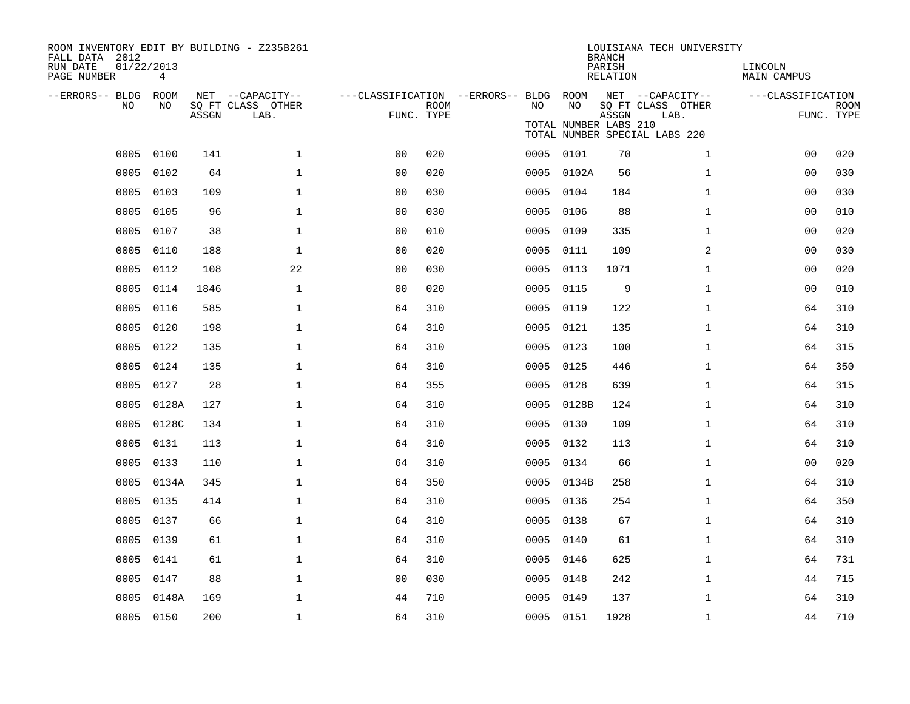| ROOM INVENTORY EDIT BY BUILDING - Z235B261<br>FALL DATA 2012<br>RUN DATE<br>PAGE NUMBER | 01/22/2013<br>4 |       |                                               |                                                      |             |      |                             | <b>BRANCH</b><br>PARISH<br><b>RELATION</b> | LOUISIANA TECH UNIVERSITY                                                      | LINCOLN<br><b>MAIN CAMPUS</b> |                           |
|-----------------------------------------------------------------------------------------|-----------------|-------|-----------------------------------------------|------------------------------------------------------|-------------|------|-----------------------------|--------------------------------------------|--------------------------------------------------------------------------------|-------------------------------|---------------------------|
| --ERRORS-- BLDG ROOM<br>NO                                                              | NO              | ASSGN | NET --CAPACITY--<br>SQ FT CLASS OTHER<br>LAB. | ---CLASSIFICATION --ERRORS-- BLDG ROOM<br>FUNC. TYPE | <b>ROOM</b> | NO   | NO<br>TOTAL NUMBER LABS 210 | ASSGN                                      | NET --CAPACITY--<br>SQ FT CLASS OTHER<br>LAB.<br>TOTAL NUMBER SPECIAL LABS 220 | ---CLASSIFICATION             | <b>ROOM</b><br>FUNC. TYPE |
| 0005                                                                                    | 0100            | 141   | $\mathbf 1$                                   | 0 <sub>0</sub>                                       | 020         |      | 0005 0101                   | 70                                         | $\mathbf{1}$                                                                   | 00                            | 020                       |
| 0005                                                                                    | 0102            | 64    | $\mathbf 1$                                   | 0 <sub>0</sub>                                       | 020         | 0005 | 0102A                       | 56                                         | $\mathbf{1}$                                                                   | 00                            | 030                       |
| 0005                                                                                    | 0103            | 109   | $\mathbf 1$                                   | 0 <sub>0</sub>                                       | 030         | 0005 | 0104                        | 184                                        | $\mathbf{1}$                                                                   | 00                            | 030                       |
| 0005                                                                                    | 0105            | 96    | $\mathbf{1}$                                  | 0 <sub>0</sub>                                       | 030         | 0005 | 0106                        | 88                                         | $\mathbf{1}$                                                                   | 0 <sub>0</sub>                | 010                       |
| 0005                                                                                    | 0107            | 38    | $\mathbf{1}$                                  | 0 <sub>0</sub>                                       | 010         | 0005 | 0109                        | 335                                        | $\mathbf{1}$                                                                   | 0 <sub>0</sub>                | 020                       |
| 0005                                                                                    | 0110            | 188   | $\mathbf{1}$                                  | 0 <sub>0</sub>                                       | 020         | 0005 | 0111                        | 109                                        | $\overline{a}$                                                                 | 00                            | 030                       |
| 0005                                                                                    | 0112            | 108   | 22                                            | 0 <sub>0</sub>                                       | 030         | 0005 | 0113                        | 1071                                       | $\mathbf{1}$                                                                   | 0 <sub>0</sub>                | 020                       |
| 0005                                                                                    | 0114            | 1846  | $\mathbf{1}$                                  | 0 <sub>0</sub>                                       | 020         | 0005 | 0115                        | 9                                          | $\mathbf{1}$                                                                   | 00                            | 010                       |
| 0005                                                                                    | 0116            | 585   | $\mathbf{1}$                                  | 64                                                   | 310         | 0005 | 0119                        | 122                                        | $\mathbf{1}$                                                                   | 64                            | 310                       |
| 0005                                                                                    | 0120            | 198   | $\mathbf{1}$                                  | 64                                                   | 310         | 0005 | 0121                        | 135                                        | $\mathbf{1}$                                                                   | 64                            | 310                       |
| 0005                                                                                    | 0122            | 135   | $\mathbf{1}$                                  | 64                                                   | 310         |      | 0005 0123                   | 100                                        | $\mathbf{1}$                                                                   | 64                            | 315                       |
| 0005                                                                                    | 0124            | 135   | $\mathbf 1$                                   | 64                                                   | 310         | 0005 | 0125                        | 446                                        | $\mathbf{1}$                                                                   | 64                            | 350                       |
| 0005                                                                                    | 0127            | 28    | $\mathbf 1$                                   | 64                                                   | 355         | 0005 | 0128                        | 639                                        | $\mathbf{1}$                                                                   | 64                            | 315                       |
| 0005                                                                                    | 0128A           | 127   | $\mathbf 1$                                   | 64                                                   | 310         | 0005 | 0128B                       | 124                                        | $\mathbf{1}$                                                                   | 64                            | 310                       |
| 0005                                                                                    | 0128C           | 134   | $\mathbf 1$                                   | 64                                                   | 310         | 0005 | 0130                        | 109                                        | $\mathbf{1}$                                                                   | 64                            | 310                       |
| 0005                                                                                    | 0131            | 113   | $\mathbf 1$                                   | 64                                                   | 310         | 0005 | 0132                        | 113                                        | $\mathbf{1}$                                                                   | 64                            | 310                       |
| 0005                                                                                    | 0133            | 110   | $\mathbf{1}$                                  | 64                                                   | 310         | 0005 | 0134                        | 66                                         | $\mathbf{1}$                                                                   | 0 <sub>0</sub>                | 020                       |
| 0005                                                                                    | 0134A           | 345   | $\mathbf{1}$                                  | 64                                                   | 350         |      | 0005 0134B                  | 258                                        | $\mathbf{1}$                                                                   | 64                            | 310                       |
| 0005                                                                                    | 0135            | 414   | $\mathbf 1$                                   | 64                                                   | 310         | 0005 | 0136                        | 254                                        | $\mathbf{1}$                                                                   | 64                            | 350                       |
| 0005                                                                                    | 0137            | 66    | $\mathbf 1$                                   | 64                                                   | 310         |      | 0005 0138                   | 67                                         | $\mathbf{1}$                                                                   | 64                            | 310                       |
| 0005                                                                                    | 0139            | 61    | $\mathbf 1$                                   | 64                                                   | 310         | 0005 | 0140                        | 61                                         | $\mathbf{1}$                                                                   | 64                            | 310                       |
| 0005                                                                                    | 0141            | 61    | $\mathbf 1$                                   | 64                                                   | 310         | 0005 | 0146                        | 625                                        | $\mathbf{1}$                                                                   | 64                            | 731                       |
| 0005                                                                                    | 0147            | 88    | $\mathbf 1$                                   | 0 <sub>0</sub>                                       | 030         | 0005 | 0148                        | 242                                        | $\mathbf{1}$                                                                   | 44                            | 715                       |
| 0005                                                                                    | 0148A           | 169   | $\mathbf 1$                                   | 44                                                   | 710         | 0005 | 0149                        | 137                                        | $\mathbf{1}$                                                                   | 64                            | 310                       |
|                                                                                         | 0005 0150       | 200   | $\mathbf{1}$                                  | 64                                                   | 310         |      | 0005 0151                   | 1928                                       | $\mathbf{1}$                                                                   | 44                            | 710                       |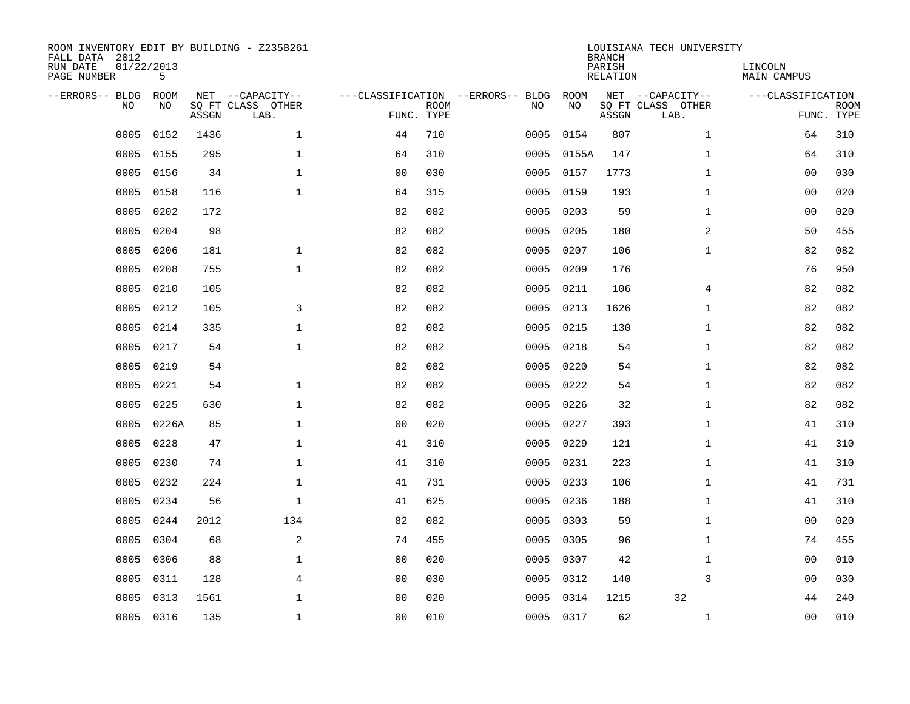| ROOM INVENTORY EDIT BY BUILDING - Z235B261<br>FALL DATA 2012<br>RUN DATE<br>PAGE NUMBER | 01/22/2013<br>5 |       |                                               |                |             |                                         |            | <b>BRANCH</b><br>PARISH<br><b>RELATION</b> | LOUISIANA TECH UNIVERSITY                     | LINCOLN<br><b>MAIN CAMPUS</b> |                           |
|-----------------------------------------------------------------------------------------|-----------------|-------|-----------------------------------------------|----------------|-------------|-----------------------------------------|------------|--------------------------------------------|-----------------------------------------------|-------------------------------|---------------------------|
| --ERRORS-- BLDG<br>NO                                                                   | ROOM<br>NO      | ASSGN | NET --CAPACITY--<br>SQ FT CLASS OTHER<br>LAB. | FUNC. TYPE     | <b>ROOM</b> | ---CLASSIFICATION --ERRORS-- BLDG<br>NO | ROOM<br>NO | ASSGN                                      | NET --CAPACITY--<br>SQ FT CLASS OTHER<br>LAB. | ---CLASSIFICATION             | <b>ROOM</b><br>FUNC. TYPE |
| 0005                                                                                    | 0152            | 1436  | $\mathbf{1}$                                  | 44             | 710         | 0005                                    | 0154       | 807                                        | $\mathbf{1}$                                  | 64                            | 310                       |
| 0005                                                                                    | 0155            | 295   | $\mathbf 1$                                   | 64             | 310         | 0005                                    | 0155A      | 147                                        | $\mathbf{1}$                                  | 64                            | 310                       |
| 0005                                                                                    | 0156            | 34    | $\mathbf 1$                                   | 0 <sub>0</sub> | 030         | 0005                                    | 0157       | 1773                                       | $\mathbf{1}$                                  | 0 <sub>0</sub>                | 030                       |
| 0005                                                                                    | 0158            | 116   | $\mathbf{1}$                                  | 64             | 315         | 0005                                    | 0159       | 193                                        | $\mathbf{1}$                                  | 0 <sub>0</sub>                | 020                       |
| 0005                                                                                    | 0202            | 172   |                                               | 82             | 082         | 0005                                    | 0203       | 59                                         | $\mathbf{1}$                                  | 00                            | 020                       |
| 0005                                                                                    | 0204            | 98    |                                               | 82             | 082         | 0005                                    | 0205       | 180                                        | 2                                             | 50                            | 455                       |
| 0005                                                                                    | 0206            | 181   | $\mathbf{1}$                                  | 82             | 082         | 0005                                    | 0207       | 106                                        | $\mathbf{1}$                                  | 82                            | 082                       |
| 0005                                                                                    | 0208            | 755   | $\mathbf 1$                                   | 82             | 082         | 0005                                    | 0209       | 176                                        |                                               | 76                            | 950                       |
| 0005                                                                                    | 0210            | 105   |                                               | 82             | 082         | 0005                                    | 0211       | 106                                        | 4                                             | 82                            | 082                       |
| 0005                                                                                    | 0212            | 105   | 3                                             | 82             | 082         | 0005                                    | 0213       | 1626                                       | $\mathbf{1}$                                  | 82                            | 082                       |
| 0005                                                                                    | 0214            | 335   | $\mathbf{1}$                                  | 82             | 082         | 0005                                    | 0215       | 130                                        | $\mathbf{1}$                                  | 82                            | 082                       |
| 0005                                                                                    | 0217            | 54    | $\mathbf 1$                                   | 82             | 082         | 0005                                    | 0218       | 54                                         | $\mathbf{1}$                                  | 82                            | 082                       |
| 0005                                                                                    | 0219            | 54    |                                               | 82             | 082         | 0005                                    | 0220       | 54                                         | $\mathbf{1}$                                  | 82                            | 082                       |
| 0005                                                                                    | 0221            | 54    | $\mathbf 1$                                   | 82             | 082         | 0005                                    | 0222       | 54                                         | $\mathbf{1}$                                  | 82                            | 082                       |
| 0005                                                                                    | 0225            | 630   | 1                                             | 82             | 082         | 0005                                    | 0226       | 32                                         | $\mathbf{1}$                                  | 82                            | 082                       |
| 0005                                                                                    | 0226A           | 85    | $\mathbf 1$                                   | 0 <sub>0</sub> | 020         | 0005                                    | 0227       | 393                                        | $\mathbf{1}$                                  | 41                            | 310                       |
| 0005                                                                                    | 0228            | 47    | $\mathbf 1$                                   | 41             | 310         | 0005                                    | 0229       | 121                                        | $\mathbf{1}$                                  | 41                            | 310                       |
| 0005                                                                                    | 0230            | 74    | $\mathbf 1$                                   | 41             | 310         | 0005                                    | 0231       | 223                                        | $\mathbf{1}$                                  | 41                            | 310                       |
| 0005                                                                                    | 0232            | 224   | $\mathbf 1$                                   | 41             | 731         | 0005                                    | 0233       | 106                                        | $\mathbf{1}$                                  | 41                            | 731                       |
| 0005                                                                                    | 0234            | 56    | $\mathbf 1$                                   | 41             | 625         | 0005                                    | 0236       | 188                                        | $\mathbf{1}$                                  | 41                            | 310                       |
| 0005                                                                                    | 0244            | 2012  | 134                                           | 82             | 082         | 0005                                    | 0303       | 59                                         | $\mathbf{1}$                                  | 0 <sub>0</sub>                | 020                       |
| 0005                                                                                    | 0304            | 68    | 2                                             | 74             | 455         | 0005                                    | 0305       | 96                                         | $\mathbf{1}$                                  | 74                            | 455                       |
| 0005                                                                                    | 0306            | 88    | $\mathbf{1}$                                  | 0 <sub>0</sub> | 020         | 0005                                    | 0307       | 42                                         | $\mathbf{1}$                                  | 0 <sub>0</sub>                | 010                       |
| 0005                                                                                    | 0311            | 128   | $\overline{4}$                                | 00             | 030         | 0005                                    | 0312       | 140                                        | 3                                             | 00                            | 030                       |
| 0005                                                                                    | 0313            | 1561  | $\mathbf 1$                                   | 0 <sub>0</sub> | 020         | 0005                                    | 0314       | 1215                                       | 32                                            | 44                            | 240                       |
|                                                                                         | 0005 0316       | 135   | $\mathbf 1$                                   | 00             | 010         |                                         | 0005 0317  | 62                                         | $\mathbf{1}$                                  | 00                            | 010                       |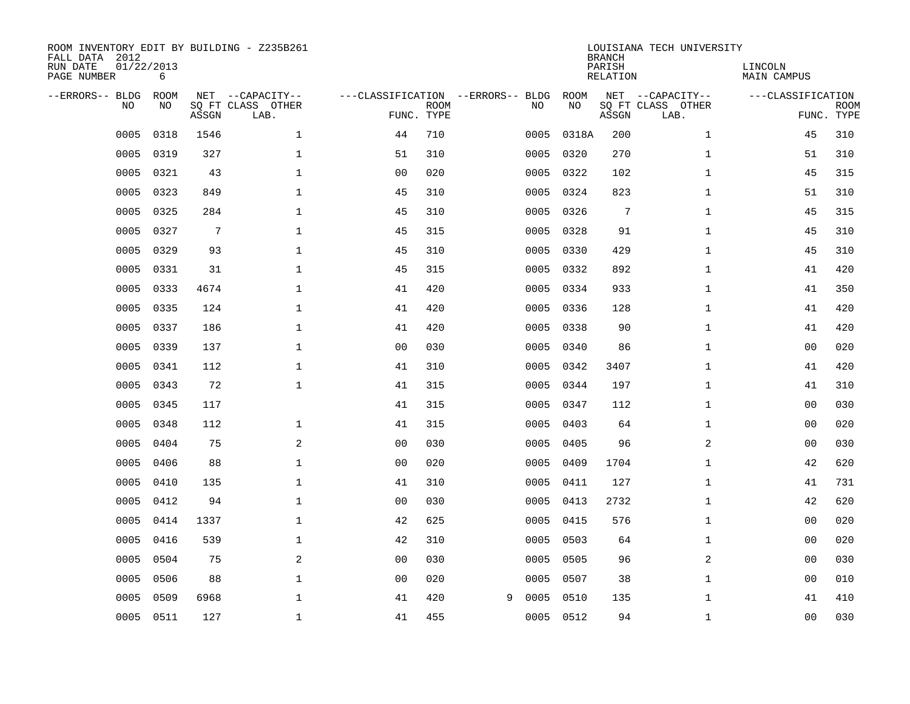| ROOM INVENTORY EDIT BY BUILDING - Z235B261<br>FALL DATA 2012<br>RUN DATE<br>PAGE NUMBER | 01/22/2013<br>6   |       |                                               |                                                 |             |   |      |            | <b>BRANCH</b><br>PARISH<br><b>RELATION</b> | LOUISIANA TECH UNIVERSITY                     | LINCOLN<br><b>MAIN CAMPUS</b> |                           |
|-----------------------------------------------------------------------------------------|-------------------|-------|-----------------------------------------------|-------------------------------------------------|-------------|---|------|------------|--------------------------------------------|-----------------------------------------------|-------------------------------|---------------------------|
| --ERRORS-- BLDG<br>NO                                                                   | <b>ROOM</b><br>NO | ASSGN | NET --CAPACITY--<br>SQ FT CLASS OTHER<br>LAB. | ---CLASSIFICATION --ERRORS-- BLDG<br>FUNC. TYPE | <b>ROOM</b> |   | NO   | ROOM<br>NO | ASSGN                                      | NET --CAPACITY--<br>SQ FT CLASS OTHER<br>LAB. | ---CLASSIFICATION             | <b>ROOM</b><br>FUNC. TYPE |
| 0005                                                                                    | 0318              | 1546  | $\mathbf{1}$                                  | 44                                              | 710         |   | 0005 | 0318A      | 200                                        | $\mathbf{1}$                                  | 45                            | 310                       |
| 0005                                                                                    | 0319              | 327   | $\mathbf{1}$                                  | 51                                              | 310         |   | 0005 | 0320       | 270                                        | $\mathbf{1}$                                  | 51                            | 310                       |
| 0005                                                                                    | 0321              | 43    | $\mathbf 1$                                   | 0 <sub>0</sub>                                  | 020         |   | 0005 | 0322       | 102                                        | $\mathbf{1}$                                  | 45                            | 315                       |
| 0005                                                                                    | 0323              | 849   | $\mathbf 1$                                   | 45                                              | 310         |   | 0005 | 0324       | 823                                        | $\mathbf{1}$                                  | 51                            | 310                       |
| 0005                                                                                    | 0325              | 284   | $\mathbf{1}$                                  | 45                                              | 310         |   | 0005 | 0326       | $7\phantom{.0}$                            | $\mathbf{1}$                                  | 45                            | 315                       |
| 0005                                                                                    | 0327              | 7     | $\mathbf 1$                                   | 45                                              | 315         |   | 0005 | 0328       | 91                                         | $\mathbf{1}$                                  | 45                            | 310                       |
| 0005                                                                                    | 0329              | 93    | $\mathbf{1}$                                  | 45                                              | 310         |   | 0005 | 0330       | 429                                        | $\mathbf{1}$                                  | 45                            | 310                       |
| 0005                                                                                    | 0331              | 31    | $\mathbf{1}$                                  | 45                                              | 315         |   | 0005 | 0332       | 892                                        | $\mathbf{1}$                                  | 41                            | 420                       |
| 0005                                                                                    | 0333              | 4674  | $\mathbf 1$                                   | 41                                              | 420         |   | 0005 | 0334       | 933                                        | $\mathbf{1}$                                  | 41                            | 350                       |
| 0005                                                                                    | 0335              | 124   | $\mathbf 1$                                   | 41                                              | 420         |   | 0005 | 0336       | 128                                        | $\mathbf{1}$                                  | 41                            | 420                       |
| 0005                                                                                    | 0337              | 186   | $\mathbf 1$                                   | 41                                              | 420         |   | 0005 | 0338       | 90                                         | $\mathbf{1}$                                  | 41                            | 420                       |
| 0005                                                                                    | 0339              | 137   | $\mathbf 1$                                   | 0 <sub>0</sub>                                  | 030         |   | 0005 | 0340       | 86                                         | $\mathbf{1}$                                  | 0 <sub>0</sub>                | 020                       |
| 0005                                                                                    | 0341              | 112   | $\mathbf 1$                                   | 41                                              | 310         |   | 0005 | 0342       | 3407                                       | $\mathbf{1}$                                  | 41                            | 420                       |
| 0005                                                                                    | 0343              | 72    | $\mathbf 1$                                   | 41                                              | 315         |   | 0005 | 0344       | 197                                        | $\mathbf{1}$                                  | 41                            | 310                       |
| 0005                                                                                    | 0345              | 117   |                                               | 41                                              | 315         |   | 0005 | 0347       | 112                                        | $\mathbf{1}$                                  | 00                            | 030                       |
| 0005                                                                                    | 0348              | 112   | $\mathbf 1$                                   | 41                                              | 315         |   | 0005 | 0403       | 64                                         | $\mathbf{1}$                                  | 00                            | 020                       |
| 0005                                                                                    | 0404              | 75    | 2                                             | 0 <sub>0</sub>                                  | 030         |   | 0005 | 0405       | 96                                         | 2                                             | 0 <sub>0</sub>                | 030                       |
| 0005                                                                                    | 0406              | 88    | $\mathbf{1}$                                  | 0 <sub>0</sub>                                  | 020         |   | 0005 | 0409       | 1704                                       | $\mathbf{1}$                                  | 42                            | 620                       |
| 0005                                                                                    | 0410              | 135   | 1                                             | 41                                              | 310         |   | 0005 | 0411       | 127                                        | $\mathbf{1}$                                  | 41                            | 731                       |
| 0005                                                                                    | 0412              | 94    | 1                                             | 0 <sub>0</sub>                                  | 030         |   | 0005 | 0413       | 2732                                       | $\mathbf{1}$                                  | 42                            | 620                       |
| 0005                                                                                    | 0414              | 1337  | $\mathbf 1$                                   | 42                                              | 625         |   | 0005 | 0415       | 576                                        | $\mathbf{1}$                                  | 00                            | 020                       |
| 0005                                                                                    | 0416              | 539   | $\mathbf 1$                                   | 42                                              | 310         |   | 0005 | 0503       | 64                                         | $\mathbf{1}$                                  | 00                            | 020                       |
| 0005                                                                                    | 0504              | 75    | 2                                             | 0 <sub>0</sub>                                  | 030         |   | 0005 | 0505       | 96                                         | 2                                             | 0 <sub>0</sub>                | 030                       |
| 0005                                                                                    | 0506              | 88    | $\mathbf{1}$                                  | 0 <sub>0</sub>                                  | 020         |   | 0005 | 0507       | 38                                         | $\mathbf{1}$                                  | 00                            | 010                       |
| 0005                                                                                    | 0509              | 6968  | $\mathbf 1$                                   | 41                                              | 420         | 9 | 0005 | 0510       | 135                                        | $\mathbf{1}$                                  | 41                            | 410                       |
| 0005                                                                                    | 0511              | 127   | $\mathbf{1}$                                  | 41                                              | 455         |   |      | 0005 0512  | 94                                         | $\mathbf{1}$                                  | 0 <sub>0</sub>                | 030                       |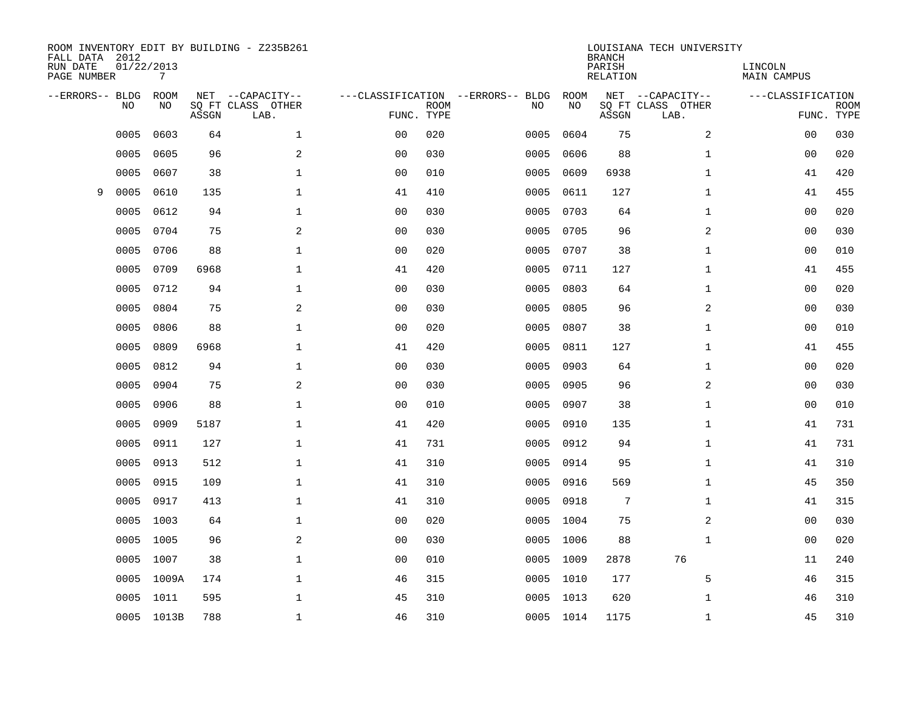| FALL DATA 2012<br>RUN DATE<br>PAGE NUMBER |      | 01/22/2013<br>7   |       | ROOM INVENTORY EDIT BY BUILDING - Z235B261    |                |             |                                         |            | <b>BRANCH</b><br>PARISH<br><b>RELATION</b> | LOUISIANA TECH UNIVERSITY                     | LINCOLN<br>MAIN CAMPUS |                           |
|-------------------------------------------|------|-------------------|-------|-----------------------------------------------|----------------|-------------|-----------------------------------------|------------|--------------------------------------------|-----------------------------------------------|------------------------|---------------------------|
| --ERRORS-- BLDG                           | NO   | <b>ROOM</b><br>NO | ASSGN | NET --CAPACITY--<br>SO FT CLASS OTHER<br>LAB. | FUNC. TYPE     | <b>ROOM</b> | ---CLASSIFICATION --ERRORS-- BLDG<br>NO | ROOM<br>NO | ASSGN                                      | NET --CAPACITY--<br>SQ FT CLASS OTHER<br>LAB. | ---CLASSIFICATION      | <b>ROOM</b><br>FUNC. TYPE |
|                                           | 0005 | 0603              | 64    | $\mathbf 1$                                   | 0 <sub>0</sub> | 020         | 0005                                    | 0604       | 75                                         | 2                                             | 00                     | 030                       |
|                                           | 0005 | 0605              | 96    | 2                                             | 0 <sub>0</sub> | 030         | 0005                                    | 0606       | 88                                         | $\mathbf{1}$                                  | 00                     | 020                       |
|                                           | 0005 | 0607              | 38    | $\mathbf{1}$                                  | 0 <sub>0</sub> | 010         | 0005                                    | 0609       | 6938                                       | $\mathbf{1}$                                  | 41                     | 420                       |
| 9                                         | 0005 | 0610              | 135   | $\mathbf 1$                                   | 41             | 410         | 0005                                    | 0611       | 127                                        | $\mathbf{1}$                                  | 41                     | 455                       |
|                                           | 0005 | 0612              | 94    | $\mathbf{1}$                                  | 0 <sub>0</sub> | 030         | 0005                                    | 0703       | 64                                         | $\mathbf{1}$                                  | 0 <sub>0</sub>         | 020                       |
|                                           | 0005 | 0704              | 75    | $\overline{a}$                                | 0 <sub>0</sub> | 030         | 0005                                    | 0705       | 96                                         | 2                                             | 0 <sub>0</sub>         | 030                       |
|                                           | 0005 | 0706              | 88    | $\mathbf{1}$                                  | 0 <sub>0</sub> | 020         | 0005                                    | 0707       | 38                                         | $\mathbf{1}$                                  | 0 <sub>0</sub>         | 010                       |
|                                           | 0005 | 0709              | 6968  | $\mathbf 1$                                   | 41             | 420         | 0005                                    | 0711       | 127                                        | $\mathbf{1}$                                  | 41                     | 455                       |
|                                           | 0005 | 0712              | 94    | $\mathbf 1$                                   | 0 <sub>0</sub> | 030         | 0005                                    | 0803       | 64                                         | $\mathbf{1}$                                  | 0 <sub>0</sub>         | 020                       |
|                                           | 0005 | 0804              | 75    | 2                                             | 0 <sub>0</sub> | 030         | 0005                                    | 0805       | 96                                         | 2                                             | 0 <sub>0</sub>         | 030                       |
|                                           | 0005 | 0806              | 88    | $\mathbf{1}$                                  | 0 <sub>0</sub> | 020         | 0005                                    | 0807       | 38                                         | $\mathbf{1}$                                  | 0 <sub>0</sub>         | 010                       |
|                                           | 0005 | 0809              | 6968  | $\mathbf{1}$                                  | 41             | 420         | 0005                                    | 0811       | 127                                        | $\mathbf{1}$                                  | 41                     | 455                       |
|                                           | 0005 | 0812              | 94    | $\mathbf{1}$                                  | 0 <sub>0</sub> | 030         | 0005                                    | 0903       | 64                                         | $\mathbf{1}$                                  | 0 <sub>0</sub>         | 020                       |
|                                           | 0005 | 0904              | 75    | 2                                             | 0 <sub>0</sub> | 030         | 0005                                    | 0905       | 96                                         | 2                                             | 0 <sub>0</sub>         | 030                       |
|                                           | 0005 | 0906              | 88    | $\mathbf{1}$                                  | 0 <sub>0</sub> | 010         | 0005                                    | 0907       | 38                                         | $\mathbf{1}$                                  | 0 <sub>0</sub>         | 010                       |
|                                           | 0005 | 0909              | 5187  | $\mathbf 1$                                   | 41             | 420         | 0005                                    | 0910       | 135                                        | $\mathbf{1}$                                  | 41                     | 731                       |
|                                           | 0005 | 0911              | 127   | $\mathbf 1$                                   | 41             | 731         | 0005                                    | 0912       | 94                                         | $\mathbf{1}$                                  | 41                     | 731                       |
|                                           | 0005 | 0913              | 512   | $\mathbf 1$                                   | 41             | 310         | 0005                                    | 0914       | 95                                         | $\mathbf{1}$                                  | 41                     | 310                       |
|                                           | 0005 | 0915              | 109   | $\mathbf 1$                                   | 41             | 310         | 0005                                    | 0916       | 569                                        | $\mathbf{1}$                                  | 45                     | 350                       |
|                                           | 0005 | 0917              | 413   | $\mathbf 1$                                   | 41             | 310         | 0005                                    | 0918       | 7                                          | $\mathbf{1}$                                  | 41                     | 315                       |
|                                           | 0005 | 1003              | 64    | $\mathbf 1$                                   | 0 <sub>0</sub> | 020         | 0005                                    | 1004       | 75                                         | 2                                             | 0 <sub>0</sub>         | 030                       |
|                                           | 0005 | 1005              | 96    | 2                                             | 0 <sub>0</sub> | 030         | 0005                                    | 1006       | 88                                         | $\mathbf{1}$                                  | 0 <sub>0</sub>         | 020                       |
|                                           | 0005 | 1007              | 38    | $\mathbf 1$                                   | 0 <sub>0</sub> | 010         | 0005                                    | 1009       | 2878                                       | 76                                            | 11                     | 240                       |
|                                           | 0005 | 1009A             | 174   | $\mathbf 1$                                   | 46             | 315         | 0005                                    | 1010       | 177                                        | 5                                             | 46                     | 315                       |
|                                           | 0005 | 1011              | 595   | $\mathbf 1$                                   | 45             | 310         | 0005                                    | 1013       | 620                                        | $\mathbf{1}$                                  | 46                     | 310                       |
|                                           |      | 0005 1013B        | 788   | $\mathbf{1}$                                  | 46             | 310         |                                         | 0005 1014  | 1175                                       | $\mathbf{1}$                                  | 45                     | 310                       |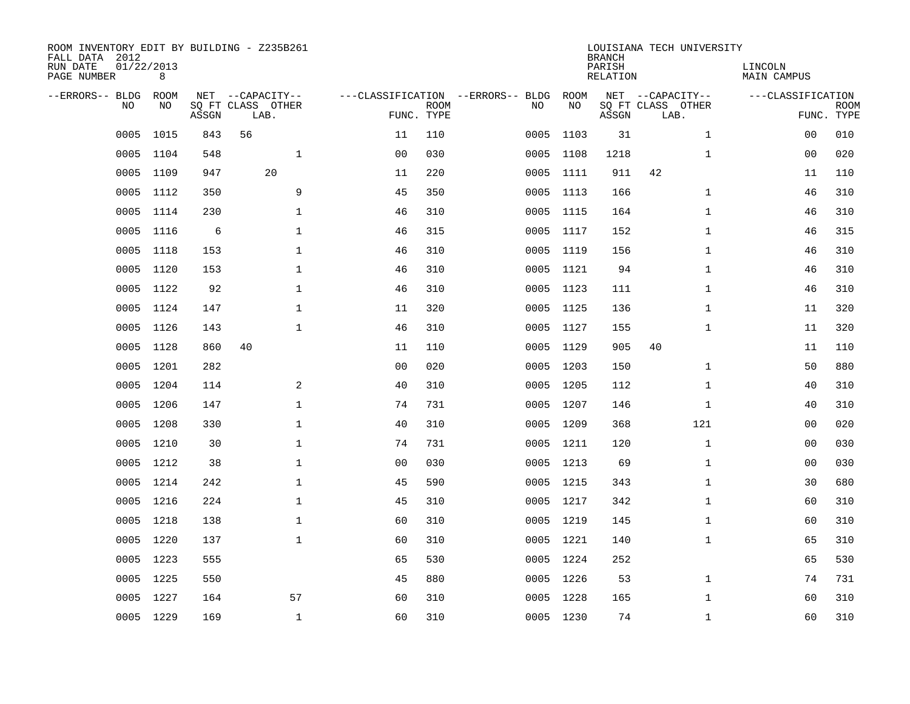| ROOM INVENTORY EDIT BY BUILDING - Z235B261<br>FALL DATA 2012<br>RUN DATE<br>PAGE NUMBER | 01/22/2013<br>8 |       |                                               |                |                           |                                         |            | <b>BRANCH</b><br>PARISH<br><b>RELATION</b> | LOUISIANA TECH UNIVERSITY                     | LINCOLN<br><b>MAIN CAMPUS</b> |                           |
|-----------------------------------------------------------------------------------------|-----------------|-------|-----------------------------------------------|----------------|---------------------------|-----------------------------------------|------------|--------------------------------------------|-----------------------------------------------|-------------------------------|---------------------------|
| --ERRORS-- BLDG<br>NO                                                                   | ROOM<br>NO      | ASSGN | NET --CAPACITY--<br>SQ FT CLASS OTHER<br>LAB. |                | <b>ROOM</b><br>FUNC. TYPE | ---CLASSIFICATION --ERRORS-- BLDG<br>NO | ROOM<br>NO | ASSGN                                      | NET --CAPACITY--<br>SQ FT CLASS OTHER<br>LAB. | ---CLASSIFICATION             | <b>ROOM</b><br>FUNC. TYPE |
| 0005                                                                                    | 1015            | 843   | 56                                            | 11             | 110                       | 0005                                    | 1103       | 31                                         | $\mathbf{1}$                                  | 00                            | 010                       |
| 0005                                                                                    | 1104            | 548   | $\mathbf{1}$                                  | 0 <sub>0</sub> | 030                       |                                         | 0005 1108  | 1218                                       | $\mathbf{1}$                                  | 00                            | 020                       |
| 0005                                                                                    | 1109            | 947   | 20                                            | 11             | 220                       |                                         | 0005 1111  | 911                                        | 42                                            | 11                            | 110                       |
| 0005                                                                                    | 1112            | 350   | 9                                             | 45             | 350                       |                                         | 0005 1113  | 166                                        | $\mathbf{1}$                                  | 46                            | 310                       |
| 0005                                                                                    | 1114            | 230   | $\mathbf{1}$                                  | 46             | 310                       | 0005                                    | 1115       | 164                                        | $\mathbf{1}$                                  | 46                            | 310                       |
| 0005                                                                                    | 1116            | 6     | $\mathbf{1}$                                  | 46             | 315                       |                                         | 0005 1117  | 152                                        | $\mathbf{1}$                                  | 46                            | 315                       |
| 0005                                                                                    | 1118            | 153   | $\mathbf{1}$                                  | 46             | 310                       | 0005                                    | 1119       | 156                                        | $\mathbf{1}$                                  | 46                            | 310                       |
| 0005                                                                                    | 1120            | 153   | $\mathbf 1$                                   | 46             | 310                       | 0005                                    | 1121       | 94                                         | $\mathbf{1}$                                  | 46                            | 310                       |
| 0005                                                                                    | 1122            | 92    | $\mathbf{1}$                                  | 46             | 310                       | 0005                                    | 1123       | 111                                        | $\mathbf{1}$                                  | 46                            | 310                       |
|                                                                                         | 0005 1124       | 147   | $\mathbf 1$                                   | 11             | 320                       |                                         | 0005 1125  | 136                                        | $\mathbf{1}$                                  | 11                            | 320                       |
| 0005                                                                                    | 1126            | 143   | $\mathbf{1}$                                  | 46             | 310                       |                                         | 0005 1127  | 155                                        | $\mathbf{1}$                                  | 11                            | 320                       |
| 0005                                                                                    | 1128            | 860   | 40                                            | 11             | 110                       |                                         | 0005 1129  | 905                                        | 40                                            | 11                            | 110                       |
| 0005                                                                                    | 1201            | 282   |                                               | 0 <sub>0</sub> | 020                       |                                         | 0005 1203  | 150                                        | $\mathbf{1}$                                  | 50                            | 880                       |
| 0005                                                                                    | 1204            | 114   | 2                                             | 40             | 310                       |                                         | 0005 1205  | 112                                        | $\mathbf{1}$                                  | 40                            | 310                       |
| 0005                                                                                    | 1206            | 147   | $\mathbf 1$                                   | 74             | 731                       | 0005                                    | 1207       | 146                                        | $\mathbf{1}$                                  | 40                            | 310                       |
| 0005                                                                                    | 1208            | 330   | $\mathbf 1$                                   | 40             | 310                       |                                         | 0005 1209  | 368                                        | 121                                           | 00                            | 020                       |
| 0005                                                                                    | 1210            | 30    | $\mathbf 1$                                   | 74             | 731                       |                                         | 0005 1211  | 120                                        | $\mathbf{1}$                                  | 00                            | 030                       |
| 0005                                                                                    | 1212            | 38    | $\mathbf{1}$                                  | 0 <sub>0</sub> | 030                       |                                         | 0005 1213  | 69                                         | $\mathbf{1}$                                  | 00                            | 030                       |
|                                                                                         | 0005 1214       | 242   | $\mathbf{1}$                                  | 45             | 590                       |                                         | 0005 1215  | 343                                        | $\mathbf{1}$                                  | 30                            | 680                       |
| 0005                                                                                    | 1216            | 224   | $\mathbf 1$                                   | 45             | 310                       |                                         | 0005 1217  | 342                                        | $\mathbf{1}$                                  | 60                            | 310                       |
|                                                                                         | 0005 1218       | 138   | $\mathbf 1$                                   | 60             | 310                       |                                         | 0005 1219  | 145                                        | $\mathbf{1}$                                  | 60                            | 310                       |
| 0005                                                                                    | 1220            | 137   | $\mathbf{1}$                                  | 60             | 310                       |                                         | 0005 1221  | 140                                        | $\mathbf{1}$                                  | 65                            | 310                       |
|                                                                                         | 0005 1223       | 555   |                                               | 65             | 530                       |                                         | 0005 1224  | 252                                        |                                               | 65                            | 530                       |
| 0005                                                                                    | 1225            | 550   |                                               | 45             | 880                       |                                         | 0005 1226  | 53                                         | $\mathbf{1}$                                  | 74                            | 731                       |
| 0005                                                                                    | 1227            | 164   | 57                                            | 60             | 310                       |                                         | 0005 1228  | 165                                        | $\mathbf{1}$                                  | 60                            | 310                       |
|                                                                                         | 0005 1229       | 169   | $\mathbf{1}$                                  | 60             | 310                       |                                         | 0005 1230  | 74                                         | $\mathbf{1}$                                  | 60                            | 310                       |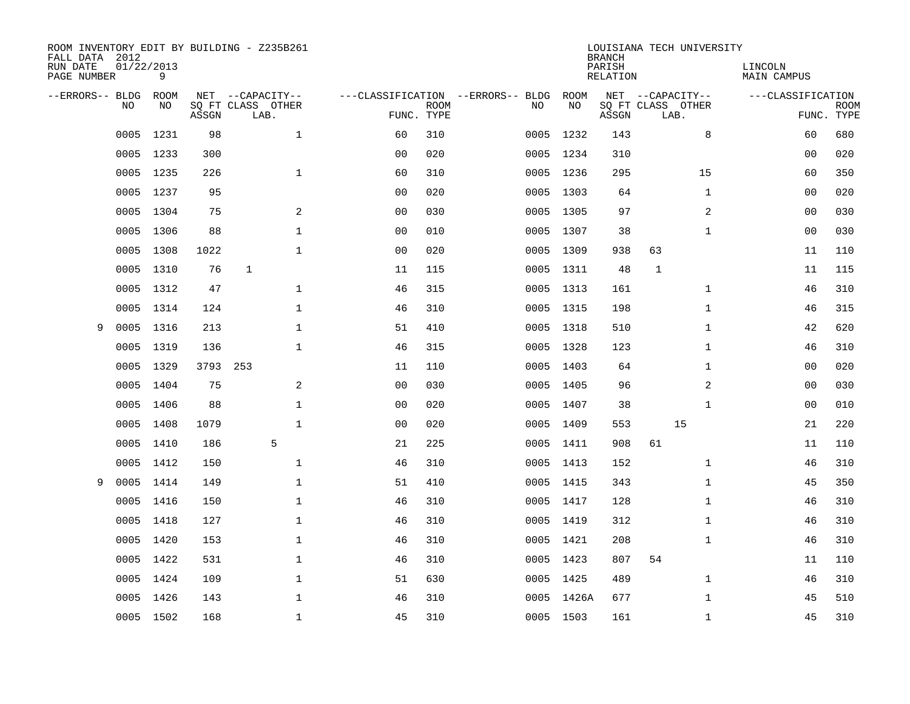| FALL DATA 2012<br>RUN DATE<br>PAGE NUMBER |                | 01/22/2013<br>9 |       | ROOM INVENTORY EDIT BY BUILDING - Z235B261 |                |                           |                                   |            | <b>BRANCH</b><br>PARISH<br>RELATION | LOUISIANA TECH UNIVERSITY | LINCOLN<br><b>MAIN CAMPUS</b> |                           |
|-------------------------------------------|----------------|-----------------|-------|--------------------------------------------|----------------|---------------------------|-----------------------------------|------------|-------------------------------------|---------------------------|-------------------------------|---------------------------|
| --ERRORS-- BLDG                           |                | ROOM            |       | NET --CAPACITY--                           |                |                           | ---CLASSIFICATION --ERRORS-- BLDG | ROOM       |                                     | NET --CAPACITY--          | ---CLASSIFICATION             |                           |
|                                           | N <sub>O</sub> | NO.             | ASSGN | SO FT CLASS OTHER<br>LAB.                  |                | <b>ROOM</b><br>FUNC. TYPE | NO.                               | NO         | ASSGN                               | SO FT CLASS OTHER<br>LAB. |                               | <b>ROOM</b><br>FUNC. TYPE |
|                                           | 0005           | 1231            | 98    | $\mathbf{1}$                               | 60             | 310                       | 0005                              | 1232       | 143                                 | 8                         | 60                            | 680                       |
|                                           |                | 0005 1233       | 300   |                                            | 0 <sub>0</sub> | 020                       |                                   | 0005 1234  | 310                                 |                           | 0 <sub>0</sub>                | 020                       |
|                                           | 0005           | 1235            | 226   | $\mathbf{1}$                               | 60             | 310                       |                                   | 0005 1236  | 295                                 | 15                        | 60                            | 350                       |
|                                           | 0005           | 1237            | 95    |                                            | 0 <sub>0</sub> | 020                       |                                   | 0005 1303  | 64                                  | $\mathbf{1}$              | 0 <sub>0</sub>                | 020                       |
|                                           | 0005           | 1304            | 75    | 2                                          | 0 <sub>0</sub> | 030                       | 0005                              | 1305       | 97                                  | 2                         | 00                            | 030                       |
|                                           | 0005           | 1306            | 88    | $\mathbf 1$                                | 0 <sub>0</sub> | 010                       |                                   | 0005 1307  | 38                                  | $\mathbf{1}$              | 00                            | 030                       |
|                                           | 0005           | 1308            | 1022  | $\mathbf{1}$                               | 0 <sub>0</sub> | 020                       | 0005                              | 1309       | 938                                 | 63                        | 11                            | 110                       |
|                                           | 0005           | 1310            | 76    | $\mathbf{1}$                               | 11             | 115                       | 0005                              | 1311       | 48                                  | $\mathbf{1}$              | 11                            | 115                       |
|                                           | 0005           | 1312            | 47    | $\mathbf{1}$                               | 46             | 315                       | 0005                              | 1313       | 161                                 | $\mathbf{1}$              | 46                            | 310                       |
|                                           | 0005           | 1314            | 124   | $\mathbf 1$                                | 46             | 310                       |                                   | 0005 1315  | 198                                 | $\mathbf{1}$              | 46                            | 315                       |
| 9                                         | 0005           | 1316            | 213   | $\mathbf 1$                                | 51             | 410                       |                                   | 0005 1318  | 510                                 | $\mathbf{1}$              | 42                            | 620                       |
|                                           | 0005           | 1319            | 136   | $\mathbf{1}$                               | 46             | 315                       |                                   | 0005 1328  | 123                                 | $\mathbf{1}$              | 46                            | 310                       |
|                                           | 0005           | 1329            | 3793  | 253                                        | 11             | 110                       |                                   | 0005 1403  | 64                                  | $\mathbf{1}$              | 0 <sub>0</sub>                | 020                       |
|                                           | 0005           | 1404            | 75    | 2                                          | 0 <sub>0</sub> | 030                       |                                   | 0005 1405  | 96                                  | $\overline{a}$            | 00                            | 030                       |
|                                           | 0005           | 1406            | 88    | $\mathbf{1}$                               | 00             | 020                       | 0005                              | 1407       | 38                                  | $\mathbf{1}$              | 00                            | 010                       |
|                                           | 0005           | 1408            | 1079  | $\mathbf{1}$                               | 0 <sub>0</sub> | 020                       |                                   | 0005 1409  | 553                                 | 15                        | 21                            | 220                       |
|                                           | 0005           | 1410            | 186   | 5                                          | 21             | 225                       | 0005                              | 1411       | 908                                 | 61                        | 11                            | 110                       |
|                                           | 0005           | 1412            | 150   | $\mathbf 1$                                | 46             | 310                       |                                   | 0005 1413  | 152                                 | $\mathbf{1}$              | 46                            | 310                       |
| 9                                         | 0005           | 1414            | 149   | $\mathbf{1}$                               | 51             | 410                       |                                   | 0005 1415  | 343                                 | $\mathbf{1}$              | 45                            | 350                       |
|                                           | 0005           | 1416            | 150   | $\mathbf{1}$                               | 46             | 310                       |                                   | 0005 1417  | 128                                 | $\mathbf{1}$              | 46                            | 310                       |
|                                           |                | 0005 1418       | 127   | $\mathbf 1$                                | 46             | 310                       |                                   | 0005 1419  | 312                                 | $\mathbf{1}$              | 46                            | 310                       |
|                                           | 0005           | 1420            | 153   | $\mathbf 1$                                | 46             | 310                       |                                   | 0005 1421  | 208                                 | $\mathbf{1}$              | 46                            | 310                       |
|                                           |                | 0005 1422       | 531   | $\mathbf 1$                                | 46             | 310                       |                                   | 0005 1423  | 807                                 | 54                        | 11                            | 110                       |
|                                           | 0005           | 1424            | 109   | $\mathbf 1$                                | 51             | 630                       |                                   | 0005 1425  | 489                                 | $\mathbf{1}$              | 46                            | 310                       |
|                                           |                | 0005 1426       | 143   | $\mathbf 1$                                | 46             | 310                       |                                   | 0005 1426A | 677                                 | $\mathbf{1}$              | 45                            | 510                       |
|                                           |                | 0005 1502       | 168   | $\mathbf{1}$                               | 45             | 310                       |                                   | 0005 1503  | 161                                 | $\mathbf{1}$              | 45                            | 310                       |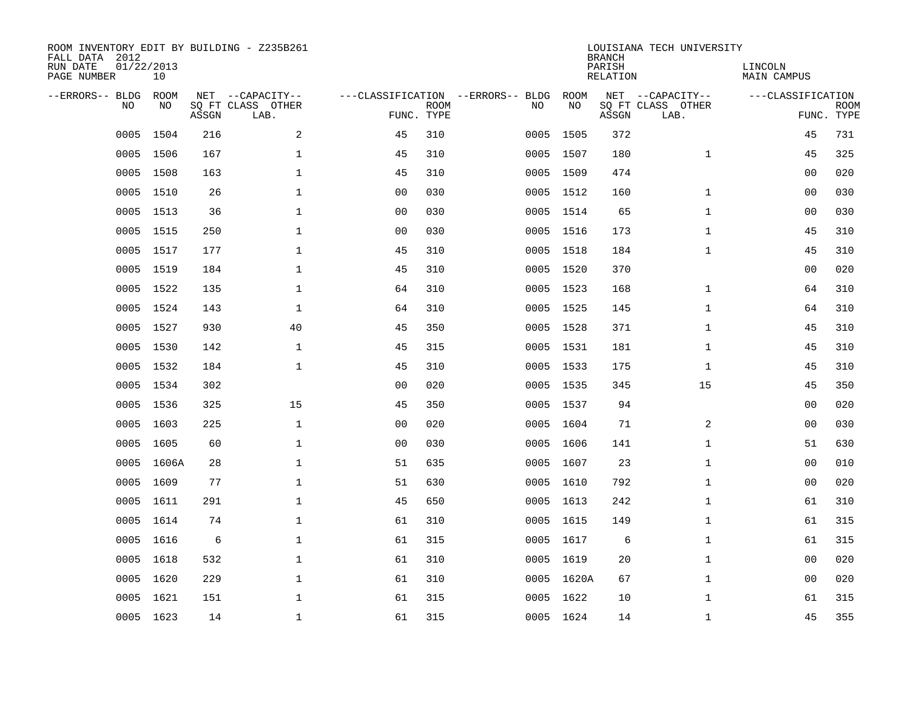| ROOM INVENTORY EDIT BY BUILDING - Z235B261<br>FALL DATA 2012<br>RUN DATE<br>PAGE NUMBER | 01/22/2013<br>10 |       |                                               |                |             |                                         |            | <b>BRANCH</b><br>PARISH<br><b>RELATION</b> | LOUISIANA TECH UNIVERSITY                     | LINCOLN<br><b>MAIN CAMPUS</b> |                           |
|-----------------------------------------------------------------------------------------|------------------|-------|-----------------------------------------------|----------------|-------------|-----------------------------------------|------------|--------------------------------------------|-----------------------------------------------|-------------------------------|---------------------------|
| --ERRORS-- BLDG<br>NO                                                                   | ROOM<br>NO       | ASSGN | NET --CAPACITY--<br>SQ FT CLASS OTHER<br>LAB. | FUNC. TYPE     | <b>ROOM</b> | ---CLASSIFICATION --ERRORS-- BLDG<br>NO | ROOM<br>NO | ASSGN                                      | NET --CAPACITY--<br>SQ FT CLASS OTHER<br>LAB. | ---CLASSIFICATION             | <b>ROOM</b><br>FUNC. TYPE |
| 0005                                                                                    | 1504             | 216   | 2                                             | 45             | 310         | 0005                                    | 1505       | 372                                        |                                               | 45                            | 731                       |
| 0005                                                                                    | 1506             | 167   | $\mathbf 1$                                   | 45             | 310         |                                         | 0005 1507  | 180                                        | $\mathbf{1}$                                  | 45                            | 325                       |
| 0005                                                                                    | 1508             | 163   | $\mathbf 1$                                   | 45             | 310         |                                         | 0005 1509  | 474                                        |                                               | 0 <sub>0</sub>                | 020                       |
| 0005                                                                                    | 1510             | 26    | $\mathbf 1$                                   | 0 <sub>0</sub> | 030         |                                         | 0005 1512  | 160                                        | $\mathbf{1}$                                  | 0 <sub>0</sub>                | 030                       |
| 0005                                                                                    | 1513             | 36    | $\mathbf 1$                                   | 0 <sub>0</sub> | 030         |                                         | 0005 1514  | 65                                         | $\mathbf{1}$                                  | 00                            | 030                       |
| 0005                                                                                    | 1515             | 250   | $\mathbf 1$                                   | 0 <sub>0</sub> | 030         |                                         | 0005 1516  | 173                                        | $\mathbf{1}$                                  | 45                            | 310                       |
| 0005                                                                                    | 1517             | 177   | $\mathbf{1}$                                  | 45             | 310         |                                         | 0005 1518  | 184                                        | $\mathbf{1}$                                  | 45                            | 310                       |
| 0005                                                                                    | 1519             | 184   | $\mathbf 1$                                   | 45             | 310         |                                         | 0005 1520  | 370                                        |                                               | 0 <sub>0</sub>                | 020                       |
| 0005                                                                                    | 1522             | 135   | $\mathbf{1}$                                  | 64             | 310         |                                         | 0005 1523  | 168                                        | $\mathbf{1}$                                  | 64                            | 310                       |
|                                                                                         | 0005 1524        | 143   | $\mathbf 1$                                   | 64             | 310         |                                         | 0005 1525  | 145                                        | $\mathbf{1}$                                  | 64                            | 310                       |
| 0005                                                                                    | 1527             | 930   | 40                                            | 45             | 350         |                                         | 0005 1528  | 371                                        | $\mathbf{1}$                                  | 45                            | 310                       |
|                                                                                         | 0005 1530        | 142   | $\mathbf{1}$                                  | 45             | 315         |                                         | 0005 1531  | 181                                        | $\mathbf{1}$                                  | 45                            | 310                       |
| 0005                                                                                    | 1532             | 184   | $\mathbf{1}$                                  | 45             | 310         |                                         | 0005 1533  | 175                                        | $\mathbf{1}$                                  | 45                            | 310                       |
| 0005                                                                                    | 1534             | 302   |                                               | 00             | 020         |                                         | 0005 1535  | 345                                        | 15                                            | 45                            | 350                       |
| 0005                                                                                    | 1536             | 325   | 15                                            | 45             | 350         |                                         | 0005 1537  | 94                                         |                                               | 00                            | 020                       |
| 0005                                                                                    | 1603             | 225   | $\mathbf 1$                                   | 0 <sub>0</sub> | 020         |                                         | 0005 1604  | 71                                         | 2                                             | 00                            | 030                       |
| 0005                                                                                    | 1605             | 60    | $\mathbf 1$                                   | 0 <sub>0</sub> | 030         | 0005                                    | 1606       | 141                                        | $\mathbf{1}$                                  | 51                            | 630                       |
|                                                                                         | 0005 1606A       | 28    | $\mathbf 1$                                   | 51             | 635         |                                         | 0005 1607  | 23                                         | $\mathbf{1}$                                  | 00                            | 010                       |
|                                                                                         | 0005 1609        | 77    | $\mathbf{1}$                                  | 51             | 630         |                                         | 0005 1610  | 792                                        | $\mathbf{1}$                                  | 00                            | 020                       |
|                                                                                         | 0005 1611        | 291   | $\mathbf 1$                                   | 45             | 650         |                                         | 0005 1613  | 242                                        | $\mathbf{1}$                                  | 61                            | 310                       |
|                                                                                         | 0005 1614        | 74    | $\mathbf{1}$                                  | 61             | 310         |                                         | 0005 1615  | 149                                        | $\mathbf{1}$                                  | 61                            | 315                       |
|                                                                                         | 0005 1616        | 6     | $\mathbf{1}$                                  | 61             | 315         |                                         | 0005 1617  | 6                                          | $\mathbf{1}$                                  | 61                            | 315                       |
|                                                                                         | 0005 1618        | 532   | $\mathbf{1}$                                  | 61             | 310         |                                         | 0005 1619  | 20                                         | $\mathbf{1}$                                  | 0 <sub>0</sub>                | 020                       |
| 0005                                                                                    | 1620             | 229   | $\mathbf 1$                                   | 61             | 310         |                                         | 0005 1620A | 67                                         | $\mathbf{1}$                                  | 00                            | 020                       |
|                                                                                         | 0005 1621        | 151   | $\mathbf 1$                                   | 61             | 315         |                                         | 0005 1622  | 10                                         | $\mathbf{1}$                                  | 61                            | 315                       |
|                                                                                         | 0005 1623        | 14    | $\mathbf 1$                                   | 61             | 315         |                                         | 0005 1624  | 14                                         | $\mathbf{1}$                                  | 45                            | 355                       |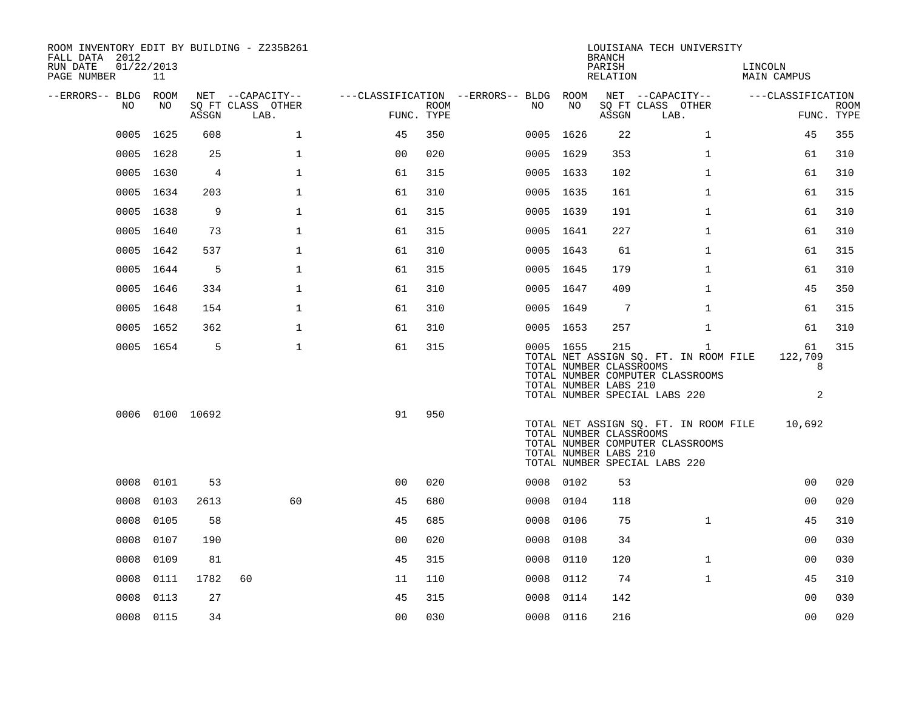| ROOM INVENTORY EDIT BY BUILDING - Z235B261<br>FALL DATA 2012 |                  |                 |                           |                                        |      |           |      | <b>BRANCH</b>                                           | LOUISIANA TECH UNIVERSITY                                                                                                  |                         |                           |
|--------------------------------------------------------------|------------------|-----------------|---------------------------|----------------------------------------|------|-----------|------|---------------------------------------------------------|----------------------------------------------------------------------------------------------------------------------------|-------------------------|---------------------------|
| RUN DATE<br>PAGE NUMBER                                      | 01/22/2013<br>11 |                 |                           |                                        |      |           |      | PARISH<br>RELATION                                      |                                                                                                                            | LINCOLN<br>MAIN CAMPUS  |                           |
| --ERRORS-- BLDG ROOM                                         |                  |                 | NET --CAPACITY--          | ---CLASSIFICATION --ERRORS-- BLDG ROOM |      |           | NO   |                                                         | NET --CAPACITY--                                                                                                           | ---CLASSIFICATION       |                           |
| NO.                                                          | NO               | ASSGN           | SQ FT CLASS OTHER<br>LAB. | FUNC. TYPE                             | ROOM | NO.       |      | ASSGN                                                   | SQ FT CLASS OTHER<br>LAB.                                                                                                  |                         | <b>ROOM</b><br>FUNC. TYPE |
|                                                              | 0005 1625        | 608             | $\mathbf 1$               | 45                                     | 350  | 0005 1626 |      | 22                                                      | $\mathbf{1}$                                                                                                               | 45                      | 355                       |
|                                                              | 0005 1628        | 25              | $\mathbf{1}$              | 0 <sub>0</sub>                         | 020  | 0005 1629 |      | 353                                                     | $\mathbf{1}$                                                                                                               | 61                      | 310                       |
|                                                              | 0005 1630        | 4               | $\mathbf 1$               | 61                                     | 315  | 0005 1633 |      | 102                                                     | $\mathbf{1}$                                                                                                               | 61                      | 310                       |
|                                                              | 0005 1634        | 203             | $\mathbf 1$               | 61                                     | 310  | 0005 1635 |      | 161                                                     | $\mathbf{1}$                                                                                                               | 61                      | 315                       |
|                                                              | 0005 1638        | 9               | $\mathbf{1}$              | 61                                     | 315  | 0005 1639 |      | 191                                                     | $\mathbf{1}$                                                                                                               | 61                      | 310                       |
|                                                              | 0005 1640        | 73              | $\mathbf 1$               | 61                                     | 315  | 0005 1641 |      | 227                                                     | $\mathbf{1}$                                                                                                               | 61                      | 310                       |
|                                                              | 0005 1642        | 537             | $\mathbf{1}$              | 61                                     | 310  | 0005 1643 |      | 61                                                      | $\mathbf{1}$                                                                                                               | 61                      | 315                       |
|                                                              | 0005 1644        | 5               | $\mathbf{1}$              | 61                                     | 315  | 0005 1645 |      | 179                                                     | $\mathbf{1}$                                                                                                               | 61                      | 310                       |
|                                                              | 0005 1646        | 334             | $\mathbf 1$               | 61                                     | 310  | 0005 1647 |      | 409                                                     | $\mathbf{1}$                                                                                                               | 45                      | 350                       |
|                                                              | 0005 1648        | 154             | $\mathbf 1$               | 61                                     | 310  | 0005 1649 |      | -7                                                      | $\mathbf{1}$                                                                                                               | 61                      | 315                       |
|                                                              | 0005 1652        | 362             | 1                         | 61                                     | 310  | 0005 1653 |      | 257                                                     | $\mathbf{1}$                                                                                                               | 61                      | 310                       |
|                                                              | 0005 1654        | 5               | $\mathbf 1$               | 61                                     | 315  | 0005 1655 |      | 215<br>TOTAL NUMBER CLASSROOMS<br>TOTAL NUMBER LABS 210 | $\mathbf{1}$<br>TOTAL NET ASSIGN SQ. FT. IN ROOM FILE<br>TOTAL NUMBER COMPUTER CLASSROOMS<br>TOTAL NUMBER SPECIAL LABS 220 | 61<br>122,709<br>8<br>2 | 315                       |
|                                                              |                  | 0006 0100 10692 |                           | 91                                     | 950  |           |      | TOTAL NUMBER CLASSROOMS<br>TOTAL NUMBER LABS 210        | TOTAL NET ASSIGN SQ. FT. IN ROOM FILE<br>TOTAL NUMBER COMPUTER CLASSROOMS<br>TOTAL NUMBER SPECIAL LABS 220                 | 10,692                  |                           |
| 0008                                                         | 0101             | 53              |                           | 0 <sub>0</sub>                         | 020  | 0008 0102 |      | 53                                                      |                                                                                                                            | 0 <sub>0</sub>          | 020                       |
| 0008                                                         | 0103             | 2613            | 60                        | 45                                     | 680  | 0008 0104 |      | 118                                                     |                                                                                                                            | 00                      | 020                       |
| 0008                                                         | 0105             | 58              |                           | 45                                     | 685  | 0008 0106 |      | 75                                                      | $\mathbf{1}$                                                                                                               | 45                      | 310                       |
| 0008                                                         | 0107             | 190             |                           | 0 <sub>0</sub>                         | 020  | 0008      | 0108 | 34                                                      |                                                                                                                            | 0 <sub>0</sub>          | 030                       |
| 0008                                                         | 0109             | 81              |                           | 45                                     | 315  | 0008      | 0110 | 120                                                     | $\mathbf{1}$                                                                                                               | 00                      | 030                       |
| 0008                                                         | 0111             | 1782            | 60                        | 11                                     | 110  | 0008      | 0112 | 74                                                      | $\mathbf{1}$                                                                                                               | 45                      | 310                       |
| 0008                                                         | 0113             | 27              |                           | 45                                     | 315  | 0008      | 0114 | 142                                                     |                                                                                                                            | 00                      | 030                       |
|                                                              | 0008 0115        | 34              |                           | 00                                     | 030  | 0008 0116 |      | 216                                                     |                                                                                                                            | 0 <sub>0</sub>          | 020                       |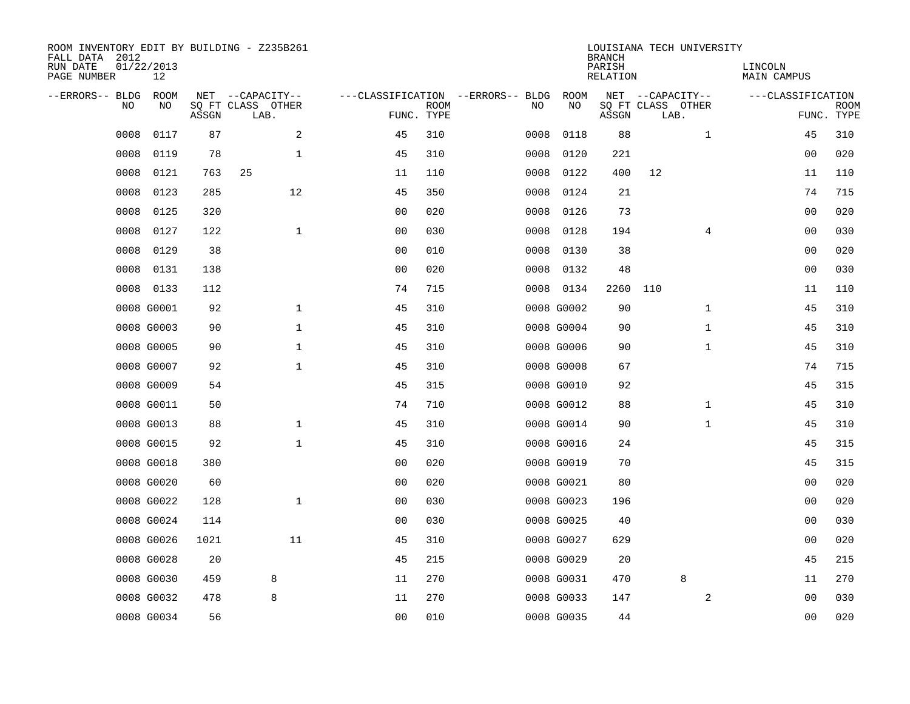| ROOM INVENTORY EDIT BY BUILDING - Z235B261<br>FALL DATA 2012<br>RUN DATE<br>PAGE NUMBER | 01/22/2013<br>12 |       |                                               |                |             |                                         |            | <b>BRANCH</b><br>PARISH<br><b>RELATION</b> | LOUISIANA TECH UNIVERSITY                     | LINCOLN<br><b>MAIN CAMPUS</b> |                |                           |
|-----------------------------------------------------------------------------------------|------------------|-------|-----------------------------------------------|----------------|-------------|-----------------------------------------|------------|--------------------------------------------|-----------------------------------------------|-------------------------------|----------------|---------------------------|
| --ERRORS-- BLDG<br>NO                                                                   | ROOM<br>NO       | ASSGN | NET --CAPACITY--<br>SQ FT CLASS OTHER<br>LAB. | FUNC. TYPE     | <b>ROOM</b> | ---CLASSIFICATION --ERRORS-- BLDG<br>NO | ROOM<br>NO | ASSGN                                      | NET --CAPACITY--<br>SQ FT CLASS OTHER<br>LAB. | ---CLASSIFICATION             |                | <b>ROOM</b><br>FUNC. TYPE |
| 0008                                                                                    | 0117             | 87    | 2                                             | 45             | 310         | 0008                                    | 0118       | 88                                         | $\mathbf{1}$                                  |                               | 45             | 310                       |
| 0008                                                                                    | 0119             | 78    | 1                                             | 45             | 310         | 0008                                    | 0120       | 221                                        |                                               |                               | 00             | 020                       |
| 0008                                                                                    | 0121             | 763   | 25                                            | 11             | 110         | 0008                                    | 0122       | 400                                        | 12                                            |                               | 11             | 110                       |
| 0008                                                                                    | 0123             | 285   | 12                                            | 45             | 350         | 0008                                    | 0124       | 21                                         |                                               |                               | 74             | 715                       |
| 0008                                                                                    | 0125             | 320   |                                               | 00             | 020         | 0008                                    | 0126       | 73                                         |                                               |                               | 0 <sub>0</sub> | 020                       |
| 0008                                                                                    | 0127             | 122   | $\mathbf{1}$                                  | 0 <sub>0</sub> | 030         | 0008                                    | 0128       | 194                                        | $\overline{4}$                                |                               | 00             | 030                       |
| 0008                                                                                    | 0129             | 38    |                                               | 0 <sub>0</sub> | 010         | 0008                                    | 0130       | 38                                         |                                               |                               | 0 <sub>0</sub> | 020                       |
| 0008                                                                                    | 0131             | 138   |                                               | 0 <sub>0</sub> | 020         | 0008                                    | 0132       | 48                                         |                                               |                               | 0 <sub>0</sub> | 030                       |
| 0008                                                                                    | 0133             | 112   |                                               | 74             | 715         | 0008                                    | 0134       | 2260                                       | 110                                           |                               | 11             | 110                       |
|                                                                                         | 0008 G0001       | 92    | $\mathbf{1}$                                  | 45             | 310         |                                         | 0008 G0002 | 90                                         | $\mathbf{1}$                                  |                               | 45             | 310                       |
|                                                                                         | 0008 G0003       | 90    | $\mathbf 1$                                   | 45             | 310         |                                         | 0008 G0004 | 90                                         | $\mathbf{1}$                                  |                               | 45             | 310                       |
|                                                                                         | 0008 G0005       | 90    | $\mathbf 1$                                   | 45             | 310         |                                         | 0008 G0006 | 90                                         | $\mathbf{1}$                                  |                               | 45             | 310                       |
|                                                                                         | 0008 G0007       | 92    | $\mathbf 1$                                   | 45             | 310         |                                         | 0008 G0008 | 67                                         |                                               |                               | 74             | 715                       |
|                                                                                         | 0008 G0009       | 54    |                                               | 45             | 315         |                                         | 0008 G0010 | 92                                         |                                               |                               | 45             | 315                       |
|                                                                                         | 0008 G0011       | 50    |                                               | 74             | 710         |                                         | 0008 G0012 | 88                                         | $\mathbf{1}$                                  |                               | 45             | 310                       |
|                                                                                         | 0008 G0013       | 88    | 1                                             | 45             | 310         |                                         | 0008 G0014 | 90                                         | $\mathbf{1}$                                  |                               | 45             | 310                       |
|                                                                                         | 0008 G0015       | 92    | $\mathbf{1}$                                  | 45             | 310         |                                         | 0008 G0016 | 24                                         |                                               |                               | 45             | 315                       |
|                                                                                         | 0008 G0018       | 380   |                                               | 0 <sub>0</sub> | 020         |                                         | 0008 G0019 | 70                                         |                                               |                               | 45             | 315                       |
|                                                                                         | 0008 G0020       | 60    |                                               | 0 <sub>0</sub> | 020         |                                         | 0008 G0021 | 80                                         |                                               |                               | 00             | 020                       |
|                                                                                         | 0008 G0022       | 128   | $\mathbf 1$                                   | 0 <sub>0</sub> | 030         |                                         | 0008 G0023 | 196                                        |                                               |                               | 00             | 020                       |
|                                                                                         | 0008 G0024       | 114   |                                               | 0 <sub>0</sub> | 030         |                                         | 0008 G0025 | 40                                         |                                               |                               | 0 <sub>0</sub> | 030                       |
|                                                                                         | 0008 G0026       | 1021  | 11                                            | 45             | 310         |                                         | 0008 G0027 | 629                                        |                                               |                               | 00             | 020                       |
|                                                                                         | 0008 G0028       | 20    |                                               | 45             | 215         |                                         | 0008 G0029 | 20                                         |                                               |                               | 45             | 215                       |
|                                                                                         | 0008 G0030       | 459   | 8                                             | 11             | 270         |                                         | 0008 G0031 | 470                                        | 8                                             |                               | 11             | 270                       |
|                                                                                         | 0008 G0032       | 478   | 8                                             | 11             | 270         |                                         | 0008 G0033 | 147                                        | 2                                             |                               | 0 <sub>0</sub> | 030                       |
|                                                                                         | 0008 G0034       | 56    |                                               | 00             | 010         |                                         | 0008 G0035 | 44                                         |                                               |                               | 00             | 020                       |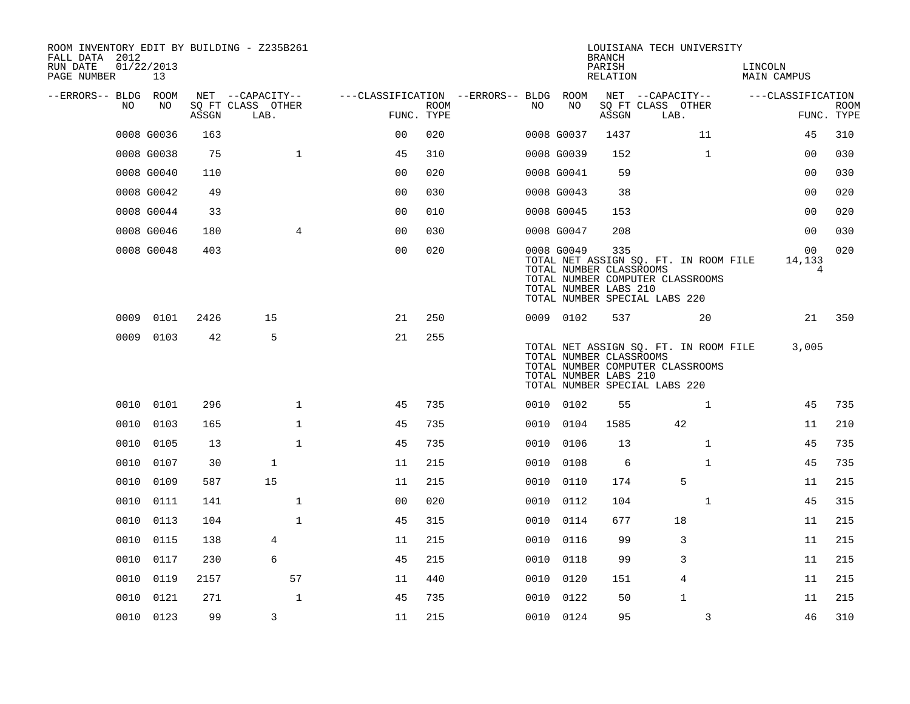| ROOM INVENTORY EDIT BY BUILDING - Z235B261<br>FALL DATA 2012<br>RUN DATE<br>PAGE NUMBER | 01/22/2013<br>13 |       |                           |                                        |             |      |                                                                | <b>BRANCH</b><br>PARISH<br>RELATION | LOUISIANA TECH UNIVERSITY                                                                                  |              | LINCOLN<br><b>MAIN CAMPUS</b> |                                            |             |
|-----------------------------------------------------------------------------------------|------------------|-------|---------------------------|----------------------------------------|-------------|------|----------------------------------------------------------------|-------------------------------------|------------------------------------------------------------------------------------------------------------|--------------|-------------------------------|--------------------------------------------|-------------|
| --ERRORS-- BLDG ROOM                                                                    |                  |       | NET --CAPACITY--          | ---CLASSIFICATION --ERRORS-- BLDG ROOM |             |      |                                                                |                                     | NET --CAPACITY--                                                                                           |              | ---CLASSIFICATION             |                                            |             |
| NO                                                                                      | NO               | ASSGN | SQ FT CLASS OTHER<br>LAB. | FUNC. TYPE                             | <b>ROOM</b> | NO   | NO                                                             | ASSGN                               | SQ FT CLASS OTHER<br>LAB.                                                                                  |              |                               | FUNC. TYPE                                 | <b>ROOM</b> |
|                                                                                         | 0008 G0036       | 163   |                           | 0 <sup>0</sup>                         | 020         |      | 0008 G0037                                                     | 1437                                |                                                                                                            | 11           |                               | 45                                         | 310         |
|                                                                                         | 0008 G0038       | 75    | $\mathbf{1}$              | 45                                     | 310         |      | 0008 G0039                                                     | 152                                 |                                                                                                            | $\mathbf{1}$ |                               | 0 <sub>0</sub>                             | 030         |
|                                                                                         | 0008 G0040       | 110   |                           | 0 <sub>0</sub>                         | 020         |      | 0008 G0041                                                     | 59                                  |                                                                                                            |              |                               | 0 <sub>0</sub>                             | 030         |
|                                                                                         | 0008 G0042       | 49    |                           | 0 <sub>0</sub>                         | 030         |      | 0008 G0043                                                     | 38                                  |                                                                                                            |              |                               | 00                                         | 020         |
|                                                                                         | 0008 G0044       | 33    |                           | 00                                     | 010         |      | 0008 G0045                                                     | 153                                 |                                                                                                            |              |                               | 00                                         | 020         |
|                                                                                         | 0008 G0046       | 180   | $\overline{4}$            | 0 <sub>0</sub>                         | 030         |      | 0008 G0047                                                     | 208                                 |                                                                                                            |              |                               | 0 <sub>0</sub>                             | 030         |
|                                                                                         | 0008 G0048       | 403   |                           | 0 <sub>0</sub>                         | 020         |      | 0008 G0049<br>TOTAL NUMBER CLASSROOMS<br>TOTAL NUMBER LABS 210 | 335                                 | TOTAL NET ASSIGN SQ. FT. IN ROOM FILE<br>TOTAL NUMBER COMPUTER CLASSROOMS<br>TOTAL NUMBER SPECIAL LABS 220 |              |                               | 0 <sub>0</sub><br>14,133<br>$\overline{4}$ | 020         |
|                                                                                         | 0009 0101        | 2426  | 15                        | 21                                     | 250         |      | 0009 0102                                                      | 537                                 |                                                                                                            | 20           |                               | 21                                         | 350         |
|                                                                                         | 0009 0103        | 42    | 5                         | 21                                     | 255         |      | TOTAL NUMBER CLASSROOMS<br>TOTAL NUMBER LABS 210               |                                     | TOTAL NET ASSIGN SQ. FT. IN ROOM FILE<br>TOTAL NUMBER COMPUTER CLASSROOMS<br>TOTAL NUMBER SPECIAL LABS 220 |              |                               | 3,005                                      |             |
|                                                                                         | 0010 0101        | 296   | $\mathbf{1}$              | 45                                     | 735         |      | 0010 0102                                                      | 55                                  |                                                                                                            | 1            |                               | 45                                         | 735         |
| 0010                                                                                    | 0103             | 165   | $\mathbf{1}$              | 45                                     | 735         | 0010 | 0104                                                           | 1585                                | 42                                                                                                         |              |                               | 11                                         | 210         |
| 0010                                                                                    | 0105             | 13    | $\mathbf{1}$              | 45                                     | 735         | 0010 | 0106                                                           | 13                                  |                                                                                                            | $\mathbf{1}$ |                               | 45                                         | 735         |
| 0010                                                                                    | 0107             | 30    | $\mathbf{1}$              | 11                                     | 215         | 0010 | 0108                                                           | 6                                   |                                                                                                            | $\mathbf{1}$ |                               | 45                                         | 735         |
| 0010                                                                                    | 0109             | 587   | 15                        | 11                                     | 215         |      | 0010 0110                                                      | 174                                 | 5                                                                                                          |              |                               | 11                                         | 215         |
| 0010                                                                                    | 0111             | 141   | $\mathbf{1}$              | 0 <sub>0</sub>                         | 020         |      | 0010 0112                                                      | 104                                 |                                                                                                            | $\mathbf{1}$ |                               | 45                                         | 315         |
| 0010                                                                                    | 0113             | 104   | $\mathbf{1}$              | 45                                     | 315         |      | 0010 0114                                                      | 677                                 | 18                                                                                                         |              |                               | 11                                         | 215         |
| 0010                                                                                    | 0115             | 138   | 4                         | 11                                     | 215         | 0010 | 0116                                                           | 99                                  | 3                                                                                                          |              |                               | 11                                         | 215         |
| 0010                                                                                    | 0117             | 230   | 6                         | 45                                     | 215         |      | 0010 0118                                                      | 99                                  | 3                                                                                                          |              |                               | 11                                         | 215         |
| 0010                                                                                    | 0119             | 2157  | 57                        | 11                                     | 440         | 0010 | 0120                                                           | 151                                 | 4                                                                                                          |              |                               | 11                                         | 215         |
| 0010                                                                                    | 0121             | 271   | $\mathbf{1}$              | 45                                     | 735         |      | 0010 0122                                                      | 50                                  | 1                                                                                                          |              |                               | 11                                         | 215         |
|                                                                                         | 0010 0123        | 99    | 3                         | 11                                     | 215         |      | 0010 0124                                                      | 95                                  |                                                                                                            | 3            |                               | 46                                         | 310         |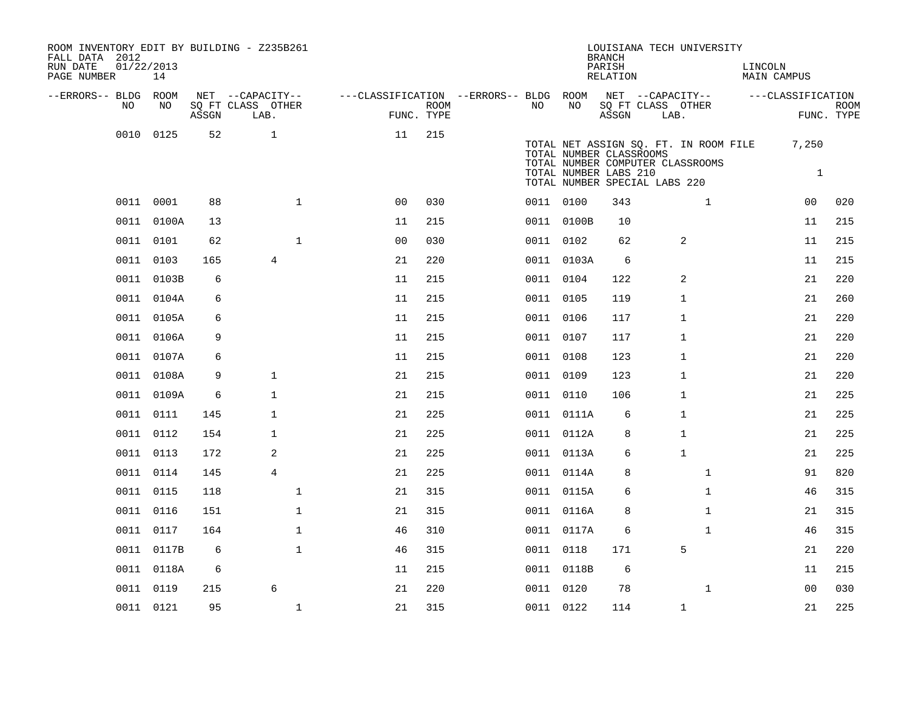| ROOM INVENTORY EDIT BY BUILDING - Z235B261<br>FALL DATA 2012<br>RUN DATE<br>PAGE NUMBER | 01/22/2013<br>14 |                                 |                           |                                        |                           |           |                                                                                   | <b>BRANCH</b><br>PARISH<br><b>RELATION</b> |      | LOUISIANA TECH UNIVERSITY                                                 | LINCOLN | <b>MAIN CAMPUS</b>    |                           |
|-----------------------------------------------------------------------------------------|------------------|---------------------------------|---------------------------|----------------------------------------|---------------------------|-----------|-----------------------------------------------------------------------------------|--------------------------------------------|------|---------------------------------------------------------------------------|---------|-----------------------|---------------------------|
| --ERRORS-- BLDG ROOM                                                                    |                  |                                 | NET --CAPACITY--          | ---CLASSIFICATION --ERRORS-- BLDG ROOM |                           |           |                                                                                   | NET --CAPACITY--                           |      |                                                                           |         | ---CLASSIFICATION     |                           |
| NO                                                                                      | NO               | $\operatorname{\mathsf{ASSGN}}$ | SQ FT CLASS OTHER<br>LAB. |                                        | <b>ROOM</b><br>FUNC. TYPE | NO.       | NO                                                                                | SQ FT CLASS OTHER<br>ASSGN                 | LAB. |                                                                           |         |                       | <b>ROOM</b><br>FUNC. TYPE |
|                                                                                         | 0010 0125        | 52                              | $\mathbf{1}$              | 11                                     | 215                       |           | TOTAL NUMBER CLASSROOMS<br>TOTAL NUMBER LABS 210<br>TOTAL NUMBER SPECIAL LABS 220 |                                            |      | TOTAL NET ASSIGN SQ. FT. IN ROOM FILE<br>TOTAL NUMBER COMPUTER CLASSROOMS |         | 7,250<br>$\mathbf{1}$ |                           |
|                                                                                         | 0011 0001        | 88                              | $\mathbf{1}$              | 0 <sup>0</sup>                         | 030                       | 0011 0100 |                                                                                   | 343                                        |      | 1                                                                         |         | 00                    | 020                       |
|                                                                                         | 0011 0100A       | 13                              |                           | 11                                     | 215                       |           | 0011 0100B                                                                        | 10                                         |      |                                                                           |         | 11                    | 215                       |
|                                                                                         | 0011 0101        | 62                              | $\mathbf{1}$              | 0 <sub>0</sub>                         | 030                       |           | 0011 0102                                                                         | 62                                         |      | 2                                                                         |         | 11                    | 215                       |
|                                                                                         | 0011 0103        | 165                             | 4                         | 21                                     | 220                       |           | 0011 0103A                                                                        | 6                                          |      |                                                                           |         | 11                    | 215                       |
|                                                                                         | 0011 0103B       | 6                               |                           | 11                                     | 215                       |           | 0011 0104                                                                         | 122                                        |      | 2                                                                         |         | 21                    | 220                       |
|                                                                                         | 0011 0104A       | 6                               |                           | 11                                     | 215                       |           | 0011 0105                                                                         | 119                                        |      | 1                                                                         |         | 21                    | 260                       |
|                                                                                         | 0011 0105A       | 6                               |                           | 11                                     | 215                       |           | 0011 0106                                                                         | 117                                        |      | 1                                                                         |         | 21                    | 220                       |
|                                                                                         | 0011 0106A       | 9                               |                           | 11                                     | 215                       | 0011 0107 |                                                                                   | 117                                        |      | 1                                                                         |         | 21                    | 220                       |
|                                                                                         | 0011 0107A       | 6                               |                           | 11                                     | 215                       | 0011 0108 |                                                                                   | 123                                        |      | 1                                                                         |         | 21                    | 220                       |
|                                                                                         | 0011 0108A       | 9                               | $\mathbf{1}$              | 21                                     | 215                       |           | 0011 0109                                                                         | 123                                        |      | $\mathbf{1}$                                                              |         | 21                    | 220                       |
|                                                                                         | 0011 0109A       | 6                               | $\mathbf{1}$              | 21                                     | 215                       |           | 0011 0110                                                                         | 106                                        |      | $\mathbf 1$                                                               |         | 21                    | 225                       |
|                                                                                         | 0011 0111        | 145                             | $\mathbf{1}$              | 21                                     | 225                       |           | 0011 0111A                                                                        | 6                                          |      | $\mathbf{1}$                                                              |         | 21                    | 225                       |
|                                                                                         | 0011 0112        | 154                             | 1                         | 21                                     | 225                       |           | 0011 0112A                                                                        | 8                                          |      | 1                                                                         |         | 21                    | 225                       |
|                                                                                         | 0011 0113        | 172                             | 2                         | 21                                     | 225                       |           | 0011 0113A                                                                        | 6                                          |      | $\mathbf{1}$                                                              |         | 21                    | 225                       |
|                                                                                         | 0011 0114        | 145                             | 4                         | 21                                     | 225                       |           | 0011 0114A                                                                        | 8                                          |      | $\mathbf{1}$                                                              |         | 91                    | 820                       |
|                                                                                         | 0011 0115        | 118                             | $\mathbf 1$               | 21                                     | 315                       |           | 0011 0115A                                                                        | 6                                          |      | $\mathbf{1}$                                                              |         | 46                    | 315                       |
|                                                                                         | 0011 0116        | 151                             | $\mathbf 1$               | 21                                     | 315                       |           | 0011 0116A                                                                        | 8                                          |      | $\mathbf{1}$                                                              |         | 21                    | 315                       |
|                                                                                         | 0011 0117        | 164                             | $\mathbf{1}$              | 46                                     | 310                       |           | 0011 0117A                                                                        | 6                                          |      | $\mathbf{1}$                                                              |         | 46                    | 315                       |
|                                                                                         | 0011 0117B       | 6                               | $\mathbf 1$               | 46                                     | 315                       | 0011 0118 |                                                                                   | 171                                        |      | 5                                                                         |         | 21                    | 220                       |
|                                                                                         | 0011 0118A       | 6                               |                           | 11                                     | 215                       |           | 0011 0118B                                                                        | 6                                          |      |                                                                           |         | 11                    | 215                       |
|                                                                                         | 0011 0119        | 215                             | 6                         | 21                                     | 220                       | 0011 0120 |                                                                                   | 78                                         |      | $\mathbf{1}$                                                              |         | 0 <sub>0</sub>        | 030                       |
|                                                                                         | 0011 0121        | 95                              | $\mathbf 1$               | 21                                     | 315                       | 0011 0122 |                                                                                   | 114                                        |      | $\mathbf 1$                                                               |         | 21                    | 225                       |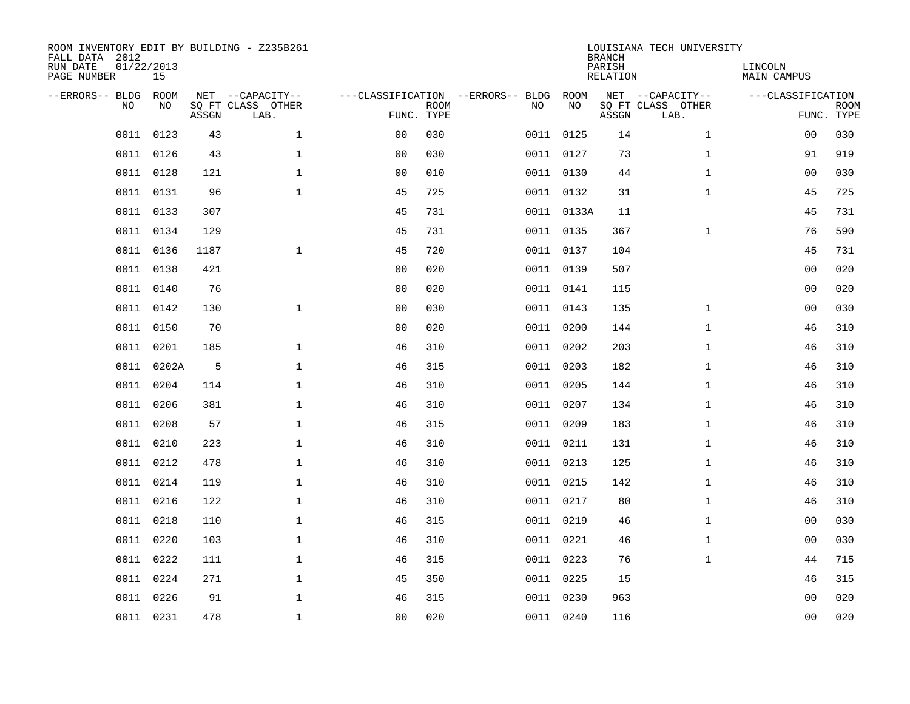| FALL DATA 2012<br>RUN DATE<br>PAGE NUMBER | 01/22/2013 | 15          |       | ROOM INVENTORY EDIT BY BUILDING - Z235B261    |                                                 |             |           |            | <b>BRANCH</b><br>PARISH<br>RELATION | LOUISIANA TECH UNIVERSITY                     | LINCOLN<br><b>MAIN CAMPUS</b> |                           |
|-------------------------------------------|------------|-------------|-------|-----------------------------------------------|-------------------------------------------------|-------------|-----------|------------|-------------------------------------|-----------------------------------------------|-------------------------------|---------------------------|
| --ERRORS-- BLDG                           | <b>NO</b>  | ROOM<br>NO. | ASSGN | NET --CAPACITY--<br>SO FT CLASS OTHER<br>LAB. | ---CLASSIFICATION --ERRORS-- BLDG<br>FUNC. TYPE | <b>ROOM</b> | NO        | ROOM<br>NO | ASSGN                               | NET --CAPACITY--<br>SQ FT CLASS OTHER<br>LAB. | ---CLASSIFICATION             | <b>ROOM</b><br>FUNC. TYPE |
|                                           | 0011       | 0123        | 43    | $\mathbf{1}$                                  | 0 <sub>0</sub>                                  | 030         |           | 0011 0125  | 14                                  | $\mathbf{1}$                                  | 00                            | 030                       |
|                                           | 0011       | 0126        | 43    | $\mathbf 1$                                   | 0 <sub>0</sub>                                  | 030         |           | 0011 0127  | 73                                  | $\mathbf{1}$                                  | 91                            | 919                       |
|                                           | 0011       | 0128        | 121   | $\mathbf 1$                                   | 0 <sub>0</sub>                                  | 010         |           | 0011 0130  | 44                                  | $\mathbf{1}$                                  | 0 <sub>0</sub>                | 030                       |
|                                           | 0011 0131  |             | 96    | $\mathbf{1}$                                  | 45                                              | 725         |           | 0011 0132  | 31                                  | $\mathbf{1}$                                  | 45                            | 725                       |
|                                           | 0011 0133  |             | 307   |                                               | 45                                              | 731         |           | 0011 0133A | 11                                  |                                               | 45                            | 731                       |
|                                           | 0011 0134  |             | 129   |                                               | 45                                              | 731         |           | 0011 0135  | 367                                 | $\mathbf{1}$                                  | 76                            | 590                       |
|                                           | 0011 0136  |             | 1187  | $\mathbf{1}$                                  | 45                                              | 720         |           | 0011 0137  | 104                                 |                                               | 45                            | 731                       |
|                                           | 0011 0138  |             | 421   |                                               | 0 <sub>0</sub>                                  | 020         |           | 0011 0139  | 507                                 |                                               | 0 <sub>0</sub>                | 020                       |
|                                           | 0011       | 0140        | 76    |                                               | 0 <sub>0</sub>                                  | 020         |           | 0011 0141  | 115                                 |                                               | 0 <sub>0</sub>                | 020                       |
|                                           | 0011 0142  |             | 130   | $\mathbf 1$                                   | 0 <sub>0</sub>                                  | 030         |           | 0011 0143  | 135                                 | $\mathbf{1}$                                  | 0 <sub>0</sub>                | 030                       |
|                                           | 0011       | 0150        | 70    |                                               | 0 <sub>0</sub>                                  | 020         |           | 0011 0200  | 144                                 | $\mathbf{1}$                                  | 46                            | 310                       |
|                                           | 0011 0201  |             | 185   | $\mathbf 1$                                   | 46                                              | 310         |           | 0011 0202  | 203                                 | $\mathbf{1}$                                  | 46                            | 310                       |
|                                           | 0011       | 0202A       | 5     | $\mathbf 1$                                   | 46                                              | 315         | 0011 0203 |            | 182                                 | $\mathbf{1}$                                  | 46                            | 310                       |
|                                           | 0011       | 0204        | 114   | $\mathbf 1$                                   | 46                                              | 310         |           | 0011 0205  | 144                                 | $\mathbf{1}$                                  | 46                            | 310                       |
|                                           | 0011       | 0206        | 381   | $\mathbf 1$                                   | 46                                              | 310         | 0011 0207 |            | 134                                 | $\mathbf{1}$                                  | 46                            | 310                       |
|                                           | 0011       | 0208        | 57    | $\mathbf 1$                                   | 46                                              | 315         |           | 0011 0209  | 183                                 | $\mathbf{1}$                                  | 46                            | 310                       |
|                                           | 0011       | 0210        | 223   | $\mathbf{1}$                                  | 46                                              | 310         | 0011 0211 |            | 131                                 | $\mathbf{1}$                                  | 46                            | 310                       |
|                                           | 0011       | 0212        | 478   | $\mathbf{1}$                                  | 46                                              | 310         |           | 0011 0213  | 125                                 | $\mathbf{1}$                                  | 46                            | 310                       |
|                                           | 0011 0214  |             | 119   | $\mathbf{1}$                                  | 46                                              | 310         | 0011 0215 |            | 142                                 | $\mathbf{1}$                                  | 46                            | 310                       |
|                                           | 0011       | 0216        | 122   | $\mathbf{1}$                                  | 46                                              | 310         | 0011 0217 |            | 80                                  | $\mathbf{1}$                                  | 46                            | 310                       |
|                                           | 0011 0218  |             | 110   | $\mathbf{1}$                                  | 46                                              | 315         | 0011 0219 |            | 46                                  | $\mathbf{1}$                                  | 0 <sub>0</sub>                | 030                       |
|                                           | 0011       | 0220        | 103   | $\mathbf{1}$                                  | 46                                              | 310         |           | 0011 0221  | 46                                  | $\mathbf{1}$                                  | 0 <sub>0</sub>                | 030                       |
|                                           | 0011 0222  |             | 111   | $\mathbf{1}$                                  | 46                                              | 315         | 0011 0223 |            | 76                                  | $\mathbf{1}$                                  | 44                            | 715                       |
|                                           | 0011       | 0224        | 271   | $\mathbf{1}$                                  | 45                                              | 350         |           | 0011 0225  | 15                                  |                                               | 46                            | 315                       |
|                                           | 0011 0226  |             | 91    | $\mathbf 1$                                   | 46                                              | 315         | 0011 0230 |            | 963                                 |                                               | 00                            | 020                       |
|                                           | 0011 0231  |             | 478   | $\mathbf 1$                                   | 00                                              | 020         |           | 0011 0240  | 116                                 |                                               | 0 <sub>0</sub>                | 020                       |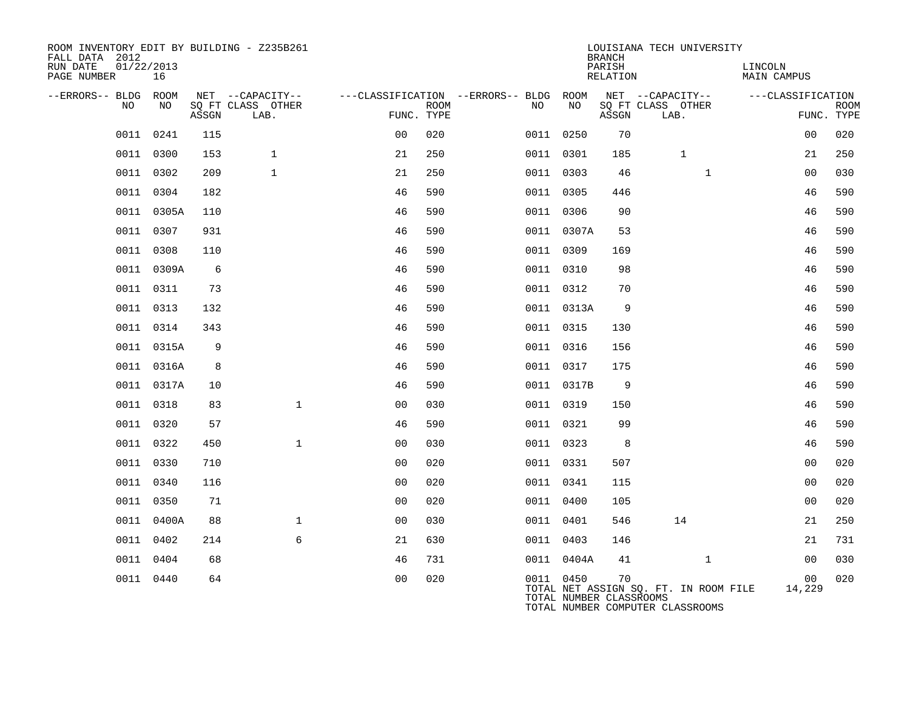| ROOM INVENTORY EDIT BY BUILDING - Z235B261<br>FALL DATA 2012<br>RUN DATE | 01/22/2013 |       |                           |                |      |                                        |                                      | <b>BRANCH</b><br>PARISH | LOUISIANA TECH UNIVERSITY                                                 | LINCOLN            |                           |
|--------------------------------------------------------------------------|------------|-------|---------------------------|----------------|------|----------------------------------------|--------------------------------------|-------------------------|---------------------------------------------------------------------------|--------------------|---------------------------|
| PAGE NUMBER                                                              | 16         |       |                           |                |      |                                        |                                      | RELATION                |                                                                           | <b>MAIN CAMPUS</b> |                           |
| --ERRORS-- BLDG ROOM                                                     |            |       | NET --CAPACITY--          |                |      | ---CLASSIFICATION --ERRORS-- BLDG ROOM | NΟ                                   |                         | NET --CAPACITY--                                                          | ---CLASSIFICATION  |                           |
| NO                                                                       | NO         | ASSGN | SQ FT CLASS OTHER<br>LAB. | FUNC. TYPE     | ROOM | NO.                                    |                                      | ASSGN                   | SQ FT CLASS OTHER<br>LAB.                                                 |                    | <b>ROOM</b><br>FUNC. TYPE |
| 0011                                                                     | 0241       | 115   |                           | 0 <sub>0</sub> | 020  |                                        | 0011 0250                            | 70                      |                                                                           | 00                 | 020                       |
|                                                                          | 0011 0300  | 153   | $\mathbf{1}$              | 21             | 250  |                                        | 0011 0301                            | 185                     | $\mathbf{1}$                                                              | 21                 | 250                       |
|                                                                          | 0011 0302  | 209   | $\mathbf{1}$              | 21             | 250  |                                        | 0011 0303                            | 46                      | $\mathbf{1}$                                                              | 0 <sub>0</sub>     | 030                       |
|                                                                          | 0011 0304  | 182   |                           | 46             | 590  |                                        | 0011 0305                            | 446                     |                                                                           | 46                 | 590                       |
|                                                                          | 0011 0305A | 110   |                           | 46             | 590  |                                        | 0011 0306                            | 90                      |                                                                           | 46                 | 590                       |
|                                                                          | 0011 0307  | 931   |                           | 46             | 590  |                                        | 0011 0307A                           | 53                      |                                                                           | 46                 | 590                       |
|                                                                          | 0011 0308  | 110   |                           | 46             | 590  |                                        | 0011 0309                            | 169                     |                                                                           | 46                 | 590                       |
| 0011                                                                     | 0309A      | 6     |                           | 46             | 590  |                                        | 0011 0310                            | 98                      |                                                                           | 46                 | 590                       |
|                                                                          | 0011 0311  | 73    |                           | 46             | 590  |                                        | 0011 0312                            | 70                      |                                                                           | 46                 | 590                       |
|                                                                          | 0011 0313  | 132   |                           | 46             | 590  |                                        | 0011 0313A                           | 9                       |                                                                           | 46                 | 590                       |
|                                                                          | 0011 0314  | 343   |                           | 46             | 590  |                                        | 0011 0315                            | 130                     |                                                                           | 46                 | 590                       |
|                                                                          | 0011 0315A | 9     |                           | 46             | 590  |                                        | 0011 0316                            | 156                     |                                                                           | 46                 | 590                       |
|                                                                          | 0011 0316A | 8     |                           | 46             | 590  |                                        | 0011 0317                            | 175                     |                                                                           | 46                 | 590                       |
|                                                                          | 0011 0317A | 10    |                           | 46             | 590  |                                        | 0011 0317B                           | 9                       |                                                                           | 46                 | 590                       |
|                                                                          | 0011 0318  | 83    | $\mathbf{1}$              | 0 <sub>0</sub> | 030  |                                        | 0011 0319                            | 150                     |                                                                           | 46                 | 590                       |
|                                                                          | 0011 0320  | 57    |                           | 46             | 590  |                                        | 0011 0321                            | 99                      |                                                                           | 46                 | 590                       |
|                                                                          | 0011 0322  | 450   | $\mathbf{1}$              | 0 <sub>0</sub> | 030  |                                        | 0011 0323                            | 8                       |                                                                           | 46                 | 590                       |
|                                                                          | 0011 0330  | 710   |                           | 0 <sub>0</sub> | 020  |                                        | 0011 0331                            | 507                     |                                                                           | 0 <sub>0</sub>     | 020                       |
|                                                                          | 0011 0340  | 116   |                           | 0 <sub>0</sub> | 020  |                                        | 0011 0341                            | 115                     |                                                                           | 0 <sub>0</sub>     | 020                       |
|                                                                          | 0011 0350  | 71    |                           | 0 <sub>0</sub> | 020  |                                        | 0011 0400                            | 105                     |                                                                           | 0 <sub>0</sub>     | 020                       |
|                                                                          | 0011 0400A | 88    | $\mathbf{1}$              | 0 <sub>0</sub> | 030  |                                        | 0011 0401                            | 546                     | 14                                                                        | 21                 | 250                       |
|                                                                          | 0011 0402  | 214   | 6                         | 21             | 630  |                                        | 0011 0403                            | 146                     |                                                                           | 21                 | 731                       |
| 0011                                                                     | 0404       | 68    |                           | 46             | 731  |                                        | 0011 0404A                           | 41                      | $\mathbf{1}$                                                              | 0 <sub>0</sub>     | 030                       |
|                                                                          | 0011 0440  | 64    |                           | 0 <sub>0</sub> | 020  |                                        | 0011 0450<br>TOTAL NUMBER CLASSROOMS | 70                      | TOTAL NET ASSIGN SQ. FT. IN ROOM FILE<br>TOTAL NUMBER COMPUTER CLASSROOMS | 00<br>14,229       | 020                       |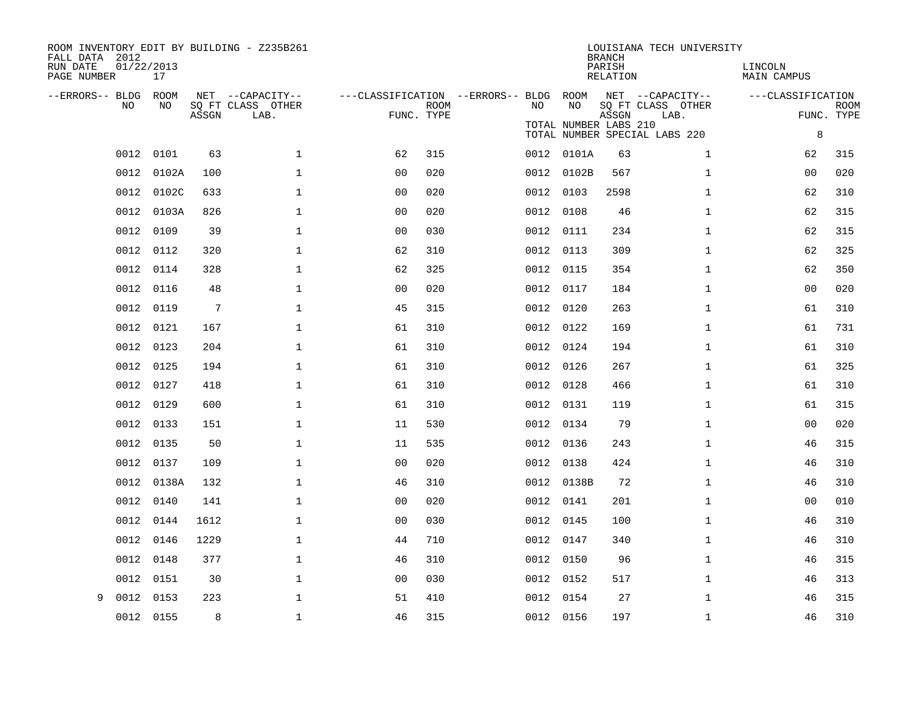| ROOM INVENTORY EDIT BY BUILDING - Z235B261<br>FALL DATA 2012<br>RUN DATE<br>PAGE NUMBER | 01/22/2013<br>17 |       |                                               |                                                      |             |           |                             | <b>BRANCH</b><br>PARISH<br>RELATION | LOUISIANA TECH UNIVERSITY                                                      | LINCOLN<br><b>MAIN CAMPUS</b> |                           |
|-----------------------------------------------------------------------------------------|------------------|-------|-----------------------------------------------|------------------------------------------------------|-------------|-----------|-----------------------------|-------------------------------------|--------------------------------------------------------------------------------|-------------------------------|---------------------------|
| --ERRORS-- BLDG<br>NO                                                                   | ROOM<br>NO       | ASSGN | NET --CAPACITY--<br>SQ FT CLASS OTHER<br>LAB. | ---CLASSIFICATION --ERRORS-- BLDG ROOM<br>FUNC. TYPE | <b>ROOM</b> | NO        | NO<br>TOTAL NUMBER LABS 210 | ASSGN                               | NET --CAPACITY--<br>SQ FT CLASS OTHER<br>LAB.<br>TOTAL NUMBER SPECIAL LABS 220 | ---CLASSIFICATION<br>$\,8\,$  | <b>ROOM</b><br>FUNC. TYPE |
| 0012                                                                                    | 0101             | 63    | $\mathbf 1$                                   | 62                                                   | 315         |           | 0012 0101A                  | 63                                  | $\mathbf{1}$                                                                   | 62                            | 315                       |
| 0012                                                                                    | 0102A            | 100   | $\mathbf 1$                                   | 0 <sub>0</sub>                                       | 020         |           | 0012 0102B                  | 567                                 | $\mathbf{1}$                                                                   | 00                            | 020                       |
| 0012                                                                                    | 0102C            | 633   | $\mathbf 1$                                   | 0 <sub>0</sub>                                       | 020         |           | 0012 0103                   | 2598                                | $\mathbf{1}$                                                                   | 62                            | 310                       |
| 0012                                                                                    | 0103A            | 826   | $\mathbf 1$                                   | 0 <sub>0</sub>                                       | 020         |           | 0012 0108                   | 46                                  | $\mathbf{1}$                                                                   | 62                            | 315                       |
| 0012                                                                                    | 0109             | 39    | $\mathbf 1$                                   | 0 <sub>0</sub>                                       | 030         |           | 0012 0111                   | 234                                 | $\mathbf{1}$                                                                   | 62                            | 315                       |
| 0012                                                                                    | 0112             | 320   | $\mathbf{1}$                                  | 62                                                   | 310         | 0012 0113 |                             | 309                                 | $\mathbf{1}$                                                                   | 62                            | 325                       |
|                                                                                         | 0012 0114        | 328   | $\mathbf{1}$                                  | 62                                                   | 325         |           | 0012 0115                   | 354                                 | $\mathbf{1}$                                                                   | 62                            | 350                       |
| 0012                                                                                    | 0116             | 48    | $\mathbf 1$                                   | 0 <sub>0</sub>                                       | 020         | 0012 0117 |                             | 184                                 | $\mathbf{1}$                                                                   | 0 <sub>0</sub>                | 020                       |
| 0012                                                                                    | 0119             | 7     | $\mathbf 1$                                   | 45                                                   | 315         |           | 0012 0120                   | 263                                 | $\mathbf{1}$                                                                   | 61                            | 310                       |
| 0012                                                                                    | 0121             | 167   | $\mathbf 1$                                   | 61                                                   | 310         |           | 0012 0122                   | 169                                 | $\mathbf{1}$                                                                   | 61                            | 731                       |
|                                                                                         | 0012 0123        | 204   | $\mathbf 1$                                   | 61                                                   | 310         |           | 0012 0124                   | 194                                 | $\mathbf{1}$                                                                   | 61                            | 310                       |
| 0012                                                                                    | 0125             | 194   | $\mathbf 1$                                   | 61                                                   | 310         |           | 0012 0126                   | 267                                 | $\mathbf{1}$                                                                   | 61                            | 325                       |
|                                                                                         | 0012 0127        | 418   | $\mathbf 1$                                   | 61                                                   | 310         |           | 0012 0128                   | 466                                 | $\mathbf{1}$                                                                   | 61                            | 310                       |
| 0012                                                                                    | 0129             | 600   | $\mathbf 1$                                   | 61                                                   | 310         |           | 0012 0131                   | 119                                 | $\mathbf{1}$                                                                   | 61                            | 315                       |
|                                                                                         | 0012 0133        | 151   | $\mathbf{1}$                                  | 11                                                   | 530         |           | 0012 0134                   | 79                                  | $\mathbf{1}$                                                                   | 0 <sub>0</sub>                | 020                       |
|                                                                                         | 0012 0135        | 50    | $\mathbf{1}$                                  | 11                                                   | 535         |           | 0012 0136                   | 243                                 | $\mathbf{1}$                                                                   | 46                            | 315                       |
|                                                                                         | 0012 0137        | 109   | $\mathbf 1$                                   | 0 <sub>0</sub>                                       | 020         |           | 0012 0138                   | 424                                 | $\mathbf{1}$                                                                   | 46                            | 310                       |
|                                                                                         | 0012 0138A       | 132   | $\mathbf 1$                                   | 46                                                   | 310         |           | 0012 0138B                  | 72                                  | $\mathbf{1}$                                                                   | 46                            | 310                       |
| 0012                                                                                    | 0140             | 141   | $\mathbf 1$                                   | 00                                                   | 020         |           | 0012 0141                   | 201                                 | $\mathbf{1}$                                                                   | 00                            | 010                       |
|                                                                                         | 0012 0144        | 1612  | $\mathbf 1$                                   | 0 <sub>0</sub>                                       | 030         |           | 0012 0145                   | 100                                 | $\mathbf{1}$                                                                   | 46                            | 310                       |
| 0012                                                                                    | 0146             | 1229  | $\mathbf 1$                                   | 44                                                   | 710         | 0012 0147 |                             | 340                                 | $\mathbf{1}$                                                                   | 46                            | 310                       |
| 0012                                                                                    | 0148             | 377   | $\mathbf 1$                                   | 46                                                   | 310         |           | 0012 0150                   | 96                                  | $\mathbf{1}$                                                                   | 46                            | 315                       |
| 0012                                                                                    | 0151             | 30    | $\mathbf 1$                                   | 0 <sub>0</sub>                                       | 030         |           | 0012 0152                   | 517                                 | $\mathbf{1}$                                                                   | 46                            | 313                       |
| 0012<br>9                                                                               | 0153             | 223   | $\mathbf 1$                                   | 51                                                   | 410         |           | 0012 0154                   | 27                                  | $\mathbf{1}$                                                                   | 46                            | 315                       |
|                                                                                         | 0012 0155        | 8     | $\mathbf{1}$                                  | 46                                                   | 315         |           | 0012 0156                   | 197                                 | $\mathbf{1}$                                                                   | 46                            | 310                       |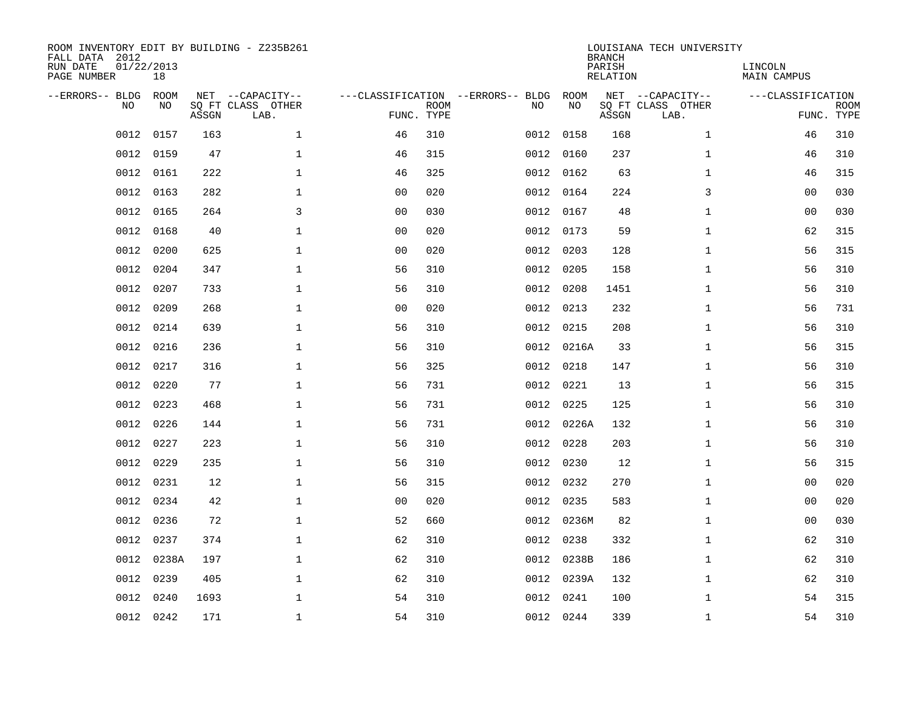| FALL DATA 2012<br>RUN DATE<br>PAGE NUMBER | 01/22/2013<br>18 |             |       | ROOM INVENTORY EDIT BY BUILDING - Z235B261    |                                                 |             |      |            | <b>BRANCH</b><br>PARISH<br>RELATION | LOUISIANA TECH UNIVERSITY                     | LINCOLN<br><b>MAIN CAMPUS</b> |                           |
|-------------------------------------------|------------------|-------------|-------|-----------------------------------------------|-------------------------------------------------|-------------|------|------------|-------------------------------------|-----------------------------------------------|-------------------------------|---------------------------|
| --ERRORS-- BLDG                           | <b>NO</b>        | ROOM<br>NO. | ASSGN | NET --CAPACITY--<br>SO FT CLASS OTHER<br>LAB. | ---CLASSIFICATION --ERRORS-- BLDG<br>FUNC. TYPE | <b>ROOM</b> | NO   | ROOM<br>NO | ASSGN                               | NET --CAPACITY--<br>SQ FT CLASS OTHER<br>LAB. | ---CLASSIFICATION             | <b>ROOM</b><br>FUNC. TYPE |
|                                           | 0012             | 0157        | 163   | $\mathbf{1}$                                  | 46                                              | 310         | 0012 | 0158       | 168                                 | $\mathbf{1}$                                  | 46                            | 310                       |
|                                           | 0012             | 0159        | 47    | $\mathbf 1$                                   | 46                                              | 315         |      | 0012 0160  | 237                                 | $\mathbf{1}$                                  | 46                            | 310                       |
|                                           | 0012             | 0161        | 222   | $\mathbf 1$                                   | 46                                              | 325         | 0012 | 0162       | 63                                  | $\mathbf{1}$                                  | 46                            | 315                       |
|                                           | 0012             | 0163        | 282   | $\mathbf 1$                                   | 0 <sub>0</sub>                                  | 020         |      | 0012 0164  | 224                                 | 3                                             | 0 <sub>0</sub>                | 030                       |
|                                           | 0012             | 0165        | 264   | 3                                             | 0 <sub>0</sub>                                  | 030         | 0012 | 0167       | 48                                  | $\mathbf{1}$                                  | 0 <sub>0</sub>                | 030                       |
|                                           | 0012             | 0168        | 40    | $\mathbf{1}$                                  | 0 <sub>0</sub>                                  | 020         |      | 0012 0173  | 59                                  | $\mathbf{1}$                                  | 62                            | 315                       |
|                                           | 0012             | 0200        | 625   | $\mathbf{1}$                                  | 0 <sub>0</sub>                                  | 020         | 0012 | 0203       | 128                                 | $\mathbf{1}$                                  | 56                            | 315                       |
|                                           | 0012             | 0204        | 347   | $\mathbf 1$                                   | 56                                              | 310         |      | 0012 0205  | 158                                 | $\mathbf{1}$                                  | 56                            | 310                       |
|                                           | 0012             | 0207        | 733   | $\mathbf{1}$                                  | 56                                              | 310         | 0012 | 0208       | 1451                                | $\mathbf{1}$                                  | 56                            | 310                       |
|                                           | 0012             | 0209        | 268   | $\mathbf 1$                                   | 0 <sub>0</sub>                                  | 020         |      | 0012 0213  | 232                                 | $\mathbf{1}$                                  | 56                            | 731                       |
|                                           | 0012             | 0214        | 639   | $\mathbf 1$                                   | 56                                              | 310         |      | 0012 0215  | 208                                 | $\mathbf{1}$                                  | 56                            | 310                       |
|                                           | 0012             | 0216        | 236   | $\mathbf 1$                                   | 56                                              | 310         |      | 0012 0216A | 33                                  | $\mathbf{1}$                                  | 56                            | 315                       |
|                                           | 0012             | 0217        | 316   | $\mathbf 1$                                   | 56                                              | 325         | 0012 | 0218       | 147                                 | $\mathbf{1}$                                  | 56                            | 310                       |
|                                           | 0012             | 0220        | 77    | $\mathbf 1$                                   | 56                                              | 731         |      | 0012 0221  | 13                                  | $\mathbf{1}$                                  | 56                            | 315                       |
|                                           | 0012             | 0223        | 468   | $\mathbf 1$                                   | 56                                              | 731         |      | 0012 0225  | 125                                 | $\mathbf{1}$                                  | 56                            | 310                       |
|                                           | 0012             | 0226        | 144   | $\mathbf 1$                                   | 56                                              | 731         |      | 0012 0226A | 132                                 | $\mathbf{1}$                                  | 56                            | 310                       |
|                                           | 0012             | 0227        | 223   | $\mathbf{1}$                                  | 56                                              | 310         |      | 0012 0228  | 203                                 | $\mathbf{1}$                                  | 56                            | 310                       |
|                                           | 0012             | 0229        | 235   | $\mathbf{1}$                                  | 56                                              | 310         |      | 0012 0230  | 12                                  | $\mathbf{1}$                                  | 56                            | 315                       |
|                                           | 0012 0231        |             | 12    | $\mathbf{1}$                                  | 56                                              | 315         |      | 0012 0232  | 270                                 | $\mathbf{1}$                                  | 0 <sub>0</sub>                | 020                       |
|                                           | 0012             | 0234        | 42    | $\mathbf{1}$                                  | 0 <sub>0</sub>                                  | 020         |      | 0012 0235  | 583                                 | $\mathbf{1}$                                  | 0 <sub>0</sub>                | 020                       |
|                                           | 0012             | 0236        | 72    | $\mathbf{1}$                                  | 52                                              | 660         |      | 0012 0236M | 82                                  | $\mathbf{1}$                                  | 0 <sub>0</sub>                | 030                       |
|                                           | 0012             | 0237        | 374   | $\mathbf{1}$                                  | 62                                              | 310         |      | 0012 0238  | 332                                 | $\mathbf{1}$                                  | 62                            | 310                       |
|                                           | 0012             | 0238A       | 197   | $\mathbf{1}$                                  | 62                                              | 310         |      | 0012 0238B | 186                                 | $\mathbf{1}$                                  | 62                            | 310                       |
|                                           | 0012             | 0239        | 405   | $\mathbf{1}$                                  | 62                                              | 310         |      | 0012 0239A | 132                                 | $\mathbf{1}$                                  | 62                            | 310                       |
|                                           | 0012             | 0240        | 1693  | 1                                             | 54                                              | 310         |      | 0012 0241  | 100                                 | $\mathbf{1}$                                  | 54                            | 315                       |
|                                           | 0012 0242        |             | 171   | $\mathbf 1$                                   | 54                                              | 310         |      | 0012 0244  | 339                                 | $\mathbf{1}$                                  | 54                            | 310                       |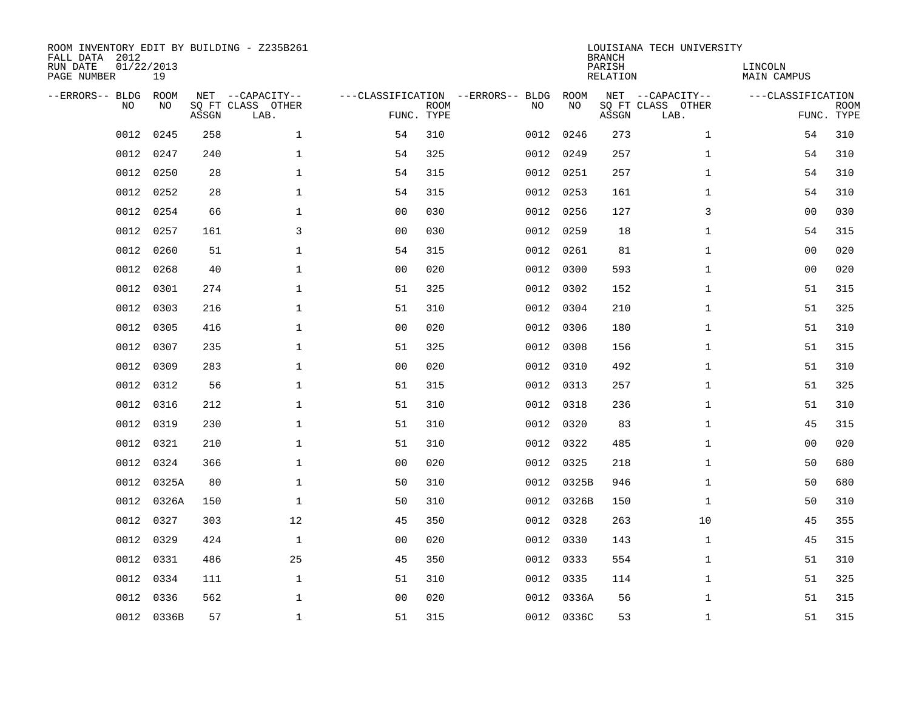| ROOM INVENTORY EDIT BY BUILDING - Z235B261<br>FALL DATA 2012<br>RUN DATE<br>PAGE NUMBER | 01/22/2013<br>19 |       |                                               |                                   |                           |      |            | <b>BRANCH</b><br>PARISH<br>RELATION | LOUISIANA TECH UNIVERSITY                     | LINCOLN<br>MAIN CAMPUS |                           |
|-----------------------------------------------------------------------------------------|------------------|-------|-----------------------------------------------|-----------------------------------|---------------------------|------|------------|-------------------------------------|-----------------------------------------------|------------------------|---------------------------|
| --ERRORS-- BLDG<br>NO                                                                   | ROOM<br>NO       | ASSGN | NET --CAPACITY--<br>SO FT CLASS OTHER<br>LAB. | ---CLASSIFICATION --ERRORS-- BLDG | <b>ROOM</b><br>FUNC. TYPE | NO   | ROOM<br>NO | ASSGN                               | NET --CAPACITY--<br>SQ FT CLASS OTHER<br>LAB. | ---CLASSIFICATION      | <b>ROOM</b><br>FUNC. TYPE |
| 0012                                                                                    | 0245             | 258   | $\mathbf{1}$                                  | 54                                | 310                       | 0012 | 0246       | 273                                 | $\mathbf{1}$                                  | 54                     | 310                       |
| 0012                                                                                    | 0247             | 240   | $\mathbf 1$                                   | 54                                | 325                       |      | 0012 0249  | 257                                 | $\mathbf{1}$                                  | 54                     | 310                       |
| 0012                                                                                    | 0250             | 28    | $\mathbf 1$                                   | 54                                | 315                       |      | 0012 0251  | 257                                 | $\mathbf{1}$                                  | 54                     | 310                       |
| 0012                                                                                    | 0252             | 28    | $\mathbf 1$                                   | 54                                | 315                       |      | 0012 0253  | 161                                 | $\mathbf{1}$                                  | 54                     | 310                       |
| 0012                                                                                    | 0254             | 66    | $\mathbf 1$                                   | 00                                | 030                       | 0012 | 0256       | 127                                 | 3                                             | 0 <sub>0</sub>         | 030                       |
| 0012                                                                                    | 0257             | 161   | 3                                             | 0 <sub>0</sub>                    | 030                       |      | 0012 0259  | 18                                  | $\mathbf{1}$                                  | 54                     | 315                       |
| 0012                                                                                    | 0260             | 51    | $\mathbf 1$                                   | 54                                | 315                       | 0012 | 0261       | 81                                  | $\mathbf{1}$                                  | 0 <sub>0</sub>         | 020                       |
| 0012                                                                                    | 0268             | 40    | $\mathbf{1}$                                  | 0 <sub>0</sub>                    | 020                       |      | 0012 0300  | 593                                 | $\mathbf{1}$                                  | 0 <sub>0</sub>         | 020                       |
| 0012                                                                                    | 0301             | 274   | $\mathbf{1}$                                  | 51                                | 325                       | 0012 | 0302       | 152                                 | $\mathbf{1}$                                  | 51                     | 315                       |
| 0012                                                                                    | 0303             | 216   | $\mathbf 1$                                   | 51                                | 310                       |      | 0012 0304  | 210                                 | $\mathbf{1}$                                  | 51                     | 325                       |
| 0012                                                                                    | 0305             | 416   | $\mathbf{1}$                                  | 0 <sub>0</sub>                    | 020                       | 0012 | 0306       | 180                                 | $\mathbf{1}$                                  | 51                     | 310                       |
| 0012                                                                                    | 0307             | 235   | $\mathbf{1}$                                  | 51                                | 325                       |      | 0012 0308  | 156                                 | $\mathbf{1}$                                  | 51                     | 315                       |
| 0012                                                                                    | 0309             | 283   | $\mathbf{1}$                                  | 0 <sub>0</sub>                    | 020                       | 0012 | 0310       | 492                                 | $\mathbf{1}$                                  | 51                     | 310                       |
| 0012                                                                                    | 0312             | 56    | $\mathbf 1$                                   | 51                                | 315                       |      | 0012 0313  | 257                                 | $\mathbf{1}$                                  | 51                     | 325                       |
| 0012                                                                                    | 0316             | 212   | $\mathbf 1$                                   | 51                                | 310                       | 0012 | 0318       | 236                                 | $\mathbf{1}$                                  | 51                     | 310                       |
| 0012                                                                                    | 0319             | 230   | $\mathbf{1}$                                  | 51                                | 310                       |      | 0012 0320  | 83                                  | $\mathbf{1}$                                  | 45                     | 315                       |
| 0012                                                                                    | 0321             | 210   | $\mathbf 1$                                   | 51                                | 310                       | 0012 | 0322       | 485                                 | $\mathbf{1}$                                  | 00                     | 020                       |
| 0012                                                                                    | 0324             | 366   | $\mathbf 1$                                   | 00                                | 020                       |      | 0012 0325  | 218                                 | $\mathbf{1}$                                  | 50                     | 680                       |
| 0012                                                                                    | 0325A            | 80    | $\mathbf{1}$                                  | 50                                | 310                       |      | 0012 0325B | 946                                 | $\mathbf{1}$                                  | 50                     | 680                       |
| 0012                                                                                    | 0326A            | 150   | $\mathbf{1}$                                  | 50                                | 310                       |      | 0012 0326B | 150                                 | $\mathbf{1}$                                  | 50                     | 310                       |
| 0012                                                                                    | 0327             | 303   | 12                                            | 45                                | 350                       |      | 0012 0328  | 263                                 | 10                                            | 45                     | 355                       |
| 0012                                                                                    | 0329             | 424   | $\mathbf 1$                                   | 0 <sub>0</sub>                    | 020                       |      | 0012 0330  | 143                                 | $\mathbf{1}$                                  | 45                     | 315                       |
| 0012                                                                                    | 0331             | 486   | 25                                            | 45                                | 350                       |      | 0012 0333  | 554                                 | $\mathbf{1}$                                  | 51                     | 310                       |
| 0012                                                                                    | 0334             | 111   | $\mathbf 1$                                   | 51                                | 310                       |      | 0012 0335  | 114                                 | $\mathbf{1}$                                  | 51                     | 325                       |
| 0012                                                                                    | 0336             | 562   | 1                                             | 0 <sub>0</sub>                    | 020                       |      | 0012 0336A | 56                                  | $\mathbf{1}$                                  | 51                     | 315                       |
|                                                                                         | 0012 0336B       | 57    | $\mathbf{1}$                                  | 51                                | 315                       |      | 0012 0336C | 53                                  | $\mathbf{1}$                                  | 51                     | 315                       |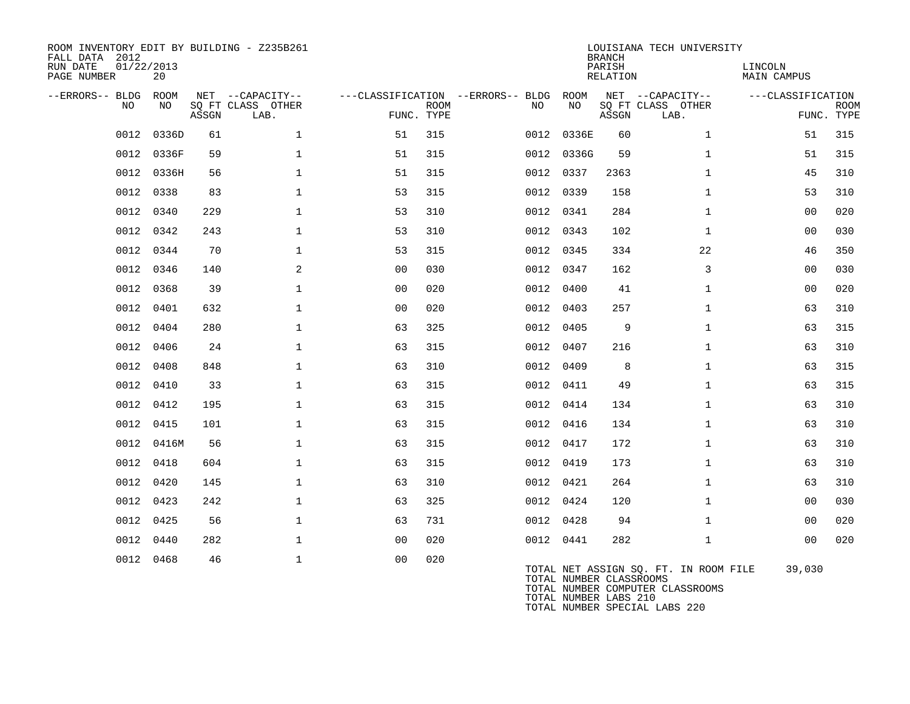| ROOM INVENTORY EDIT BY BUILDING - Z235B261<br>FALL DATA 2012<br>RUN DATE<br>PAGE NUMBER | 01/22/2013<br>20 |       |                                               |                |             |                                                                |            | <b>BRANCH</b><br>PARISH<br>RELATION | LOUISIANA TECH UNIVERSITY             | LINCOLN<br>MAIN CAMPUS |                           |
|-----------------------------------------------------------------------------------------|------------------|-------|-----------------------------------------------|----------------|-------------|----------------------------------------------------------------|------------|-------------------------------------|---------------------------------------|------------------------|---------------------------|
| --ERRORS-- BLDG<br>NO.                                                                  | ROOM<br>NO.      | ASSGN | NET --CAPACITY--<br>SQ FT CLASS OTHER<br>LAB. | FUNC. TYPE     | <b>ROOM</b> | ---CLASSIFICATION --ERRORS-- BLDG ROOM NET --CAPACITY--<br>NO. | NO         | ASSGN                               | SQ FT CLASS OTHER<br>LAB.             | ---CLASSIFICATION      | <b>ROOM</b><br>FUNC. TYPE |
| 0012                                                                                    | 0336D            | 61    | $\mathbf{1}$                                  | 51             | 315         |                                                                | 0012 0336E | 60                                  | $\mathbf{1}$                          | 51                     | 315                       |
|                                                                                         | 0012 0336F       | 59    | $\mathbf 1$                                   | 51             | 315         |                                                                | 0012 0336G | 59                                  | $\mathbf{1}$                          | 51                     | 315                       |
| 0012                                                                                    | 0336H            | 56    | $\mathbf 1$                                   | 51             | 315         |                                                                | 0012 0337  | 2363                                | $\mathbf{1}$                          | 45                     | 310                       |
| 0012                                                                                    | 0338             | 83    | $\mathbf{1}$                                  | 53             | 315         | 0012 0339                                                      |            | 158                                 | $\mathbf{1}$                          | 53                     | 310                       |
|                                                                                         | 0012 0340        | 229   | $\mathbf{1}$                                  | 53             | 310         | 0012 0341                                                      |            | 284                                 | $\mathbf{1}$                          | 0 <sub>0</sub>         | 020                       |
| 0012                                                                                    | 0342             | 243   | $\mathbf{1}$                                  | 53             | 310         |                                                                | 0012 0343  | 102                                 | $\mathbf{1}$                          | 00                     | 030                       |
| 0012                                                                                    | 0344             | 70    | $\mathbf{1}$                                  | 53             | 315         | 0012 0345                                                      |            | 334                                 | 22                                    | 46                     | 350                       |
| 0012                                                                                    | 0346             | 140   | 2                                             | 0 <sub>0</sub> | 030         | 0012 0347                                                      |            | 162                                 | 3                                     | 0 <sub>0</sub>         | 030                       |
| 0012                                                                                    | 0368             | 39    | $\mathbf{1}$                                  | 0 <sub>0</sub> | 020         |                                                                | 0012 0400  | 41                                  | $\mathbf{1}$                          | 00                     | 020                       |
| 0012                                                                                    | 0401             | 632   | $\mathbf{1}$                                  | 00             | 020         | 0012 0403                                                      |            | 257                                 | $\mathbf{1}$                          | 63                     | 310                       |
| 0012                                                                                    | 0404             | 280   | $\mathbf{1}$                                  | 63             | 325         | 0012 0405                                                      |            | 9                                   | $\mathbf{1}$                          | 63                     | 315                       |
| 0012                                                                                    | 0406             | 24    | $\mathbf{1}$                                  | 63             | 315         |                                                                | 0012 0407  | 216                                 | $\mathbf{1}$                          | 63                     | 310                       |
| 0012                                                                                    | 0408             | 848   | $\mathbf 1$                                   | 63             | 310         | 0012 0409                                                      |            | 8                                   | $\mathbf{1}$                          | 63                     | 315                       |
| 0012                                                                                    | 0410             | 33    | $\mathbf 1$                                   | 63             | 315         | 0012 0411                                                      |            | 49                                  | $\mathbf{1}$                          | 63                     | 315                       |
| 0012                                                                                    | 0412             | 195   | $\mathbf 1$                                   | 63             | 315         |                                                                | 0012 0414  | 134                                 | $\mathbf{1}$                          | 63                     | 310                       |
|                                                                                         | 0012 0415        | 101   | $\mathbf{1}$                                  | 63             | 315         | 0012 0416                                                      |            | 134                                 | $\mathbf{1}$                          | 63                     | 310                       |
| 0012                                                                                    | 0416M            | 56    | $\mathbf 1$                                   | 63             | 315         | 0012 0417                                                      |            | 172                                 | $\mathbf{1}$                          | 63                     | 310                       |
| 0012                                                                                    | 0418             | 604   | $\mathbf{1}$                                  | 63             | 315         | 0012 0419                                                      |            | 173                                 | $\mathbf{1}$                          | 63                     | 310                       |
| 0012                                                                                    | 0420             | 145   | $\mathbf{1}$                                  | 63             | 310         | 0012 0421                                                      |            | 264                                 | $\mathbf{1}$                          | 63                     | 310                       |
| 0012                                                                                    | 0423             | 242   | $\mathbf 1$                                   | 63             | 325         | 0012 0424                                                      |            | 120                                 | $\mathbf{1}$                          | 00                     | 030                       |
| 0012                                                                                    | 0425             | 56    | $\mathbf 1$                                   | 63             | 731         |                                                                | 0012 0428  | 94                                  | $\mathbf{1}$                          | 00                     | 020                       |
| 0012                                                                                    | 0440             | 282   | $\mathbf 1$                                   | 0 <sub>0</sub> | 020         | 0012 0441                                                      |            | 282                                 | $\mathbf{1}$                          | 0 <sub>0</sub>         | 020                       |
| 0012                                                                                    | 0468             | 46    | $\mathbf 1$                                   | 0 <sub>0</sub> | 020         |                                                                |            | TOTAL NUMBER CLASSROOMS             | TOTAL NET ASSIGN SQ. FT. IN ROOM FILE | 39,030                 |                           |

TOTAL NUMBER COMPUTER CLASSROOMS TOTAL NUMBER LABS 210 TOTAL NUMBER SPECIAL LABS 220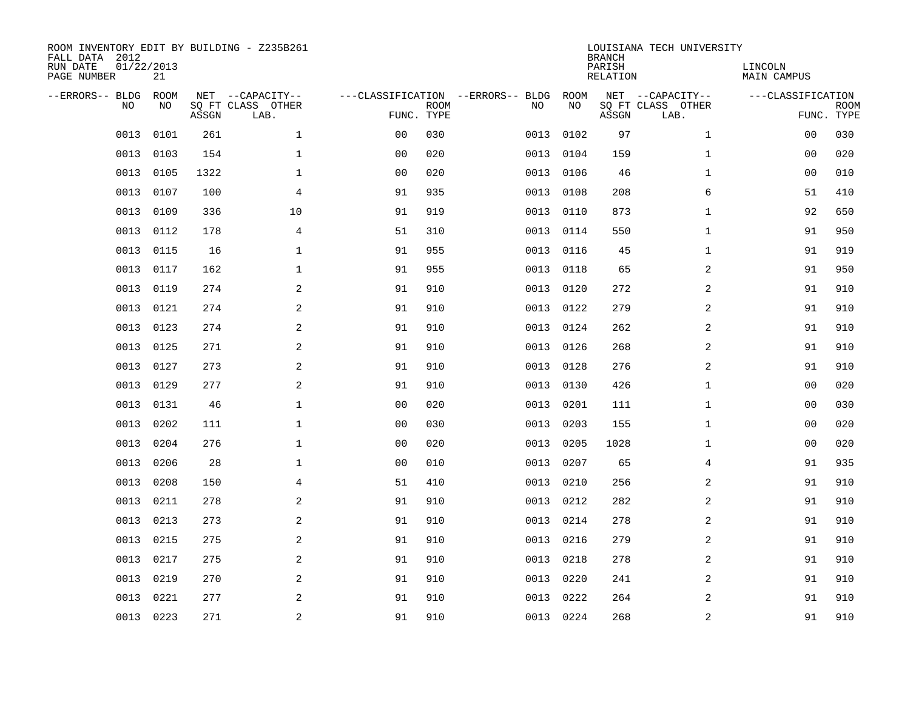| FALL DATA 2012<br>RUN DATE<br>PAGE NUMBER | 01/22/2013 | 21          |       | ROOM INVENTORY EDIT BY BUILDING - Z235B261    |                                                 |             |      |            | <b>BRANCH</b><br>PARISH<br>RELATION | LOUISIANA TECH UNIVERSITY                     | LINCOLN<br><b>MAIN CAMPUS</b>   |             |
|-------------------------------------------|------------|-------------|-------|-----------------------------------------------|-------------------------------------------------|-------------|------|------------|-------------------------------------|-----------------------------------------------|---------------------------------|-------------|
| --ERRORS-- BLDG                           | <b>NO</b>  | ROOM<br>NO. | ASSGN | NET --CAPACITY--<br>SO FT CLASS OTHER<br>LAB. | ---CLASSIFICATION --ERRORS-- BLDG<br>FUNC. TYPE | <b>ROOM</b> | NO   | ROOM<br>NO | ASSGN                               | NET --CAPACITY--<br>SQ FT CLASS OTHER<br>LAB. | ---CLASSIFICATION<br>FUNC. TYPE | <b>ROOM</b> |
|                                           | 0013       | 0101        | 261   | $\mathbf{1}$                                  | 0 <sub>0</sub>                                  | 030         | 0013 | 0102       | 97                                  | $\mathbf{1}$                                  | 00                              | 030         |
|                                           | 0013       | 0103        | 154   | $\mathbf 1$                                   | 0 <sub>0</sub>                                  | 020         | 0013 | 0104       | 159                                 | $\mathbf{1}$                                  | 0 <sub>0</sub>                  | 020         |
|                                           | 0013       | 0105        | 1322  | $\mathbf 1$                                   | 00                                              | 020         | 0013 | 0106       | 46                                  | $\mathbf{1}$                                  | 00                              | 010         |
|                                           | 0013       | 0107        | 100   | $\overline{4}$                                | 91                                              | 935         | 0013 | 0108       | 208                                 | 6                                             | 51                              | 410         |
|                                           | 0013       | 0109        | 336   | 10                                            | 91                                              | 919         | 0013 | 0110       | 873                                 | $\mathbf{1}$                                  | 92                              | 650         |
|                                           | 0013       | 0112        | 178   | 4                                             | 51                                              | 310         | 0013 | 0114       | 550                                 | $\mathbf{1}$                                  | 91                              | 950         |
|                                           | 0013       | 0115        | 16    | $\mathbf{1}$                                  | 91                                              | 955         | 0013 | 0116       | 45                                  | $\mathbf{1}$                                  | 91                              | 919         |
|                                           | 0013       | 0117        | 162   | $\mathbf{1}$                                  | 91                                              | 955         | 0013 | 0118       | 65                                  | 2                                             | 91                              | 950         |
|                                           | 0013       | 0119        | 274   | 2                                             | 91                                              | 910         | 0013 | 0120       | 272                                 | 2                                             | 91                              | 910         |
|                                           | 0013       | 0121        | 274   | 2                                             | 91                                              | 910         | 0013 | 0122       | 279                                 | 2                                             | 91                              | 910         |
|                                           | 0013       | 0123        | 274   | 2                                             | 91                                              | 910         | 0013 | 0124       | 262                                 | 2                                             | 91                              | 910         |
|                                           | 0013       | 0125        | 271   | 2                                             | 91                                              | 910         | 0013 | 0126       | 268                                 | 2                                             | 91                              | 910         |
|                                           | 0013       | 0127        | 273   | 2                                             | 91                                              | 910         | 0013 | 0128       | 276                                 | 2                                             | 91                              | 910         |
|                                           | 0013       | 0129        | 277   | 2                                             | 91                                              | 910         | 0013 | 0130       | 426                                 | $\mathbf{1}$                                  | 00                              | 020         |
|                                           | 0013       | 0131        | 46    | $\mathbf 1$                                   | 0 <sub>0</sub>                                  | 020         | 0013 | 0201       | 111                                 | $\mathbf{1}$                                  | 00                              | 030         |
|                                           | 0013       | 0202        | 111   | $\mathbf 1$                                   | 0 <sub>0</sub>                                  | 030         | 0013 | 0203       | 155                                 | $\mathbf{1}$                                  | 00                              | 020         |
|                                           | 0013       | 0204        | 276   | $\mathbf{1}$                                  | 0 <sub>0</sub>                                  | 020         | 0013 | 0205       | 1028                                | $\mathbf{1}$                                  | 00                              | 020         |
|                                           | 0013       | 0206        | 28    | $\mathbf{1}$                                  | 0 <sub>0</sub>                                  | 010         | 0013 | 0207       | 65                                  | 4                                             | 91                              | 935         |
|                                           | 0013       | 0208        | 150   | $\overline{4}$                                | 51                                              | 410         |      | 0013 0210  | 256                                 | 2                                             | 91                              | 910         |
|                                           | 0013       | 0211        | 278   | 2                                             | 91                                              | 910         | 0013 | 0212       | 282                                 | 2                                             | 91                              | 910         |
|                                           | 0013       | 0213        | 273   | 2                                             | 91                                              | 910         |      | 0013 0214  | 278                                 | 2                                             | 91                              | 910         |
|                                           | 0013       | 0215        | 275   | 2                                             | 91                                              | 910         | 0013 | 0216       | 279                                 | 2                                             | 91                              | 910         |
|                                           | 0013       | 0217        | 275   | 2                                             | 91                                              | 910         | 0013 | 0218       | 278                                 | 2                                             | 91                              | 910         |
|                                           | 0013       | 0219        | 270   | 2                                             | 91                                              | 910         | 0013 | 0220       | 241                                 | 2                                             | 91                              | 910         |
|                                           | 0013       | 0221        | 277   | 2                                             | 91                                              | 910         | 0013 | 0222       | 264                                 | 2                                             | 91                              | 910         |
|                                           | 0013 0223  |             | 271   | 2                                             | 91                                              | 910         |      | 0013 0224  | 268                                 | 2                                             | 91                              | 910         |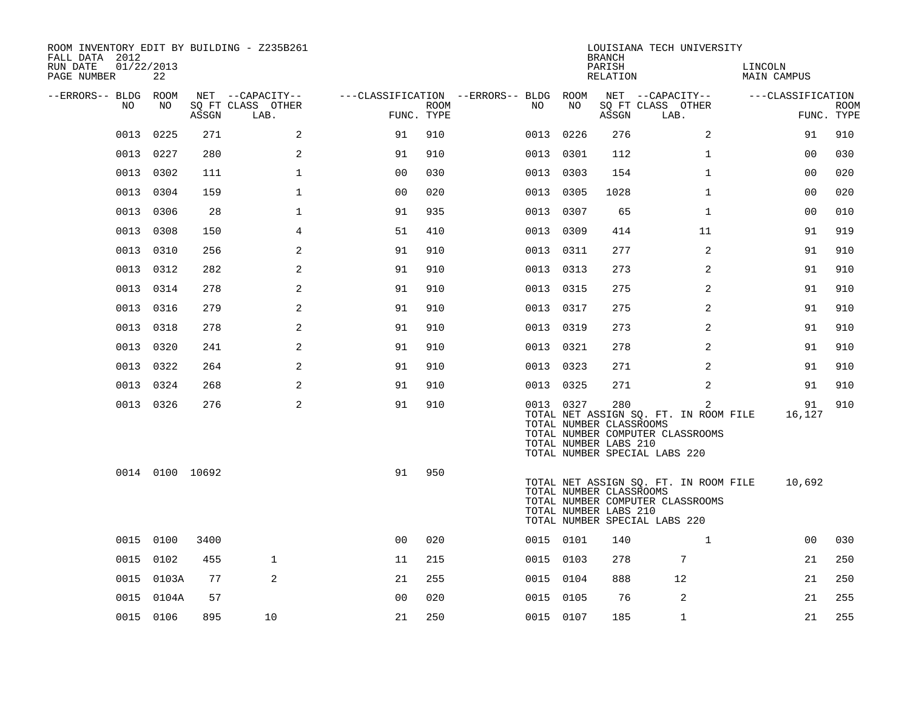| ROOM INVENTORY EDIT BY BUILDING - Z235B261<br>FALL DATA 2012<br>RUN DATE<br>PAGE NUMBER | 01/22/2013<br>22 |       |                           |                |      |                                        |           | <b>BRANCH</b><br>PARISH<br>RELATION                     | LOUISIANA TECH UNIVERSITY                                                                                       | LINCOLN<br>MAIN CAMPUS |                           |
|-----------------------------------------------------------------------------------------|------------------|-------|---------------------------|----------------|------|----------------------------------------|-----------|---------------------------------------------------------|-----------------------------------------------------------------------------------------------------------------|------------------------|---------------------------|
| --ERRORS-- BLDG ROOM                                                                    |                  |       | NET --CAPACITY--          |                |      | ---CLASSIFICATION --ERRORS-- BLDG ROOM |           |                                                         | NET --CAPACITY--                                                                                                | ---CLASSIFICATION      |                           |
| NO.                                                                                     | NO.              | ASSGN | SO FT CLASS OTHER<br>LAB. | FUNC. TYPE     | ROOM | NO.                                    | NO        | ASSGN                                                   | SQ FT CLASS OTHER<br>LAB.                                                                                       |                        | <b>ROOM</b><br>FUNC. TYPE |
| 0013                                                                                    | 0225             | 271   | 2                         | 91             | 910  | 0013                                   | 0226      | 276                                                     | $\overline{2}$                                                                                                  | 91                     | 910                       |
| 0013                                                                                    | 0227             | 280   | 2                         | 91             | 910  | 0013                                   | 0301      | 112                                                     | $\mathbf{1}$                                                                                                    | 00                     | 030                       |
| 0013                                                                                    | 0302             | 111   | $\mathbf 1$               | 0 <sub>0</sub> | 030  | 0013                                   | 0303      | 154                                                     | $\mathbf{1}$                                                                                                    | 00                     | 020                       |
| 0013                                                                                    | 0304             | 159   | $\mathbf 1$               | 0 <sub>0</sub> | 020  |                                        | 0013 0305 | 1028                                                    | $\mathbf{1}$                                                                                                    | 0 <sub>0</sub>         | 020                       |
| 0013                                                                                    | 0306             | 28    | $\mathbf{1}$              | 91             | 935  | 0013                                   | 0307      | 65                                                      | $\mathbf{1}$                                                                                                    | 0 <sub>0</sub>         | 010                       |
| 0013                                                                                    | 0308             | 150   | $\overline{4}$            | 51             | 410  |                                        | 0013 0309 | 414                                                     | 11                                                                                                              | 91                     | 919                       |
|                                                                                         | 0013 0310        | 256   | 2                         | 91             | 910  |                                        | 0013 0311 | 277                                                     | 2                                                                                                               | 91                     | 910                       |
|                                                                                         | 0013 0312        | 282   | 2                         | 91             | 910  |                                        | 0013 0313 | 273                                                     | 2                                                                                                               | 91                     | 910                       |
| 0013                                                                                    | 0314             | 278   | 2                         | 91             | 910  | 0013                                   | 0315      | 275                                                     | 2                                                                                                               | 91                     | 910                       |
| 0013                                                                                    | 0316             | 279   | 2                         | 91             | 910  |                                        | 0013 0317 | 275                                                     | 2                                                                                                               | 91                     | 910                       |
| 0013                                                                                    | 0318             | 278   | 2                         | 91             | 910  | 0013                                   | 0319      | 273                                                     | 2                                                                                                               | 91                     | 910                       |
|                                                                                         | 0013 0320        | 241   | 2                         | 91             | 910  |                                        | 0013 0321 | 278                                                     | 2                                                                                                               | 91                     | 910                       |
| 0013                                                                                    | 0322             | 264   | 2                         | 91             | 910  |                                        | 0013 0323 | 271                                                     | 2                                                                                                               | 91                     | 910                       |
| 0013                                                                                    | 0324             | 268   | 2                         | 91             | 910  |                                        | 0013 0325 | 271                                                     | 2                                                                                                               | 91                     | 910                       |
|                                                                                         | 0013 0326        | 276   | 2                         | 91             | 910  |                                        | 0013 0327 | 280<br>TOTAL NUMBER CLASSROOMS<br>TOTAL NUMBER LABS 210 | 2<br>TOTAL NET ASSIGN SQ. FT. IN ROOM FILE<br>TOTAL NUMBER COMPUTER CLASSROOMS<br>TOTAL NUMBER SPECIAL LABS 220 | 91<br>16,127           | 910                       |
|                                                                                         | 0014 0100 10692  |       |                           | 91             | 950  |                                        |           | TOTAL NUMBER CLASSROOMS<br>TOTAL NUMBER LABS 210        | TOTAL NET ASSIGN SQ. FT. IN ROOM FILE<br>TOTAL NUMBER COMPUTER CLASSROOMS<br>TOTAL NUMBER SPECIAL LABS 220      | 10,692                 |                           |
|                                                                                         | 0015 0100        | 3400  |                           | 0 <sub>0</sub> | 020  |                                        | 0015 0101 | 140                                                     | $\mathbf{1}$                                                                                                    | 00                     | 030                       |
| 0015                                                                                    | 0102             | 455   | $\mathbf{1}$              | 11             | 215  |                                        | 0015 0103 | 278                                                     | $7\phantom{.0}$                                                                                                 | 21                     | 250                       |
| 0015                                                                                    | 0103A            | 77    | 2                         | 21             | 255  |                                        | 0015 0104 | 888                                                     | 12                                                                                                              | 21                     | 250                       |
|                                                                                         | 0015 0104A       | 57    |                           | 0 <sub>0</sub> | 020  |                                        | 0015 0105 | 76                                                      | 2                                                                                                               | 21                     | 255                       |
|                                                                                         | 0015 0106        | 895   | 10                        | 21             | 250  |                                        | 0015 0107 | 185                                                     | $\mathbf{1}$                                                                                                    | 21                     | 255                       |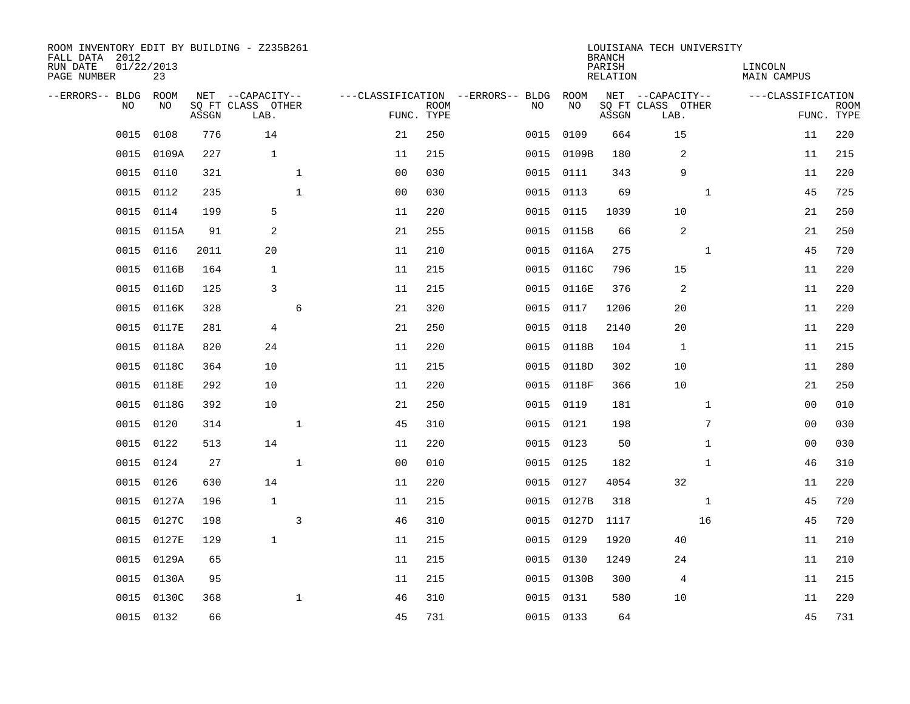| ROOM INVENTORY EDIT BY BUILDING - Z235B261<br>FALL DATA 2012<br>RUN DATE<br>PAGE NUMBER | 01/22/2013<br>23 |       |                                               |                |                           |                                         |            | <b>BRANCH</b><br>PARISH<br><b>RELATION</b> | LOUISIANA TECH UNIVERSITY                     | LINCOLN<br><b>MAIN CAMPUS</b> |                           |
|-----------------------------------------------------------------------------------------|------------------|-------|-----------------------------------------------|----------------|---------------------------|-----------------------------------------|------------|--------------------------------------------|-----------------------------------------------|-------------------------------|---------------------------|
| --ERRORS-- BLDG<br>NO                                                                   | ROOM<br>NO.      | ASSGN | NET --CAPACITY--<br>SQ FT CLASS OTHER<br>LAB. |                | <b>ROOM</b><br>FUNC. TYPE | ---CLASSIFICATION --ERRORS-- BLDG<br>NO | ROOM<br>NO | ASSGN                                      | NET --CAPACITY--<br>SQ FT CLASS OTHER<br>LAB. | ---CLASSIFICATION             | <b>ROOM</b><br>FUNC. TYPE |
| 0015                                                                                    | 0108             | 776   | 14                                            | 21             | 250                       | 0015                                    | 0109       | 664                                        | 15                                            | 11                            | 220                       |
| 0015                                                                                    | 0109A            | 227   | $\mathbf{1}$                                  | 11             | 215                       | 0015                                    | 0109B      | 180                                        | 2                                             | 11                            | 215                       |
| 0015                                                                                    | 0110             | 321   | $\mathbf{1}$                                  | 0 <sub>0</sub> | 030                       | 0015                                    | 0111       | 343                                        | 9                                             | 11                            | 220                       |
| 0015                                                                                    | 0112             | 235   | $\mathbf{1}$                                  | 0 <sub>0</sub> | 030                       | 0015                                    | 0113       | 69                                         | $\mathbf{1}$                                  | 45                            | 725                       |
| 0015                                                                                    | 0114             | 199   | 5                                             | 11             | 220                       | 0015                                    | 0115       | 1039                                       | 10                                            | 21                            | 250                       |
| 0015                                                                                    | 0115A            | 91    | $\overline{c}$                                | 21             | 255                       |                                         | 0015 0115B | 66                                         | 2                                             | 21                            | 250                       |
| 0015                                                                                    | 0116             | 2011  | 20                                            | 11             | 210                       | 0015                                    | 0116A      | 275                                        | $\mathbf{1}$                                  | 45                            | 720                       |
| 0015                                                                                    | 0116B            | 164   | 1                                             | 11             | 215                       | 0015                                    | 0116C      | 796                                        | 15                                            | 11                            | 220                       |
| 0015                                                                                    | 0116D            | 125   | 3                                             | 11             | 215                       | 0015                                    | 0116E      | 376                                        | 2                                             | 11                            | 220                       |
| 0015                                                                                    | 0116K            | 328   | 6                                             | 21             | 320                       | 0015                                    | 0117       | 1206                                       | 20                                            | 11                            | 220                       |
| 0015                                                                                    | 0117E            | 281   | $\overline{4}$                                | 21             | 250                       | 0015                                    | 0118       | 2140                                       | 20                                            | 11                            | 220                       |
| 0015                                                                                    | 0118A            | 820   | 24                                            | 11             | 220                       | 0015                                    | 0118B      | 104                                        | 1                                             | 11                            | 215                       |
| 0015                                                                                    | 0118C            | 364   | 10                                            | 11             | 215                       | 0015                                    | 0118D      | 302                                        | 10                                            | 11                            | 280                       |
| 0015                                                                                    | 0118E            | 292   | 10                                            | 11             | 220                       | 0015                                    | 0118F      | 366                                        | 10                                            | 21                            | 250                       |
| 0015                                                                                    | 0118G            | 392   | 10                                            | 21             | 250                       | 0015                                    | 0119       | 181                                        | $\mathbf{1}$                                  | 00                            | 010                       |
| 0015                                                                                    | 0120             | 314   | $\mathbf{1}$                                  | 45             | 310                       |                                         | 0015 0121  | 198                                        | 7                                             | 00                            | 030                       |
| 0015                                                                                    | 0122             | 513   | 14                                            | 11             | 220                       | 0015                                    | 0123       | 50                                         | $\mathbf{1}$                                  | 00                            | 030                       |
| 0015                                                                                    | 0124             | 27    | $\mathbf{1}$                                  | 0 <sub>0</sub> | 010                       |                                         | 0015 0125  | 182                                        | $\mathbf{1}$                                  | 46                            | 310                       |
| 0015                                                                                    | 0126             | 630   | 14                                            | 11             | 220                       | 0015                                    | 0127       | 4054                                       | 32                                            | 11                            | 220                       |
| 0015                                                                                    | 0127A            | 196   | $\mathbf{1}$                                  | 11             | 215                       | 0015                                    | 0127B      | 318                                        | $\mathbf{1}$                                  | 45                            | 720                       |
| 0015                                                                                    | 0127C            | 198   | 3                                             | 46             | 310                       | 0015                                    | 0127D      | 1117                                       | 16                                            | 45                            | 720                       |
| 0015                                                                                    | 0127E            | 129   | $\mathbf{1}$                                  | 11             | 215                       | 0015                                    | 0129       | 1920                                       | 40                                            | 11                            | 210                       |
| 0015                                                                                    | 0129A            | 65    |                                               | 11             | 215                       |                                         | 0015 0130  | 1249                                       | 24                                            | 11                            | 210                       |
| 0015                                                                                    | 0130A            | 95    |                                               | 11             | 215                       | 0015                                    | 0130B      | 300                                        | 4                                             | 11                            | 215                       |
| 0015                                                                                    | 0130C            | 368   | $\mathbf{1}$                                  | 46             | 310                       | 0015                                    | 0131       | 580                                        | 10                                            | 11                            | 220                       |
|                                                                                         | 0015 0132        | 66    |                                               | 45             | 731                       |                                         | 0015 0133  | 64                                         |                                               | 45                            | 731                       |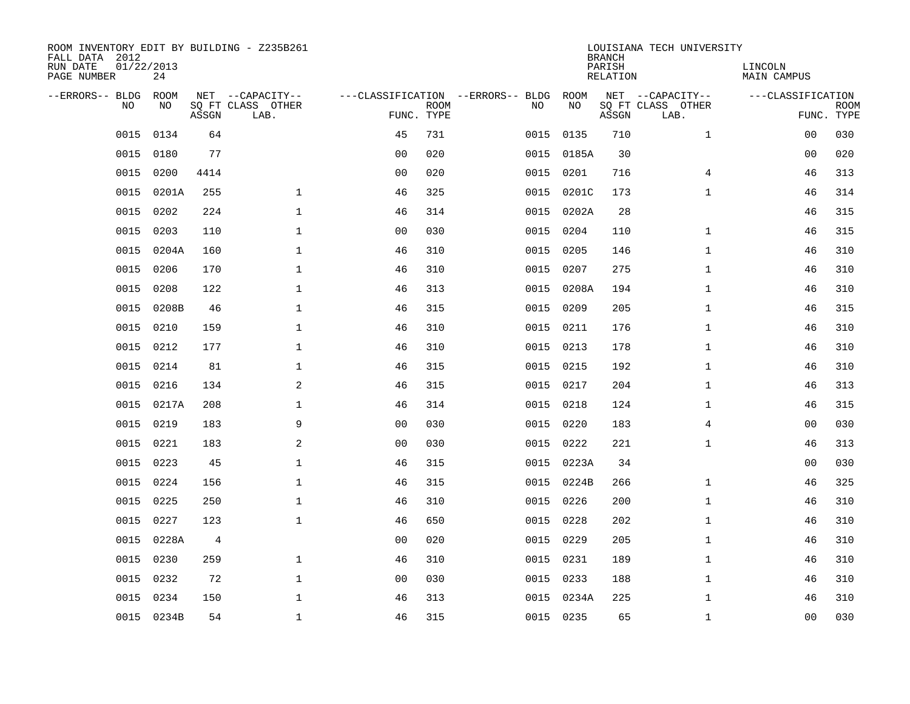| ROOM INVENTORY EDIT BY BUILDING - Z235B261<br>FALL DATA 2012 |                  |       |                           |                |             |                                        |            | <b>BRANCH</b>      | LOUISIANA TECH UNIVERSITY |                        |                           |
|--------------------------------------------------------------|------------------|-------|---------------------------|----------------|-------------|----------------------------------------|------------|--------------------|---------------------------|------------------------|---------------------------|
| RUN DATE<br>PAGE NUMBER                                      | 01/22/2013<br>24 |       |                           |                |             |                                        |            | PARISH<br>RELATION |                           | LINCOLN<br>MAIN CAMPUS |                           |
| --ERRORS-- BLDG ROOM                                         |                  |       | NET --CAPACITY--          |                |             | ---CLASSIFICATION --ERRORS-- BLDG ROOM |            |                    | NET --CAPACITY--          | ---CLASSIFICATION      |                           |
| NO.                                                          | NO.              | ASSGN | SQ FT CLASS OTHER<br>LAB. | FUNC. TYPE     | <b>ROOM</b> | NO.                                    | NO         | ASSGN              | SQ FT CLASS OTHER<br>LAB. |                        | <b>ROOM</b><br>FUNC. TYPE |
| 0015                                                         | 0134             | 64    |                           | 45             | 731         | 0015                                   | 0135       | 710                | $\mathbf{1}$              | 0 <sub>0</sub>         | 030                       |
| 0015                                                         | 0180             | 77    |                           | 0 <sub>0</sub> | 020         |                                        | 0015 0185A | 30                 |                           | 0 <sub>0</sub>         | 020                       |
| 0015                                                         | 0200             | 4414  |                           | 0 <sub>0</sub> | 020         | 0015                                   | 0201       | 716                | 4                         | 46                     | 313                       |
| 0015                                                         | 0201A            | 255   | $\mathbf 1$               | 46             | 325         |                                        | 0015 0201C | 173                | $\mathbf{1}$              | 46                     | 314                       |
| 0015                                                         | 0202             | 224   | $\mathbf{1}$              | 46             | 314         | 0015                                   | 0202A      | 28                 |                           | 46                     | 315                       |
| 0015                                                         | 0203             | 110   | $\mathbf 1$               | 0 <sub>0</sub> | 030         |                                        | 0015 0204  | 110                | $\mathbf{1}$              | 46                     | 315                       |
| 0015                                                         | 0204A            | 160   | $\mathbf{1}$              | 46             | 310         | 0015                                   | 0205       | 146                | $\mathbf{1}$              | 46                     | 310                       |
| 0015                                                         | 0206             | 170   | $\mathbf 1$               | 46             | 310         | 0015                                   | 0207       | 275                | $\mathbf{1}$              | 46                     | 310                       |
| 0015                                                         | 0208             | 122   | $\mathbf{1}$              | 46             | 313         | 0015                                   | 0208A      | 194                | $\mathbf{1}$              | 46                     | 310                       |
| 0015                                                         | 0208B            | 46    | $\mathbf 1$               | 46             | 315         |                                        | 0015 0209  | 205                | $\mathbf{1}$              | 46                     | 315                       |
| 0015                                                         | 0210             | 159   | $\mathbf{1}$              | 46             | 310         | 0015                                   | 0211       | 176                | $\mathbf{1}$              | 46                     | 310                       |
| 0015                                                         | 0212             | 177   | $\mathbf 1$               | 46             | 310         |                                        | 0015 0213  | 178                | $\mathbf{1}$              | 46                     | 310                       |
| 0015                                                         | 0214             | 81    | $\mathbf 1$               | 46             | 315         | 0015                                   | 0215       | 192                | $\mathbf{1}$              | 46                     | 310                       |
| 0015                                                         | 0216             | 134   | 2                         | 46             | 315         |                                        | 0015 0217  | 204                | $\mathbf{1}$              | 46                     | 313                       |
| 0015                                                         | 0217A            | 208   | $\mathbf 1$               | 46             | 314         | 0015                                   | 0218       | 124                | $\mathbf{1}$              | 46                     | 315                       |
| 0015                                                         | 0219             | 183   | 9                         | 0 <sub>0</sub> | 030         |                                        | 0015 0220  | 183                | 4                         | 00                     | 030                       |
| 0015                                                         | 0221             | 183   | $\overline{a}$            | 0 <sub>0</sub> | 030         | 0015                                   | 0222       | 221                | $\mathbf{1}$              | 46                     | 313                       |
| 0015                                                         | 0223             | 45    | $\mathbf 1$               | 46             | 315         |                                        | 0015 0223A | 34                 |                           | 00                     | 030                       |
| 0015                                                         | 0224             | 156   | $\mathbf{1}$              | 46             | 315         |                                        | 0015 0224B | 266                | $\mathbf{1}$              | 46                     | 325                       |
| 0015                                                         | 0225             | 250   | $\mathbf{1}$              | 46             | 310         |                                        | 0015 0226  | 200                | $\mathbf{1}$              | 46                     | 310                       |
| 0015                                                         | 0227             | 123   | $\mathbf{1}$              | 46             | 650         |                                        | 0015 0228  | 202                | $\mathbf{1}$              | 46                     | 310                       |
| 0015                                                         | 0228A            | 4     |                           | 0 <sub>0</sub> | 020         | 0015                                   | 0229       | 205                | $\mathbf{1}$              | 46                     | 310                       |
| 0015                                                         | 0230             | 259   | $\mathbf 1$               | 46             | 310         |                                        | 0015 0231  | 189                | $\mathbf{1}$              | 46                     | 310                       |
| 0015                                                         | 0232             | 72    | $\mathbf 1$               | 0 <sub>0</sub> | 030         |                                        | 0015 0233  | 188                | $\mathbf{1}$              | 46                     | 310                       |
| 0015                                                         | 0234             | 150   | $\mathbf{1}$              | 46             | 313         |                                        | 0015 0234A | 225                | $\mathbf{1}$              | 46                     | 310                       |
|                                                              | 0015 0234B       | 54    | $\mathbf{1}$              | 46             | 315         |                                        | 0015 0235  | 65                 | $\mathbf{1}$              | 0 <sub>0</sub>         | 030                       |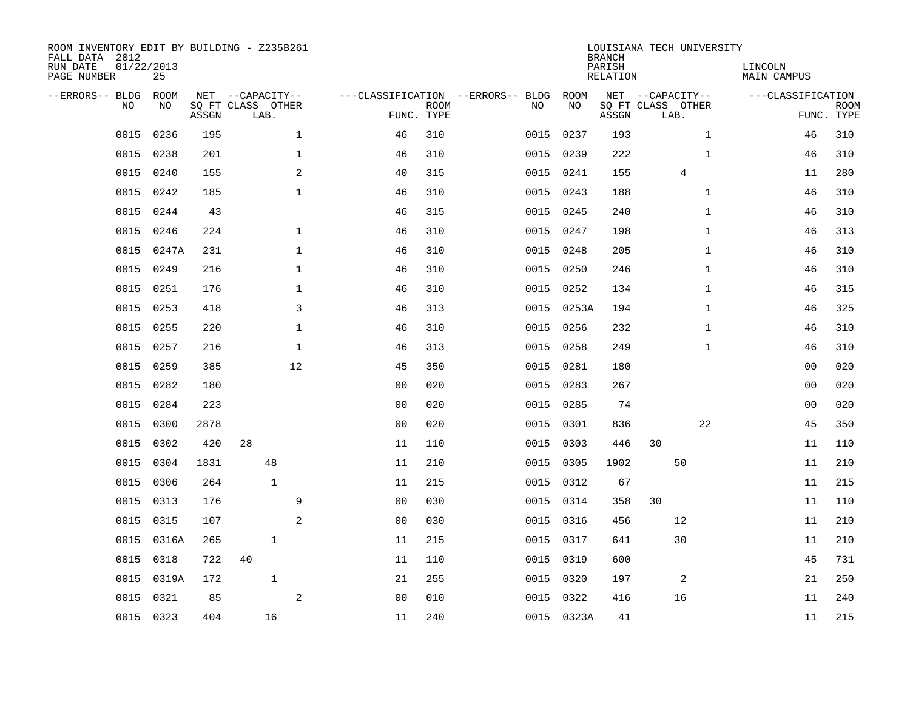| ROOM INVENTORY EDIT BY BUILDING - Z235B261<br>FALL DATA 2012<br>RUN DATE<br>PAGE NUMBER | 01/22/2013<br>25 |       |                                               |              |                |                           |                                         |      |            | <b>BRANCH</b><br>PARISH<br><b>RELATION</b> | LOUISIANA TECH UNIVERSITY                     |              | LINCOLN<br><b>MAIN CAMPUS</b> |                           |
|-----------------------------------------------------------------------------------------|------------------|-------|-----------------------------------------------|--------------|----------------|---------------------------|-----------------------------------------|------|------------|--------------------------------------------|-----------------------------------------------|--------------|-------------------------------|---------------------------|
| --ERRORS-- BLDG<br>NO                                                                   | ROOM<br>NO       | ASSGN | NET --CAPACITY--<br>SQ FT CLASS OTHER<br>LAB. |              |                | <b>ROOM</b><br>FUNC. TYPE | ---CLASSIFICATION --ERRORS-- BLDG<br>NO |      | ROOM<br>NO | ASSGN                                      | NET --CAPACITY--<br>SQ FT CLASS OTHER<br>LAB. |              | ---CLASSIFICATION             | <b>ROOM</b><br>FUNC. TYPE |
| 0015                                                                                    | 0236             | 195   |                                               | $\mathbf 1$  | 46             | 310                       |                                         | 0015 | 0237       | 193                                        |                                               | $\mathbf{1}$ | 46                            | 310                       |
| 0015                                                                                    | 0238             | 201   |                                               | $\mathbf 1$  | 46             | 310                       |                                         |      | 0015 0239  | 222                                        |                                               | $\mathbf{1}$ | 46                            | 310                       |
| 0015                                                                                    | 0240             | 155   |                                               | 2            | 40             | 315                       |                                         |      | 0015 0241  | 155                                        | 4                                             |              | 11                            | 280                       |
| 0015                                                                                    | 0242             | 185   |                                               | $\mathbf 1$  | 46             | 310                       |                                         |      | 0015 0243  | 188                                        |                                               | $\mathbf{1}$ | 46                            | 310                       |
| 0015                                                                                    | 0244             | 43    |                                               |              | 46             | 315                       | 0015                                    |      | 0245       | 240                                        |                                               | $\mathbf{1}$ | 46                            | 310                       |
| 0015                                                                                    | 0246             | 224   |                                               | $\mathbf 1$  | 46             | 310                       |                                         |      | 0015 0247  | 198                                        |                                               | $\mathbf{1}$ | 46                            | 313                       |
| 0015                                                                                    | 0247A            | 231   |                                               | $\mathbf{1}$ | 46             | 310                       |                                         |      | 0015 0248  | 205                                        |                                               | $\mathbf{1}$ | 46                            | 310                       |
| 0015                                                                                    | 0249             | 216   |                                               | $\mathbf{1}$ | 46             | 310                       |                                         |      | 0015 0250  | 246                                        |                                               | $\mathbf{1}$ | 46                            | 310                       |
| 0015                                                                                    | 0251             | 176   |                                               | $\mathbf{1}$ | 46             | 310                       | 0015                                    |      | 0252       | 134                                        |                                               | $\mathbf{1}$ | 46                            | 315                       |
| 0015                                                                                    | 0253             | 418   |                                               | 3            | 46             | 313                       |                                         |      | 0015 0253A | 194                                        |                                               | $\mathbf{1}$ | 46                            | 325                       |
| 0015                                                                                    | 0255             | 220   |                                               | $\mathbf{1}$ | 46             | 310                       |                                         | 0015 | 0256       | 232                                        |                                               | $\mathbf{1}$ | 46                            | 310                       |
| 0015                                                                                    | 0257             | 216   |                                               | $\mathbf 1$  | 46             | 313                       |                                         |      | 0015 0258  | 249                                        |                                               | $\mathbf{1}$ | 46                            | 310                       |
| 0015                                                                                    | 0259             | 385   |                                               | 12           | 45             | 350                       | 0015                                    |      | 0281       | 180                                        |                                               |              | 0 <sub>0</sub>                | 020                       |
| 0015                                                                                    | 0282             | 180   |                                               |              | 0 <sub>0</sub> | 020                       |                                         | 0015 | 0283       | 267                                        |                                               |              | 00                            | 020                       |
| 0015                                                                                    | 0284             | 223   |                                               |              | 0 <sub>0</sub> | 020                       | 0015                                    |      | 0285       | 74                                         |                                               |              | 0 <sub>0</sub>                | 020                       |
| 0015                                                                                    | 0300             | 2878  |                                               |              | 0 <sub>0</sub> | 020                       |                                         | 0015 | 0301       | 836                                        |                                               | 22           | 45                            | 350                       |
| 0015                                                                                    | 0302             | 420   | 28                                            |              | 11             | 110                       | 0015                                    |      | 0303       | 446                                        | 30                                            |              | 11                            | 110                       |
| 0015                                                                                    | 0304             | 1831  | 48                                            |              | 11             | 210                       |                                         | 0015 | 0305       | 1902                                       | 50                                            |              | 11                            | 210                       |
| 0015                                                                                    | 0306             | 264   | $\mathbf{1}$                                  |              | 11             | 215                       |                                         |      | 0015 0312  | 67                                         |                                               |              | 11                            | 215                       |
| 0015                                                                                    | 0313             | 176   |                                               | 9            | 0 <sub>0</sub> | 030                       |                                         |      | 0015 0314  | 358                                        | 30                                            |              | 11                            | 110                       |
| 0015                                                                                    | 0315             | 107   |                                               | 2            | 0 <sub>0</sub> | 030                       |                                         |      | 0015 0316  | 456                                        | 12                                            |              | 11                            | 210                       |
| 0015                                                                                    | 0316A            | 265   | $\mathbf{1}$                                  |              | 11             | 215                       |                                         |      | 0015 0317  | 641                                        | 30                                            |              | 11                            | 210                       |
| 0015                                                                                    | 0318             | 722   | 40                                            |              | 11             | 110                       |                                         |      | 0015 0319  | 600                                        |                                               |              | 45                            | 731                       |
| 0015                                                                                    | 0319A            | 172   | $\mathbf{1}$                                  |              | 21             | 255                       |                                         |      | 0015 0320  | 197                                        | 2                                             |              | 21                            | 250                       |
| 0015                                                                                    | 0321             | 85    |                                               | $\mathbf{2}$ | 0 <sub>0</sub> | 010                       |                                         |      | 0015 0322  | 416                                        | 16                                            |              | 11                            | 240                       |
|                                                                                         | 0015 0323        | 404   | 16                                            |              | 11             | 240                       |                                         |      | 0015 0323A | 41                                         |                                               |              | 11                            | 215                       |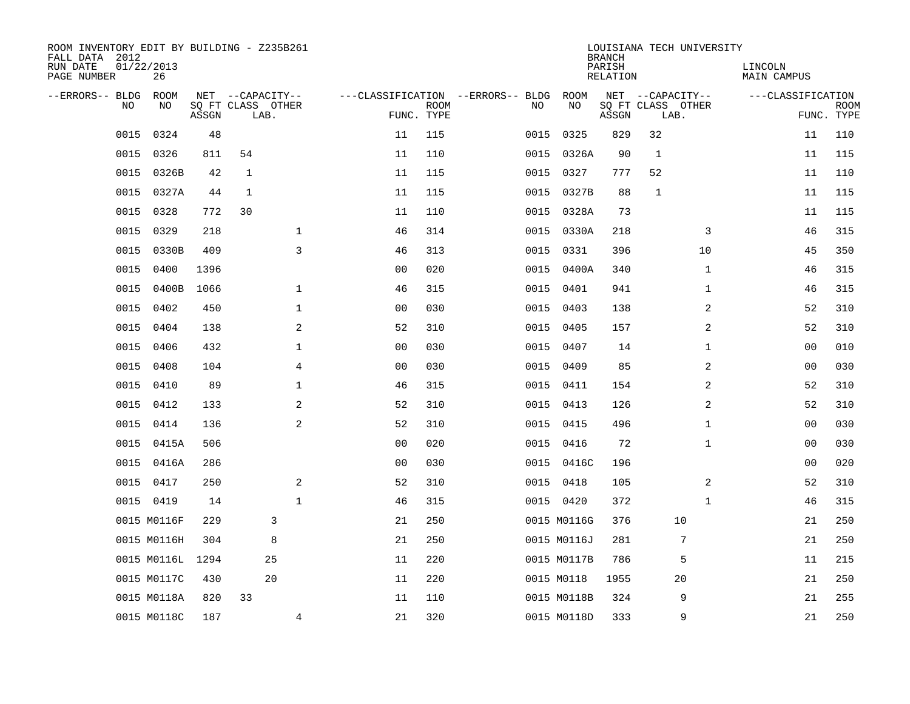| ROOM INVENTORY EDIT BY BUILDING - Z235B261<br>FALL DATA 2012<br>RUN DATE | 01/22/2013       |       |                                       |                |                |             |                                          |             | <b>BRANCH</b><br>PARISH | LOUISIANA TECH UNIVERSITY             |                | LINCOLN           |             |
|--------------------------------------------------------------------------|------------------|-------|---------------------------------------|----------------|----------------|-------------|------------------------------------------|-------------|-------------------------|---------------------------------------|----------------|-------------------|-------------|
| PAGE NUMBER                                                              | 26               |       |                                       |                |                |             |                                          |             | RELATION                |                                       |                | MAIN CAMPUS       |             |
| --ERRORS-- BLDG<br><b>NO</b>                                             | ROOM<br>NO.      |       | NET --CAPACITY--<br>SO FT CLASS OTHER |                |                | <b>ROOM</b> | ---CLASSIFICATION --ERRORS-- BLDG<br>NO. | ROOM<br>NO  |                         | NET --CAPACITY--<br>SQ FT CLASS OTHER |                | ---CLASSIFICATION | <b>ROOM</b> |
|                                                                          |                  | ASSGN | LAB.                                  |                |                | FUNC. TYPE  |                                          |             | ASSGN                   | LAB.                                  |                |                   | FUNC. TYPE  |
| 0015                                                                     | 0324             | 48    |                                       |                | 11             | 115         | 0015                                     | 0325        | 829                     | 32                                    |                | 11                | 110         |
| 0015                                                                     | 0326             | 811   | 54                                    |                | 11             | 110         |                                          | 0015 0326A  | 90                      | $\mathbf{1}$                          |                | 11                | 115         |
| 0015                                                                     | 0326B            | 42    | $\mathbf{1}$                          |                | 11             | 115         | 0015                                     | 0327        | 777                     | 52                                    |                | 11                | 110         |
| 0015                                                                     | 0327A            | 44    | 1                                     |                | 11             | 115         | 0015                                     | 0327B       | 88                      | $\mathbf{1}$                          |                | 11                | 115         |
| 0015                                                                     | 0328             | 772   | 30                                    |                | 11             | 110         | 0015                                     | 0328A       | 73                      |                                       |                | 11                | 115         |
| 0015                                                                     | 0329             | 218   |                                       | $\mathbf 1$    | 46             | 314         |                                          | 0015 0330A  | 218                     |                                       | 3              | 46                | 315         |
| 0015                                                                     | 0330B            | 409   |                                       | 3              | 46             | 313         | 0015                                     | 0331        | 396                     |                                       | 10             | 45                | 350         |
| 0015                                                                     | 0400             | 1396  |                                       |                | 0 <sub>0</sub> | 020         | 0015                                     | 0400A       | 340                     |                                       | $\mathbf{1}$   | 46                | 315         |
| 0015                                                                     | 0400B            | 1066  |                                       | $\mathbf{1}$   | 46             | 315         | 0015                                     | 0401        | 941                     |                                       | $\mathbf{1}$   | 46                | 315         |
| 0015                                                                     | 0402             | 450   |                                       | $\mathbf 1$    | 0 <sub>0</sub> | 030         |                                          | 0015 0403   | 138                     |                                       | 2              | 52                | 310         |
| 0015                                                                     | 0404             | 138   |                                       | 2              | 52             | 310         | 0015                                     | 0405        | 157                     |                                       | 2              | 52                | 310         |
| 0015                                                                     | 0406             | 432   |                                       | $\mathbf 1$    | 00             | 030         |                                          | 0015 0407   | 14                      |                                       | $\mathbf{1}$   | 00                | 010         |
| 0015                                                                     | 0408             | 104   |                                       | $\overline{4}$ | 0 <sub>0</sub> | 030         | 0015                                     | 0409        | 85                      |                                       | 2              | 0 <sub>0</sub>    | 030         |
| 0015                                                                     | 0410             | 89    |                                       | $\mathbf{1}$   | 46             | 315         | 0015                                     | 0411        | 154                     |                                       | $\overline{a}$ | 52                | 310         |
| 0015                                                                     | 0412             | 133   |                                       | 2              | 52             | 310         | 0015                                     | 0413        | 126                     |                                       | 2              | 52                | 310         |
| 0015                                                                     | 0414             | 136   |                                       | 2              | 52             | 310         | 0015                                     | 0415        | 496                     |                                       | $\mathbf{1}$   | 00                | 030         |
| 0015                                                                     | 0415A            | 506   |                                       |                | 0 <sub>0</sub> | 020         | 0015                                     | 0416        | 72                      |                                       | $\mathbf{1}$   | 00                | 030         |
| 0015                                                                     | 0416A            | 286   |                                       |                | 0 <sub>0</sub> | 030         |                                          | 0015 0416C  | 196                     |                                       |                | 00                | 020         |
|                                                                          | 0015 0417        | 250   |                                       | 2              | 52             | 310         |                                          | 0015 0418   | 105                     |                                       | 2              | 52                | 310         |
|                                                                          | 0015 0419        | 14    |                                       | $\mathbf{1}$   | 46             | 315         |                                          | 0015 0420   | 372                     |                                       | $\mathbf{1}$   | 46                | 315         |
|                                                                          | 0015 M0116F      | 229   | 3                                     |                | 21             | 250         |                                          | 0015 M0116G | 376                     | 10                                    |                | 21                | 250         |
|                                                                          | 0015 M0116H      | 304   | 8                                     |                | 21             | 250         |                                          | 0015 M0116J | 281                     | 7                                     |                | 21                | 250         |
|                                                                          | 0015 M0116L 1294 |       | 25                                    |                | 11             | 220         |                                          | 0015 M0117B | 786                     | 5                                     |                | 11                | 215         |
|                                                                          | 0015 M0117C      | 430   | 20                                    |                | 11             | 220         |                                          | 0015 M0118  | 1955                    | 20                                    |                | 21                | 250         |
|                                                                          | 0015 M0118A      | 820   | 33                                    |                | 11             | 110         |                                          | 0015 M0118B | 324                     | 9                                     |                | 21                | 255         |
|                                                                          | 0015 M0118C      | 187   |                                       | $\overline{4}$ | 21             | 320         |                                          | 0015 M0118D | 333                     | 9                                     |                | 21                | 250         |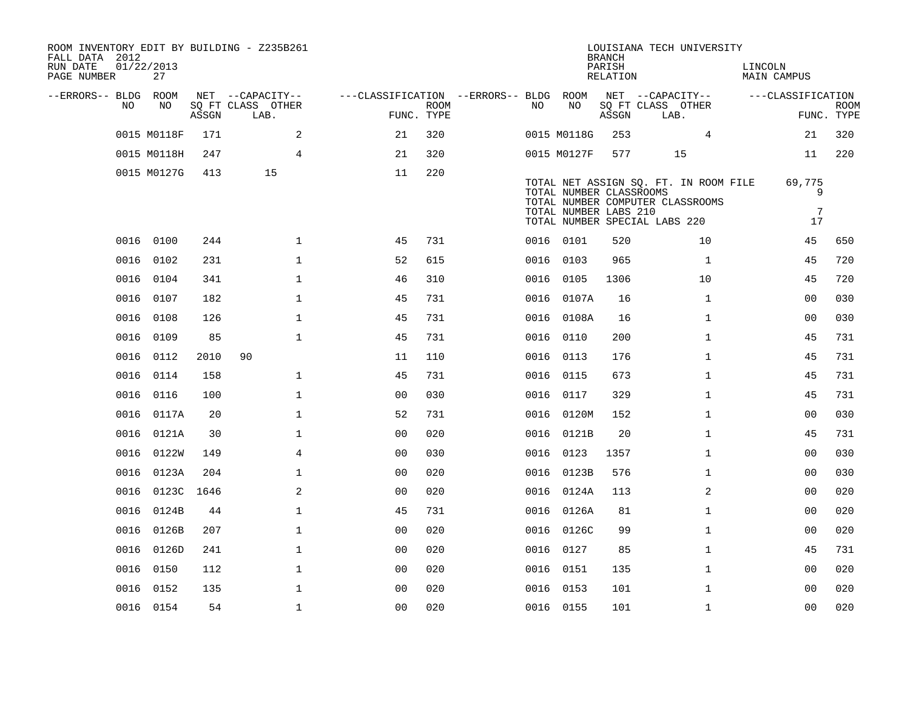| ROOM INVENTORY EDIT BY BUILDING - Z235B261<br>FALL DATA 2012<br>RUN DATE<br>PAGE NUMBER | 01/22/2013<br>27 |            |       |                           |                |                                        |                           |     |                                                  | <b>BRANCH</b><br>PARISH<br>RELATION |                               | LOUISIANA TECH UNIVERSITY                                                 | LINCOLN | MAIN CAMPUS            |                           |
|-----------------------------------------------------------------------------------------|------------------|------------|-------|---------------------------|----------------|----------------------------------------|---------------------------|-----|--------------------------------------------------|-------------------------------------|-------------------------------|---------------------------------------------------------------------------|---------|------------------------|---------------------------|
| --ERRORS-- BLDG ROOM                                                                    |                  |            |       | NET --CAPACITY--          |                | ---CLASSIFICATION --ERRORS-- BLDG ROOM |                           |     |                                                  |                                     | NET --CAPACITY--              |                                                                           |         | ---CLASSIFICATION      |                           |
|                                                                                         | NO<br>NO.        |            | ASSGN | SQ FT CLASS OTHER<br>LAB. |                |                                        | <b>ROOM</b><br>FUNC. TYPE | NO. | NO                                               | ASSGN                               | SQ FT CLASS OTHER<br>LAB.     |                                                                           |         |                        | <b>ROOM</b><br>FUNC. TYPE |
|                                                                                         | 0015 M0118F      |            | 171   |                           | 2              | 21                                     | 320                       |     | 0015 M0118G                                      | 253                                 |                               | 4                                                                         |         | 21                     | 320                       |
|                                                                                         | 0015 M0118H      |            | 247   |                           | $\overline{4}$ | 21                                     | 320                       |     | 0015 M0127F                                      | 577                                 |                               | 15                                                                        |         | 11                     | 220                       |
|                                                                                         | 0015 M0127G      |            | 413   | 15                        |                | 11                                     | 220                       |     | TOTAL NUMBER CLASSROOMS<br>TOTAL NUMBER LABS 210 |                                     | TOTAL NUMBER SPECIAL LABS 220 | TOTAL NET ASSIGN SQ. FT. IN ROOM FILE<br>TOTAL NUMBER COMPUTER CLASSROOMS |         | 69,775<br>9<br>7<br>17 |                           |
|                                                                                         | 0016 0100        |            | 244   |                           | $\mathbf 1$    | 45                                     | 731                       |     | 0016 0101                                        | 520                                 |                               | 10                                                                        |         | 45                     | 650                       |
|                                                                                         | 0016<br>0102     |            | 231   |                           | $\mathbf 1$    | 52                                     | 615                       |     | 0016 0103                                        | 965                                 |                               | $\mathbf{1}$                                                              |         | 45                     | 720                       |
|                                                                                         | 0016 0104        |            | 341   |                           | $\mathbf{1}$   | 46                                     | 310                       |     | 0016 0105                                        | 1306                                |                               | 10                                                                        |         | 45                     | 720                       |
|                                                                                         | 0016<br>0107     |            | 182   |                           | $\mathbf 1$    | 45                                     | 731                       |     | 0016 0107A                                       | 16                                  |                               | $\mathbf{1}$                                                              |         | 00                     | 030                       |
|                                                                                         | 0016 0108        |            | 126   |                           | $\mathbf 1$    | 45                                     | 731                       |     | 0016 0108A                                       | 16                                  |                               | $\mathbf{1}$                                                              |         | 00                     | 030                       |
|                                                                                         | 0016<br>0109     |            | 85    |                           | $\mathbf{1}$   | 45                                     | 731                       |     | 0016 0110                                        | 200                                 |                               | $\mathbf{1}$                                                              |         | 45                     | 731                       |
|                                                                                         | 0016 0112        |            | 2010  | 90                        |                | 11                                     | 110                       |     | 0016 0113                                        | 176                                 |                               | $\mathbf{1}$                                                              |         | 45                     | 731                       |
|                                                                                         | 0016<br>0114     |            | 158   |                           | $\mathbf{1}$   | 45                                     | 731                       |     | 0016 0115                                        | 673                                 |                               | $\mathbf{1}$                                                              |         | 45                     | 731                       |
|                                                                                         | 0016 0116        |            | 100   |                           | $\mathbf 1$    | 0 <sub>0</sub>                         | 030                       |     | 0016 0117                                        | 329                                 |                               | $\mathbf{1}$                                                              |         | 45                     | 731                       |
|                                                                                         | 0016 0117A       |            | 20    |                           | $\mathbf{1}$   | 52                                     | 731                       |     | 0016 0120M                                       | 152                                 |                               | $\mathbf{1}$                                                              |         | 0 <sub>0</sub>         | 030                       |
|                                                                                         | 0016 0121A       |            | 30    |                           | $\mathbf 1$    | 00                                     | 020                       |     | 0016 0121B                                       | 20                                  |                               | $\mathbf{1}$                                                              |         | 45                     | 731                       |
|                                                                                         | 0016<br>0122W    |            | 149   |                           | $\overline{4}$ | 00                                     | 030                       |     | 0016 0123                                        | 1357                                |                               | $\mathbf{1}$                                                              |         | 00                     | 030                       |
|                                                                                         | 0016 0123A       |            | 204   |                           | $\mathbf 1$    | 0 <sub>0</sub>                         | 020                       |     | 0016 0123B                                       | 576                                 |                               | $\mathbf{1}$                                                              |         | 00                     | 030                       |
|                                                                                         | 0016             | 0123C 1646 |       |                           | 2              | 0 <sub>0</sub>                         | 020                       |     | 0016 0124A                                       | 113                                 |                               | 2                                                                         |         | 00                     | 020                       |
|                                                                                         | 0016 0124B       |            | 44    |                           | $\mathbf{1}$   | 45                                     | 731                       |     | 0016 0126A                                       | 81                                  |                               | $\mathbf{1}$                                                              |         | 0 <sub>0</sub>         | 020                       |
|                                                                                         | 0016<br>0126B    |            | 207   |                           | $\mathbf 1$    | 0 <sub>0</sub>                         | 020                       |     | 0016 0126C                                       | 99                                  |                               | $\mathbf{1}$                                                              |         | 0 <sub>0</sub>         | 020                       |
|                                                                                         | 0016 0126D       |            | 241   |                           | $\mathbf 1$    | 0 <sub>0</sub>                         | 020                       |     | 0016 0127                                        | 85                                  |                               | $\mathbf{1}$                                                              |         | 45                     | 731                       |
|                                                                                         | 0016<br>0150     |            | 112   |                           | $\mathbf 1$    | 0 <sub>0</sub>                         | 020                       |     | 0016 0151                                        | 135                                 |                               | $\mathbf{1}$                                                              |         | 00                     | 020                       |
|                                                                                         | 0016 0152        |            | 135   |                           | $\mathbf 1$    | 0 <sub>0</sub>                         | 020                       |     | 0016 0153                                        | 101                                 |                               | $\mathbf{1}$                                                              |         | 00                     | 020                       |
|                                                                                         | 0016 0154        |            | 54    |                           | $\mathbf{1}$   | 0 <sub>0</sub>                         | 020                       |     | 0016 0155                                        | 101                                 |                               | $\mathbf{1}$                                                              |         | 00                     | 020                       |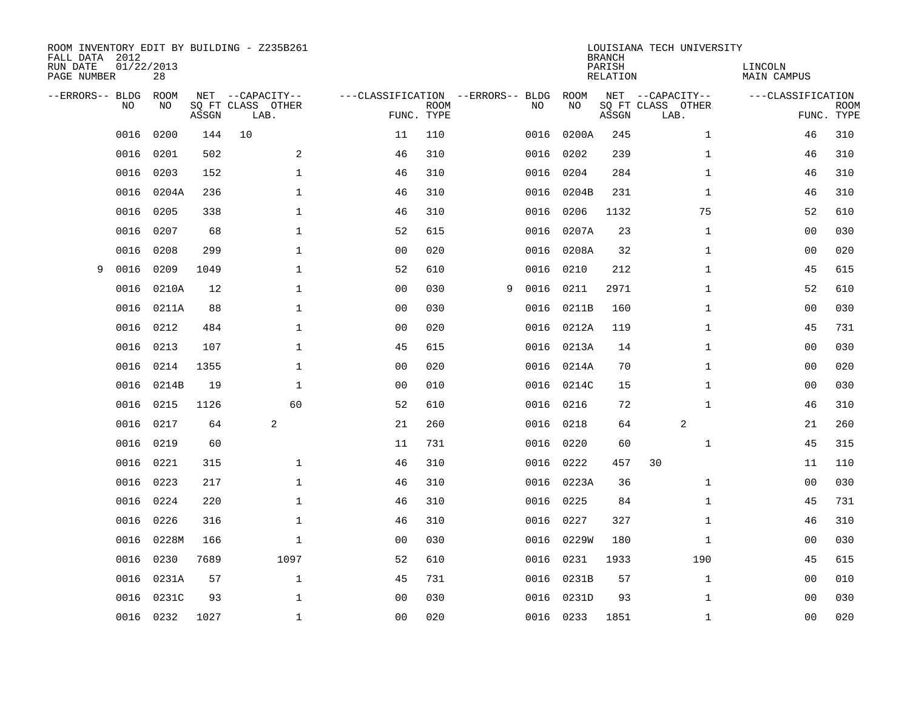| FALL DATA 2012<br>RUN DATE<br>PAGE NUMBER | 01/22/2013<br>28 |       | ROOM INVENTORY EDIT BY BUILDING - Z235B261    |                                   |                           |   |      |            | <b>BRANCH</b><br>PARISH<br><b>RELATION</b> | LOUISIANA TECH UNIVERSITY                     | LINCOLN<br><b>MAIN CAMPUS</b> |                           |
|-------------------------------------------|------------------|-------|-----------------------------------------------|-----------------------------------|---------------------------|---|------|------------|--------------------------------------------|-----------------------------------------------|-------------------------------|---------------------------|
| --ERRORS-- BLDG<br>NO.                    | ROOM<br>NO       | ASSGN | NET --CAPACITY--<br>SQ FT CLASS OTHER<br>LAB. | ---CLASSIFICATION --ERRORS-- BLDG | <b>ROOM</b><br>FUNC. TYPE |   | NO   | ROOM<br>NO | ASSGN                                      | NET --CAPACITY--<br>SQ FT CLASS OTHER<br>LAB. | ---CLASSIFICATION             | <b>ROOM</b><br>FUNC. TYPE |
| 0016                                      | 0200             | 144   | 10                                            | 11                                | 110                       |   | 0016 | 0200A      | 245                                        | $\mathbf{1}$                                  | 46                            | 310                       |
| 0016                                      | 0201             | 502   | 2                                             | 46                                | 310                       |   | 0016 | 0202       | 239                                        | $\mathbf{1}$                                  | 46                            | 310                       |
| 0016                                      | 0203             | 152   | $\mathbf 1$                                   | 46                                | 310                       |   | 0016 | 0204       | 284                                        | $\mathbf{1}$                                  | 46                            | 310                       |
| 0016                                      | 0204A            | 236   | $\mathbf 1$                                   | 46                                | 310                       |   | 0016 | 0204B      | 231                                        | $\mathbf{1}$                                  | 46                            | 310                       |
| 0016                                      | 0205             | 338   | $\mathbf{1}$                                  | 46                                | 310                       |   | 0016 | 0206       | 1132                                       | 75                                            | 52                            | 610                       |
| 0016                                      | 0207             | 68    | $\mathbf{1}$                                  | 52                                | 615                       |   | 0016 | 0207A      | 23                                         | $\mathbf{1}$                                  | 0 <sub>0</sub>                | 030                       |
| 0016                                      | 0208             | 299   | $\mathbf{1}$                                  | 0 <sub>0</sub>                    | 020                       |   | 0016 | 0208A      | 32                                         | $\mathbf{1}$                                  | 00                            | 020                       |
| 0016<br>9                                 | 0209             | 1049  | $\mathbf 1$                                   | 52                                | 610                       |   | 0016 | 0210       | 212                                        | $\mathbf{1}$                                  | 45                            | 615                       |
| 0016                                      | 0210A            | 12    | $\mathbf{1}$                                  | 00                                | 030                       | 9 | 0016 | 0211       | 2971                                       | $\mathbf{1}$                                  | 52                            | 610                       |
| 0016                                      | 0211A            | 88    | $\mathbf 1$                                   | 0 <sub>0</sub>                    | 030                       |   | 0016 | 0211B      | 160                                        | $\mathbf{1}$                                  | 00                            | 030                       |
| 0016                                      | 0212             | 484   | $\mathbf 1$                                   | 0 <sub>0</sub>                    | 020                       |   | 0016 | 0212A      | 119                                        | $\mathbf{1}$                                  | 45                            | 731                       |
| 0016                                      | 0213             | 107   | $\mathbf{1}$                                  | 45                                | 615                       |   | 0016 | 0213A      | 14                                         | $\mathbf{1}$                                  | 0 <sub>0</sub>                | 030                       |
| 0016                                      | 0214             | 1355  | $\mathbf 1$                                   | 0 <sub>0</sub>                    | 020                       |   | 0016 | 0214A      | 70                                         | $\mathbf{1}$                                  | 0 <sub>0</sub>                | 020                       |
| 0016                                      | 0214B            | 19    | $\mathbf 1$                                   | 0 <sub>0</sub>                    | 010                       |   | 0016 | 0214C      | 15                                         | $\mathbf{1}$                                  | 00                            | 030                       |
| 0016                                      | 0215             | 1126  | 60                                            | 52                                | 610                       |   | 0016 | 0216       | 72                                         | $\mathbf{1}$                                  | 46                            | 310                       |
| 0016                                      | 0217             | 64    | 2                                             | 21                                | 260                       |   | 0016 | 0218       | 64                                         | 2                                             | 21                            | 260                       |
| 0016                                      | 0219             | 60    |                                               | 11                                | 731                       |   | 0016 | 0220       | 60                                         | $\mathbf{1}$                                  | 45                            | 315                       |
| 0016                                      | 0221             | 315   | $\mathbf 1$                                   | 46                                | 310                       |   | 0016 | 0222       | 457                                        | 30                                            | 11                            | 110                       |
| 0016                                      | 0223             | 217   | $\mathbf{1}$                                  | 46                                | 310                       |   |      | 0016 0223A | 36                                         | $\mathbf{1}$                                  | 0 <sub>0</sub>                | 030                       |
| 0016                                      | 0224             | 220   | $\mathbf 1$                                   | 46                                | 310                       |   | 0016 | 0225       | 84                                         | $\mathbf{1}$                                  | 45                            | 731                       |
| 0016                                      | 0226             | 316   | $\mathbf 1$                                   | 46                                | 310                       |   | 0016 | 0227       | 327                                        | $\mathbf{1}$                                  | 46                            | 310                       |
| 0016                                      | 0228M            | 166   | $\mathbf 1$                                   | 00                                | 030                       |   | 0016 | 0229W      | 180                                        | $\mathbf{1}$                                  | 00                            | 030                       |
| 0016                                      | 0230             | 7689  | 1097                                          | 52                                | 610                       |   | 0016 | 0231       | 1933                                       | 190                                           | 45                            | 615                       |
| 0016                                      | 0231A            | 57    | $\mathbf{1}$                                  | 45                                | 731                       |   | 0016 | 0231B      | 57                                         | $\mathbf{1}$                                  | 00                            | 010                       |
| 0016                                      | 0231C            | 93    | $\mathbf 1$                                   | 0 <sub>0</sub>                    | 030                       |   | 0016 | 0231D      | 93                                         | $\mathbf{1}$                                  | 0 <sub>0</sub>                | 030                       |
|                                           | 0016 0232        | 1027  | $\mathbf{1}$                                  | 0 <sub>0</sub>                    | 020                       |   |      | 0016 0233  | 1851                                       | $\mathbf{1}$                                  | 0 <sub>0</sub>                | 020                       |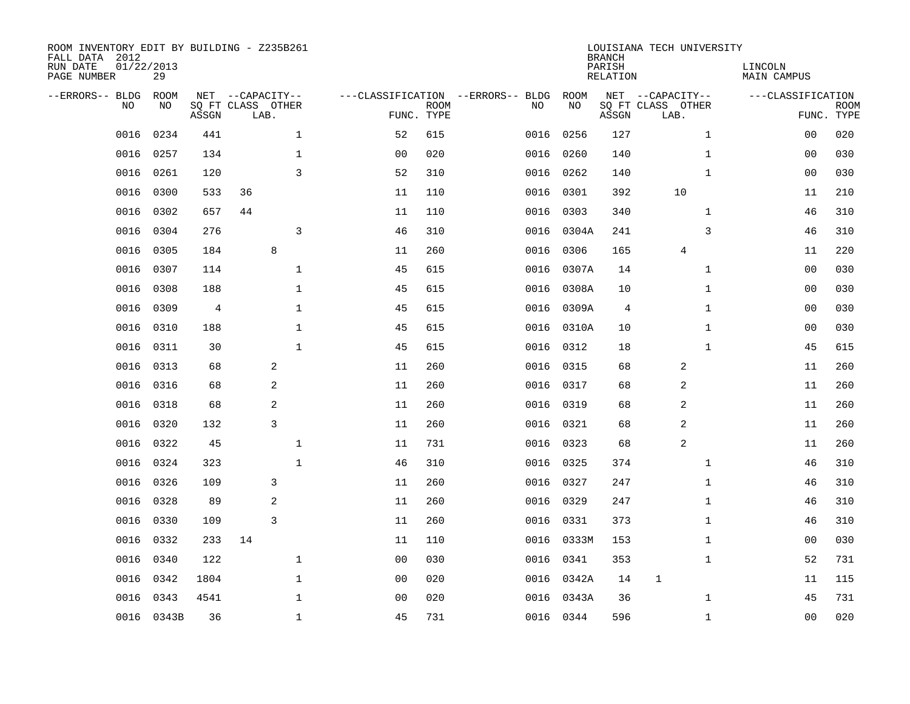| ROOM INVENTORY EDIT BY BUILDING - Z235B261<br>FALL DATA 2012<br>RUN DATE<br>PAGE NUMBER | 01/22/2013<br>29 |       |                                               |              |                |                           |                                         |            | <b>BRANCH</b><br>PARISH<br><b>RELATION</b> | LOUISIANA TECH UNIVERSITY                     | LINCOLN<br><b>MAIN CAMPUS</b> |                           |
|-----------------------------------------------------------------------------------------|------------------|-------|-----------------------------------------------|--------------|----------------|---------------------------|-----------------------------------------|------------|--------------------------------------------|-----------------------------------------------|-------------------------------|---------------------------|
| --ERRORS-- BLDG<br>NO                                                                   | ROOM<br>NO       | ASSGN | NET --CAPACITY--<br>SQ FT CLASS OTHER<br>LAB. |              |                | <b>ROOM</b><br>FUNC. TYPE | ---CLASSIFICATION --ERRORS-- BLDG<br>NO | ROOM<br>NO | ASSGN                                      | NET --CAPACITY--<br>SQ FT CLASS OTHER<br>LAB. | ---CLASSIFICATION             | <b>ROOM</b><br>FUNC. TYPE |
| 0016                                                                                    | 0234             | 441   |                                               | $\mathbf 1$  | 52             | 615                       | 0016                                    | 0256       | 127                                        | $\mathbf{1}$                                  | 00                            | 020                       |
| 0016                                                                                    | 0257             | 134   |                                               | 1            | 0 <sub>0</sub> | 020                       | 0016                                    | 0260       | 140                                        | $\mathbf{1}$                                  | 00                            | 030                       |
| 0016                                                                                    | 0261             | 120   |                                               | 3            | 52             | 310                       | 0016                                    | 0262       | 140                                        | $\mathbf{1}$                                  | 00                            | 030                       |
| 0016                                                                                    | 0300             | 533   | 36                                            |              | 11             | 110                       | 0016                                    | 0301       | 392                                        | 10                                            | 11                            | 210                       |
| 0016                                                                                    | 0302             | 657   | 44                                            |              | 11             | 110                       | 0016                                    | 0303       | 340                                        | $\mathbf{1}$                                  | 46                            | 310                       |
| 0016                                                                                    | 0304             | 276   |                                               | 3            | 46             | 310                       |                                         | 0016 0304A | 241                                        | 3                                             | 46                            | 310                       |
| 0016                                                                                    | 0305             | 184   | 8                                             |              | 11             | 260                       | 0016                                    | 0306       | 165                                        | 4                                             | 11                            | 220                       |
| 0016                                                                                    | 0307             | 114   |                                               | $\mathbf 1$  | 45             | 615                       | 0016                                    | 0307A      | 14                                         | $\mathbf{1}$                                  | 0 <sub>0</sub>                | 030                       |
| 0016                                                                                    | 0308             | 188   |                                               | $\mathbf{1}$ | 45             | 615                       | 0016                                    | 0308A      | 10                                         | $\mathbf{1}$                                  | 00                            | 030                       |
| 0016                                                                                    | 0309             | 4     |                                               | $\mathbf 1$  | 45             | 615                       | 0016                                    | 0309A      | 4                                          | $\mathbf{1}$                                  | 00                            | 030                       |
| 0016                                                                                    | 0310             | 188   |                                               | $\mathbf{1}$ | 45             | 615                       | 0016                                    | 0310A      | 10                                         | $\mathbf{1}$                                  | 00                            | 030                       |
| 0016                                                                                    | 0311             | 30    |                                               | $\mathbf{1}$ | 45             | 615                       | 0016                                    | 0312       | 18                                         | $\mathbf{1}$                                  | 45                            | 615                       |
| 0016                                                                                    | 0313             | 68    | 2                                             |              | 11             | 260                       | 0016                                    | 0315       | 68                                         | 2                                             | 11                            | 260                       |
| 0016                                                                                    | 0316             | 68    | 2                                             |              | 11             | 260                       | 0016                                    | 0317       | 68                                         | $\overline{c}$                                | 11                            | 260                       |
| 0016                                                                                    | 0318             | 68    | 2                                             |              | 11             | 260                       | 0016                                    | 0319       | 68                                         | 2                                             | 11                            | 260                       |
| 0016                                                                                    | 0320             | 132   | 3                                             |              | 11             | 260                       | 0016                                    | 0321       | 68                                         | 2                                             | 11                            | 260                       |
| 0016                                                                                    | 0322             | 45    |                                               | $\mathbf 1$  | 11             | 731                       | 0016                                    | 0323       | 68                                         | 2                                             | 11                            | 260                       |
| 0016                                                                                    | 0324             | 323   |                                               | $\mathbf{1}$ | 46             | 310                       | 0016                                    | 0325       | 374                                        | $\mathbf{1}$                                  | 46                            | 310                       |
| 0016                                                                                    | 0326             | 109   | 3                                             |              | 11             | 260                       |                                         | 0016 0327  | 247                                        | $\mathbf{1}$                                  | 46                            | 310                       |
| 0016                                                                                    | 0328             | 89    | 2                                             |              | 11             | 260                       | 0016                                    | 0329       | 247                                        | $\mathbf{1}$                                  | 46                            | 310                       |
| 0016                                                                                    | 0330             | 109   | 3                                             |              | 11             | 260                       |                                         | 0016 0331  | 373                                        | $\mathbf{1}$                                  | 46                            | 310                       |
| 0016                                                                                    | 0332             | 233   | 14                                            |              | 11             | 110                       | 0016                                    | 0333M      | 153                                        | $\mathbf{1}$                                  | 00                            | 030                       |
| 0016                                                                                    | 0340             | 122   |                                               | $\mathbf{1}$ | 0 <sub>0</sub> | 030                       | 0016                                    | 0341       | 353                                        | $\mathbf{1}$                                  | 52                            | 731                       |
| 0016                                                                                    | 0342             | 1804  |                                               | $\mathbf{1}$ | 0 <sub>0</sub> | 020                       |                                         | 0016 0342A | 14                                         | $\mathbf 1$                                   | 11                            | 115                       |
| 0016                                                                                    | 0343             | 4541  |                                               | $\mathbf{1}$ | 0 <sub>0</sub> | 020                       | 0016                                    | 0343A      | 36                                         | $\mathbf{1}$                                  | 45                            | 731                       |
|                                                                                         | 0016 0343B       | 36    |                                               | $\mathbf{1}$ | 45             | 731                       |                                         | 0016 0344  | 596                                        | $\mathbf{1}$                                  | 0 <sub>0</sub>                | 020                       |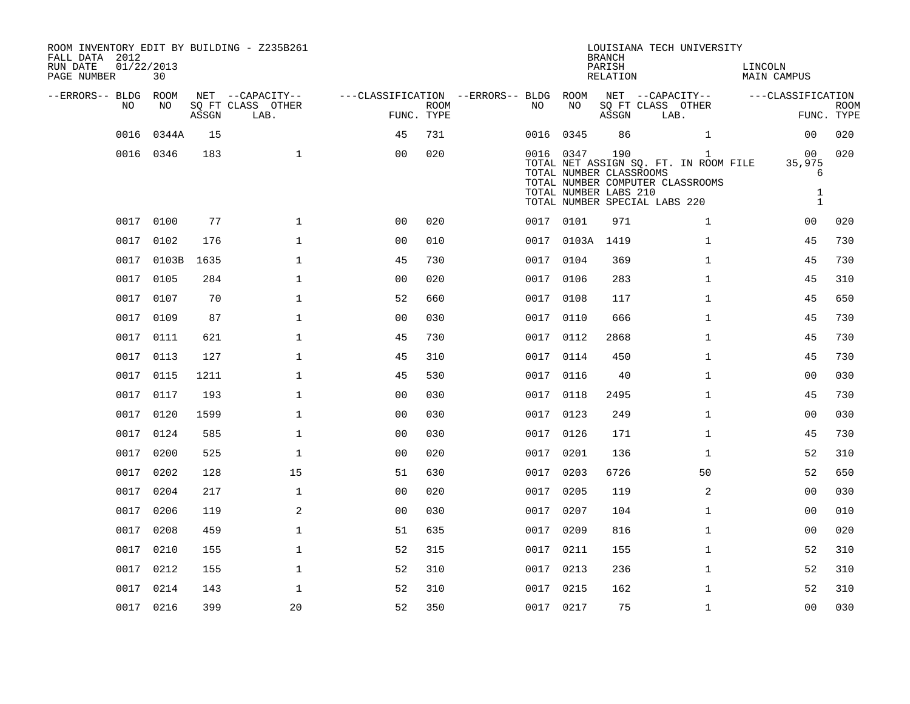| ROOM INVENTORY EDIT BY BUILDING - Z235B261<br>FALL DATA 2012<br>RUN DATE<br>PAGE NUMBER | 01/22/2013<br>30 |       |                           |                                        |             |           |                                                               | <b>BRANCH</b><br>PARISH<br>RELATION | LOUISIANA TECH UNIVERSITY                                                                                                  | LINCOLN<br>MAIN CAMPUS                            |                           |
|-----------------------------------------------------------------------------------------|------------------|-------|---------------------------|----------------------------------------|-------------|-----------|---------------------------------------------------------------|-------------------------------------|----------------------------------------------------------------------------------------------------------------------------|---------------------------------------------------|---------------------------|
| --ERRORS-- BLDG ROOM                                                                    |                  |       | NET --CAPACITY--          | ---CLASSIFICATION --ERRORS-- BLDG ROOM |             |           |                                                               |                                     | NET --CAPACITY--                                                                                                           | ---CLASSIFICATION                                 |                           |
| NO                                                                                      | NO               | ASSGN | SQ FT CLASS OTHER<br>LAB. | FUNC. TYPE                             | <b>ROOM</b> | NO        | NO                                                            | ASSGN                               | SQ FT CLASS OTHER<br>LAB.                                                                                                  |                                                   | <b>ROOM</b><br>FUNC. TYPE |
| 0016                                                                                    | 0344A            | 15    |                           | 45                                     | 731         | 0016 0345 |                                                               | 86                                  | $\mathbf{1}$                                                                                                               | 0 <sub>0</sub>                                    | 020                       |
|                                                                                         | 0016 0346        | 183   | $\mathbf{1}$              | 0 <sub>0</sub>                         | 020         |           | 0016 0347<br>TOTAL NUMBER CLASSROOMS<br>TOTAL NUMBER LABS 210 | 190                                 | $\mathbf{1}$<br>TOTAL NET ASSIGN SQ. FT. IN ROOM FILE<br>TOTAL NUMBER COMPUTER CLASSROOMS<br>TOTAL NUMBER SPECIAL LABS 220 | 00<br>35,975<br>6<br>$\mathbf{1}$<br>$\mathbf{1}$ | 020                       |
|                                                                                         | 0017 0100        | 77    | $\mathbf 1$               | 0 <sub>0</sub>                         | 020         | 0017 0101 |                                                               | 971                                 | $\mathbf{1}$                                                                                                               | 00                                                | 020                       |
|                                                                                         | 0017 0102        | 176   | $\mathbf 1$               | 0 <sub>0</sub>                         | 010         |           | 0017 0103A                                                    | 1419                                | $\mathbf{1}$                                                                                                               | 45                                                | 730                       |
|                                                                                         | 0017 0103B       | 1635  | 1                         | 45                                     | 730         | 0017 0104 |                                                               | 369                                 | $\mathbf{1}$                                                                                                               | 45                                                | 730                       |
|                                                                                         | 0017 0105        | 284   | $\mathbf 1$               | 0 <sub>0</sub>                         | 020         | 0017 0106 |                                                               | 283                                 | $\mathbf{1}$                                                                                                               | 45                                                | 310                       |
| 0017                                                                                    | 0107             | 70    | $\mathbf 1$               | 52                                     | 660         | 0017      | 0108                                                          | 117                                 | $\mathbf{1}$                                                                                                               | 45                                                | 650                       |
|                                                                                         | 0017 0109        | 87    | $\mathbf{1}$              | 0 <sub>0</sub>                         | 030         | 0017 0110 |                                                               | 666                                 | $\mathbf{1}$                                                                                                               | 45                                                | 730                       |
|                                                                                         | 0017 0111        | 621   | $\mathbf{1}$              | 45                                     | 730         | 0017 0112 |                                                               | 2868                                | $\mathbf{1}$                                                                                                               | 45                                                | 730                       |
|                                                                                         | 0017 0113        | 127   | $\mathbf 1$               | 45                                     | 310         | 0017 0114 |                                                               | 450                                 | $\mathbf{1}$                                                                                                               | 45                                                | 730                       |
| 0017                                                                                    | 0115             | 1211  | $\mathbf{1}$              | 45                                     | 530         | 0017      | 0116                                                          | 40                                  | $\mathbf{1}$                                                                                                               | 0 <sub>0</sub>                                    | 030                       |
|                                                                                         | 0017 0117        | 193   | $\mathbf 1$               | 0 <sub>0</sub>                         | 030         | 0017 0118 |                                                               | 2495                                | $\mathbf{1}$                                                                                                               | 45                                                | 730                       |
|                                                                                         | 0017 0120        | 1599  | $\mathbf{1}$              | 0 <sub>0</sub>                         | 030         | 0017 0123 |                                                               | 249                                 | $\mathbf{1}$                                                                                                               | 0 <sub>0</sub>                                    | 030                       |
|                                                                                         | 0017 0124        | 585   | $\mathbf 1$               | 0 <sub>0</sub>                         | 030         | 0017 0126 |                                                               | 171                                 | $\mathbf{1}$                                                                                                               | 45                                                | 730                       |
| 0017                                                                                    | 0200             | 525   | $\mathbf{1}$              | 0 <sub>0</sub>                         | 020         | 0017      | 0201                                                          | 136                                 | $\mathbf{1}$                                                                                                               | 52                                                | 310                       |
| 0017                                                                                    | 0202             | 128   | 15                        | 51                                     | 630         | 0017 0203 |                                                               | 6726                                | 50                                                                                                                         | 52                                                | 650                       |
| 0017                                                                                    | 0204             | 217   | $\mathbf{1}$              | 0 <sub>0</sub>                         | 020         | 0017      | 0205                                                          | 119                                 | $\overline{a}$                                                                                                             | 0 <sub>0</sub>                                    | 030                       |
| 0017                                                                                    | 0206             | 119   | 2                         | 0 <sub>0</sub>                         | 030         | 0017 0207 |                                                               | 104                                 | $\mathbf{1}$                                                                                                               | 00                                                | 010                       |
| 0017                                                                                    | 0208             | 459   | $\mathbf{1}$              | 51                                     | 635         | 0017      | 0209                                                          | 816                                 | $\mathbf{1}$                                                                                                               | 0 <sub>0</sub>                                    | 020                       |
| 0017                                                                                    | 0210             | 155   | $\mathbf 1$               | 52                                     | 315         | 0017 0211 |                                                               | 155                                 | $\mathbf{1}$                                                                                                               | 52                                                | 310                       |
| 0017                                                                                    | 0212             | 155   | $\mathbf 1$               | 52                                     | 310         | 0017 0213 |                                                               | 236                                 | $\mathbf{1}$                                                                                                               | 52                                                | 310                       |
|                                                                                         | 0017 0214        | 143   | $\mathbf{1}$              | 52                                     | 310         | 0017 0215 |                                                               | 162                                 | $\mathbf{1}$                                                                                                               | 52                                                | 310                       |
|                                                                                         | 0017 0216        | 399   | 20                        | 52                                     | 350         | 0017 0217 |                                                               | 75                                  | $\mathbf{1}$                                                                                                               | 0 <sub>0</sub>                                    | 030                       |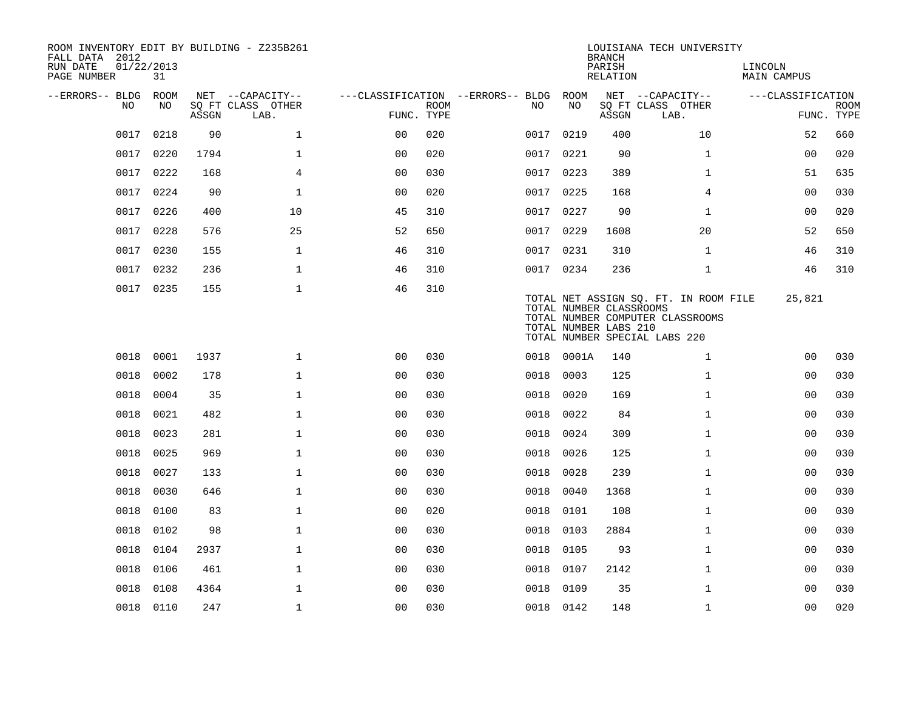| ROOM INVENTORY EDIT BY BUILDING - Z235B261<br>FALL DATA 2012<br>RUN DATE<br>PAGE NUMBER | 01/22/2013<br>31 |       |                           |                |             |                                        |            |      | <b>BRANCH</b><br>PARISH<br>RELATION              | LOUISIANA TECH UNIVERSITY                                                                                  | LINCOLN<br>MAIN CAMPUS |                           |
|-----------------------------------------------------------------------------------------|------------------|-------|---------------------------|----------------|-------------|----------------------------------------|------------|------|--------------------------------------------------|------------------------------------------------------------------------------------------------------------|------------------------|---------------------------|
| --ERRORS-- BLDG ROOM                                                                    |                  |       | NET --CAPACITY--          |                |             | ---CLASSIFICATION --ERRORS-- BLDG ROOM |            |      |                                                  | NET --CAPACITY--                                                                                           | ---CLASSIFICATION      |                           |
| NO.                                                                                     | NO.              | ASSGN | SQ FT CLASS OTHER<br>LAB. | FUNC. TYPE     | <b>ROOM</b> | NO.                                    |            | NO   | ASSGN                                            | SQ FT CLASS OTHER<br>LAB.                                                                                  |                        | <b>ROOM</b><br>FUNC. TYPE |
| 0017                                                                                    | 0218             | 90    | $\mathbf{1}$              | 0 <sub>0</sub> | 020         |                                        | 0017 0219  |      | 400                                              | 10                                                                                                         | 52                     | 660                       |
| 0017                                                                                    | 0220             | 1794  | $\mathbf{1}$              | 0 <sub>0</sub> | 020         | 0017                                   |            | 0221 | 90                                               | $\mathbf{1}$                                                                                               | 0 <sub>0</sub>         | 020                       |
| 0017                                                                                    | 0222             | 168   | $\overline{4}$            | 0 <sub>0</sub> | 030         |                                        | 0017 0223  |      | 389                                              | $\mathbf{1}$                                                                                               | 51                     | 635                       |
| 0017                                                                                    | 0224             | 90    | $\mathbf{1}$              | 0 <sub>0</sub> | 020         | 0017                                   |            | 0225 | 168                                              | 4                                                                                                          | 0 <sub>0</sub>         | 030                       |
| 0017                                                                                    | 0226             | 400   | 10                        | 45             | 310         |                                        | 0017 0227  |      | 90                                               | $\mathbf{1}$                                                                                               | 00                     | 020                       |
| 0017                                                                                    | 0228             | 576   | 25                        | 52             | 650         |                                        | 0017 0229  |      | 1608                                             | 20                                                                                                         | 52                     | 650                       |
| 0017                                                                                    | 0230             | 155   | $\mathbf 1$               | 46             | 310         |                                        | 0017 0231  |      | 310                                              | $\mathbf{1}$                                                                                               | 46                     | 310                       |
| 0017                                                                                    | 0232             | 236   | $\mathbf 1$               | 46             | 310         |                                        | 0017 0234  |      | 236                                              | $\mathbf{1}$                                                                                               | 46                     | 310                       |
|                                                                                         | 0017 0235        | 155   | $\mathbf 1$               | 46             | 310         |                                        |            |      | TOTAL NUMBER CLASSROOMS<br>TOTAL NUMBER LABS 210 | TOTAL NET ASSIGN SQ. FT. IN ROOM FILE<br>TOTAL NUMBER COMPUTER CLASSROOMS<br>TOTAL NUMBER SPECIAL LABS 220 | 25,821                 |                           |
| 0018                                                                                    | 0001             | 1937  | $\mathbf{1}$              | 0 <sub>0</sub> | 030         |                                        | 0018 0001A |      | 140                                              | $\mathbf{1}$                                                                                               | 0 <sub>0</sub>         | 030                       |
| 0018                                                                                    | 0002             | 178   | $\mathbf{1}$              | 00             | 030         | 0018                                   |            | 0003 | 125                                              | $\mathbf{1}$                                                                                               | 0 <sub>0</sub>         | 030                       |
| 0018                                                                                    | 0004             | 35    | $\mathbf 1$               | 0 <sub>0</sub> | 030         | 0018                                   |            | 0020 | 169                                              | $\mathbf{1}$                                                                                               | 00                     | 030                       |
| 0018                                                                                    | 0021             | 482   | $\mathbf{1}$              | 0 <sub>0</sub> | 030         | 0018                                   |            | 0022 | 84                                               | $\mathbf{1}$                                                                                               | 0 <sub>0</sub>         | 030                       |
| 0018                                                                                    | 0023             | 281   | $\mathbf 1$               | 0 <sub>0</sub> | 030         | 0018                                   |            | 0024 | 309                                              | $\mathbf{1}$                                                                                               | 0 <sub>0</sub>         | 030                       |
| 0018                                                                                    | 0025             | 969   | $\mathbf{1}$              | 00             | 030         | 0018                                   |            | 0026 | 125                                              | $\mathbf{1}$                                                                                               | 00                     | 030                       |
| 0018                                                                                    | 0027             | 133   | $\mathbf 1$               | 0 <sub>0</sub> | 030         | 0018                                   |            | 0028 | 239                                              | $\mathbf{1}$                                                                                               | 00                     | 030                       |
| 0018                                                                                    | 0030             | 646   | $\mathbf 1$               | 0 <sub>0</sub> | 030         | 0018                                   |            | 0040 | 1368                                             | $\mathbf{1}$                                                                                               | 00                     | 030                       |
| 0018                                                                                    | 0100             | 83    | $\mathbf{1}$              | 0 <sub>0</sub> | 020         | 0018                                   |            | 0101 | 108                                              | $\mathbf{1}$                                                                                               | 0 <sub>0</sub>         | 030                       |
| 0018                                                                                    | 0102             | 98    | $\mathbf{1}$              | 00             | 030         | 0018                                   |            | 0103 | 2884                                             | $\mathbf{1}$                                                                                               | 0 <sub>0</sub>         | 030                       |
| 0018                                                                                    | 0104             | 2937  | $\mathbf 1$               | 0 <sub>0</sub> | 030         |                                        | 0018 0105  |      | 93                                               | $\mathbf{1}$                                                                                               | 00                     | 030                       |
| 0018                                                                                    | 0106             | 461   | $\mathbf{1}$              | 00             | 030         | 0018                                   |            | 0107 | 2142                                             | $\mathbf{1}$                                                                                               | 00                     | 030                       |
| 0018                                                                                    | 0108             | 4364  | $\mathbf 1$               | 0 <sub>0</sub> | 030         | 0018                                   |            | 0109 | 35                                               | $\mathbf{1}$                                                                                               | 00                     | 030                       |
|                                                                                         | 0018 0110        | 247   | $\mathbf{1}$              | 0 <sub>0</sub> | 030         |                                        | 0018 0142  |      | 148                                              | $\mathbf{1}$                                                                                               | 00                     | 020                       |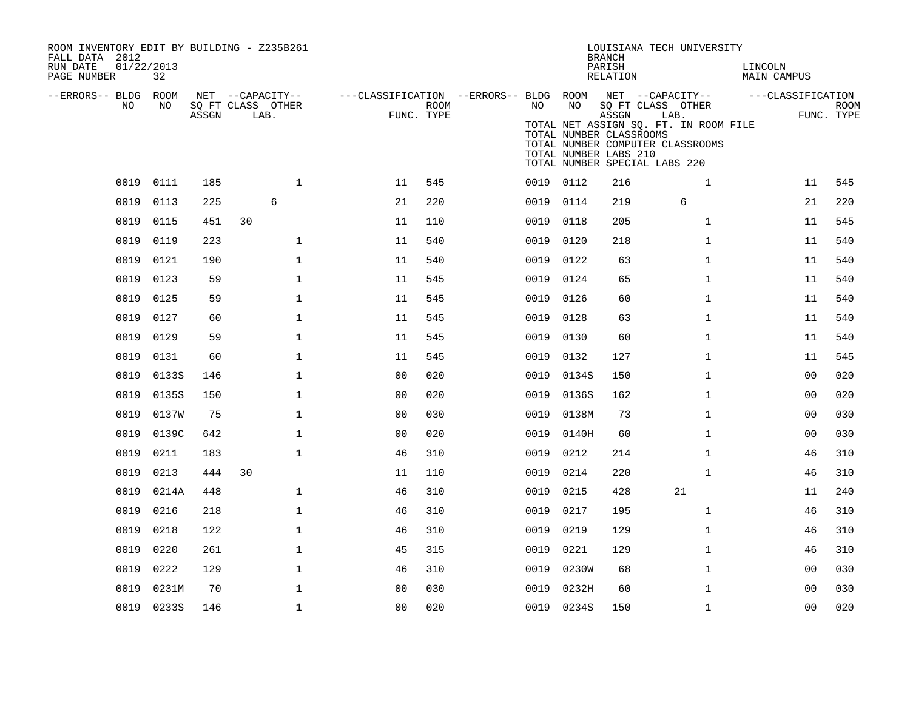| ROOM INVENTORY EDIT BY BUILDING - Z235B261<br>FALL DATA 2012<br>RUN DATE<br>PAGE NUMBER | 01/22/2013<br>32 |       |                                               |              |                                                         |                    |           |                                                                                         | <b>BRANCH</b><br>PARISH<br>RELATION |                           | LOUISIANA TECH UNIVERSITY                                                 | LINCOLN<br>MAIN CAMPUS |                |             |
|-----------------------------------------------------------------------------------------|------------------|-------|-----------------------------------------------|--------------|---------------------------------------------------------|--------------------|-----------|-----------------------------------------------------------------------------------------|-------------------------------------|---------------------------|---------------------------------------------------------------------------|------------------------|----------------|-------------|
| --ERRORS-- BLDG ROOM<br>NO                                                              | NO               | ASSGN | NET --CAPACITY--<br>SQ FT CLASS OTHER<br>LAB. |              | ---CLASSIFICATION --ERRORS-- BLDG ROOM NET --CAPACITY-- | ROOM<br>FUNC. TYPE | NO        | NO<br>TOTAL NUMBER CLASSROOMS<br>TOTAL NUMBER LABS 210<br>TOTAL NUMBER SPECIAL LABS 220 | ASSGN                               | SQ FT CLASS OTHER<br>LAB. | TOTAL NET ASSIGN SQ. FT. IN ROOM FILE<br>TOTAL NUMBER COMPUTER CLASSROOMS | ---CLASSIFICATION      | FUNC. TYPE     | <b>ROOM</b> |
|                                                                                         | 0019 0111        | 185   |                                               | $\mathbf{1}$ | 11                                                      | 545                | 0019 0112 |                                                                                         | 216                                 |                           | 1                                                                         |                        | 11             | 545         |
| 0019                                                                                    | 0113             | 225   | 6                                             |              | 21                                                      | 220                | 0019 0114 |                                                                                         | 219                                 |                           | 6                                                                         |                        | 21             | 220         |
| 0019                                                                                    | 0115             | 451   | 30                                            |              | 11                                                      | 110                | 0019 0118 |                                                                                         | 205                                 |                           | $\mathbf{1}$                                                              |                        | 11             | 545         |
| 0019                                                                                    | 0119             | 223   |                                               | $\mathbf 1$  | 11                                                      | 540                | 0019      | 0120                                                                                    | 218                                 |                           | $\mathbf{1}$                                                              |                        | 11             | 540         |
| 0019                                                                                    | 0121             | 190   |                                               | $\mathbf{1}$ | 11                                                      | 540                | 0019 0122 |                                                                                         | 63                                  |                           | $\mathbf{1}$                                                              |                        | 11             | 540         |
| 0019                                                                                    | 0123             | 59    |                                               | $\mathbf 1$  | 11                                                      | 545                | 0019      | 0124                                                                                    | 65                                  |                           | $\mathbf{1}$                                                              |                        | 11             | 540         |
| 0019                                                                                    | 0125             | 59    |                                               | $\mathbf 1$  | 11                                                      | 545                | 0019      | 0126                                                                                    | 60                                  |                           | $\mathbf{1}$                                                              |                        | 11             | 540         |
| 0019                                                                                    | 0127             | 60    |                                               | $\mathbf{1}$ | 11                                                      | 545                | 0019      | 0128                                                                                    | 63                                  |                           | $\mathbf{1}$                                                              |                        | 11             | 540         |
| 0019                                                                                    | 0129             | 59    |                                               | $\mathbf 1$  | 11                                                      | 545                | 0019      | 0130                                                                                    | 60                                  |                           | $\mathbf{1}$                                                              |                        | 11             | 540         |
| 0019                                                                                    | 0131             | 60    |                                               | $\mathbf 1$  | 11                                                      | 545                | 0019      | 0132                                                                                    | 127                                 |                           | $\mathbf{1}$                                                              |                        | 11             | 545         |
| 0019                                                                                    | 0133S            | 146   |                                               | $\mathbf 1$  | 0 <sub>0</sub>                                          | 020                | 0019      | 0134S                                                                                   | 150                                 |                           | $\mathbf{1}$                                                              |                        | 00             | 020         |
| 0019                                                                                    | 0135S            | 150   |                                               | $\mathbf 1$  | 0 <sub>0</sub>                                          | 020                | 0019      | 0136S                                                                                   | 162                                 |                           | $\mathbf{1}$                                                              |                        | 0 <sub>0</sub> | 020         |
| 0019                                                                                    | 0137W            | 75    |                                               | $\mathbf 1$  | 0 <sub>0</sub>                                          | 030                | 0019      | 0138M                                                                                   | 73                                  |                           | $\mathbf{1}$                                                              |                        | 00             | 030         |
| 0019                                                                                    | 0139C            | 642   |                                               | $\mathbf 1$  | 0 <sub>0</sub>                                          | 020                |           | 0019 0140H                                                                              | 60                                  |                           | $\mathbf{1}$                                                              |                        | 0 <sub>0</sub> | 030         |
| 0019                                                                                    | 0211             | 183   |                                               | $\mathbf{1}$ | 46                                                      | 310                | 0019      | 0212                                                                                    | 214                                 |                           | $\mathbf{1}$                                                              |                        | 46             | 310         |
| 0019                                                                                    | 0213             | 444   | 30                                            |              | 11                                                      | 110                | 0019      | 0214                                                                                    | 220                                 |                           | $\mathbf{1}$                                                              |                        | 46             | 310         |
| 0019                                                                                    | 0214A            | 448   |                                               | $\mathbf{1}$ | 46                                                      | 310                | 0019      | 0215                                                                                    | 428                                 |                           | 21                                                                        |                        | 11             | 240         |
| 0019                                                                                    | 0216             | 218   |                                               | $\mathbf 1$  | 46                                                      | 310                | 0019      | 0217                                                                                    | 195                                 |                           | $\mathbf{1}$                                                              |                        | 46             | 310         |
| 0019                                                                                    | 0218             | 122   |                                               | $\mathbf{1}$ | 46                                                      | 310                | 0019      | 0219                                                                                    | 129                                 |                           | $\mathbf{1}$                                                              |                        | 46             | 310         |
| 0019                                                                                    | 0220             | 261   |                                               | $\mathbf 1$  | 45                                                      | 315                | 0019      | 0221                                                                                    | 129                                 |                           | $\mathbf{1}$                                                              |                        | 46             | 310         |
| 0019                                                                                    | 0222             | 129   |                                               | $\mathbf 1$  | 46                                                      | 310                | 0019      | 0230W                                                                                   | 68                                  |                           | $\mathbf{1}$                                                              |                        | 0 <sub>0</sub> | 030         |
| 0019                                                                                    | 0231M            | 70    |                                               | $\mathbf{1}$ | 0 <sub>0</sub>                                          | 030                | 0019      | 0232H                                                                                   | 60                                  |                           | $\mathbf{1}$                                                              |                        | 0 <sub>0</sub> | 030         |
|                                                                                         | 0019 0233S       | 146   |                                               | $\mathbf 1$  | 00                                                      | 020                |           | 0019 0234S                                                                              | 150                                 |                           | $\mathbf{1}$                                                              |                        | 0 <sub>0</sub> | 020         |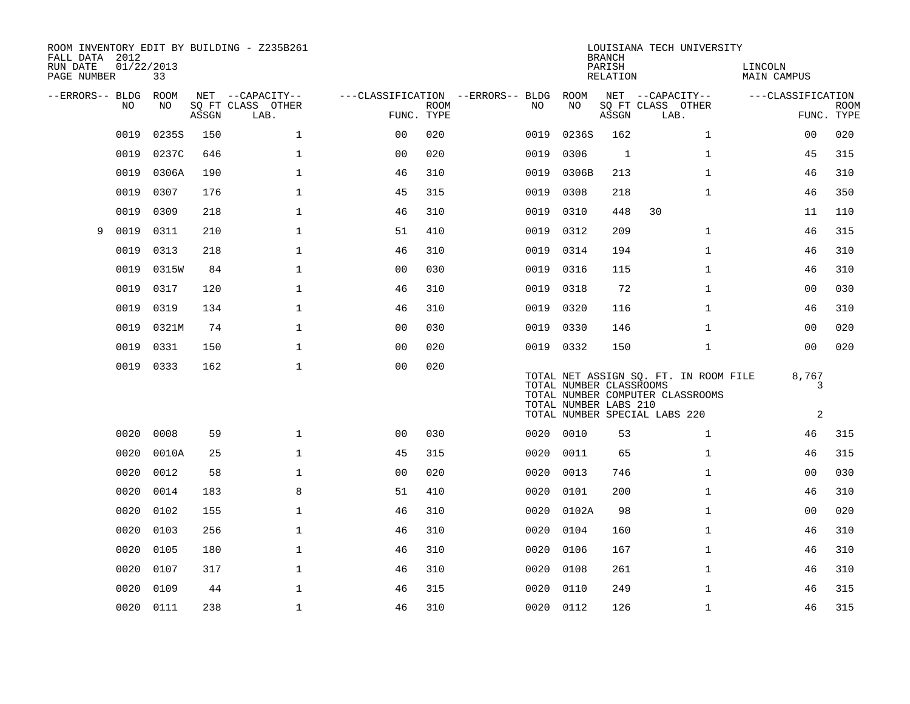| FALL DATA 2012<br>RUN DATE<br>PAGE NUMBER | 01/22/2013 | 33    |       | ROOM INVENTORY EDIT BY BUILDING - Z235B261 |                |             |                                   |                                                  | <b>BRANCH</b><br>PARISH<br>RELATION | LOUISIANA TECH UNIVERSITY                                                                                  | LINCOLN<br><b>MAIN CAMPUS</b> |                           |
|-------------------------------------------|------------|-------|-------|--------------------------------------------|----------------|-------------|-----------------------------------|--------------------------------------------------|-------------------------------------|------------------------------------------------------------------------------------------------------------|-------------------------------|---------------------------|
| --ERRORS-- BLDG                           |            | ROOM  |       | NET --CAPACITY--                           |                |             | ---CLASSIFICATION --ERRORS-- BLDG | ROOM                                             |                                     | NET --CAPACITY--                                                                                           | ---CLASSIFICATION             |                           |
|                                           | NO         | NO    | ASSGN | SQ FT CLASS OTHER<br>LAB.                  | FUNC. TYPE     | <b>ROOM</b> | NO.                               | NO                                               | ASSGN                               | SQ FT CLASS OTHER<br>LAB.                                                                                  |                               | <b>ROOM</b><br>FUNC. TYPE |
|                                           |            |       |       |                                            |                |             |                                   |                                                  |                                     |                                                                                                            |                               |                           |
|                                           | 0019       | 02355 | 150   | $\mathbf{1}$                               | 0 <sub>0</sub> | 020         | 0019                              | 0236S                                            | 162                                 | $\mathbf{1}$                                                                                               | 00                            | 020                       |
|                                           | 0019       | 0237C | 646   | $\mathbf{1}$                               | 0 <sub>0</sub> | 020         | 0019                              | 0306                                             | 1                                   | $\mathbf{1}$                                                                                               | 45                            | 315                       |
|                                           | 0019       | 0306A | 190   | $\mathbf{1}$                               | 46             | 310         | 0019                              | 0306B                                            | 213                                 | $\mathbf{1}$                                                                                               | 46                            | 310                       |
|                                           | 0019       | 0307  | 176   | $\mathbf{1}$                               | 45             | 315         | 0019                              | 0308                                             | 218                                 | $\mathbf{1}$                                                                                               | 46                            | 350                       |
|                                           | 0019       | 0309  | 218   | $\mathbf{1}$                               | 46             | 310         | 0019                              | 0310                                             | 448                                 | 30                                                                                                         | 11                            | 110                       |
| 9                                         | 0019       | 0311  | 210   | $\mathbf{1}$                               | 51             | 410         | 0019                              | 0312                                             | 209                                 | $\mathbf{1}$                                                                                               | 46                            | 315                       |
|                                           | 0019       | 0313  | 218   | $\mathbf{1}$                               | 46             | 310         | 0019                              | 0314                                             | 194                                 | $\mathbf{1}$                                                                                               | 46                            | 310                       |
|                                           | 0019       | 0315W | 84    | $\mathbf 1$                                | 00             | 030         | 0019                              | 0316                                             | 115                                 | $\mathbf{1}$                                                                                               | 46                            | 310                       |
|                                           | 0019       | 0317  | 120   | $\mathbf 1$                                | 46             | 310         | 0019                              | 0318                                             | 72                                  | $\mathbf{1}$                                                                                               | 00                            | 030                       |
|                                           | 0019       | 0319  | 134   | $\mathbf 1$                                | 46             | 310         | 0019                              | 0320                                             | 116                                 | $\mathbf{1}$                                                                                               | 46                            | 310                       |
|                                           | 0019       | 0321M | 74    | $\mathbf 1$                                | 0 <sub>0</sub> | 030         | 0019                              | 0330                                             | 146                                 | $\mathbf{1}$                                                                                               | 0 <sub>0</sub>                | 020                       |
|                                           | 0019       | 0331  | 150   | $\mathbf 1$                                | 00             | 020         |                                   | 0019 0332                                        | 150                                 | $\mathbf{1}$                                                                                               | 0 <sub>0</sub>                | 020                       |
|                                           | 0019 0333  |       | 162   | $\mathbf 1$                                | 0 <sub>0</sub> | 020         |                                   | TOTAL NUMBER CLASSROOMS<br>TOTAL NUMBER LABS 210 |                                     | TOTAL NET ASSIGN SQ. FT. IN ROOM FILE<br>TOTAL NUMBER COMPUTER CLASSROOMS<br>TOTAL NUMBER SPECIAL LABS 220 | 8,767<br>3<br>2               |                           |
|                                           | 0020       | 0008  | 59    | $\mathbf{1}$                               | 0 <sup>0</sup> | 030         |                                   | 0020 0010                                        | 53                                  | $\mathbf{1}$                                                                                               | 46                            | 315                       |
|                                           | 0020       | 0010A | 25    | $\mathbf{1}$                               | 45             | 315         | 0020                              | 0011                                             | 65                                  | $\mathbf{1}$                                                                                               | 46                            | 315                       |
|                                           | 0020       | 0012  | 58    | $\mathbf 1$                                | 0 <sub>0</sub> | 020         | 0020                              | 0013                                             | 746                                 | $\mathbf{1}$                                                                                               | 00                            | 030                       |
|                                           | 0020       | 0014  | 183   | 8                                          | 51             | 410         | 0020                              | 0101                                             | 200                                 | $\mathbf{1}$                                                                                               | 46                            | 310                       |
|                                           | 0020       | 0102  | 155   | $\mathbf 1$                                | 46             | 310         | 0020                              | 0102A                                            | 98                                  | $\mathbf{1}$                                                                                               | 0 <sub>0</sub>                | 020                       |
|                                           | 0020       | 0103  | 256   | $\mathbf{1}$                               | 46             | 310         | 0020                              | 0104                                             | 160                                 | $\mathbf{1}$                                                                                               | 46                            | 310                       |
|                                           | 0020       | 0105  | 180   | $\mathbf 1$                                | 46             | 310         | 0020                              | 0106                                             | 167                                 | $\mathbf{1}$                                                                                               | 46                            | 310                       |
|                                           | 0020       | 0107  | 317   | $\mathbf{1}$                               | 46             | 310         | 0020                              | 0108                                             | 261                                 | $\mathbf{1}$                                                                                               | 46                            | 310                       |
|                                           | 0020       | 0109  | 44    | $\mathbf{1}$                               | 46             | 315         | 0020                              | 0110                                             | 249                                 | $\mathbf{1}$                                                                                               | 46                            | 315                       |
|                                           | 0020 0111  |       | 238   | $\mathbf 1$                                | 46             | 310         |                                   | 0020 0112                                        | 126                                 | $\mathbf{1}$                                                                                               | 46                            | 315                       |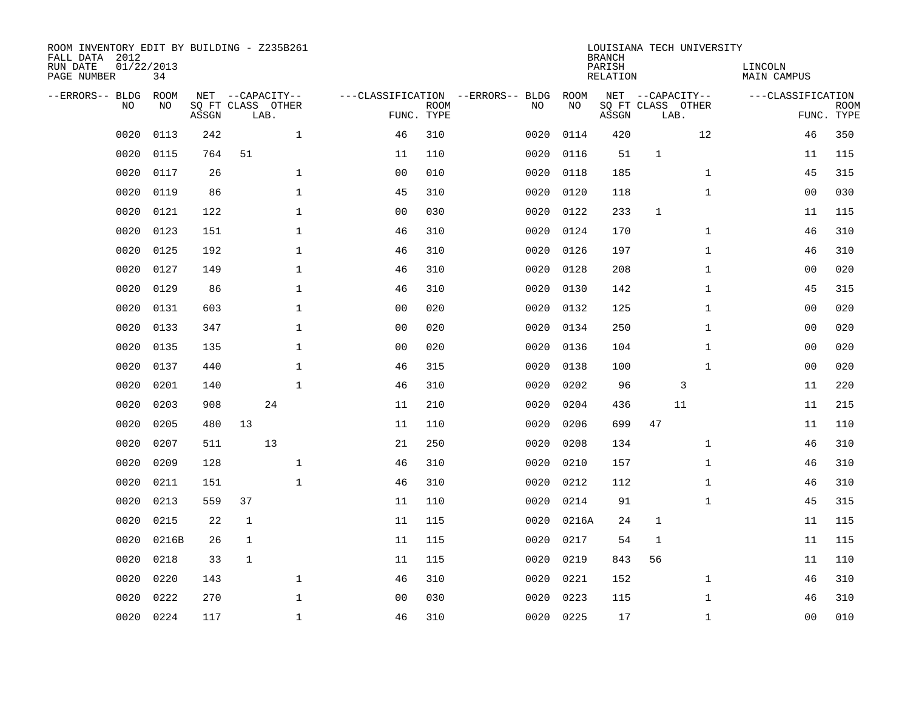| ROOM INVENTORY EDIT BY BUILDING - Z235B261<br>FALL DATA 2012<br>RUN DATE<br>PAGE NUMBER | 01/22/2013<br>34  |       |              |                                       |                |             |                                         |            | <b>BRANCH</b><br>PARISH<br><b>RELATION</b> | LOUISIANA TECH UNIVERSITY             |              | LINCOLN<br>MAIN CAMPUS |             |
|-----------------------------------------------------------------------------------------|-------------------|-------|--------------|---------------------------------------|----------------|-------------|-----------------------------------------|------------|--------------------------------------------|---------------------------------------|--------------|------------------------|-------------|
| --ERRORS-- BLDG<br>NO.                                                                  | <b>ROOM</b><br>NO |       |              | NET --CAPACITY--<br>SQ FT CLASS OTHER |                | <b>ROOM</b> | ---CLASSIFICATION --ERRORS-- BLDG<br>NO | ROOM<br>NO |                                            | NET --CAPACITY--<br>SQ FT CLASS OTHER |              | ---CLASSIFICATION      | <b>ROOM</b> |
|                                                                                         |                   | ASSGN |              | LAB.                                  |                | FUNC. TYPE  |                                         |            | ASSGN                                      | LAB.                                  |              |                        | FUNC. TYPE  |
| 0020                                                                                    | 0113              | 242   |              | $\mathbf{1}$                          | 46             | 310         | 0020                                    | 0114       | 420                                        |                                       | 12           | 46                     | 350         |
| 0020                                                                                    | 0115              | 764   | 51           |                                       | 11             | 110         | 0020                                    | 0116       | 51                                         | $\mathbf{1}$                          |              | 11                     | 115         |
| 0020                                                                                    | 0117              | 26    |              | $\mathbf 1$                           | 0 <sub>0</sub> | 010         | 0020                                    | 0118       | 185                                        |                                       | $\mathbf{1}$ | 45                     | 315         |
| 0020                                                                                    | 0119              | 86    |              | $\mathbf 1$                           | 45             | 310         | 0020                                    | 0120       | 118                                        |                                       | $\mathbf{1}$ | 00                     | 030         |
| 0020                                                                                    | 0121              | 122   |              | $\mathbf{1}$                          | 0 <sub>0</sub> | 030         | 0020                                    | 0122       | 233                                        | $\mathbf{1}$                          |              | 11                     | 115         |
| 0020                                                                                    | 0123              | 151   |              | $\mathbf 1$                           | 46             | 310         | 0020                                    | 0124       | 170                                        |                                       | $\mathbf{1}$ | 46                     | 310         |
| 0020                                                                                    | 0125              | 192   |              | $\mathbf{1}$                          | 46             | 310         | 0020                                    | 0126       | 197                                        |                                       | $\mathbf{1}$ | 46                     | 310         |
| 0020                                                                                    | 0127              | 149   |              | $\mathbf{1}$                          | 46             | 310         | 0020                                    | 0128       | 208                                        |                                       | $\mathbf{1}$ | 0 <sub>0</sub>         | 020         |
| 0020                                                                                    | 0129              | 86    |              | $\mathbf 1$                           | 46             | 310         | 0020                                    | 0130       | 142                                        |                                       | $\mathbf{1}$ | 45                     | 315         |
| 0020                                                                                    | 0131              | 603   |              | $\mathbf 1$                           | 0 <sub>0</sub> | 020         | 0020                                    | 0132       | 125                                        |                                       | $\mathbf{1}$ | 0 <sub>0</sub>         | 020         |
| 0020                                                                                    | 0133              | 347   |              | $\mathbf 1$                           | 0 <sub>0</sub> | 020         | 0020                                    | 0134       | 250                                        |                                       | $\mathbf{1}$ | 0 <sub>0</sub>         | 020         |
| 0020                                                                                    | 0135              | 135   |              | $\mathbf 1$                           | 0 <sub>0</sub> | 020         | 0020                                    | 0136       | 104                                        |                                       | $\mathbf{1}$ | 0 <sub>0</sub>         | 020         |
| 0020                                                                                    | 0137              | 440   |              | $\mathbf 1$                           | 46             | 315         | 0020                                    | 0138       | 100                                        |                                       | $\mathbf{1}$ | 00                     | 020         |
| 0020                                                                                    | 0201              | 140   |              | $\mathbf{1}$                          | 46             | 310         | 0020                                    | 0202       | 96                                         | 3                                     |              | 11                     | 220         |
| 0020                                                                                    | 0203              | 908   |              | 24                                    | 11             | 210         | 0020                                    | 0204       | 436                                        | 11                                    |              | 11                     | 215         |
| 0020                                                                                    | 0205              | 480   | 13           |                                       | 11             | 110         | 0020                                    | 0206       | 699                                        | 47                                    |              | 11                     | 110         |
| 0020                                                                                    | 0207              | 511   |              | 13                                    | 21             | 250         | 0020                                    | 0208       | 134                                        |                                       | $\mathbf{1}$ | 46                     | 310         |
| 0020                                                                                    | 0209              | 128   |              | $\mathbf 1$                           | 46             | 310         | 0020                                    | 0210       | 157                                        |                                       | $\mathbf{1}$ | 46                     | 310         |
| 0020                                                                                    | 0211              | 151   |              | $\mathbf 1$                           | 46             | 310         | 0020                                    | 0212       | 112                                        |                                       | $\mathbf{1}$ | 46                     | 310         |
| 0020                                                                                    | 0213              | 559   | 37           |                                       | 11             | 110         | 0020                                    | 0214       | 91                                         |                                       | $\mathbf{1}$ | 45                     | 315         |
| 0020                                                                                    | 0215              | 22    | $\mathbf 1$  |                                       | 11             | 115         | 0020                                    | 0216A      | 24                                         | $\mathbf 1$                           |              | 11                     | 115         |
| 0020                                                                                    | 0216B             | 26    | $\mathbf{1}$ |                                       | 11             | 115         | 0020                                    | 0217       | 54                                         | 1                                     |              | 11                     | 115         |
| 0020                                                                                    | 0218              | 33    | $\mathbf{1}$ |                                       | 11             | 115         | 0020                                    | 0219       | 843                                        | 56                                    |              | 11                     | 110         |
| 0020                                                                                    | 0220              | 143   |              | $\mathbf{1}$                          | 46             | 310         | 0020                                    | 0221       | 152                                        |                                       | $\mathbf{1}$ | 46                     | 310         |
| 0020                                                                                    | 0222              | 270   |              | $\mathbf 1$                           | 0 <sub>0</sub> | 030         | 0020                                    | 0223       | 115                                        |                                       | $\mathbf{1}$ | 46                     | 310         |
| 0020                                                                                    | 0224              | 117   |              | $\mathbf{1}$                          | 46             | 310         |                                         | 0020 0225  | 17                                         |                                       | $\mathbf{1}$ | 0 <sub>0</sub>         | 010         |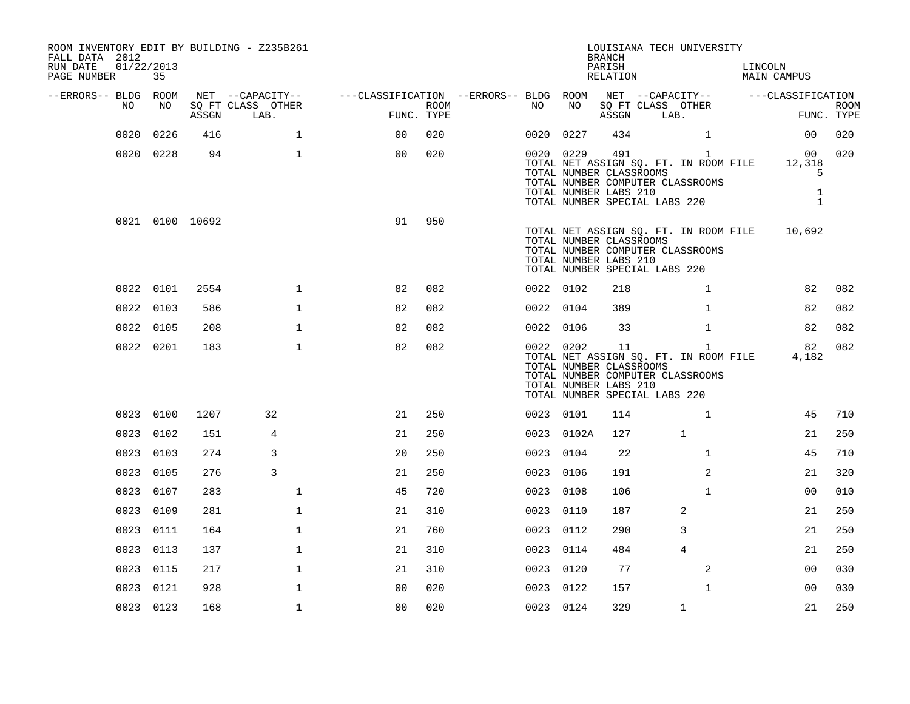| ROOM INVENTORY EDIT BY BUILDING - Z235B261<br>FALL DATA 2012<br>RUN DATE<br>PAGE NUMBER | 01/22/2013<br>35 |       |                                               |                                                                             |                    |           |            | <b>BRANCH</b><br>PARISH<br>RELATION                    | LOUISIANA TECH UNIVERSITY                                                                                                                   | LINCOLN<br>MAIN CAMPUS            |                           |
|-----------------------------------------------------------------------------------------|------------------|-------|-----------------------------------------------|-----------------------------------------------------------------------------|--------------------|-----------|------------|--------------------------------------------------------|---------------------------------------------------------------------------------------------------------------------------------------------|-----------------------------------|---------------------------|
| --ERRORS-- BLDG ROOM<br>NO                                                              | NO               | ASSGN | NET --CAPACITY--<br>SQ FT CLASS OTHER<br>LAB. | ---CLASSIFICATION --ERRORS-- BLDG ROOM NET --CAPACITY-- -----CLASSIFICATION | ROOM<br>FUNC. TYPE | NO        | NO         | ASSGN                                                  | SQ FT CLASS OTHER<br>LAB.                                                                                                                   |                                   | <b>ROOM</b><br>FUNC. TYPE |
| 0020                                                                                    | 0226             | 416   | $\mathbf 1$                                   | 00                                                                          | 020                |           | 0020 0227  | 434                                                    | $\mathbf{1}$                                                                                                                                | 00 <sub>o</sub>                   | 020                       |
|                                                                                         | 0020 0228        | 94    | $\mathbf{1}$                                  | 0 <sub>0</sub>                                                              | 020                |           | 0020 0229  | TOTAL NUMBER CLASSROOMS<br>TOTAL NUMBER LABS 210       | 491 72<br>$\mathbf{1}$<br>TOTAL NET ASSIGN SQ. FT. IN ROOM FILE 12,318<br>TOTAL NUMBER COMPUTER CLASSROOMS<br>TOTAL NUMBER SPECIAL LABS 220 | 5<br>$\mathbf{1}$<br>$\mathbf{1}$ | 00 020                    |
|                                                                                         | 0021 0100 10692  |       |                                               | 91                                                                          | 950                |           |            | TOTAL NUMBER CLASSROOMS<br>TOTAL NUMBER LABS 210       | TOTAL NET ASSIGN SQ. FT. IN ROOM FILE 10,692<br>TOTAL NUMBER COMPUTER CLASSROOMS<br>TOTAL NUMBER SPECIAL LABS 220                           |                                   |                           |
|                                                                                         | 0022 0101        | 2554  | $\mathbf 1$                                   | 82                                                                          | 082                | 0022 0102 |            | 218                                                    | $\mathbf{1}$                                                                                                                                | 82                                | 082                       |
|                                                                                         | 0022 0103        | 586   | $\mathbf{1}$                                  | 82                                                                          | 082                | 0022 0104 |            | 389                                                    | $\mathbf{1}$                                                                                                                                | 82                                | 082                       |
|                                                                                         | 0022 0105        | 208   | $\mathbf{1}$                                  | 82                                                                          | 082                | 0022 0106 |            | 33                                                     | $\mathbf{1}$                                                                                                                                | 82                                | 082                       |
|                                                                                         | 0022 0201        | 183   | $\mathbf{1}$                                  | 82                                                                          | 082                |           | 0022 0202  | 11<br>TOTAL NUMBER CLASSROOMS<br>TOTAL NUMBER LABS 210 | $\mathbf{1}$<br>TOTAL NET ASSIGN SQ. FT. IN ROOM FILE<br>TOTAL NUMBER COMPUTER CLASSROOMS<br>TOTAL NUMBER SPECIAL LABS 220                  | 82<br>4,182                       | 082                       |
|                                                                                         | 0023 0100        | 1207  | 32                                            | 21                                                                          | 250                | 0023 0101 |            | 114                                                    | $\mathbf{1}$                                                                                                                                | 45                                | 710                       |
|                                                                                         | 0023 0102        | 151   | 4                                             | 21                                                                          | 250                |           | 0023 0102A | 127                                                    | $\mathbf{1}$                                                                                                                                | 21                                | 250                       |
|                                                                                         | 0023 0103        | 274   | 3                                             | 20                                                                          | 250                | 0023 0104 |            | 22                                                     | $\mathbf{1}$                                                                                                                                | 45                                | 710                       |
|                                                                                         | 0023 0105        | 276   | 3                                             | 21                                                                          | 250                | 0023 0106 |            | 191                                                    | $\overline{2}$                                                                                                                              | 21                                | 320                       |
|                                                                                         | 0023 0107        | 283   | $\mathbf{1}$                                  | 45                                                                          | 720                | 0023 0108 |            | 106                                                    | $\mathbf{1}$                                                                                                                                | 0 <sub>0</sub>                    | 010                       |
|                                                                                         | 0023 0109        | 281   | $\mathbf{1}$                                  | 21                                                                          | 310                | 0023 0110 |            | 187                                                    | 2                                                                                                                                           | 21                                | 250                       |
|                                                                                         | 0023 0111        | 164   | $\mathbf 1$                                   | 21                                                                          | 760                | 0023 0112 |            | 290                                                    | 3                                                                                                                                           | 21                                | 250                       |
|                                                                                         | 0023 0113        | 137   | $\mathbf{1}$                                  | 21                                                                          | 310                | 0023 0114 |            | 484                                                    | $\overline{4}$                                                                                                                              | 21                                | 250                       |
|                                                                                         | 0023 0115        | 217   | $\mathbf{1}$                                  | 21                                                                          | 310                | 0023 0120 |            | 77                                                     | 2                                                                                                                                           | 0 <sub>0</sub>                    | 030                       |
| 0023                                                                                    | 0121             | 928   | $\mathbf 1$                                   | 0 <sub>0</sub>                                                              | 020                | 0023 0122 |            | 157                                                    | $\mathbf{1}$                                                                                                                                | 00                                | 030                       |
|                                                                                         | 0023 0123        | 168   | $\mathbf{1}$                                  | 0 <sub>0</sub>                                                              | 020                | 0023 0124 |            | 329                                                    | $\mathbf{1}$                                                                                                                                | 21                                | 250                       |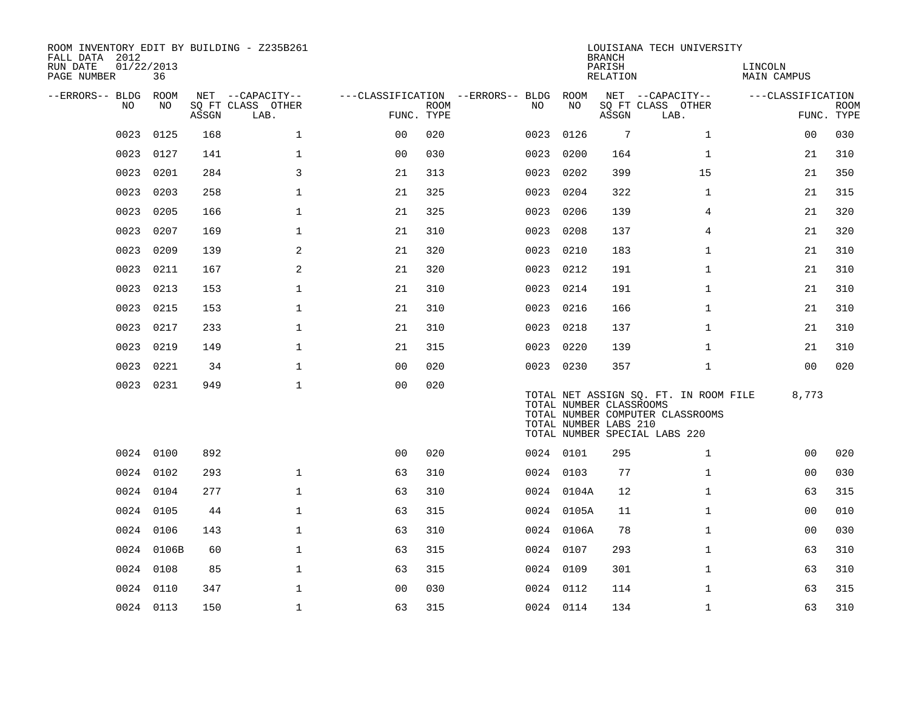| ROOM INVENTORY EDIT BY BUILDING - Z235B261<br>FALL DATA 2012<br>RUN DATE<br>PAGE NUMBER | 01/22/2013<br>36 |       |                                               |                |             |                                          |            | <b>BRANCH</b><br>PARISH<br>RELATION              | LOUISIANA TECH UNIVERSITY                                                                                  | LINCOLN<br><b>MAIN CAMPUS</b> |                           |
|-----------------------------------------------------------------------------------------|------------------|-------|-----------------------------------------------|----------------|-------------|------------------------------------------|------------|--------------------------------------------------|------------------------------------------------------------------------------------------------------------|-------------------------------|---------------------------|
| --ERRORS-- BLDG<br>NO                                                                   | ROOM<br>NO       | ASSGN | NET --CAPACITY--<br>SQ FT CLASS OTHER<br>LAB. | FUNC. TYPE     | <b>ROOM</b> | ---CLASSIFICATION --ERRORS-- BLDG<br>NO. | ROOM<br>NO | ASSGN                                            | NET --CAPACITY--<br>SQ FT CLASS OTHER<br>LAB.                                                              | ---CLASSIFICATION             | <b>ROOM</b><br>FUNC. TYPE |
| 0023                                                                                    | 0125             | 168   | $\mathbf 1$                                   | 0 <sub>0</sub> | 020         | 0023                                     | 0126       | 7                                                | $\mathbf{1}$                                                                                               | 00                            | 030                       |
| 0023                                                                                    | 0127             | 141   | $\mathbf{1}$                                  | 0 <sub>0</sub> | 030         | 0023                                     | 0200       | 164                                              | $\mathbf{1}$                                                                                               | 21                            | 310                       |
| 0023                                                                                    | 0201             | 284   | 3                                             | 21             | 313         | 0023                                     | 0202       | 399                                              | 15                                                                                                         | 21                            | 350                       |
| 0023                                                                                    | 0203             | 258   | $\mathbf{1}$                                  | 21             | 325         | 0023                                     | 0204       | 322                                              | $\mathbf{1}$                                                                                               | 21                            | 315                       |
| 0023                                                                                    | 0205             | 166   | $\mathbf 1$                                   | 21             | 325         | 0023                                     | 0206       | 139                                              | 4                                                                                                          | 21                            | 320                       |
| 0023                                                                                    | 0207             | 169   | $\mathbf{1}$                                  | 21             | 310         | 0023                                     | 0208       | 137                                              | $\overline{4}$                                                                                             | 21                            | 320                       |
| 0023                                                                                    | 0209             | 139   | 2                                             | 21             | 320         | 0023                                     | 0210       | 183                                              | $\mathbf{1}$                                                                                               | 21                            | 310                       |
| 0023                                                                                    | 0211             | 167   | 2                                             | 21             | 320         | 0023                                     | 0212       | 191                                              | $\mathbf{1}$                                                                                               | 21                            | 310                       |
| 0023                                                                                    | 0213             | 153   | $\mathbf 1$                                   | 21             | 310         | 0023 0214                                |            | 191                                              | $\mathbf{1}$                                                                                               | 21                            | 310                       |
| 0023                                                                                    | 0215             | 153   | $\mathbf{1}$                                  | 21             | 310         | 0023                                     | 0216       | 166                                              | $\mathbf{1}$                                                                                               | 21                            | 310                       |
| 0023                                                                                    | 0217             | 233   | $\mathbf 1$                                   | 21             | 310         | 0023 0218                                |            | 137                                              | $\mathbf{1}$                                                                                               | 21                            | 310                       |
| 0023                                                                                    | 0219             | 149   | $\mathbf 1$                                   | 21             | 315         | 0023                                     | 0220       | 139                                              | $\mathbf{1}$                                                                                               | 21                            | 310                       |
| 0023                                                                                    | 0221             | 34    | $\mathbf{1}$                                  | 0 <sub>0</sub> | 020         | 0023 0230                                |            | 357                                              | $\mathbf{1}$                                                                                               | 0 <sub>0</sub>                | 020                       |
|                                                                                         | 0023 0231        | 949   | $\mathbf{1}$                                  | 0 <sub>0</sub> | 020         |                                          |            | TOTAL NUMBER CLASSROOMS<br>TOTAL NUMBER LABS 210 | TOTAL NET ASSIGN SQ. FT. IN ROOM FILE<br>TOTAL NUMBER COMPUTER CLASSROOMS<br>TOTAL NUMBER SPECIAL LABS 220 | 8,773                         |                           |
|                                                                                         | 0024 0100        | 892   |                                               | 0 <sub>0</sub> | 020         | 0024 0101                                |            | 295                                              | $\mathbf{1}$                                                                                               | 0 <sub>0</sub>                | 020                       |
|                                                                                         | 0024 0102        | 293   | $\mathbf{1}$                                  | 63             | 310         | 0024 0103                                |            | 77                                               | $\mathbf{1}$                                                                                               | 00                            | 030                       |
|                                                                                         | 0024 0104        | 277   | $\mathbf{1}$                                  | 63             | 310         |                                          | 0024 0104A | 12                                               | $\mathbf{1}$                                                                                               | 63                            | 315                       |
|                                                                                         | 0024 0105        | 44    | $\mathbf{1}$                                  | 63             | 315         |                                          | 0024 0105A | 11                                               | $\mathbf{1}$                                                                                               | 0 <sub>0</sub>                | 010                       |
|                                                                                         | 0024 0106        | 143   | $\mathbf{1}$                                  | 63             | 310         |                                          | 0024 0106A | 78                                               | $\mathbf{1}$                                                                                               | 0 <sub>0</sub>                | 030                       |
|                                                                                         | 0024 0106B       | 60    | $\mathbf 1$                                   | 63             | 315         | 0024 0107                                |            | 293                                              | $\mathbf{1}$                                                                                               | 63                            | 310                       |
|                                                                                         | 0024 0108        | 85    | $\mathbf{1}$                                  | 63             | 315         | 0024 0109                                |            | 301                                              | $\mathbf{1}$                                                                                               | 63                            | 310                       |
| 0024                                                                                    | 0110             | 347   | $\mathbf{1}$                                  | 0 <sub>0</sub> | 030         | 0024 0112                                |            | 114                                              | $\mathbf{1}$                                                                                               | 63                            | 315                       |
|                                                                                         | 0024 0113        | 150   | $\mathbf 1$                                   | 63             | 315         | 0024 0114                                |            | 134                                              | $\mathbf{1}$                                                                                               | 63                            | 310                       |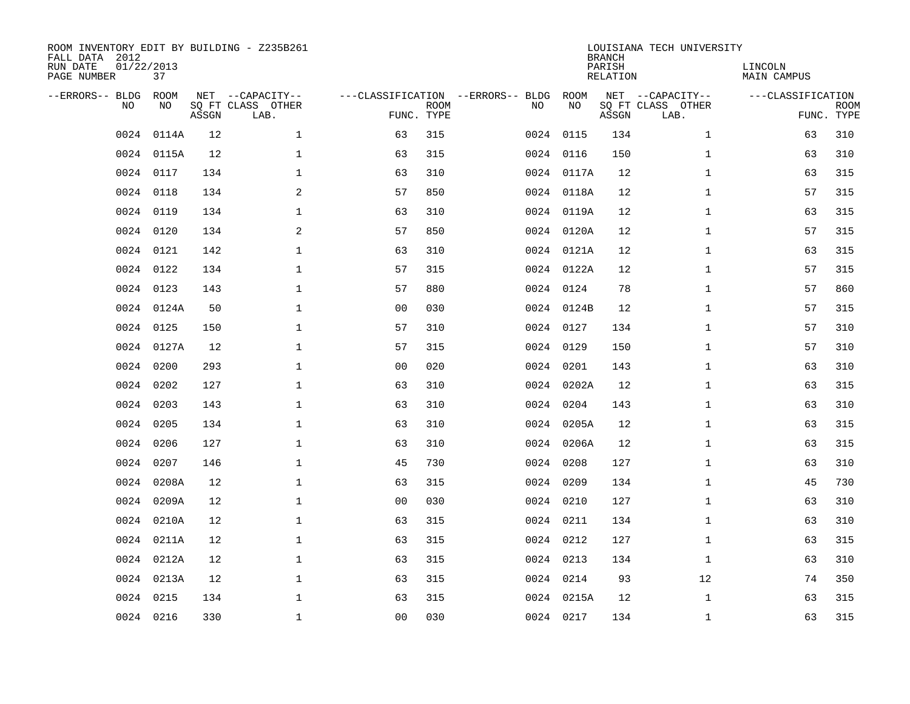| ROOM INVENTORY EDIT BY BUILDING - Z235B261<br>FALL DATA 2012<br>RUN DATE<br>PAGE NUMBER | 01/22/2013<br>37 |       |                                               |                |                           |                                         |            | <b>BRANCH</b><br>PARISH<br><b>RELATION</b> | LOUISIANA TECH UNIVERSITY                     | LINCOLN<br><b>MAIN CAMPUS</b> |                           |
|-----------------------------------------------------------------------------------------|------------------|-------|-----------------------------------------------|----------------|---------------------------|-----------------------------------------|------------|--------------------------------------------|-----------------------------------------------|-------------------------------|---------------------------|
| --ERRORS-- BLDG<br>NO                                                                   | ROOM<br>NO       | ASSGN | NET --CAPACITY--<br>SQ FT CLASS OTHER<br>LAB. |                | <b>ROOM</b><br>FUNC. TYPE | ---CLASSIFICATION --ERRORS-- BLDG<br>NO | ROOM<br>NO | ASSGN                                      | NET --CAPACITY--<br>SQ FT CLASS OTHER<br>LAB. | ---CLASSIFICATION             | <b>ROOM</b><br>FUNC. TYPE |
| 0024                                                                                    | 0114A            | 12    | $\mathbf{1}$                                  | 63             | 315                       |                                         | 0024 0115  | 134                                        | $\mathbf{1}$                                  | 63                            | 310                       |
| 0024                                                                                    | 0115A            | 12    | $\mathbf 1$                                   | 63             | 315                       |                                         | 0024 0116  | 150                                        | $\mathbf{1}$                                  | 63                            | 310                       |
| 0024                                                                                    | 0117             | 134   | $\mathbf 1$                                   | 63             | 310                       |                                         | 0024 0117A | 12                                         | $\mathbf{1}$                                  | 63                            | 315                       |
| 0024                                                                                    | 0118             | 134   | $\overline{a}$                                | 57             | 850                       |                                         | 0024 0118A | 12                                         | $\mathbf{1}$                                  | 57                            | 315                       |
| 0024                                                                                    | 0119             | 134   | $\mathbf 1$                                   | 63             | 310                       |                                         | 0024 0119A | 12                                         | $\mathbf{1}$                                  | 63                            | 315                       |
|                                                                                         | 0024 0120        | 134   | 2                                             | 57             | 850                       |                                         | 0024 0120A | 12                                         | $\mathbf{1}$                                  | 57                            | 315                       |
| 0024                                                                                    | 0121             | 142   | $\mathbf{1}$                                  | 63             | 310                       |                                         | 0024 0121A | 12                                         | $\mathbf{1}$                                  | 63                            | 315                       |
|                                                                                         | 0024 0122        | 134   | $\mathbf 1$                                   | 57             | 315                       |                                         | 0024 0122A | 12                                         | $\mathbf{1}$                                  | 57                            | 315                       |
| 0024                                                                                    | 0123             | 143   | $\mathbf{1}$                                  | 57             | 880                       |                                         | 0024 0124  | 78                                         | $\mathbf{1}$                                  | 57                            | 860                       |
|                                                                                         | 0024 0124A       | 50    | $\mathbf 1$                                   | 0 <sub>0</sub> | 030                       |                                         | 0024 0124B | 12                                         | $\mathbf{1}$                                  | 57                            | 315                       |
| 0024                                                                                    | 0125             | 150   | $\mathbf{1}$                                  | 57             | 310                       |                                         | 0024 0127  | 134                                        | $\mathbf{1}$                                  | 57                            | 310                       |
|                                                                                         | 0024 0127A       | 12    | $\mathbf 1$                                   | 57             | 315                       |                                         | 0024 0129  | 150                                        | $\mathbf{1}$                                  | 57                            | 310                       |
| 0024                                                                                    | 0200             | 293   | $\mathbf{1}$                                  | 00             | 020                       |                                         | 0024 0201  | 143                                        | $\mathbf{1}$                                  | 63                            | 310                       |
| 0024                                                                                    | 0202             | 127   | $\mathbf 1$                                   | 63             | 310                       |                                         | 0024 0202A | 12                                         | $\mathbf{1}$                                  | 63                            | 315                       |
| 0024                                                                                    | 0203             | 143   | 1                                             | 63             | 310                       |                                         | 0024 0204  | 143                                        | $\mathbf{1}$                                  | 63                            | 310                       |
| 0024                                                                                    | 0205             | 134   | $\mathbf 1$                                   | 63             | 310                       |                                         | 0024 0205A | 12                                         | $\mathbf{1}$                                  | 63                            | 315                       |
| 0024                                                                                    | 0206             | 127   | $\mathbf 1$                                   | 63             | 310                       |                                         | 0024 0206A | 12                                         | $\mathbf{1}$                                  | 63                            | 315                       |
| 0024                                                                                    | 0207             | 146   | $\mathbf 1$                                   | 45             | 730                       |                                         | 0024 0208  | 127                                        | $\mathbf{1}$                                  | 63                            | 310                       |
| 0024                                                                                    | 0208A            | 12    | $\mathbf 1$                                   | 63             | 315                       |                                         | 0024 0209  | 134                                        | $\mathbf{1}$                                  | 45                            | 730                       |
| 0024                                                                                    | 0209A            | 12    | $\mathbf 1$                                   | 0 <sub>0</sub> | 030                       |                                         | 0024 0210  | 127                                        | $\mathbf{1}$                                  | 63                            | 310                       |
| 0024                                                                                    | 0210A            | 12    | $\mathbf{1}$                                  | 63             | 315                       |                                         | 0024 0211  | 134                                        | $\mathbf{1}$                                  | 63                            | 310                       |
| 0024                                                                                    | 0211A            | 12    | $\mathbf{1}$                                  | 63             | 315                       |                                         | 0024 0212  | 127                                        | $\mathbf{1}$                                  | 63                            | 315                       |
|                                                                                         | 0024 0212A       | 12    | $\mathbf{1}$                                  | 63             | 315                       |                                         | 0024 0213  | 134                                        | $\mathbf{1}$                                  | 63                            | 310                       |
|                                                                                         | 0024 0213A       | 12    | $\mathbf 1$                                   | 63             | 315                       |                                         | 0024 0214  | 93                                         | 12                                            | 74                            | 350                       |
| 0024                                                                                    | 0215             | 134   | $\mathbf 1$                                   | 63             | 315                       |                                         | 0024 0215A | 12                                         | $\mathbf{1}$                                  | 63                            | 315                       |
|                                                                                         | 0024 0216        | 330   | $\mathbf 1$                                   | 00             | 030                       |                                         | 0024 0217  | 134                                        | $\mathbf{1}$                                  | 63                            | 315                       |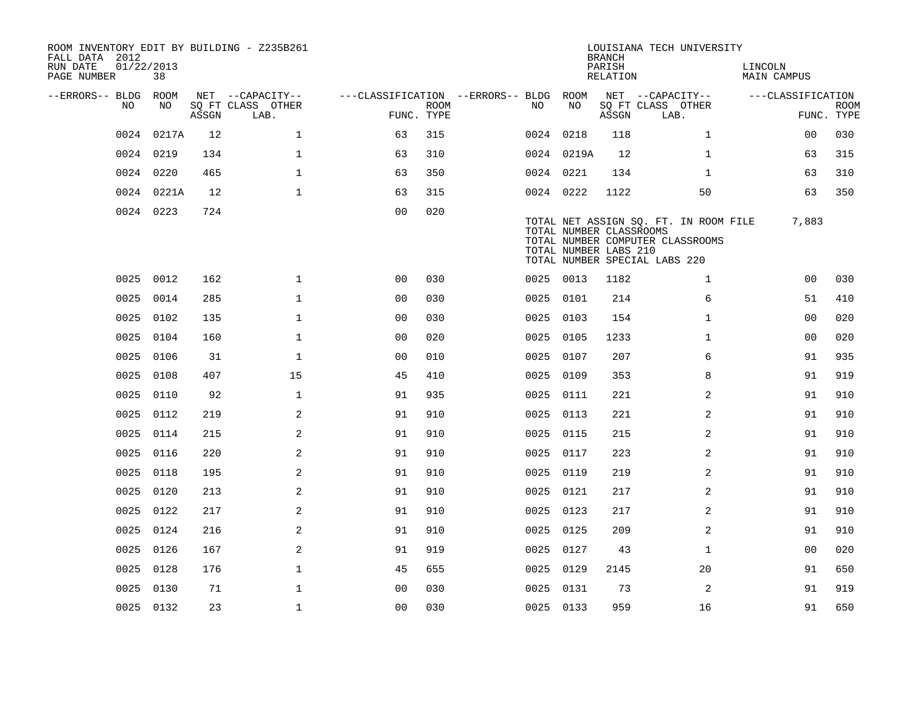| FALL DATA 2012<br>RUN DATE<br>PAGE NUMBER | 01/22/2013<br>38 |       | ROOM INVENTORY EDIT BY BUILDING - Z235B261 |                                        |                           |           |                                                  | <b>BRANCH</b><br>PARISH<br>RELATION | LOUISIANA TECH UNIVERSITY                                                                                  | LINCOLN<br>MAIN CAMPUS |                           |
|-------------------------------------------|------------------|-------|--------------------------------------------|----------------------------------------|---------------------------|-----------|--------------------------------------------------|-------------------------------------|------------------------------------------------------------------------------------------------------------|------------------------|---------------------------|
| --ERRORS-- BLDG ROOM                      |                  |       | NET --CAPACITY--                           | ---CLASSIFICATION --ERRORS-- BLDG ROOM |                           |           |                                                  |                                     | NET --CAPACITY--                                                                                           | ---CLASSIFICATION      |                           |
|                                           | NO<br>NO.        | ASSGN | SQ FT CLASS OTHER<br>LAB.                  |                                        | <b>ROOM</b><br>FUNC. TYPE | NO.       | NO                                               | ASSGN                               | SQ FT CLASS OTHER<br>LAB.                                                                                  |                        | <b>ROOM</b><br>FUNC. TYPE |
|                                           | 0217A<br>0024    | 12    | $\mathbf{1}$                               | 63                                     | 315                       |           | 0024 0218                                        | 118                                 | $\mathbf{1}$                                                                                               | 0 <sub>0</sub>         | 030                       |
|                                           | 0024 0219        | 134   | $\mathbf{1}$                               | 63                                     | 310                       |           | 0024 0219A                                       | 12                                  | $\mathbf{1}$                                                                                               | 63                     | 315                       |
|                                           | 0024 0220        | 465   | $\mathbf{1}$                               | 63                                     | 350                       |           | 0024 0221                                        | 134                                 | $\mathbf{1}$                                                                                               | 63                     | 310                       |
|                                           | 0024 0221A       | 12    | $\mathbf{1}$                               | 63                                     | 315                       | 0024 0222 |                                                  | 1122                                | 50                                                                                                         | 63                     | 350                       |
|                                           | 0024 0223        | 724   |                                            | 0 <sub>0</sub>                         | 020                       |           | TOTAL NUMBER CLASSROOMS<br>TOTAL NUMBER LABS 210 |                                     | TOTAL NET ASSIGN SQ. FT. IN ROOM FILE<br>TOTAL NUMBER COMPUTER CLASSROOMS<br>TOTAL NUMBER SPECIAL LABS 220 | 7,883                  |                           |
|                                           | 0025 0012        | 162   | $\mathbf{1}$                               | 00                                     | 030                       | 0025 0013 |                                                  | 1182                                | $\mathbf{1}$                                                                                               | 0 <sub>0</sub>         | 030                       |
|                                           | 0014<br>0025     | 285   | $\mathbf{1}$                               | 0 <sub>0</sub>                         | 030                       | 0025 0101 |                                                  | 214                                 | 6                                                                                                          | 51                     | 410                       |
|                                           | 0025 0102        | 135   | $\mathbf 1$                                | 0 <sub>0</sub>                         | 030                       |           | 0025 0103                                        | 154                                 | $\mathbf{1}$                                                                                               | 0 <sub>0</sub>         | 020                       |
|                                           | 0025<br>0104     | 160   | $\mathbf{1}$                               | 0 <sub>0</sub>                         | 020                       | 0025 0105 |                                                  | 1233                                | $\mathbf{1}$                                                                                               | 0 <sub>0</sub>         | 020                       |
|                                           | 0106<br>0025     | 31    | $\mathbf{1}$                               | 0 <sub>0</sub>                         | 010                       |           | 0025 0107                                        | 207                                 | 6                                                                                                          | 91                     | 935                       |
|                                           | 0025<br>0108     | 407   | 15                                         | 45                                     | 410                       | 0025 0109 |                                                  | 353                                 | 8                                                                                                          | 91                     | 919                       |
|                                           | 0025<br>0110     | 92    | $\mathbf 1$                                | 91                                     | 935                       |           | 0025 0111                                        | 221                                 | 2                                                                                                          | 91                     | 910                       |
|                                           | 0025<br>0112     | 219   | 2                                          | 91                                     | 910                       | 0025 0113 |                                                  | 221                                 | $\overline{a}$                                                                                             | 91                     | 910                       |
|                                           | 0025<br>0114     | 215   | 2                                          | 91                                     | 910                       |           | 0025 0115                                        | 215                                 | 2                                                                                                          | 91                     | 910                       |
|                                           | 0025<br>0116     | 220   | 2                                          | 91                                     | 910                       | 0025 0117 |                                                  | 223                                 | 2                                                                                                          | 91                     | 910                       |
|                                           | 0025<br>0118     | 195   | 2                                          | 91                                     | 910                       | 0025 0119 |                                                  | 219                                 | 2                                                                                                          | 91                     | 910                       |
|                                           | 0120<br>0025     | 213   | 2                                          | 91                                     | 910                       | 0025 0121 |                                                  | 217                                 | 2                                                                                                          | 91                     | 910                       |
|                                           | 0025 0122        | 217   | 2                                          | 91                                     | 910                       | 0025 0123 |                                                  | 217                                 | 2                                                                                                          | 91                     | 910                       |
|                                           | 0025<br>0124     | 216   | $\overline{2}$                             | 91                                     | 910                       | 0025 0125 |                                                  | 209                                 | 2                                                                                                          | 91                     | 910                       |
|                                           | 0025 0126        | 167   | 2                                          | 91                                     | 919                       | 0025 0127 |                                                  | 43                                  | $\mathbf{1}$                                                                                               | 00                     | 020                       |
|                                           | 0025<br>0128     | 176   | $\mathbf{1}$                               | 45                                     | 655                       | 0025 0129 |                                                  | 2145                                | 20                                                                                                         | 91                     | 650                       |
|                                           | 0025 0130        | 71    | $\mathbf 1$                                | 0 <sub>0</sub>                         | 030                       | 0025 0131 |                                                  | 73                                  | 2                                                                                                          | 91                     | 919                       |
|                                           | 0025 0132        | 23    | $\mathbf{1}$                               | 0 <sub>0</sub>                         | 030                       | 0025 0133 |                                                  | 959                                 | 16                                                                                                         | 91                     | 650                       |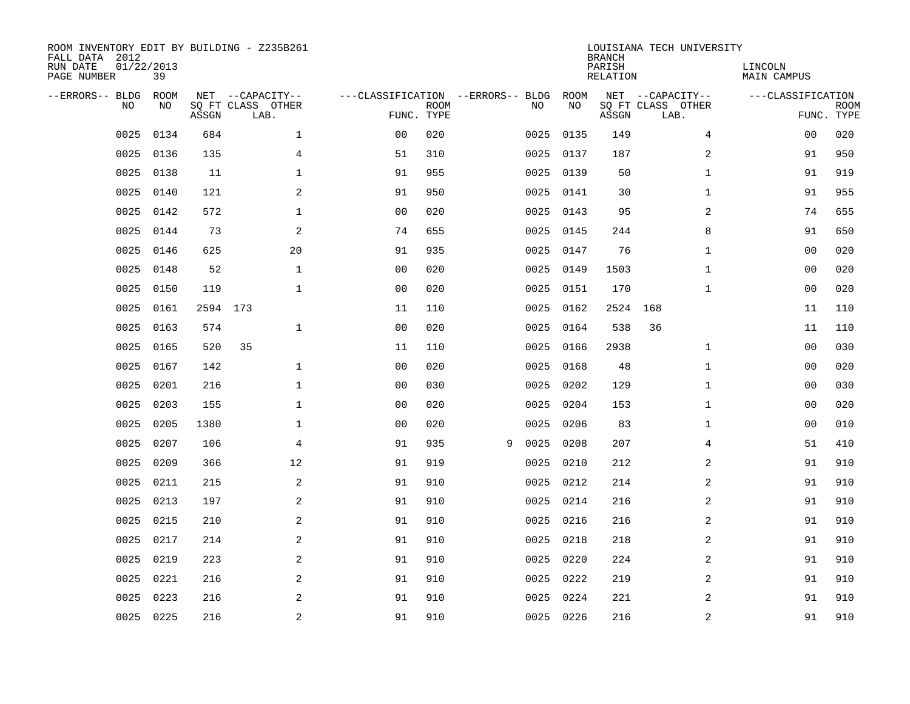| ROOM INVENTORY EDIT BY BUILDING - Z235B261<br>FALL DATA 2012<br>RUN DATE<br>PAGE NUMBER | 01/22/2013<br>39  |          |                                               |                                   |                           |   |      |            | <b>BRANCH</b><br>PARISH<br><b>RELATION</b> | LOUISIANA TECH UNIVERSITY                     | LINCOLN<br>MAIN CAMPUS |                           |
|-----------------------------------------------------------------------------------------|-------------------|----------|-----------------------------------------------|-----------------------------------|---------------------------|---|------|------------|--------------------------------------------|-----------------------------------------------|------------------------|---------------------------|
| --ERRORS-- BLDG<br>NO                                                                   | <b>ROOM</b><br>NO | ASSGN    | NET --CAPACITY--<br>SQ FT CLASS OTHER<br>LAB. | ---CLASSIFICATION --ERRORS-- BLDG | <b>ROOM</b><br>FUNC. TYPE |   | NO   | ROOM<br>NO | ASSGN                                      | NET --CAPACITY--<br>SQ FT CLASS OTHER<br>LAB. | ---CLASSIFICATION      | <b>ROOM</b><br>FUNC. TYPE |
| 0025                                                                                    | 0134              | 684      | $\mathbf{1}$                                  | 00                                | 020                       |   | 0025 | 0135       | 149                                        | $\overline{4}$                                | 0 <sub>0</sub>         | 020                       |
| 0025                                                                                    | 0136              | 135      | 4                                             | 51                                | 310                       |   | 0025 | 0137       | 187                                        | $\boldsymbol{2}$                              | 91                     | 950                       |
| 0025                                                                                    | 0138              | 11       | $\mathbf 1$                                   | 91                                | 955                       |   | 0025 | 0139       | 50                                         | $\mathbf{1}$                                  | 91                     | 919                       |
| 0025                                                                                    | 0140              | 121      | 2                                             | 91                                | 950                       |   | 0025 | 0141       | 30                                         | $\mathbf{1}$                                  | 91                     | 955                       |
| 0025                                                                                    | 0142              | 572      | $\mathbf 1$                                   | 0 <sub>0</sub>                    | 020                       |   | 0025 | 0143       | 95                                         | 2                                             | 74                     | 655                       |
| 0025                                                                                    | 0144              | 73       | 2                                             | 74                                | 655                       |   | 0025 | 0145       | 244                                        | 8                                             | 91                     | 650                       |
| 0025                                                                                    | 0146              | 625      | 20                                            | 91                                | 935                       |   | 0025 | 0147       | 76                                         | $\mathbf{1}$                                  | 0 <sub>0</sub>         | 020                       |
| 0025                                                                                    | 0148              | 52       | $\mathbf{1}$                                  | 0 <sub>0</sub>                    | 020                       |   | 0025 | 0149       | 1503                                       | $\mathbf{1}$                                  | 0 <sub>0</sub>         | 020                       |
| 0025                                                                                    | 0150              | 119      | $\mathbf{1}$                                  | 0 <sub>0</sub>                    | 020                       |   | 0025 | 0151       | 170                                        | $\mathbf{1}$                                  | 0 <sub>0</sub>         | 020                       |
| 0025                                                                                    | 0161              | 2594 173 |                                               | 11                                | 110                       |   | 0025 | 0162       | 2524                                       | 168                                           | 11                     | 110                       |
| 0025                                                                                    | 0163              | 574      | $\mathbf 1$                                   | 0 <sub>0</sub>                    | 020                       |   | 0025 | 0164       | 538                                        | 36                                            | 11                     | 110                       |
| 0025                                                                                    | 0165              | 520      | 35                                            | 11                                | 110                       |   | 0025 | 0166       | 2938                                       | $\mathbf{1}$                                  | 00                     | 030                       |
| 0025                                                                                    | 0167              | 142      | $\mathbf 1$                                   | 0 <sub>0</sub>                    | 020                       |   | 0025 | 0168       | 48                                         | $\mathbf{1}$                                  | 00                     | 020                       |
| 0025                                                                                    | 0201              | 216      | $\mathbf{1}$                                  | 0 <sub>0</sub>                    | 030                       |   | 0025 | 0202       | 129                                        | $\mathbf{1}$                                  | 00                     | 030                       |
| 0025                                                                                    | 0203              | 155      | $\mathbf 1$                                   | 0 <sub>0</sub>                    | 020                       |   | 0025 | 0204       | 153                                        | $\mathbf{1}$                                  | 00                     | 020                       |
| 0025                                                                                    | 0205              | 1380     | $\mathbf 1$                                   | 0 <sub>0</sub>                    | 020                       |   | 0025 | 0206       | 83                                         | $\mathbf{1}$                                  | 00                     | 010                       |
| 0025                                                                                    | 0207              | 106      | $\overline{4}$                                | 91                                | 935                       | 9 | 0025 | 0208       | 207                                        | 4                                             | 51                     | 410                       |
| 0025                                                                                    | 0209              | 366      | 12                                            | 91                                | 919                       |   | 0025 | 0210       | 212                                        | 2                                             | 91                     | 910                       |
| 0025                                                                                    | 0211              | 215      | 2                                             | 91                                | 910                       |   | 0025 | 0212       | 214                                        | 2                                             | 91                     | 910                       |
| 0025                                                                                    | 0213              | 197      | 2                                             | 91                                | 910                       |   | 0025 | 0214       | 216                                        | 2                                             | 91                     | 910                       |
| 0025                                                                                    | 0215              | 210      | 2                                             | 91                                | 910                       |   |      | 0025 0216  | 216                                        | 2                                             | 91                     | 910                       |
| 0025                                                                                    | 0217              | 214      | 2                                             | 91                                | 910                       |   | 0025 | 0218       | 218                                        | 2                                             | 91                     | 910                       |
| 0025                                                                                    | 0219              | 223      | 2                                             | 91                                | 910                       |   | 0025 | 0220       | 224                                        | 2                                             | 91                     | 910                       |
| 0025                                                                                    | 0221              | 216      | 2                                             | 91                                | 910                       |   | 0025 | 0222       | 219                                        | 2                                             | 91                     | 910                       |
| 0025                                                                                    | 0223              | 216      | 2                                             | 91                                | 910                       |   | 0025 | 0224       | 221                                        | 2                                             | 91                     | 910                       |
|                                                                                         | 0025 0225         | 216      | $\overline{c}$                                | 91                                | 910                       |   |      | 0025 0226  | 216                                        | $\mathbf 2$                                   | 91                     | 910                       |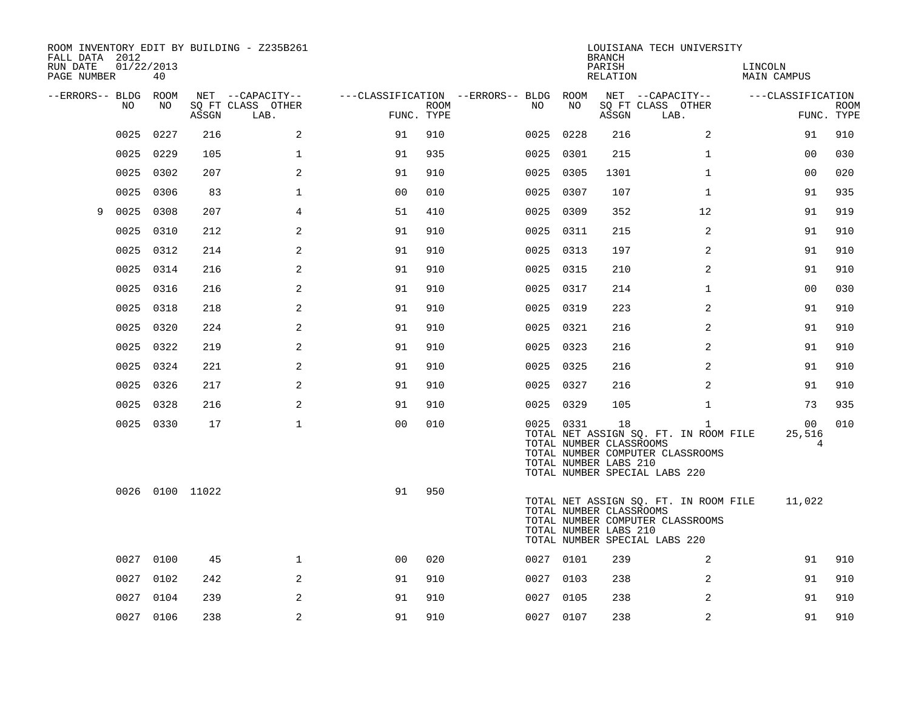| FALL DATA 2012<br>RUN DATE<br>PAGE NUMBER |      | 01/22/2013<br>40 |                 | ROOM INVENTORY EDIT BY BUILDING - Z235B261    |                |             |                                               |           | <b>BRANCH</b><br>PARISH<br>RELATION                    | LOUISIANA TECH UNIVERSITY                                                                                                  | LINCOLN<br>MAIN CAMPUS |                           |
|-------------------------------------------|------|------------------|-----------------|-----------------------------------------------|----------------|-------------|-----------------------------------------------|-----------|--------------------------------------------------------|----------------------------------------------------------------------------------------------------------------------------|------------------------|---------------------------|
| --ERRORS-- BLDG ROOM                      | NO   | NO               | ASSGN           | NET --CAPACITY--<br>SQ FT CLASS OTHER<br>LAB. | FUNC. TYPE     | <b>ROOM</b> | ---CLASSIFICATION --ERRORS-- BLDG ROOM<br>NO. | NO        | ASSGN                                                  | NET --CAPACITY--<br>SQ FT CLASS OTHER<br>LAB.                                                                              | ---CLASSIFICATION      | <b>ROOM</b><br>FUNC. TYPE |
|                                           | 0025 | 0227             | 216             | 2                                             | 91             | 910         | 0025                                          | 0228      | 216                                                    | $\overline{2}$                                                                                                             | 91                     | 910                       |
|                                           | 0025 | 0229             | 105             | $\mathbf{1}$                                  | 91             | 935         | 0025                                          | 0301      | 215                                                    | $\mathbf{1}$                                                                                                               | 0 <sub>0</sub>         | 030                       |
|                                           | 0025 | 0302             | 207             | 2                                             | 91             | 910         |                                               | 0025 0305 | 1301                                                   | $\mathbf{1}$                                                                                                               | 0 <sub>0</sub>         | 020                       |
|                                           | 0025 | 0306             | 83              | $\mathbf{1}$                                  | 0 <sub>0</sub> | 010         |                                               | 0025 0307 | 107                                                    | $\mathbf{1}$                                                                                                               | 91                     | 935                       |
| 9                                         | 0025 | 0308             | 207             | $\overline{4}$                                | 51             | 410         | 0025                                          | 0309      | 352                                                    | 12                                                                                                                         | 91                     | 919                       |
|                                           | 0025 | 0310             | 212             | 2                                             | 91             | 910         |                                               | 0025 0311 | 215                                                    | 2                                                                                                                          | 91                     | 910                       |
|                                           | 0025 | 0312             | 214             | 2                                             | 91             | 910         |                                               | 0025 0313 | 197                                                    | 2                                                                                                                          | 91                     | 910                       |
|                                           | 0025 | 0314             | 216             | 2                                             | 91             | 910         |                                               | 0025 0315 | 210                                                    | 2                                                                                                                          | 91                     | 910                       |
|                                           | 0025 | 0316             | 216             | 2                                             | 91             | 910         |                                               | 0025 0317 | 214                                                    | $\mathbf{1}$                                                                                                               | 0 <sub>0</sub>         | 030                       |
|                                           | 0025 | 0318             | 218             | 2                                             | 91             | 910         |                                               | 0025 0319 | 223                                                    | 2                                                                                                                          | 91                     | 910                       |
|                                           | 0025 | 0320             | 224             | 2                                             | 91             | 910         |                                               | 0025 0321 | 216                                                    | 2                                                                                                                          | 91                     | 910                       |
|                                           | 0025 | 0322             | 219             | 2                                             | 91             | 910         |                                               | 0025 0323 | 216                                                    | 2                                                                                                                          | 91                     | 910                       |
|                                           | 0025 | 0324             | 221             | 2                                             | 91             | 910         |                                               | 0025 0325 | 216                                                    | 2                                                                                                                          | 91                     | 910                       |
|                                           | 0025 | 0326             | 217             | 2                                             | 91             | 910         |                                               | 0025 0327 | 216                                                    | 2                                                                                                                          | 91                     | 910                       |
|                                           |      | 0025 0328        | 216             | 2                                             | 91             | 910         |                                               | 0025 0329 | 105                                                    | $\mathbf{1}$                                                                                                               | 73                     | 935                       |
|                                           |      | 0025 0330        | 17              | $\mathbf 1$                                   | 0 <sub>0</sub> | 010         |                                               | 0025 0331 | 18<br>TOTAL NUMBER CLASSROOMS<br>TOTAL NUMBER LABS 210 | $\mathbf{1}$<br>TOTAL NET ASSIGN SQ. FT. IN ROOM FILE<br>TOTAL NUMBER COMPUTER CLASSROOMS<br>TOTAL NUMBER SPECIAL LABS 220 | 00<br>25,516<br>4      | 010                       |
|                                           |      |                  | 0026 0100 11022 |                                               | 91             | 950         |                                               |           | TOTAL NUMBER CLASSROOMS<br>TOTAL NUMBER LABS 210       | TOTAL NET ASSIGN SQ. FT. IN ROOM FILE<br>TOTAL NUMBER COMPUTER CLASSROOMS<br>TOTAL NUMBER SPECIAL LABS 220                 | 11,022                 |                           |
|                                           |      | 0027 0100        | 45              | $\mathbf 1$                                   | 0 <sub>0</sub> | 020         |                                               | 0027 0101 | 239                                                    | 2                                                                                                                          | 91                     | 910                       |
|                                           | 0027 | 0102             | 242             | 2                                             | 91             | 910         |                                               | 0027 0103 | 238                                                    | 2                                                                                                                          | 91                     | 910                       |
|                                           |      | 0027 0104        | 239             | 2                                             | 91             | 910         |                                               | 0027 0105 | 238                                                    | 2                                                                                                                          | 91                     | 910                       |
|                                           |      | 0027 0106        | 238             | 2                                             | 91             | 910         |                                               | 0027 0107 | 238                                                    | 2                                                                                                                          | 91                     | 910                       |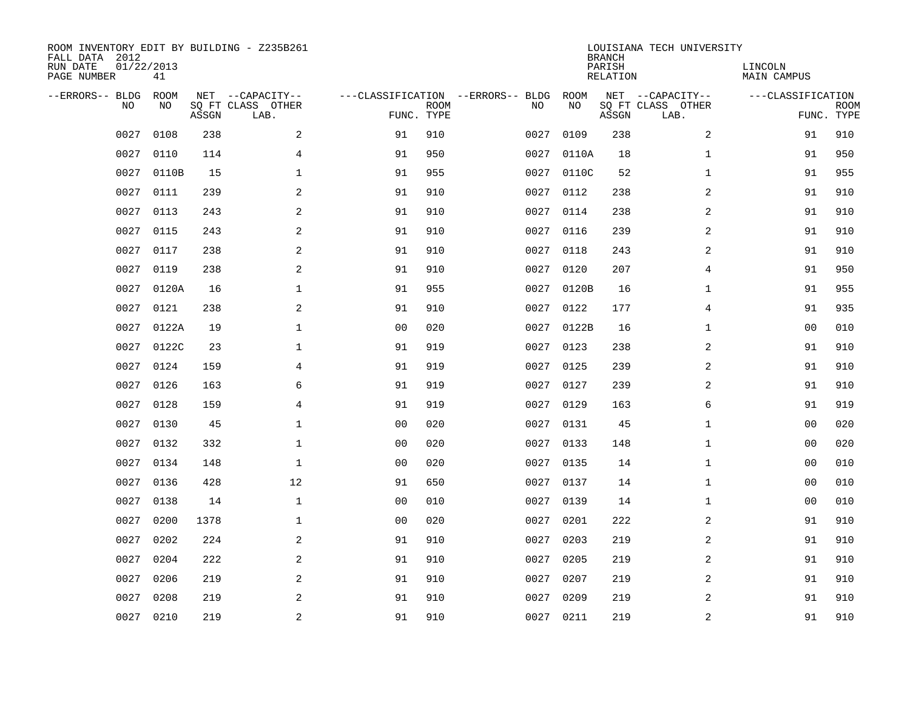| ROOM INVENTORY EDIT BY BUILDING - Z235B261<br>FALL DATA 2012<br>RUN DATE<br>PAGE NUMBER | 01/22/2013<br>41  |       |                                               |                |             |                                   |      |            | <b>BRANCH</b><br>PARISH<br><b>RELATION</b> | LOUISIANA TECH UNIVERSITY                     | LINCOLN<br><b>MAIN CAMPUS</b> |                           |
|-----------------------------------------------------------------------------------------|-------------------|-------|-----------------------------------------------|----------------|-------------|-----------------------------------|------|------------|--------------------------------------------|-----------------------------------------------|-------------------------------|---------------------------|
| --ERRORS-- BLDG<br>NO                                                                   | <b>ROOM</b><br>NO | ASSGN | NET --CAPACITY--<br>SQ FT CLASS OTHER<br>LAB. | FUNC. TYPE     | <b>ROOM</b> | ---CLASSIFICATION --ERRORS-- BLDG | NO   | ROOM<br>NO | ASSGN                                      | NET --CAPACITY--<br>SQ FT CLASS OTHER<br>LAB. | ---CLASSIFICATION             | <b>ROOM</b><br>FUNC. TYPE |
| 0027                                                                                    | 0108              | 238   | 2                                             | 91             | 910         |                                   | 0027 | 0109       | 238                                        | 2                                             | 91                            | 910                       |
| 0027                                                                                    | 0110              | 114   | 4                                             | 91             | 950         |                                   | 0027 | 0110A      | 18                                         | $\mathbf{1}$                                  | 91                            | 950                       |
| 0027                                                                                    | 0110B             | 15    | $\mathbf 1$                                   | 91             | 955         |                                   | 0027 | 0110C      | 52                                         | $\mathbf{1}$                                  | 91                            | 955                       |
| 0027                                                                                    | 0111              | 239   | 2                                             | 91             | 910         |                                   | 0027 | 0112       | 238                                        | 2                                             | 91                            | 910                       |
| 0027                                                                                    | 0113              | 243   | 2                                             | 91             | 910         |                                   | 0027 | 0114       | 238                                        | 2                                             | 91                            | 910                       |
| 0027                                                                                    | 0115              | 243   | 2                                             | 91             | 910         |                                   | 0027 | 0116       | 239                                        | 2                                             | 91                            | 910                       |
| 0027                                                                                    | 0117              | 238   | 2                                             | 91             | 910         |                                   | 0027 | 0118       | 243                                        | 2                                             | 91                            | 910                       |
| 0027                                                                                    | 0119              | 238   | 2                                             | 91             | 910         |                                   |      | 0027 0120  | 207                                        | $\overline{4}$                                | 91                            | 950                       |
| 0027                                                                                    | 0120A             | 16    | $\mathbf 1$                                   | 91             | 955         |                                   | 0027 | 0120B      | 16                                         | $\mathbf{1}$                                  | 91                            | 955                       |
| 0027                                                                                    | 0121              | 238   | 2                                             | 91             | 910         |                                   | 0027 | 0122       | 177                                        | 4                                             | 91                            | 935                       |
| 0027                                                                                    | 0122A             | 19    | $\mathbf 1$                                   | 0 <sub>0</sub> | 020         |                                   | 0027 | 0122B      | 16                                         | $\mathbf{1}$                                  | 0 <sub>0</sub>                | 010                       |
| 0027                                                                                    | 0122C             | 23    | $\mathbf 1$                                   | 91             | 919         |                                   |      | 0027 0123  | 238                                        | 2                                             | 91                            | 910                       |
| 0027                                                                                    | 0124              | 159   | 4                                             | 91             | 919         |                                   | 0027 | 0125       | 239                                        | 2                                             | 91                            | 910                       |
| 0027                                                                                    | 0126              | 163   | 6                                             | 91             | 919         |                                   | 0027 | 0127       | 239                                        | 2                                             | 91                            | 910                       |
| 0027                                                                                    | 0128              | 159   | 4                                             | 91             | 919         |                                   | 0027 | 0129       | 163                                        | 6                                             | 91                            | 919                       |
| 0027                                                                                    | 0130              | 45    | $\mathbf{1}$                                  | 0 <sub>0</sub> | 020         |                                   | 0027 | 0131       | 45                                         | $\mathbf{1}$                                  | 0 <sub>0</sub>                | 020                       |
| 0027                                                                                    | 0132              | 332   | $\mathbf{1}$                                  | 0 <sub>0</sub> | 020         |                                   | 0027 | 0133       | 148                                        | $\mathbf{1}$                                  | 0 <sub>0</sub>                | 020                       |
| 0027                                                                                    | 0134              | 148   | $\mathbf 1$                                   | 0 <sub>0</sub> | 020         |                                   | 0027 | 0135       | 14                                         | $\mathbf{1}$                                  | 0 <sub>0</sub>                | 010                       |
| 0027                                                                                    | 0136              | 428   | 12                                            | 91             | 650         |                                   | 0027 | 0137       | 14                                         | $\mathbf{1}$                                  | 0 <sub>0</sub>                | 010                       |
| 0027                                                                                    | 0138              | 14    | $\mathbf 1$                                   | 0 <sub>0</sub> | 010         |                                   | 0027 | 0139       | 14                                         | $\mathbf{1}$                                  | 00                            | 010                       |
| 0027                                                                                    | 0200              | 1378  | $\mathbf 1$                                   | 0 <sub>0</sub> | 020         |                                   | 0027 | 0201       | 222                                        | 2                                             | 91                            | 910                       |
| 0027                                                                                    | 0202              | 224   | 2                                             | 91             | 910         |                                   | 0027 | 0203       | 219                                        | 2                                             | 91                            | 910                       |
| 0027                                                                                    | 0204              | 222   | 2                                             | 91             | 910         |                                   | 0027 | 0205       | 219                                        | 2                                             | 91                            | 910                       |
| 0027                                                                                    | 0206              | 219   | 2                                             | 91             | 910         |                                   | 0027 | 0207       | 219                                        | $\overline{a}$                                | 91                            | 910                       |
| 0027                                                                                    | 0208              | 219   | 2                                             | 91             | 910         |                                   | 0027 | 0209       | 219                                        | 2                                             | 91                            | 910                       |
| 0027                                                                                    | 0210              | 219   | $\overline{c}$                                | 91             | 910         |                                   |      | 0027 0211  | 219                                        | $\boldsymbol{2}$                              | 91                            | 910                       |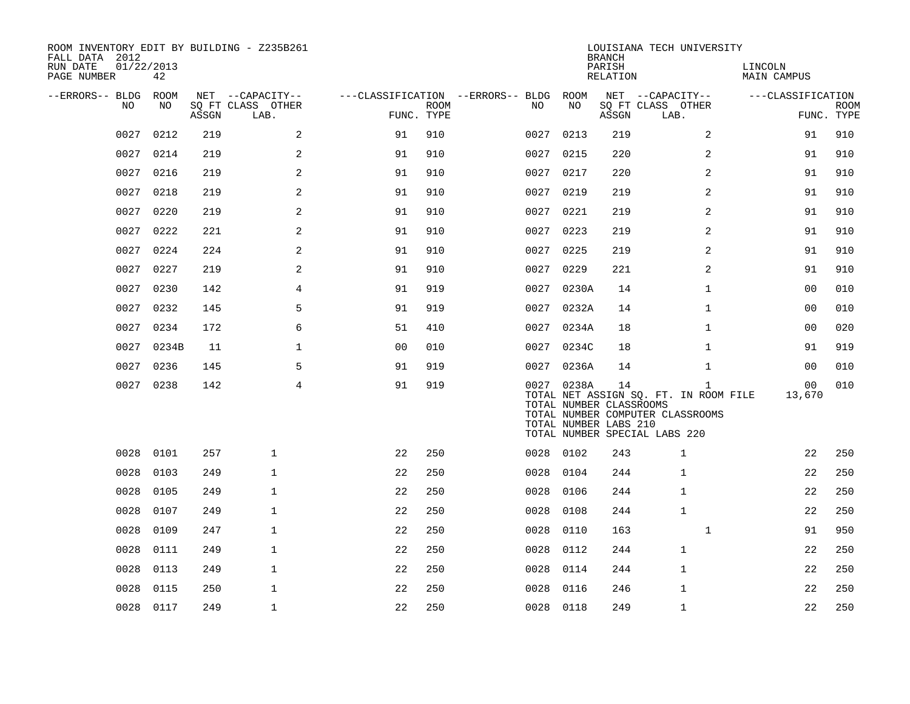| ROOM INVENTORY EDIT BY BUILDING - Z235B261<br>FALL DATA 2012<br>RUN DATE<br>PAGE NUMBER | 01/22/2013<br>42 |       |                                               |                                                      |             |      |            | <b>BRANCH</b><br>PARISH<br>RELATION                    | LOUISIANA TECH UNIVERSITY                                                                                                  | LINCOLN<br><b>MAIN CAMPUS</b> |                           |
|-----------------------------------------------------------------------------------------|------------------|-------|-----------------------------------------------|------------------------------------------------------|-------------|------|------------|--------------------------------------------------------|----------------------------------------------------------------------------------------------------------------------------|-------------------------------|---------------------------|
| --ERRORS-- BLDG ROOM<br>NO.                                                             | NO.              | ASSGN | NET --CAPACITY--<br>SQ FT CLASS OTHER<br>LAB. | ---CLASSIFICATION --ERRORS-- BLDG ROOM<br>FUNC. TYPE | <b>ROOM</b> | NO.  | NO         | ASSGN                                                  | NET --CAPACITY--<br>SQ FT CLASS OTHER<br>LAB.                                                                              | ---CLASSIFICATION             | <b>ROOM</b><br>FUNC. TYPE |
| 0027                                                                                    | 0212             | 219   | 2                                             | 91                                                   | 910         | 0027 | 0213       | 219                                                    | 2                                                                                                                          | 91                            | 910                       |
| 0027                                                                                    | 0214             | 219   | 2                                             | 91                                                   | 910         | 0027 | 0215       | 220                                                    | 2                                                                                                                          | 91                            | 910                       |
| 0027                                                                                    | 0216             | 219   | 2                                             | 91                                                   | 910         |      | 0027 0217  | 220                                                    | $\overline{a}$                                                                                                             | 91                            | 910                       |
| 0027                                                                                    | 0218             | 219   | 2                                             | 91                                                   | 910         | 0027 | 0219       | 219                                                    | 2                                                                                                                          | 91                            | 910                       |
| 0027                                                                                    | 0220             | 219   | 2                                             | 91                                                   | 910         |      | 0027 0221  | 219                                                    | 2                                                                                                                          | 91                            | 910                       |
| 0027                                                                                    | 0222             | 221   | 2                                             | 91                                                   | 910         | 0027 | 0223       | 219                                                    | $\overline{a}$                                                                                                             | 91                            | 910                       |
| 0027                                                                                    | 0224             | 224   | 2                                             | 91                                                   | 910         |      | 0027 0225  | 219                                                    | 2                                                                                                                          | 91                            | 910                       |
| 0027                                                                                    | 0227             | 219   | 2                                             | 91                                                   | 910         | 0027 | 0229       | 221                                                    | $\overline{a}$                                                                                                             | 91                            | 910                       |
| 0027                                                                                    | 0230             | 142   | 4                                             | 91                                                   | 919         |      | 0027 0230A | 14                                                     | $\mathbf{1}$                                                                                                               | 00                            | 010                       |
| 0027                                                                                    | 0232             | 145   | 5                                             | 91                                                   | 919         |      | 0027 0232A | 14                                                     | $\mathbf{1}$                                                                                                               | 0 <sub>0</sub>                | 010                       |
| 0027                                                                                    | 0234             | 172   | 6                                             | 51                                                   | 410         |      | 0027 0234A | 18                                                     | $\mathbf{1}$                                                                                                               | 00                            | 020                       |
| 0027                                                                                    | 0234B            | 11    | $\mathbf 1$                                   | 00                                                   | 010         | 0027 | 0234C      | 18                                                     | $\mathbf{1}$                                                                                                               | 91                            | 919                       |
| 0027                                                                                    | 0236             | 145   | 5                                             | 91                                                   | 919         |      | 0027 0236A | 14                                                     | $\mathbf{1}$                                                                                                               | 00                            | 010                       |
|                                                                                         | 0027 0238        | 142   | 4                                             | 91                                                   | 919         |      | 0027 0238A | 14<br>TOTAL NUMBER CLASSROOMS<br>TOTAL NUMBER LABS 210 | $\mathbf{1}$<br>TOTAL NET ASSIGN SQ. FT. IN ROOM FILE<br>TOTAL NUMBER COMPUTER CLASSROOMS<br>TOTAL NUMBER SPECIAL LABS 220 | 00<br>13,670                  | 010                       |
| 0028                                                                                    | 0101             | 257   | $\mathbf{1}$                                  | 22                                                   | 250         |      | 0028 0102  | 243                                                    | $\mathbf 1$                                                                                                                | 22                            | 250                       |
| 0028                                                                                    | 0103             | 249   | $\mathbf{1}$                                  | 22                                                   | 250         | 0028 | 0104       | 244                                                    | $\mathbf{1}$                                                                                                               | 22                            | 250                       |
| 0028                                                                                    | 0105             | 249   | $\mathbf{1}$                                  | 22                                                   | 250         | 0028 | 0106       | 244                                                    | $\mathbf{1}$                                                                                                               | 22                            | 250                       |
| 0028                                                                                    | 0107             | 249   | $\mathbf{1}$                                  | 22                                                   | 250         | 0028 | 0108       | 244                                                    | $\mathbf{1}$                                                                                                               | 22                            | 250                       |
| 0028                                                                                    | 0109             | 247   | $\mathbf{1}$                                  | 22                                                   | 250         | 0028 | 0110       | 163                                                    | $\mathbf{1}$                                                                                                               | 91                            | 950                       |
| 0028                                                                                    | 0111             | 249   | $\mathbf{1}$                                  | 22                                                   | 250         | 0028 | 0112       | 244                                                    | $\mathbf 1$                                                                                                                | 22                            | 250                       |
| 0028                                                                                    | 0113             | 249   | $\mathbf{1}$                                  | 22                                                   | 250         | 0028 | 0114       | 244                                                    | $\mathbf{1}$                                                                                                               | 22                            | 250                       |
| 0028                                                                                    | 0115             | 250   | $\mathbf 1$                                   | 22                                                   | 250         | 0028 | 0116       | 246                                                    | 1                                                                                                                          | 22                            | 250                       |
|                                                                                         | 0028 0117        | 249   | $\mathbf{1}$                                  | 22                                                   | 250         |      | 0028 0118  | 249                                                    | $\mathbf 1$                                                                                                                | 22                            | 250                       |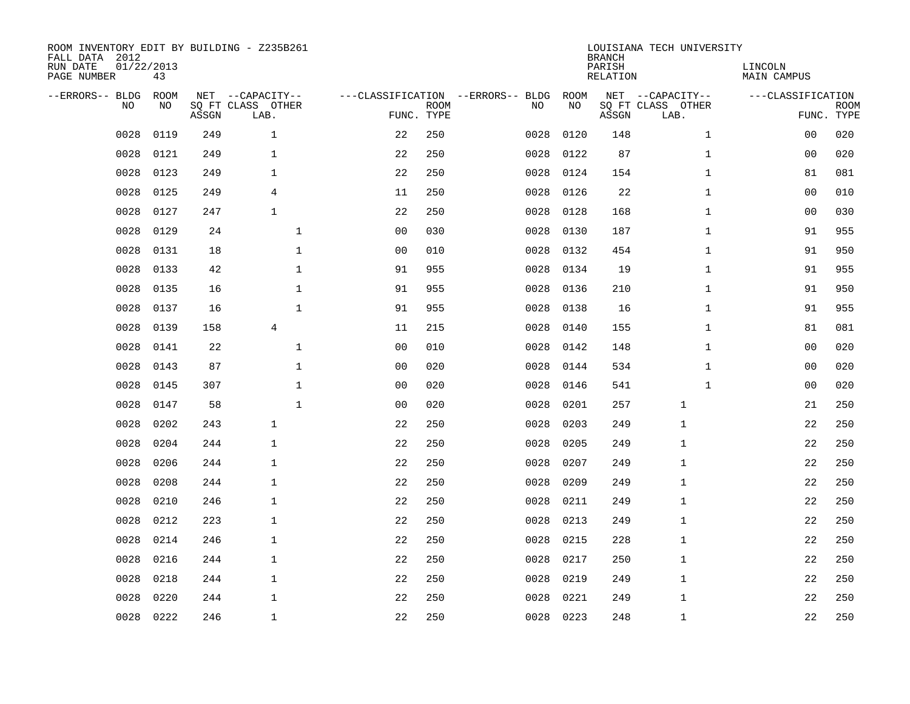| ROOM INVENTORY EDIT BY BUILDING - Z235B261<br>FALL DATA 2012<br>RUN DATE<br>PAGE NUMBER | 01/22/2013<br>43 |       |                                               |                |             |                                         |            | <b>BRANCH</b><br>PARISH<br><b>RELATION</b> | LOUISIANA TECH UNIVERSITY                     | LINCOLN<br><b>MAIN CAMPUS</b> |                           |
|-----------------------------------------------------------------------------------------|------------------|-------|-----------------------------------------------|----------------|-------------|-----------------------------------------|------------|--------------------------------------------|-----------------------------------------------|-------------------------------|---------------------------|
| --ERRORS-- BLDG<br>NO                                                                   | ROOM<br>NO       | ASSGN | NET --CAPACITY--<br>SQ FT CLASS OTHER<br>LAB. | FUNC. TYPE     | <b>ROOM</b> | ---CLASSIFICATION --ERRORS-- BLDG<br>NO | ROOM<br>NO | ASSGN                                      | NET --CAPACITY--<br>SQ FT CLASS OTHER<br>LAB. | ---CLASSIFICATION             | <b>ROOM</b><br>FUNC. TYPE |
| 0028                                                                                    | 0119             | 249   | $\mathbf{1}$                                  | 22             | 250         | 0028                                    | 0120       | 148                                        | $\mathbf{1}$                                  | 00                            | 020                       |
| 0028                                                                                    | 0121             | 249   | $\mathbf{1}$                                  | 22             | 250         | 0028                                    | 0122       | 87                                         | $\mathbf{1}$                                  | 00                            | 020                       |
| 0028                                                                                    | 0123             | 249   | $\mathbf{1}$                                  | 22             | 250         | 0028                                    | 0124       | 154                                        | $\mathbf{1}$                                  | 81                            | 081                       |
| 0028                                                                                    | 0125             | 249   | 4                                             | 11             | 250         | 0028                                    | 0126       | 22                                         | $\mathbf{1}$                                  | 0 <sub>0</sub>                | 010                       |
| 0028                                                                                    | 0127             | 247   | $\mathbf{1}$                                  | 22             | 250         | 0028                                    | 0128       | 168                                        | $\mathbf{1}$                                  | 0 <sub>0</sub>                | 030                       |
| 0028                                                                                    | 0129             | 24    | $\mathbf{1}$                                  | 0 <sub>0</sub> | 030         | 0028                                    | 0130       | 187                                        | $\mathbf{1}$                                  | 91                            | 955                       |
| 0028                                                                                    | 0131             | 18    | $\mathbf{1}$                                  | 0 <sub>0</sub> | 010         | 0028                                    | 0132       | 454                                        | $\mathbf{1}$                                  | 91                            | 950                       |
| 0028                                                                                    | 0133             | 42    | $\mathbf{1}$                                  | 91             | 955         | 0028                                    | 0134       | 19                                         | $\mathbf{1}$                                  | 91                            | 955                       |
| 0028                                                                                    | 0135             | 16    | $\mathbf{1}$                                  | 91             | 955         | 0028                                    | 0136       | 210                                        | $\mathbf{1}$                                  | 91                            | 950                       |
| 0028                                                                                    | 0137             | 16    | $\mathbf 1$                                   | 91             | 955         | 0028                                    | 0138       | 16                                         | $\mathbf{1}$                                  | 91                            | 955                       |
| 0028                                                                                    | 0139             | 158   | $\overline{4}$                                | 11             | 215         | 0028                                    | 0140       | 155                                        | $\mathbf{1}$                                  | 81                            | 081                       |
| 0028                                                                                    | 0141             | 22    | $\mathbf{1}$                                  | 0 <sub>0</sub> | 010         | 0028                                    | 0142       | 148                                        | $\mathbf{1}$                                  | 0 <sub>0</sub>                | 020                       |
| 0028                                                                                    | 0143             | 87    | $\mathbf 1$                                   | 0 <sub>0</sub> | 020         | 0028                                    | 0144       | 534                                        | $\mathbf{1}$                                  | 0 <sub>0</sub>                | 020                       |
| 0028                                                                                    | 0145             | 307   | $\mathbf 1$                                   | 0 <sub>0</sub> | 020         | 0028                                    | 0146       | 541                                        | $\mathbf{1}$                                  | 00                            | 020                       |
| 0028                                                                                    | 0147             | 58    | $\mathbf 1$                                   | 0 <sub>0</sub> | 020         | 0028                                    | 0201       | 257                                        | 1                                             | 21                            | 250                       |
| 0028                                                                                    | 0202             | 243   | $\mathbf{1}$                                  | 22             | 250         | 0028                                    | 0203       | 249                                        | 1                                             | 22                            | 250                       |
| 0028                                                                                    | 0204             | 244   | $\mathbf 1$                                   | 22             | 250         | 0028                                    | 0205       | 249                                        | $\mathbf{1}$                                  | 22                            | 250                       |
| 0028                                                                                    | 0206             | 244   | $\mathbf{1}$                                  | 22             | 250         | 0028                                    | 0207       | 249                                        | $\mathbf{1}$                                  | 22                            | 250                       |
| 0028                                                                                    | 0208             | 244   | $\mathbf{1}$                                  | 22             | 250         | 0028                                    | 0209       | 249                                        | $\mathbf{1}$                                  | 22                            | 250                       |
| 0028                                                                                    | 0210             | 246   | $\mathbf{1}$                                  | 22             | 250         | 0028                                    | 0211       | 249                                        | 1                                             | 22                            | 250                       |
| 0028                                                                                    | 0212             | 223   | $\mathbf{1}$                                  | 22             | 250         | 0028                                    | 0213       | 249                                        | 1                                             | 22                            | 250                       |
| 0028                                                                                    | 0214             | 246   | $\mathbf{1}$                                  | 22             | 250         | 0028                                    | 0215       | 228                                        | 1                                             | 22                            | 250                       |
| 0028                                                                                    | 0216             | 244   | $\mathbf{1}$                                  | 22             | 250         | 0028                                    | 0217       | 250                                        | 1                                             | 22                            | 250                       |
| 0028                                                                                    | 0218             | 244   | $\mathbf{1}$                                  | 22             | 250         | 0028                                    | 0219       | 249                                        | $\mathbf{1}$                                  | 22                            | 250                       |
| 0028                                                                                    | 0220             | 244   | $\mathbf 1$                                   | 22             | 250         | 0028                                    | 0221       | 249                                        | $\mathbf{1}$                                  | 22                            | 250                       |
| 0028                                                                                    | 0222             | 246   | $\mathbf{1}$                                  | 22             | 250         |                                         | 0028 0223  | 248                                        | $\mathbf{1}$                                  | 22                            | 250                       |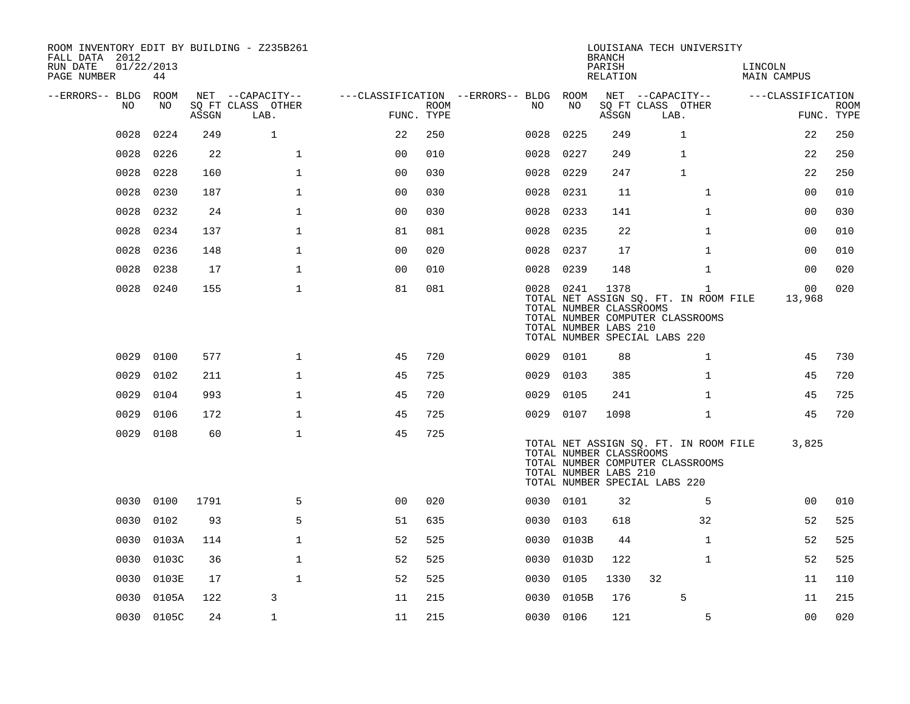| ROOM INVENTORY EDIT BY BUILDING - Z235B261<br>FALL DATA 2012 |                  |       |                           |                |             |                                        |            | <b>BRANCH</b>                                            | LOUISIANA TECH UNIVERSITY                                                                                                  |                          |                           |
|--------------------------------------------------------------|------------------|-------|---------------------------|----------------|-------------|----------------------------------------|------------|----------------------------------------------------------|----------------------------------------------------------------------------------------------------------------------------|--------------------------|---------------------------|
| RUN DATE<br>PAGE NUMBER                                      | 01/22/2013<br>44 |       |                           |                |             |                                        |            | PARISH<br>RELATION                                       |                                                                                                                            | LINCOLN<br>MAIN CAMPUS   |                           |
| --ERRORS-- BLDG ROOM                                         |                  |       | NET --CAPACITY--          |                |             | ---CLASSIFICATION --ERRORS-- BLDG ROOM |            |                                                          | NET --CAPACITY--                                                                                                           | ---CLASSIFICATION        |                           |
| NO                                                           | NO               | ASSGN | SQ FT CLASS OTHER<br>LAB. | FUNC. TYPE     | <b>ROOM</b> | NO                                     | NO         | ASSGN                                                    | SQ FT CLASS OTHER<br>LAB.                                                                                                  |                          | <b>ROOM</b><br>FUNC. TYPE |
| 0028                                                         | 0224             | 249   | $\mathbf{1}$              | 22             | 250         | 0028                                   | 0225       | 249                                                      | $\mathbf 1$                                                                                                                | 22                       | 250                       |
| 0028                                                         | 0226             | 22    | $\mathbf 1$               | 0 <sub>0</sub> | 010         | 0028                                   | 0227       | 249                                                      | 1                                                                                                                          | 22                       | 250                       |
| 0028                                                         | 0228             | 160   | $\mathbf{1}$              | 00             | 030         | 0028                                   | 0229       | 247                                                      | $\mathbf{1}$                                                                                                               | 22                       | 250                       |
| 0028                                                         | 0230             | 187   | 1                         | 0 <sub>0</sub> | 030         | 0028                                   | 0231       | 11                                                       | $\mathbf{1}$                                                                                                               | 00                       | 010                       |
| 0028                                                         | 0232             | 24    | $\mathbf{1}$              | 0 <sub>0</sub> | 030         | 0028                                   | 0233       | 141                                                      | $\mathbf{1}$                                                                                                               | 0 <sub>0</sub>           | 030                       |
| 0028                                                         | 0234             | 137   | $\mathbf{1}$              | 81             | 081         | 0028                                   | 0235       | 22                                                       | $\mathbf{1}$                                                                                                               | 0 <sub>0</sub>           | 010                       |
| 0028                                                         | 0236             | 148   | $\mathbf{1}$              | 0 <sub>0</sub> | 020         | 0028                                   | 0237       | 17                                                       | $\mathbf{1}$                                                                                                               | 00                       | 010                       |
| 0028                                                         | 0238             | 17    | $\mathbf{1}$              | 0 <sub>0</sub> | 010         | 0028                                   | 0239       | 148                                                      | $\mathbf{1}$                                                                                                               | 0 <sub>0</sub>           | 020                       |
| 0028                                                         | 0240             | 155   | $\mathbf{1}$              | 81             | 081         |                                        | 0028 0241  | 1378<br>TOTAL NUMBER CLASSROOMS<br>TOTAL NUMBER LABS 210 | $\mathbf{1}$<br>TOTAL NET ASSIGN SQ. FT. IN ROOM FILE<br>TOTAL NUMBER COMPUTER CLASSROOMS<br>TOTAL NUMBER SPECIAL LABS 220 | 0 <sub>0</sub><br>13,968 | 020                       |
| 0029                                                         | 0100             | 577   | $\mathbf 1$               | 45             | 720         |                                        | 0029 0101  | 88                                                       | $\mathbf{1}$                                                                                                               | 45                       | 730                       |
| 0029                                                         | 0102             | 211   | $\mathbf{1}$              | 45             | 725         | 0029                                   | 0103       | 385                                                      | $\mathbf{1}$                                                                                                               | 45                       | 720                       |
| 0029                                                         | 0104             | 993   | $\mathbf{1}$              | 45             | 720         | 0029                                   | 0105       | 241                                                      | $\mathbf{1}$                                                                                                               | 45                       | 725                       |
| 0029                                                         | 0106             | 172   | $\mathbf{1}$              | 45             | 725         | 0029                                   | 0107       | 1098                                                     | $\mathbf{1}$                                                                                                               | 45                       | 720                       |
| 0029                                                         | 0108             | 60    | $\mathbf{1}$              | 45             | 725         |                                        |            | TOTAL NUMBER CLASSROOMS<br>TOTAL NUMBER LABS 210         | TOTAL NET ASSIGN SQ. FT. IN ROOM FILE<br>TOTAL NUMBER COMPUTER CLASSROOMS<br>TOTAL NUMBER SPECIAL LABS 220                 | 3,825                    |                           |
| 0030                                                         | 0100             | 1791  | 5                         | 0 <sub>0</sub> | 020         |                                        | 0030 0101  | 32                                                       | 5                                                                                                                          | 0 <sub>0</sub>           | 010                       |
| 0030                                                         | 0102             | 93    | 5                         | 51             | 635         |                                        | 0030 0103  | 618                                                      | 32                                                                                                                         | 52                       | 525                       |
| 0030                                                         | 0103A            | 114   | $\mathbf{1}$              | 52             | 525         | 0030                                   | 0103B      | 44                                                       | $\mathbf{1}$                                                                                                               | 52                       | 525                       |
| 0030                                                         | 0103C            | 36    | $\mathbf 1$               | 52             | 525         |                                        | 0030 0103D | 122                                                      | $\mathbf{1}$                                                                                                               | 52                       | 525                       |
| 0030                                                         | 0103E            | 17    | $\mathbf{1}$              | 52             | 525         | 0030                                   | 0105       | 1330                                                     | 32                                                                                                                         | 11                       | 110                       |
| 0030                                                         | 0105A            | 122   | 3                         | 11             | 215         | 0030                                   | 0105B      | 176                                                      | 5                                                                                                                          | 11                       | 215                       |
|                                                              | 0030 0105C       | 24    | $\mathbf{1}$              | 11             | 215         |                                        | 0030 0106  | 121                                                      | 5                                                                                                                          | 00                       | 020                       |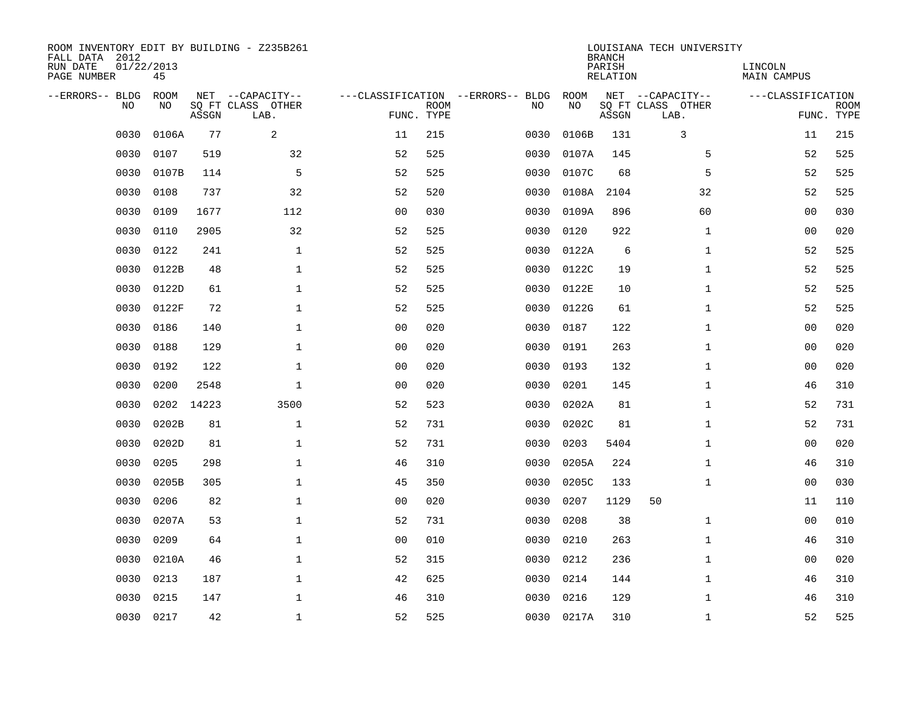| ROOM INVENTORY EDIT BY BUILDING - Z235B261<br>FALL DATA 2012<br>RUN DATE<br>PAGE NUMBER | 01/22/2013<br>45 |       |                                               |                |             |                                         |            | <b>BRANCH</b><br>PARISH<br><b>RELATION</b> | LOUISIANA TECH UNIVERSITY                     | LINCOLN<br><b>MAIN CAMPUS</b> |                           |
|-----------------------------------------------------------------------------------------|------------------|-------|-----------------------------------------------|----------------|-------------|-----------------------------------------|------------|--------------------------------------------|-----------------------------------------------|-------------------------------|---------------------------|
| --ERRORS-- BLDG<br>NO                                                                   | ROOM<br>NO       | ASSGN | NET --CAPACITY--<br>SQ FT CLASS OTHER<br>LAB. | FUNC. TYPE     | <b>ROOM</b> | ---CLASSIFICATION --ERRORS-- BLDG<br>NO | ROOM<br>NO | ASSGN                                      | NET --CAPACITY--<br>SQ FT CLASS OTHER<br>LAB. | ---CLASSIFICATION             | <b>ROOM</b><br>FUNC. TYPE |
| 0030                                                                                    | 0106A            | 77    | $\overline{a}$                                | 11             | 215         | 0030                                    | 0106B      | 131                                        | 3                                             | 11                            | 215                       |
| 0030                                                                                    | 0107             | 519   | 32                                            | 52             | 525         | 0030                                    | 0107A      | 145                                        | 5                                             | 52                            | 525                       |
| 0030                                                                                    | 0107B            | 114   | 5                                             | 52             | 525         | 0030                                    | 0107C      | 68                                         | 5                                             | 52                            | 525                       |
| 0030                                                                                    | 0108             | 737   | 32                                            | 52             | 520         | 0030                                    | 0108A      | 2104                                       | 32                                            | 52                            | 525                       |
| 0030                                                                                    | 0109             | 1677  | 112                                           | 00             | 030         | 0030                                    | 0109A      | 896                                        | 60                                            | 0 <sub>0</sub>                | 030                       |
| 0030                                                                                    | 0110             | 2905  | 32                                            | 52             | 525         | 0030                                    | 0120       | 922                                        | $\mathbf{1}$                                  | 0 <sub>0</sub>                | 020                       |
| 0030                                                                                    | 0122             | 241   | $\mathbf{1}$                                  | 52             | 525         | 0030                                    | 0122A      | 6                                          | $\mathbf{1}$                                  | 52                            | 525                       |
| 0030                                                                                    | 0122B            | 48    | $\mathbf{1}$                                  | 52             | 525         | 0030                                    | 0122C      | 19                                         | $\mathbf{1}$                                  | 52                            | 525                       |
| 0030                                                                                    | 0122D            | 61    | $\mathbf{1}$                                  | 52             | 525         | 0030                                    | 0122E      | 10                                         | $\mathbf{1}$                                  | 52                            | 525                       |
| 0030                                                                                    | 0122F            | 72    | 1                                             | 52             | 525         | 0030                                    | 0122G      | 61                                         | $\mathbf{1}$                                  | 52                            | 525                       |
| 0030                                                                                    | 0186             | 140   | $\mathbf 1$                                   | 0 <sub>0</sub> | 020         | 0030                                    | 0187       | 122                                        | $\mathbf{1}$                                  | 00                            | 020                       |
| 0030                                                                                    | 0188             | 129   | $\mathbf 1$                                   | 0 <sub>0</sub> | 020         | 0030                                    | 0191       | 263                                        | $\mathbf{1}$                                  | 00                            | 020                       |
| 0030                                                                                    | 0192             | 122   | $\mathbf{1}$                                  | 0 <sub>0</sub> | 020         | 0030                                    | 0193       | 132                                        | $\mathbf{1}$                                  | 00                            | 020                       |
| 0030                                                                                    | 0200             | 2548  | $\mathbf 1$                                   | 0 <sub>0</sub> | 020         | 0030                                    | 0201       | 145                                        | $\mathbf{1}$                                  | 46                            | 310                       |
| 0030                                                                                    | 0202             | 14223 | 3500                                          | 52             | 523         | 0030                                    | 0202A      | 81                                         | $\mathbf{1}$                                  | 52                            | 731                       |
| 0030                                                                                    | 0202B            | 81    | $\mathbf{1}$                                  | 52             | 731         | 0030                                    | 0202C      | 81                                         | $\mathbf{1}$                                  | 52                            | 731                       |
| 0030                                                                                    | 0202D            | 81    | $\mathbf 1$                                   | 52             | 731         | 0030                                    | 0203       | 5404                                       | $\mathbf{1}$                                  | 0 <sub>0</sub>                | 020                       |
| 0030                                                                                    | 0205             | 298   | $\mathbf 1$                                   | 46             | 310         | 0030                                    | 0205A      | 224                                        | $\mathbf{1}$                                  | 46                            | 310                       |
| 0030                                                                                    | 0205B            | 305   | $\mathbf 1$                                   | 45             | 350         | 0030                                    | 0205C      | 133                                        | $\mathbf{1}$                                  | 00                            | 030                       |
| 0030                                                                                    | 0206             | 82    | $\mathbf 1$                                   | 0 <sub>0</sub> | 020         | 0030                                    | 0207       | 1129                                       | 50                                            | 11                            | 110                       |
| 0030                                                                                    | 0207A            | 53    | $\mathbf{1}$                                  | 52             | 731         | 0030                                    | 0208       | 38                                         | $\mathbf{1}$                                  | 0 <sub>0</sub>                | 010                       |
| 0030                                                                                    | 0209             | 64    | $\mathbf{1}$                                  | 0 <sub>0</sub> | 010         | 0030                                    | 0210       | 263                                        | $\mathbf{1}$                                  | 46                            | 310                       |
| 0030                                                                                    | 0210A            | 46    | $\mathbf{1}$                                  | 52             | 315         | 0030                                    | 0212       | 236                                        | $\mathbf{1}$                                  | 0 <sub>0</sub>                | 020                       |
| 0030                                                                                    | 0213             | 187   | $\mathbf 1$                                   | 42             | 625         | 0030                                    | 0214       | 144                                        | $\mathbf{1}$                                  | 46                            | 310                       |
| 0030                                                                                    | 0215             | 147   | $\mathbf{1}$                                  | 46             | 310         | 0030                                    | 0216       | 129                                        | $\mathbf{1}$                                  | 46                            | 310                       |
| 0030                                                                                    | 0217             | 42    | $\mathbf 1$                                   | 52             | 525         |                                         | 0030 0217A | 310                                        | $\mathbf{1}$                                  | 52                            | 525                       |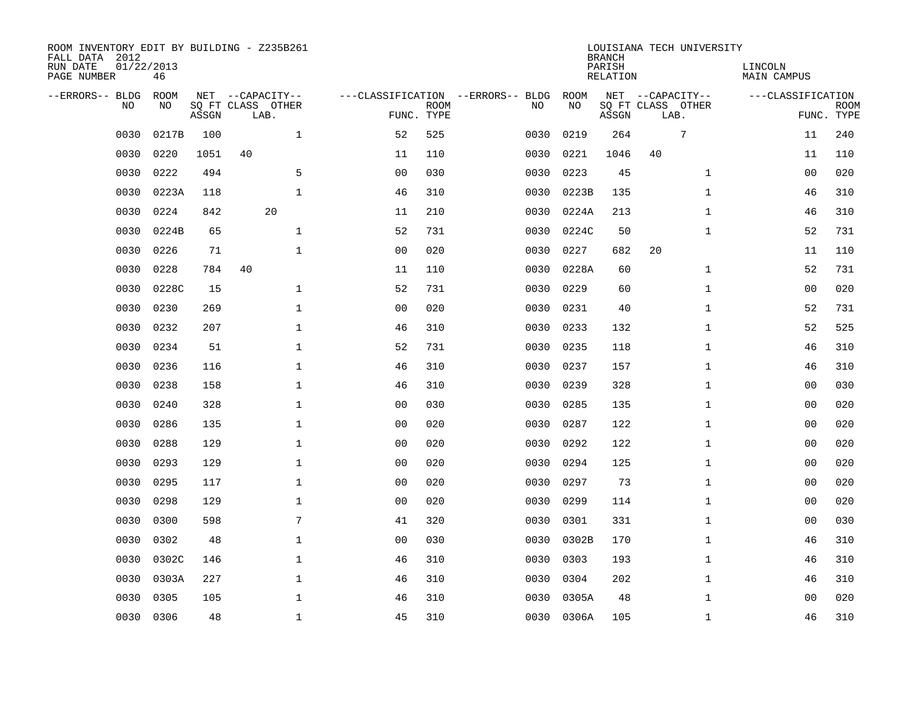| ROOM INVENTORY EDIT BY BUILDING - Z235B261<br>FALL DATA 2012<br>RUN DATE<br>PAGE NUMBER | 01/22/2013<br>46 |       |                           |                |             |                                   |            | <b>BRANCH</b><br>PARISH<br>RELATION | LOUISIANA TECH UNIVERSITY | LINCOLN<br>MAIN CAMPUS |                           |
|-----------------------------------------------------------------------------------------|------------------|-------|---------------------------|----------------|-------------|-----------------------------------|------------|-------------------------------------|---------------------------|------------------------|---------------------------|
| --ERRORS-- BLDG                                                                         | ROOM             |       | NET --CAPACITY--          |                |             | ---CLASSIFICATION --ERRORS-- BLDG | ROOM       |                                     | NET --CAPACITY--          | ---CLASSIFICATION      |                           |
| N <sub>O</sub>                                                                          | NO.              | ASSGN | SO FT CLASS OTHER<br>LAB. | FUNC. TYPE     | <b>ROOM</b> | NO.                               | NO         | ASSGN                               | SO FT CLASS OTHER<br>LAB. |                        | <b>ROOM</b><br>FUNC. TYPE |
| 0030                                                                                    | 0217B            | 100   | $\mathbf{1}$              | 52             | 525         | 0030                              | 0219       | 264                                 | 7                         | 11                     | 240                       |
| 0030                                                                                    | 0220             | 1051  | 40                        | 11             | 110         | 0030                              | 0221       | 1046                                | 40                        | 11                     | 110                       |
| 0030                                                                                    | 0222             | 494   | 5                         | 0 <sub>0</sub> | 030         | 0030                              | 0223       | 45                                  | $\mathbf{1}$              | 00                     | 020                       |
| 0030                                                                                    | 0223A            | 118   | $\mathbf{1}$              | 46             | 310         | 0030                              | 0223B      | 135                                 | $\mathbf{1}$              | 46                     | 310                       |
| 0030                                                                                    | 0224             | 842   | 20                        | 11             | 210         | 0030                              | 0224A      | 213                                 | $\mathbf{1}$              | 46                     | 310                       |
| 0030                                                                                    | 0224B            | 65    | $\mathbf 1$               | 52             | 731         | 0030                              | 0224C      | 50                                  | $\mathbf{1}$              | 52                     | 731                       |
| 0030                                                                                    | 0226             | 71    | $\mathbf 1$               | 0 <sub>0</sub> | 020         | 0030                              | 0227       | 682                                 | 20                        | 11                     | 110                       |
| 0030                                                                                    | 0228             | 784   | 40                        | 11             | 110         | 0030                              | 0228A      | 60                                  | $\mathbf{1}$              | 52                     | 731                       |
| 0030                                                                                    | 0228C            | 15    | $\mathbf{1}$              | 52             | 731         | 0030                              | 0229       | 60                                  | $\mathbf{1}$              | 0 <sub>0</sub>         | 020                       |
| 0030                                                                                    | 0230             | 269   | $\mathbf 1$               | 0 <sub>0</sub> | 020         | 0030                              | 0231       | 40                                  | $\mathbf{1}$              | 52                     | 731                       |
| 0030                                                                                    | 0232             | 207   | $\mathbf 1$               | 46             | 310         | 0030                              | 0233       | 132                                 | $\mathbf{1}$              | 52                     | 525                       |
| 0030                                                                                    | 0234             | 51    | $\mathbf 1$               | 52             | 731         | 0030                              | 0235       | 118                                 | $\mathbf{1}$              | 46                     | 310                       |
| 0030                                                                                    | 0236             | 116   | $\mathbf{1}$              | 46             | 310         | 0030                              | 0237       | 157                                 | $\mathbf{1}$              | 46                     | 310                       |
| 0030                                                                                    | 0238             | 158   | $\mathbf{1}$              | 46             | 310         | 0030                              | 0239       | 328                                 | $\mathbf{1}$              | 00                     | 030                       |
| 0030                                                                                    | 0240             | 328   | $\mathbf 1$               | 00             | 030         | 0030                              | 0285       | 135                                 | $\mathbf{1}$              | 00                     | 020                       |
| 0030                                                                                    | 0286             | 135   | $\mathbf 1$               | 0 <sub>0</sub> | 020         | 0030                              | 0287       | 122                                 | $\mathbf{1}$              | 00                     | 020                       |
| 0030                                                                                    | 0288             | 129   | $\mathbf 1$               | 0 <sub>0</sub> | 020         | 0030                              | 0292       | 122                                 | $\mathbf{1}$              | 00                     | 020                       |
| 0030                                                                                    | 0293             | 129   | $\mathbf 1$               | 0 <sub>0</sub> | 020         | 0030                              | 0294       | 125                                 | $\mathbf{1}$              | 00                     | 020                       |
| 0030                                                                                    | 0295             | 117   | $\mathbf{1}$              | 0 <sub>0</sub> | 020         | 0030                              | 0297       | 73                                  | $\mathbf{1}$              | 00                     | 020                       |
| 0030                                                                                    | 0298             | 129   | $\mathbf{1}$              | 0 <sub>0</sub> | 020         | 0030                              | 0299       | 114                                 | $\mathbf{1}$              | 0 <sub>0</sub>         | 020                       |
| 0030                                                                                    | 0300             | 598   | 7                         | 41             | 320         | 0030                              | 0301       | 331                                 | $\mathbf{1}$              | 00                     | 030                       |
| 0030                                                                                    | 0302             | 48    | $\mathbf 1$               | 00             | 030         | 0030                              | 0302B      | 170                                 | $\mathbf{1}$              | 46                     | 310                       |
| 0030                                                                                    | 0302C            | 146   | $\mathbf 1$               | 46             | 310         | 0030                              | 0303       | 193                                 | $\mathbf{1}$              | 46                     | 310                       |
| 0030                                                                                    | 0303A            | 227   | $\mathbf{1}$              | 46             | 310         | 0030                              | 0304       | 202                                 | $\mathbf{1}$              | 46                     | 310                       |
| 0030                                                                                    | 0305             | 105   | $\mathbf 1$               | 46             | 310         | 0030                              | 0305A      | 48                                  | $\mathbf{1}$              | 00                     | 020                       |
| 0030                                                                                    | 0306             | 48    | $\mathbf{1}$              | 45             | 310         |                                   | 0030 0306A | 105                                 | $\mathbf{1}$              | 46                     | 310                       |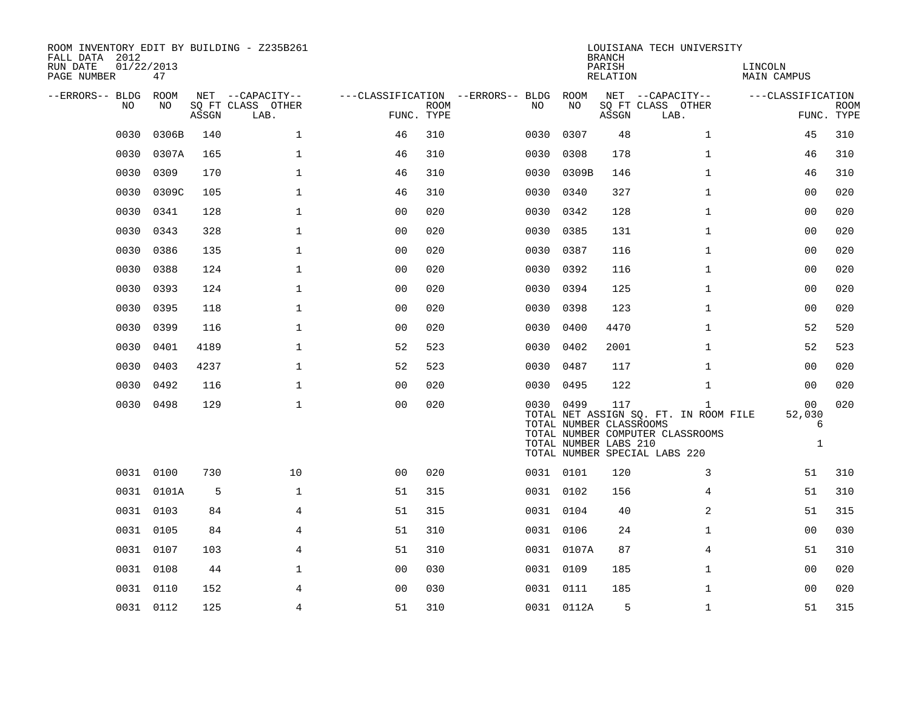| ROOM INVENTORY EDIT BY BUILDING - Z235B261<br>FALL DATA 2012<br>RUN DATE<br>PAGE NUMBER | 01/22/2013<br>47 |       |                           |                |             |                                        |                                                               | <b>BRANCH</b><br>PARISH<br>RELATION | LOUISIANA TECH UNIVERSITY                                                                                       | LINCOLN<br>MAIN CAMPUS                        |                           |
|-----------------------------------------------------------------------------------------|------------------|-------|---------------------------|----------------|-------------|----------------------------------------|---------------------------------------------------------------|-------------------------------------|-----------------------------------------------------------------------------------------------------------------|-----------------------------------------------|---------------------------|
| --ERRORS-- BLDG ROOM                                                                    |                  |       | NET --CAPACITY--          |                |             | ---CLASSIFICATION --ERRORS-- BLDG ROOM |                                                               |                                     | NET --CAPACITY--                                                                                                | ---CLASSIFICATION                             |                           |
| NO                                                                                      | NO               | ASSGN | SQ FT CLASS OTHER<br>LAB. | FUNC. TYPE     | <b>ROOM</b> | NO.                                    | NO                                                            | ASSGN                               | SQ FT CLASS OTHER<br>LAB.                                                                                       |                                               | <b>ROOM</b><br>FUNC. TYPE |
| 0030                                                                                    | 0306B            | 140   | $\mathbf{1}$              | 46             | 310         | 0030                                   | 0307                                                          | 48                                  | $\mathbf{1}$                                                                                                    | 45                                            | 310                       |
|                                                                                         |                  |       |                           |                |             |                                        |                                                               |                                     |                                                                                                                 |                                               |                           |
| 0030                                                                                    | 0307A            | 165   | $\mathbf 1$               | 46             | 310         | 0030                                   | 0308                                                          | 178                                 | $\mathbf{1}$                                                                                                    | 46                                            | 310                       |
| 0030                                                                                    | 0309             | 170   | $\mathbf{1}$              | 46             | 310         |                                        | 0030 0309B                                                    | 146                                 | $\mathbf{1}$                                                                                                    | 46                                            | 310                       |
| 0030                                                                                    | 0309C            | 105   | $\mathbf 1$               | 46             | 310         | 0030                                   | 0340                                                          | 327                                 | $\mathbf{1}$                                                                                                    | 00                                            | 020                       |
| 0030                                                                                    | 0341             | 128   | $\mathbf 1$               | 0 <sub>0</sub> | 020         |                                        | 0030 0342                                                     | 128                                 | $\mathbf{1}$                                                                                                    | 00                                            | 020                       |
| 0030                                                                                    | 0343             | 328   | $\mathbf{1}$              | 0 <sub>0</sub> | 020         | 0030                                   | 0385                                                          | 131                                 | $\mathbf{1}$                                                                                                    | 00                                            | 020                       |
| 0030                                                                                    | 0386             | 135   | $\mathbf 1$               | 0 <sub>0</sub> | 020         |                                        | 0030 0387                                                     | 116                                 | $\mathbf{1}$                                                                                                    | 00                                            | 020                       |
| 0030                                                                                    | 0388             | 124   | $\mathbf{1}$              | 0 <sub>0</sub> | 020         | 0030                                   | 0392                                                          | 116                                 | $\mathbf{1}$                                                                                                    | 0 <sub>0</sub>                                | 020                       |
| 0030                                                                                    | 0393             | 124   | $\mathbf 1$               | 0 <sub>0</sub> | 020         |                                        | 0030 0394                                                     | 125                                 | $\mathbf{1}$                                                                                                    | 00                                            | 020                       |
| 0030                                                                                    | 0395             | 118   | $\mathbf 1$               | 00             | 020         | 0030                                   | 0398                                                          | 123                                 | $\mathbf{1}$                                                                                                    | 00                                            | 020                       |
| 0030                                                                                    | 0399             | 116   | $\mathbf 1$               | 0 <sub>0</sub> | 020         | 0030                                   | 0400                                                          | 4470                                | $\mathbf{1}$                                                                                                    | 52                                            | 520                       |
| 0030                                                                                    | 0401             | 4189  | $\mathbf 1$               | 52             | 523         | 0030                                   | 0402                                                          | 2001                                | $\mathbf{1}$                                                                                                    | 52                                            | 523                       |
| 0030                                                                                    | 0403             | 4237  | $\mathbf 1$               | 52             | 523         |                                        | 0030 0487                                                     | 117                                 | $\mathbf{1}$                                                                                                    | 00                                            | 020                       |
| 0030                                                                                    | 0492             | 116   | $\mathbf 1$               | 00             | 020         |                                        | 0030 0495                                                     | 122                                 | $\mathbf{1}$                                                                                                    | 00                                            | 020                       |
|                                                                                         | 0030 0498        | 129   | $\mathbf{1}$              | 0 <sub>0</sub> | 020         |                                        | 0030 0499<br>TOTAL NUMBER CLASSROOMS<br>TOTAL NUMBER LABS 210 | 117                                 | 1<br>TOTAL NET ASSIGN SQ. FT. IN ROOM FILE<br>TOTAL NUMBER COMPUTER CLASSROOMS<br>TOTAL NUMBER SPECIAL LABS 220 | 0 <sub>0</sub><br>52,030<br>6<br>$\mathbf{1}$ | 020                       |
|                                                                                         | 0031 0100        | 730   | 10                        | 00             | 020         |                                        | 0031 0101                                                     | 120                                 | 3                                                                                                               | 51                                            | 310                       |
|                                                                                         | 0031 0101A       | 5     | $\mathbf{1}$              | 51             | 315         |                                        | 0031 0102                                                     | 156                                 | 4                                                                                                               | 51                                            | 310                       |
|                                                                                         | 0031 0103        | 84    | 4                         | 51             | 315         |                                        | 0031 0104                                                     | 40                                  | 2                                                                                                               | 51                                            | 315                       |
|                                                                                         | 0031 0105        | 84    | 4                         | 51             | 310         |                                        | 0031 0106                                                     | 24                                  | $\mathbf{1}$                                                                                                    | 0 <sub>0</sub>                                | 030                       |
|                                                                                         | 0031 0107        | 103   | 4                         | 51             | 310         |                                        | 0031 0107A                                                    | 87                                  | 4                                                                                                               | 51                                            | 310                       |
|                                                                                         | 0031 0108        | 44    | $\mathbf 1$               | 0 <sub>0</sub> | 030         |                                        | 0031 0109                                                     | 185                                 | $\mathbf{1}$                                                                                                    | 00                                            | 020                       |
|                                                                                         | 0031 0110        | 152   | 4                         | 0 <sub>0</sub> | 030         |                                        | 0031 0111                                                     | 185                                 | $\mathbf{1}$                                                                                                    | 00                                            | 020                       |
|                                                                                         | 0031 0112        | 125   | $\overline{4}$            | 51             | 310         |                                        | 0031 0112A                                                    | 5                                   | $\mathbf{1}$                                                                                                    | 51                                            | 315                       |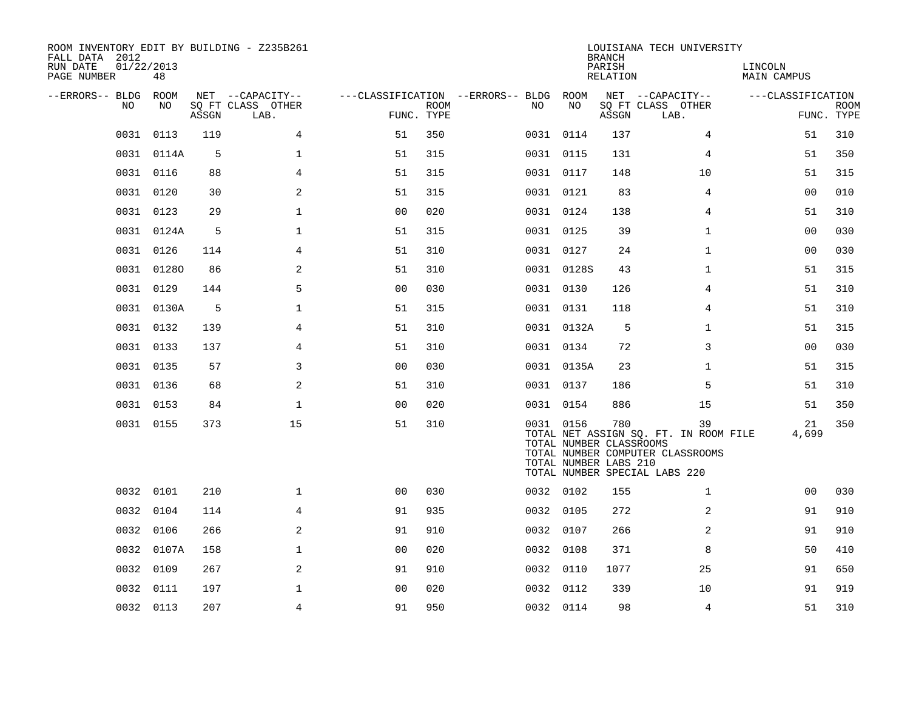| ROOM INVENTORY EDIT BY BUILDING - Z235B261<br>FALL DATA 2012<br>01/22/2013<br>RUN DATE<br>PAGE NUMBER | 48         |       |                                       |                |             |                                               |            | <b>BRANCH</b><br>PARISH<br>RELATION                     | LOUISIANA TECH UNIVERSITY                                                                                        | LINCOLN<br>MAIN CAMPUS |             |
|-------------------------------------------------------------------------------------------------------|------------|-------|---------------------------------------|----------------|-------------|-----------------------------------------------|------------|---------------------------------------------------------|------------------------------------------------------------------------------------------------------------------|------------------------|-------------|
| --ERRORS-- BLDG ROOM<br>NO.                                                                           | NO         |       | NET --CAPACITY--<br>SQ FT CLASS OTHER |                | <b>ROOM</b> | ---CLASSIFICATION --ERRORS-- BLDG ROOM<br>NO. | NO         |                                                         | NET --CAPACITY--<br>SQ FT CLASS OTHER                                                                            | ---CLASSIFICATION      | <b>ROOM</b> |
|                                                                                                       |            | ASSGN | LAB.                                  | FUNC. TYPE     |             |                                               |            | ASSGN                                                   | LAB.                                                                                                             |                        | FUNC. TYPE  |
| 0031                                                                                                  | 0113       | 119   | 4                                     | 51             | 350         |                                               | 0031 0114  | 137                                                     | 4                                                                                                                | 51                     | 310         |
|                                                                                                       | 0031 0114A | 5     | 1                                     | 51             | 315         |                                               | 0031 0115  | 131                                                     | 4                                                                                                                | 51                     | 350         |
|                                                                                                       | 0031 0116  | 88    | 4                                     | 51             | 315         |                                               | 0031 0117  | 148                                                     | 10                                                                                                               | 51                     | 315         |
| 0031                                                                                                  | 0120       | 30    | 2                                     | 51             | 315         |                                               | 0031 0121  | 83                                                      | 4                                                                                                                | 00                     | 010         |
|                                                                                                       | 0031 0123  | 29    | $\mathbf 1$                           | 0 <sub>0</sub> | 020         |                                               | 0031 0124  | 138                                                     | 4                                                                                                                | 51                     | 310         |
|                                                                                                       | 0031 0124A | 5     | $\mathbf 1$                           | 51             | 315         |                                               | 0031 0125  | 39                                                      | $\mathbf{1}$                                                                                                     | 0 <sub>0</sub>         | 030         |
|                                                                                                       | 0031 0126  | 114   | $\overline{4}$                        | 51             | 310         |                                               | 0031 0127  | 24                                                      | $\mathbf{1}$                                                                                                     | 0 <sub>0</sub>         | 030         |
|                                                                                                       | 0031 01280 | 86    | 2                                     | 51             | 310         |                                               | 0031 0128S | 43                                                      | $\mathbf{1}$                                                                                                     | 51                     | 315         |
|                                                                                                       | 0031 0129  | 144   | 5                                     | 0 <sub>0</sub> | 030         |                                               | 0031 0130  | 126                                                     | $\overline{4}$                                                                                                   | 51                     | 310         |
|                                                                                                       | 0031 0130A | 5     | $\mathbf 1$                           | 51             | 315         |                                               | 0031 0131  | 118                                                     | 4                                                                                                                | 51                     | 310         |
|                                                                                                       | 0031 0132  | 139   | $\overline{4}$                        | 51             | 310         |                                               | 0031 0132A | 5                                                       | $\mathbf{1}$                                                                                                     | 51                     | 315         |
|                                                                                                       | 0031 0133  | 137   | $\overline{4}$                        | 51             | 310         |                                               | 0031 0134  | 72                                                      | 3                                                                                                                | 0 <sub>0</sub>         | 030         |
|                                                                                                       | 0031 0135  | 57    | 3                                     | 0 <sub>0</sub> | 030         |                                               | 0031 0135A | 23                                                      | $\mathbf{1}$                                                                                                     | 51                     | 315         |
|                                                                                                       | 0031 0136  | 68    | 2                                     | 51             | 310         |                                               | 0031 0137  | 186                                                     | 5                                                                                                                | 51                     | 310         |
|                                                                                                       | 0031 0153  | 84    | $\mathbf{1}$                          | 0 <sub>0</sub> | 020         |                                               | 0031 0154  | 886                                                     | 15                                                                                                               | 51                     | 350         |
|                                                                                                       | 0031 0155  | 373   | 15                                    | 51             | 310         |                                               | 0031 0156  | 780<br>TOTAL NUMBER CLASSROOMS<br>TOTAL NUMBER LABS 210 | 39<br>TOTAL NET ASSIGN SQ. FT. IN ROOM FILE<br>TOTAL NUMBER COMPUTER CLASSROOMS<br>TOTAL NUMBER SPECIAL LABS 220 | 21<br>4,699            | 350         |
|                                                                                                       | 0032 0101  | 210   | $\mathbf 1$                           | 0 <sub>0</sub> | 030         |                                               | 0032 0102  | 155                                                     | $\mathbf{1}$                                                                                                     | 00                     | 030         |
|                                                                                                       | 0032 0104  | 114   | 4                                     | 91             | 935         |                                               | 0032 0105  | 272                                                     | 2                                                                                                                | 91                     | 910         |
| 0032                                                                                                  | 0106       | 266   | 2                                     | 91             | 910         |                                               | 0032 0107  | 266                                                     | 2                                                                                                                | 91                     | 910         |
|                                                                                                       | 0032 0107A | 158   | $\mathbf 1$                           | 0 <sub>0</sub> | 020         |                                               | 0032 0108  | 371                                                     | 8                                                                                                                | 50                     | 410         |
| 0032                                                                                                  | 0109       | 267   | 2                                     | 91             | 910         | 0032                                          | 0110       | 1077                                                    | 25                                                                                                               | 91                     | 650         |
| 0032                                                                                                  | 0111       | 197   | $\mathbf{1}$                          | 0 <sub>0</sub> | 020         |                                               | 0032 0112  | 339                                                     | 10                                                                                                               | 91                     | 919         |
|                                                                                                       | 0032 0113  | 207   | 4                                     | 91             | 950         |                                               | 0032 0114  | 98                                                      | 4                                                                                                                | 51                     | 310         |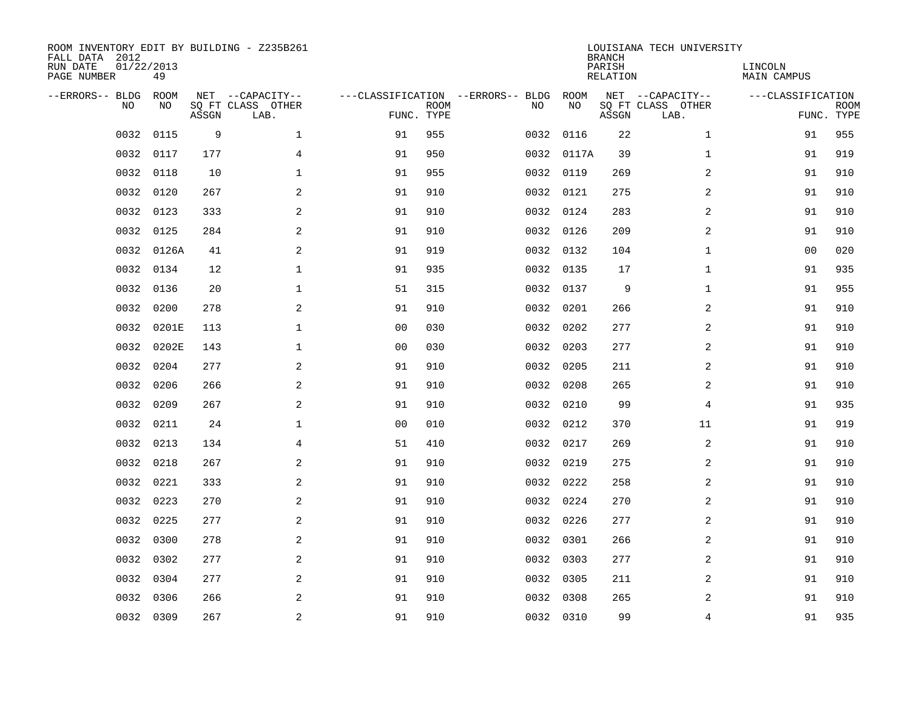| ROOM INVENTORY EDIT BY BUILDING - Z235B261<br>FALL DATA 2012<br>RUN DATE<br>PAGE NUMBER | 01/22/2013<br>49  |       |                                               |                |             |                                         |            | <b>BRANCH</b><br>PARISH<br><b>RELATION</b> | LOUISIANA TECH UNIVERSITY                     | LINCOLN<br><b>MAIN CAMPUS</b> |                           |
|-----------------------------------------------------------------------------------------|-------------------|-------|-----------------------------------------------|----------------|-------------|-----------------------------------------|------------|--------------------------------------------|-----------------------------------------------|-------------------------------|---------------------------|
| --ERRORS-- BLDG<br>NO                                                                   | <b>ROOM</b><br>NO | ASSGN | NET --CAPACITY--<br>SQ FT CLASS OTHER<br>LAB. | FUNC. TYPE     | <b>ROOM</b> | ---CLASSIFICATION --ERRORS-- BLDG<br>NO | ROOM<br>NO | ASSGN                                      | NET --CAPACITY--<br>SQ FT CLASS OTHER<br>LAB. | ---CLASSIFICATION             | <b>ROOM</b><br>FUNC. TYPE |
| 0032                                                                                    | 0115              | 9     | $\mathbf{1}$                                  | 91             | 955         | 0032                                    | 0116       | 22                                         | $\mathbf{1}$                                  | 91                            | 955                       |
| 0032                                                                                    | 0117              | 177   | 4                                             | 91             | 950         |                                         | 0032 0117A | 39                                         | $\mathbf{1}$                                  | 91                            | 919                       |
| 0032                                                                                    | 0118              | 10    | $\mathbf 1$                                   | 91             | 955         | 0032                                    | 0119       | 269                                        | 2                                             | 91                            | 910                       |
| 0032                                                                                    | 0120              | 267   | 2                                             | 91             | 910         |                                         | 0032 0121  | 275                                        | 2                                             | 91                            | 910                       |
| 0032                                                                                    | 0123              | 333   | 2                                             | 91             | 910         |                                         | 0032 0124  | 283                                        | 2                                             | 91                            | 910                       |
| 0032                                                                                    | 0125              | 284   | 2                                             | 91             | 910         |                                         | 0032 0126  | 209                                        | 2                                             | 91                            | 910                       |
| 0032                                                                                    | 0126A             | 41    | 2                                             | 91             | 919         |                                         | 0032 0132  | 104                                        | $\mathbf{1}$                                  | 0 <sub>0</sub>                | 020                       |
| 0032                                                                                    | 0134              | 12    | $\mathbf{1}$                                  | 91             | 935         |                                         | 0032 0135  | 17                                         | $\mathbf{1}$                                  | 91                            | 935                       |
| 0032                                                                                    | 0136              | 20    | $\mathbf{1}$                                  | 51             | 315         | 0032                                    | 0137       | 9                                          | $\mathbf{1}$                                  | 91                            | 955                       |
| 0032                                                                                    | 0200              | 278   | 2                                             | 91             | 910         |                                         | 0032 0201  | 266                                        | 2                                             | 91                            | 910                       |
| 0032                                                                                    | 0201E             | 113   | $\mathbf 1$                                   | 0 <sub>0</sub> | 030         | 0032                                    | 0202       | 277                                        | 2                                             | 91                            | 910                       |
| 0032                                                                                    | 0202E             | 143   | $\mathbf 1$                                   | 0 <sub>0</sub> | 030         |                                         | 0032 0203  | 277                                        | 2                                             | 91                            | 910                       |
| 0032                                                                                    | 0204              | 277   | 2                                             | 91             | 910         | 0032                                    | 0205       | 211                                        | 2                                             | 91                            | 910                       |
| 0032                                                                                    | 0206              | 266   | 2                                             | 91             | 910         |                                         | 0032 0208  | 265                                        | 2                                             | 91                            | 910                       |
| 0032                                                                                    | 0209              | 267   | 2                                             | 91             | 910         | 0032                                    | 0210       | 99                                         | 4                                             | 91                            | 935                       |
| 0032                                                                                    | 0211              | 24    | $\mathbf{1}$                                  | 0 <sub>0</sub> | 010         |                                         | 0032 0212  | 370                                        | 11                                            | 91                            | 919                       |
| 0032                                                                                    | 0213              | 134   | $\overline{4}$                                | 51             | 410         |                                         | 0032 0217  | 269                                        | $\overline{a}$                                | 91                            | 910                       |
| 0032                                                                                    | 0218              | 267   | $\mathbf{2}$                                  | 91             | 910         |                                         | 0032 0219  | 275                                        | 2                                             | 91                            | 910                       |
| 0032                                                                                    | 0221              | 333   | 2                                             | 91             | 910         |                                         | 0032 0222  | 258                                        | 2                                             | 91                            | 910                       |
| 0032                                                                                    | 0223              | 270   | 2                                             | 91             | 910         |                                         | 0032 0224  | 270                                        | 2                                             | 91                            | 910                       |
| 0032                                                                                    | 0225              | 277   | 2                                             | 91             | 910         |                                         | 0032 0226  | 277                                        | 2                                             | 91                            | 910                       |
| 0032                                                                                    | 0300              | 278   | 2                                             | 91             | 910         |                                         | 0032 0301  | 266                                        | 2                                             | 91                            | 910                       |
| 0032                                                                                    | 0302              | 277   | 2                                             | 91             | 910         |                                         | 0032 0303  | 277                                        | 2                                             | 91                            | 910                       |
| 0032                                                                                    | 0304              | 277   | 2                                             | 91             | 910         |                                         | 0032 0305  | 211                                        | 2                                             | 91                            | 910                       |
| 0032                                                                                    | 0306              | 266   | 2                                             | 91             | 910         | 0032                                    | 0308       | 265                                        | 2                                             | 91                            | 910                       |
|                                                                                         | 0032 0309         | 267   | $\overline{c}$                                | 91             | 910         |                                         | 0032 0310  | 99                                         | 4                                             | 91                            | 935                       |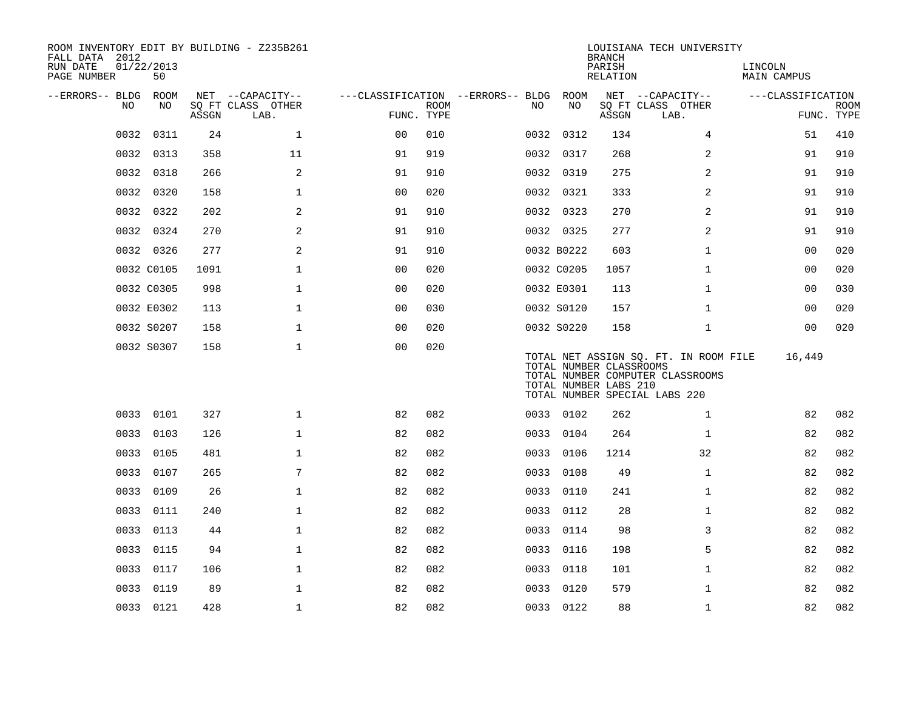| ROOM INVENTORY EDIT BY BUILDING - Z235B261<br>FALL DATA 2012<br>RUN DATE<br>PAGE NUMBER | 01/22/2013<br>50 |       |                                       |                                   |             |      |                                                  | <b>BRANCH</b><br>PARISH<br>RELATION | LOUISIANA TECH UNIVERSITY                                                                                  | LINCOLN<br>MAIN CAMPUS |             |
|-----------------------------------------------------------------------------------------|------------------|-------|---------------------------------------|-----------------------------------|-------------|------|--------------------------------------------------|-------------------------------------|------------------------------------------------------------------------------------------------------------|------------------------|-------------|
|                                                                                         |                  |       |                                       |                                   |             |      |                                                  |                                     |                                                                                                            |                        |             |
| --ERRORS-- BLDG ROOM<br>NO.                                                             | NO               |       | NET --CAPACITY--<br>SQ FT CLASS OTHER | ---CLASSIFICATION --ERRORS-- BLDG | <b>ROOM</b> | NO.  | ROOM<br>NO                                       |                                     | NET --CAPACITY--<br>SQ FT CLASS OTHER                                                                      | ---CLASSIFICATION      | <b>ROOM</b> |
|                                                                                         |                  | ASSGN | LAB.                                  | FUNC. TYPE                        |             |      |                                                  | ASSGN                               | LAB.                                                                                                       |                        | FUNC. TYPE  |
| 0032                                                                                    | 0311             | 24    | $\mathbf 1$                           | 0 <sub>0</sub>                    | 010         |      | 0032 0312                                        | 134                                 | 4                                                                                                          | 51                     | 410         |
| 0032                                                                                    | 0313             | 358   | 11                                    | 91                                | 919         |      | 0032 0317                                        | 268                                 | 2                                                                                                          | 91                     | 910         |
|                                                                                         | 0032 0318        | 266   | 2                                     | 91                                | 910         |      | 0032 0319                                        | 275                                 | 2                                                                                                          | 91                     | 910         |
| 0032                                                                                    | 0320             | 158   | $\mathbf{1}$                          | 0 <sub>0</sub>                    | 020         |      | 0032 0321                                        | 333                                 | $\overline{2}$                                                                                             | 91                     | 910         |
|                                                                                         | 0032 0322        | 202   | 2                                     | 91                                | 910         |      | 0032 0323                                        | 270                                 | 2                                                                                                          | 91                     | 910         |
| 0032                                                                                    | 0324             | 270   | $\overline{a}$                        | 91                                | 910         |      | 0032 0325                                        | 277                                 | $\overline{a}$                                                                                             | 91                     | 910         |
|                                                                                         | 0032 0326        | 277   | 2                                     | 91                                | 910         |      | 0032 B0222                                       | 603                                 | $\mathbf{1}$                                                                                               | 00                     | 020         |
|                                                                                         | 0032 C0105       | 1091  | $\mathbf 1$                           | 0 <sub>0</sub>                    | 020         |      | 0032 C0205                                       | 1057                                | $\mathbf{1}$                                                                                               | 00                     | 020         |
|                                                                                         | 0032 C0305       | 998   | $\mathbf 1$                           | 0 <sub>0</sub>                    | 020         |      | 0032 E0301                                       | 113                                 | $\mathbf{1}$                                                                                               | 0 <sub>0</sub>         | 030         |
|                                                                                         | 0032 E0302       | 113   | $\mathbf 1$                           | 0 <sub>0</sub>                    | 030         |      | 0032 S0120                                       | 157                                 | $\mathbf{1}$                                                                                               | 00                     | 020         |
|                                                                                         | 0032 S0207       | 158   | $\mathbf 1$                           | 0 <sub>0</sub>                    | 020         |      | 0032 S0220                                       | 158                                 | $\mathbf{1}$                                                                                               | 00                     | 020         |
|                                                                                         | 0032 S0307       | 158   | $\mathbf 1$                           | 0 <sub>0</sub>                    | 020         |      | TOTAL NUMBER CLASSROOMS<br>TOTAL NUMBER LABS 210 |                                     | TOTAL NET ASSIGN SQ. FT. IN ROOM FILE<br>TOTAL NUMBER COMPUTER CLASSROOMS<br>TOTAL NUMBER SPECIAL LABS 220 | 16,449                 |             |
|                                                                                         | 0033 0101        | 327   | $\mathbf{1}$                          | 82                                | 082         |      | 0033 0102                                        | 262                                 | $\mathbf{1}$                                                                                               | 82                     | 082         |
|                                                                                         | 0033 0103        | 126   | $\mathbf 1$                           | 82                                | 082         |      | 0033 0104                                        | 264                                 | $\mathbf{1}$                                                                                               | 82                     | 082         |
| 0033                                                                                    | 0105             | 481   | $\mathbf{1}$                          | 82                                | 082         | 0033 | 0106                                             | 1214                                | 32                                                                                                         | 82                     | 082         |
| 0033                                                                                    | 0107             | 265   | 7                                     | 82                                | 082         |      | 0033 0108                                        | 49                                  | $\mathbf{1}$                                                                                               | 82                     | 082         |
| 0033                                                                                    | 0109             | 26    | $\mathbf{1}$                          | 82                                | 082         | 0033 | 0110                                             | 241                                 | $\mathbf{1}$                                                                                               | 82                     | 082         |
| 0033                                                                                    | 0111             | 240   | $\mathbf 1$                           | 82                                | 082         |      | 0033 0112                                        | 28                                  | $\mathbf{1}$                                                                                               | 82                     | 082         |
| 0033                                                                                    | 0113             | 44    | $\mathbf 1$                           | 82                                | 082         | 0033 | 0114                                             | 98                                  | 3                                                                                                          | 82                     | 082         |
| 0033                                                                                    | 0115             | 94    | $\mathbf 1$                           | 82                                | 082         |      | 0033 0116                                        | 198                                 | 5                                                                                                          | 82                     | 082         |
| 0033                                                                                    | 0117             | 106   | $\mathbf 1$                           | 82                                | 082         | 0033 | 0118                                             | 101                                 | $\mathbf{1}$                                                                                               | 82                     | 082         |
| 0033                                                                                    | 0119             | 89    | $\mathbf 1$                           | 82                                | 082         |      | 0033 0120                                        | 579                                 | $\mathbf{1}$                                                                                               | 82                     | 082         |
|                                                                                         | 0033 0121        | 428   | $\mathbf{1}$                          | 82                                | 082         |      | 0033 0122                                        | 88                                  | $\mathbf{1}$                                                                                               | 82                     | 082         |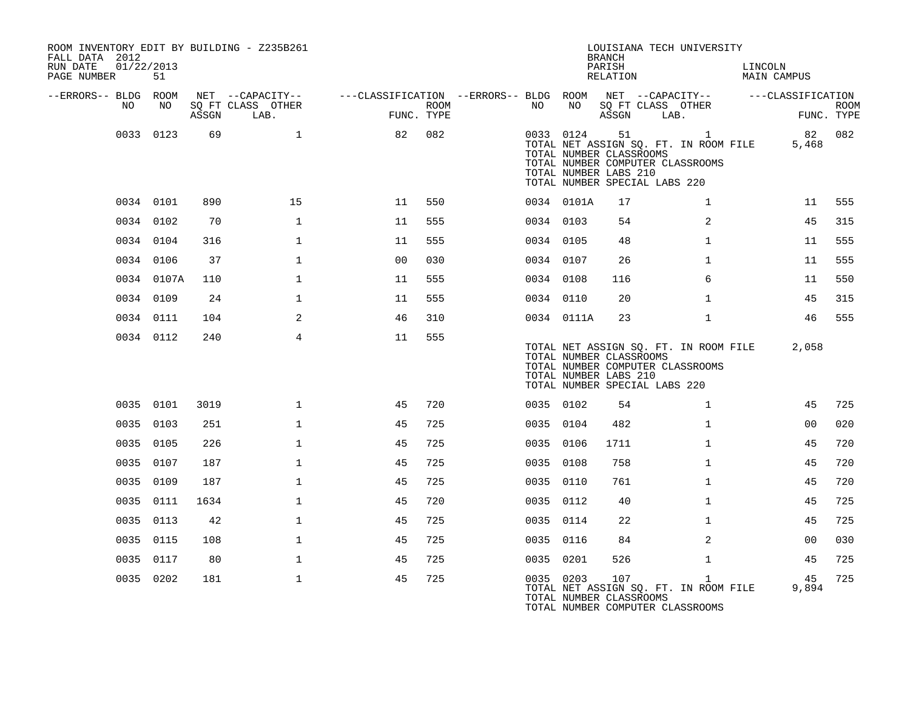| ROOM INVENTORY EDIT BY BUILDING - Z235B261<br>FALL DATA 2012<br>RUN DATE | 01/22/2013 |       |                                               |                                                                                           |      |           |                 | <b>BRANCH</b><br>PARISH                          | LOUISIANA TECH UNIVERSITY                                                                                                    | LINCOLN            |                           |
|--------------------------------------------------------------------------|------------|-------|-----------------------------------------------|-------------------------------------------------------------------------------------------|------|-----------|-----------------|--------------------------------------------------|------------------------------------------------------------------------------------------------------------------------------|--------------------|---------------------------|
| PAGE NUMBER                                                              | 51         |       |                                               |                                                                                           |      |           |                 | RELATION                                         |                                                                                                                              | <b>MAIN CAMPUS</b> |                           |
| --ERRORS-- BLDG ROOM<br>NO .                                             | NO         | ASSGN | NET --CAPACITY--<br>SQ FT CLASS OTHER<br>LAB. | ---CLASSIFICATION --ERRORS-- BLDG ROOM NET --CAPACITY-- -----CLASSIFICATION<br>FUNC. TYPE | ROOM | NO        | NO <sub>1</sub> | ASSGN                                            | SQ FT CLASS OTHER<br>LAB.                                                                                                    |                    | <b>ROOM</b><br>FUNC. TYPE |
|                                                                          | 0033 0123  | 69    | $\mathbf{1}$                                  | 82                                                                                        | 082  |           |                 | TOTAL NUMBER CLASSROOMS<br>TOTAL NUMBER LABS 210 | 0033 0124 51 1<br>TOTAL NET ASSIGN SQ. FT. IN ROOM FILE<br>TOTAL NUMBER COMPUTER CLASSROOMS<br>TOTAL NUMBER SPECIAL LABS 220 | 82 082<br>5,468    |                           |
|                                                                          | 0034 0101  | 890   | 15                                            | 11                                                                                        | 550  |           | 0034 0101A      | 17                                               | $\mathbf{1}$                                                                                                                 | 11                 | 555                       |
|                                                                          | 0034 0102  | 70    | $\mathbf{1}$                                  | 11                                                                                        | 555  | 0034 0103 |                 | 54                                               | $\overline{2}$                                                                                                               | 45                 | 315                       |
|                                                                          | 0034 0104  | 316   | $\mathbf{1}$                                  | 11                                                                                        | 555  | 0034 0105 |                 | 48                                               | $\mathbf{1}$                                                                                                                 | 11                 | 555                       |
|                                                                          | 0034 0106  | 37    | $\mathbf{1}$                                  | 0 <sub>0</sub>                                                                            | 030  | 0034 0107 |                 | 26                                               | $\mathbf{1}$                                                                                                                 | 11                 | 555                       |
|                                                                          | 0034 0107A | 110   | $\mathbf{1}$                                  | 11                                                                                        | 555  | 0034 0108 |                 | 116                                              | 6                                                                                                                            | 11                 | 550                       |
|                                                                          | 0034 0109  | 24    | $\mathbf{1}$                                  | 11                                                                                        | 555  | 0034 0110 |                 | 20                                               | $\mathbf{1}$                                                                                                                 | 45                 | 315                       |
|                                                                          | 0034 0111  | 104   | 2                                             | 46                                                                                        | 310  |           | 0034 0111A      | 23                                               | $\mathbf{1}$                                                                                                                 | 46                 | 555                       |
|                                                                          | 0034 0112  | 240   | $\overline{4}$                                | 11                                                                                        | 555  |           |                 | TOTAL NUMBER CLASSROOMS<br>TOTAL NUMBER LABS 210 | TOTAL NET ASSIGN SQ. FT. IN ROOM FILE<br>TOTAL NUMBER COMPUTER CLASSROOMS<br>TOTAL NUMBER SPECIAL LABS 220                   | 2,058              |                           |
|                                                                          | 0035 0101  | 3019  | $\mathbf 1$                                   | 45                                                                                        | 720  | 0035 0102 |                 | 54                                               | $\mathbf{1}$                                                                                                                 | 45                 | 725                       |
|                                                                          | 0035 0103  | 251   | $\mathbf{1}$                                  | 45                                                                                        | 725  | 0035 0104 |                 | 482                                              | $\mathbf{1}$                                                                                                                 | 00                 | 020                       |
|                                                                          | 0035 0105  | 226   | $\mathbf{1}$                                  | 45                                                                                        | 725  | 0035 0106 |                 | 1711                                             | $\mathbf{1}$                                                                                                                 | 45                 | 720                       |
|                                                                          | 0035 0107  | 187   | $\mathbf{1}$                                  | 45                                                                                        | 725  | 0035 0108 |                 | 758                                              | $\mathbf{1}$                                                                                                                 | 45                 | 720                       |
|                                                                          | 0035 0109  | 187   | $\mathbf{1}$                                  | 45                                                                                        | 725  | 0035 0110 |                 | 761                                              | $\mathbf{1}$                                                                                                                 | 45                 | 720                       |
|                                                                          | 0035 0111  | 1634  | $\mathbf{1}$                                  | 45                                                                                        | 720  | 0035 0112 |                 | 40                                               | $\mathbf{1}$                                                                                                                 | 45                 | 725                       |
|                                                                          | 0035 0113  | 42    | 1                                             | 45                                                                                        | 725  | 0035 0114 |                 | 22                                               | $\mathbf{1}$                                                                                                                 | 45                 | 725                       |
|                                                                          | 0035 0115  | 108   | $\mathbf 1$                                   | 45                                                                                        | 725  | 0035 0116 |                 | 84                                               | 2                                                                                                                            | 0 <sub>0</sub>     | 030                       |
|                                                                          | 0035 0117  | 80    | $\mathbf{1}$                                  | 45                                                                                        | 725  | 0035 0201 |                 | 526                                              | $\mathbf{1}$                                                                                                                 | 45                 | 725                       |
|                                                                          | 0035 0202  | 181   | $\mathbf{1}$                                  | 45                                                                                        | 725  | 0035 0203 |                 | 107<br>TOTAL NUMBER CLASSROOMS                   | $\mathbf{1}$<br>TOTAL NET ASSIGN SQ. FT. IN ROOM FILE<br>TOTAL NUMBER COMPUTER CLASSROOMS                                    | 45<br>9,894        | 725                       |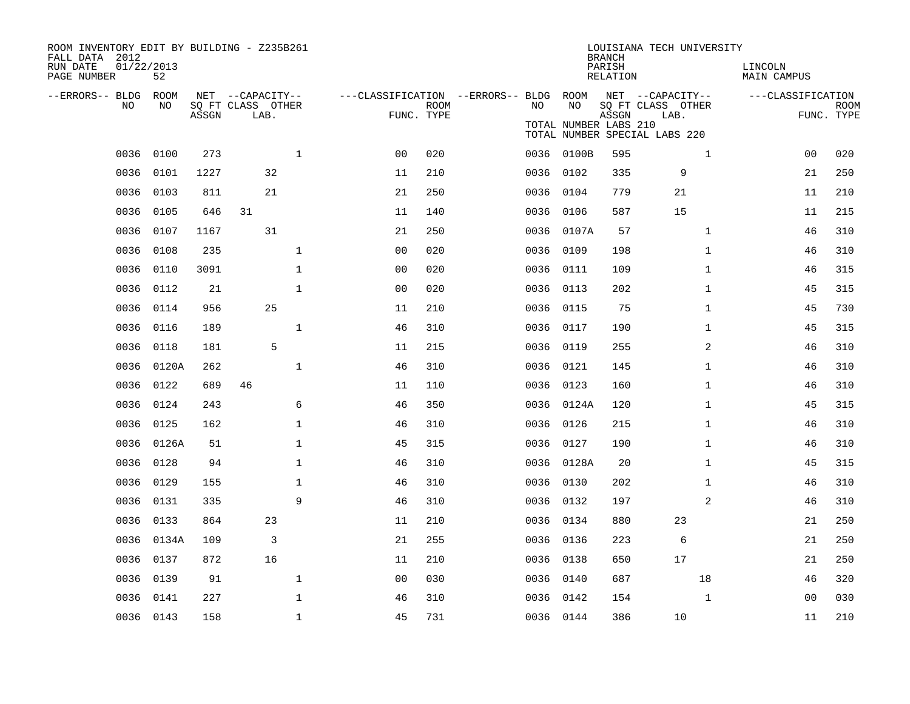| ROOM INVENTORY EDIT BY BUILDING - Z235B261<br>FALL DATA 2012<br>RUN DATE<br>PAGE NUMBER | 01/22/2013<br>52 |       |                                               |              |                                        |                           |           |                             | <b>BRANCH</b><br>PARISH<br><b>RELATION</b> | LOUISIANA TECH UNIVERSITY                                                      | LINCOLN<br><b>MAIN CAMPUS</b> |                           |
|-----------------------------------------------------------------------------------------|------------------|-------|-----------------------------------------------|--------------|----------------------------------------|---------------------------|-----------|-----------------------------|--------------------------------------------|--------------------------------------------------------------------------------|-------------------------------|---------------------------|
| --ERRORS-- BLDG ROOM<br>NO                                                              | NO               | ASSGN | NET --CAPACITY--<br>SQ FT CLASS OTHER<br>LAB. |              | ---CLASSIFICATION --ERRORS-- BLDG ROOM | <b>ROOM</b><br>FUNC. TYPE | NO.       | NO<br>TOTAL NUMBER LABS 210 | ASSGN                                      | NET --CAPACITY--<br>SQ FT CLASS OTHER<br>LAB.<br>TOTAL NUMBER SPECIAL LABS 220 | ---CLASSIFICATION             | <b>ROOM</b><br>FUNC. TYPE |
| 0036                                                                                    | 0100             | 273   |                                               | $\mathbf{1}$ | 0 <sub>0</sub>                         | 020                       |           | 0036 0100B                  | 595                                        | $\mathbf{1}$                                                                   | 00                            | 020                       |
| 0036                                                                                    | 0101             | 1227  | 32                                            |              | 11                                     | 210                       | 0036 0102 |                             | 335                                        | 9                                                                              | 21                            | 250                       |
| 0036                                                                                    | 0103             | 811   | 21                                            |              | 21                                     | 250                       | 0036 0104 |                             | 779                                        | 21                                                                             | 11                            | 210                       |
| 0036                                                                                    | 0105             | 646   | 31                                            |              | 11                                     | 140                       |           | 0036 0106                   | 587                                        | 15                                                                             | 11                            | 215                       |
| 0036                                                                                    | 0107             | 1167  | 31                                            |              | 21                                     | 250                       |           | 0036 0107A                  | 57                                         | $\mathbf{1}$                                                                   | 46                            | 310                       |
| 0036                                                                                    | 0108             | 235   |                                               | $\mathbf{1}$ | 0 <sub>0</sub>                         | 020                       | 0036 0109 |                             | 198                                        | $\mathbf{1}$                                                                   | 46                            | 310                       |
| 0036                                                                                    | 0110             | 3091  |                                               | $\mathbf{1}$ | 0 <sub>0</sub>                         | 020                       |           | 0036 0111                   | 109                                        | $\mathbf{1}$                                                                   | 46                            | 315                       |
| 0036                                                                                    | 0112             | 21    |                                               | $\mathbf 1$  | 0 <sub>0</sub>                         | 020                       | 0036      | 0113                        | 202                                        | $\mathbf{1}$                                                                   | 45                            | 315                       |
| 0036                                                                                    | 0114             | 956   | 25                                            |              | 11                                     | 210                       |           | 0036 0115                   | 75                                         | $\mathbf{1}$                                                                   | 45                            | 730                       |
| 0036                                                                                    | 0116             | 189   |                                               | $\mathbf{1}$ | 46                                     | 310                       | 0036 0117 |                             | 190                                        | $\mathbf{1}$                                                                   | 45                            | 315                       |
| 0036                                                                                    | 0118             | 181   | 5                                             |              | 11                                     | 215                       | 0036 0119 |                             | 255                                        | 2                                                                              | 46                            | 310                       |
| 0036                                                                                    | 0120A            | 262   |                                               | $\mathbf{1}$ | 46                                     | 310                       | 0036      | 0121                        | 145                                        | $\mathbf{1}$                                                                   | 46                            | 310                       |
| 0036                                                                                    | 0122             | 689   | 46                                            |              | 11                                     | 110                       | 0036 0123 |                             | 160                                        | $\mathbf{1}$                                                                   | 46                            | 310                       |
|                                                                                         | 0036 0124        | 243   |                                               | 6            | 46                                     | 350                       |           | 0036 0124A                  | 120                                        | $\mathbf{1}$                                                                   | 45                            | 315                       |
|                                                                                         | 0036 0125        | 162   |                                               | $\mathbf{1}$ | 46                                     | 310                       | 0036 0126 |                             | 215                                        | $\mathbf{1}$                                                                   | 46                            | 310                       |
|                                                                                         | 0036 0126A       | 51    |                                               | $\mathbf{1}$ | 45                                     | 315                       | 0036 0127 |                             | 190                                        | $\mathbf{1}$                                                                   | 46                            | 310                       |
| 0036                                                                                    | 0128             | 94    |                                               | $\mathbf 1$  | 46                                     | 310                       |           | 0036 0128A                  | 20                                         | $\mathbf{1}$                                                                   | 45                            | 315                       |
|                                                                                         | 0036 0129        | 155   |                                               | 1            | 46                                     | 310                       | 0036 0130 |                             | 202                                        | $\mathbf{1}$                                                                   | 46                            | 310                       |
| 0036                                                                                    | 0131             | 335   |                                               | 9            | 46                                     | 310                       | 0036 0132 |                             | 197                                        | 2                                                                              | 46                            | 310                       |
| 0036                                                                                    | 0133             | 864   | 23                                            |              | 11                                     | 210                       | 0036 0134 |                             | 880                                        | 23                                                                             | 21                            | 250                       |
| 0036                                                                                    | 0134A            | 109   | 3                                             |              | 21                                     | 255                       | 0036      | 0136                        | 223                                        | 6                                                                              | 21                            | 250                       |
| 0036                                                                                    | 0137             | 872   | 16                                            |              | 11                                     | 210                       | 0036 0138 |                             | 650                                        | 17                                                                             | 21                            | 250                       |
| 0036                                                                                    | 0139             | 91    |                                               | $\mathbf{1}$ | 0 <sub>0</sub>                         | 030                       | 0036 0140 |                             | 687                                        | 18                                                                             | 46                            | 320                       |
| 0036                                                                                    | 0141             | 227   |                                               | $\mathbf{1}$ | 46                                     | 310                       | 0036 0142 |                             | 154                                        | $\mathbf{1}$                                                                   | 0 <sub>0</sub>                | 030                       |
|                                                                                         | 0036 0143        | 158   |                                               | $\mathbf 1$  | 45                                     | 731                       | 0036 0144 |                             | 386                                        | 10                                                                             | 11                            | 210                       |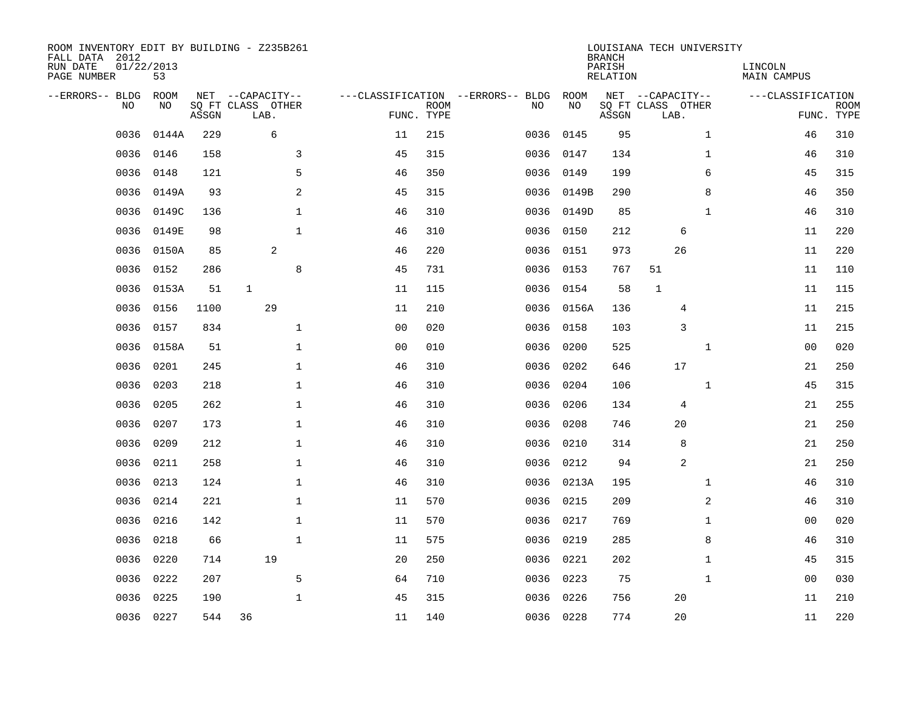| ROOM INVENTORY EDIT BY BUILDING - Z235B261<br>FALL DATA 2012<br>RUN DATE<br>PAGE NUMBER | 01/22/2013<br>53 |       |                                               |                |                           |                                         |            | <b>BRANCH</b><br>PARISH<br><b>RELATION</b> | LOUISIANA TECH UNIVERSITY                     | LINCOLN<br><b>MAIN CAMPUS</b> |                           |
|-----------------------------------------------------------------------------------------|------------------|-------|-----------------------------------------------|----------------|---------------------------|-----------------------------------------|------------|--------------------------------------------|-----------------------------------------------|-------------------------------|---------------------------|
| --ERRORS-- BLDG<br>NO                                                                   | ROOM<br>NO       | ASSGN | NET --CAPACITY--<br>SQ FT CLASS OTHER<br>LAB. |                | <b>ROOM</b><br>FUNC. TYPE | ---CLASSIFICATION --ERRORS-- BLDG<br>NO | ROOM<br>NO | ASSGN                                      | NET --CAPACITY--<br>SQ FT CLASS OTHER<br>LAB. | ---CLASSIFICATION             | <b>ROOM</b><br>FUNC. TYPE |
| 0036                                                                                    | 0144A            | 229   | 6                                             | 11             | 215                       | 0036                                    | 0145       | 95                                         | $\mathbf{1}$                                  | 46                            | 310                       |
| 0036                                                                                    | 0146             | 158   | 3                                             | 45             | 315                       | 0036                                    | 0147       | 134                                        | $\mathbf{1}$                                  | 46                            | 310                       |
| 0036                                                                                    | 0148             | 121   | 5                                             | 46             | 350                       | 0036                                    | 0149       | 199                                        | 6                                             | 45                            | 315                       |
| 0036                                                                                    | 0149A            | 93    | $\sqrt{2}$                                    | 45             | 315                       |                                         | 0036 0149B | 290                                        | 8                                             | 46                            | 350                       |
| 0036                                                                                    | 0149C            | 136   | $\mathbf{1}$                                  | 46             | 310                       | 0036                                    | 0149D      | 85                                         | $\mathbf{1}$                                  | 46                            | 310                       |
| 0036                                                                                    | 0149E            | 98    | $1\,$                                         | 46             | 310                       |                                         | 0036 0150  | 212                                        | 6                                             | 11                            | 220                       |
| 0036                                                                                    | 0150A            | 85    | 2                                             | 46             | 220                       | 0036                                    | 0151       | 973                                        | 26                                            | 11                            | 220                       |
| 0036                                                                                    | 0152             | 286   | 8                                             | 45             | 731                       |                                         | 0036 0153  | 767                                        | 51                                            | 11                            | 110                       |
| 0036                                                                                    | 0153A            | 51    | $\mathbf{1}$                                  | 11             | 115                       | 0036                                    | 0154       | 58                                         | $\mathbf{1}$                                  | 11                            | 115                       |
| 0036                                                                                    | 0156             | 1100  | 29                                            | 11             | 210                       |                                         | 0036 0156A | 136                                        | 4                                             | 11                            | 215                       |
| 0036                                                                                    | 0157             | 834   | $\mathbf 1$                                   | 0 <sub>0</sub> | 020                       | 0036                                    | 0158       | 103                                        | 3                                             | 11                            | 215                       |
| 0036                                                                                    | 0158A            | 51    | $\mathbf 1$                                   | 0 <sub>0</sub> | 010                       | 0036                                    | 0200       | 525                                        | $\mathbf{1}$                                  | 00                            | 020                       |
| 0036                                                                                    | 0201             | 245   | $\mathbf 1$                                   | 46             | 310                       | 0036                                    | 0202       | 646                                        | 17                                            | 21                            | 250                       |
| 0036                                                                                    | 0203             | 218   | $\mathbf 1$                                   | 46             | 310                       | 0036                                    | 0204       | 106                                        | $\mathbf{1}$                                  | 45                            | 315                       |
| 0036                                                                                    | 0205             | 262   | $\mathbf{1}$                                  | 46             | 310                       | 0036                                    | 0206       | 134                                        | 4                                             | 21                            | 255                       |
| 0036                                                                                    | 0207             | 173   | 1                                             | 46             | 310                       | 0036                                    | 0208       | 746                                        | 20                                            | 21                            | 250                       |
| 0036                                                                                    | 0209             | 212   | $\mathbf{1}$                                  | 46             | 310                       | 0036                                    | 0210       | 314                                        | 8                                             | 21                            | 250                       |
| 0036                                                                                    | 0211             | 258   | $\mathbf 1$                                   | 46             | 310                       | 0036                                    | 0212       | 94                                         | 2                                             | 21                            | 250                       |
| 0036                                                                                    | 0213             | 124   | $\mathbf 1$                                   | 46             | 310                       |                                         | 0036 0213A | 195                                        | $\mathbf{1}$                                  | 46                            | 310                       |
| 0036                                                                                    | 0214             | 221   | $\mathbf 1$                                   | 11             | 570                       | 0036                                    | 0215       | 209                                        | 2                                             | 46                            | 310                       |
| 0036                                                                                    | 0216             | 142   | $\mathbf{1}$                                  | 11             | 570                       |                                         | 0036 0217  | 769                                        | $\mathbf{1}$                                  | 0 <sub>0</sub>                | 020                       |
| 0036                                                                                    | 0218             | 66    | $\mathbf{1}$                                  | 11             | 575                       | 0036                                    | 0219       | 285                                        | 8                                             | 46                            | 310                       |
| 0036                                                                                    | 0220             | 714   | 19                                            | 20             | 250                       |                                         | 0036 0221  | 202                                        | $\mathbf{1}$                                  | 45                            | 315                       |
| 0036                                                                                    | 0222             | 207   | 5                                             | 64             | 710                       | 0036                                    | 0223       | 75                                         | $\mathbf{1}$                                  | 00                            | 030                       |
| 0036                                                                                    | 0225             | 190   | $\mathbf{1}$                                  | 45             | 315                       | 0036                                    | 0226       | 756                                        | 20                                            | 11                            | 210                       |
|                                                                                         | 0036 0227        | 544   | 36                                            | 11             | 140                       |                                         | 0036 0228  | 774                                        | 20                                            | 11                            | 220                       |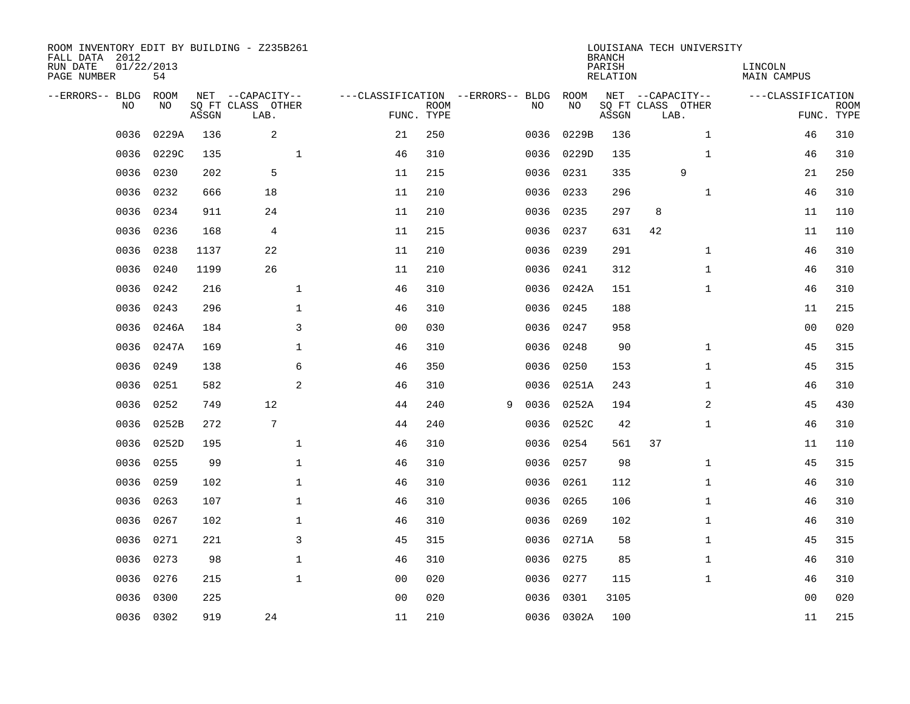| ROOM INVENTORY EDIT BY BUILDING - Z235B261<br>FALL DATA 2012<br>RUN DATE<br>PAGE NUMBER | 01/22/2013<br>54 |       |                                               |                                   |                           |   |      |            | <b>BRANCH</b><br>PARISH<br><b>RELATION</b> | LOUISIANA TECH UNIVERSITY                     |              | LINCOLN<br><b>MAIN CAMPUS</b> |                           |
|-----------------------------------------------------------------------------------------|------------------|-------|-----------------------------------------------|-----------------------------------|---------------------------|---|------|------------|--------------------------------------------|-----------------------------------------------|--------------|-------------------------------|---------------------------|
| --ERRORS-- BLDG<br>NO                                                                   | ROOM<br>NO       | ASSGN | NET --CAPACITY--<br>SQ FT CLASS OTHER<br>LAB. | ---CLASSIFICATION --ERRORS-- BLDG | <b>ROOM</b><br>FUNC. TYPE |   | NO   | ROOM<br>NO | ASSGN                                      | NET --CAPACITY--<br>SQ FT CLASS OTHER<br>LAB. |              | ---CLASSIFICATION             | <b>ROOM</b><br>FUNC. TYPE |
| 0036                                                                                    | 0229A            | 136   | 2                                             | 21                                | 250                       |   | 0036 | 0229B      | 136                                        |                                               | $\mathbf{1}$ | 46                            | 310                       |
| 0036                                                                                    | 0229C            | 135   | $\mathbf 1$                                   | 46                                | 310                       |   | 0036 | 0229D      | 135                                        |                                               | $\mathbf{1}$ | 46                            | 310                       |
| 0036                                                                                    | 0230             | 202   | 5                                             | 11                                | 215                       |   | 0036 | 0231       | 335                                        | 9                                             |              | 21                            | 250                       |
| 0036                                                                                    | 0232             | 666   | 18                                            | 11                                | 210                       |   | 0036 | 0233       | 296                                        |                                               | $\mathbf{1}$ | 46                            | 310                       |
| 0036                                                                                    | 0234             | 911   | 24                                            | 11                                | 210                       |   | 0036 | 0235       | 297                                        | 8                                             |              | 11                            | 110                       |
| 0036                                                                                    | 0236             | 168   | 4                                             | 11                                | 215                       |   |      | 0036 0237  | 631                                        | 42                                            |              | 11                            | 110                       |
| 0036                                                                                    | 0238             | 1137  | 22                                            | 11                                | 210                       |   | 0036 | 0239       | 291                                        |                                               | $\mathbf{1}$ | 46                            | 310                       |
| 0036                                                                                    | 0240             | 1199  | 26                                            | 11                                | 210                       |   |      | 0036 0241  | 312                                        |                                               | $\mathbf{1}$ | 46                            | 310                       |
| 0036                                                                                    | 0242             | 216   | $\mathbf{1}$                                  | 46                                | 310                       |   | 0036 | 0242A      | 151                                        |                                               | $\mathbf{1}$ | 46                            | 310                       |
| 0036                                                                                    | 0243             | 296   | $\mathbf 1$                                   | 46                                | 310                       |   | 0036 | 0245       | 188                                        |                                               |              | 11                            | 215                       |
| 0036                                                                                    | 0246A            | 184   | 3                                             | 0 <sub>0</sub>                    | 030                       |   | 0036 | 0247       | 958                                        |                                               |              | 00                            | 020                       |
| 0036                                                                                    | 0247A            | 169   | $\mathbf{1}$                                  | 46                                | 310                       |   | 0036 | 0248       | 90                                         |                                               | $\mathbf{1}$ | 45                            | 315                       |
| 0036                                                                                    | 0249             | 138   | 6                                             | 46                                | 350                       |   | 0036 | 0250       | 153                                        |                                               | $\mathbf{1}$ | 45                            | 315                       |
| 0036                                                                                    | 0251             | 582   | $\overline{a}$                                | 46                                | 310                       |   | 0036 | 0251A      | 243                                        |                                               | $\mathbf{1}$ | 46                            | 310                       |
| 0036                                                                                    | 0252             | 749   | 12                                            | 44                                | 240                       | 9 | 0036 | 0252A      | 194                                        |                                               | 2            | 45                            | 430                       |
| 0036                                                                                    | 0252B            | 272   | $7\phantom{.0}$                               | 44                                | 240                       |   | 0036 | 0252C      | 42                                         |                                               | $\mathbf{1}$ | 46                            | 310                       |
| 0036                                                                                    | 0252D            | 195   | $\mathbf 1$                                   | 46                                | 310                       |   | 0036 | 0254       | 561                                        | 37                                            |              | 11                            | 110                       |
| 0036                                                                                    | 0255             | 99    | $\mathbf{1}$                                  | 46                                | 310                       |   | 0036 | 0257       | 98                                         |                                               | $\mathbf{1}$ | 45                            | 315                       |
| 0036                                                                                    | 0259             | 102   | $\mathbf{1}$                                  | 46                                | 310                       |   | 0036 | 0261       | 112                                        |                                               | $\mathbf{1}$ | 46                            | 310                       |
| 0036                                                                                    | 0263             | 107   | $\mathbf 1$                                   | 46                                | 310                       |   | 0036 | 0265       | 106                                        |                                               | $\mathbf{1}$ | 46                            | 310                       |
| 0036                                                                                    | 0267             | 102   | 1                                             | 46                                | 310                       |   |      | 0036 0269  | 102                                        |                                               | $\mathbf{1}$ | 46                            | 310                       |
| 0036                                                                                    | 0271             | 221   | 3                                             | 45                                | 315                       |   | 0036 | 0271A      | 58                                         |                                               | $\mathbf{1}$ | 45                            | 315                       |
| 0036                                                                                    | 0273             | 98    | $\mathbf 1$                                   | 46                                | 310                       |   | 0036 | 0275       | 85                                         |                                               | $\mathbf{1}$ | 46                            | 310                       |
| 0036                                                                                    | 0276             | 215   | $\mathbf{1}$                                  | 00                                | 020                       |   | 0036 | 0277       | 115                                        |                                               | $\mathbf{1}$ | 46                            | 310                       |
| 0036                                                                                    | 0300             | 225   |                                               | 0 <sub>0</sub>                    | 020                       |   | 0036 | 0301       | 3105                                       |                                               |              | 00                            | 020                       |
|                                                                                         | 0036 0302        | 919   | 24                                            | 11                                | 210                       |   |      | 0036 0302A | 100                                        |                                               |              | 11                            | 215                       |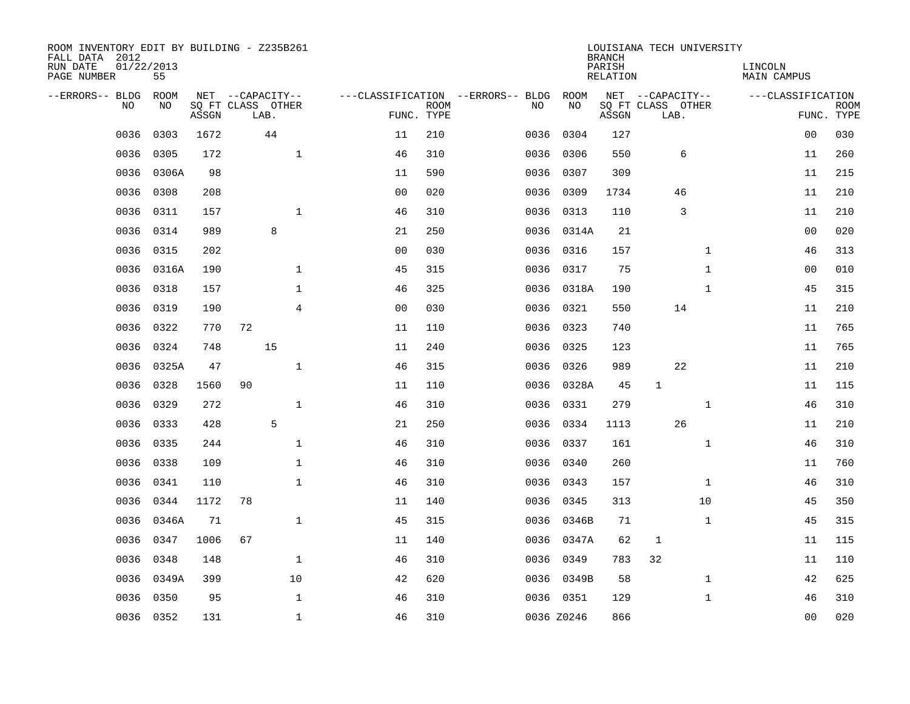| ROOM INVENTORY EDIT BY BUILDING - Z235B261<br>FALL DATA 2012<br>RUN DATE<br>PAGE NUMBER | 01/22/2013<br>55 |       |    |                                               |                |                           |                                         |            | <b>BRANCH</b><br>PARISH<br><b>RELATION</b> | LOUISIANA TECH UNIVERSITY                     |              | LINCOLN<br><b>MAIN CAMPUS</b> |                           |
|-----------------------------------------------------------------------------------------|------------------|-------|----|-----------------------------------------------|----------------|---------------------------|-----------------------------------------|------------|--------------------------------------------|-----------------------------------------------|--------------|-------------------------------|---------------------------|
| --ERRORS-- BLDG<br>NO                                                                   | ROOM<br>NO       | ASSGN |    | NET --CAPACITY--<br>SQ FT CLASS OTHER<br>LAB. |                | <b>ROOM</b><br>FUNC. TYPE | ---CLASSIFICATION --ERRORS-- BLDG<br>NO | ROOM<br>NO | ASSGN                                      | NET --CAPACITY--<br>SQ FT CLASS OTHER<br>LAB. |              | ---CLASSIFICATION             | <b>ROOM</b><br>FUNC. TYPE |
| 0036                                                                                    | 0303             | 1672  |    | 44                                            | 11             | 210                       | 0036                                    | 0304       | 127                                        |                                               |              | 00                            | 030                       |
| 0036                                                                                    | 0305             | 172   |    | $\mathbf 1$                                   | 46             | 310                       | 0036                                    | 0306       | 550                                        | 6                                             |              | 11                            | 260                       |
| 0036                                                                                    | 0306A            | 98    |    |                                               | 11             | 590                       | 0036                                    | 0307       | 309                                        |                                               |              | 11                            | 215                       |
| 0036                                                                                    | 0308             | 208   |    |                                               | 0 <sub>0</sub> | 020                       | 0036                                    | 0309       | 1734                                       | 46                                            |              | 11                            | 210                       |
| 0036                                                                                    | 0311             | 157   |    | $\mathbf{1}$                                  | 46             | 310                       | 0036                                    | 0313       | 110                                        | 3                                             |              | 11                            | 210                       |
| 0036                                                                                    | 0314             | 989   |    | 8                                             | 21             | 250                       |                                         | 0036 0314A | 21                                         |                                               |              | 0 <sub>0</sub>                | 020                       |
| 0036                                                                                    | 0315             | 202   |    |                                               | 0 <sub>0</sub> | 030                       |                                         | 0036 0316  | 157                                        |                                               | $\mathbf{1}$ | 46                            | 313                       |
| 0036                                                                                    | 0316A            | 190   |    | $\mathbf 1$                                   | 45             | 315                       |                                         | 0036 0317  | 75                                         |                                               | $\mathbf{1}$ | 00                            | 010                       |
| 0036                                                                                    | 0318             | 157   |    | $\mathbf 1$                                   | 46             | 325                       | 0036                                    | 0318A      | 190                                        |                                               | $\mathbf{1}$ | 45                            | 315                       |
| 0036                                                                                    | 0319             | 190   |    | $\overline{4}$                                | 0 <sub>0</sub> | 030                       |                                         | 0036 0321  | 550                                        | 14                                            |              | 11                            | 210                       |
| 0036                                                                                    | 0322             | 770   | 72 |                                               | 11             | 110                       | 0036                                    | 0323       | 740                                        |                                               |              | 11                            | 765                       |
| 0036                                                                                    | 0324             | 748   |    | 15                                            | 11             | 240                       | 0036                                    | 0325       | 123                                        |                                               |              | 11                            | 765                       |
| 0036                                                                                    | 0325A            | 47    |    | $\mathbf{1}$                                  | 46             | 315                       | 0036                                    | 0326       | 989                                        | 22                                            |              | 11                            | 210                       |
| 0036                                                                                    | 0328             | 1560  | 90 |                                               | 11             | 110                       | 0036                                    | 0328A      | 45                                         | $\mathbf{1}$                                  |              | 11                            | 115                       |
| 0036                                                                                    | 0329             | 272   |    | $\mathbf 1$                                   | 46             | 310                       | 0036                                    | 0331       | 279                                        |                                               | $\mathbf{1}$ | 46                            | 310                       |
| 0036                                                                                    | 0333             | 428   |    | 5                                             | 21             | 250                       | 0036                                    | 0334       | 1113                                       | 26                                            |              | 11                            | 210                       |
| 0036                                                                                    | 0335             | 244   |    | $\mathbf 1$                                   | 46             | 310                       | 0036                                    | 0337       | 161                                        |                                               | $\mathbf{1}$ | 46                            | 310                       |
| 0036                                                                                    | 0338             | 109   |    | $\mathbf{1}$                                  | 46             | 310                       | 0036                                    | 0340       | 260                                        |                                               |              | 11                            | 760                       |
| 0036                                                                                    | 0341             | 110   |    | $\mathbf{1}$                                  | 46             | 310                       |                                         | 0036 0343  | 157                                        |                                               | $\mathbf{1}$ | 46                            | 310                       |
| 0036                                                                                    | 0344             | 1172  | 78 |                                               | 11             | 140                       | 0036                                    | 0345       | 313                                        |                                               | 10           | 45                            | 350                       |
| 0036                                                                                    | 0346A            | 71    |    | $\mathbf{1}$                                  | 45             | 315                       |                                         | 0036 0346B | 71                                         |                                               | $\mathbf{1}$ | 45                            | 315                       |
| 0036                                                                                    | 0347             | 1006  | 67 |                                               | 11             | 140                       | 0036                                    | 0347A      | 62                                         | $\mathbf 1$                                   |              | 11                            | 115                       |
| 0036                                                                                    | 0348             | 148   |    | $\mathbf{1}$                                  | 46             | 310                       | 0036                                    | 0349       | 783                                        | 32                                            |              | 11                            | 110                       |
| 0036                                                                                    | 0349A            | 399   |    | 10                                            | 42             | 620                       |                                         | 0036 0349B | 58                                         |                                               | $\mathbf{1}$ | 42                            | 625                       |
| 0036                                                                                    | 0350             | 95    |    | $\mathbf 1$                                   | 46             | 310                       |                                         | 0036 0351  | 129                                        |                                               | $\mathbf{1}$ | 46                            | 310                       |
|                                                                                         | 0036 0352        | 131   |    | $\mathbf{1}$                                  | 46             | 310                       |                                         | 0036 Z0246 | 866                                        |                                               |              | 0 <sub>0</sub>                | 020                       |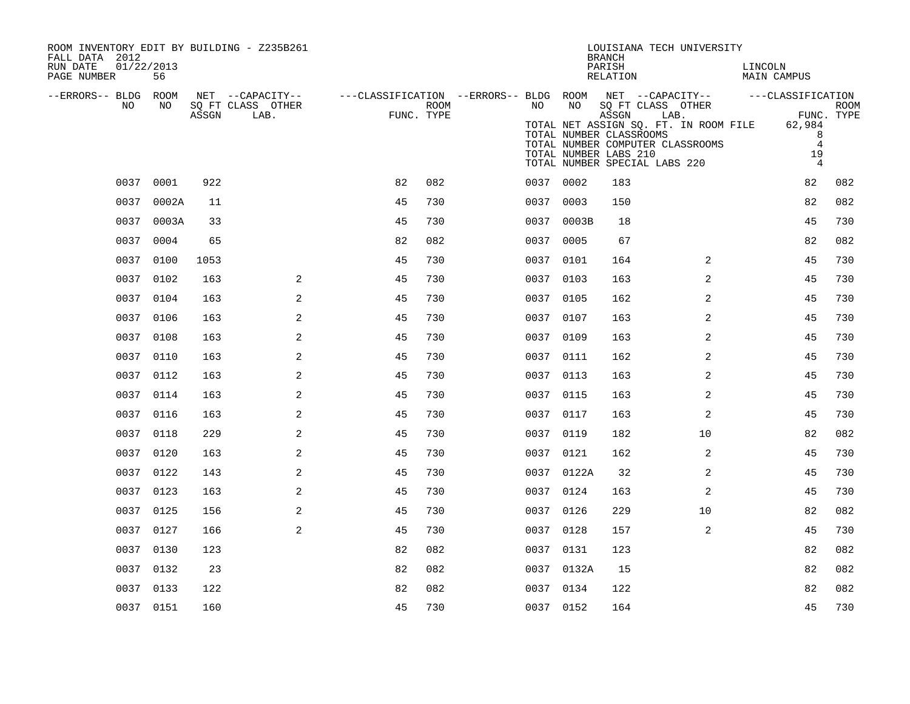| ROOM INVENTORY EDIT BY BUILDING - Z235B261<br>FALL DATA 2012<br>RUN DATE<br>01/22/2013<br>PAGE NUMBER | 56         |       |                                               |                                                                                            |      |    |            | LOUISIANA TECH UNIVERSITY<br><b>BRANCH</b><br>PARISH<br>RELATION                                                                                                                                     |                | LINCOLN<br>MAIN CAMPUS         |                                                  |
|-------------------------------------------------------------------------------------------------------|------------|-------|-----------------------------------------------|--------------------------------------------------------------------------------------------|------|----|------------|------------------------------------------------------------------------------------------------------------------------------------------------------------------------------------------------------|----------------|--------------------------------|--------------------------------------------------|
| --ERRORS-- BLDG ROOM<br>NO                                                                            | NO         | ASSGN | NET --CAPACITY--<br>SQ FT CLASS OTHER<br>LAB. | ---CLASSIFICATION --ERRORS-- BLDG ROOM NET --CAPACITY--    ---CLASSIFICATION<br>FUNC. TYPE | ROOM | NO | NO         | SQ FT CLASS OTHER<br>ASSGN<br>LAB.<br>TOTAL NET ASSIGN SQ. FT. IN ROOM FILE<br>TOTAL NUMBER CLASSROOMS<br>TOTAL NUMBER COMPUTER CLASSROOMS<br>TOTAL NUMBER LABS 210<br>TOTAL NUMBER SPECIAL LABS 220 |                | 62,984<br>19<br>$\overline{4}$ | <b>ROOM</b><br>FUNC. TYPE<br>8<br>$\overline{4}$ |
|                                                                                                       | 0037 0001  | 922   |                                               | 82                                                                                         | 082  |    | 0037 0002  | 183                                                                                                                                                                                                  |                | 82                             | 082                                              |
|                                                                                                       | 0037 0002A | 11    |                                               | 45                                                                                         | 730  |    | 0037 0003  | 150                                                                                                                                                                                                  |                | 82                             | 082                                              |
|                                                                                                       | 0037 0003A | 33    |                                               | 45                                                                                         | 730  |    | 0037 0003B | 18                                                                                                                                                                                                   |                | 45                             | 730                                              |
|                                                                                                       | 0037 0004  | 65    |                                               | 82                                                                                         | 082  |    | 0037 0005  | 67                                                                                                                                                                                                   |                | 82                             | 082                                              |
|                                                                                                       | 0037 0100  | 1053  |                                               | 45                                                                                         | 730  |    | 0037 0101  | 164                                                                                                                                                                                                  | 2              | 45                             | 730                                              |
|                                                                                                       | 0037 0102  | 163   | 2                                             | 45                                                                                         | 730  |    | 0037 0103  | 163                                                                                                                                                                                                  | 2              | 45                             | 730                                              |
|                                                                                                       | 0037 0104  | 163   | 2                                             | 45                                                                                         | 730  |    | 0037 0105  | 162                                                                                                                                                                                                  | 2              | 45                             | 730                                              |
|                                                                                                       | 0037 0106  | 163   | 2                                             | 45                                                                                         | 730  |    | 0037 0107  | 163                                                                                                                                                                                                  | 2              | 45                             | 730                                              |
|                                                                                                       | 0037 0108  | 163   | 2                                             | 45                                                                                         | 730  |    | 0037 0109  | 163                                                                                                                                                                                                  | 2              | 45                             | 730                                              |
|                                                                                                       | 0037 0110  | 163   | 2                                             | 45                                                                                         | 730  |    | 0037 0111  | 162                                                                                                                                                                                                  | 2              | 45                             | 730                                              |
|                                                                                                       | 0037 0112  | 163   | 2                                             | 45                                                                                         | 730  |    | 0037 0113  | 163                                                                                                                                                                                                  | 2              | 45                             | 730                                              |
|                                                                                                       | 0037 0114  | 163   | 2                                             | 45                                                                                         | 730  |    | 0037 0115  | 163                                                                                                                                                                                                  | 2              | 45                             | 730                                              |
|                                                                                                       | 0037 0116  | 163   | 2                                             | 45                                                                                         | 730  |    | 0037 0117  | 163                                                                                                                                                                                                  | 2              | 45                             | 730                                              |
|                                                                                                       | 0037 0118  | 229   | 2                                             | 45                                                                                         | 730  |    | 0037 0119  | 182                                                                                                                                                                                                  | 10             | 82                             | 082                                              |
|                                                                                                       | 0037 0120  | 163   | 2                                             | 45                                                                                         | 730  |    | 0037 0121  | 162                                                                                                                                                                                                  | 2              | 45                             | 730                                              |
|                                                                                                       | 0037 0122  | 143   | 2                                             | 45                                                                                         | 730  |    | 0037 0122A | 32                                                                                                                                                                                                   | $\overline{a}$ | 45                             | 730                                              |
|                                                                                                       | 0037 0123  | 163   | 2                                             | 45                                                                                         | 730  |    | 0037 0124  | 163                                                                                                                                                                                                  | 2              | 45                             | 730                                              |
|                                                                                                       | 0037 0125  | 156   | 2                                             | 45                                                                                         | 730  |    | 0037 0126  | 229                                                                                                                                                                                                  | 10             | 82                             | 082                                              |
|                                                                                                       | 0037 0127  | 166   | 2                                             | 45                                                                                         | 730  |    | 0037 0128  | 157                                                                                                                                                                                                  | 2              | 45                             | 730                                              |
|                                                                                                       | 0037 0130  | 123   |                                               | 82                                                                                         | 082  |    | 0037 0131  | 123                                                                                                                                                                                                  |                | 82                             | 082                                              |
|                                                                                                       | 0037 0132  | 23    |                                               | 82                                                                                         | 082  |    | 0037 0132A | 15                                                                                                                                                                                                   |                | 82                             | 082                                              |
|                                                                                                       | 0037 0133  | 122   |                                               | 82                                                                                         | 082  |    | 0037 0134  | 122                                                                                                                                                                                                  |                | 82                             | 082                                              |
|                                                                                                       | 0037 0151  | 160   |                                               | 45                                                                                         | 730  |    | 0037 0152  | 164                                                                                                                                                                                                  |                | 45                             | 730                                              |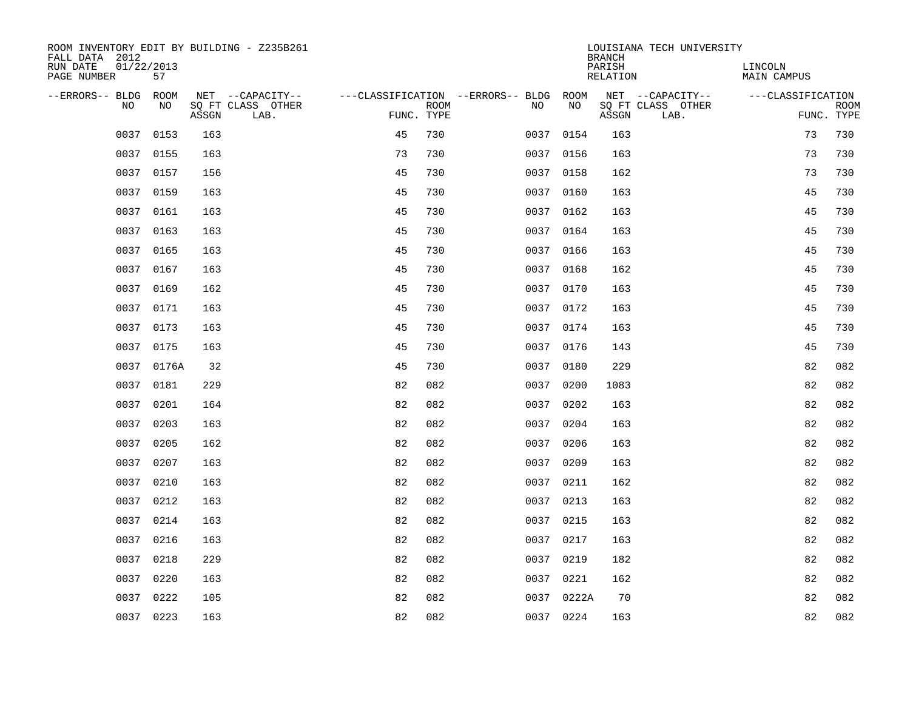| ROOM INVENTORY EDIT BY BUILDING - Z235B261<br>FALL DATA 2012 |                  |       |                           |            |      |                                        |            | <b>BRANCH</b>      | LOUISIANA TECH UNIVERSITY |                        |                           |
|--------------------------------------------------------------|------------------|-------|---------------------------|------------|------|----------------------------------------|------------|--------------------|---------------------------|------------------------|---------------------------|
| RUN DATE<br>PAGE NUMBER                                      | 01/22/2013<br>57 |       |                           |            |      |                                        |            | PARISH<br>RELATION |                           | LINCOLN<br>MAIN CAMPUS |                           |
| --ERRORS-- BLDG ROOM                                         |                  |       | NET --CAPACITY--          |            |      | ---CLASSIFICATION --ERRORS-- BLDG ROOM |            |                    | NET --CAPACITY--          | ---CLASSIFICATION      |                           |
| <b>NO</b>                                                    | NO.              | ASSGN | SO FT CLASS OTHER<br>LAB. | FUNC. TYPE | ROOM | NO.                                    | <b>NO</b>  | ASSGN              | SQ FT CLASS OTHER<br>LAB. |                        | <b>ROOM</b><br>FUNC. TYPE |
| 0037                                                         | 0153             | 163   |                           | 45         | 730  |                                        | 0037 0154  | 163                |                           | 73                     | 730                       |
| 0037                                                         | 0155             | 163   |                           | 73         | 730  |                                        | 0037 0156  | 163                |                           | 73                     | 730                       |
| 0037                                                         | 0157             | 156   |                           | 45         | 730  |                                        | 0037 0158  | 162                |                           | 73                     | 730                       |
| 0037                                                         | 0159             | 163   |                           | 45         | 730  |                                        | 0037 0160  | 163                |                           | 45                     | 730                       |
| 0037                                                         | 0161             | 163   |                           | 45         | 730  | 0037                                   | 0162       | 163                |                           | 45                     | 730                       |
| 0037                                                         | 0163             | 163   |                           | 45         | 730  |                                        | 0037 0164  | 163                |                           | 45                     | 730                       |
| 0037                                                         | 0165             | 163   |                           | 45         | 730  | 0037                                   | 0166       | 163                |                           | 45                     | 730                       |
| 0037                                                         | 0167             | 163   |                           | 45         | 730  |                                        | 0037 0168  | 162                |                           | 45                     | 730                       |
| 0037                                                         | 0169             | 162   |                           | 45         | 730  |                                        | 0037 0170  | 163                |                           | 45                     | 730                       |
|                                                              | 0037 0171        | 163   |                           | 45         | 730  |                                        | 0037 0172  | 163                |                           | 45                     | 730                       |
|                                                              | 0037 0173        | 163   |                           | 45         | 730  |                                        | 0037 0174  | 163                |                           | 45                     | 730                       |
|                                                              | 0037 0175        | 163   |                           | 45         | 730  |                                        | 0037 0176  | 143                |                           | 45                     | 730                       |
| 0037                                                         | 0176A            | 32    |                           | 45         | 730  | 0037                                   | 0180       | 229                |                           | 82                     | 082                       |
| 0037                                                         | 0181             | 229   |                           | 82         | 082  |                                        | 0037 0200  | 1083               |                           | 82                     | 082                       |
| 0037                                                         | 0201             | 164   |                           | 82         | 082  |                                        | 0037 0202  | 163                |                           | 82                     | 082                       |
| 0037                                                         | 0203             | 163   |                           | 82         | 082  |                                        | 0037 0204  | 163                |                           | 82                     | 082                       |
| 0037                                                         | 0205             | 162   |                           | 82         | 082  | 0037                                   | 0206       | 163                |                           | 82                     | 082                       |
| 0037                                                         | 0207             | 163   |                           | 82         | 082  |                                        | 0037 0209  | 163                |                           | 82                     | 082                       |
| 0037                                                         | 0210             | 163   |                           | 82         | 082  |                                        | 0037 0211  | 162                |                           | 82                     | 082                       |
| 0037                                                         | 0212             | 163   |                           | 82         | 082  |                                        | 0037 0213  | 163                |                           | 82                     | 082                       |
| 0037                                                         | 0214             | 163   |                           | 82         | 082  |                                        | 0037 0215  | 163                |                           | 82                     | 082                       |
| 0037                                                         | 0216             | 163   |                           | 82         | 082  |                                        | 0037 0217  | 163                |                           | 82                     | 082                       |
| 0037                                                         | 0218             | 229   |                           | 82         | 082  |                                        | 0037 0219  | 182                |                           | 82                     | 082                       |
| 0037                                                         | 0220             | 163   |                           | 82         | 082  |                                        | 0037 0221  | 162                |                           | 82                     | 082                       |
|                                                              | 0037 0222        | 105   |                           | 82         | 082  |                                        | 0037 0222A | 70                 |                           | 82                     | 082                       |
|                                                              | 0037 0223        | 163   |                           | 82         | 082  |                                        | 0037 0224  | 163                |                           | 82                     | 082                       |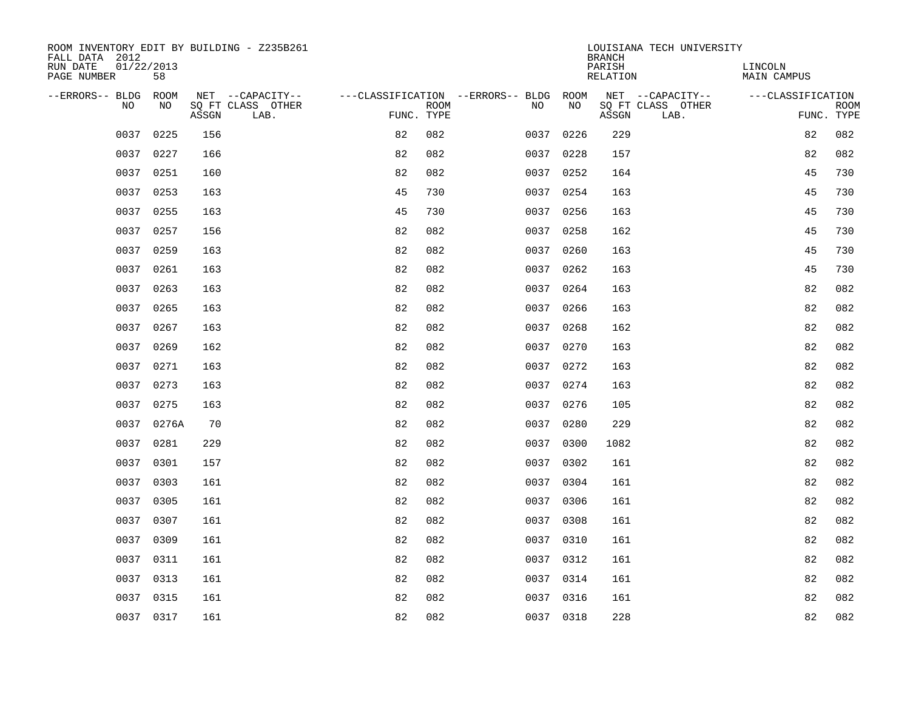| ROOM INVENTORY EDIT BY BUILDING - Z235B261<br>FALL DATA 2012 |                  |       |                           |            |             |                                        |           | <b>BRANCH</b>             | LOUISIANA TECH UNIVERSITY |                               |                           |
|--------------------------------------------------------------|------------------|-------|---------------------------|------------|-------------|----------------------------------------|-----------|---------------------------|---------------------------|-------------------------------|---------------------------|
| RUN DATE<br>PAGE NUMBER                                      | 01/22/2013<br>58 |       |                           |            |             |                                        |           | PARISH<br><b>RELATION</b> |                           | LINCOLN<br><b>MAIN CAMPUS</b> |                           |
| --ERRORS-- BLDG ROOM                                         |                  |       | NET --CAPACITY--          |            |             | ---CLASSIFICATION --ERRORS-- BLDG ROOM |           |                           | NET --CAPACITY--          | ---CLASSIFICATION             |                           |
| NO                                                           | NO               | ASSGN | SQ FT CLASS OTHER<br>LAB. | FUNC. TYPE | <b>ROOM</b> | NO                                     | NO        | ASSGN                     | SQ FT CLASS OTHER<br>LAB. |                               | <b>ROOM</b><br>FUNC. TYPE |
| 0037                                                         | 0225             | 156   |                           | 82         | 082         | 0037                                   | 0226      | 229                       |                           | 82                            | 082                       |
| 0037                                                         | 0227             | 166   |                           | 82         | 082         |                                        | 0037 0228 | 157                       |                           | 82                            | 082                       |
| 0037                                                         | 0251             | 160   |                           | 82         | 082         |                                        | 0037 0252 | 164                       |                           | 45                            | 730                       |
|                                                              | 0037 0253        | 163   |                           | 45         | 730         |                                        | 0037 0254 | 163                       |                           | 45                            | 730                       |
| 0037                                                         | 0255             | 163   |                           | 45         | 730         | 0037                                   | 0256      | 163                       |                           | 45                            | 730                       |
| 0037                                                         | 0257             | 156   |                           | 82         | 082         |                                        | 0037 0258 | 162                       |                           | 45                            | 730                       |
| 0037                                                         | 0259             | 163   |                           | 82         | 082         | 0037                                   | 0260      | 163                       |                           | 45                            | 730                       |
|                                                              | 0037 0261        | 163   |                           | 82         | 082         |                                        | 0037 0262 | 163                       |                           | 45                            | 730                       |
| 0037                                                         | 0263             | 163   |                           | 82         | 082         | 0037                                   | 0264      | 163                       |                           | 82                            | 082                       |
|                                                              | 0037 0265        | 163   |                           | 82         | 082         |                                        | 0037 0266 | 163                       |                           | 82                            | 082                       |
|                                                              | 0037 0267        | 163   |                           | 82         | 082         |                                        | 0037 0268 | 162                       |                           | 82                            | 082                       |
|                                                              | 0037 0269        | 162   |                           | 82         | 082         |                                        | 0037 0270 | 163                       |                           | 82                            | 082                       |
| 0037                                                         | 0271             | 163   |                           | 82         | 082         |                                        | 0037 0272 | 163                       |                           | 82                            | 082                       |
| 0037                                                         | 0273             | 163   |                           | 82         | 082         |                                        | 0037 0274 | 163                       |                           | 82                            | 082                       |
| 0037                                                         | 0275             | 163   |                           | 82         | 082         |                                        | 0037 0276 | 105                       |                           | 82                            | 082                       |
| 0037                                                         | 0276A            | 70    |                           | 82         | 082         |                                        | 0037 0280 | 229                       |                           | 82                            | 082                       |
| 0037                                                         | 0281             | 229   |                           | 82         | 082         | 0037                                   | 0300      | 1082                      |                           | 82                            | 082                       |
| 0037                                                         | 0301             | 157   |                           | 82         | 082         |                                        | 0037 0302 | 161                       |                           | 82                            | 082                       |
| 0037                                                         | 0303             | 161   |                           | 82         | 082         |                                        | 0037 0304 | 161                       |                           | 82                            | 082                       |
| 0037                                                         | 0305             | 161   |                           | 82         | 082         |                                        | 0037 0306 | 161                       |                           | 82                            | 082                       |
| 0037                                                         | 0307             | 161   |                           | 82         | 082         |                                        | 0037 0308 | 161                       |                           | 82                            | 082                       |
| 0037                                                         | 0309             | 161   |                           | 82         | 082         |                                        | 0037 0310 | 161                       |                           | 82                            | 082                       |
| 0037                                                         | 0311             | 161   |                           | 82         | 082         |                                        | 0037 0312 | 161                       |                           | 82                            | 082                       |
| 0037                                                         | 0313             | 161   |                           | 82         | 082         |                                        | 0037 0314 | 161                       |                           | 82                            | 082                       |
|                                                              | 0037 0315        | 161   |                           | 82         | 082         |                                        | 0037 0316 | 161                       |                           | 82                            | 082                       |
|                                                              | 0037 0317        | 161   |                           | 82         | 082         |                                        | 0037 0318 | 228                       |                           | 82                            | 082                       |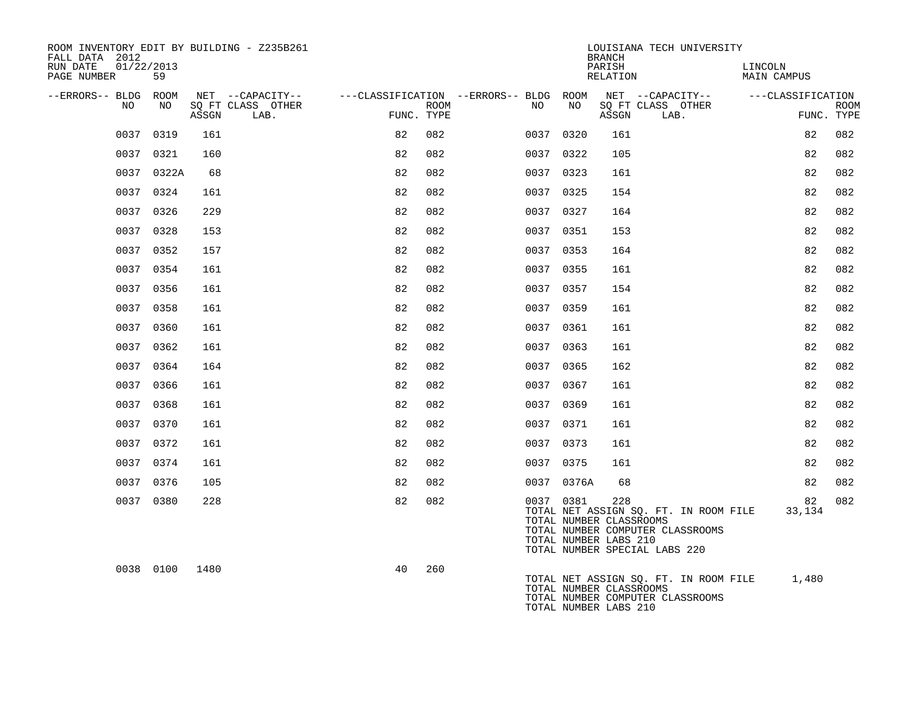| ROOM INVENTORY EDIT BY BUILDING - Z235B261<br>FALL DATA 2012 |            |       |                           |                                        |      |           |                                                               | <b>BRANCH</b>      | LOUISIANA TECH UNIVERSITY                                                                                  |                        |    |                           |
|--------------------------------------------------------------|------------|-------|---------------------------|----------------------------------------|------|-----------|---------------------------------------------------------------|--------------------|------------------------------------------------------------------------------------------------------------|------------------------|----|---------------------------|
| 01/22/2013<br>RUN DATE<br>PAGE NUMBER                        | 59         |       |                           |                                        |      |           |                                                               | PARISH<br>RELATION |                                                                                                            | LINCOLN<br>MAIN CAMPUS |    |                           |
| --ERRORS-- BLDG ROOM                                         |            |       | NET --CAPACITY--          | ---CLASSIFICATION --ERRORS-- BLDG ROOM |      |           |                                                               |                    | NET --CAPACITY-- ---CLASSIFICATION                                                                         |                        |    |                           |
| NO                                                           | NO         | ASSGN | SO FT CLASS OTHER<br>LAB. | FUNC. TYPE                             | ROOM | NO        | NO                                                            | ASSGN              | SQ FT CLASS OTHER<br>LAB.                                                                                  |                        |    | <b>ROOM</b><br>FUNC. TYPE |
|                                                              | 0037 0319  | 161   |                           | 82                                     | 082  | 0037 0320 |                                                               | 161                |                                                                                                            |                        | 82 | 082                       |
|                                                              | 0037 0321  | 160   |                           | 82                                     | 082  | 0037 0322 |                                                               | 105                |                                                                                                            |                        | 82 | 082                       |
|                                                              | 0037 0322A | 68    |                           | 82                                     | 082  | 0037 0323 |                                                               | 161                |                                                                                                            |                        | 82 | 082                       |
|                                                              | 0037 0324  | 161   |                           | 82                                     | 082  | 0037 0325 |                                                               | 154                |                                                                                                            |                        | 82 | 082                       |
|                                                              | 0037 0326  | 229   |                           | 82                                     | 082  | 0037 0327 |                                                               | 164                |                                                                                                            |                        | 82 | 082                       |
|                                                              | 0037 0328  | 153   |                           | 82                                     | 082  | 0037 0351 |                                                               | 153                |                                                                                                            |                        | 82 | 082                       |
|                                                              | 0037 0352  | 157   |                           | 82                                     | 082  | 0037 0353 |                                                               | 164                |                                                                                                            |                        | 82 | 082                       |
|                                                              | 0037 0354  | 161   |                           | 82                                     | 082  | 0037 0355 |                                                               | 161                |                                                                                                            |                        | 82 | 082                       |
|                                                              | 0037 0356  | 161   |                           | 82                                     | 082  | 0037 0357 |                                                               | 154                |                                                                                                            |                        | 82 | 082                       |
|                                                              | 0037 0358  | 161   |                           | 82                                     | 082  | 0037 0359 |                                                               | 161                |                                                                                                            |                        | 82 | 082                       |
|                                                              | 0037 0360  | 161   |                           | 82                                     | 082  | 0037 0361 |                                                               | 161                |                                                                                                            |                        | 82 | 082                       |
|                                                              | 0037 0362  | 161   |                           | 82                                     | 082  | 0037 0363 |                                                               | 161                |                                                                                                            |                        | 82 | 082                       |
|                                                              | 0037 0364  | 164   |                           | 82                                     | 082  | 0037 0365 |                                                               | 162                |                                                                                                            |                        | 82 | 082                       |
|                                                              | 0037 0366  | 161   |                           | 82                                     | 082  | 0037 0367 |                                                               | 161                |                                                                                                            |                        | 82 | 082                       |
|                                                              | 0037 0368  | 161   |                           | 82                                     | 082  | 0037 0369 |                                                               | 161                |                                                                                                            |                        | 82 | 082                       |
|                                                              | 0037 0370  | 161   |                           | 82                                     | 082  | 0037 0371 |                                                               | 161                |                                                                                                            |                        | 82 | 082                       |
|                                                              | 0037 0372  | 161   |                           | 82                                     | 082  | 0037 0373 |                                                               | 161                |                                                                                                            |                        | 82 | 082                       |
|                                                              | 0037 0374  | 161   |                           | 82                                     | 082  | 0037 0375 |                                                               | 161                |                                                                                                            |                        | 82 | 082                       |
|                                                              | 0037 0376  | 105   |                           | 82                                     | 082  |           | 0037 0376A                                                    | 68                 |                                                                                                            |                        | 82 | 082                       |
|                                                              | 0037 0380  | 228   |                           | 82                                     | 082  |           | 0037 0381<br>TOTAL NUMBER CLASSROOMS<br>TOTAL NUMBER LABS 210 | 228                | TOTAL NET ASSIGN SQ. FT. IN ROOM FILE<br>TOTAL NUMBER COMPUTER CLASSROOMS<br>TOTAL NUMBER SPECIAL LABS 220 | 33,134                 | 82 | 082                       |
|                                                              | 0038 0100  | 1480  |                           | 40                                     | 260  |           | TOTAL NUMBER CLASSROOMS<br>TOTAL NUMBER LABS 210              |                    | TOTAL NET ASSIGN SQ. FT. IN ROOM FILE 1,480<br>TOTAL NUMBER COMPUTER CLASSROOMS                            |                        |    |                           |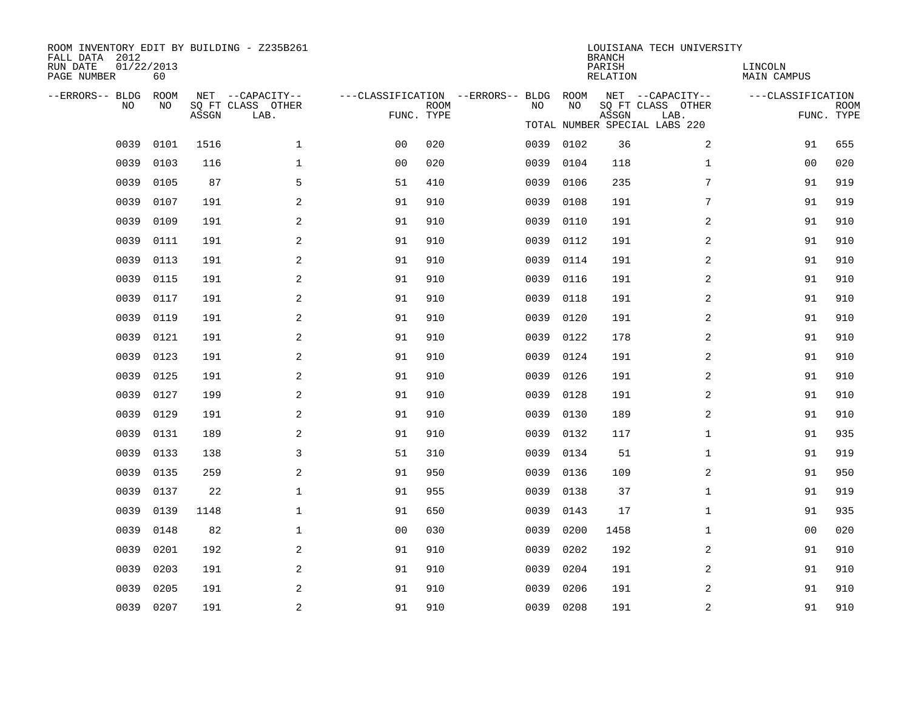| ROOM INVENTORY EDIT BY BUILDING - Z235B261<br>FALL DATA 2012<br>RUN DATE<br>PAGE NUMBER | 01/22/2013<br>60 |       |                                       |                                   |             |      |            | <b>BRANCH</b><br>PARISH<br>RELATION | LOUISIANA TECH UNIVERSITY             | LINCOLN<br><b>MAIN CAMPUS</b> |             |
|-----------------------------------------------------------------------------------------|------------------|-------|---------------------------------------|-----------------------------------|-------------|------|------------|-------------------------------------|---------------------------------------|-------------------------------|-------------|
| --ERRORS-- BLDG<br>NO                                                                   | ROOM<br>NO       |       | NET --CAPACITY--<br>SQ FT CLASS OTHER | ---CLASSIFICATION --ERRORS-- BLDG | <b>ROOM</b> | NO.  | ROOM<br>NO |                                     | NET --CAPACITY--<br>SQ FT CLASS OTHER | ---CLASSIFICATION             | <b>ROOM</b> |
|                                                                                         |                  | ASSGN | LAB.                                  | FUNC. TYPE                        |             |      |            | ASSGN                               | LAB.<br>TOTAL NUMBER SPECIAL LABS 220 |                               | FUNC. TYPE  |
| 0039                                                                                    | 0101             | 1516  | $\mathbf{1}$                          | 0 <sub>0</sub>                    | 020         |      | 0039 0102  | 36                                  | 2                                     | 91                            | 655         |
| 0039                                                                                    | 0103             | 116   | $\mathbf 1$                           | 0 <sub>0</sub>                    | 020         | 0039 | 0104       | 118                                 | $\mathbf{1}$                          | 00                            | 020         |
| 0039                                                                                    | 0105             | 87    | 5                                     | 51                                | 410         | 0039 | 0106       | 235                                 | 7                                     | 91                            | 919         |
| 0039                                                                                    | 0107             | 191   | 2                                     | 91                                | 910         | 0039 | 0108       | 191                                 | 7                                     | 91                            | 919         |
| 0039                                                                                    | 0109             | 191   | 2                                     | 91                                | 910         | 0039 | 0110       | 191                                 | 2                                     | 91                            | 910         |
| 0039                                                                                    | 0111             | 191   | 2                                     | 91                                | 910         | 0039 | 0112       | 191                                 | 2                                     | 91                            | 910         |
| 0039                                                                                    | 0113             | 191   | 2                                     | 91                                | 910         | 0039 | 0114       | 191                                 | 2                                     | 91                            | 910         |
| 0039                                                                                    | 0115             | 191   | 2                                     | 91                                | 910         | 0039 | 0116       | 191                                 | 2                                     | 91                            | 910         |
| 0039                                                                                    | 0117             | 191   | 2                                     | 91                                | 910         | 0039 | 0118       | 191                                 | $\overline{a}$                        | 91                            | 910         |
| 0039                                                                                    | 0119             | 191   | 2                                     | 91                                | 910         | 0039 | 0120       | 191                                 | 2                                     | 91                            | 910         |
| 0039                                                                                    | 0121             | 191   | 2                                     | 91                                | 910         | 0039 | 0122       | 178                                 | 2                                     | 91                            | 910         |
| 0039                                                                                    | 0123             | 191   | 2                                     | 91                                | 910         | 0039 | 0124       | 191                                 | 2                                     | 91                            | 910         |
| 0039                                                                                    | 0125             | 191   | 2                                     | 91                                | 910         | 0039 | 0126       | 191                                 | 2                                     | 91                            | 910         |
| 0039                                                                                    | 0127             | 199   | 2                                     | 91                                | 910         | 0039 | 0128       | 191                                 | 2                                     | 91                            | 910         |
| 0039                                                                                    | 0129             | 191   | 2                                     | 91                                | 910         | 0039 | 0130       | 189                                 | 2                                     | 91                            | 910         |
| 0039                                                                                    | 0131             | 189   | 2                                     | 91                                | 910         | 0039 | 0132       | 117                                 | $\mathbf{1}$                          | 91                            | 935         |
| 0039                                                                                    | 0133             | 138   | 3                                     | 51                                | 310         | 0039 | 0134       | 51                                  | $\mathbf{1}$                          | 91                            | 919         |
| 0039                                                                                    | 0135             | 259   | 2                                     | 91                                | 950         | 0039 | 0136       | 109                                 | 2                                     | 91                            | 950         |
| 0039                                                                                    | 0137             | 22    | $\mathbf{1}$                          | 91                                | 955         | 0039 | 0138       | 37                                  | $\mathbf{1}$                          | 91                            | 919         |
| 0039                                                                                    | 0139             | 1148  | $\mathbf 1$                           | 91                                | 650         | 0039 | 0143       | 17                                  | $\mathbf{1}$                          | 91                            | 935         |
| 0039                                                                                    | 0148             | 82    | $\mathbf 1$                           | 00                                | 030         | 0039 | 0200       | 1458                                | $\mathbf{1}$                          | 0 <sub>0</sub>                | 020         |
| 0039                                                                                    | 0201             | 192   | 2                                     | 91                                | 910         | 0039 | 0202       | 192                                 | 2                                     | 91                            | 910         |
| 0039                                                                                    | 0203             | 191   | 2                                     | 91                                | 910         | 0039 | 0204       | 191                                 | 2                                     | 91                            | 910         |
| 0039                                                                                    | 0205             | 191   | 2                                     | 91                                | 910         | 0039 | 0206       | 191                                 | 2                                     | 91                            | 910         |
|                                                                                         | 0039 0207        | 191   | $\overline{a}$                        | 91                                | 910         |      | 0039 0208  | 191                                 | 2                                     | 91                            | 910         |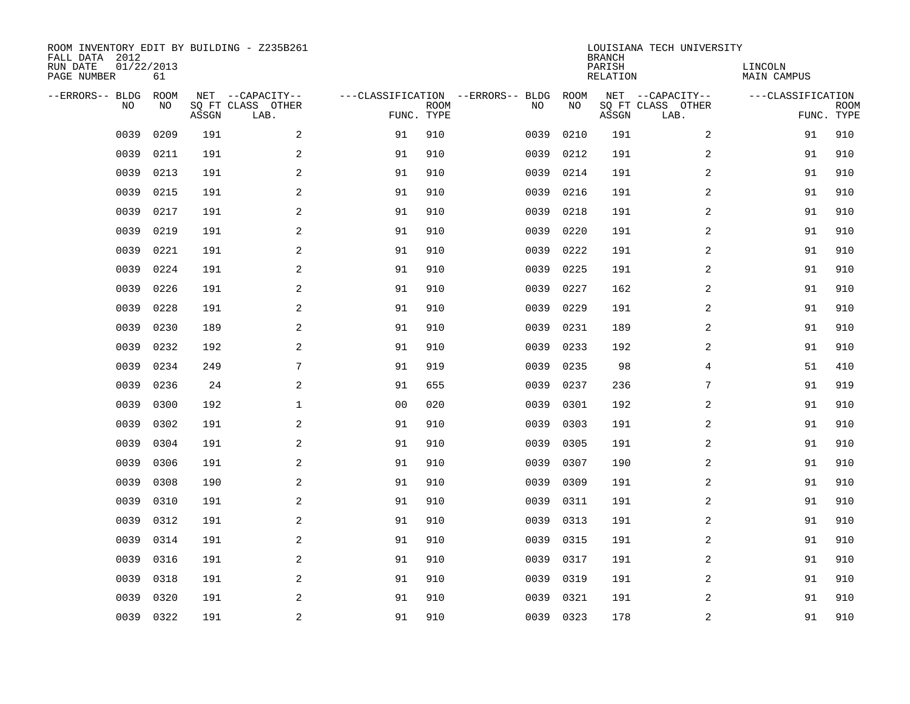| ROOM INVENTORY EDIT BY BUILDING - Z235B261<br>FALL DATA 2012<br>RUN DATE<br>PAGE NUMBER | 01/22/2013<br>61 |       |                                               |                |             |                                         |            | <b>BRANCH</b><br>PARISH<br><b>RELATION</b> | LOUISIANA TECH UNIVERSITY                     | LINCOLN<br><b>MAIN CAMPUS</b> |                           |
|-----------------------------------------------------------------------------------------|------------------|-------|-----------------------------------------------|----------------|-------------|-----------------------------------------|------------|--------------------------------------------|-----------------------------------------------|-------------------------------|---------------------------|
| --ERRORS-- BLDG<br>NO                                                                   | ROOM<br>NO       | ASSGN | NET --CAPACITY--<br>SQ FT CLASS OTHER<br>LAB. | FUNC. TYPE     | <b>ROOM</b> | ---CLASSIFICATION --ERRORS-- BLDG<br>NO | ROOM<br>NO | ASSGN                                      | NET --CAPACITY--<br>SQ FT CLASS OTHER<br>LAB. | ---CLASSIFICATION             | <b>ROOM</b><br>FUNC. TYPE |
| 0039                                                                                    | 0209             | 191   | 2                                             | 91             | 910         | 0039                                    | 0210       | 191                                        | 2                                             | 91                            | 910                       |
| 0039                                                                                    | 0211             | 191   | 2                                             | 91             | 910         | 0039                                    | 0212       | 191                                        | 2                                             | 91                            | 910                       |
| 0039                                                                                    | 0213             | 191   | 2                                             | 91             | 910         | 0039                                    | 0214       | 191                                        | 2                                             | 91                            | 910                       |
| 0039                                                                                    | 0215             | 191   | 2                                             | 91             | 910         | 0039                                    | 0216       | 191                                        | 2                                             | 91                            | 910                       |
| 0039                                                                                    | 0217             | 191   | 2                                             | 91             | 910         | 0039                                    | 0218       | 191                                        | $\overline{a}$                                | 91                            | 910                       |
| 0039                                                                                    | 0219             | 191   | 2                                             | 91             | 910         | 0039                                    | 0220       | 191                                        | 2                                             | 91                            | 910                       |
| 0039                                                                                    | 0221             | 191   | 2                                             | 91             | 910         | 0039                                    | 0222       | 191                                        | $\overline{a}$                                | 91                            | 910                       |
| 0039                                                                                    | 0224             | 191   | $\mathbf{2}$                                  | 91             | 910         | 0039                                    | 0225       | 191                                        | 2                                             | 91                            | 910                       |
| 0039                                                                                    | 0226             | 191   | $\mathbf{2}$                                  | 91             | 910         | 0039                                    | 0227       | 162                                        | 2                                             | 91                            | 910                       |
| 0039                                                                                    | 0228             | 191   | 2                                             | 91             | 910         | 0039                                    | 0229       | 191                                        | 2                                             | 91                            | 910                       |
| 0039                                                                                    | 0230             | 189   | 2                                             | 91             | 910         | 0039                                    | 0231       | 189                                        | 2                                             | 91                            | 910                       |
| 0039                                                                                    | 0232             | 192   | 2                                             | 91             | 910         | 0039                                    | 0233       | 192                                        | 2                                             | 91                            | 910                       |
| 0039                                                                                    | 0234             | 249   | 7                                             | 91             | 919         | 0039                                    | 0235       | 98                                         | $\overline{4}$                                | 51                            | 410                       |
| 0039                                                                                    | 0236             | 24    | 2                                             | 91             | 655         | 0039                                    | 0237       | 236                                        | 7                                             | 91                            | 919                       |
| 0039                                                                                    | 0300             | 192   | $\mathbf 1$                                   | 0 <sub>0</sub> | 020         | 0039                                    | 0301       | 192                                        | 2                                             | 91                            | 910                       |
| 0039                                                                                    | 0302             | 191   | 2                                             | 91             | 910         | 0039                                    | 0303       | 191                                        | 2                                             | 91                            | 910                       |
| 0039                                                                                    | 0304             | 191   | $\mathbf{2}$                                  | 91             | 910         | 0039                                    | 0305       | 191                                        | 2                                             | 91                            | 910                       |
| 0039                                                                                    | 0306             | 191   | 2                                             | 91             | 910         | 0039                                    | 0307       | 190                                        | 2                                             | 91                            | 910                       |
| 0039                                                                                    | 0308             | 190   | 2                                             | 91             | 910         | 0039                                    | 0309       | 191                                        | 2                                             | 91                            | 910                       |
| 0039                                                                                    | 0310             | 191   | 2                                             | 91             | 910         | 0039                                    | 0311       | 191                                        | 2                                             | 91                            | 910                       |
| 0039                                                                                    | 0312             | 191   | 2                                             | 91             | 910         | 0039                                    | 0313       | 191                                        | 2                                             | 91                            | 910                       |
| 0039                                                                                    | 0314             | 191   | 2                                             | 91             | 910         | 0039                                    | 0315       | 191                                        | 2                                             | 91                            | 910                       |
| 0039                                                                                    | 0316             | 191   | 2                                             | 91             | 910         | 0039                                    | 0317       | 191                                        | 2                                             | 91                            | 910                       |
| 0039                                                                                    | 0318             | 191   | 2                                             | 91             | 910         | 0039                                    | 0319       | 191                                        | 2                                             | 91                            | 910                       |
| 0039                                                                                    | 0320             | 191   | 2                                             | 91             | 910         | 0039                                    | 0321       | 191                                        | 2                                             | 91                            | 910                       |
|                                                                                         | 0039 0322        | 191   | 2                                             | 91             | 910         |                                         | 0039 0323  | 178                                        | 2                                             | 91                            | 910                       |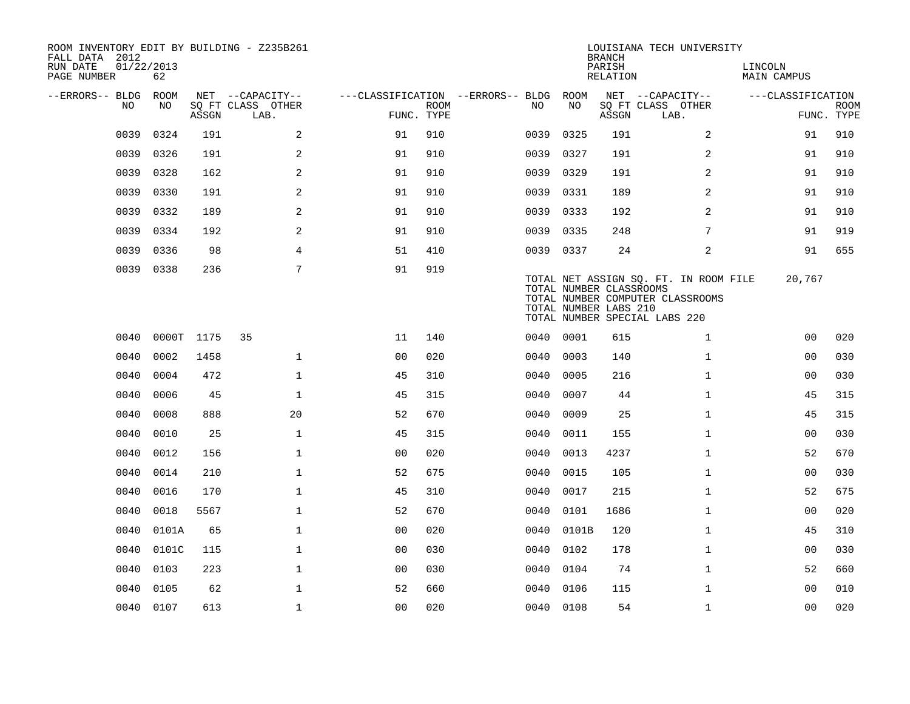| ROOM INVENTORY EDIT BY BUILDING - Z235B261<br>FALL DATA 2012<br>RUN DATE<br>PAGE NUMBER | 01/22/2013<br>62 |                                 |                                               |                                                      |             |           |       | <b>BRANCH</b><br>PARISH<br><b>RELATION</b>       | LOUISIANA TECH UNIVERSITY                                                                                  | LINCOLN<br><b>MAIN CAMPUS</b> |                           |
|-----------------------------------------------------------------------------------------|------------------|---------------------------------|-----------------------------------------------|------------------------------------------------------|-------------|-----------|-------|--------------------------------------------------|------------------------------------------------------------------------------------------------------------|-------------------------------|---------------------------|
| --ERRORS-- BLDG<br>NO                                                                   | ROOM<br>NO       | $\operatorname{\mathsf{ASSGN}}$ | NET --CAPACITY--<br>SQ FT CLASS OTHER<br>LAB. | ---CLASSIFICATION --ERRORS-- BLDG ROOM<br>FUNC. TYPE | <b>ROOM</b> | NO.       | NO    | ASSGN                                            | NET --CAPACITY--<br>SQ FT CLASS OTHER<br>LAB.                                                              | ---CLASSIFICATION             | <b>ROOM</b><br>FUNC. TYPE |
| 0039                                                                                    | 0324             | 191                             | 2                                             | 91                                                   | 910         | 0039      | 0325  | 191                                              | 2                                                                                                          | 91                            | 910                       |
| 0039                                                                                    | 0326             | 191                             | 2                                             | 91                                                   | 910         | 0039      | 0327  | 191                                              | $\overline{a}$                                                                                             | 91                            | 910                       |
| 0039                                                                                    | 0328             | 162                             | 2                                             | 91                                                   | 910         | 0039      | 0329  | 191                                              | 2                                                                                                          | 91                            | 910                       |
| 0039                                                                                    | 0330             | 191                             | $\overline{a}$                                | 91                                                   | 910         | 0039      | 0331  | 189                                              | $\overline{a}$                                                                                             | 91                            | 910                       |
| 0039                                                                                    | 0332             | 189                             | $\overline{a}$                                | 91                                                   | 910         | 0039      | 0333  | 192                                              | 2                                                                                                          | 91                            | 910                       |
| 0039                                                                                    | 0334             | 192                             | 2                                             | 91                                                   | 910         | 0039      | 0335  | 248                                              | 7                                                                                                          | 91                            | 919                       |
| 0039                                                                                    | 0336             | 98                              | 4                                             | 51                                                   | 410         | 0039 0337 |       | 24                                               | 2                                                                                                          | 91                            | 655                       |
| 0039                                                                                    | 0338             | 236                             | 7                                             | 91                                                   | 919         |           |       | TOTAL NUMBER CLASSROOMS<br>TOTAL NUMBER LABS 210 | TOTAL NET ASSIGN SO. FT. IN ROOM FILE<br>TOTAL NUMBER COMPUTER CLASSROOMS<br>TOTAL NUMBER SPECIAL LABS 220 | 20,767                        |                           |
| 0040                                                                                    | $0000$ T         | 1175                            | 35                                            | 11                                                   | 140         | 0040 0001 |       | 615                                              | $\mathbf{1}$                                                                                               | 0 <sub>0</sub>                | 020                       |
| 0040                                                                                    | 0002             | 1458                            | $\mathbf{1}$                                  | 0 <sub>0</sub>                                       | 020         | 0040      | 0003  | 140                                              | $\mathbf{1}$                                                                                               | 0 <sub>0</sub>                | 030                       |
| 0040                                                                                    | 0004             | 472                             | $\mathbf{1}$                                  | 45                                                   | 310         | 0040      | 0005  | 216                                              | $\mathbf{1}$                                                                                               | 0 <sub>0</sub>                | 030                       |
| 0040                                                                                    | 0006             | 45                              | $\mathbf{1}$                                  | 45                                                   | 315         | 0040      | 0007  | 44                                               | $\mathbf{1}$                                                                                               | 45                            | 315                       |
| 0040                                                                                    | 0008             | 888                             | 20                                            | 52                                                   | 670         | 0040      | 0009  | 25                                               | $\mathbf{1}$                                                                                               | 45                            | 315                       |
| 0040                                                                                    | 0010             | 25                              | $\mathbf{1}$                                  | 45                                                   | 315         | 0040      | 0011  | 155                                              | $\mathbf{1}$                                                                                               | 00                            | 030                       |
| 0040                                                                                    | 0012             | 156                             | $\mathbf{1}$                                  | 00                                                   | 020         | 0040      | 0013  | 4237                                             | $\mathbf{1}$                                                                                               | 52                            | 670                       |
| 0040                                                                                    | 0014             | 210                             | $\mathbf 1$                                   | 52                                                   | 675         | 0040      | 0015  | 105                                              | $\mathbf{1}$                                                                                               | 00                            | 030                       |
| 0040                                                                                    | 0016             | 170                             | $\mathbf 1$                                   | 45                                                   | 310         | 0040      | 0017  | 215                                              | $\mathbf{1}$                                                                                               | 52                            | 675                       |
| 0040                                                                                    | 0018             | 5567                            | $\mathbf 1$                                   | 52                                                   | 670         | 0040      | 0101  | 1686                                             | $\mathbf{1}$                                                                                               | 00                            | 020                       |
| 0040                                                                                    | 0101A            | 65                              | $\mathbf 1$                                   | 00                                                   | 020         | 0040      | 0101B | 120                                              | $\mathbf{1}$                                                                                               | 45                            | 310                       |
| 0040                                                                                    | 0101C            | 115                             | $\mathbf 1$                                   | 0 <sub>0</sub>                                       | 030         | 0040      | 0102  | 178                                              | $\mathbf{1}$                                                                                               | 00                            | 030                       |
| 0040                                                                                    | 0103             | 223                             | $\mathbf 1$                                   | 0 <sub>0</sub>                                       | 030         | 0040      | 0104  | 74                                               | $\mathbf{1}$                                                                                               | 52                            | 660                       |
| 0040                                                                                    | 0105             | 62                              | $\mathbf{1}$                                  | 52                                                   | 660         | 0040      | 0106  | 115                                              | $\mathbf{1}$                                                                                               | 0 <sub>0</sub>                | 010                       |
|                                                                                         | 0040 0107        | 613                             | $\mathbf{1}$                                  | 0 <sub>0</sub>                                       | 020         | 0040 0108 |       | 54                                               | $\mathbf{1}$                                                                                               | 0 <sub>0</sub>                | 020                       |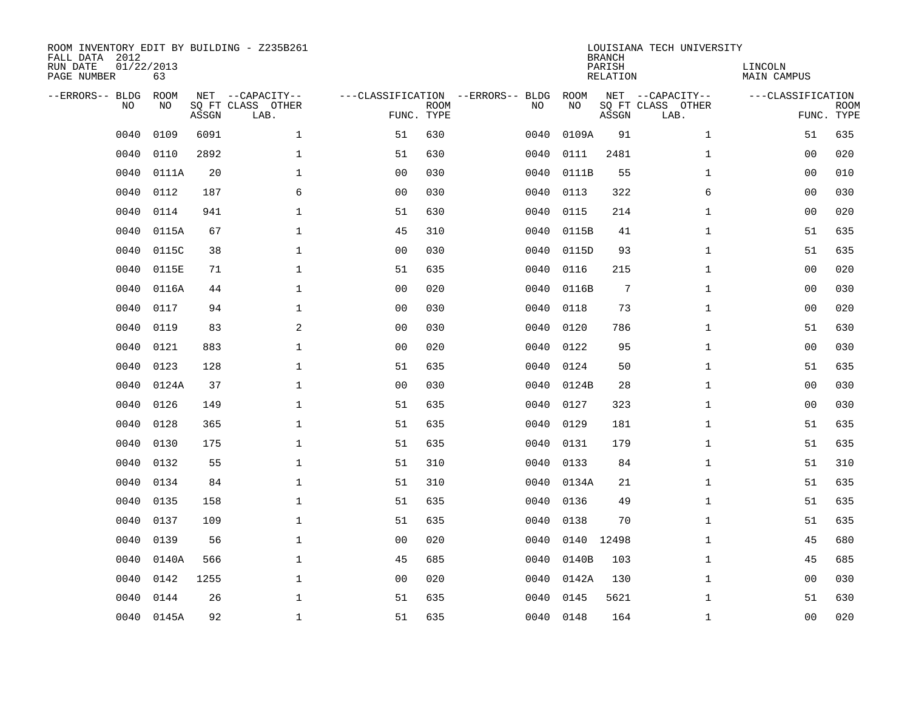| ROOM INVENTORY EDIT BY BUILDING - Z235B261<br>FALL DATA 2012<br>RUN DATE<br>PAGE NUMBER | 01/22/2013<br>63  |       |                                               |                |                           |                                         |            | <b>BRANCH</b><br>PARISH<br><b>RELATION</b> | LOUISIANA TECH UNIVERSITY                     | LINCOLN<br>MAIN CAMPUS |                           |
|-----------------------------------------------------------------------------------------|-------------------|-------|-----------------------------------------------|----------------|---------------------------|-----------------------------------------|------------|--------------------------------------------|-----------------------------------------------|------------------------|---------------------------|
| --ERRORS-- BLDG<br>NO                                                                   | <b>ROOM</b><br>NO | ASSGN | NET --CAPACITY--<br>SQ FT CLASS OTHER<br>LAB. |                | <b>ROOM</b><br>FUNC. TYPE | ---CLASSIFICATION --ERRORS-- BLDG<br>NO | ROOM<br>NO | ASSGN                                      | NET --CAPACITY--<br>SQ FT CLASS OTHER<br>LAB. | ---CLASSIFICATION      | <b>ROOM</b><br>FUNC. TYPE |
| 0040                                                                                    | 0109              | 6091  | $\mathbf{1}$                                  | 51             | 630                       | 0040                                    | 0109A      | 91                                         | $\mathbf{1}$                                  | 51                     | 635                       |
| 0040                                                                                    | 0110              | 2892  | $\mathbf 1$                                   | 51             | 630                       | 0040                                    | 0111       | 2481                                       | $\mathbf{1}$                                  | 00                     | 020                       |
| 0040                                                                                    | 0111A             | 20    | $\mathbf 1$                                   | 0 <sub>0</sub> | 030                       | 0040                                    | 0111B      | 55                                         | $\mathbf{1}$                                  | 0 <sub>0</sub>         | 010                       |
| 0040                                                                                    | 0112              | 187   | 6                                             | 0 <sub>0</sub> | 030                       | 0040                                    | 0113       | 322                                        | 6                                             | 0 <sub>0</sub>         | 030                       |
| 0040                                                                                    | 0114              | 941   | $\mathbf{1}$                                  | 51             | 630                       | 0040                                    | 0115       | 214                                        | $\mathbf{1}$                                  | 00                     | 020                       |
| 0040                                                                                    | 0115A             | 67    | $\mathbf{1}$                                  | 45             | 310                       | 0040                                    | 0115B      | 41                                         | $\mathbf{1}$                                  | 51                     | 635                       |
| 0040                                                                                    | 0115C             | 38    | $\mathbf{1}$                                  | 0 <sub>0</sub> | 030                       | 0040                                    | 0115D      | 93                                         | $\mathbf{1}$                                  | 51                     | 635                       |
| 0040                                                                                    | 0115E             | 71    | $\mathbf 1$                                   | 51             | 635                       | 0040                                    | 0116       | 215                                        | $\mathbf{1}$                                  | 0 <sub>0</sub>         | 020                       |
| 0040                                                                                    | 0116A             | 44    | $\mathbf{1}$                                  | 00             | 020                       | 0040                                    | 0116B      | $7\phantom{.0}$                            | $\mathbf{1}$                                  | 00                     | 030                       |
| 0040                                                                                    | 0117              | 94    | $\mathbf 1$                                   | 0 <sub>0</sub> | 030                       | 0040                                    | 0118       | 73                                         | $\mathbf{1}$                                  | 00                     | 020                       |
| 0040                                                                                    | 0119              | 83    | 2                                             | 0 <sub>0</sub> | 030                       | 0040                                    | 0120       | 786                                        | $\mathbf{1}$                                  | 51                     | 630                       |
| 0040                                                                                    | 0121              | 883   | $\mathbf 1$                                   | 0 <sub>0</sub> | 020                       | 0040                                    | 0122       | 95                                         | $\mathbf{1}$                                  | 0 <sub>0</sub>         | 030                       |
| 0040                                                                                    | 0123              | 128   | $\mathbf{1}$                                  | 51             | 635                       | 0040                                    | 0124       | 50                                         | $\mathbf{1}$                                  | 51                     | 635                       |
| 0040                                                                                    | 0124A             | 37    | $\mathbf 1$                                   | 00             | 030                       | 0040                                    | 0124B      | 28                                         | $\mathbf{1}$                                  | 00                     | 030                       |
| 0040                                                                                    | 0126              | 149   | 1                                             | 51             | 635                       | 0040                                    | 0127       | 323                                        | $\mathbf{1}$                                  | 00                     | 030                       |
| 0040                                                                                    | 0128              | 365   | $\mathbf 1$                                   | 51             | 635                       | 0040                                    | 0129       | 181                                        | $\mathbf{1}$                                  | 51                     | 635                       |
| 0040                                                                                    | 0130              | 175   | $\mathbf 1$                                   | 51             | 635                       | 0040                                    | 0131       | 179                                        | $\mathbf{1}$                                  | 51                     | 635                       |
| 0040                                                                                    | 0132              | 55    | $\mathbf 1$                                   | 51             | 310                       | 0040                                    | 0133       | 84                                         | $\mathbf{1}$                                  | 51                     | 310                       |
| 0040                                                                                    | 0134              | 84    | $\mathbf 1$                                   | 51             | 310                       | 0040                                    | 0134A      | 21                                         | $\mathbf{1}$                                  | 51                     | 635                       |
| 0040                                                                                    | 0135              | 158   | $\mathbf 1$                                   | 51             | 635                       | 0040                                    | 0136       | 49                                         | $\mathbf{1}$                                  | 51                     | 635                       |
| 0040                                                                                    | 0137              | 109   | $\mathbf{1}$                                  | 51             | 635                       | 0040                                    | 0138       | 70                                         | $\mathbf{1}$                                  | 51                     | 635                       |
| 0040                                                                                    | 0139              | 56    | $\mathbf{1}$                                  | 0 <sub>0</sub> | 020                       | 0040                                    | 0140       | 12498                                      | $\mathbf{1}$                                  | 45                     | 680                       |
| 0040                                                                                    | 0140A             | 566   | $\mathbf{1}$                                  | 45             | 685                       | 0040                                    | 0140B      | 103                                        | $\mathbf{1}$                                  | 45                     | 685                       |
| 0040                                                                                    | 0142              | 1255  | $\mathbf 1$                                   | 00             | 020                       | 0040                                    | 0142A      | 130                                        | $\mathbf{1}$                                  | 0 <sub>0</sub>         | 030                       |
| 0040                                                                                    | 0144              | 26    | $\mathbf 1$                                   | 51             | 635                       | 0040                                    | 0145       | 5621                                       | $\mathbf{1}$                                  | 51                     | 630                       |
|                                                                                         | 0040 0145A        | 92    | $\mathbf 1$                                   | 51             | 635                       |                                         | 0040 0148  | 164                                        | $\mathbf{1}$                                  | 00                     | 020                       |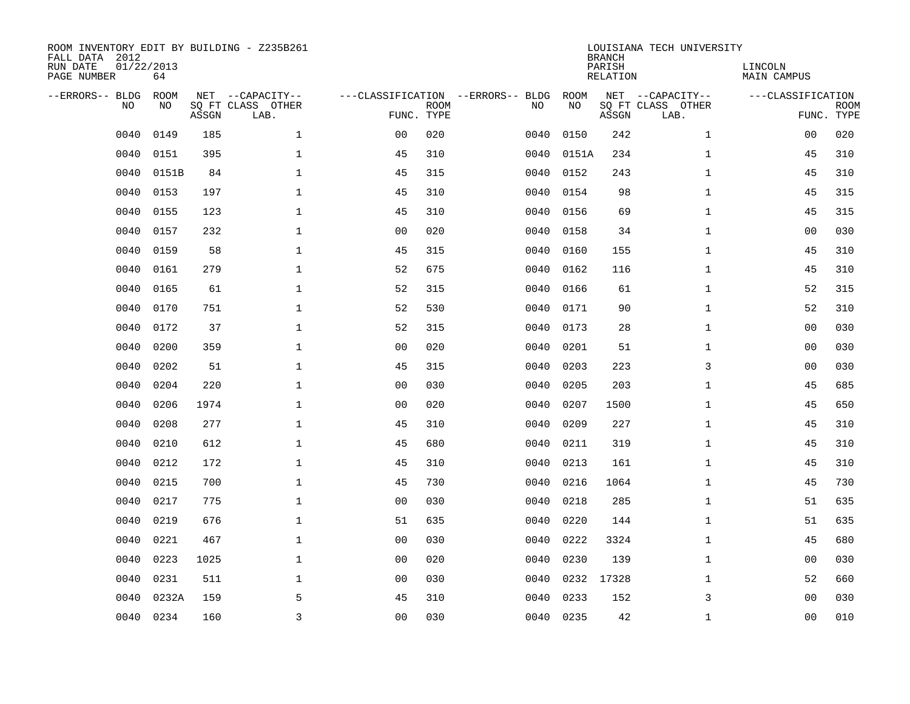| ROOM INVENTORY EDIT BY BUILDING - Z235B261<br>FALL DATA 2012<br>RUN DATE<br>01/22/2013<br>PAGE NUMBER<br>64<br>--ERRORS-- BLDG<br>NET --CAPACITY-- |           |             |       |                           |                                                 |             |      |            | <b>BRANCH</b><br>PARISH<br>RELATION | LOUISIANA TECH UNIVERSITY                     | LINCOLN<br><b>MAIN CAMPUS</b> |                           |
|----------------------------------------------------------------------------------------------------------------------------------------------------|-----------|-------------|-------|---------------------------|-------------------------------------------------|-------------|------|------------|-------------------------------------|-----------------------------------------------|-------------------------------|---------------------------|
|                                                                                                                                                    | <b>NO</b> | ROOM<br>NO. | ASSGN | SO FT CLASS OTHER<br>LAB. | ---CLASSIFICATION --ERRORS-- BLDG<br>FUNC. TYPE | <b>ROOM</b> | NO   | ROOM<br>NO | ASSGN                               | NET --CAPACITY--<br>SQ FT CLASS OTHER<br>LAB. | ---CLASSIFICATION             | <b>ROOM</b><br>FUNC. TYPE |
|                                                                                                                                                    | 0040      | 0149        | 185   | $\mathbf{1}$              | 0 <sub>0</sub>                                  | 020         | 0040 | 0150       | 242                                 | $\mathbf{1}$                                  | 00                            | 020                       |
|                                                                                                                                                    | 0040      | 0151        | 395   | $\mathbf 1$               | 45                                              | 310         | 0040 | 0151A      | 234                                 | $\mathbf{1}$                                  | 45                            | 310                       |
|                                                                                                                                                    | 0040      | 0151B       | 84    | $\mathbf 1$               | 45                                              | 315         | 0040 | 0152       | 243                                 | $\mathbf{1}$                                  | 45                            | 310                       |
|                                                                                                                                                    | 0040      | 0153        | 197   | $\mathbf{1}$              | 45                                              | 310         | 0040 | 0154       | 98                                  | $\mathbf{1}$                                  | 45                            | 315                       |
|                                                                                                                                                    | 0040      | 0155        | 123   | $\mathbf{1}$              | 45                                              | 310         | 0040 | 0156       | 69                                  | $\mathbf{1}$                                  | 45                            | 315                       |
|                                                                                                                                                    | 0040      | 0157        | 232   | $\mathbf{1}$              | 0 <sub>0</sub>                                  | 020         | 0040 | 0158       | 34                                  | $\mathbf{1}$                                  | 0 <sub>0</sub>                | 030                       |
|                                                                                                                                                    | 0040      | 0159        | 58    | $\mathbf{1}$              | 45                                              | 315         | 0040 | 0160       | 155                                 | $\mathbf{1}$                                  | 45                            | 310                       |
|                                                                                                                                                    | 0040      | 0161        | 279   | $\mathbf 1$               | 52                                              | 675         | 0040 | 0162       | 116                                 | $\mathbf{1}$                                  | 45                            | 310                       |
|                                                                                                                                                    | 0040      | 0165        | 61    | $\mathbf{1}$              | 52                                              | 315         | 0040 | 0166       | 61                                  | $\mathbf{1}$                                  | 52                            | 315                       |
|                                                                                                                                                    | 0040      | 0170        | 751   | $\mathbf 1$               | 52                                              | 530         | 0040 | 0171       | 90                                  | $\mathbf{1}$                                  | 52                            | 310                       |
|                                                                                                                                                    | 0040      | 0172        | 37    | $\mathbf 1$               | 52                                              | 315         | 0040 | 0173       | 28                                  | $\mathbf{1}$                                  | 00                            | 030                       |
|                                                                                                                                                    | 0040      | 0200        | 359   | $\mathbf 1$               | 0 <sub>0</sub>                                  | 020         | 0040 | 0201       | 51                                  | $\mathbf{1}$                                  | 00                            | 030                       |
|                                                                                                                                                    | 0040      | 0202        | 51    | $\mathbf 1$               | 45                                              | 315         | 0040 | 0203       | 223                                 | 3                                             | 00                            | 030                       |
|                                                                                                                                                    | 0040      | 0204        | 220   | $\mathbf 1$               | 0 <sub>0</sub>                                  | 030         | 0040 | 0205       | 203                                 | $\mathbf{1}$                                  | 45                            | 685                       |
|                                                                                                                                                    | 0040      | 0206        | 1974  | $\mathbf 1$               | 0 <sub>0</sub>                                  | 020         | 0040 | 0207       | 1500                                | $\mathbf{1}$                                  | 45                            | 650                       |
|                                                                                                                                                    | 0040      | 0208        | 277   | $\mathbf 1$               | 45                                              | 310         | 0040 | 0209       | 227                                 | $\mathbf{1}$                                  | 45                            | 310                       |
|                                                                                                                                                    | 0040      | 0210        | 612   | $\mathbf{1}$              | 45                                              | 680         | 0040 | 0211       | 319                                 | $\mathbf{1}$                                  | 45                            | 310                       |
|                                                                                                                                                    | 0040      | 0212        | 172   | $\mathbf{1}$              | 45                                              | 310         | 0040 | 0213       | 161                                 | $\mathbf{1}$                                  | 45                            | 310                       |
|                                                                                                                                                    | 0040      | 0215        | 700   | $\mathbf{1}$              | 45                                              | 730         | 0040 | 0216       | 1064                                | $\mathbf{1}$                                  | 45                            | 730                       |
|                                                                                                                                                    | 0040      | 0217        | 775   | $\mathbf{1}$              | 0 <sub>0</sub>                                  | 030         | 0040 | 0218       | 285                                 | $\mathbf{1}$                                  | 51                            | 635                       |
|                                                                                                                                                    | 0040      | 0219        | 676   | $\mathbf{1}$              | 51                                              | 635         | 0040 | 0220       | 144                                 | $\mathbf{1}$                                  | 51                            | 635                       |
|                                                                                                                                                    | 0040      | 0221        | 467   | $\mathbf{1}$              | 0 <sub>0</sub>                                  | 030         | 0040 | 0222       | 3324                                | $\mathbf{1}$                                  | 45                            | 680                       |
|                                                                                                                                                    | 0040      | 0223        | 1025  | $\mathbf{1}$              | 0 <sub>0</sub>                                  | 020         | 0040 | 0230       | 139                                 | $\mathbf{1}$                                  | 0 <sub>0</sub>                | 030                       |
|                                                                                                                                                    | 0040      | 0231        | 511   | $\mathbf{1}$              | 00                                              | 030         | 0040 | 0232       | 17328                               | $\mathbf{1}$                                  | 52                            | 660                       |
|                                                                                                                                                    | 0040      | 0232A       | 159   | 5                         | 45                                              | 310         | 0040 | 0233       | 152                                 | 3                                             | 00                            | 030                       |
|                                                                                                                                                    | 0040      | 0234        | 160   | 3                         | 00                                              | 030         |      | 0040 0235  | 42                                  | $\mathbf{1}$                                  | 0 <sub>0</sub>                | 010                       |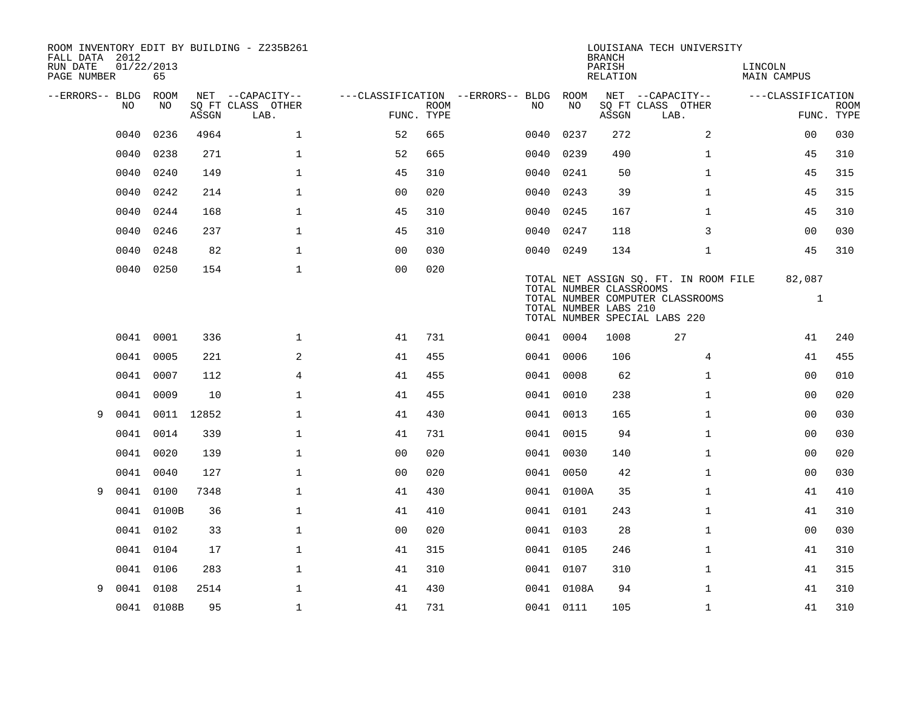| FALL DATA 2012<br>RUN DATE | 01/22/2013 |            |            | ROOM INVENTORY EDIT BY BUILDING - Z235B261    |                                                      |             |           |            | <b>BRANCH</b><br>PARISH                          | LOUISIANA TECH UNIVERSITY                                                                                  | LINCOLN                |                           |
|----------------------------|------------|------------|------------|-----------------------------------------------|------------------------------------------------------|-------------|-----------|------------|--------------------------------------------------|------------------------------------------------------------------------------------------------------------|------------------------|---------------------------|
| PAGE NUMBER                |            | 65         |            |                                               |                                                      |             |           |            | RELATION                                         |                                                                                                            | MAIN CAMPUS            |                           |
| --ERRORS-- BLDG ROOM       | NO.        | NO.        | ASSGN      | NET --CAPACITY--<br>SQ FT CLASS OTHER<br>LAB. | ---CLASSIFICATION --ERRORS-- BLDG ROOM<br>FUNC. TYPE | <b>ROOM</b> | NO.       | NO         | ASSGN                                            | NET --CAPACITY--<br>SQ FT CLASS OTHER<br>LAB.                                                              | ---CLASSIFICATION      | <b>ROOM</b><br>FUNC. TYPE |
|                            | 0040       | 0236       | 4964       | $\mathbf{1}$                                  | 52                                                   | 665         | 0040      | 0237       | 272                                              | 2                                                                                                          | 00                     | 030                       |
|                            | 0040       | 0238       | 271        | $\mathbf 1$                                   | 52                                                   | 665         | 0040      | 0239       | 490                                              | $\mathbf{1}$                                                                                               | 45                     | 310                       |
|                            | 0040       | 0240       | 149        | $\mathbf{1}$                                  | 45                                                   | 310         | 0040      | 0241       | 50                                               | $\mathbf{1}$                                                                                               | 45                     | 315                       |
|                            | 0040       | 0242       | 214        | $\mathbf{1}$                                  | 00                                                   | 020         | 0040      | 0243       | 39                                               | $\mathbf{1}$                                                                                               | 45                     | 315                       |
|                            | 0040       | 0244       | 168        | $\mathbf{1}$                                  | 45                                                   | 310         | 0040      | 0245       | 167                                              | $\mathbf{1}$                                                                                               | 45                     | 310                       |
|                            | 0040       | 0246       | 237        | $\mathbf 1$                                   | 45                                                   | 310         | 0040      | 0247       | 118                                              | 3                                                                                                          | 00                     | 030                       |
|                            | 0040       | 0248       | 82         | $\mathbf{1}$                                  | 0 <sub>0</sub>                                       | 030         | 0040 0249 |            | 134                                              | $\mathbf{1}$                                                                                               | 45                     | 310                       |
|                            | 0040       | 0250       | 154        | $\mathbf{1}$                                  | 0 <sub>0</sub>                                       | 020         |           |            | TOTAL NUMBER CLASSROOMS<br>TOTAL NUMBER LABS 210 | TOTAL NET ASSIGN SQ. FT. IN ROOM FILE<br>TOTAL NUMBER COMPUTER CLASSROOMS<br>TOTAL NUMBER SPECIAL LABS 220 | 82,087<br>$\mathbf{1}$ |                           |
|                            |            | 0041 0001  | 336        | $\mathbf{1}$                                  | 41                                                   | 731         | 0041 0004 |            | 1008                                             | 27                                                                                                         | 41                     | 240                       |
|                            |            | 0041 0005  | 221        | 2                                             | 41                                                   | 455         | 0041 0006 |            | 106                                              | 4                                                                                                          | 41                     | 455                       |
|                            | 0041       | 0007       | 112        | $\overline{4}$                                | 41                                                   | 455         | 0041 0008 |            | 62                                               | $\mathbf{1}$                                                                                               | 0 <sub>0</sub>         | 010                       |
|                            | 0041       | 0009       | 10         | $\mathbf 1$                                   | 41                                                   | 455         | 0041 0010 |            | 238                                              | $\mathbf{1}$                                                                                               | 0 <sub>0</sub>         | 020                       |
| 9                          | 0041       |            | 0011 12852 | $\mathbf{1}$                                  | 41                                                   | 430         | 0041 0013 |            | 165                                              | $\mathbf{1}$                                                                                               | 0 <sub>0</sub>         | 030                       |
|                            | 0041       | 0014       | 339        | $\mathbf{1}$                                  | 41                                                   | 731         | 0041 0015 |            | 94                                               | $\mathbf{1}$                                                                                               | 0 <sub>0</sub>         | 030                       |
|                            | 0041       | 0020       | 139        | $\mathbf{1}$                                  | 00                                                   | 020         | 0041 0030 |            | 140                                              | $\mathbf{1}$                                                                                               | 0 <sub>0</sub>         | 020                       |
|                            | 0041       | 0040       | 127        | $\mathbf{1}$                                  | 0 <sub>0</sub>                                       | 020         | 0041 0050 |            | 42                                               | $\mathbf{1}$                                                                                               | 0 <sub>0</sub>         | 030                       |
| 9                          | 0041       | 0100       | 7348       | $\mathbf 1$                                   | 41                                                   | 430         |           | 0041 0100A | 35                                               | $\mathbf{1}$                                                                                               | 41                     | 410                       |
|                            |            | 0041 0100B | 36         | $\mathbf 1$                                   | 41                                                   | 410         | 0041 0101 |            | 243                                              | $\mathbf{1}$                                                                                               | 41                     | 310                       |
|                            |            | 0041 0102  | 33         | $\mathbf 1$                                   | 00                                                   | 020         | 0041 0103 |            | 28                                               | $\mathbf{1}$                                                                                               | 00                     | 030                       |
|                            |            | 0041 0104  | 17         | $\mathbf 1$                                   | 41                                                   | 315         | 0041 0105 |            | 246                                              | $\mathbf{1}$                                                                                               | 41                     | 310                       |
|                            | 0041       | 0106       | 283        | $\mathbf{1}$                                  | 41                                                   | 310         | 0041 0107 |            | 310                                              | $\mathbf{1}$                                                                                               | 41                     | 315                       |
| 9                          | 0041       | 0108       | 2514       | $\mathbf{1}$                                  | 41                                                   | 430         |           | 0041 0108A | 94                                               | $\mathbf{1}$                                                                                               | 41                     | 310                       |
|                            |            | 0041 0108B | 95         | $\mathbf{1}$                                  | 41                                                   | 731         | 0041 0111 |            | 105                                              | $\mathbf{1}$                                                                                               | 41                     | 310                       |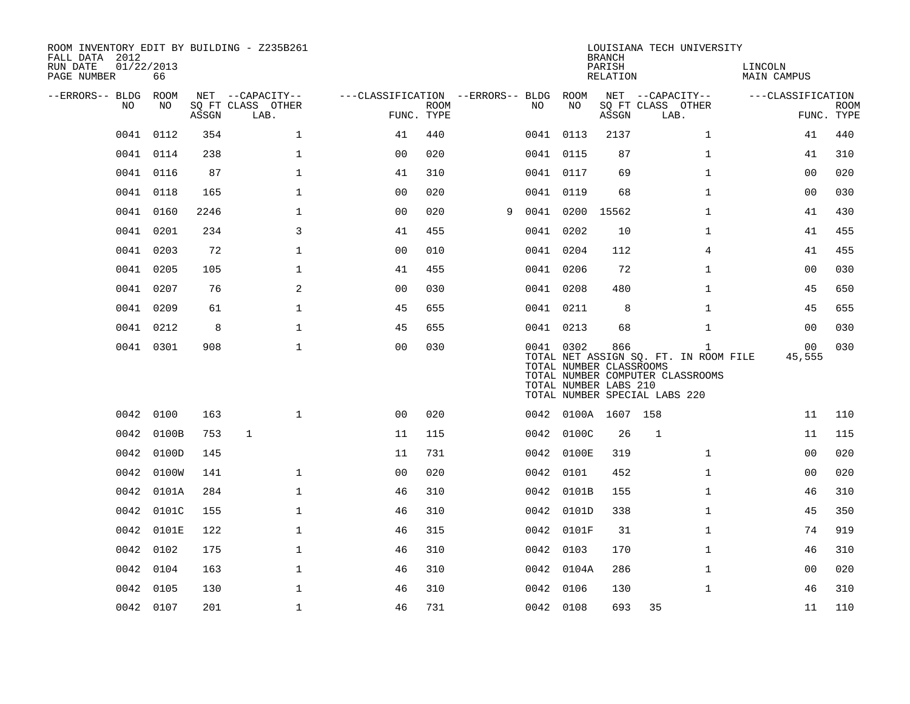| ROOM INVENTORY EDIT BY BUILDING - Z235B261<br>FALL DATA 2012<br>RUN DATE<br>PAGE NUMBER | 01/22/2013<br>66 |       |                                               |                                                      |             |   |           |                                                               | <b>BRANCH</b><br>PARISH<br>RELATION | LOUISIANA TECH UNIVERSITY                                                                                                  | LINCOLN<br><b>MAIN CAMPUS</b> |                           |
|-----------------------------------------------------------------------------------------|------------------|-------|-----------------------------------------------|------------------------------------------------------|-------------|---|-----------|---------------------------------------------------------------|-------------------------------------|----------------------------------------------------------------------------------------------------------------------------|-------------------------------|---------------------------|
| --ERRORS-- BLDG ROOM<br>NO.                                                             | NO.              | ASSGN | NET --CAPACITY--<br>SQ FT CLASS OTHER<br>LAB. | ---CLASSIFICATION --ERRORS-- BLDG ROOM<br>FUNC. TYPE | <b>ROOM</b> |   | NO.       | NO                                                            | ASSGN                               | NET --CAPACITY--<br>SQ FT CLASS OTHER<br>LAB.                                                                              | ---CLASSIFICATION             | <b>ROOM</b><br>FUNC. TYPE |
| 0041                                                                                    | 0112             | 354   | $\mathbf{1}$                                  | 41                                                   | 440         |   |           | 0041 0113                                                     | 2137                                | $\mathbf{1}$                                                                                                               | 41                            | 440                       |
| 0041                                                                                    | 0114             | 238   | $\mathbf{1}$                                  | 0 <sub>0</sub>                                       | 020         |   | 0041 0115 |                                                               | 87                                  | $\mathbf{1}$                                                                                                               | 41                            | 310                       |
| 0041                                                                                    | 0116             | 87    | $\mathbf 1$                                   | 41                                                   | 310         |   |           | 0041 0117                                                     | 69                                  | $\mathbf{1}$                                                                                                               | 0 <sub>0</sub>                | 020                       |
| 0041                                                                                    | 0118             | 165   | $\mathbf{1}$                                  | 0 <sub>0</sub>                                       | 020         |   |           | 0041 0119                                                     | 68                                  | $\mathbf{1}$                                                                                                               | 0 <sub>0</sub>                | 030                       |
| 0041                                                                                    | 0160             | 2246  | $\mathbf 1$                                   | 0 <sub>0</sub>                                       | 020         | 9 |           | 0041 0200                                                     | 15562                               | $\mathbf{1}$                                                                                                               | 41                            | 430                       |
| 0041                                                                                    | 0201             | 234   | 3                                             | 41                                                   | 455         |   | 0041 0202 |                                                               | 10                                  | $\mathbf{1}$                                                                                                               | 41                            | 455                       |
|                                                                                         | 0041 0203        | 72    | $\mathbf 1$                                   | 00                                                   | 010         |   | 0041 0204 |                                                               | 112                                 | 4                                                                                                                          | 41                            | 455                       |
| 0041                                                                                    | 0205             | 105   | $\mathbf 1$                                   | 41                                                   | 455         |   | 0041 0206 |                                                               | 72                                  | $\mathbf{1}$                                                                                                               | 00                            | 030                       |
|                                                                                         | 0041 0207        | 76    | 2                                             | 0 <sub>0</sub>                                       | 030         |   |           | 0041 0208                                                     | 480                                 | $\mathbf{1}$                                                                                                               | 45                            | 650                       |
|                                                                                         | 0041 0209        | 61    | $\mathbf 1$                                   | 45                                                   | 655         |   |           | 0041 0211                                                     | 8                                   | $\mathbf{1}$                                                                                                               | 45                            | 655                       |
|                                                                                         | 0041 0212        | 8     | $\mathbf{1}$                                  | 45                                                   | 655         |   |           | 0041 0213                                                     | 68                                  | $\mathbf{1}$                                                                                                               | 0 <sub>0</sub>                | 030                       |
|                                                                                         | 0041 0301        | 908   | $\mathbf{1}$                                  | 0 <sub>0</sub>                                       | 030         |   |           | 0041 0302<br>TOTAL NUMBER CLASSROOMS<br>TOTAL NUMBER LABS 210 | 866                                 | $\mathbf{1}$<br>TOTAL NET ASSIGN SQ. FT. IN ROOM FILE<br>TOTAL NUMBER COMPUTER CLASSROOMS<br>TOTAL NUMBER SPECIAL LABS 220 | 00<br>45,555                  | 030                       |
|                                                                                         | 0042 0100        | 163   | $\mathbf{1}$                                  | 0 <sub>0</sub>                                       | 020         |   |           | 0042 0100A 1607 158                                           |                                     |                                                                                                                            | 11                            | 110                       |
|                                                                                         | 0042 0100B       | 753   | $\mathbf{1}$                                  | 11                                                   | 115         |   |           | 0042 0100C                                                    | 26                                  | $\mathbf{1}$                                                                                                               | 11                            | 115                       |
| 0042                                                                                    | 0100D            | 145   |                                               | 11                                                   | 731         |   |           | 0042 0100E                                                    | 319                                 | $\mathbf{1}$                                                                                                               | 0 <sub>0</sub>                | 020                       |
| 0042                                                                                    | 0100W            | 141   | $\mathbf 1$                                   | 0 <sub>0</sub>                                       | 020         |   |           | 0042 0101                                                     | 452                                 | $\mathbf{1}$                                                                                                               | 00                            | 020                       |
| 0042                                                                                    | 0101A            | 284   | $\mathbf{1}$                                  | 46                                                   | 310         |   |           | 0042 0101B                                                    | 155                                 | $\mathbf{1}$                                                                                                               | 46                            | 310                       |
| 0042                                                                                    | 0101C            | 155   | $\mathbf{1}$                                  | 46                                                   | 310         |   |           | 0042 0101D                                                    | 338                                 | $\mathbf{1}$                                                                                                               | 45                            | 350                       |
| 0042                                                                                    | 0101E            | 122   | $\mathbf{1}$                                  | 46                                                   | 315         |   |           | 0042 0101F                                                    | 31                                  | $\mathbf{1}$                                                                                                               | 74                            | 919                       |
| 0042                                                                                    | 0102             | 175   | $\mathbf{1}$                                  | 46                                                   | 310         |   | 0042 0103 |                                                               | 170                                 | $\mathbf{1}$                                                                                                               | 46                            | 310                       |
|                                                                                         | 0042 0104        | 163   | $\mathbf 1$                                   | 46                                                   | 310         |   |           | 0042 0104A                                                    | 286                                 | $\mathbf{1}$                                                                                                               | 00                            | 020                       |
| 0042                                                                                    | 0105             | 130   | $\mathbf 1$                                   | 46                                                   | 310         |   |           | 0042 0106                                                     | 130                                 | $\mathbf{1}$                                                                                                               | 46                            | 310                       |
|                                                                                         | 0042 0107        | 201   | $\mathbf{1}$                                  | 46                                                   | 731         |   | 0042 0108 |                                                               | 693                                 | 35                                                                                                                         | 11                            | 110                       |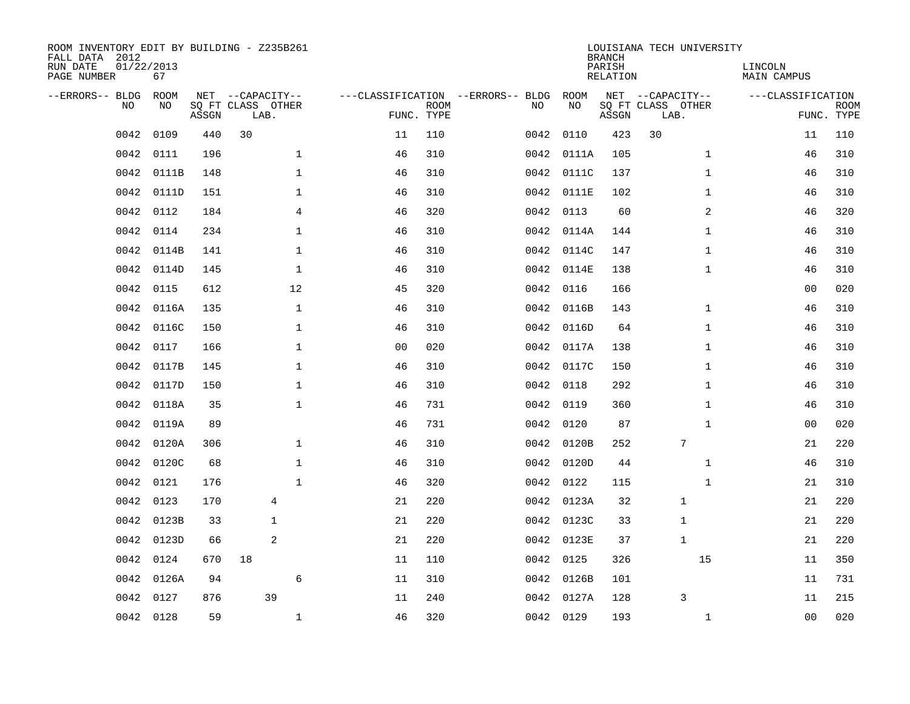| ROOM INVENTORY EDIT BY BUILDING - Z235B261<br>FALL DATA 2012<br>RUN DATE<br>PAGE NUMBER | 01/22/2013<br>67 |       |                                               |                |                           |                                         |            | <b>BRANCH</b><br>PARISH<br><b>RELATION</b> | LOUISIANA TECH UNIVERSITY                     | LINCOLN<br><b>MAIN CAMPUS</b> |                           |
|-----------------------------------------------------------------------------------------|------------------|-------|-----------------------------------------------|----------------|---------------------------|-----------------------------------------|------------|--------------------------------------------|-----------------------------------------------|-------------------------------|---------------------------|
| --ERRORS-- BLDG<br>NO                                                                   | ROOM<br>NO       | ASSGN | NET --CAPACITY--<br>SQ FT CLASS OTHER<br>LAB. |                | <b>ROOM</b><br>FUNC. TYPE | ---CLASSIFICATION --ERRORS-- BLDG<br>NO | ROOM<br>NO | ASSGN                                      | NET --CAPACITY--<br>SQ FT CLASS OTHER<br>LAB. | ---CLASSIFICATION             | <b>ROOM</b><br>FUNC. TYPE |
| 0042                                                                                    | 0109             | 440   | 30                                            | 11             | 110                       |                                         | 0042 0110  | 423                                        | 30                                            | 11                            | 110                       |
| 0042                                                                                    | 0111             | 196   | $\mathbf 1$                                   | 46             | 310                       |                                         | 0042 0111A | 105                                        | $\mathbf{1}$                                  | 46                            | 310                       |
| 0042                                                                                    | 0111B            | 148   | $\mathbf 1$                                   | 46             | 310                       |                                         | 0042 0111C | 137                                        | $\mathbf{1}$                                  | 46                            | 310                       |
| 0042                                                                                    | 0111D            | 151   | 1                                             | 46             | 310                       |                                         | 0042 0111E | 102                                        | $\mathbf{1}$                                  | 46                            | 310                       |
| 0042                                                                                    | 0112             | 184   | $\overline{4}$                                | 46             | 320                       |                                         | 0042 0113  | 60                                         | $\overline{a}$                                | 46                            | 320                       |
| 0042                                                                                    | 0114             | 234   | $\mathbf 1$                                   | 46             | 310                       |                                         | 0042 0114A | 144                                        | $\mathbf{1}$                                  | 46                            | 310                       |
| 0042                                                                                    | 0114B            | 141   | $\mathbf{1}$                                  | 46             | 310                       |                                         | 0042 0114C | 147                                        | $\mathbf{1}$                                  | 46                            | 310                       |
| 0042                                                                                    | 0114D            | 145   | $\mathbf{1}$                                  | 46             | 310                       |                                         | 0042 0114E | 138                                        | $\mathbf{1}$                                  | 46                            | 310                       |
| 0042                                                                                    | 0115             | 612   | 12                                            | 45             | 320                       | 0042                                    | 0116       | 166                                        |                                               | 0 <sub>0</sub>                | 020                       |
| 0042                                                                                    | 0116A            | 135   | $\mathbf{1}$                                  | 46             | 310                       | 0042                                    | 0116B      | 143                                        | $\mathbf{1}$                                  | 46                            | 310                       |
| 0042                                                                                    | 0116C            | 150   | $\mathbf 1$                                   | 46             | 310                       | 0042                                    | 0116D      | 64                                         | $\mathbf{1}$                                  | 46                            | 310                       |
| 0042                                                                                    | 0117             | 166   | $\mathbf 1$                                   | 0 <sub>0</sub> | 020                       |                                         | 0042 0117A | 138                                        | $\mathbf{1}$                                  | 46                            | 310                       |
| 0042                                                                                    | 0117B            | 145   | $\mathbf 1$                                   | 46             | 310                       | 0042                                    | 0117C      | 150                                        | $\mathbf{1}$                                  | 46                            | 310                       |
| 0042                                                                                    | 0117D            | 150   | $\mathbf 1$                                   | 46             | 310                       | 0042                                    | 0118       | 292                                        | $\mathbf{1}$                                  | 46                            | 310                       |
| 0042                                                                                    | 0118A            | 35    | $\mathbf{1}$                                  | 46             | 731                       | 0042                                    | 0119       | 360                                        | $\mathbf{1}$                                  | 46                            | 310                       |
| 0042                                                                                    | 0119A            | 89    |                                               | 46             | 731                       |                                         | 0042 0120  | 87                                         | $\mathbf{1}$                                  | 00                            | 020                       |
| 0042                                                                                    | 0120A            | 306   | $\mathbf{1}$                                  | 46             | 310                       | 0042                                    | 0120B      | 252                                        | $\overline{7}$                                | 21                            | 220                       |
| 0042                                                                                    | 0120C            | 68    | $\mathbf 1$                                   | 46             | 310                       |                                         | 0042 0120D | 44                                         | $\mathbf{1}$                                  | 46                            | 310                       |
| 0042                                                                                    | 0121             | 176   | $\mathbf{1}$                                  | 46             | 320                       |                                         | 0042 0122  | 115                                        | $\mathbf{1}$                                  | 21                            | 310                       |
| 0042                                                                                    | 0123             | 170   | 4                                             | 21             | 220                       |                                         | 0042 0123A | 32                                         | 1                                             | 21                            | 220                       |
| 0042                                                                                    | 0123B            | 33    | $\mathbf{1}$                                  | 21             | 220                       |                                         | 0042 0123C | 33                                         | $\mathbf{1}$                                  | 21                            | 220                       |
| 0042                                                                                    | 0123D            | 66    | 2                                             | 21             | 220                       |                                         | 0042 0123E | 37                                         | $\mathbf{1}$                                  | 21                            | 220                       |
| 0042                                                                                    | 0124             | 670   | 18                                            | 11             | 110                       |                                         | 0042 0125  | 326                                        | 15                                            | 11                            | 350                       |
| 0042                                                                                    | 0126A            | 94    | 6                                             | 11             | 310                       |                                         | 0042 0126B | 101                                        |                                               | 11                            | 731                       |
| 0042                                                                                    | 0127             | 876   | 39                                            | 11             | 240                       |                                         | 0042 0127A | 128                                        | 3                                             | 11                            | 215                       |
|                                                                                         | 0042 0128        | 59    | 1                                             | 46             | 320                       |                                         | 0042 0129  | 193                                        | $\mathbf{1}$                                  | 00                            | 020                       |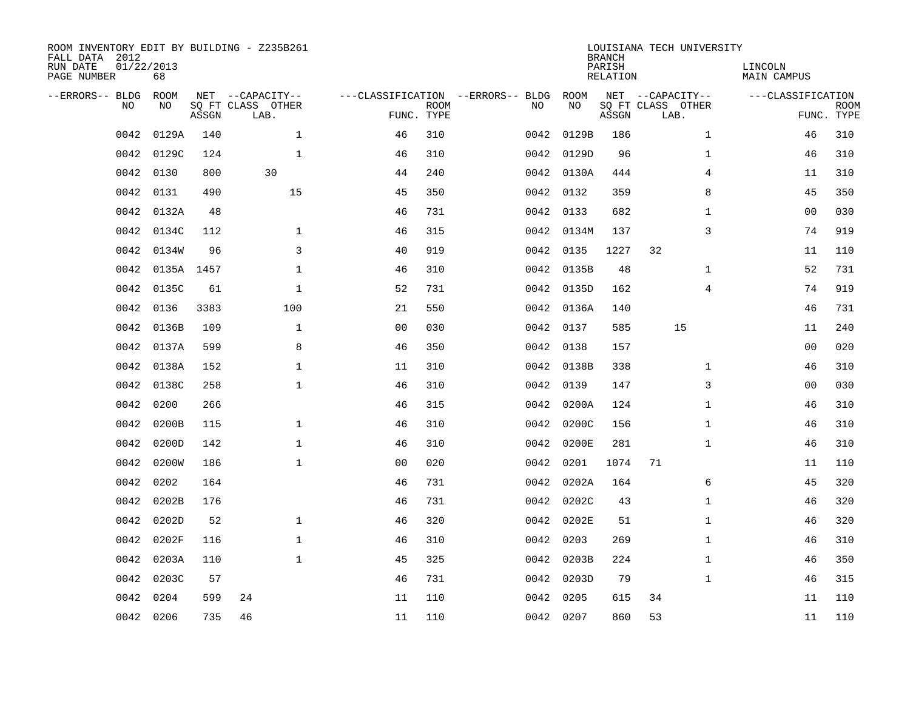| ROOM INVENTORY EDIT BY BUILDING - Z235B261<br>FALL DATA 2012<br>RUN DATE<br>PAGE NUMBER | 01/22/2013<br>68 |       |                                               |                |             |                                         |            | <b>BRANCH</b><br>PARISH<br><b>RELATION</b> | LOUISIANA TECH UNIVERSITY                     | LINCOLN<br><b>MAIN CAMPUS</b> |                           |
|-----------------------------------------------------------------------------------------|------------------|-------|-----------------------------------------------|----------------|-------------|-----------------------------------------|------------|--------------------------------------------|-----------------------------------------------|-------------------------------|---------------------------|
| --ERRORS-- BLDG<br>NO                                                                   | ROOM<br>NO       | ASSGN | NET --CAPACITY--<br>SQ FT CLASS OTHER<br>LAB. | FUNC. TYPE     | <b>ROOM</b> | ---CLASSIFICATION --ERRORS-- BLDG<br>NO | ROOM<br>NO | ASSGN                                      | NET --CAPACITY--<br>SQ FT CLASS OTHER<br>LAB. | ---CLASSIFICATION             | <b>ROOM</b><br>FUNC. TYPE |
| 0042                                                                                    | 0129A            | 140   | $\mathbf{1}$                                  | 46             | 310         |                                         | 0042 0129B | 186                                        | $\mathbf{1}$                                  | 46                            | 310                       |
| 0042                                                                                    | 0129C            | 124   | $\mathbf 1$                                   | 46             | 310         |                                         | 0042 0129D | 96                                         | $\mathbf{1}$                                  | 46                            | 310                       |
| 0042                                                                                    | 0130             | 800   | 30                                            | 44             | 240         |                                         | 0042 0130A | 444                                        | 4                                             | 11                            | 310                       |
| 0042                                                                                    | 0131             | 490   | 15                                            | 45             | 350         |                                         | 0042 0132  | 359                                        | 8                                             | 45                            | 350                       |
| 0042                                                                                    | 0132A            | 48    |                                               | 46             | 731         |                                         | 0042 0133  | 682                                        | $\mathbf{1}$                                  | 0 <sub>0</sub>                | 030                       |
| 0042                                                                                    | 0134C            | 112   | $\mathbf 1$                                   | 46             | 315         |                                         | 0042 0134M | 137                                        | 3                                             | 74                            | 919                       |
| 0042                                                                                    | 0134W            | 96    | $\overline{3}$                                | 40             | 919         |                                         | 0042 0135  | 1227                                       | 32                                            | 11                            | 110                       |
| 0042                                                                                    | 0135A 1457       |       | $\mathbf{1}$                                  | 46             | 310         |                                         | 0042 0135B | 48                                         | $\mathbf{1}$                                  | 52                            | 731                       |
| 0042                                                                                    | 0135C            | 61    | $\mathbf{1}$                                  | 52             | 731         |                                         | 0042 0135D | 162                                        | $\overline{4}$                                | 74                            | 919                       |
| 0042                                                                                    | 0136             | 3383  | 100                                           | 21             | 550         |                                         | 0042 0136A | 140                                        |                                               | 46                            | 731                       |
| 0042                                                                                    | 0136B            | 109   | $\mathbf 1$                                   | 0 <sub>0</sub> | 030         | 0042                                    | 0137       | 585                                        | 15                                            | 11                            | 240                       |
| 0042                                                                                    | 0137A            | 599   | 8                                             | 46             | 350         |                                         | 0042 0138  | 157                                        |                                               | 00                            | 020                       |
| 0042                                                                                    | 0138A            | 152   | $\mathbf 1$                                   | 11             | 310         | 0042                                    | 0138B      | 338                                        | $\mathbf{1}$                                  | 46                            | 310                       |
| 0042                                                                                    | 0138C            | 258   | $\mathbf 1$                                   | 46             | 310         | 0042                                    | 0139       | 147                                        | 3                                             | 00                            | 030                       |
| 0042                                                                                    | 0200             | 266   |                                               | 46             | 315         | 0042                                    | 0200A      | 124                                        | $\mathbf{1}$                                  | 46                            | 310                       |
| 0042                                                                                    | 0200B            | 115   | 1                                             | 46             | 310         | 0042                                    | 0200C      | 156                                        | $\mathbf{1}$                                  | 46                            | 310                       |
| 0042                                                                                    | 0200D            | 142   | $\mathbf{1}$                                  | 46             | 310         | 0042                                    | 0200E      | 281                                        | $\mathbf{1}$                                  | 46                            | 310                       |
| 0042                                                                                    | 0200W            | 186   | $\mathbf 1$                                   | 00             | 020         | 0042                                    | 0201       | 1074                                       | 71                                            | 11                            | 110                       |
| 0042                                                                                    | 0202             | 164   |                                               | 46             | 731         |                                         | 0042 0202A | 164                                        | 6                                             | 45                            | 320                       |
| 0042                                                                                    | 0202B            | 176   |                                               | 46             | 731         |                                         | 0042 0202C | 43                                         | $\mathbf{1}$                                  | 46                            | 320                       |
| 0042                                                                                    | 0202D            | 52    | $\mathbf{1}$                                  | 46             | 320         |                                         | 0042 0202E | 51                                         | $\mathbf{1}$                                  | 46                            | 320                       |
| 0042                                                                                    | 0202F            | 116   | $\mathbf{1}$                                  | 46             | 310         | 0042                                    | 0203       | 269                                        | $\mathbf{1}$                                  | 46                            | 310                       |
| 0042                                                                                    | 0203A            | 110   | $\mathbf{1}$                                  | 45             | 325         |                                         | 0042 0203B | 224                                        | $\mathbf{1}$                                  | 46                            | 350                       |
| 0042                                                                                    | 0203C            | 57    |                                               | 46             | 731         |                                         | 0042 0203D | 79                                         | $\mathbf{1}$                                  | 46                            | 315                       |
| 0042                                                                                    | 0204             | 599   | 24                                            | 11             | 110         | 0042                                    | 0205       | 615                                        | 34                                            | 11                            | 110                       |
|                                                                                         | 0042 0206        | 735   | 46                                            | 11             | 110         |                                         | 0042 0207  | 860                                        | 53                                            | 11                            | 110                       |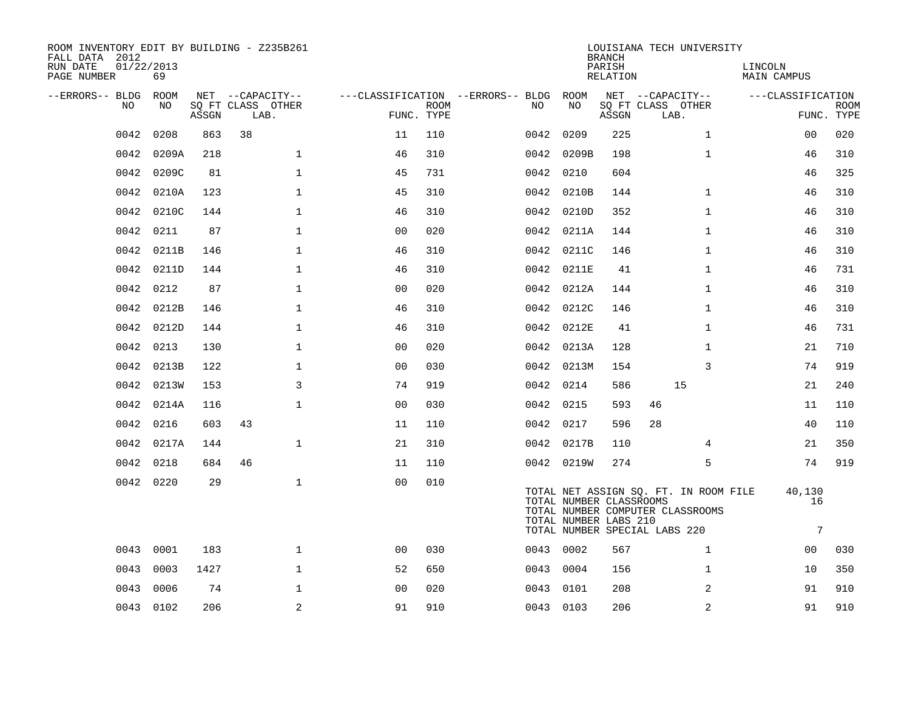| ROOM INVENTORY EDIT BY BUILDING - Z235B261<br>FALL DATA 2012<br>RUN DATE | 01/22/2013 |             |                                       |                      |            |                                          |                         | <b>BRANCH</b><br>PARISH | LOUISIANA TECH UNIVERSITY                                                 | LINCOLN            |             |
|--------------------------------------------------------------------------|------------|-------------|---------------------------------------|----------------------|------------|------------------------------------------|-------------------------|-------------------------|---------------------------------------------------------------------------|--------------------|-------------|
| PAGE NUMBER                                                              | 69         |             |                                       |                      |            |                                          |                         | RELATION                |                                                                           | <b>MAIN CAMPUS</b> |             |
| --ERRORS-- BLDG<br>NO                                                    | ROOM<br>NO |             | NET --CAPACITY--<br>SQ FT CLASS OTHER |                      | ROOM       | ---CLASSIFICATION --ERRORS-- BLDG<br>NO. | ROOM<br>NO              |                         | NET --CAPACITY--<br>SQ FT CLASS OTHER                                     | ---CLASSIFICATION  | <b>ROOM</b> |
|                                                                          |            | ASSGN       | LAB.                                  |                      | FUNC. TYPE |                                          |                         | ASSGN                   | LAB.                                                                      |                    | FUNC. TYPE  |
| 0042                                                                     | 0208       | 863         | 38                                    | 11                   | 110        | 0042                                     | 0209                    | 225                     | $\mathbf{1}$                                                              | 00                 | 020         |
| 0042                                                                     | 0209A      | 218         | $\mathbf{1}$                          | 46                   | 310        |                                          | 0042 0209B              | 198                     | $\mathbf{1}$                                                              | 46                 | 310         |
| 0042                                                                     | 0209C      | 81          | $\mathbf 1$                           | 45                   | 731        |                                          | 0042 0210               | 604                     |                                                                           | 46                 | 325         |
| 0042                                                                     | 0210A      | 123         | $\mathbf{1}$                          | 45                   | 310        | 0042                                     | 0210B                   | 144                     | $\mathbf{1}$                                                              | 46                 | 310         |
| 0042                                                                     | 0210C      | 144         | $\mathbf 1$                           | 46                   | 310        | 0042                                     | 0210D                   | 352                     | $\mathbf{1}$                                                              | 46                 | 310         |
| 0042                                                                     | 0211       | 87          | $\mathbf{1}$                          | 0 <sub>0</sub>       | 020        |                                          | 0042 0211A              | 144                     | $\mathbf{1}$                                                              | 46                 | 310         |
| 0042                                                                     | 0211B      | 146         | $\mathbf{1}$                          | 46                   | 310        |                                          | 0042 0211C              | 146                     | $\mathbf{1}$                                                              | 46                 | 310         |
| 0042                                                                     | 0211D      | 144         | $\mathbf{1}$                          | 46                   | 310        |                                          | 0042 0211E              | 41                      | $\mathbf{1}$                                                              | 46                 | 731         |
| 0042                                                                     | 0212       | 87          | $\mathbf 1$                           | 0 <sub>0</sub>       | 020        |                                          | 0042 0212A              | 144                     | $\mathbf{1}$                                                              | 46                 | 310         |
| 0042                                                                     | 0212B      | 146         | $\mathbf{1}$                          | 46                   | 310        |                                          | 0042 0212C              | 146                     | $\mathbf{1}$                                                              | 46                 | 310         |
| 0042                                                                     | 0212D      | 144         | $\mathbf{1}$                          | 46                   | 310        |                                          | 0042 0212E              | 41                      | $\mathbf{1}$                                                              | 46                 | 731         |
| 0042                                                                     | 0213       | 130         | $\mathbf{1}$                          | 00                   | 020        |                                          | 0042 0213A              | 128                     | $\mathbf{1}$                                                              | 21                 | 710         |
| 0042                                                                     | 0213B      | 122         | $\mathbf{1}$                          | 0 <sub>0</sub>       | 030        |                                          | 0042 0213M              | 154                     | 3                                                                         | 74                 | 919         |
| 0042                                                                     | 0213W      | 153         | 3                                     | 74                   | 919        |                                          | 0042 0214               | 586                     | 15                                                                        | 21                 | 240         |
| 0042                                                                     | 0214A      | 116         | $\mathbf{1}$                          | 0 <sub>0</sub>       | 030        |                                          | 0042 0215               | 593                     | 46                                                                        | 11                 | 110         |
| 0042                                                                     | 0216       | 603         | 43                                    | 11                   | 110        |                                          | 0042 0217               | 596                     | 28                                                                        | 40                 | 110         |
|                                                                          | 0042 0217A | 144         | $\mathbf{1}$                          | 21                   | 310        |                                          | 0042 0217B              | 110                     | 4                                                                         | 21                 | 350         |
| 0042                                                                     | 0218       | 684         | 46                                    | 11                   | 110        |                                          | 0042 0219W              | 274                     | 5                                                                         | 74                 | 919         |
|                                                                          | 0042 0220  | 29          | $\mathbf 1$                           | 0 <sub>0</sub>       | 010        |                                          |                         |                         |                                                                           | 40,130             |             |
|                                                                          |            |             |                                       |                      |            |                                          | TOTAL NUMBER CLASSROOMS |                         | TOTAL NET ASSIGN SQ. FT. IN ROOM FILE<br>TOTAL NUMBER COMPUTER CLASSROOMS | 16                 |             |
|                                                                          |            |             |                                       |                      |            |                                          | TOTAL NUMBER LABS 210   |                         | TOTAL NUMBER SPECIAL LABS 220                                             | 7                  |             |
|                                                                          | 0001       |             | $\mathbf{1}$                          |                      | 030        |                                          |                         |                         | $\mathbf{1}$                                                              |                    | 030         |
| 0043<br>0043                                                             | 0003       | 183<br>1427 | $\mathbf{1}$                          | 0 <sub>0</sub><br>52 | 650        | 0043                                     | 0043 0002<br>0004       | 567<br>156              | $\mathbf{1}$                                                              | 00<br>10           | 350         |
|                                                                          |            |             | $\mathbf{1}$                          | 0 <sub>0</sub>       |            |                                          |                         |                         |                                                                           |                    |             |
| 0043                                                                     | 0006       | 74          |                                       |                      | 020        | 0043                                     | 0101                    | 208                     | 2                                                                         | 91                 | 910         |
|                                                                          | 0043 0102  | 206         | $\sqrt{2}$                            | 91                   | 910        |                                          | 0043 0103               | 206                     | $\overline{a}$                                                            | 91                 | 910         |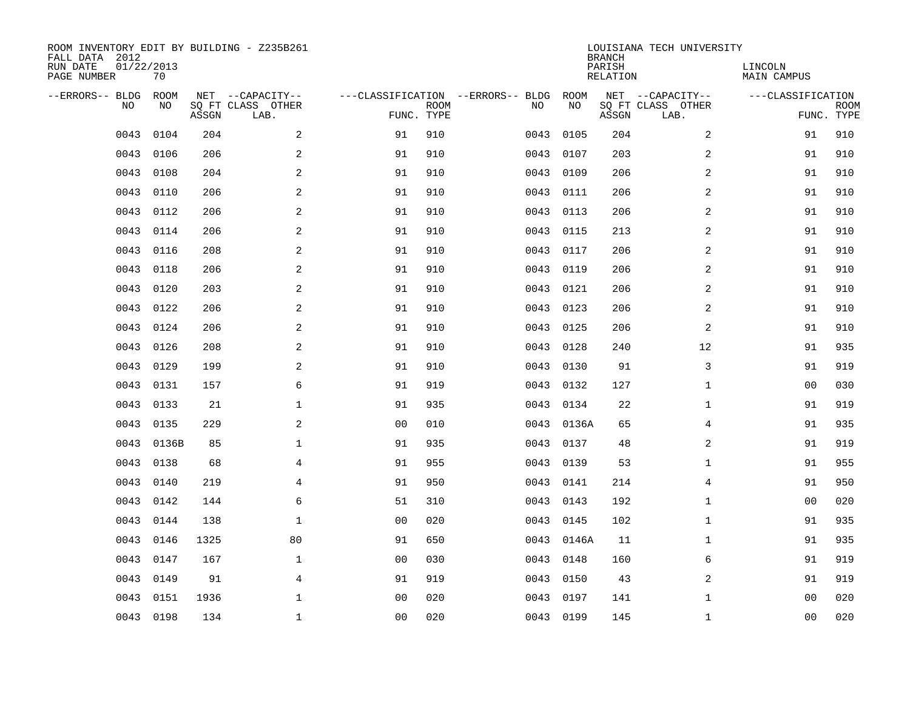| ROOM INVENTORY EDIT BY BUILDING - Z235B261<br>FALL DATA 2012<br>RUN DATE<br>PAGE NUMBER | 01/22/2013<br>70 |       |                                               |                |             |                                         |            | <b>BRANCH</b><br>PARISH<br><b>RELATION</b> | LOUISIANA TECH UNIVERSITY                     | LINCOLN<br><b>MAIN CAMPUS</b> |                           |
|-----------------------------------------------------------------------------------------|------------------|-------|-----------------------------------------------|----------------|-------------|-----------------------------------------|------------|--------------------------------------------|-----------------------------------------------|-------------------------------|---------------------------|
| --ERRORS-- BLDG<br>NO                                                                   | ROOM<br>NO       | ASSGN | NET --CAPACITY--<br>SQ FT CLASS OTHER<br>LAB. | FUNC. TYPE     | <b>ROOM</b> | ---CLASSIFICATION --ERRORS-- BLDG<br>NO | ROOM<br>NO | ASSGN                                      | NET --CAPACITY--<br>SQ FT CLASS OTHER<br>LAB. | ---CLASSIFICATION             | <b>ROOM</b><br>FUNC. TYPE |
| 0043                                                                                    | 0104             | 204   | 2                                             | 91             | 910         | 0043                                    | 0105       | 204                                        | 2                                             | 91                            | 910                       |
| 0043                                                                                    | 0106             | 206   | 2                                             | 91             | 910         | 0043                                    | 0107       | 203                                        | 2                                             | 91                            | 910                       |
| 0043                                                                                    | 0108             | 204   | $\mathbf{2}$                                  | 91             | 910         | 0043                                    | 0109       | 206                                        | 2                                             | 91                            | 910                       |
| 0043                                                                                    | 0110             | 206   | $\mathbf{2}$                                  | 91             | 910         | 0043                                    | 0111       | 206                                        | 2                                             | 91                            | 910                       |
| 0043                                                                                    | 0112             | 206   | 2                                             | 91             | 910         | 0043                                    | 0113       | 206                                        | 2                                             | 91                            | 910                       |
| 0043                                                                                    | 0114             | 206   | 2                                             | 91             | 910         | 0043                                    | 0115       | 213                                        | 2                                             | 91                            | 910                       |
| 0043                                                                                    | 0116             | 208   | 2                                             | 91             | 910         | 0043                                    | 0117       | 206                                        | 2                                             | 91                            | 910                       |
| 0043                                                                                    | 0118             | 206   | 2                                             | 91             | 910         | 0043                                    | 0119       | 206                                        | 2                                             | 91                            | 910                       |
| 0043                                                                                    | 0120             | 203   | 2                                             | 91             | 910         | 0043                                    | 0121       | 206                                        | 2                                             | 91                            | 910                       |
| 0043                                                                                    | 0122             | 206   | 2                                             | 91             | 910         | 0043                                    | 0123       | 206                                        | 2                                             | 91                            | 910                       |
| 0043                                                                                    | 0124             | 206   | 2                                             | 91             | 910         | 0043                                    | 0125       | 206                                        | 2                                             | 91                            | 910                       |
| 0043                                                                                    | 0126             | 208   | 2                                             | 91             | 910         | 0043                                    | 0128       | 240                                        | 12                                            | 91                            | 935                       |
| 0043                                                                                    | 0129             | 199   | 2                                             | 91             | 910         | 0043                                    | 0130       | 91                                         | 3                                             | 91                            | 919                       |
| 0043                                                                                    | 0131             | 157   | 6                                             | 91             | 919         | 0043                                    | 0132       | 127                                        | $\mathbf{1}$                                  | 00                            | 030                       |
| 0043                                                                                    | 0133             | 21    | 1                                             | 91             | 935         | 0043                                    | 0134       | 22                                         | $\mathbf{1}$                                  | 91                            | 919                       |
| 0043                                                                                    | 0135             | 229   | 2                                             | 0 <sub>0</sub> | 010         | 0043                                    | 0136A      | 65                                         | 4                                             | 91                            | 935                       |
| 0043                                                                                    | 0136B            | 85    | $\mathbf 1$                                   | 91             | 935         | 0043                                    | 0137       | 48                                         | 2                                             | 91                            | 919                       |
| 0043                                                                                    | 0138             | 68    | 4                                             | 91             | 955         | 0043                                    | 0139       | 53                                         | $\mathbf{1}$                                  | 91                            | 955                       |
| 0043                                                                                    | 0140             | 219   | $\overline{4}$                                | 91             | 950         |                                         | 0043 0141  | 214                                        | 4                                             | 91                            | 950                       |
| 0043                                                                                    | 0142             | 144   | 6                                             | 51             | 310         | 0043                                    | 0143       | 192                                        | $\mathbf{1}$                                  | 00                            | 020                       |
| 0043                                                                                    | 0144             | 138   | $\mathbf{1}$                                  | 0 <sub>0</sub> | 020         |                                         | 0043 0145  | 102                                        | $\mathbf{1}$                                  | 91                            | 935                       |
| 0043                                                                                    | 0146             | 1325  | 80                                            | 91             | 650         | 0043                                    | 0146A      | 11                                         | $\mathbf{1}$                                  | 91                            | 935                       |
| 0043                                                                                    | 0147             | 167   | $\mathbf{1}$                                  | 0 <sub>0</sub> | 030         |                                         | 0043 0148  | 160                                        | 6                                             | 91                            | 919                       |
| 0043                                                                                    | 0149             | 91    | $\overline{4}$                                | 91             | 919         | 0043                                    | 0150       | 43                                         | 2                                             | 91                            | 919                       |
| 0043                                                                                    | 0151             | 1936  | $\mathbf 1$                                   | 0 <sub>0</sub> | 020         | 0043                                    | 0197       | 141                                        | $\mathbf{1}$                                  | 0 <sub>0</sub>                | 020                       |
|                                                                                         | 0043 0198        | 134   | $\mathbf 1$                                   | 00             | 020         |                                         | 0043 0199  | 145                                        | $\mathbf{1}$                                  | 00                            | 020                       |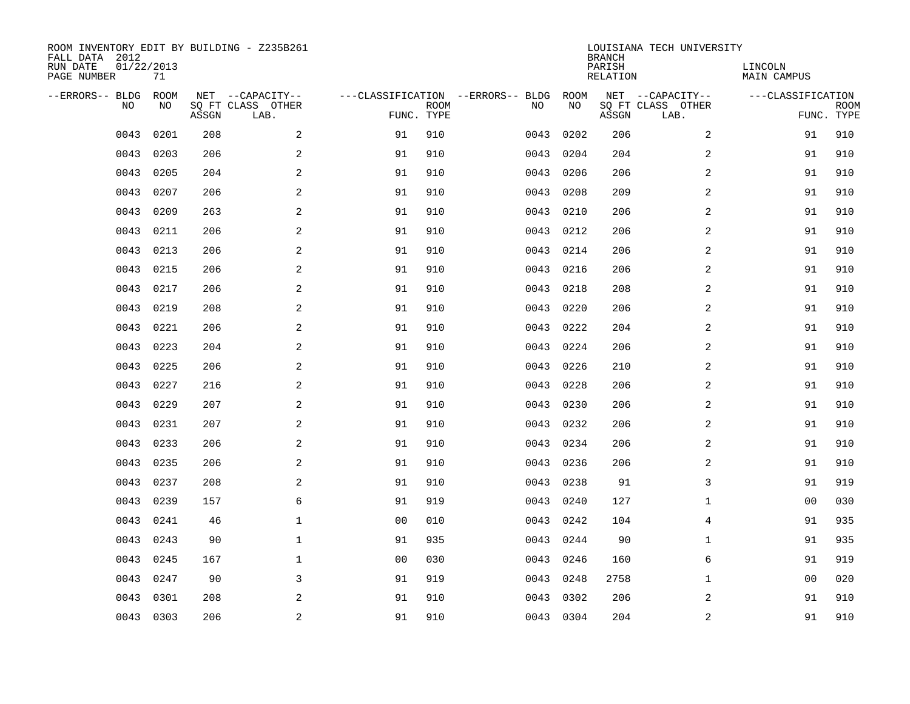| ROOM INVENTORY EDIT BY BUILDING - Z235B261<br>FALL DATA 2012<br>RUN DATE<br>PAGE NUMBER | 01/22/2013<br>71 |       |                                               |                |             |                                         |            | <b>BRANCH</b><br>PARISH<br><b>RELATION</b> | LOUISIANA TECH UNIVERSITY                     | LINCOLN<br><b>MAIN CAMPUS</b> |                           |
|-----------------------------------------------------------------------------------------|------------------|-------|-----------------------------------------------|----------------|-------------|-----------------------------------------|------------|--------------------------------------------|-----------------------------------------------|-------------------------------|---------------------------|
| --ERRORS-- BLDG<br>NO                                                                   | ROOM<br>NO       | ASSGN | NET --CAPACITY--<br>SQ FT CLASS OTHER<br>LAB. | FUNC. TYPE     | <b>ROOM</b> | ---CLASSIFICATION --ERRORS-- BLDG<br>NO | ROOM<br>NO | ASSGN                                      | NET --CAPACITY--<br>SQ FT CLASS OTHER<br>LAB. | ---CLASSIFICATION             | <b>ROOM</b><br>FUNC. TYPE |
| 0043                                                                                    | 0201             | 208   | 2                                             | 91             | 910         | 0043                                    | 0202       | 206                                        | 2                                             | 91                            | 910                       |
| 0043                                                                                    | 0203             | 206   | 2                                             | 91             | 910         | 0043                                    | 0204       | 204                                        | 2                                             | 91                            | 910                       |
| 0043                                                                                    | 0205             | 204   | 2                                             | 91             | 910         | 0043                                    | 0206       | 206                                        | 2                                             | 91                            | 910                       |
| 0043                                                                                    | 0207             | 206   | 2                                             | 91             | 910         | 0043                                    | 0208       | 209                                        | 2                                             | 91                            | 910                       |
| 0043                                                                                    | 0209             | 263   | 2                                             | 91             | 910         | 0043                                    | 0210       | 206                                        | $\overline{a}$                                | 91                            | 910                       |
| 0043                                                                                    | 0211             | 206   | $\overline{a}$                                | 91             | 910         | 0043                                    | 0212       | 206                                        | 2                                             | 91                            | 910                       |
| 0043                                                                                    | 0213             | 206   | 2                                             | 91             | 910         | 0043                                    | 0214       | 206                                        | $\overline{a}$                                | 91                            | 910                       |
| 0043                                                                                    | 0215             | 206   | $\overline{a}$                                | 91             | 910         | 0043                                    | 0216       | 206                                        | 2                                             | 91                            | 910                       |
| 0043                                                                                    | 0217             | 206   | 2                                             | 91             | 910         | 0043                                    | 0218       | 208                                        | 2                                             | 91                            | 910                       |
| 0043                                                                                    | 0219             | 208   | 2                                             | 91             | 910         | 0043                                    | 0220       | 206                                        | 2                                             | 91                            | 910                       |
| 0043                                                                                    | 0221             | 206   | 2                                             | 91             | 910         | 0043                                    | 0222       | 204                                        | 2                                             | 91                            | 910                       |
| 0043                                                                                    | 0223             | 204   | 2                                             | 91             | 910         | 0043                                    | 0224       | 206                                        | 2                                             | 91                            | 910                       |
| 0043                                                                                    | 0225             | 206   | 2                                             | 91             | 910         | 0043                                    | 0226       | 210                                        | 2                                             | 91                            | 910                       |
| 0043                                                                                    | 0227             | 216   | 2                                             | 91             | 910         | 0043                                    | 0228       | 206                                        | 2                                             | 91                            | 910                       |
| 0043                                                                                    | 0229             | 207   | 2                                             | 91             | 910         | 0043                                    | 0230       | 206                                        | $\overline{a}$                                | 91                            | 910                       |
| 0043                                                                                    | 0231             | 207   | 2                                             | 91             | 910         | 0043                                    | 0232       | 206                                        | 2                                             | 91                            | 910                       |
| 0043                                                                                    | 0233             | 206   | $\overline{a}$                                | 91             | 910         | 0043                                    | 0234       | 206                                        | 2                                             | 91                            | 910                       |
| 0043                                                                                    | 0235             | 206   | 2                                             | 91             | 910         | 0043                                    | 0236       | 206                                        | 2                                             | 91                            | 910                       |
| 0043                                                                                    | 0237             | 208   | 2                                             | 91             | 910         | 0043                                    | 0238       | 91                                         | 3                                             | 91                            | 919                       |
| 0043                                                                                    | 0239             | 157   | 6                                             | 91             | 919         | 0043                                    | 0240       | 127                                        | $\mathbf{1}$                                  | 00                            | 030                       |
| 0043                                                                                    | 0241             | 46    | $\mathbf{1}$                                  | 0 <sub>0</sub> | 010         |                                         | 0043 0242  | 104                                        | 4                                             | 91                            | 935                       |
| 0043                                                                                    | 0243             | 90    | $\mathbf{1}$                                  | 91             | 935         | 0043                                    | 0244       | 90                                         | $\mathbf{1}$                                  | 91                            | 935                       |
| 0043                                                                                    | 0245             | 167   | $\mathbf{1}$                                  | 0 <sub>0</sub> | 030         |                                         | 0043 0246  | 160                                        | 6                                             | 91                            | 919                       |
| 0043                                                                                    | 0247             | 90    | 3                                             | 91             | 919         | 0043                                    | 0248       | 2758                                       | $\mathbf{1}$                                  | 00                            | 020                       |
| 0043                                                                                    | 0301             | 208   | 2                                             | 91             | 910         | 0043                                    | 0302       | 206                                        | 2                                             | 91                            | 910                       |
|                                                                                         | 0043 0303        | 206   | 2                                             | 91             | 910         |                                         | 0043 0304  | 204                                        | 2                                             | 91                            | 910                       |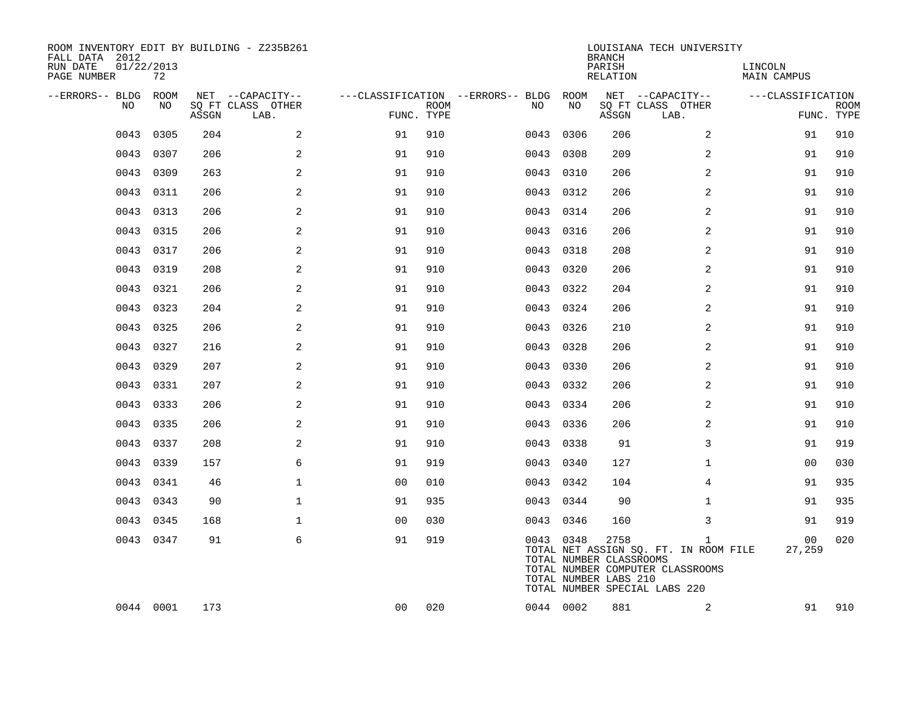| ROOM INVENTORY EDIT BY BUILDING - Z235B261<br>FALL DATA 2012<br>RUN DATE<br>01/22/2013<br>PAGE NUMBER | 72        |       |                           |                |             |                                        |           | <b>BRANCH</b><br>PARISH<br>RELATION                      | LOUISIANA TECH UNIVERSITY                                                                                       | LINCOLN<br>MAIN CAMPUS |                           |
|-------------------------------------------------------------------------------------------------------|-----------|-------|---------------------------|----------------|-------------|----------------------------------------|-----------|----------------------------------------------------------|-----------------------------------------------------------------------------------------------------------------|------------------------|---------------------------|
| --ERRORS-- BLDG ROOM                                                                                  |           |       | NET --CAPACITY--          |                |             | ---CLASSIFICATION --ERRORS-- BLDG ROOM |           |                                                          | NET --CAPACITY--                                                                                                | ---CLASSIFICATION      |                           |
| NO.                                                                                                   | NO        | ASSGN | SQ FT CLASS OTHER<br>LAB. | FUNC. TYPE     | <b>ROOM</b> | NO                                     | NO        | ASSGN                                                    | SQ FT CLASS OTHER<br>LAB.                                                                                       |                        | <b>ROOM</b><br>FUNC. TYPE |
| 0043                                                                                                  | 0305      | 204   | 2                         | 91             | 910         | 0043                                   | 0306      | 206                                                      | 2                                                                                                               | 91                     | 910                       |
| 0043                                                                                                  | 0307      | 206   | 2                         | 91             | 910         | 0043                                   | 0308      | 209                                                      | $\overline{2}$                                                                                                  | 91                     | 910                       |
| 0043                                                                                                  | 0309      | 263   | 2                         | 91             | 910         |                                        | 0043 0310 | 206                                                      | 2                                                                                                               | 91                     | 910                       |
| 0043                                                                                                  | 0311      | 206   | 2                         | 91             | 910         | 0043                                   | 0312      | 206                                                      | 2                                                                                                               | 91                     | 910                       |
| 0043                                                                                                  | 0313      | 206   | 2                         | 91             | 910         |                                        | 0043 0314 | 206                                                      | 2                                                                                                               | 91                     | 910                       |
| 0043                                                                                                  | 0315      | 206   | 2                         | 91             | 910         | 0043                                   | 0316      | 206                                                      | $\overline{2}$                                                                                                  | 91                     | 910                       |
|                                                                                                       | 0043 0317 | 206   | $\overline{a}$            | 91             | 910         |                                        | 0043 0318 | 208                                                      | 2                                                                                                               | 91                     | 910                       |
| 0043                                                                                                  | 0319      | 208   | 2                         | 91             | 910         | 0043                                   | 0320      | 206                                                      | 2                                                                                                               | 91                     | 910                       |
|                                                                                                       | 0043 0321 | 206   | 2                         | 91             | 910         |                                        | 0043 0322 | 204                                                      | 2                                                                                                               | 91                     | 910                       |
| 0043                                                                                                  | 0323      | 204   | 2                         | 91             | 910         |                                        | 0043 0324 | 206                                                      | 2                                                                                                               | 91                     | 910                       |
| 0043                                                                                                  | 0325      | 206   | $\overline{a}$            | 91             | 910         |                                        | 0043 0326 | 210                                                      | 2                                                                                                               | 91                     | 910                       |
| 0043                                                                                                  | 0327      | 216   | 2                         | 91             | 910         | 0043                                   | 0328      | 206                                                      | 2                                                                                                               | 91                     | 910                       |
| 0043                                                                                                  | 0329      | 207   | 2                         | 91             | 910         |                                        | 0043 0330 | 206                                                      | 2                                                                                                               | 91                     | 910                       |
| 0043                                                                                                  | 0331      | 207   | $\mathbf{2}$              | 91             | 910         | 0043                                   | 0332      | 206                                                      | $\overline{a}$                                                                                                  | 91                     | 910                       |
| 0043                                                                                                  | 0333      | 206   | 2                         | 91             | 910         |                                        | 0043 0334 | 206                                                      | 2                                                                                                               | 91                     | 910                       |
| 0043                                                                                                  | 0335      | 206   | 2                         | 91             | 910         | 0043                                   | 0336      | 206                                                      | 2                                                                                                               | 91                     | 910                       |
|                                                                                                       | 0043 0337 | 208   | 2                         | 91             | 910         |                                        | 0043 0338 | 91                                                       | 3                                                                                                               | 91                     | 919                       |
| 0043                                                                                                  | 0339      | 157   | 6                         | 91             | 919         |                                        | 0043 0340 | 127                                                      | $\mathbf{1}$                                                                                                    | 0 <sub>0</sub>         | 030                       |
|                                                                                                       | 0043 0341 | 46    | $\mathbf 1$               | 0 <sub>0</sub> | 010         |                                        | 0043 0342 | 104                                                      | 4                                                                                                               | 91                     | 935                       |
| 0043                                                                                                  | 0343      | 90    | $\mathbf{1}$              | 91             | 935         |                                        | 0043 0344 | 90                                                       | $\mathbf{1}$                                                                                                    | 91                     | 935                       |
|                                                                                                       | 0043 0345 | 168   | $\mathbf 1$               | 0 <sub>0</sub> | 030         |                                        | 0043 0346 | 160                                                      | 3                                                                                                               | 91                     | 919                       |
|                                                                                                       | 0043 0347 | 91    | 6                         | 91             | 919         |                                        | 0043 0348 | 2758<br>TOTAL NUMBER CLASSROOMS<br>TOTAL NUMBER LABS 210 | 1<br>TOTAL NET ASSIGN SQ. FT. IN ROOM FILE<br>TOTAL NUMBER COMPUTER CLASSROOMS<br>TOTAL NUMBER SPECIAL LABS 220 | 00<br>27,259           | 020                       |
|                                                                                                       | 0044 0001 | 173   |                           | 00             | 020         |                                        | 0044 0002 | 881                                                      | 2                                                                                                               | 91                     | 910                       |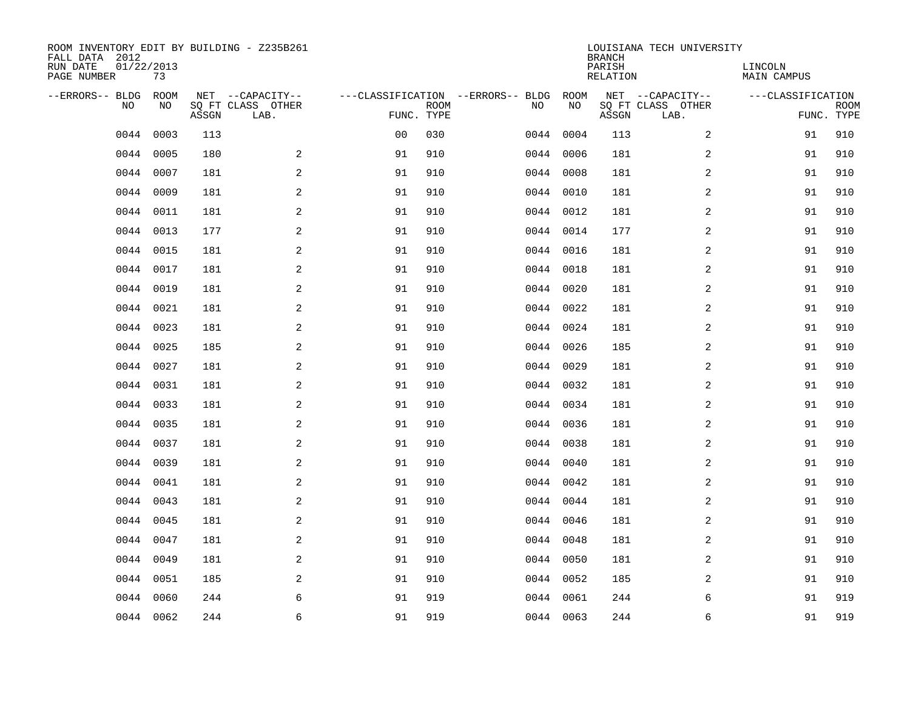| ROOM INVENTORY EDIT BY BUILDING - Z235B261<br>FALL DATA 2012<br>RUN DATE<br>PAGE NUMBER | 01/22/2013<br>73 |       |                                               |                |             |                                         |            | <b>BRANCH</b><br>PARISH<br><b>RELATION</b> | LOUISIANA TECH UNIVERSITY                     | LINCOLN<br><b>MAIN CAMPUS</b> |                           |
|-----------------------------------------------------------------------------------------|------------------|-------|-----------------------------------------------|----------------|-------------|-----------------------------------------|------------|--------------------------------------------|-----------------------------------------------|-------------------------------|---------------------------|
| --ERRORS-- BLDG<br>NO.                                                                  | ROOM<br>NO       | ASSGN | NET --CAPACITY--<br>SQ FT CLASS OTHER<br>LAB. | FUNC. TYPE     | <b>ROOM</b> | ---CLASSIFICATION --ERRORS-- BLDG<br>NO | ROOM<br>NO | ASSGN                                      | NET --CAPACITY--<br>SQ FT CLASS OTHER<br>LAB. | ---CLASSIFICATION             | <b>ROOM</b><br>FUNC. TYPE |
| 0044                                                                                    | 0003             | 113   |                                               | 0 <sub>0</sub> | 030         |                                         | 0044 0004  | 113                                        | $\overline{a}$                                | 91                            | 910                       |
| 0044                                                                                    | 0005             | 180   | 2                                             | 91             | 910         |                                         | 0044 0006  | 181                                        | 2                                             | 91                            | 910                       |
| 0044                                                                                    | 0007             | 181   | 2                                             | 91             | 910         |                                         | 0044 0008  | 181                                        | 2                                             | 91                            | 910                       |
| 0044                                                                                    | 0009             | 181   | 2                                             | 91             | 910         |                                         | 0044 0010  | 181                                        | 2                                             | 91                            | 910                       |
| 0044                                                                                    | 0011             | 181   | 2                                             | 91             | 910         |                                         | 0044 0012  | 181                                        | $\overline{a}$                                | 91                            | 910                       |
| 0044                                                                                    | 0013             | 177   | $\mathbf{2}$                                  | 91             | 910         |                                         | 0044 0014  | 177                                        | 2                                             | 91                            | 910                       |
| 0044                                                                                    | 0015             | 181   | 2                                             | 91             | 910         |                                         | 0044 0016  | 181                                        | $\overline{a}$                                | 91                            | 910                       |
|                                                                                         | 0044 0017        | 181   | $\mathbf{2}$                                  | 91             | 910         |                                         | 0044 0018  | 181                                        | 2                                             | 91                            | 910                       |
| 0044                                                                                    | 0019             | 181   | 2                                             | 91             | 910         |                                         | 0044 0020  | 181                                        | 2                                             | 91                            | 910                       |
|                                                                                         | 0044 0021        | 181   | 2                                             | 91             | 910         |                                         | 0044 0022  | 181                                        | 2                                             | 91                            | 910                       |
| 0044                                                                                    | 0023             | 181   | 2                                             | 91             | 910         |                                         | 0044 0024  | 181                                        | 2                                             | 91                            | 910                       |
|                                                                                         | 0044 0025        | 185   | 2                                             | 91             | 910         |                                         | 0044 0026  | 185                                        | 2                                             | 91                            | 910                       |
| 0044                                                                                    | 0027             | 181   | 2                                             | 91             | 910         |                                         | 0044 0029  | 181                                        | 2                                             | 91                            | 910                       |
| 0044                                                                                    | 0031             | 181   | 2                                             | 91             | 910         |                                         | 0044 0032  | 181                                        | 2                                             | 91                            | 910                       |
| 0044                                                                                    | 0033             | 181   | 2                                             | 91             | 910         |                                         | 0044 0034  | 181                                        | $\overline{a}$                                | 91                            | 910                       |
|                                                                                         | 0044 0035        | 181   | 2                                             | 91             | 910         |                                         | 0044 0036  | 181                                        | 2                                             | 91                            | 910                       |
| 0044                                                                                    | 0037             | 181   | $\mathbf{2}$                                  | 91             | 910         | 0044                                    | 0038       | 181                                        | 2                                             | 91                            | 910                       |
| 0044                                                                                    | 0039             | 181   | 2                                             | 91             | 910         |                                         | 0044 0040  | 181                                        | 2                                             | 91                            | 910                       |
| 0044                                                                                    | 0041             | 181   | 2                                             | 91             | 910         |                                         | 0044 0042  | 181                                        | 2                                             | 91                            | 910                       |
| 0044                                                                                    | 0043             | 181   | 2                                             | 91             | 910         |                                         | 0044 0044  | 181                                        | 2                                             | 91                            | 910                       |
| 0044                                                                                    | 0045             | 181   | 2                                             | 91             | 910         |                                         | 0044 0046  | 181                                        | 2                                             | 91                            | 910                       |
| 0044                                                                                    | 0047             | 181   | 2                                             | 91             | 910         |                                         | 0044 0048  | 181                                        | 2                                             | 91                            | 910                       |
| 0044                                                                                    | 0049             | 181   | 2                                             | 91             | 910         |                                         | 0044 0050  | 181                                        | 2                                             | 91                            | 910                       |
| 0044                                                                                    | 0051             | 185   | 2                                             | 91             | 910         |                                         | 0044 0052  | 185                                        | 2                                             | 91                            | 910                       |
| 0044                                                                                    | 0060             | 244   | 6                                             | 91             | 919         |                                         | 0044 0061  | 244                                        | 6                                             | 91                            | 919                       |
|                                                                                         | 0044 0062        | 244   | 6                                             | 91             | 919         |                                         | 0044 0063  | 244                                        | 6                                             | 91                            | 919                       |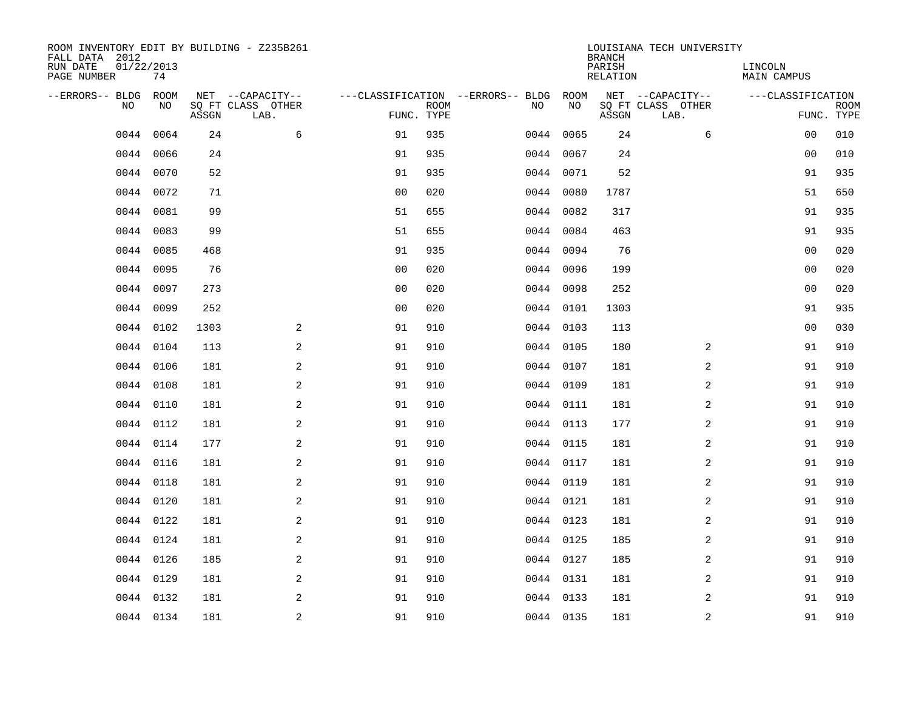| ROOM INVENTORY EDIT BY BUILDING - Z235B261<br>FALL DATA 2012<br>RUN DATE<br>PAGE NUMBER | 01/22/2013<br>74 |       |                                               |                |             |                                         |            | <b>BRANCH</b><br>PARISH<br>RELATION | LOUISIANA TECH UNIVERSITY                     | LINCOLN<br><b>MAIN CAMPUS</b> |                           |
|-----------------------------------------------------------------------------------------|------------------|-------|-----------------------------------------------|----------------|-------------|-----------------------------------------|------------|-------------------------------------|-----------------------------------------------|-------------------------------|---------------------------|
| --ERRORS-- BLDG<br>NO.                                                                  | ROOM<br>NO       | ASSGN | NET --CAPACITY--<br>SQ FT CLASS OTHER<br>LAB. | FUNC. TYPE     | <b>ROOM</b> | ---CLASSIFICATION --ERRORS-- BLDG<br>NO | ROOM<br>NO | ASSGN                               | NET --CAPACITY--<br>SQ FT CLASS OTHER<br>LAB. | ---CLASSIFICATION             | <b>ROOM</b><br>FUNC. TYPE |
| 0044                                                                                    | 0064             | 24    | 6                                             | 91             | 935         | 0044                                    | 0065       | 24                                  | 6                                             | 0 <sub>0</sub>                | 010                       |
| 0044                                                                                    | 0066             | 24    |                                               | 91             | 935         | 0044                                    | 0067       | 24                                  |                                               | 00                            | 010                       |
| 0044                                                                                    | 0070             | 52    |                                               | 91             | 935         |                                         | 0044 0071  | 52                                  |                                               | 91                            | 935                       |
|                                                                                         | 0044 0072        | 71    |                                               | 0 <sub>0</sub> | 020         |                                         | 0044 0080  | 1787                                |                                               | 51                            | 650                       |
| 0044                                                                                    | 0081             | 99    |                                               | 51             | 655         |                                         | 0044 0082  | 317                                 |                                               | 91                            | 935                       |
| 0044                                                                                    | 0083             | 99    |                                               | 51             | 655         |                                         | 0044 0084  | 463                                 |                                               | 91                            | 935                       |
| 0044                                                                                    | 0085             | 468   |                                               | 91             | 935         |                                         | 0044 0094  | 76                                  |                                               | 0 <sub>0</sub>                | 020                       |
|                                                                                         | 0044 0095        | 76    |                                               | 0 <sub>0</sub> | 020         |                                         | 0044 0096  | 199                                 |                                               | 0 <sub>0</sub>                | 020                       |
| 0044                                                                                    | 0097             | 273   |                                               | 0 <sub>0</sub> | 020         |                                         | 0044 0098  | 252                                 |                                               | 0 <sub>0</sub>                | 020                       |
|                                                                                         | 0044 0099        | 252   |                                               | 0 <sub>0</sub> | 020         |                                         | 0044 0101  | 1303                                |                                               | 91                            | 935                       |
|                                                                                         | 0044 0102        | 1303  | 2                                             | 91             | 910         |                                         | 0044 0103  | 113                                 |                                               | 00                            | 030                       |
|                                                                                         | 0044 0104        | 113   | 2                                             | 91             | 910         |                                         | 0044 0105  | 180                                 | 2                                             | 91                            | 910                       |
| 0044                                                                                    | 0106             | 181   | 2                                             | 91             | 910         |                                         | 0044 0107  | 181                                 | 2                                             | 91                            | 910                       |
| 0044                                                                                    | 0108             | 181   | 2                                             | 91             | 910         |                                         | 0044 0109  | 181                                 | 2                                             | 91                            | 910                       |
| 0044                                                                                    | 0110             | 181   | 2                                             | 91             | 910         |                                         | 0044 0111  | 181                                 | 2                                             | 91                            | 910                       |
| 0044                                                                                    | 0112             | 181   | 2                                             | 91             | 910         |                                         | 0044 0113  | 177                                 | $\overline{a}$                                | 91                            | 910                       |
| 0044                                                                                    | 0114             | 177   | 2                                             | 91             | 910         |                                         | 0044 0115  | 181                                 | 2                                             | 91                            | 910                       |
| 0044                                                                                    | 0116             | 181   | $\overline{a}$                                | 91             | 910         |                                         | 0044 0117  | 181                                 | 2                                             | 91                            | 910                       |
| 0044                                                                                    | 0118             | 181   | 2                                             | 91             | 910         |                                         | 0044 0119  | 181                                 | 2                                             | 91                            | 910                       |
| 0044                                                                                    | 0120             | 181   | 2                                             | 91             | 910         |                                         | 0044 0121  | 181                                 | 2                                             | 91                            | 910                       |
|                                                                                         | 0044 0122        | 181   | 2                                             | 91             | 910         |                                         | 0044 0123  | 181                                 | 2                                             | 91                            | 910                       |
|                                                                                         | 0044 0124        | 181   | 2                                             | 91             | 910         |                                         | 0044 0125  | 185                                 | 2                                             | 91                            | 910                       |
|                                                                                         | 0044 0126        | 185   | 2                                             | 91             | 910         |                                         | 0044 0127  | 185                                 | 2                                             | 91                            | 910                       |
| 0044                                                                                    | 0129             | 181   | 2                                             | 91             | 910         |                                         | 0044 0131  | 181                                 | $\overline{a}$                                | 91                            | 910                       |
| 0044                                                                                    | 0132             | 181   | 2                                             | 91             | 910         |                                         | 0044 0133  | 181                                 | 2                                             | 91                            | 910                       |
|                                                                                         | 0044 0134        | 181   | $\overline{c}$                                | 91             | 910         |                                         | 0044 0135  | 181                                 | $\boldsymbol{2}$                              | 91                            | 910                       |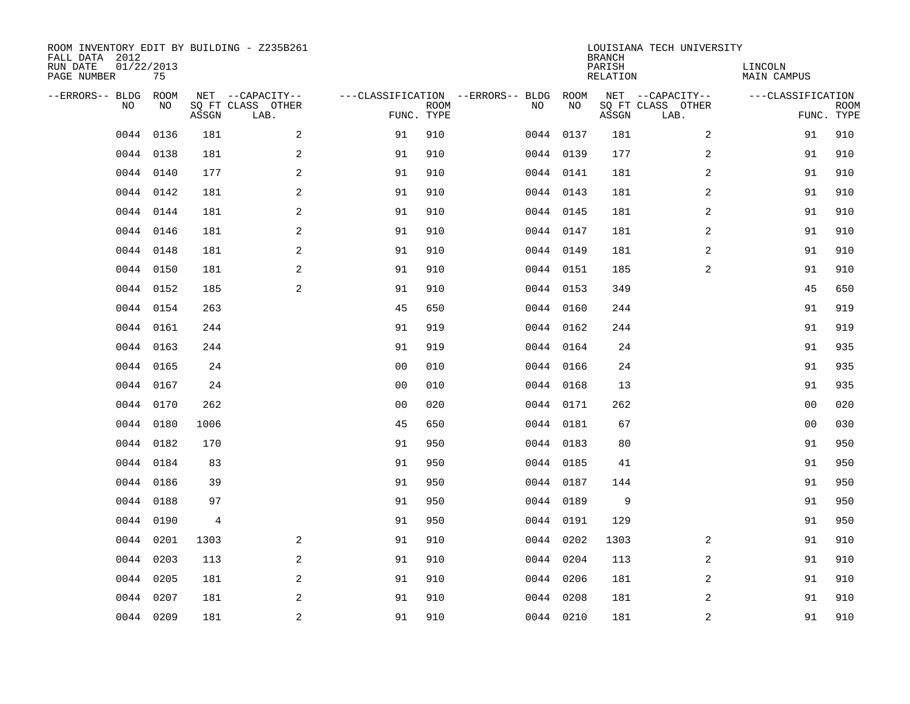| ROOM INVENTORY EDIT BY BUILDING - Z235B261<br>FALL DATA 2012<br>RUN DATE<br>PAGE NUMBER | 01/22/2013<br>75 |       |                                               |                |             |                                              |           | <b>BRANCH</b><br>PARISH<br>RELATION | LOUISIANA TECH UNIVERSITY                     | LINCOLN<br><b>MAIN CAMPUS</b> |                           |
|-----------------------------------------------------------------------------------------|------------------|-------|-----------------------------------------------|----------------|-------------|----------------------------------------------|-----------|-------------------------------------|-----------------------------------------------|-------------------------------|---------------------------|
| --ERRORS-- BLDG ROOM<br>NO                                                              | NO               | ASSGN | NET --CAPACITY--<br>SQ FT CLASS OTHER<br>LAB. | FUNC. TYPE     | <b>ROOM</b> | ---CLASSIFICATION --ERRORS-- BLDG ROOM<br>NO | NO        | ASSGN                               | NET --CAPACITY--<br>SQ FT CLASS OTHER<br>LAB. | ---CLASSIFICATION             | <b>ROOM</b><br>FUNC. TYPE |
| 0044                                                                                    | 0136             | 181   | 2                                             | 91             | 910         |                                              | 0044 0137 | 181                                 | $\overline{a}$                                | 91                            | 910                       |
|                                                                                         | 0044 0138        | 181   | 2                                             | 91             | 910         |                                              | 0044 0139 | 177                                 | 2                                             | 91                            | 910                       |
|                                                                                         | 0044 0140        | 177   | 2                                             | 91             | 910         |                                              | 0044 0141 | 181                                 | 2                                             | 91                            | 910                       |
|                                                                                         | 0044 0142        | 181   | $\mathbf{2}$                                  | 91             | 910         |                                              | 0044 0143 | 181                                 | $\overline{a}$                                | 91                            | 910                       |
| 0044                                                                                    | 0144             | 181   | 2                                             | 91             | 910         |                                              | 0044 0145 | 181                                 | $\overline{a}$                                | 91                            | 910                       |
|                                                                                         | 0044 0146        | 181   | 2                                             | 91             | 910         |                                              | 0044 0147 | 181                                 | 2                                             | 91                            | 910                       |
|                                                                                         | 0044 0148        | 181   | 2                                             | 91             | 910         |                                              | 0044 0149 | 181                                 | $\overline{a}$                                | 91                            | 910                       |
|                                                                                         | 0044 0150        | 181   | 2                                             | 91             | 910         |                                              | 0044 0151 | 185                                 | 2                                             | 91                            | 910                       |
|                                                                                         | 0044 0152        | 185   | 2                                             | 91             | 910         |                                              | 0044 0153 | 349                                 |                                               | 45                            | 650                       |
|                                                                                         | 0044 0154        | 263   |                                               | 45             | 650         |                                              | 0044 0160 | 244                                 |                                               | 91                            | 919                       |
|                                                                                         | 0044 0161        | 244   |                                               | 91             | 919         |                                              | 0044 0162 | 244                                 |                                               | 91                            | 919                       |
|                                                                                         | 0044 0163        | 244   |                                               | 91             | 919         |                                              | 0044 0164 | 24                                  |                                               | 91                            | 935                       |
| 0044                                                                                    | 0165             | 24    |                                               | 0 <sub>0</sub> | 010         |                                              | 0044 0166 | 24                                  |                                               | 91                            | 935                       |
|                                                                                         | 0044 0167        | 24    |                                               | 0 <sub>0</sub> | 010         |                                              | 0044 0168 | 13                                  |                                               | 91                            | 935                       |
| 0044                                                                                    | 0170             | 262   |                                               | 0 <sub>0</sub> | 020         |                                              | 0044 0171 | 262                                 |                                               | 0 <sub>0</sub>                | 020                       |
| 0044                                                                                    | 0180             | 1006  |                                               | 45             | 650         |                                              | 0044 0181 | 67                                  |                                               | 0 <sub>0</sub>                | 030                       |
| 0044                                                                                    | 0182             | 170   |                                               | 91             | 950         |                                              | 0044 0183 | 80                                  |                                               | 91                            | 950                       |
| 0044                                                                                    | 0184             | 83    |                                               | 91             | 950         |                                              | 0044 0185 | 41                                  |                                               | 91                            | 950                       |
|                                                                                         | 0044 0186        | 39    |                                               | 91             | 950         |                                              | 0044 0187 | 144                                 |                                               | 91                            | 950                       |
|                                                                                         | 0044 0188        | 97    |                                               | 91             | 950         |                                              | 0044 0189 | 9                                   |                                               | 91                            | 950                       |
| 0044                                                                                    | 0190             | 4     |                                               | 91             | 950         |                                              | 0044 0191 | 129                                 |                                               | 91                            | 950                       |
| 0044                                                                                    | 0201             | 1303  | 2                                             | 91             | 910         |                                              | 0044 0202 | 1303                                | $\overline{2}$                                | 91                            | 910                       |
| 0044                                                                                    | 0203             | 113   | 2                                             | 91             | 910         |                                              | 0044 0204 | 113                                 | 2                                             | 91                            | 910                       |
| 0044                                                                                    | 0205             | 181   | 2                                             | 91             | 910         |                                              | 0044 0206 | 181                                 | $\overline{a}$                                | 91                            | 910                       |
| 0044                                                                                    | 0207             | 181   | 2                                             | 91             | 910         |                                              | 0044 0208 | 181                                 | 2                                             | 91                            | 910                       |
|                                                                                         | 0044 0209        | 181   | $\overline{c}$                                | 91             | 910         |                                              | 0044 0210 | 181                                 | $\overline{a}$                                | 91                            | 910                       |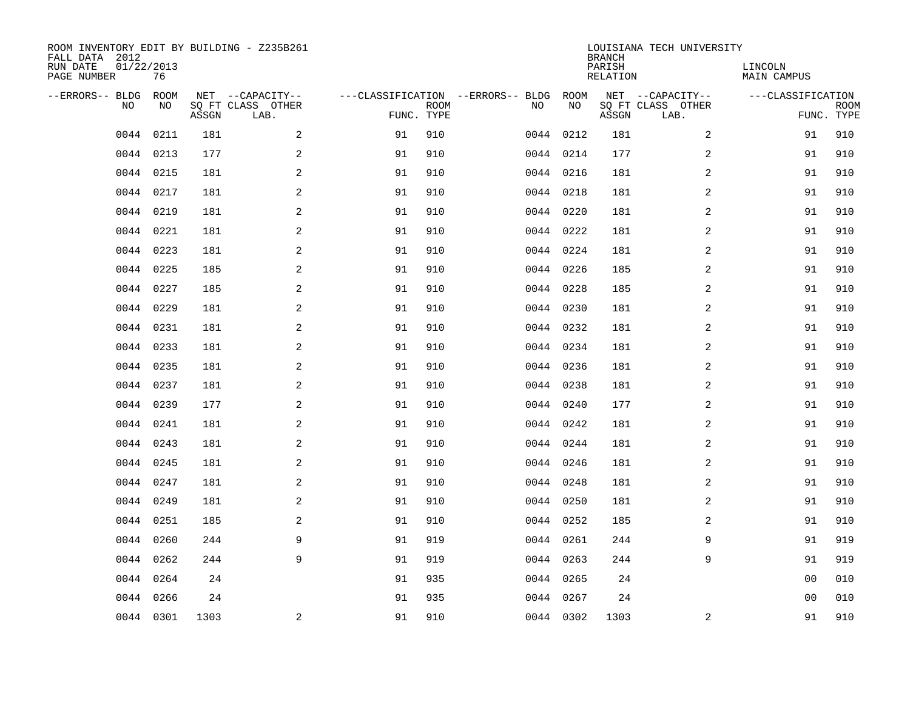| ROOM INVENTORY EDIT BY BUILDING - Z235B261<br>FALL DATA 2012<br>RUN DATE<br>PAGE NUMBER | 01/22/2013<br>76 |       |                                               |            |             |                                         |            | <b>BRANCH</b><br>PARISH<br><b>RELATION</b> | LOUISIANA TECH UNIVERSITY                     | LINCOLN<br><b>MAIN CAMPUS</b> |                           |
|-----------------------------------------------------------------------------------------|------------------|-------|-----------------------------------------------|------------|-------------|-----------------------------------------|------------|--------------------------------------------|-----------------------------------------------|-------------------------------|---------------------------|
| --ERRORS-- BLDG<br>NO.                                                                  | ROOM<br>NO       | ASSGN | NET --CAPACITY--<br>SQ FT CLASS OTHER<br>LAB. | FUNC. TYPE | <b>ROOM</b> | ---CLASSIFICATION --ERRORS-- BLDG<br>NO | ROOM<br>NO | ASSGN                                      | NET --CAPACITY--<br>SQ FT CLASS OTHER<br>LAB. | ---CLASSIFICATION             | <b>ROOM</b><br>FUNC. TYPE |
| 0044                                                                                    | 0211             | 181   | 2                                             | 91         | 910         |                                         | 0044 0212  | 181                                        | $\overline{a}$                                | 91                            | 910                       |
|                                                                                         | 0044 0213        | 177   | 2                                             | 91         | 910         |                                         | 0044 0214  | 177                                        | 2                                             | 91                            | 910                       |
|                                                                                         | 0044 0215        | 181   | 2                                             | 91         | 910         |                                         | 0044 0216  | 181                                        | 2                                             | 91                            | 910                       |
| 0044                                                                                    | 0217             | 181   | 2                                             | 91         | 910         |                                         | 0044 0218  | 181                                        | 2                                             | 91                            | 910                       |
| 0044                                                                                    | 0219             | 181   | 2                                             | 91         | 910         |                                         | 0044 0220  | 181                                        | $\overline{a}$                                | 91                            | 910                       |
| 0044                                                                                    | 0221             | 181   | 2                                             | 91         | 910         |                                         | 0044 0222  | 181                                        | 2                                             | 91                            | 910                       |
| 0044                                                                                    | 0223             | 181   | 2                                             | 91         | 910         |                                         | 0044 0224  | 181                                        | $\overline{a}$                                | 91                            | 910                       |
|                                                                                         | 0044 0225        | 185   | $\mathbf{2}$                                  | 91         | 910         |                                         | 0044 0226  | 185                                        | 2                                             | 91                            | 910                       |
| 0044                                                                                    | 0227             | 185   | 2                                             | 91         | 910         |                                         | 0044 0228  | 185                                        | 2                                             | 91                            | 910                       |
|                                                                                         | 0044 0229        | 181   | 2                                             | 91         | 910         |                                         | 0044 0230  | 181                                        | 2                                             | 91                            | 910                       |
|                                                                                         | 0044 0231        | 181   | 2                                             | 91         | 910         |                                         | 0044 0232  | 181                                        | 2                                             | 91                            | 910                       |
|                                                                                         | 0044 0233        | 181   | 2                                             | 91         | 910         |                                         | 0044 0234  | 181                                        | 2                                             | 91                            | 910                       |
| 0044                                                                                    | 0235             | 181   | 2                                             | 91         | 910         |                                         | 0044 0236  | 181                                        | 2                                             | 91                            | 910                       |
|                                                                                         | 0044 0237        | 181   | 2                                             | 91         | 910         |                                         | 0044 0238  | 181                                        | 2                                             | 91                            | 910                       |
| 0044                                                                                    | 0239             | 177   | 2                                             | 91         | 910         |                                         | 0044 0240  | 177                                        | $\overline{a}$                                | 91                            | 910                       |
|                                                                                         | 0044 0241        | 181   | 2                                             | 91         | 910         |                                         | 0044 0242  | 181                                        | 2                                             | 91                            | 910                       |
| 0044                                                                                    | 0243             | 181   | $\mathbf{2}$                                  | 91         | 910         |                                         | 0044 0244  | 181                                        | 2                                             | 91                            | 910                       |
| 0044                                                                                    | 0245             | 181   | 2                                             | 91         | 910         |                                         | 0044 0246  | 181                                        | 2                                             | 91                            | 910                       |
|                                                                                         | 0044 0247        | 181   | 2                                             | 91         | 910         |                                         | 0044 0248  | 181                                        | 2                                             | 91                            | 910                       |
| 0044                                                                                    | 0249             | 181   | 2                                             | 91         | 910         |                                         | 0044 0250  | 181                                        | 2                                             | 91                            | 910                       |
|                                                                                         | 0044 0251        | 185   | 2                                             | 91         | 910         |                                         | 0044 0252  | 185                                        | 2                                             | 91                            | 910                       |
| 0044                                                                                    | 0260             | 244   | 9                                             | 91         | 919         |                                         | 0044 0261  | 244                                        | 9                                             | 91                            | 919                       |
| 0044                                                                                    | 0262             | 244   | 9                                             | 91         | 919         |                                         | 0044 0263  | 244                                        | 9                                             | 91                            | 919                       |
|                                                                                         | 0044 0264        | 24    |                                               | 91         | 935         |                                         | 0044 0265  | 24                                         |                                               | 0 <sub>0</sub>                | 010                       |
|                                                                                         | 0044 0266        | 24    |                                               | 91         | 935         |                                         | 0044 0267  | 24                                         |                                               | 0 <sub>0</sub>                | 010                       |
|                                                                                         | 0044 0301        | 1303  | 2                                             | 91         | 910         |                                         | 0044 0302  | 1303                                       | 2                                             | 91                            | 910                       |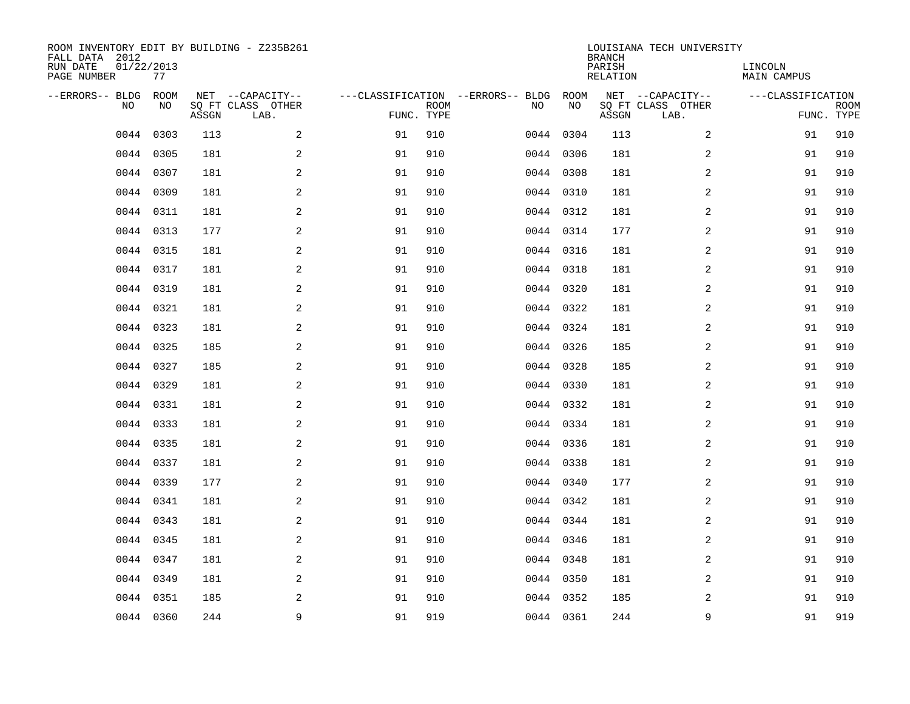| ROOM INVENTORY EDIT BY BUILDING - Z235B261<br>FALL DATA 2012<br>RUN DATE<br>PAGE NUMBER | 01/22/2013<br>77 |       |                                               |    |                           |                                         |            | <b>BRANCH</b><br>PARISH<br>RELATION | LOUISIANA TECH UNIVERSITY                     | LINCOLN<br><b>MAIN CAMPUS</b> |                           |
|-----------------------------------------------------------------------------------------|------------------|-------|-----------------------------------------------|----|---------------------------|-----------------------------------------|------------|-------------------------------------|-----------------------------------------------|-------------------------------|---------------------------|
| --ERRORS-- BLDG<br>NO                                                                   | ROOM<br>NO       | ASSGN | NET --CAPACITY--<br>SQ FT CLASS OTHER<br>LAB. |    | <b>ROOM</b><br>FUNC. TYPE | ---CLASSIFICATION --ERRORS-- BLDG<br>NO | ROOM<br>NO | ASSGN                               | NET --CAPACITY--<br>SQ FT CLASS OTHER<br>LAB. | ---CLASSIFICATION             | <b>ROOM</b><br>FUNC. TYPE |
| 0044                                                                                    | 0303             | 113   | 2                                             | 91 | 910                       |                                         | 0044 0304  | 113                                 | 2                                             | 91                            | 910                       |
| 0044                                                                                    | 0305             | 181   | $\overline{a}$                                | 91 | 910                       |                                         | 0044 0306  | 181                                 | 2                                             | 91                            | 910                       |
| 0044                                                                                    | 0307             | 181   | $\mathbf{2}$                                  | 91 | 910                       |                                         | 0044 0308  | 181                                 | 2                                             | 91                            | 910                       |
| 0044                                                                                    | 0309             | 181   | $\mathbf{2}$                                  | 91 | 910                       |                                         | 0044 0310  | 181                                 | 2                                             | 91                            | 910                       |
| 0044                                                                                    | 0311             | 181   | 2                                             | 91 | 910                       |                                         | 0044 0312  | 181                                 | 2                                             | 91                            | 910                       |
|                                                                                         | 0044 0313        | 177   | 2                                             | 91 | 910                       |                                         | 0044 0314  | 177                                 | 2                                             | 91                            | 910                       |
| 0044                                                                                    | 0315             | 181   | 2                                             | 91 | 910                       |                                         | 0044 0316  | 181                                 | 2                                             | 91                            | 910                       |
|                                                                                         | 0044 0317        | 181   | 2                                             | 91 | 910                       |                                         | 0044 0318  | 181                                 | 2                                             | 91                            | 910                       |
| 0044                                                                                    | 0319             | 181   | 2                                             | 91 | 910                       |                                         | 0044 0320  | 181                                 | 2                                             | 91                            | 910                       |
|                                                                                         | 0044 0321        | 181   | 2                                             | 91 | 910                       |                                         | 0044 0322  | 181                                 | 2                                             | 91                            | 910                       |
| 0044                                                                                    | 0323             | 181   | 2                                             | 91 | 910                       |                                         | 0044 0324  | 181                                 | 2                                             | 91                            | 910                       |
|                                                                                         | 0044 0325        | 185   | 2                                             | 91 | 910                       |                                         | 0044 0326  | 185                                 | 2                                             | 91                            | 910                       |
| 0044                                                                                    | 0327             | 185   | 2                                             | 91 | 910                       |                                         | 0044 0328  | 185                                 | 2                                             | 91                            | 910                       |
|                                                                                         | 0044 0329        | 181   | $\overline{a}$                                | 91 | 910                       |                                         | 0044 0330  | 181                                 | 2                                             | 91                            | 910                       |
| 0044                                                                                    | 0331             | 181   | $\overline{a}$                                | 91 | 910                       |                                         | 0044 0332  | 181                                 | 2                                             | 91                            | 910                       |
| 0044                                                                                    | 0333             | 181   | 2                                             | 91 | 910                       |                                         | 0044 0334  | 181                                 | 2                                             | 91                            | 910                       |
| 0044                                                                                    | 0335             | 181   | 2                                             | 91 | 910                       |                                         | 0044 0336  | 181                                 | 2                                             | 91                            | 910                       |
| 0044                                                                                    | 0337             | 181   | 2                                             | 91 | 910                       |                                         | 0044 0338  | 181                                 | 2                                             | 91                            | 910                       |
| 0044                                                                                    | 0339             | 177   | 2                                             | 91 | 910                       |                                         | 0044 0340  | 177                                 | 2                                             | 91                            | 910                       |
| 0044                                                                                    | 0341             | 181   | 2                                             | 91 | 910                       |                                         | 0044 0342  | 181                                 | 2                                             | 91                            | 910                       |
| 0044                                                                                    | 0343             | 181   | 2                                             | 91 | 910                       |                                         | 0044 0344  | 181                                 | 2                                             | 91                            | 910                       |
| 0044                                                                                    | 0345             | 181   | 2                                             | 91 | 910                       |                                         | 0044 0346  | 181                                 | 2                                             | 91                            | 910                       |
| 0044                                                                                    | 0347             | 181   | 2                                             | 91 | 910                       |                                         | 0044 0348  | 181                                 | 2                                             | 91                            | 910                       |
| 0044                                                                                    | 0349             | 181   | 2                                             | 91 | 910                       |                                         | 0044 0350  | 181                                 | 2                                             | 91                            | 910                       |
| 0044                                                                                    | 0351             | 185   | 2                                             | 91 | 910                       |                                         | 0044 0352  | 185                                 | 2                                             | 91                            | 910                       |
|                                                                                         | 0044 0360        | 244   | 9                                             | 91 | 919                       |                                         | 0044 0361  | 244                                 | 9                                             | 91                            | 919                       |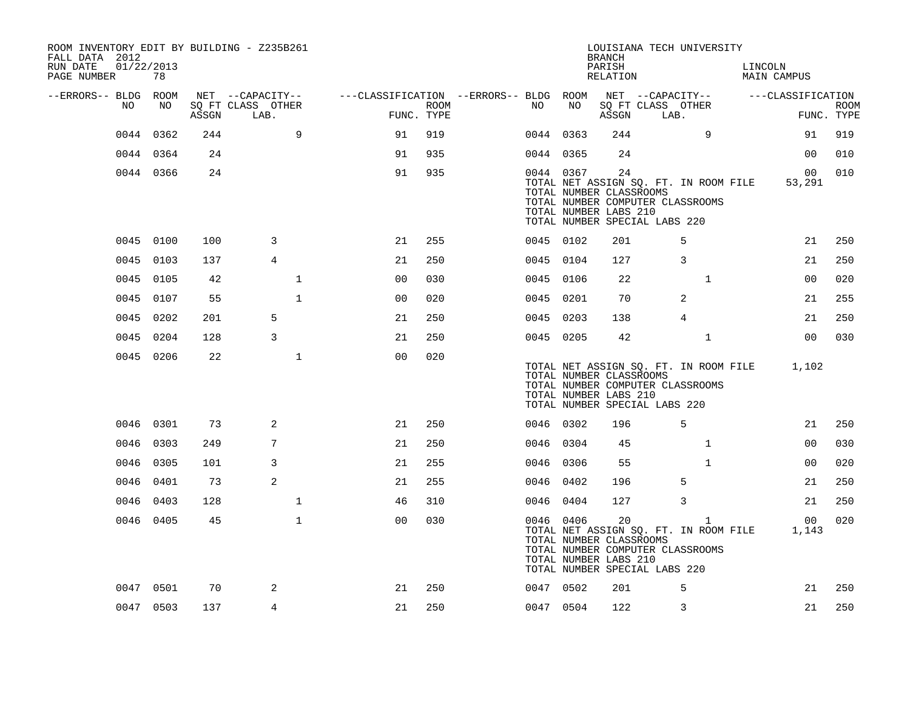| FALL DATA 2012<br>RUN DATE | 01/22/2013 |           |       | ROOM INVENTORY EDIT BY BUILDING - Z235B261    |                                                         |                    |           |           | <b>BRANCH</b><br>PARISH                                | LOUISIANA TECH UNIVERSITY                                                                                  |                | LINCOLN |                                             |                           |
|----------------------------|------------|-----------|-------|-----------------------------------------------|---------------------------------------------------------|--------------------|-----------|-----------|--------------------------------------------------------|------------------------------------------------------------------------------------------------------------|----------------|---------|---------------------------------------------|---------------------------|
| PAGE NUMBER                |            | 78        |       |                                               |                                                         |                    |           |           | RELATION                                               |                                                                                                            |                |         | MAIN CAMPUS                                 |                           |
| --ERRORS-- BLDG ROOM       | NO         | NO        | ASSGN | NET --CAPACITY--<br>SQ FT CLASS OTHER<br>LAB. | ---CLASSIFICATION --ERRORS-- BLDG ROOM NET --CAPACITY-- | ROOM<br>FUNC. TYPE | NO .      | NO        | ASSGN                                                  | SQ FT CLASS OTHER<br>LAB.                                                                                  |                |         | ---CLASSIFICATION                           | <b>ROOM</b><br>FUNC. TYPE |
|                            |            | 0044 0362 | 244   | 9                                             | 91                                                      | 919                |           | 0044 0363 | 244                                                    |                                                                                                            | 9              |         | 91                                          | 919                       |
|                            |            | 0044 0364 | 24    |                                               | 91                                                      | 935                |           | 0044 0365 | 24                                                     |                                                                                                            |                |         | 00                                          | 010                       |
|                            |            | 0044 0366 | 24    |                                               | 91                                                      | 935                |           | 0044 0367 | 24<br>TOTAL NUMBER CLASSROOMS<br>TOTAL NUMBER LABS 210 | TOTAL NET ASSIGN SQ. FT. IN ROOM FILE<br>TOTAL NUMBER COMPUTER CLASSROOMS<br>TOTAL NUMBER SPECIAL LABS 220 |                |         | 00<br>53,291                                | 010                       |
|                            | 0045 0100  |           | 100   | 3                                             | 21                                                      | 255                |           | 0045 0102 | 201                                                    |                                                                                                            | 5              |         | 21                                          | 250                       |
|                            | 0045 0103  |           | 137   | $\overline{4}$                                | 21                                                      | 250                | 0045 0104 |           | 127                                                    |                                                                                                            | 3              |         | 21                                          | 250                       |
|                            | 0045 0105  |           | 42    | $\mathbf{1}$                                  | 0 <sub>0</sub>                                          | 030                |           | 0045 0106 | 22                                                     |                                                                                                            | $\mathbf{1}$   |         | 0 <sub>0</sub>                              | 020                       |
|                            | 0045 0107  |           | 55    | $\mathbf{1}$                                  | 0 <sub>0</sub>                                          | 020                |           | 0045 0201 | 70                                                     |                                                                                                            | 2              |         | 21                                          | 255                       |
|                            | 0045 0202  |           | 201   | 5                                             | 21                                                      | 250                | 0045 0203 |           | 138                                                    |                                                                                                            | $\overline{4}$ |         | 21                                          | 250                       |
|                            |            | 0045 0204 | 128   | 3                                             | 21                                                      | 250                | 0045 0205 |           | 42                                                     |                                                                                                            | $\mathbf{1}$   |         | 00                                          | 030                       |
|                            |            | 0045 0206 | 22    | $\mathbf{1}$                                  | 0 <sub>0</sub>                                          | 020                |           |           | TOTAL NUMBER CLASSROOMS<br>TOTAL NUMBER LABS 210       | TOTAL NUMBER COMPUTER CLASSROOMS<br>TOTAL NUMBER SPECIAL LABS 220                                          |                |         | TOTAL NET ASSIGN SQ. FT. IN ROOM FILE 1,102 |                           |
|                            |            | 0046 0301 | 73    | 2                                             | 21                                                      | 250                | 0046 0302 |           | 196                                                    |                                                                                                            | 5              |         | 21                                          | 250                       |
|                            | 0046 0303  |           | 249   | 7                                             | 21                                                      | 250                | 0046 0304 |           | 45                                                     |                                                                                                            | $\mathbf{1}$   |         | 00                                          | 030                       |
|                            | 0046 0305  |           | 101   | 3                                             | 21                                                      | 255                | 0046 0306 |           | 55                                                     |                                                                                                            | $\mathbf{1}$   |         | 0 <sub>0</sub>                              | 020                       |
|                            | 0046       | 0401      | 73    | 2                                             | 21                                                      | 255                | 0046      | 0402      | 196                                                    |                                                                                                            | 5              |         | 21                                          | 250                       |
|                            | 0046 0403  |           | 128   | $\mathbf 1$                                   | 46                                                      | 310                | 0046 0404 |           | 127                                                    |                                                                                                            | 3              |         | 21                                          | 250                       |
|                            |            | 0046 0405 | 45    | $\mathbf{1}$                                  | 0 <sup>0</sup>                                          | 030                |           | 0046 0406 | 20<br>TOTAL NUMBER CLASSROOMS<br>TOTAL NUMBER LABS 210 | TOTAL NET ASSIGN SQ. FT. IN ROOM FILE<br>TOTAL NUMBER COMPUTER CLASSROOMS<br>TOTAL NUMBER SPECIAL LABS 220 | $\mathbf{1}$   |         | 00 <sup>1</sup><br>1,143                    | 020                       |
|                            |            | 0047 0501 | 70    | 2                                             | 21                                                      | 250                | 0047 0502 |           | 201                                                    |                                                                                                            | 5              |         | 21                                          | 250                       |
|                            |            | 0047 0503 | 137   | $\overline{4}$                                | 21                                                      | 250                | 0047 0504 |           | 122                                                    |                                                                                                            | 3              |         | 21                                          | 250                       |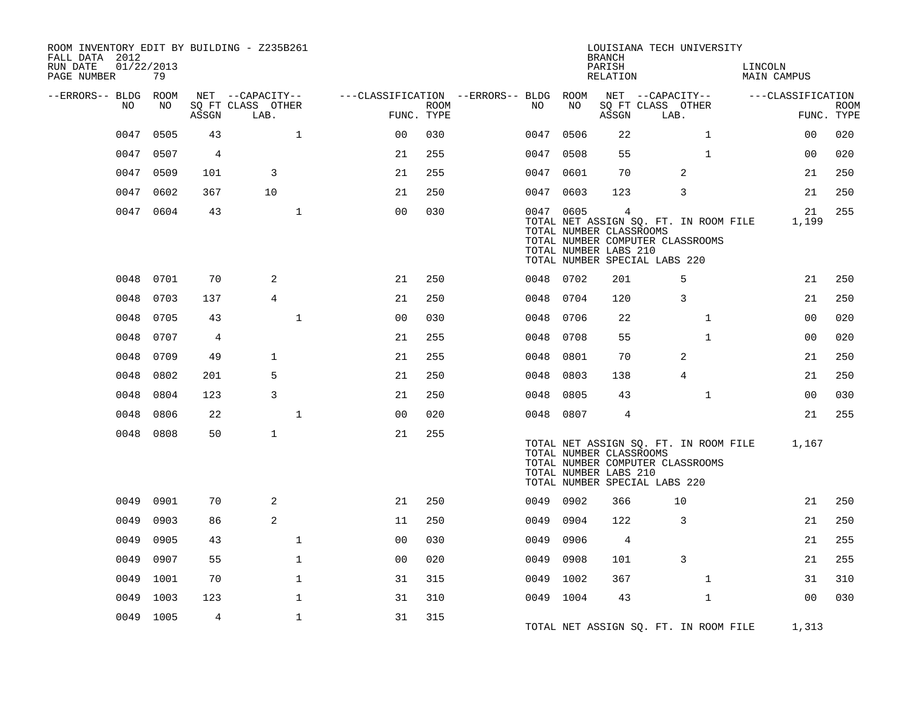| ROOM INVENTORY EDIT BY BUILDING - Z235B261<br>FALL DATA 2012<br>RUN DATE<br>PAGE NUMBER | 01/22/2013<br>79 |                                 |                                       |                                        |             |           |      | <b>BRANCH</b><br>PARISH<br>RELATION                                | LOUISIANA TECH UNIVERSITY                                                                                  |              | LINCOLN | MAIN CAMPUS       |             |
|-----------------------------------------------------------------------------------------|------------------|---------------------------------|---------------------------------------|----------------------------------------|-------------|-----------|------|--------------------------------------------------------------------|------------------------------------------------------------------------------------------------------------|--------------|---------|-------------------|-------------|
|                                                                                         |                  |                                 |                                       |                                        |             |           |      |                                                                    |                                                                                                            |              |         |                   |             |
| --ERRORS-- BLDG ROOM<br>NO                                                              | NO               |                                 | NET --CAPACITY--<br>SQ FT CLASS OTHER | ---CLASSIFICATION --ERRORS-- BLDG ROOM | <b>ROOM</b> | NO.       | NO   |                                                                    | NET --CAPACITY--<br>SQ FT CLASS OTHER                                                                      |              |         | ---CLASSIFICATION | <b>ROOM</b> |
|                                                                                         |                  | $\operatorname{\mathsf{ASSGN}}$ | LAB.                                  |                                        | FUNC. TYPE  |           |      | ASSGN                                                              | LAB.                                                                                                       |              |         |                   | FUNC. TYPE  |
| 0047                                                                                    | 0505             | 43                              | $\mathbf{1}$                          | 0 <sub>0</sub>                         | 030         | 0047      | 0506 | 22                                                                 |                                                                                                            | $\mathbf{1}$ |         | 00                | 020         |
| 0047                                                                                    | 0507             | 4                               |                                       | 21                                     | 255         | 0047 0508 |      | 55                                                                 |                                                                                                            | $\mathbf{1}$ |         | 0 <sub>0</sub>    | 020         |
| 0047                                                                                    | 0509             | 101                             | 3                                     | 21                                     | 255         | 0047      | 0601 | 70                                                                 | 2                                                                                                          |              |         | 21                | 250         |
|                                                                                         | 0047 0602        | 367                             | 10                                    | 21                                     | 250         | 0047 0603 |      | 123                                                                | 3                                                                                                          |              |         | 21                | 250         |
|                                                                                         | 0047 0604        | 43                              | $\mathbf{1}$                          | 0 <sub>0</sub>                         | 030         | 0047 0605 |      | $\overline{4}$<br>TOTAL NUMBER CLASSROOMS<br>TOTAL NUMBER LABS 210 | TOTAL NET ASSIGN SQ. FT. IN ROOM FILE<br>TOTAL NUMBER COMPUTER CLASSROOMS<br>TOTAL NUMBER SPECIAL LABS 220 |              |         | 21<br>1,199       | 255         |
|                                                                                         | 0048 0701        | 70                              | 2                                     | 21                                     | 250         | 0048 0702 |      | 201                                                                | 5                                                                                                          |              |         | 21                | 250         |
| 0048                                                                                    | 0703             | 137                             | 4                                     | 21                                     | 250         | 0048      | 0704 | 120                                                                | 3                                                                                                          |              |         | 21                | 250         |
| 0048                                                                                    | 0705             | 43                              | $\mathbf{1}$                          | 0 <sub>0</sub>                         | 030         | 0048      | 0706 | 22                                                                 |                                                                                                            | $\mathbf{1}$ |         | 0 <sub>0</sub>    | 020         |
| 0048                                                                                    | 0707             | 4                               |                                       | 21                                     | 255         | 0048      | 0708 | 55                                                                 |                                                                                                            | $\mathbf{1}$ |         | 0 <sub>0</sub>    | 020         |
| 0048                                                                                    | 0709             | 49                              | $\mathbf{1}$                          | 21                                     | 255         | 0048      | 0801 | 70                                                                 | 2                                                                                                          |              |         | 21                | 250         |
| 0048                                                                                    | 0802             | 201                             | 5                                     | 21                                     | 250         | 0048      | 0803 | 138                                                                | $\overline{4}$                                                                                             |              |         | 21                | 250         |
| 0048                                                                                    | 0804             | 123                             | 3                                     | 21                                     | 250         | 0048      | 0805 | 43                                                                 |                                                                                                            | $\mathbf{1}$ |         | 0 <sub>0</sub>    | 030         |
| 0048                                                                                    | 0806             | 22                              | $\mathbf 1$                           | 0 <sub>0</sub>                         | 020         | 0048 0807 |      | 4                                                                  |                                                                                                            |              |         | 21                | 255         |
| 0048                                                                                    | 0808             | 50                              | $\mathbf{1}$                          | 21                                     | 255         |           |      | TOTAL NUMBER CLASSROOMS<br>TOTAL NUMBER LABS 210                   | TOTAL NET ASSIGN SQ. FT. IN ROOM FILE<br>TOTAL NUMBER COMPUTER CLASSROOMS<br>TOTAL NUMBER SPECIAL LABS 220 |              |         | 1,167             |             |
| 0049                                                                                    | 0901             | 70                              | 2                                     | 21                                     | 250         | 0049 0902 |      | 366                                                                | 10                                                                                                         |              |         | 21                | 250         |
| 0049                                                                                    | 0903             | 86                              | 2                                     | 11                                     | 250         | 0049      | 0904 | 122                                                                | 3                                                                                                          |              |         | 21                | 250         |
| 0049                                                                                    | 0905             | 43                              | $\mathbf 1$                           | 0 <sub>0</sub>                         | 030         | 0049      | 0906 | $\overline{4}$                                                     |                                                                                                            |              |         | 21                | 255         |
| 0049                                                                                    | 0907             | 55                              | $\mathbf{1}$                          | 0 <sub>0</sub>                         | 020         | 0049      | 0908 | 101                                                                | 3                                                                                                          |              |         | 21                | 255         |
| 0049                                                                                    | 1001             | 70                              | $\mathbf{1}$                          | 31                                     | 315         | 0049      | 1002 | 367                                                                |                                                                                                            | $\mathbf{1}$ |         | 31                | 310         |
| 0049                                                                                    | 1003             | 123                             | 1                                     | 31                                     | 310         | 0049 1004 |      | 43                                                                 |                                                                                                            | $\mathbf{1}$ |         | 0 <sub>0</sub>    | 030         |
|                                                                                         | 0049 1005        | 4                               | $\mathbf{1}$                          | 31                                     | 315         |           |      |                                                                    | TOTAL NET ASSIGN SQ. FT. IN ROOM FILE                                                                      |              |         | 1,313             |             |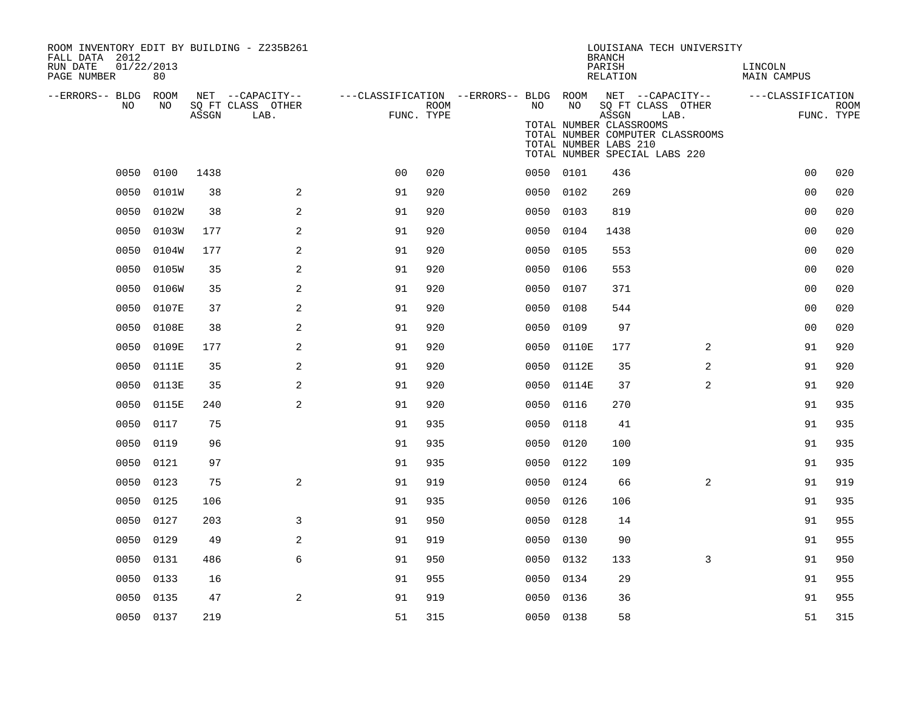| ROOM INVENTORY EDIT BY BUILDING - Z235B261<br>FALL DATA 2012 |            |       |                                       |                                                         |      |      |                                                  | <b>BRANCH</b>      | LOUISIANA TECH UNIVERSITY                                                 |                        |             |
|--------------------------------------------------------------|------------|-------|---------------------------------------|---------------------------------------------------------|------|------|--------------------------------------------------|--------------------|---------------------------------------------------------------------------|------------------------|-------------|
| 01/22/2013<br>RUN DATE<br>PAGE NUMBER                        | 80         |       |                                       |                                                         |      |      |                                                  | PARISH<br>RELATION |                                                                           | LINCOLN<br>MAIN CAMPUS |             |
| --ERRORS-- BLDG ROOM<br>NO                                   | NO         |       | NET --CAPACITY--<br>SQ FT CLASS OTHER | ---CLASSIFICATION --ERRORS-- BLDG ROOM NET --CAPACITY-- | ROOM | NO   | NO                                               |                    | SQ FT CLASS OTHER                                                         | ---CLASSIFICATION      | <b>ROOM</b> |
|                                                              |            | ASSGN | LAB.                                  | FUNC. TYPE                                              |      |      | TOTAL NUMBER CLASSROOMS<br>TOTAL NUMBER LABS 210 | ASSGN              | LAB.<br>TOTAL NUMBER COMPUTER CLASSROOMS<br>TOTAL NUMBER SPECIAL LABS 220 |                        | FUNC. TYPE  |
| 0050                                                         | 0100       | 1438  |                                       | 0 <sub>0</sub>                                          | 020  |      | 0050 0101                                        | 436                |                                                                           | 0 <sub>0</sub>         | 020         |
| 0050                                                         | 0101W      | 38    | 2                                     | 91                                                      | 920  |      | 0050 0102                                        | 269                |                                                                           | 0 <sub>0</sub>         | 020         |
| 0050                                                         | 0102W      | 38    | $\mathbf{2}$                          | 91                                                      | 920  | 0050 | 0103                                             | 819                |                                                                           | 00                     | 020         |
| 0050                                                         | 0103W      | 177   | 2                                     | 91                                                      | 920  |      | 0050 0104                                        | 1438               |                                                                           | 00                     | 020         |
| 0050                                                         | 0104W      | 177   | 2                                     | 91                                                      | 920  | 0050 | 0105                                             | 553                |                                                                           | 0 <sub>0</sub>         | 020         |
| 0050                                                         | 0105W      | 35    | $\mathbf{2}$                          | 91                                                      | 920  |      | 0050 0106                                        | 553                |                                                                           | 0 <sub>0</sub>         | 020         |
| 0050                                                         | 0106W      | 35    | 2                                     | 91                                                      | 920  | 0050 | 0107                                             | 371                |                                                                           | 00                     | 020         |
|                                                              | 0050 0107E | 37    | 2                                     | 91                                                      | 920  |      | 0050 0108                                        | 544                |                                                                           | 00                     | 020         |
|                                                              | 0050 0108E | 38    | 2                                     | 91                                                      | 920  | 0050 | 0109                                             | 97                 |                                                                           | 0 <sub>0</sub>         | 020         |
| 0050                                                         | 0109E      | 177   | 2                                     | 91                                                      | 920  |      | 0050 0110E                                       | 177                | 2                                                                         | 91                     | 920         |
| 0050                                                         | 0111E      | 35    | 2                                     | 91                                                      | 920  | 0050 | 0112E                                            | 35                 | 2                                                                         | 91                     | 920         |
| 0050                                                         | 0113E      | 35    | 2                                     | 91                                                      | 920  | 0050 | 0114E                                            | 37                 | 2                                                                         | 91                     | 920         |
| 0050                                                         | 0115E      | 240   | 2                                     | 91                                                      | 920  | 0050 | 0116                                             | 270                |                                                                           | 91                     | 935         |
| 0050                                                         | 0117       | 75    |                                       | 91                                                      | 935  | 0050 | 0118                                             | 41                 |                                                                           | 91                     | 935         |
| 0050                                                         | 0119       | 96    |                                       | 91                                                      | 935  | 0050 | 0120                                             | 100                |                                                                           | 91                     | 935         |
| 0050                                                         | 0121       | 97    |                                       | 91                                                      | 935  | 0050 | 0122                                             | 109                |                                                                           | 91                     | 935         |
| 0050                                                         | 0123       | 75    | 2                                     | 91                                                      | 919  |      | 0050 0124                                        | 66                 | 2                                                                         | 91                     | 919         |
| 0050                                                         | 0125       | 106   |                                       | 91                                                      | 935  |      | 0050 0126                                        | 106                |                                                                           | 91                     | 935         |
| 0050                                                         | 0127       | 203   | 3                                     | 91                                                      | 950  |      | 0050 0128                                        | 14                 |                                                                           | 91                     | 955         |
| 0050                                                         | 0129       | 49    | $\mathbf{2}$                          | 91                                                      | 919  | 0050 | 0130                                             | 90                 |                                                                           | 91                     | 955         |
| 0050                                                         | 0131       | 486   | 6                                     | 91                                                      | 950  |      | 0050 0132                                        | 133                | $\overline{3}$                                                            | 91                     | 950         |
| 0050                                                         | 0133       | 16    |                                       | 91                                                      | 955  | 0050 | 0134                                             | 29                 |                                                                           | 91                     | 955         |
| 0050                                                         | 0135       | 47    | 2                                     | 91                                                      | 919  |      | 0050 0136                                        | 36                 |                                                                           | 91                     | 955         |
|                                                              | 0050 0137  | 219   |                                       | 51                                                      | 315  |      | 0050 0138                                        | 58                 |                                                                           | 51                     | 315         |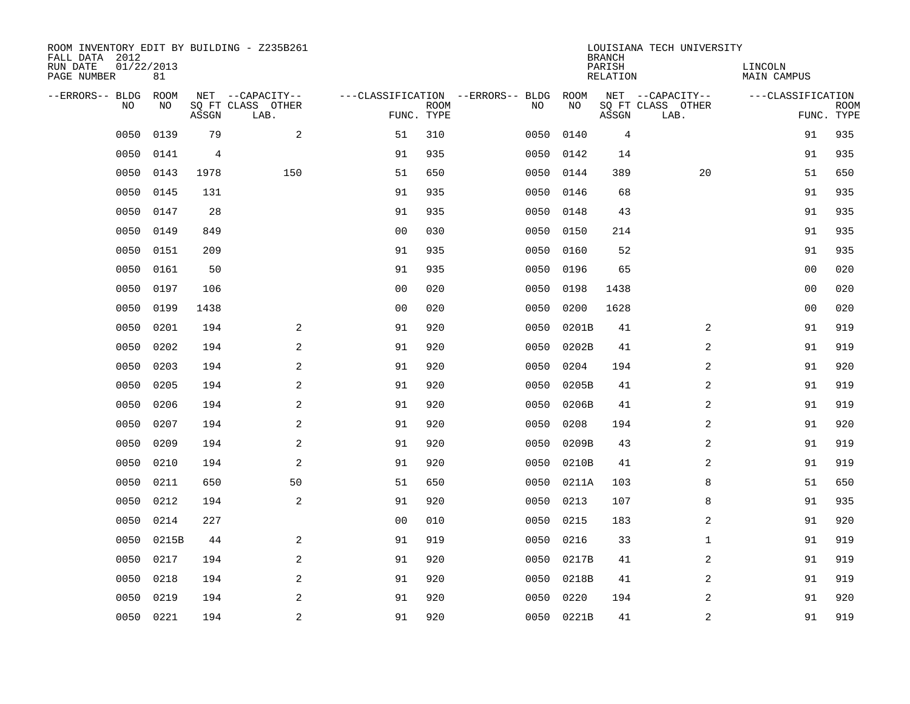| ROOM INVENTORY EDIT BY BUILDING - Z235B261<br>FALL DATA 2012<br>RUN DATE<br>PAGE NUMBER | 01/22/2013<br>81 |       |                                               |                |             |                                         |            | <b>BRANCH</b><br>PARISH<br><b>RELATION</b> | LOUISIANA TECH UNIVERSITY                     | LINCOLN<br><b>MAIN CAMPUS</b> |                           |
|-----------------------------------------------------------------------------------------|------------------|-------|-----------------------------------------------|----------------|-------------|-----------------------------------------|------------|--------------------------------------------|-----------------------------------------------|-------------------------------|---------------------------|
| --ERRORS-- BLDG<br>NO                                                                   | ROOM<br>NO       | ASSGN | NET --CAPACITY--<br>SQ FT CLASS OTHER<br>LAB. | FUNC. TYPE     | <b>ROOM</b> | ---CLASSIFICATION --ERRORS-- BLDG<br>NO | ROOM<br>NO | ASSGN                                      | NET --CAPACITY--<br>SQ FT CLASS OTHER<br>LAB. | ---CLASSIFICATION             | <b>ROOM</b><br>FUNC. TYPE |
| 0050                                                                                    | 0139             | 79    | 2                                             | 51             | 310         | 0050                                    | 0140       | 4                                          |                                               | 91                            | 935                       |
| 0050                                                                                    | 0141             | 4     |                                               | 91             | 935         | 0050                                    | 0142       | 14                                         |                                               | 91                            | 935                       |
| 0050                                                                                    | 0143             | 1978  | 150                                           | 51             | 650         | 0050                                    | 0144       | 389                                        | 20                                            | 51                            | 650                       |
| 0050                                                                                    | 0145             | 131   |                                               | 91             | 935         | 0050                                    | 0146       | 68                                         |                                               | 91                            | 935                       |
| 0050                                                                                    | 0147             | 28    |                                               | 91             | 935         | 0050                                    | 0148       | 43                                         |                                               | 91                            | 935                       |
| 0050                                                                                    | 0149             | 849   |                                               | 0 <sub>0</sub> | 030         | 0050                                    | 0150       | 214                                        |                                               | 91                            | 935                       |
| 0050                                                                                    | 0151             | 209   |                                               | 91             | 935         | 0050                                    | 0160       | 52                                         |                                               | 91                            | 935                       |
| 0050                                                                                    | 0161             | 50    |                                               | 91             | 935         | 0050                                    | 0196       | 65                                         |                                               | 0 <sub>0</sub>                | 020                       |
| 0050                                                                                    | 0197             | 106   |                                               | 0 <sub>0</sub> | 020         | 0050                                    | 0198       | 1438                                       |                                               | 0 <sub>0</sub>                | 020                       |
| 0050                                                                                    | 0199             | 1438  |                                               | 0 <sub>0</sub> | 020         | 0050                                    | 0200       | 1628                                       |                                               | 0 <sub>0</sub>                | 020                       |
| 0050                                                                                    | 0201             | 194   | 2                                             | 91             | 920         | 0050                                    | 0201B      | 41                                         | $\overline{2}$                                | 91                            | 919                       |
| 0050                                                                                    | 0202             | 194   | 2                                             | 91             | 920         | 0050                                    | 0202B      | 41                                         | 2                                             | 91                            | 919                       |
| 0050                                                                                    | 0203             | 194   | 2                                             | 91             | 920         | 0050                                    | 0204       | 194                                        | 2                                             | 91                            | 920                       |
| 0050                                                                                    | 0205             | 194   | 2                                             | 91             | 920         | 0050                                    | 0205B      | 41                                         | 2                                             | 91                            | 919                       |
| 0050                                                                                    | 0206             | 194   | 2                                             | 91             | 920         | 0050                                    | 0206B      | 41                                         | 2                                             | 91                            | 919                       |
| 0050                                                                                    | 0207             | 194   | 2                                             | 91             | 920         | 0050                                    | 0208       | 194                                        | $\overline{a}$                                | 91                            | 920                       |
| 0050                                                                                    | 0209             | 194   | 2                                             | 91             | 920         | 0050                                    | 0209B      | 43                                         | 2                                             | 91                            | 919                       |
| 0050                                                                                    | 0210             | 194   | 2                                             | 91             | 920         | 0050                                    | 0210B      | 41                                         | 2                                             | 91                            | 919                       |
| 0050                                                                                    | 0211             | 650   | 50                                            | 51             | 650         | 0050                                    | 0211A      | 103                                        | 8                                             | 51                            | 650                       |
| 0050                                                                                    | 0212             | 194   | 2                                             | 91             | 920         | 0050                                    | 0213       | 107                                        | 8                                             | 91                            | 935                       |
| 0050                                                                                    | 0214             | 227   |                                               | 0 <sub>0</sub> | 010         | 0050                                    | 0215       | 183                                        | 2                                             | 91                            | 920                       |
| 0050                                                                                    | 0215B            | 44    | 2                                             | 91             | 919         | 0050                                    | 0216       | 33                                         | $\mathbf{1}$                                  | 91                            | 919                       |
| 0050                                                                                    | 0217             | 194   | 2                                             | 91             | 920         | 0050                                    | 0217B      | 41                                         | 2                                             | 91                            | 919                       |
| 0050                                                                                    | 0218             | 194   | $\mathbf{2}$                                  | 91             | 920         | 0050                                    | 0218B      | 41                                         | $\overline{a}$                                | 91                            | 919                       |
| 0050                                                                                    | 0219             | 194   | $\mathbf{2}$                                  | 91             | 920         | 0050                                    | 0220       | 194                                        | 2                                             | 91                            | 920                       |
|                                                                                         | 0050 0221        | 194   | 2                                             | 91             | 920         |                                         | 0050 0221B | 41                                         | 2                                             | 91                            | 919                       |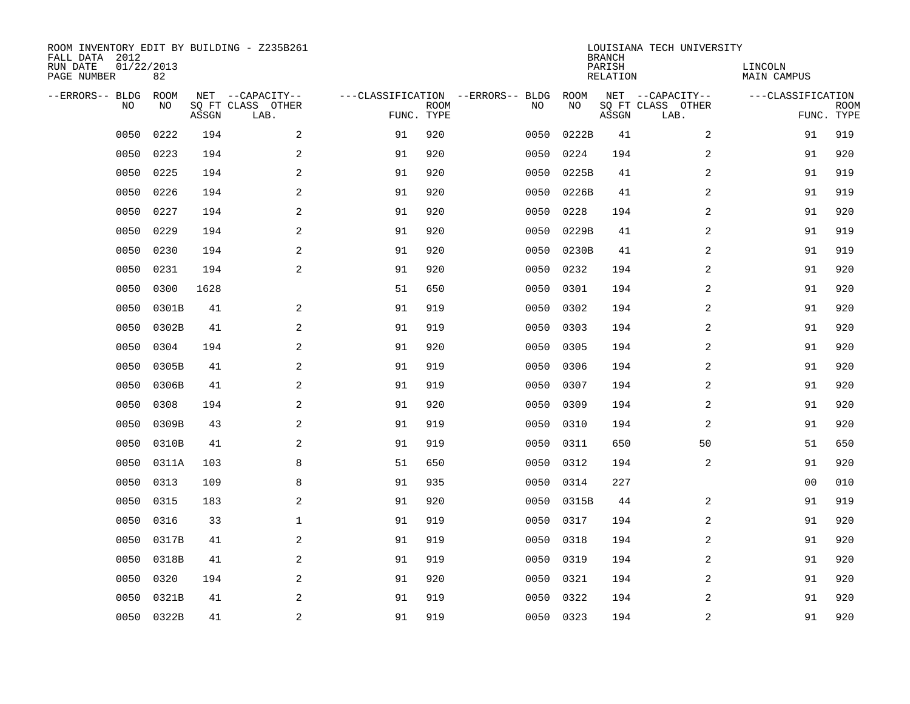| ROOM INVENTORY EDIT BY BUILDING - Z235B261<br>FALL DATA 2012<br>RUN DATE<br>PAGE NUMBER | 01/22/2013<br>82 |       |                                               |            |             |                                         |            | <b>BRANCH</b><br>PARISH<br><b>RELATION</b> | LOUISIANA TECH UNIVERSITY                     | LINCOLN<br><b>MAIN CAMPUS</b> |                           |
|-----------------------------------------------------------------------------------------|------------------|-------|-----------------------------------------------|------------|-------------|-----------------------------------------|------------|--------------------------------------------|-----------------------------------------------|-------------------------------|---------------------------|
| --ERRORS-- BLDG<br>NO                                                                   | ROOM<br>NO       | ASSGN | NET --CAPACITY--<br>SQ FT CLASS OTHER<br>LAB. | FUNC. TYPE | <b>ROOM</b> | ---CLASSIFICATION --ERRORS-- BLDG<br>NO | ROOM<br>NO | ASSGN                                      | NET --CAPACITY--<br>SQ FT CLASS OTHER<br>LAB. | ---CLASSIFICATION             | <b>ROOM</b><br>FUNC. TYPE |
| 0050                                                                                    | 0222             | 194   | 2                                             | 91         | 920         | 0050                                    | 0222B      | 41                                         | 2                                             | 91                            | 919                       |
| 0050                                                                                    | 0223             | 194   | 2                                             | 91         | 920         | 0050                                    | 0224       | 194                                        | 2                                             | 91                            | 920                       |
| 0050                                                                                    | 0225             | 194   | 2                                             | 91         | 920         | 0050                                    | 0225B      | 41                                         | 2                                             | 91                            | 919                       |
| 0050                                                                                    | 0226             | 194   | $\mathbf{2}$                                  | 91         | 920         | 0050                                    | 0226B      | 41                                         | 2                                             | 91                            | 919                       |
| 0050                                                                                    | 0227             | 194   | 2                                             | 91         | 920         | 0050                                    | 0228       | 194                                        | $\overline{a}$                                | 91                            | 920                       |
| 0050                                                                                    | 0229             | 194   | 2                                             | 91         | 920         | 0050                                    | 0229B      | 41                                         | $\overline{a}$                                | 91                            | 919                       |
| 0050                                                                                    | 0230             | 194   | $\overline{a}$                                | 91         | 920         | 0050                                    | 0230B      | 41                                         | $\overline{a}$                                | 91                            | 919                       |
| 0050                                                                                    | 0231             | 194   | 2                                             | 91         | 920         | 0050                                    | 0232       | 194                                        | 2                                             | 91                            | 920                       |
| 0050                                                                                    | 0300             | 1628  |                                               | 51         | 650         | 0050                                    | 0301       | 194                                        | 2                                             | 91                            | 920                       |
| 0050                                                                                    | 0301B            | 41    | 2                                             | 91         | 919         | 0050                                    | 0302       | 194                                        | 2                                             | 91                            | 920                       |
| 0050                                                                                    | 0302B            | 41    | 2                                             | 91         | 919         | 0050                                    | 0303       | 194                                        | 2                                             | 91                            | 920                       |
| 0050                                                                                    | 0304             | 194   | 2                                             | 91         | 920         | 0050                                    | 0305       | 194                                        | 2                                             | 91                            | 920                       |
| 0050                                                                                    | 0305B            | 41    | 2                                             | 91         | 919         | 0050                                    | 0306       | 194                                        | 2                                             | 91                            | 920                       |
| 0050                                                                                    | 0306B            | 41    | $\overline{a}$                                | 91         | 919         | 0050                                    | 0307       | 194                                        | 2                                             | 91                            | 920                       |
| 0050                                                                                    | 0308             | 194   | 2                                             | 91         | 920         | 0050                                    | 0309       | 194                                        | 2                                             | 91                            | 920                       |
| 0050                                                                                    | 0309B            | 43    | 2                                             | 91         | 919         | 0050                                    | 0310       | 194                                        | $\overline{a}$                                | 91                            | 920                       |
| 0050                                                                                    | 0310B            | 41    | 2                                             | 91         | 919         | 0050                                    | 0311       | 650                                        | 50                                            | 51                            | 650                       |
| 0050                                                                                    | 0311A            | 103   | 8                                             | 51         | 650         | 0050                                    | 0312       | 194                                        | 2                                             | 91                            | 920                       |
| 0050                                                                                    | 0313             | 109   | 8                                             | 91         | 935         | 0050                                    | 0314       | 227                                        |                                               | 0 <sub>0</sub>                | 010                       |
| 0050                                                                                    | 0315             | 183   | 2                                             | 91         | 920         | 0050                                    | 0315B      | 44                                         | 2                                             | 91                            | 919                       |
| 0050                                                                                    | 0316             | 33    | 1                                             | 91         | 919         | 0050                                    | 0317       | 194                                        | 2                                             | 91                            | 920                       |
| 0050                                                                                    | 0317B            | 41    | 2                                             | 91         | 919         | 0050                                    | 0318       | 194                                        | 2                                             | 91                            | 920                       |
| 0050                                                                                    | 0318B            | 41    | 2                                             | 91         | 919         | 0050                                    | 0319       | 194                                        | 2                                             | 91                            | 920                       |
| 0050                                                                                    | 0320             | 194   | 2                                             | 91         | 920         | 0050                                    | 0321       | 194                                        | $\overline{a}$                                | 91                            | 920                       |
| 0050                                                                                    | 0321B            | 41    | 2                                             | 91         | 919         | 0050                                    | 0322       | 194                                        | 2                                             | 91                            | 920                       |
|                                                                                         | 0050 0322B       | 41    | $\overline{c}$                                | 91         | 919         |                                         | 0050 0323  | 194                                        | $\overline{\mathbf{c}}$                       | 91                            | 920                       |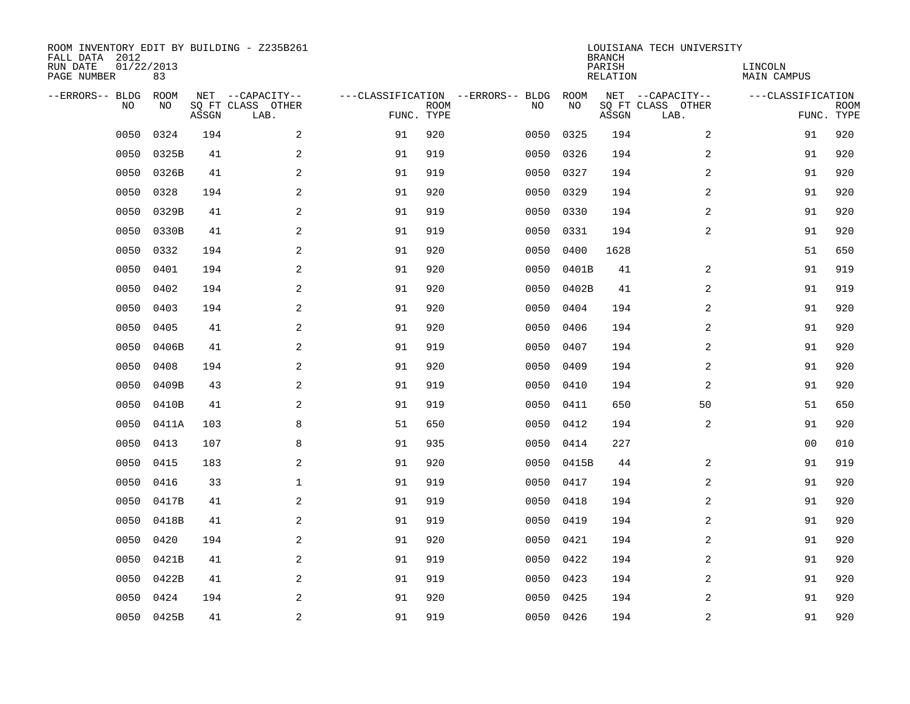| ROOM INVENTORY EDIT BY BUILDING - Z235B261<br>FALL DATA 2012<br>RUN DATE<br>PAGE NUMBER | 01/22/2013<br>83 |       |                                               |            |             |                                         |            | <b>BRANCH</b><br>PARISH<br><b>RELATION</b> | LOUISIANA TECH UNIVERSITY                     | LINCOLN<br><b>MAIN CAMPUS</b> |                           |
|-----------------------------------------------------------------------------------------|------------------|-------|-----------------------------------------------|------------|-------------|-----------------------------------------|------------|--------------------------------------------|-----------------------------------------------|-------------------------------|---------------------------|
| --ERRORS-- BLDG<br>NO                                                                   | ROOM<br>NO       | ASSGN | NET --CAPACITY--<br>SQ FT CLASS OTHER<br>LAB. | FUNC. TYPE | <b>ROOM</b> | ---CLASSIFICATION --ERRORS-- BLDG<br>NO | ROOM<br>NO | ASSGN                                      | NET --CAPACITY--<br>SQ FT CLASS OTHER<br>LAB. | ---CLASSIFICATION             | <b>ROOM</b><br>FUNC. TYPE |
| 0050                                                                                    | 0324             | 194   | 2                                             | 91         | 920         | 0050                                    | 0325       | 194                                        | $\overline{a}$                                | 91                            | 920                       |
| 0050                                                                                    | 0325B            | 41    | 2                                             | 91         | 919         | 0050                                    | 0326       | 194                                        | 2                                             | 91                            | 920                       |
| 0050                                                                                    | 0326B            | 41    | 2                                             | 91         | 919         | 0050                                    | 0327       | 194                                        | 2                                             | 91                            | 920                       |
| 0050                                                                                    | 0328             | 194   | $\mathbf{2}$                                  | 91         | 920         | 0050                                    | 0329       | 194                                        | $\overline{a}$                                | 91                            | 920                       |
| 0050                                                                                    | 0329B            | 41    | 2                                             | 91         | 919         | 0050                                    | 0330       | 194                                        | $\overline{a}$                                | 91                            | 920                       |
| 0050                                                                                    | 0330B            | 41    | 2                                             | 91         | 919         | 0050                                    | 0331       | 194                                        | 2                                             | 91                            | 920                       |
| 0050                                                                                    | 0332             | 194   | $\mathbf{2}$                                  | 91         | 920         | 0050                                    | 0400       | 1628                                       |                                               | 51                            | 650                       |
| 0050                                                                                    | 0401             | 194   | 2                                             | 91         | 920         | 0050                                    | 0401B      | 41                                         | 2                                             | 91                            | 919                       |
| 0050                                                                                    | 0402             | 194   | 2                                             | 91         | 920         | 0050                                    | 0402B      | 41                                         | 2                                             | 91                            | 919                       |
| 0050                                                                                    | 0403             | 194   | 2                                             | 91         | 920         | 0050                                    | 0404       | 194                                        | 2                                             | 91                            | 920                       |
| 0050                                                                                    | 0405             | 41    | 2                                             | 91         | 920         | 0050                                    | 0406       | 194                                        | 2                                             | 91                            | 920                       |
| 0050                                                                                    | 0406B            | 41    | 2                                             | 91         | 919         | 0050                                    | 0407       | 194                                        | 2                                             | 91                            | 920                       |
| 0050                                                                                    | 0408             | 194   | 2                                             | 91         | 920         | 0050                                    | 0409       | 194                                        | 2                                             | 91                            | 920                       |
| 0050                                                                                    | 0409B            | 43    | $\mathbf{2}$                                  | 91         | 919         | 0050                                    | 0410       | 194                                        | 2                                             | 91                            | 920                       |
| 0050                                                                                    | 0410B            | 41    | 2                                             | 91         | 919         | 0050                                    | 0411       | 650                                        | 50                                            | 51                            | 650                       |
| 0050                                                                                    | 0411A            | 103   | 8                                             | 51         | 650         | 0050                                    | 0412       | 194                                        | 2                                             | 91                            | 920                       |
| 0050                                                                                    | 0413             | 107   | 8                                             | 91         | 935         | 0050                                    | 0414       | 227                                        |                                               | 0 <sub>0</sub>                | 010                       |
| 0050                                                                                    | 0415             | 183   | 2                                             | 91         | 920         | 0050                                    | 0415B      | 44                                         | 2                                             | 91                            | 919                       |
| 0050                                                                                    | 0416             | 33    | $\mathbf{1}$                                  | 91         | 919         | 0050                                    | 0417       | 194                                        | 2                                             | 91                            | 920                       |
| 0050                                                                                    | 0417B            | 41    | 2                                             | 91         | 919         | 0050                                    | 0418       | 194                                        | 2                                             | 91                            | 920                       |
| 0050                                                                                    | 0418B            | 41    | 2                                             | 91         | 919         | 0050                                    | 0419       | 194                                        | 2                                             | 91                            | 920                       |
| 0050                                                                                    | 0420             | 194   | 2                                             | 91         | 920         | 0050                                    | 0421       | 194                                        | 2                                             | 91                            | 920                       |
| 0050                                                                                    | 0421B            | 41    | 2                                             | 91         | 919         | 0050                                    | 0422       | 194                                        | 2                                             | 91                            | 920                       |
| 0050                                                                                    | 0422B            | 41    | 2                                             | 91         | 919         | 0050                                    | 0423       | 194                                        | $\overline{a}$                                | 91                            | 920                       |
| 0050                                                                                    | 0424             | 194   | 2                                             | 91         | 920         | 0050                                    | 0425       | 194                                        | 2                                             | 91                            | 920                       |
|                                                                                         | 0050 0425B       | 41    | $\overline{c}$                                | 91         | 919         |                                         | 0050 0426  | 194                                        | $\overline{\mathbf{c}}$                       | 91                            | 920                       |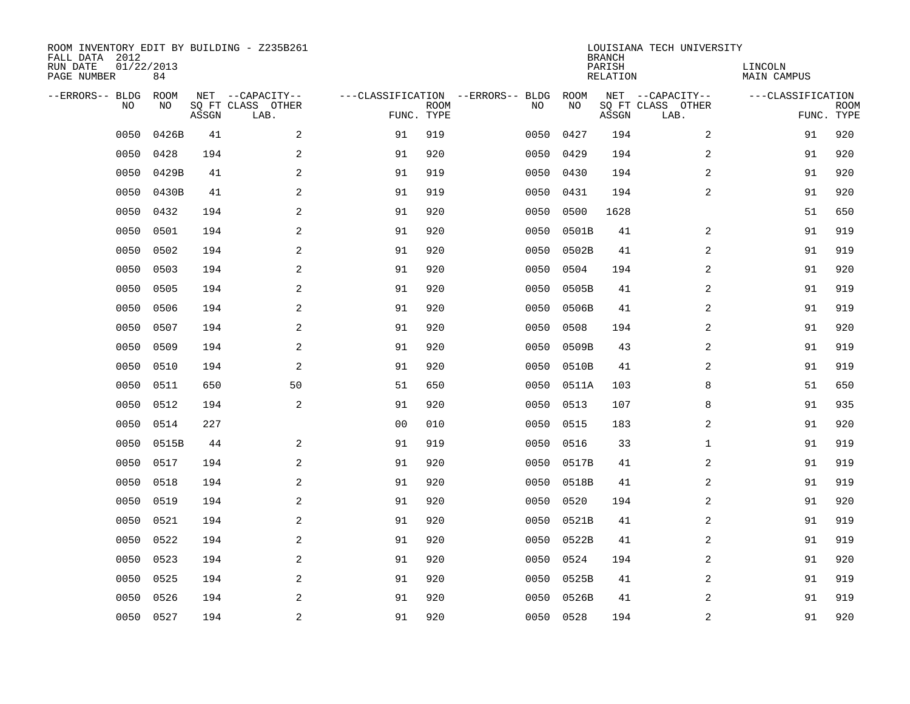| ROOM INVENTORY EDIT BY BUILDING - Z235B261<br>FALL DATA 2012<br>RUN DATE<br>PAGE NUMBER | 01/22/2013<br>84 |       |                                       |                |             |                                          |           | <b>BRANCH</b><br>PARISH<br>RELATION | LOUISIANA TECH UNIVERSITY | LINCOLN<br>MAIN CAMPUS |             |
|-----------------------------------------------------------------------------------------|------------------|-------|---------------------------------------|----------------|-------------|------------------------------------------|-----------|-------------------------------------|---------------------------|------------------------|-------------|
| --ERRORS-- BLDG                                                                         | ROOM             |       |                                       |                |             |                                          | ROOM      |                                     | NET --CAPACITY--          | ---CLASSIFICATION      |             |
| N <sub>O</sub>                                                                          | NO.              |       | NET --CAPACITY--<br>SO FT CLASS OTHER |                | <b>ROOM</b> | ---CLASSIFICATION --ERRORS-- BLDG<br>NO. | NO        |                                     | SQ FT CLASS OTHER         |                        | <b>ROOM</b> |
|                                                                                         |                  | ASSGN | LAB.                                  | FUNC. TYPE     |             |                                          |           | ASSGN                               | LAB.                      |                        | FUNC. TYPE  |
| 0050                                                                                    | 0426B            | 41    | 2                                     | 91             | 919         | 0050                                     | 0427      | 194                                 | 2                         | 91                     | 920         |
| 0050                                                                                    | 0428             | 194   | 2                                     | 91             | 920         | 0050                                     | 0429      | 194                                 | 2                         | 91                     | 920         |
| 0050                                                                                    | 0429B            | 41    | 2                                     | 91             | 919         | 0050                                     | 0430      | 194                                 | 2                         | 91                     | 920         |
| 0050                                                                                    | 0430B            | 41    | 2                                     | 91             | 919         | 0050                                     | 0431      | 194                                 | 2                         | 91                     | 920         |
| 0050                                                                                    | 0432             | 194   | 2                                     | 91             | 920         | 0050                                     | 0500      | 1628                                |                           | 51                     | 650         |
| 0050                                                                                    | 0501             | 194   | $\mathbf{2}$                          | 91             | 920         | 0050                                     | 0501B     | 41                                  | 2                         | 91                     | 919         |
| 0050                                                                                    | 0502             | 194   | $\mathbf{2}$                          | 91             | 920         | 0050                                     | 0502B     | 41                                  | $\overline{a}$            | 91                     | 919         |
| 0050                                                                                    | 0503             | 194   | 2                                     | 91             | 920         | 0050                                     | 0504      | 194                                 | $\overline{a}$            | 91                     | 920         |
| 0050                                                                                    | 0505             | 194   | 2                                     | 91             | 920         | 0050                                     | 0505B     | 41                                  | $\overline{a}$            | 91                     | 919         |
| 0050                                                                                    | 0506             | 194   | 2                                     | 91             | 920         | 0050                                     | 0506B     | 41                                  | 2                         | 91                     | 919         |
| 0050                                                                                    | 0507             | 194   | 2                                     | 91             | 920         | 0050                                     | 0508      | 194                                 | 2                         | 91                     | 920         |
| 0050                                                                                    | 0509             | 194   | 2                                     | 91             | 920         | 0050                                     | 0509B     | 43                                  | 2                         | 91                     | 919         |
| 0050                                                                                    | 0510             | 194   | 2                                     | 91             | 920         | 0050                                     | 0510B     | 41                                  | 2                         | 91                     | 919         |
| 0050                                                                                    | 0511             | 650   | 50                                    | 51             | 650         | 0050                                     | 0511A     | 103                                 | 8                         | 51                     | 650         |
| 0050                                                                                    | 0512             | 194   | 2                                     | 91             | 920         | 0050                                     | 0513      | 107                                 | 8                         | 91                     | 935         |
| 0050                                                                                    | 0514             | 227   |                                       | 0 <sub>0</sub> | 010         | 0050                                     | 0515      | 183                                 | 2                         | 91                     | 920         |
| 0050                                                                                    | 0515B            | 44    | 2                                     | 91             | 919         | 0050                                     | 0516      | 33                                  | $\mathbf{1}$              | 91                     | 919         |
| 0050                                                                                    | 0517             | 194   | 2                                     | 91             | 920         | 0050                                     | 0517B     | 41                                  | 2                         | 91                     | 919         |
| 0050                                                                                    | 0518             | 194   | 2                                     | 91             | 920         | 0050                                     | 0518B     | 41                                  | 2                         | 91                     | 919         |
| 0050                                                                                    | 0519             | 194   | 2                                     | 91             | 920         | 0050                                     | 0520      | 194                                 | 2                         | 91                     | 920         |
| 0050                                                                                    | 0521             | 194   | 2                                     | 91             | 920         | 0050                                     | 0521B     | 41                                  | 2                         | 91                     | 919         |
| 0050                                                                                    | 0522             | 194   | 2                                     | 91             | 920         | 0050                                     | 0522B     | 41                                  | 2                         | 91                     | 919         |
|                                                                                         | 0523             |       | 2                                     | 91             |             |                                          | 0524      |                                     | 2                         | 91                     | 920         |
| 0050                                                                                    |                  | 194   |                                       |                | 920         | 0050                                     |           | 194                                 | $\overline{a}$            |                        |             |
| 0050                                                                                    | 0525             | 194   | 2                                     | 91             | 920         | 0050                                     | 0525B     | 41                                  |                           | 91                     | 919         |
| 0050                                                                                    | 0526             | 194   | 2                                     | 91             | 920         | 0050                                     | 0526B     | 41                                  | 2                         | 91                     | 919         |
|                                                                                         | 0050 0527        | 194   | $\overline{c}$                        | 91             | 920         |                                          | 0050 0528 | 194                                 | $\mathbf 2$               | 91                     | 920         |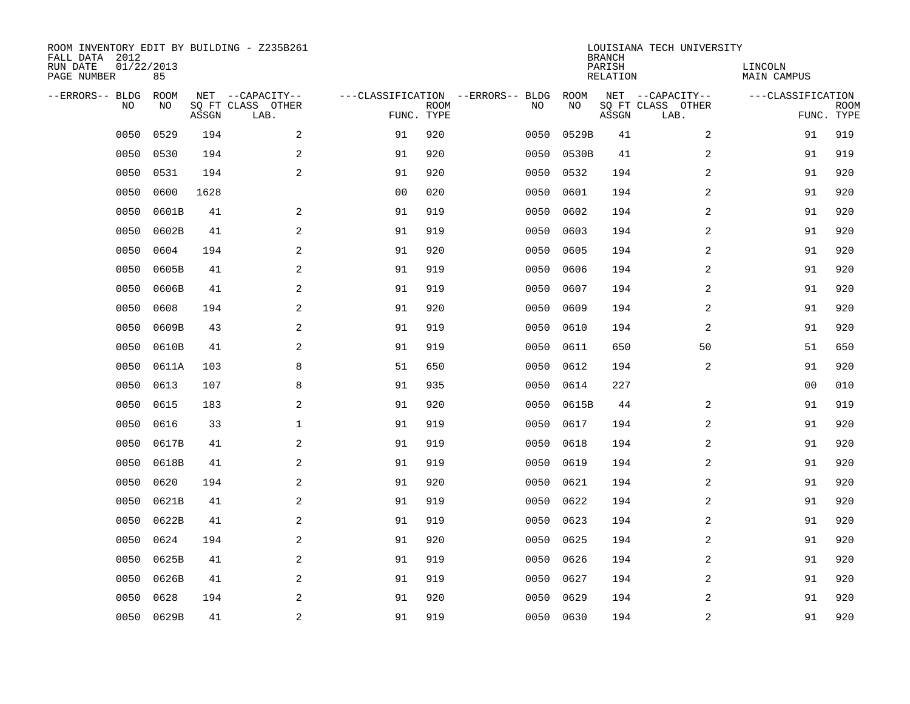| ROOM INVENTORY EDIT BY BUILDING - Z235B261<br>FALL DATA 2012<br>RUN DATE<br>PAGE NUMBER | 01/22/2013<br>85 |       |                                               |                |             |                                         |            | <b>BRANCH</b><br>PARISH<br><b>RELATION</b> | LOUISIANA TECH UNIVERSITY                     | LINCOLN<br><b>MAIN CAMPUS</b>   |             |
|-----------------------------------------------------------------------------------------|------------------|-------|-----------------------------------------------|----------------|-------------|-----------------------------------------|------------|--------------------------------------------|-----------------------------------------------|---------------------------------|-------------|
| --ERRORS-- BLDG<br>NO                                                                   | ROOM<br>NO       | ASSGN | NET --CAPACITY--<br>SQ FT CLASS OTHER<br>LAB. | FUNC. TYPE     | <b>ROOM</b> | ---CLASSIFICATION --ERRORS-- BLDG<br>NO | ROOM<br>NO | ASSGN                                      | NET --CAPACITY--<br>SQ FT CLASS OTHER<br>LAB. | ---CLASSIFICATION<br>FUNC. TYPE | <b>ROOM</b> |
| 0050                                                                                    | 0529             | 194   | 2                                             | 91             | 920         | 0050                                    | 0529B      | 41                                         | 2                                             | 91                              | 919         |
| 0050                                                                                    | 0530             | 194   | 2                                             | 91             | 920         | 0050                                    | 0530B      | 41                                         | 2                                             | 91                              | 919         |
| 0050                                                                                    | 0531             | 194   | 2                                             | 91             | 920         | 0050                                    | 0532       | 194                                        | 2                                             | 91                              | 920         |
| 0050                                                                                    | 0600             | 1628  |                                               | 0 <sub>0</sub> | 020         | 0050                                    | 0601       | 194                                        | $\overline{a}$                                | 91                              | 920         |
| 0050                                                                                    | 0601B            | 41    | 2                                             | 91             | 919         | 0050                                    | 0602       | 194                                        | $\overline{a}$                                | 91                              | 920         |
| 0050                                                                                    | 0602B            | 41    | 2                                             | 91             | 919         | 0050                                    | 0603       | 194                                        | $\overline{a}$                                | 91                              | 920         |
| 0050                                                                                    | 0604             | 194   | $\overline{a}$                                | 91             | 920         | 0050                                    | 0605       | 194                                        | $\overline{a}$                                | 91                              | 920         |
| 0050                                                                                    | 0605B            | 41    | 2                                             | 91             | 919         | 0050                                    | 0606       | 194                                        | 2                                             | 91                              | 920         |
| 0050                                                                                    | 0606B            | 41    | 2                                             | 91             | 919         | 0050                                    | 0607       | 194                                        | 2                                             | 91                              | 920         |
| 0050                                                                                    | 0608             | 194   | 2                                             | 91             | 920         | 0050                                    | 0609       | 194                                        | 2                                             | 91                              | 920         |
| 0050                                                                                    | 0609B            | 43    | 2                                             | 91             | 919         | 0050                                    | 0610       | 194                                        | 2                                             | 91                              | 920         |
| 0050                                                                                    | 0610B            | 41    | 2                                             | 91             | 919         | 0050                                    | 0611       | 650                                        | 50                                            | 51                              | 650         |
| 0050                                                                                    | 0611A            | 103   | 8                                             | 51             | 650         | 0050                                    | 0612       | 194                                        | 2                                             | 91                              | 920         |
| 0050                                                                                    | 0613             | 107   | 8                                             | 91             | 935         | 0050                                    | 0614       | 227                                        |                                               | 00                              | 010         |
| 0050                                                                                    | 0615             | 183   | 2                                             | 91             | 920         | 0050                                    | 0615B      | 44                                         | 2                                             | 91                              | 919         |
| 0050                                                                                    | 0616             | 33    | $\mathbf 1$                                   | 91             | 919         | 0050                                    | 0617       | 194                                        | $\overline{a}$                                | 91                              | 920         |
| 0050                                                                                    | 0617B            | 41    | 2                                             | 91             | 919         | 0050                                    | 0618       | 194                                        | 2                                             | 91                              | 920         |
| 0050                                                                                    | 0618B            | 41    | 2                                             | 91             | 919         | 0050                                    | 0619       | 194                                        | $\overline{a}$                                | 91                              | 920         |
| 0050                                                                                    | 0620             | 194   | 2                                             | 91             | 920         | 0050                                    | 0621       | 194                                        | 2                                             | 91                              | 920         |
| 0050                                                                                    | 0621B            | 41    | $\overline{a}$                                | 91             | 919         | 0050                                    | 0622       | 194                                        | 2                                             | 91                              | 920         |
| 0050                                                                                    | 0622B            | 41    | 2                                             | 91             | 919         | 0050                                    | 0623       | 194                                        | 2                                             | 91                              | 920         |
| 0050                                                                                    | 0624             | 194   | 2                                             | 91             | 920         | 0050                                    | 0625       | 194                                        | 2                                             | 91                              | 920         |
| 0050                                                                                    | 0625B            | 41    | 2                                             | 91             | 919         | 0050                                    | 0626       | 194                                        | 2                                             | 91                              | 920         |
| 0050                                                                                    | 0626B            | 41    | 2                                             | 91             | 919         | 0050                                    | 0627       | 194                                        | $\overline{a}$                                | 91                              | 920         |
| 0050                                                                                    | 0628             | 194   | 2                                             | 91             | 920         | 0050                                    | 0629       | 194                                        | 2                                             | 91                              | 920         |
|                                                                                         | 0050 0629B       | 41    | $\overline{c}$                                | 91             | 919         |                                         | 0050 0630  | 194                                        | $\overline{\mathbf{c}}$                       | 91                              | 920         |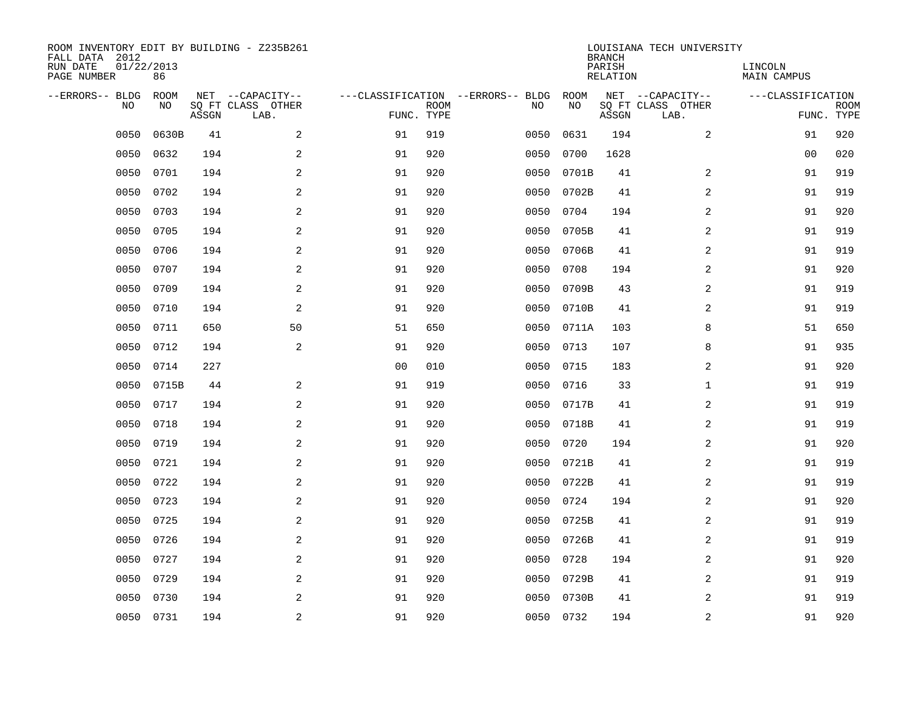| ROOM INVENTORY EDIT BY BUILDING - Z235B261<br>FALL DATA 2012<br>RUN DATE<br>PAGE NUMBER | 01/22/2013<br>86 |       |                                               |                |             |                                         |            | <b>BRANCH</b><br>PARISH<br><b>RELATION</b> | LOUISIANA TECH UNIVERSITY                     | LINCOLN<br><b>MAIN CAMPUS</b> |                           |
|-----------------------------------------------------------------------------------------|------------------|-------|-----------------------------------------------|----------------|-------------|-----------------------------------------|------------|--------------------------------------------|-----------------------------------------------|-------------------------------|---------------------------|
| --ERRORS-- BLDG<br>NO                                                                   | ROOM<br>NO       | ASSGN | NET --CAPACITY--<br>SQ FT CLASS OTHER<br>LAB. | FUNC. TYPE     | <b>ROOM</b> | ---CLASSIFICATION --ERRORS-- BLDG<br>NO | ROOM<br>NO | ASSGN                                      | NET --CAPACITY--<br>SQ FT CLASS OTHER<br>LAB. | ---CLASSIFICATION             | <b>ROOM</b><br>FUNC. TYPE |
| 0050                                                                                    | 0630B            | 41    | 2                                             | 91             | 919         | 0050                                    | 0631       | 194                                        | 2                                             | 91                            | 920                       |
| 0050                                                                                    | 0632             | 194   | 2                                             | 91             | 920         | 0050                                    | 0700       | 1628                                       |                                               | 00                            | 020                       |
| 0050                                                                                    | 0701             | 194   | 2                                             | 91             | 920         | 0050                                    | 0701B      | 41                                         | 2                                             | 91                            | 919                       |
| 0050                                                                                    | 0702             | 194   | $\mathbf{2}$                                  | 91             | 920         | 0050                                    | 0702B      | 41                                         | $\overline{a}$                                | 91                            | 919                       |
| 0050                                                                                    | 0703             | 194   | 2                                             | 91             | 920         | 0050                                    | 0704       | 194                                        | $\overline{a}$                                | 91                            | 920                       |
| 0050                                                                                    | 0705             | 194   | 2                                             | 91             | 920         | 0050                                    | 0705B      | 41                                         | $\overline{a}$                                | 91                            | 919                       |
| 0050                                                                                    | 0706             | 194   | $\mathbf{2}$                                  | 91             | 920         | 0050                                    | 0706B      | 41                                         | $\overline{a}$                                | 91                            | 919                       |
| 0050                                                                                    | 0707             | 194   | 2                                             | 91             | 920         | 0050                                    | 0708       | 194                                        | 2                                             | 91                            | 920                       |
| 0050                                                                                    | 0709             | 194   | 2                                             | 91             | 920         | 0050                                    | 0709B      | 43                                         | 2                                             | 91                            | 919                       |
| 0050                                                                                    | 0710             | 194   | 2                                             | 91             | 920         | 0050                                    | 0710B      | 41                                         | 2                                             | 91                            | 919                       |
| 0050                                                                                    | 0711             | 650   | 50                                            | 51             | 650         | 0050                                    | 0711A      | 103                                        | 8                                             | 51                            | 650                       |
| 0050                                                                                    | 0712             | 194   | 2                                             | 91             | 920         | 0050                                    | 0713       | 107                                        | 8                                             | 91                            | 935                       |
| 0050                                                                                    | 0714             | 227   |                                               | 0 <sub>0</sub> | 010         | 0050                                    | 0715       | 183                                        | 2                                             | 91                            | 920                       |
| 0050                                                                                    | 0715B            | 44    | $\mathbf{2}$                                  | 91             | 919         | 0050                                    | 0716       | 33                                         | $\mathbf{1}$                                  | 91                            | 919                       |
| 0050                                                                                    | 0717             | 194   | 2                                             | 91             | 920         | 0050                                    | 0717B      | 41                                         | 2                                             | 91                            | 919                       |
| 0050                                                                                    | 0718             | 194   | 2                                             | 91             | 920         | 0050                                    | 0718B      | 41                                         | 2                                             | 91                            | 919                       |
| 0050                                                                                    | 0719             | 194   | 2                                             | 91             | 920         | 0050                                    | 0720       | 194                                        | 2                                             | 91                            | 920                       |
| 0050                                                                                    | 0721             | 194   | 2                                             | 91             | 920         | 0050                                    | 0721B      | 41                                         | $\overline{a}$                                | 91                            | 919                       |
| 0050                                                                                    | 0722             | 194   | 2                                             | 91             | 920         | 0050                                    | 0722B      | 41                                         | 2                                             | 91                            | 919                       |
| 0050                                                                                    | 0723             | 194   | $\overline{a}$                                | 91             | 920         | 0050                                    | 0724       | 194                                        | 2                                             | 91                            | 920                       |
| 0050                                                                                    | 0725             | 194   | 2                                             | 91             | 920         | 0050                                    | 0725B      | 41                                         | 2                                             | 91                            | 919                       |
| 0050                                                                                    | 0726             | 194   | 2                                             | 91             | 920         | 0050                                    | 0726B      | 41                                         | 2                                             | 91                            | 919                       |
| 0050                                                                                    | 0727             | 194   | 2                                             | 91             | 920         | 0050                                    | 0728       | 194                                        | 2                                             | 91                            | 920                       |
| 0050                                                                                    | 0729             | 194   | 2                                             | 91             | 920         | 0050                                    | 0729B      | 41                                         | $\overline{a}$                                | 91                            | 919                       |
| 0050                                                                                    | 0730             | 194   | 2                                             | 91             | 920         | 0050                                    | 0730B      | 41                                         | 2                                             | 91                            | 919                       |
|                                                                                         | 0050 0731        | 194   | $\overline{c}$                                | 91             | 920         |                                         | 0050 0732  | 194                                        | $\overline{\mathbf{c}}$                       | 91                            | 920                       |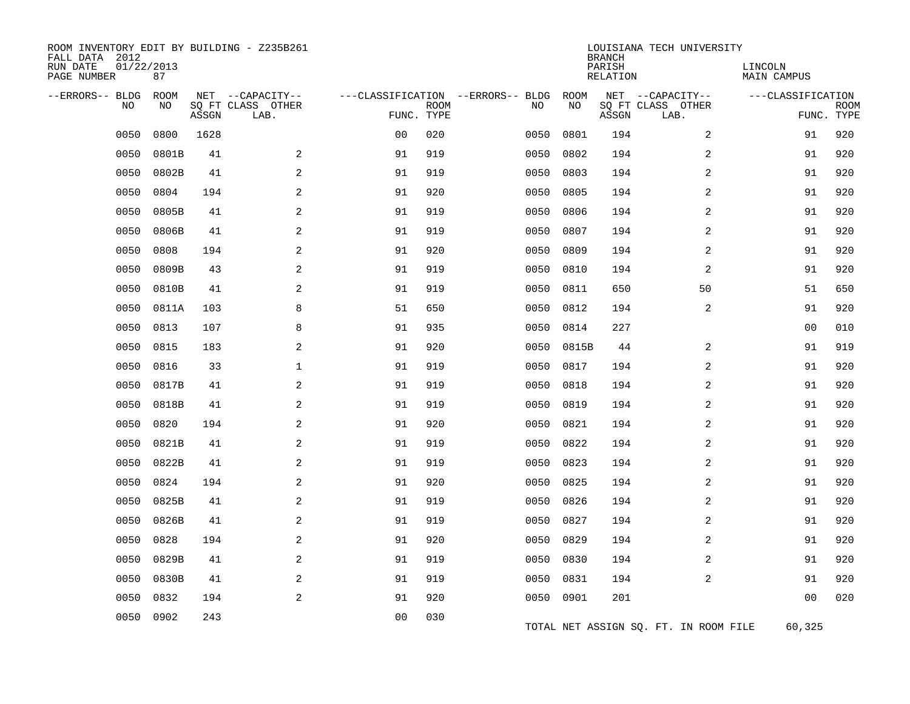| ROOM INVENTORY EDIT BY BUILDING - Z235B261<br>FALL DATA 2012<br>RUN DATE<br>PAGE NUMBER | 01/22/2013<br>87 |       |                                               |                |             |                                         |            | <b>BRANCH</b><br>PARISH<br>RELATION | LOUISIANA TECH UNIVERSITY                     | LINCOLN<br><b>MAIN CAMPUS</b> |                           |
|-----------------------------------------------------------------------------------------|------------------|-------|-----------------------------------------------|----------------|-------------|-----------------------------------------|------------|-------------------------------------|-----------------------------------------------|-------------------------------|---------------------------|
| --ERRORS-- BLDG<br>NO                                                                   | ROOM<br>NO       | ASSGN | NET --CAPACITY--<br>SQ FT CLASS OTHER<br>LAB. | FUNC. TYPE     | <b>ROOM</b> | ---CLASSIFICATION --ERRORS-- BLDG<br>NO | ROOM<br>NO | ASSGN                               | NET --CAPACITY--<br>SQ FT CLASS OTHER<br>LAB. | ---CLASSIFICATION             | <b>ROOM</b><br>FUNC. TYPE |
| 0050                                                                                    | 0800             | 1628  |                                               | 0 <sub>0</sub> | 020         | 0050                                    | 0801       | 194                                 | 2                                             | 91                            | 920                       |
| 0050                                                                                    | 0801B            | 41    | 2                                             | 91             | 919         | 0050                                    | 0802       | 194                                 | 2                                             | 91                            | 920                       |
| 0050                                                                                    | 0802B            | 41    | $\mathbf{2}$                                  | 91             | 919         | 0050                                    | 0803       | 194                                 | $\overline{a}$                                | 91                            | 920                       |
| 0050                                                                                    | 0804             | 194   | 2                                             | 91             | 920         | 0050                                    | 0805       | 194                                 | 2                                             | 91                            | 920                       |
| 0050                                                                                    | 0805B            | 41    | 2                                             | 91             | 919         | 0050                                    | 0806       | 194                                 | 2                                             | 91                            | 920                       |
| 0050                                                                                    | 0806B            | 41    | 2                                             | 91             | 919         | 0050                                    | 0807       | 194                                 | 2                                             | 91                            | 920                       |
| 0050                                                                                    | 0808             | 194   | $\sqrt{2}$                                    | 91             | 920         | 0050                                    | 0809       | 194                                 | $\boldsymbol{2}$                              | 91                            | 920                       |
| 0050                                                                                    | 0809B            | 43    | 2                                             | 91             | 919         | 0050                                    | 0810       | 194                                 | 2                                             | 91                            | 920                       |
| 0050                                                                                    | 0810B            | 41    | 2                                             | 91             | 919         | 0050                                    | 0811       | 650                                 | 50                                            | 51                            | 650                       |
| 0050                                                                                    | 0811A            | 103   | 8                                             | 51             | 650         | 0050                                    | 0812       | 194                                 | 2                                             | 91                            | 920                       |
| 0050                                                                                    | 0813             | 107   | 8                                             | 91             | 935         | 0050                                    | 0814       | 227                                 |                                               | 00                            | 010                       |
| 0050                                                                                    | 0815             | 183   | 2                                             | 91             | 920         | 0050                                    | 0815B      | 44                                  | 2                                             | 91                            | 919                       |
| 0050                                                                                    | 0816             | 33    | 1                                             | 91             | 919         | 0050                                    | 0817       | 194                                 | $\overline{a}$                                | 91                            | 920                       |
| 0050                                                                                    | 0817B            | 41    | 2                                             | 91             | 919         | 0050                                    | 0818       | 194                                 | 2                                             | 91                            | 920                       |
| 0050                                                                                    | 0818B            | 41    | 2                                             | 91             | 919         | 0050                                    | 0819       | 194                                 | 2                                             | 91                            | 920                       |
| 0050                                                                                    | 0820             | 194   | 2                                             | 91             | 920         | 0050                                    | 0821       | 194                                 | 2                                             | 91                            | 920                       |
| 0050                                                                                    | 0821B            | 41    | $\mathbf{2}$                                  | 91             | 919         | 0050                                    | 0822       | 194                                 | 2                                             | 91                            | 920                       |
| 0050                                                                                    | 0822B            | 41    | 2                                             | 91             | 919         | 0050                                    | 0823       | 194                                 | 2                                             | 91                            | 920                       |
| 0050                                                                                    | 0824             | 194   | 2                                             | 91             | 920         | 0050                                    | 0825       | 194                                 | 2                                             | 91                            | 920                       |
| 0050                                                                                    | 0825B            | 41    | 2                                             | 91             | 919         | 0050                                    | 0826       | 194                                 | 2                                             | 91                            | 920                       |
| 0050                                                                                    | 0826B            | 41    | 2                                             | 91             | 919         | 0050                                    | 0827       | 194                                 | 2                                             | 91                            | 920                       |
| 0050                                                                                    | 0828             | 194   | 2                                             | 91             | 920         | 0050                                    | 0829       | 194                                 | 2                                             | 91                            | 920                       |
| 0050                                                                                    | 0829B            | 41    | 2                                             | 91             | 919         | 0050                                    | 0830       | 194                                 | 2                                             | 91                            | 920                       |
| 0050                                                                                    | 0830B            | 41    | 2                                             | 91             | 919         | 0050                                    | 0831       | 194                                 | $\overline{a}$                                | 91                            | 920                       |
| 0050                                                                                    | 0832             | 194   | 2                                             | 91             | 920         |                                         | 0050 0901  | 201                                 |                                               | 0 <sub>0</sub>                | 020                       |
| 0050                                                                                    | 0902             | 243   |                                               | 0 <sub>0</sub> | 030         |                                         |            |                                     | TOTAL NET ASSIGN SQ. FT. IN ROOM FILE         | 60,325                        |                           |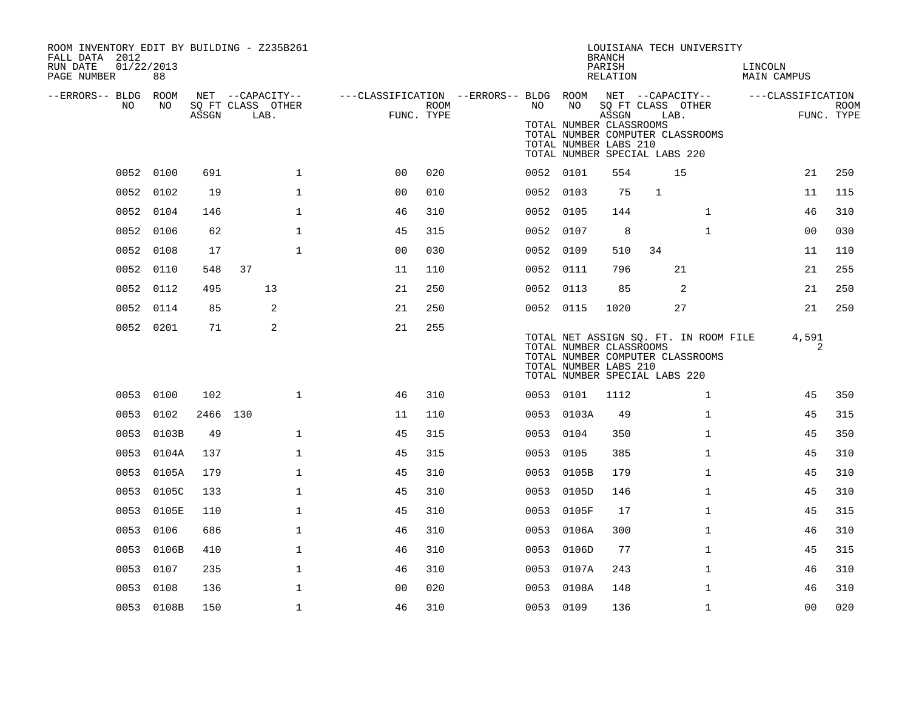| ROOM INVENTORY EDIT BY BUILDING - Z235B261<br>FALL DATA 2012<br>RUN DATE<br>PAGE NUMBER | 01/22/2013<br>88 |          |                           |              |                                                         |                    |           |                                                        | <b>BRANCH</b><br>PARISH<br>RELATION | LOUISIANA TECH UNIVERSITY                                                                                  | LINCOLN<br>MAIN CAMPUS |                           |
|-----------------------------------------------------------------------------------------|------------------|----------|---------------------------|--------------|---------------------------------------------------------|--------------------|-----------|--------------------------------------------------------|-------------------------------------|------------------------------------------------------------------------------------------------------------|------------------------|---------------------------|
| --ERRORS-- BLDG ROOM                                                                    |                  |          | NET --CAPACITY--          |              | ---CLASSIFICATION --ERRORS-- BLDG ROOM NET --CAPACITY-- |                    |           |                                                        |                                     |                                                                                                            | ---CLASSIFICATION      |                           |
| NO                                                                                      | NO               | ASSGN    | SQ FT CLASS OTHER<br>LAB. |              |                                                         | ROOM<br>FUNC. TYPE | NO        | NO<br>TOTAL NUMBER CLASSROOMS<br>TOTAL NUMBER LABS 210 | ASSGN                               | SQ FT CLASS OTHER<br>LAB.<br>TOTAL NUMBER COMPUTER CLASSROOMS<br>TOTAL NUMBER SPECIAL LABS 220             |                        | <b>ROOM</b><br>FUNC. TYPE |
|                                                                                         | 0052 0100        | 691      |                           | $\mathbf{1}$ | 0 <sub>0</sub>                                          | 020                | 0052 0101 |                                                        | 554                                 | 15                                                                                                         | 21                     | 250                       |
|                                                                                         | 0052 0102        | 19       |                           | $\mathbf{1}$ | 0 <sub>0</sub>                                          | 010                | 0052 0103 |                                                        | 75                                  | $\mathbf{1}$                                                                                               | 11                     | 115                       |
|                                                                                         | 0052 0104        | 146      |                           | $\mathbf{1}$ | 46                                                      | 310                | 0052 0105 |                                                        | 144                                 | $\mathbf{1}$                                                                                               | 46                     | 310                       |
|                                                                                         | 0052 0106        | 62       |                           | $\mathbf{1}$ | 45                                                      | 315                | 0052 0107 |                                                        | 8                                   | $\mathbf{1}$                                                                                               | 0 <sub>0</sub>         | 030                       |
|                                                                                         | 0052 0108        | 17       |                           | $\mathbf{1}$ | 0 <sub>0</sub>                                          | 030                | 0052 0109 |                                                        | 510                                 | 34                                                                                                         | 11                     | 110                       |
| 0052                                                                                    | 0110             | 548      | 37                        |              | 11                                                      | 110                | 0052 0111 |                                                        | 796                                 | 21                                                                                                         | 21                     | 255                       |
| 0052                                                                                    | 0112             | 495      | 13                        |              | 21                                                      | 250                | 0052 0113 |                                                        | 85                                  | 2                                                                                                          | 21                     | 250                       |
|                                                                                         | 0052 0114        | 85       | 2                         |              | 21                                                      | 250                | 0052 0115 |                                                        | 1020                                | 27                                                                                                         | 21                     | 250                       |
|                                                                                         | 0052 0201        | 71       | 2                         |              | 21                                                      | 255                |           | TOTAL NUMBER CLASSROOMS<br>TOTAL NUMBER LABS 210       |                                     | TOTAL NET ASSIGN SQ. FT. IN ROOM FILE<br>TOTAL NUMBER COMPUTER CLASSROOMS<br>TOTAL NUMBER SPECIAL LABS 220 | 4,591<br>2             |                           |
|                                                                                         | 0053 0100        | 102      |                           | $\mathbf 1$  | 46                                                      | 310                |           | 0053 0101                                              | 1112                                | $\mathbf{1}$                                                                                               | 45                     | 350                       |
|                                                                                         | 0053 0102        | 2466 130 |                           |              | 11                                                      | 110                |           | 0053 0103A                                             | 49                                  | $\mathbf{1}$                                                                                               | 45                     | 315                       |
|                                                                                         | 0053 0103B       | 49       |                           | $\mathbf{1}$ | 45                                                      | 315                | 0053 0104 |                                                        | 350                                 | $\mathbf{1}$                                                                                               | 45                     | 350                       |
|                                                                                         | 0053 0104A       | 137      |                           | $\mathbf{1}$ | 45                                                      | 315                | 0053 0105 |                                                        | 385                                 | $\mathbf{1}$                                                                                               | 45                     | 310                       |
|                                                                                         | 0053 0105A       | 179      |                           | $\mathbf{1}$ | 45                                                      | 310                |           | 0053 0105B                                             | 179                                 | $\mathbf{1}$                                                                                               | 45                     | 310                       |
|                                                                                         | 0053 0105C       | 133      |                           | $\mathbf{1}$ | 45                                                      | 310                |           | 0053 0105D                                             | 146                                 | $\mathbf{1}$                                                                                               | 45                     | 310                       |
|                                                                                         | 0053 0105E       | 110      |                           | $\mathbf{1}$ | 45                                                      | 310                |           | 0053 0105F                                             | 17                                  | $\mathbf{1}$                                                                                               | 45                     | 315                       |
| 0053                                                                                    | 0106             | 686      |                           | $\mathbf{1}$ | 46                                                      | 310                | 0053      | 0106A                                                  | 300                                 | $\mathbf{1}$                                                                                               | 46                     | 310                       |
|                                                                                         | 0053 0106B       | 410      |                           | $\mathbf{1}$ | 46                                                      | 310                |           | 0053 0106D                                             | 77                                  | $\mathbf{1}$                                                                                               | 45                     | 315                       |
| 0053                                                                                    | 0107             | 235      |                           | $\mathbf{1}$ | 46                                                      | 310                |           | 0053 0107A                                             | 243                                 | $\mathbf{1}$                                                                                               | 46                     | 310                       |
| 0053                                                                                    | 0108             | 136      |                           | $\mathbf 1$  | 0 <sub>0</sub>                                          | 020                | 0053      | 0108A                                                  | 148                                 | $\mathbf{1}$                                                                                               | 46                     | 310                       |
|                                                                                         | 0053 0108B       | 150      |                           | $\mathbf{1}$ | 46                                                      | 310                | 0053 0109 |                                                        | 136                                 | $\mathbf{1}$                                                                                               | 0 <sub>0</sub>         | 020                       |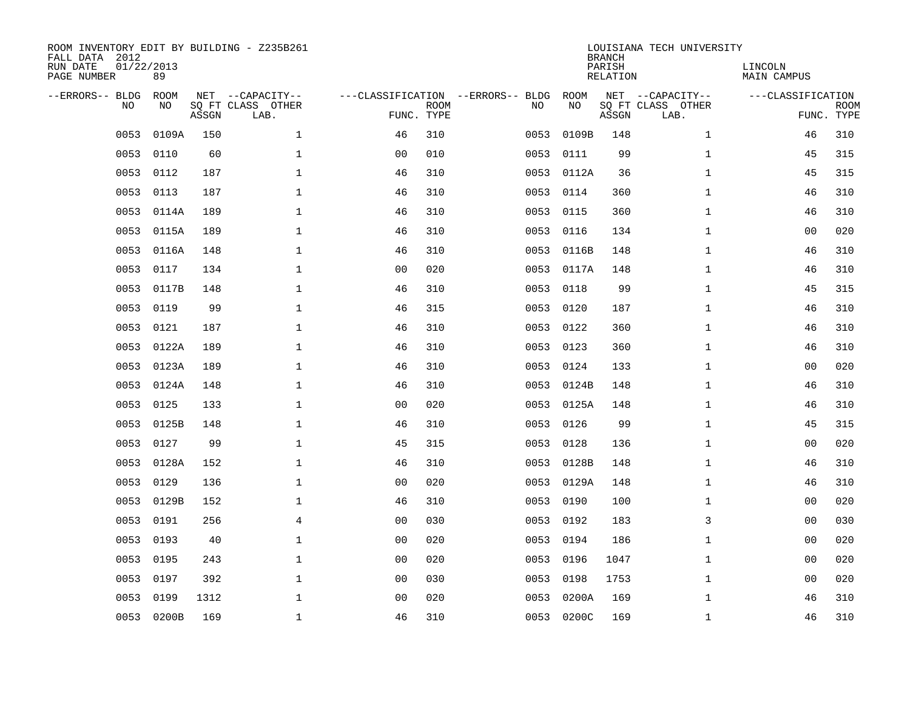| ROOM INVENTORY EDIT BY BUILDING - Z235B261<br>FALL DATA 2012<br>RUN DATE<br>PAGE NUMBER | 01/22/2013<br>89 |       |                                               |                |             |                                         |            | <b>BRANCH</b><br>PARISH<br><b>RELATION</b> | LOUISIANA TECH UNIVERSITY                     | LINCOLN<br><b>MAIN CAMPUS</b> |                           |
|-----------------------------------------------------------------------------------------|------------------|-------|-----------------------------------------------|----------------|-------------|-----------------------------------------|------------|--------------------------------------------|-----------------------------------------------|-------------------------------|---------------------------|
| --ERRORS-- BLDG<br>NO.                                                                  | ROOM<br>NO       | ASSGN | NET --CAPACITY--<br>SQ FT CLASS OTHER<br>LAB. | FUNC. TYPE     | <b>ROOM</b> | ---CLASSIFICATION --ERRORS-- BLDG<br>NO | ROOM<br>NO | ASSGN                                      | NET --CAPACITY--<br>SQ FT CLASS OTHER<br>LAB. | ---CLASSIFICATION             | <b>ROOM</b><br>FUNC. TYPE |
| 0053                                                                                    | 0109A            | 150   | $\mathbf{1}$                                  | 46             | 310         | 0053                                    | 0109B      | 148                                        | $\mathbf{1}$                                  | 46                            | 310                       |
| 0053                                                                                    | 0110             | 60    | $\mathbf 1$                                   | 0 <sub>0</sub> | 010         | 0053                                    | 0111       | 99                                         | $\mathbf{1}$                                  | 45                            | 315                       |
| 0053                                                                                    | 0112             | 187   | $\mathbf 1$                                   | 46             | 310         | 0053                                    | 0112A      | 36                                         | $\mathbf{1}$                                  | 45                            | 315                       |
| 0053                                                                                    | 0113             | 187   | $\mathbf 1$                                   | 46             | 310         | 0053                                    | 0114       | 360                                        | $\mathbf{1}$                                  | 46                            | 310                       |
| 0053                                                                                    | 0114A            | 189   | $\mathbf 1$                                   | 46             | 310         | 0053                                    | 0115       | 360                                        | $\mathbf{1}$                                  | 46                            | 310                       |
| 0053                                                                                    | 0115A            | 189   | $\mathbf 1$                                   | 46             | 310         |                                         | 0053 0116  | 134                                        | $\mathbf{1}$                                  | 0 <sub>0</sub>                | 020                       |
| 0053                                                                                    | 0116A            | 148   | $\mathbf{1}$                                  | 46             | 310         | 0053                                    | 0116B      | 148                                        | $\mathbf{1}$                                  | 46                            | 310                       |
| 0053                                                                                    | 0117             | 134   | $\mathbf{1}$                                  | 0 <sub>0</sub> | 020         |                                         | 0053 0117A | 148                                        | $\mathbf{1}$                                  | 46                            | 310                       |
| 0053                                                                                    | 0117B            | 148   | $\mathbf{1}$                                  | 46             | 310         | 0053                                    | 0118       | 99                                         | $\mathbf{1}$                                  | 45                            | 315                       |
| 0053                                                                                    | 0119             | 99    | $\mathbf 1$                                   | 46             | 315         | 0053                                    | 0120       | 187                                        | $\mathbf{1}$                                  | 46                            | 310                       |
| 0053                                                                                    | 0121             | 187   | $\mathbf{1}$                                  | 46             | 310         | 0053                                    | 0122       | 360                                        | $\mathbf{1}$                                  | 46                            | 310                       |
| 0053                                                                                    | 0122A            | 189   | $\mathbf{1}$                                  | 46             | 310         | 0053                                    | 0123       | 360                                        | $\mathbf{1}$                                  | 46                            | 310                       |
| 0053                                                                                    | 0123A            | 189   | $\mathbf{1}$                                  | 46             | 310         | 0053                                    | 0124       | 133                                        | $\mathbf{1}$                                  | 0 <sub>0</sub>                | 020                       |
| 0053                                                                                    | 0124A            | 148   | $\mathbf{1}$                                  | 46             | 310         | 0053                                    | 0124B      | 148                                        | $\mathbf{1}$                                  | 46                            | 310                       |
| 0053                                                                                    | 0125             | 133   | 1                                             | 00             | 020         | 0053                                    | 0125A      | 148                                        | $\mathbf{1}$                                  | 46                            | 310                       |
| 0053                                                                                    | 0125B            | 148   | $\mathbf 1$                                   | 46             | 310         | 0053                                    | 0126       | 99                                         | $\mathbf{1}$                                  | 45                            | 315                       |
| 0053                                                                                    | 0127             | 99    | $\mathbf 1$                                   | 45             | 315         | 0053                                    | 0128       | 136                                        | $\mathbf{1}$                                  | 00                            | 020                       |
| 0053                                                                                    | 0128A            | 152   | $\mathbf 1$                                   | 46             | 310         | 0053                                    | 0128B      | 148                                        | $\mathbf{1}$                                  | 46                            | 310                       |
| 0053                                                                                    | 0129             | 136   | $\mathbf{1}$                                  | 0 <sub>0</sub> | 020         |                                         | 0053 0129A | 148                                        | $\mathbf{1}$                                  | 46                            | 310                       |
| 0053                                                                                    | 0129B            | 152   | $\mathbf 1$                                   | 46             | 310         | 0053                                    | 0190       | 100                                        | $\mathbf{1}$                                  | 00                            | 020                       |
| 0053                                                                                    | 0191             | 256   | $\overline{4}$                                | 0 <sub>0</sub> | 030         |                                         | 0053 0192  | 183                                        | 3                                             | 0 <sub>0</sub>                | 030                       |
| 0053                                                                                    | 0193             | 40    | $\mathbf{1}$                                  | 00             | 020         | 0053                                    | 0194       | 186                                        | $\mathbf{1}$                                  | 00                            | 020                       |
| 0053                                                                                    | 0195             | 243   | $\mathbf{1}$                                  | 0 <sub>0</sub> | 020         | 0053                                    | 0196       | 1047                                       | $\mathbf{1}$                                  | 0 <sub>0</sub>                | 020                       |
| 0053                                                                                    | 0197             | 392   | $\mathbf 1$                                   | 00             | 030         | 0053                                    | 0198       | 1753                                       | $\mathbf{1}$                                  | 00                            | 020                       |
| 0053                                                                                    | 0199             | 1312  | $\mathbf 1$                                   | 0 <sub>0</sub> | 020         | 0053                                    | 0200A      | 169                                        | $\mathbf{1}$                                  | 46                            | 310                       |
|                                                                                         | 0053 0200B       | 169   | 1                                             | 46             | 310         |                                         | 0053 0200C | 169                                        | $\mathbf{1}$                                  | 46                            | 310                       |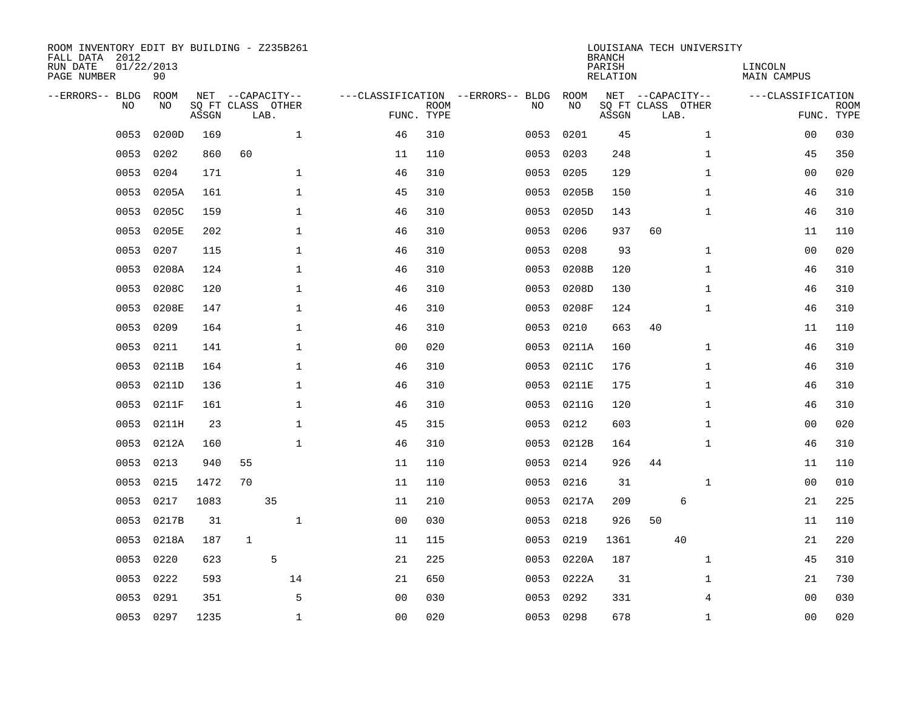| ROOM INVENTORY EDIT BY BUILDING - Z235B261<br>FALL DATA 2012<br>RUN DATE<br>PAGE NUMBER | 01/22/2013<br>90 |                            |                  |      |              |                |                           |                                   |      |            | <b>BRANCH</b><br>PARISH<br><b>RELATION</b> |    | LOUISIANA TECH UNIVERSITY                     | LINCOLN<br><b>MAIN CAMPUS</b> |                           |
|-----------------------------------------------------------------------------------------|------------------|----------------------------|------------------|------|--------------|----------------|---------------------------|-----------------------------------|------|------------|--------------------------------------------|----|-----------------------------------------------|-------------------------------|---------------------------|
| --ERRORS-- BLDG<br>NO.                                                                  | ROOM<br>NO       | SQ FT CLASS OTHER<br>ASSGN | NET --CAPACITY-- | LAB. |              |                | <b>ROOM</b><br>FUNC. TYPE | ---CLASSIFICATION --ERRORS-- BLDG | NO   | ROOM<br>NO | ASSGN                                      |    | NET --CAPACITY--<br>SQ FT CLASS OTHER<br>LAB. | ---CLASSIFICATION             | <b>ROOM</b><br>FUNC. TYPE |
| 0053                                                                                    | 0200D            | 169                        |                  |      | $\mathbf{1}$ | 46             | 310                       |                                   | 0053 | 0201       | 45                                         |    | $\mathbf{1}$                                  | 00                            | 030                       |
| 0053                                                                                    | 0202             | 860                        | 60               |      |              | 11             | 110                       |                                   | 0053 | 0203       | 248                                        |    | $\mathbf{1}$                                  | 45                            | 350                       |
| 0053                                                                                    | 0204             | 171                        |                  |      | $\mathbf{1}$ | 46             | 310                       |                                   | 0053 | 0205       | 129                                        |    | $\mathbf{1}$                                  | 0 <sub>0</sub>                | 020                       |
| 0053                                                                                    | 0205A            | 161                        |                  |      | $\mathbf{1}$ | 45             | 310                       |                                   | 0053 | 0205B      | 150                                        |    | $\mathbf{1}$                                  | 46                            | 310                       |
| 0053                                                                                    | 0205C            | 159                        |                  |      | $\mathbf{1}$ | 46             | 310                       |                                   | 0053 | 0205D      | 143                                        |    | $\mathbf{1}$                                  | 46                            | 310                       |
| 0053                                                                                    | 0205E            | 202                        |                  |      | 1            | 46             | 310                       |                                   | 0053 | 0206       | 937                                        | 60 |                                               | 11                            | 110                       |
| 0053                                                                                    | 0207             | 115                        |                  |      | $\mathbf 1$  | 46             | 310                       |                                   | 0053 | 0208       | 93                                         |    | $\mathbf{1}$                                  | 00                            | 020                       |
| 0053                                                                                    | 0208A            | 124                        |                  |      | 1            | 46             | 310                       |                                   | 0053 | 0208B      | 120                                        |    | $\mathbf{1}$                                  | 46                            | 310                       |
| 0053                                                                                    | 0208C            | 120                        |                  |      | $\mathbf{1}$ | 46             | 310                       |                                   | 0053 | 0208D      | 130                                        |    | $\mathbf{1}$                                  | 46                            | 310                       |
| 0053                                                                                    | 0208E            | 147                        |                  |      | $\mathbf 1$  | 46             | 310                       |                                   | 0053 | 0208F      | 124                                        |    | $\mathbf{1}$                                  | 46                            | 310                       |
| 0053                                                                                    | 0209             | 164                        |                  |      | $\mathbf{1}$ | 46             | 310                       |                                   | 0053 | 0210       | 663                                        | 40 |                                               | 11                            | 110                       |
| 0053                                                                                    | 0211             | 141                        |                  |      | $\mathbf 1$  | 0 <sub>0</sub> | 020                       |                                   | 0053 | 0211A      | 160                                        |    | $\mathbf{1}$                                  | 46                            | 310                       |
| 0053                                                                                    | 0211B            | 164                        |                  |      | $\mathbf{1}$ | 46             | 310                       |                                   | 0053 | 0211C      | 176                                        |    | $\mathbf{1}$                                  | 46                            | 310                       |
| 0053                                                                                    | 0211D            | 136                        |                  |      | $\mathbf 1$  | 46             | 310                       |                                   | 0053 | 0211E      | 175                                        |    | $\mathbf{1}$                                  | 46                            | 310                       |
| 0053                                                                                    | 0211F            | 161                        |                  |      | $\mathbf{1}$ | 46             | 310                       |                                   | 0053 | 0211G      | 120                                        |    | $\mathbf{1}$                                  | 46                            | 310                       |
| 0053                                                                                    | 0211H            | 23                         |                  |      | $\mathbf 1$  | 45             | 315                       |                                   | 0053 | 0212       | 603                                        |    | $\mathbf{1}$                                  | 00                            | 020                       |
| 0053                                                                                    | 0212A            | 160                        |                  |      | $\mathbf{1}$ | 46             | 310                       |                                   | 0053 | 0212B      | 164                                        |    | $\mathbf{1}$                                  | 46                            | 310                       |
| 0053                                                                                    | 0213             | 940                        | 55               |      |              | 11             | 110                       |                                   | 0053 | 0214       | 926                                        | 44 |                                               | 11                            | 110                       |
| 0053                                                                                    | 0215             | 1472                       | 70               |      |              | 11             | 110                       |                                   | 0053 | 0216       | 31                                         |    | $\mathbf{1}$                                  | 00                            | 010                       |
| 0053                                                                                    | 0217             | 1083                       |                  | 35   |              | 11             | 210                       |                                   | 0053 | 0217A      | 209                                        |    | 6                                             | 21                            | 225                       |
| 0053                                                                                    | 0217B            | 31                         |                  |      | $\mathbf{1}$ | 0 <sub>0</sub> | 030                       |                                   | 0053 | 0218       | 926                                        | 50 |                                               | 11                            | 110                       |
| 0053                                                                                    | 0218A            | 187                        | $\mathbf{1}$     |      |              | 11             | 115                       |                                   | 0053 | 0219       | 1361                                       |    | 40                                            | 21                            | 220                       |
| 0053                                                                                    | 0220             | 623                        |                  | 5    |              | 21             | 225                       |                                   | 0053 | 0220A      | 187                                        |    | $\mathbf{1}$                                  | 45                            | 310                       |
| 0053                                                                                    | 0222             | 593                        |                  |      | 14           | 21             | 650                       |                                   | 0053 | 0222A      | 31                                         |    | $\mathbf{1}$                                  | 21                            | 730                       |
| 0053                                                                                    | 0291             | 351                        |                  |      | 5            | 0 <sub>0</sub> | 030                       |                                   | 0053 | 0292       | 331                                        |    | 4                                             | 00                            | 030                       |
|                                                                                         | 0053 0297        | 1235                       |                  |      | $\mathbf{1}$ | 0 <sub>0</sub> | 020                       |                                   |      | 0053 0298  | 678                                        |    | $\mathbf{1}$                                  | 0 <sub>0</sub>                | 020                       |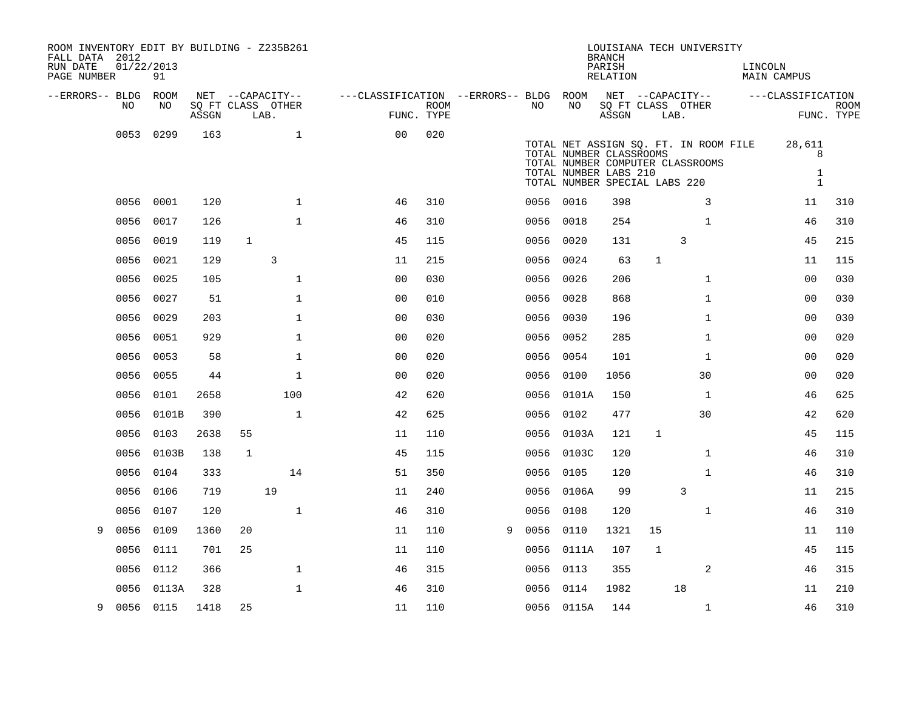| NET --CAPACITY--<br>---CLASSIFICATION --ERRORS-- BLDG ROOM<br>NET --CAPACITY--<br>--ERRORS-- BLDG ROOM<br>---CLASSIFICATION<br>SQ FT CLASS OTHER<br><b>ROOM</b><br>NO.<br>NO<br>SQ FT CLASS OTHER<br>NO<br>NO<br>FUNC. TYPE<br>FUNC. TYPE<br>ASSGN<br>$\operatorname{\mathsf{ASSGN}}$<br>LAB.<br>LAB.<br>0053 0299<br>$\mathbf{1}$<br>020<br>163<br>00<br>TOTAL NET ASSIGN SQ. FT. IN ROOM FILE<br>28,611<br>TOTAL NUMBER CLASSROOMS<br>8<br>TOTAL NUMBER COMPUTER CLASSROOMS<br>TOTAL NUMBER LABS 210<br>$\mathbf{1}$<br>$\mathbf{1}$<br>TOTAL NUMBER SPECIAL LABS 220<br>0056<br>0001<br>120<br>$\mathbf{1}$<br>310<br>0056 0016<br>398<br>3<br>46<br>11<br>0017<br>$\mathbf{1}$<br>254<br>0056<br>126<br>310<br>0056<br>0018<br>$\mathbf{1}$<br>46<br>46<br>0056<br>0019<br>119<br>45<br>115<br>3<br>45<br>1<br>0056<br>0020<br>131<br>3<br>0056<br>0021<br>129<br>11<br>215<br>0056<br>0024<br>63<br>$\mathbf{1}$<br>11<br>0056<br>0025<br>0 <sub>0</sub><br>105<br>1<br>030<br>0056<br>0026<br>206<br>$\mathbf{1}$<br>00<br>0027<br>0056<br>51<br>$\mathbf 1$<br>0 <sub>0</sub><br>010<br>0056<br>0028<br>868<br>$\mathbf{1}$<br>00<br>0056<br>0029<br>203<br>$\mathbf 1$<br>0 <sub>0</sub><br>030<br>0056 0030<br>196<br>$\mathbf{1}$<br>00<br>0056<br>0051<br>929<br>$\mathbf 1$<br>0 <sub>0</sub><br>020<br>0056<br>0052<br>285<br>$\mathbf{1}$<br>00<br>0056 0053<br>58<br>$\mathbf 1$<br>0 <sub>0</sub><br>020<br>0056 0054<br>101<br>$\mathbf{1}$<br>00<br>0055<br>$\mathbf{1}$<br>020<br>30<br>0056<br>44<br>0 <sub>0</sub><br>0056<br>0100<br>1056<br>00<br>0056<br>0101<br>2658<br>100<br>42<br>620<br>150<br>$\mathbf{1}$<br>46<br>0056 0101A<br>390<br>$\mathbf{1}$<br>42<br>625<br>477<br>30<br>42<br>0056<br>0101B<br>0056 0102<br>0056<br>0103<br>2638<br>55<br>11<br>110<br>0056 0103A<br>121<br>$\mathbf{1}$<br>45<br>0103B<br>45<br>$\mathbf{1}$<br>46<br>0056<br>138<br>$\mathbf{1}$<br>115<br>0056 0103C<br>120<br>$\mathbf{1}$<br>0056<br>0104<br>333<br>14<br>51<br>350<br>46<br>0056 0105<br>120<br>$\overline{3}$<br>19<br>0056<br>0106<br>719<br>11<br>240<br>0056<br>0106A<br>99<br>11<br>$\mathbf{1}$<br>0056<br>$\mathbf{1}$<br>46<br>0107<br>120<br>46<br>310<br>0056<br>0108<br>120<br>0056<br>0109<br>1360<br>20<br>11<br>110<br>0056<br>0110<br>1321<br>15<br>11<br>9<br>9<br>0056<br>701<br>25<br>$\mathbf 1$<br>45<br>0111<br>11<br>110<br>0056 0111A<br>107<br>0056<br>0112<br>366<br>$\mathbf 1$<br>315<br>0056<br>0113<br>355<br>2<br>46<br>46<br>0056<br>0113A<br>328<br>$\mathbf 1$<br>310<br>0056 0114<br>1982<br>18<br>46<br>11<br>0056 0115<br>1418<br>25<br>110<br>0056 0115A<br>144<br>9<br>11<br>$\mathbf{1}$<br>46 | ROOM INVENTORY EDIT BY BUILDING - Z235B261<br>FALL DATA 2012<br>RUN DATE<br>PAGE NUMBER | 01/22/2013 | 91 |  |  |  |  | <b>BRANCH</b><br>PARISH<br>RELATION | LOUISIANA TECH UNIVERSITY | LINCOLN | MAIN CAMPUS |             |
|----------------------------------------------------------------------------------------------------------------------------------------------------------------------------------------------------------------------------------------------------------------------------------------------------------------------------------------------------------------------------------------------------------------------------------------------------------------------------------------------------------------------------------------------------------------------------------------------------------------------------------------------------------------------------------------------------------------------------------------------------------------------------------------------------------------------------------------------------------------------------------------------------------------------------------------------------------------------------------------------------------------------------------------------------------------------------------------------------------------------------------------------------------------------------------------------------------------------------------------------------------------------------------------------------------------------------------------------------------------------------------------------------------------------------------------------------------------------------------------------------------------------------------------------------------------------------------------------------------------------------------------------------------------------------------------------------------------------------------------------------------------------------------------------------------------------------------------------------------------------------------------------------------------------------------------------------------------------------------------------------------------------------------------------------------------------------------------------------------------------------------------------------------------------------------------------------------------------------------------------------------------------------------------------------------------------------------------------------------------------------------------------------------------------------------------------------------------------------------------------------------------------------------------------------------------------------------------------------------------------------------------------------------------------|-----------------------------------------------------------------------------------------|------------|----|--|--|--|--|-------------------------------------|---------------------------|---------|-------------|-------------|
|                                                                                                                                                                                                                                                                                                                                                                                                                                                                                                                                                                                                                                                                                                                                                                                                                                                                                                                                                                                                                                                                                                                                                                                                                                                                                                                                                                                                                                                                                                                                                                                                                                                                                                                                                                                                                                                                                                                                                                                                                                                                                                                                                                                                                                                                                                                                                                                                                                                                                                                                                                                                                                                                      |                                                                                         |            |    |  |  |  |  |                                     |                           |         |             |             |
|                                                                                                                                                                                                                                                                                                                                                                                                                                                                                                                                                                                                                                                                                                                                                                                                                                                                                                                                                                                                                                                                                                                                                                                                                                                                                                                                                                                                                                                                                                                                                                                                                                                                                                                                                                                                                                                                                                                                                                                                                                                                                                                                                                                                                                                                                                                                                                                                                                                                                                                                                                                                                                                                      |                                                                                         |            |    |  |  |  |  |                                     |                           |         |             | <b>ROOM</b> |
|                                                                                                                                                                                                                                                                                                                                                                                                                                                                                                                                                                                                                                                                                                                                                                                                                                                                                                                                                                                                                                                                                                                                                                                                                                                                                                                                                                                                                                                                                                                                                                                                                                                                                                                                                                                                                                                                                                                                                                                                                                                                                                                                                                                                                                                                                                                                                                                                                                                                                                                                                                                                                                                                      |                                                                                         |            |    |  |  |  |  |                                     |                           |         |             |             |
|                                                                                                                                                                                                                                                                                                                                                                                                                                                                                                                                                                                                                                                                                                                                                                                                                                                                                                                                                                                                                                                                                                                                                                                                                                                                                                                                                                                                                                                                                                                                                                                                                                                                                                                                                                                                                                                                                                                                                                                                                                                                                                                                                                                                                                                                                                                                                                                                                                                                                                                                                                                                                                                                      |                                                                                         |            |    |  |  |  |  |                                     |                           |         |             |             |
|                                                                                                                                                                                                                                                                                                                                                                                                                                                                                                                                                                                                                                                                                                                                                                                                                                                                                                                                                                                                                                                                                                                                                                                                                                                                                                                                                                                                                                                                                                                                                                                                                                                                                                                                                                                                                                                                                                                                                                                                                                                                                                                                                                                                                                                                                                                                                                                                                                                                                                                                                                                                                                                                      |                                                                                         |            |    |  |  |  |  |                                     |                           |         |             |             |
|                                                                                                                                                                                                                                                                                                                                                                                                                                                                                                                                                                                                                                                                                                                                                                                                                                                                                                                                                                                                                                                                                                                                                                                                                                                                                                                                                                                                                                                                                                                                                                                                                                                                                                                                                                                                                                                                                                                                                                                                                                                                                                                                                                                                                                                                                                                                                                                                                                                                                                                                                                                                                                                                      |                                                                                         |            |    |  |  |  |  |                                     |                           |         |             | 310         |
|                                                                                                                                                                                                                                                                                                                                                                                                                                                                                                                                                                                                                                                                                                                                                                                                                                                                                                                                                                                                                                                                                                                                                                                                                                                                                                                                                                                                                                                                                                                                                                                                                                                                                                                                                                                                                                                                                                                                                                                                                                                                                                                                                                                                                                                                                                                                                                                                                                                                                                                                                                                                                                                                      |                                                                                         |            |    |  |  |  |  |                                     |                           |         |             | 310         |
|                                                                                                                                                                                                                                                                                                                                                                                                                                                                                                                                                                                                                                                                                                                                                                                                                                                                                                                                                                                                                                                                                                                                                                                                                                                                                                                                                                                                                                                                                                                                                                                                                                                                                                                                                                                                                                                                                                                                                                                                                                                                                                                                                                                                                                                                                                                                                                                                                                                                                                                                                                                                                                                                      |                                                                                         |            |    |  |  |  |  |                                     |                           |         |             | 215         |
|                                                                                                                                                                                                                                                                                                                                                                                                                                                                                                                                                                                                                                                                                                                                                                                                                                                                                                                                                                                                                                                                                                                                                                                                                                                                                                                                                                                                                                                                                                                                                                                                                                                                                                                                                                                                                                                                                                                                                                                                                                                                                                                                                                                                                                                                                                                                                                                                                                                                                                                                                                                                                                                                      |                                                                                         |            |    |  |  |  |  |                                     |                           |         |             | 115         |
|                                                                                                                                                                                                                                                                                                                                                                                                                                                                                                                                                                                                                                                                                                                                                                                                                                                                                                                                                                                                                                                                                                                                                                                                                                                                                                                                                                                                                                                                                                                                                                                                                                                                                                                                                                                                                                                                                                                                                                                                                                                                                                                                                                                                                                                                                                                                                                                                                                                                                                                                                                                                                                                                      |                                                                                         |            |    |  |  |  |  |                                     |                           |         |             | 030         |
|                                                                                                                                                                                                                                                                                                                                                                                                                                                                                                                                                                                                                                                                                                                                                                                                                                                                                                                                                                                                                                                                                                                                                                                                                                                                                                                                                                                                                                                                                                                                                                                                                                                                                                                                                                                                                                                                                                                                                                                                                                                                                                                                                                                                                                                                                                                                                                                                                                                                                                                                                                                                                                                                      |                                                                                         |            |    |  |  |  |  |                                     |                           |         |             | 030         |
|                                                                                                                                                                                                                                                                                                                                                                                                                                                                                                                                                                                                                                                                                                                                                                                                                                                                                                                                                                                                                                                                                                                                                                                                                                                                                                                                                                                                                                                                                                                                                                                                                                                                                                                                                                                                                                                                                                                                                                                                                                                                                                                                                                                                                                                                                                                                                                                                                                                                                                                                                                                                                                                                      |                                                                                         |            |    |  |  |  |  |                                     |                           |         |             | 030         |
|                                                                                                                                                                                                                                                                                                                                                                                                                                                                                                                                                                                                                                                                                                                                                                                                                                                                                                                                                                                                                                                                                                                                                                                                                                                                                                                                                                                                                                                                                                                                                                                                                                                                                                                                                                                                                                                                                                                                                                                                                                                                                                                                                                                                                                                                                                                                                                                                                                                                                                                                                                                                                                                                      |                                                                                         |            |    |  |  |  |  |                                     |                           |         |             | 020         |
|                                                                                                                                                                                                                                                                                                                                                                                                                                                                                                                                                                                                                                                                                                                                                                                                                                                                                                                                                                                                                                                                                                                                                                                                                                                                                                                                                                                                                                                                                                                                                                                                                                                                                                                                                                                                                                                                                                                                                                                                                                                                                                                                                                                                                                                                                                                                                                                                                                                                                                                                                                                                                                                                      |                                                                                         |            |    |  |  |  |  |                                     |                           |         |             | 020         |
|                                                                                                                                                                                                                                                                                                                                                                                                                                                                                                                                                                                                                                                                                                                                                                                                                                                                                                                                                                                                                                                                                                                                                                                                                                                                                                                                                                                                                                                                                                                                                                                                                                                                                                                                                                                                                                                                                                                                                                                                                                                                                                                                                                                                                                                                                                                                                                                                                                                                                                                                                                                                                                                                      |                                                                                         |            |    |  |  |  |  |                                     |                           |         |             | 020         |
|                                                                                                                                                                                                                                                                                                                                                                                                                                                                                                                                                                                                                                                                                                                                                                                                                                                                                                                                                                                                                                                                                                                                                                                                                                                                                                                                                                                                                                                                                                                                                                                                                                                                                                                                                                                                                                                                                                                                                                                                                                                                                                                                                                                                                                                                                                                                                                                                                                                                                                                                                                                                                                                                      |                                                                                         |            |    |  |  |  |  |                                     |                           |         |             | 625         |
|                                                                                                                                                                                                                                                                                                                                                                                                                                                                                                                                                                                                                                                                                                                                                                                                                                                                                                                                                                                                                                                                                                                                                                                                                                                                                                                                                                                                                                                                                                                                                                                                                                                                                                                                                                                                                                                                                                                                                                                                                                                                                                                                                                                                                                                                                                                                                                                                                                                                                                                                                                                                                                                                      |                                                                                         |            |    |  |  |  |  |                                     |                           |         |             | 620         |
|                                                                                                                                                                                                                                                                                                                                                                                                                                                                                                                                                                                                                                                                                                                                                                                                                                                                                                                                                                                                                                                                                                                                                                                                                                                                                                                                                                                                                                                                                                                                                                                                                                                                                                                                                                                                                                                                                                                                                                                                                                                                                                                                                                                                                                                                                                                                                                                                                                                                                                                                                                                                                                                                      |                                                                                         |            |    |  |  |  |  |                                     |                           |         |             | 115         |
|                                                                                                                                                                                                                                                                                                                                                                                                                                                                                                                                                                                                                                                                                                                                                                                                                                                                                                                                                                                                                                                                                                                                                                                                                                                                                                                                                                                                                                                                                                                                                                                                                                                                                                                                                                                                                                                                                                                                                                                                                                                                                                                                                                                                                                                                                                                                                                                                                                                                                                                                                                                                                                                                      |                                                                                         |            |    |  |  |  |  |                                     |                           |         |             | 310         |
|                                                                                                                                                                                                                                                                                                                                                                                                                                                                                                                                                                                                                                                                                                                                                                                                                                                                                                                                                                                                                                                                                                                                                                                                                                                                                                                                                                                                                                                                                                                                                                                                                                                                                                                                                                                                                                                                                                                                                                                                                                                                                                                                                                                                                                                                                                                                                                                                                                                                                                                                                                                                                                                                      |                                                                                         |            |    |  |  |  |  |                                     |                           |         |             | 310         |
|                                                                                                                                                                                                                                                                                                                                                                                                                                                                                                                                                                                                                                                                                                                                                                                                                                                                                                                                                                                                                                                                                                                                                                                                                                                                                                                                                                                                                                                                                                                                                                                                                                                                                                                                                                                                                                                                                                                                                                                                                                                                                                                                                                                                                                                                                                                                                                                                                                                                                                                                                                                                                                                                      |                                                                                         |            |    |  |  |  |  |                                     |                           |         |             | 215         |
|                                                                                                                                                                                                                                                                                                                                                                                                                                                                                                                                                                                                                                                                                                                                                                                                                                                                                                                                                                                                                                                                                                                                                                                                                                                                                                                                                                                                                                                                                                                                                                                                                                                                                                                                                                                                                                                                                                                                                                                                                                                                                                                                                                                                                                                                                                                                                                                                                                                                                                                                                                                                                                                                      |                                                                                         |            |    |  |  |  |  |                                     |                           |         |             | 310         |
|                                                                                                                                                                                                                                                                                                                                                                                                                                                                                                                                                                                                                                                                                                                                                                                                                                                                                                                                                                                                                                                                                                                                                                                                                                                                                                                                                                                                                                                                                                                                                                                                                                                                                                                                                                                                                                                                                                                                                                                                                                                                                                                                                                                                                                                                                                                                                                                                                                                                                                                                                                                                                                                                      |                                                                                         |            |    |  |  |  |  |                                     |                           |         |             | 110         |
|                                                                                                                                                                                                                                                                                                                                                                                                                                                                                                                                                                                                                                                                                                                                                                                                                                                                                                                                                                                                                                                                                                                                                                                                                                                                                                                                                                                                                                                                                                                                                                                                                                                                                                                                                                                                                                                                                                                                                                                                                                                                                                                                                                                                                                                                                                                                                                                                                                                                                                                                                                                                                                                                      |                                                                                         |            |    |  |  |  |  |                                     |                           |         |             | 115         |
|                                                                                                                                                                                                                                                                                                                                                                                                                                                                                                                                                                                                                                                                                                                                                                                                                                                                                                                                                                                                                                                                                                                                                                                                                                                                                                                                                                                                                                                                                                                                                                                                                                                                                                                                                                                                                                                                                                                                                                                                                                                                                                                                                                                                                                                                                                                                                                                                                                                                                                                                                                                                                                                                      |                                                                                         |            |    |  |  |  |  |                                     |                           |         |             | 315         |
|                                                                                                                                                                                                                                                                                                                                                                                                                                                                                                                                                                                                                                                                                                                                                                                                                                                                                                                                                                                                                                                                                                                                                                                                                                                                                                                                                                                                                                                                                                                                                                                                                                                                                                                                                                                                                                                                                                                                                                                                                                                                                                                                                                                                                                                                                                                                                                                                                                                                                                                                                                                                                                                                      |                                                                                         |            |    |  |  |  |  |                                     |                           |         |             | 210         |
|                                                                                                                                                                                                                                                                                                                                                                                                                                                                                                                                                                                                                                                                                                                                                                                                                                                                                                                                                                                                                                                                                                                                                                                                                                                                                                                                                                                                                                                                                                                                                                                                                                                                                                                                                                                                                                                                                                                                                                                                                                                                                                                                                                                                                                                                                                                                                                                                                                                                                                                                                                                                                                                                      |                                                                                         |            |    |  |  |  |  |                                     |                           |         |             | 310         |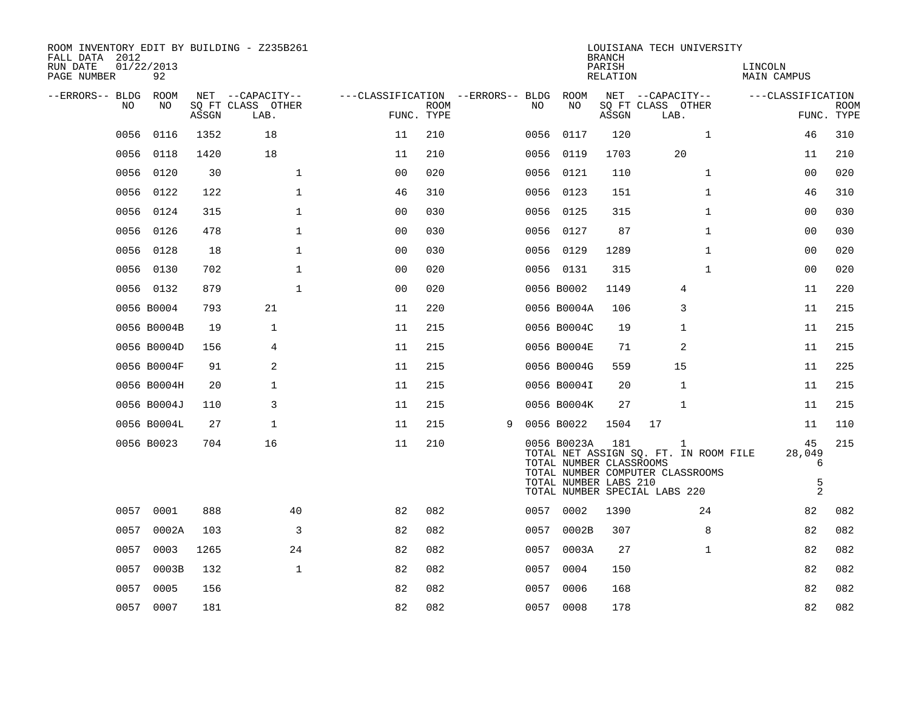| ROOM INVENTORY EDIT BY BUILDING - Z235B261<br>FALL DATA 2012<br>RUN DATE | 01/22/2013  |       |                                       |                                   |      |   |      |                                                                 | <b>BRANCH</b><br>PARISH | LOUISIANA TECH UNIVERSITY                                                                                       | LINCOLN                                  |             |
|--------------------------------------------------------------------------|-------------|-------|---------------------------------------|-----------------------------------|------|---|------|-----------------------------------------------------------------|-------------------------|-----------------------------------------------------------------------------------------------------------------|------------------------------------------|-------------|
| PAGE NUMBER                                                              | 92          |       |                                       |                                   |      |   |      |                                                                 | RELATION                |                                                                                                                 | <b>MAIN CAMPUS</b>                       |             |
| --ERRORS-- BLDG ROOM<br>NO                                               | NO          |       | NET --CAPACITY--<br>SQ FT CLASS OTHER | ---CLASSIFICATION --ERRORS-- BLDG | ROOM |   | NO.  | ROOM<br>NO                                                      |                         | NET --CAPACITY--<br>SQ FT CLASS OTHER                                                                           | ---CLASSIFICATION                        | <b>ROOM</b> |
|                                                                          |             | ASSGN | LAB.                                  | FUNC. TYPE                        |      |   |      |                                                                 | ASSGN                   | LAB.                                                                                                            |                                          | FUNC. TYPE  |
| 0056                                                                     | 0116        | 1352  | 18                                    | 11                                | 210  |   | 0056 | 0117                                                            | 120                     | $\mathbf{1}$                                                                                                    | 46                                       | 310         |
| 0056                                                                     | 0118        | 1420  | 18                                    | 11                                | 210  |   | 0056 | 0119                                                            | 1703                    | 20                                                                                                              | 11                                       | 210         |
|                                                                          | 0056 0120   | 30    | $\mathbf 1$                           | 0 <sub>0</sub>                    | 020  |   |      | 0056 0121                                                       | 110                     | $\mathbf{1}$                                                                                                    | 00                                       | 020         |
| 0056                                                                     | 0122        | 122   | $\mathbf{1}$                          | 46                                | 310  |   | 0056 | 0123                                                            | 151                     | $\mathbf{1}$                                                                                                    | 46                                       | 310         |
|                                                                          | 0056 0124   | 315   | $\mathbf{1}$                          | 0 <sub>0</sub>                    | 030  |   |      | 0056 0125                                                       | 315                     | $\mathbf{1}$                                                                                                    | 00                                       | 030         |
|                                                                          | 0056 0126   | 478   | $\mathbf{1}$                          | 0 <sub>0</sub>                    | 030  |   |      | 0056 0127                                                       | 87                      | $\mathbf{1}$                                                                                                    | 0 <sub>0</sub>                           | 030         |
|                                                                          | 0056 0128   | 18    | $\mathbf{1}$                          | 0 <sub>0</sub>                    | 030  |   |      | 0056 0129                                                       | 1289                    | $\mathbf{1}$                                                                                                    | 00                                       | 020         |
| 0056                                                                     | 0130        | 702   | $\mathbf{1}$                          | 00                                | 020  |   |      | 0056 0131                                                       | 315                     | $\mathbf{1}$                                                                                                    | 0 <sub>0</sub>                           | 020         |
|                                                                          | 0056 0132   | 879   | $\mathbf{1}$                          | 0 <sub>0</sub>                    | 020  |   |      | 0056 B0002                                                      | 1149                    | 4                                                                                                               | 11                                       | 220         |
|                                                                          | 0056 B0004  | 793   | 21                                    | 11                                | 220  |   |      | 0056 B0004A                                                     | 106                     | 3                                                                                                               | 11                                       | 215         |
|                                                                          | 0056 B0004B | 19    | $\mathbf 1$                           | 11                                | 215  |   |      | 0056 B0004C                                                     | 19                      | 1                                                                                                               | 11                                       | 215         |
|                                                                          | 0056 B0004D | 156   | 4                                     | 11                                | 215  |   |      | 0056 B0004E                                                     | 71                      | 2                                                                                                               | 11                                       | 215         |
|                                                                          | 0056 B0004F | 91    | 2                                     | 11                                | 215  |   |      | 0056 B0004G                                                     | 559                     | 15                                                                                                              | 11                                       | 225         |
|                                                                          | 0056 B0004H | 20    | $\mathbf{1}$                          | 11                                | 215  |   |      | 0056 B0004I                                                     | 20                      | $\mathbf{1}$                                                                                                    | 11                                       | 215         |
|                                                                          | 0056 B0004J | 110   | 3                                     | 11                                | 215  |   |      | 0056 B0004K                                                     | 27                      | $\mathbf 1$                                                                                                     | 11                                       | 215         |
|                                                                          | 0056 B0004L | 27    | $\mathbf{1}$                          | 11                                | 215  | 9 |      | 0056 B0022                                                      | 1504                    | 17                                                                                                              | 11                                       | 110         |
|                                                                          | 0056 B0023  | 704   | 16                                    | 11                                | 210  |   |      | 0056 B0023A<br>TOTAL NUMBER CLASSROOMS<br>TOTAL NUMBER LABS 210 | 181                     | 1<br>TOTAL NET ASSIGN SQ. FT. IN ROOM FILE<br>TOTAL NUMBER COMPUTER CLASSROOMS<br>TOTAL NUMBER SPECIAL LABS 220 | 45<br>28,049<br>6<br>5<br>$\overline{a}$ | 215         |
|                                                                          | 0057 0001   | 888   | 40                                    | 82                                | 082  |   |      | 0057 0002                                                       | 1390                    | 24                                                                                                              | 82                                       | 082         |
|                                                                          | 0057 0002A  | 103   | 3                                     | 82                                | 082  |   | 0057 | 0002B                                                           | 307                     | 8                                                                                                               | 82                                       | 082         |
|                                                                          | 0057 0003   | 1265  | 24                                    | 82                                | 082  |   |      | 0057 0003A                                                      | 27                      | $\mathbf{1}$                                                                                                    | 82                                       | 082         |
| 0057                                                                     | 0003B       | 132   | $\mathbf{1}$                          | 82                                | 082  |   | 0057 | 0004                                                            | 150                     |                                                                                                                 | 82                                       | 082         |
| 0057                                                                     | 0005        | 156   |                                       | 82                                | 082  |   | 0057 | 0006                                                            | 168                     |                                                                                                                 | 82                                       | 082         |
|                                                                          | 0057 0007   | 181   |                                       | 82                                | 082  |   |      | 0057 0008                                                       | 178                     |                                                                                                                 | 82                                       | 082         |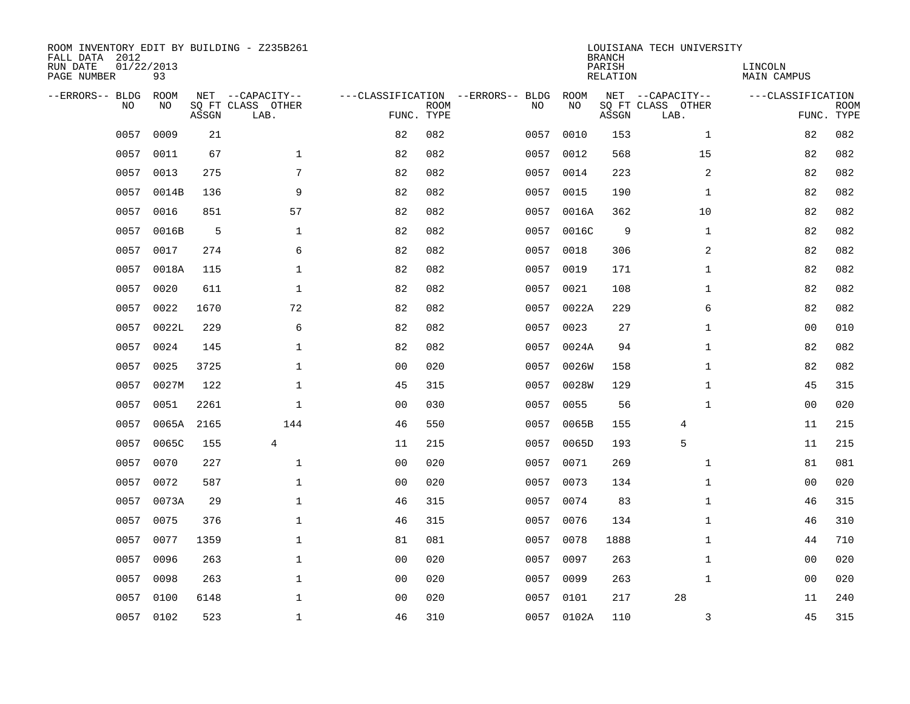| ROOM INVENTORY EDIT BY BUILDING - Z235B261<br>FALL DATA 2012<br>RUN DATE<br>PAGE NUMBER | 01/22/2013<br>93 |       |                                               |                                                 |             |      |                   | <b>BRANCH</b><br>PARISH<br>RELATION | LOUISIANA TECH UNIVERSITY                     | LINCOLN<br><b>MAIN CAMPUS</b> |                           |
|-----------------------------------------------------------------------------------------|------------------|-------|-----------------------------------------------|-------------------------------------------------|-------------|------|-------------------|-------------------------------------|-----------------------------------------------|-------------------------------|---------------------------|
| --ERRORS-- BLDG<br>N <sub>O</sub>                                                       | ROOM<br>NO.      | ASSGN | NET --CAPACITY--<br>SO FT CLASS OTHER<br>LAB. | ---CLASSIFICATION --ERRORS-- BLDG<br>FUNC. TYPE | <b>ROOM</b> | NO.  | <b>ROOM</b><br>NO | ASSGN                               | NET --CAPACITY--<br>SQ FT CLASS OTHER<br>LAB. | ---CLASSIFICATION             | <b>ROOM</b><br>FUNC. TYPE |
| 0057                                                                                    | 0009             | 21    |                                               | 82                                              | 082         | 0057 | 0010              | 153                                 | $\mathbf{1}$                                  | 82                            | 082                       |
| 0057                                                                                    | 0011             | 67    | $\mathbf{1}$                                  | 82                                              | 082         | 0057 | 0012              | 568                                 | 15                                            | 82                            | 082                       |
| 0057                                                                                    | 0013             | 275   | 7                                             | 82                                              | 082         | 0057 | 0014              | 223                                 | 2                                             | 82                            | 082                       |
| 0057                                                                                    | 0014B            | 136   | 9                                             | 82                                              | 082         | 0057 | 0015              | 190                                 | $\mathbf{1}$                                  | 82                            | 082                       |
| 0057                                                                                    | 0016             | 851   | 57                                            | 82                                              | 082         | 0057 | 0016A             | 362                                 | 10                                            | 82                            | 082                       |
| 0057                                                                                    | 0016B            | 5     | $\mathbf 1$                                   | 82                                              | 082         | 0057 | 0016C             | 9                                   | $\mathbf{1}$                                  | 82                            | 082                       |
| 0057                                                                                    | 0017             | 274   | 6                                             | 82                                              | 082         | 0057 | 0018              | 306                                 | $\overline{a}$                                | 82                            | 082                       |
| 0057                                                                                    | 0018A            | 115   | $\mathbf 1$                                   | 82                                              | 082         | 0057 | 0019              | 171                                 | $\mathbf{1}$                                  | 82                            | 082                       |
| 0057                                                                                    | 0020             | 611   | $\mathbf{1}$                                  | 82                                              | 082         | 0057 | 0021              | 108                                 | $\mathbf{1}$                                  | 82                            | 082                       |
| 0057                                                                                    | 0022             | 1670  | 72                                            | 82                                              | 082         | 0057 | 0022A             | 229                                 | 6                                             | 82                            | 082                       |
| 0057                                                                                    | 0022L            | 229   | 6                                             | 82                                              | 082         | 0057 | 0023              | 27                                  | $\mathbf{1}$                                  | 00                            | 010                       |
| 0057                                                                                    | 0024             | 145   | $\mathbf 1$                                   | 82                                              | 082         | 0057 | 0024A             | 94                                  | $\mathbf{1}$                                  | 82                            | 082                       |
| 0057                                                                                    | 0025             | 3725  | $\mathbf{1}$                                  | 0 <sub>0</sub>                                  | 020         | 0057 | 0026W             | 158                                 | $\mathbf{1}$                                  | 82                            | 082                       |
| 0057                                                                                    | 0027M            | 122   | $\mathbf{1}$                                  | 45                                              | 315         | 0057 | 0028W             | 129                                 | $\mathbf{1}$                                  | 45                            | 315                       |
| 0057                                                                                    | 0051             | 2261  | $\mathbf{1}$                                  | 00                                              | 030         | 0057 | 0055              | 56                                  | $\mathbf{1}$                                  | 00                            | 020                       |
| 0057                                                                                    | 0065A            | 2165  | 144                                           | 46                                              | 550         | 0057 | 0065B             | 155                                 | 4                                             | 11                            | 215                       |
| 0057                                                                                    | 0065C            | 155   | 4                                             | 11                                              | 215         | 0057 | 0065D             | 193                                 | 5                                             | 11                            | 215                       |
| 0057                                                                                    | 0070             | 227   | $\mathbf 1$                                   | 0 <sub>0</sub>                                  | 020         | 0057 | 0071              | 269                                 | $\mathbf{1}$                                  | 81                            | 081                       |
| 0057                                                                                    | 0072             | 587   | $\mathbf 1$                                   | 0 <sub>0</sub>                                  | 020         | 0057 | 0073              | 134                                 | $\mathbf{1}$                                  | 00                            | 020                       |
| 0057                                                                                    | 0073A            | 29    | $\mathbf{1}$                                  | 46                                              | 315         | 0057 | 0074              | 83                                  | $\mathbf{1}$                                  | 46                            | 315                       |
| 0057                                                                                    | 0075             | 376   | $\mathbf 1$                                   | 46                                              | 315         | 0057 | 0076              | 134                                 | $\mathbf{1}$                                  | 46                            | 310                       |
| 0057                                                                                    | 0077             | 1359  | 1                                             | 81                                              | 081         | 0057 | 0078              | 1888                                | $\mathbf{1}$                                  | 44                            | 710                       |
| 0057                                                                                    | 0096             | 263   | $\mathbf 1$                                   | 0 <sub>0</sub>                                  | 020         | 0057 | 0097              | 263                                 | $\mathbf{1}$                                  | 00                            | 020                       |
| 0057                                                                                    | 0098             | 263   | $\mathbf 1$                                   | 00                                              | 020         | 0057 | 0099              | 263                                 | $\mathbf{1}$                                  | 00                            | 020                       |
| 0057                                                                                    | 0100             | 6148  | $\mathbf{1}$                                  | 0 <sub>0</sub>                                  | 020         | 0057 | 0101              | 217                                 | 28                                            | 11                            | 240                       |
| 0057                                                                                    | 0102             | 523   | $\mathbf{1}$                                  | 46                                              | 310         |      | 0057 0102A        | 110                                 | 3                                             | 45                            | 315                       |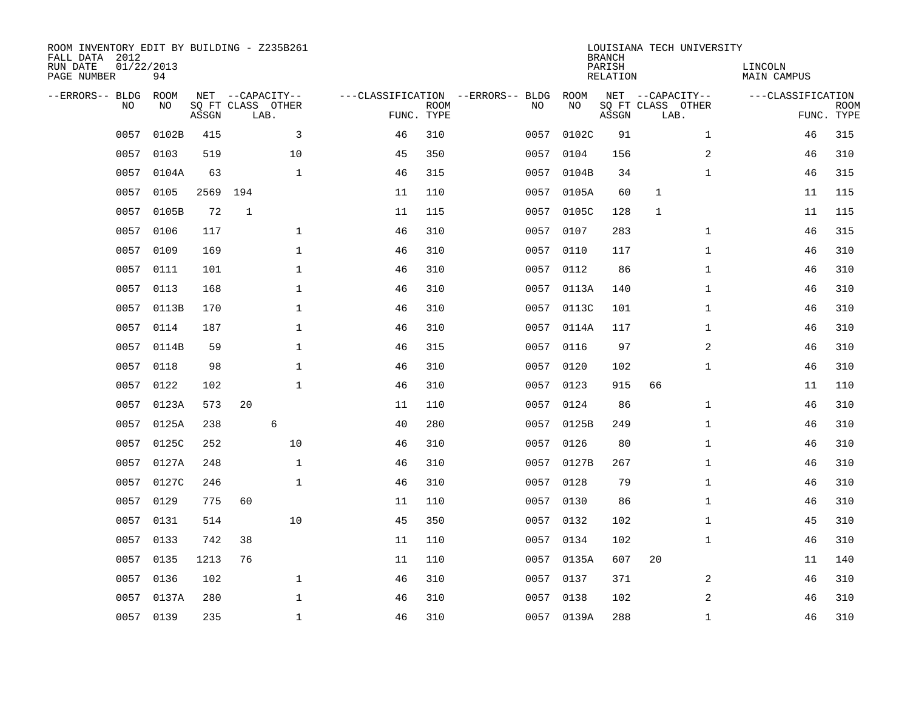| ROOM INVENTORY EDIT BY BUILDING - Z235B261<br>FALL DATA 2012<br>RUN DATE<br>PAGE NUMBER | 01/22/2013<br>94 |       |              |                                               |                                                 |             |      |            | <b>BRANCH</b><br>PARISH<br><b>RELATION</b> |                                               | LOUISIANA TECH UNIVERSITY | LINCOLN<br><b>MAIN CAMPUS</b> |                           |
|-----------------------------------------------------------------------------------------|------------------|-------|--------------|-----------------------------------------------|-------------------------------------------------|-------------|------|------------|--------------------------------------------|-----------------------------------------------|---------------------------|-------------------------------|---------------------------|
| --ERRORS-- BLDG<br>NO                                                                   | ROOM<br>NO       | ASSGN |              | NET --CAPACITY--<br>SQ FT CLASS OTHER<br>LAB. | ---CLASSIFICATION --ERRORS-- BLDG<br>FUNC. TYPE | <b>ROOM</b> | NO   | ROOM<br>NO | ASSGN                                      | NET --CAPACITY--<br>SQ FT CLASS OTHER<br>LAB. |                           | ---CLASSIFICATION             | <b>ROOM</b><br>FUNC. TYPE |
| 0057                                                                                    | 0102B            | 415   |              | 3                                             | 46                                              | 310         | 0057 | 0102C      | 91                                         |                                               | $\mathbf{1}$              | 46                            | 315                       |
| 0057                                                                                    | 0103             | 519   |              | 10                                            | 45                                              | 350         | 0057 | 0104       | 156                                        |                                               | 2                         | 46                            | 310                       |
| 0057                                                                                    | 0104A            | 63    |              | $\mathbf 1$                                   | 46                                              | 315         | 0057 | 0104B      | 34                                         |                                               | $\mathbf{1}$              | 46                            | 315                       |
| 0057                                                                                    | 0105             | 2569  | 194          |                                               | 11                                              | 110         |      | 0057 0105A | 60                                         | $\mathbf{1}$                                  |                           | 11                            | 115                       |
| 0057                                                                                    | 0105B            | 72    | $\mathbf{1}$ |                                               | 11                                              | 115         | 0057 | 0105C      | 128                                        | $\mathbf{1}$                                  |                           | 11                            | 115                       |
| 0057                                                                                    | 0106             | 117   |              | $\mathbf{1}$                                  | 46                                              | 310         | 0057 | 0107       | 283                                        |                                               | $\mathbf{1}$              | 46                            | 315                       |
| 0057                                                                                    | 0109             | 169   |              | $\mathbf{1}$                                  | 46                                              | 310         | 0057 | 0110       | 117                                        |                                               | $\mathbf{1}$              | 46                            | 310                       |
| 0057                                                                                    | 0111             | 101   |              | $\mathbf 1$                                   | 46                                              | 310         |      | 0057 0112  | 86                                         |                                               | $\mathbf{1}$              | 46                            | 310                       |
| 0057                                                                                    | 0113             | 168   |              | $\mathbf{1}$                                  | 46                                              | 310         | 0057 | 0113A      | 140                                        |                                               | $\mathbf{1}$              | 46                            | 310                       |
|                                                                                         | 0057 0113B       | 170   |              | $\mathbf 1$                                   | 46                                              | 310         |      | 0057 0113C | 101                                        |                                               | $\mathbf{1}$              | 46                            | 310                       |
| 0057                                                                                    | 0114             | 187   |              | $\mathbf{1}$                                  | 46                                              | 310         | 0057 | 0114A      | 117                                        |                                               | $\mathbf{1}$              | 46                            | 310                       |
| 0057                                                                                    | 0114B            | 59    |              | $\mathbf{1}$                                  | 46                                              | 315         |      | 0057 0116  | 97                                         |                                               | 2                         | 46                            | 310                       |
| 0057                                                                                    | 0118             | 98    |              | $\mathbf 1$                                   | 46                                              | 310         | 0057 | 0120       | 102                                        |                                               | $\mathbf{1}$              | 46                            | 310                       |
| 0057                                                                                    | 0122             | 102   |              | $\mathbf 1$                                   | 46                                              | 310         | 0057 | 0123       | 915                                        | 66                                            |                           | 11                            | 110                       |
| 0057                                                                                    | 0123A            | 573   | 20           |                                               | 11                                              | 110         | 0057 | 0124       | 86                                         |                                               | $\mathbf{1}$              | 46                            | 310                       |
| 0057                                                                                    | 0125A            | 238   |              | 6                                             | 40                                              | 280         | 0057 | 0125B      | 249                                        |                                               | $\mathbf{1}$              | 46                            | 310                       |
| 0057                                                                                    | 0125C            | 252   |              | 10                                            | 46                                              | 310         | 0057 | 0126       | 80                                         |                                               | $\mathbf{1}$              | 46                            | 310                       |
| 0057                                                                                    | 0127A            | 248   |              | $\mathbf{1}$                                  | 46                                              | 310         | 0057 | 0127B      | 267                                        |                                               | $\mathbf{1}$              | 46                            | 310                       |
| 0057                                                                                    | 0127C            | 246   |              | $\mathbf{1}$                                  | 46                                              | 310         |      | 0057 0128  | 79                                         |                                               | $\mathbf{1}$              | 46                            | 310                       |
| 0057                                                                                    | 0129             | 775   | 60           |                                               | 11                                              | 110         | 0057 | 0130       | 86                                         |                                               | $\mathbf{1}$              | 46                            | 310                       |
| 0057                                                                                    | 0131             | 514   |              | 10                                            | 45                                              | 350         |      | 0057 0132  | 102                                        |                                               | $\mathbf{1}$              | 45                            | 310                       |
| 0057                                                                                    | 0133             | 742   | 38           |                                               | 11                                              | 110         | 0057 | 0134       | 102                                        |                                               | $\mathbf{1}$              | 46                            | 310                       |
| 0057                                                                                    | 0135             | 1213  | 76           |                                               | 11                                              | 110         |      | 0057 0135A | 607                                        | 20                                            |                           | 11                            | 140                       |
| 0057                                                                                    | 0136             | 102   |              | $\mathbf{1}$                                  | 46                                              | 310         | 0057 | 0137       | 371                                        |                                               | 2                         | 46                            | 310                       |
| 0057                                                                                    | 0137A            | 280   |              | $\mathbf{1}$                                  | 46                                              | 310         |      | 0057 0138  | 102                                        |                                               | 2                         | 46                            | 310                       |
|                                                                                         | 0057 0139        | 235   |              | $\mathbf{1}$                                  | 46                                              | 310         |      | 0057 0139A | 288                                        |                                               | $\mathbf{1}$              | 46                            | 310                       |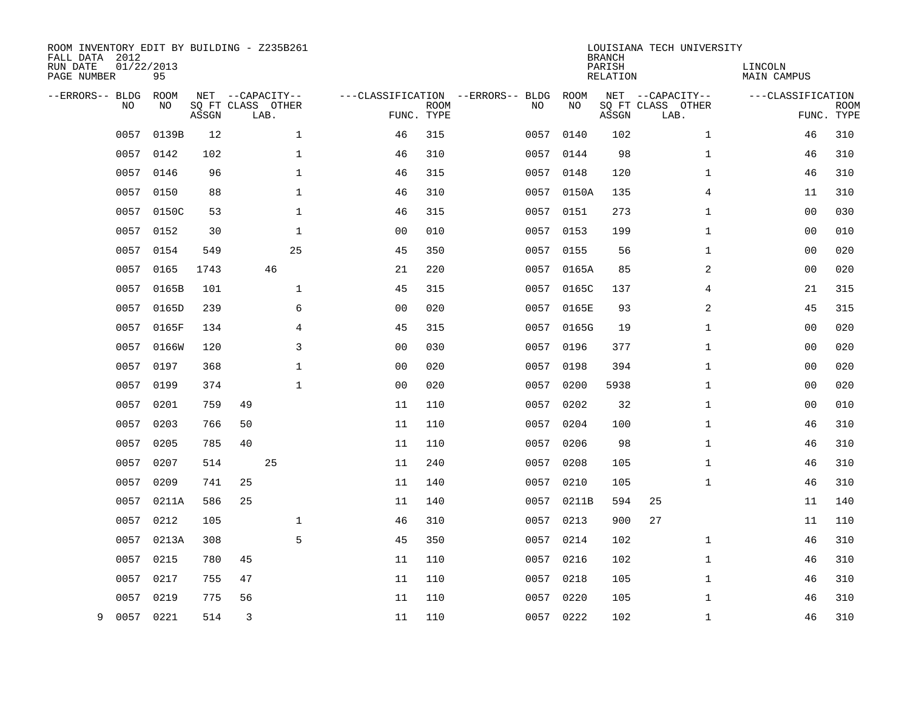| ROOM INVENTORY EDIT BY BUILDING - Z235B261<br>FALL DATA 2012<br>RUN DATE<br>PAGE NUMBER | 01/22/2013<br>95 |       |    |                                               |                                   |                           |           |            | <b>BRANCH</b><br>PARISH<br><b>RELATION</b> | LOUISIANA TECH UNIVERSITY                     | LINCOLN<br>MAIN CAMPUS |                           |
|-----------------------------------------------------------------------------------------|------------------|-------|----|-----------------------------------------------|-----------------------------------|---------------------------|-----------|------------|--------------------------------------------|-----------------------------------------------|------------------------|---------------------------|
| --ERRORS-- BLDG<br>NO                                                                   | ROOM<br>NO.      | ASSGN |    | NET --CAPACITY--<br>SO FT CLASS OTHER<br>LAB. | ---CLASSIFICATION --ERRORS-- BLDG | <b>ROOM</b><br>FUNC. TYPE | NO        | ROOM<br>NO | ASSGN                                      | NET --CAPACITY--<br>SO FT CLASS OTHER<br>LAB. | ---CLASSIFICATION      | <b>ROOM</b><br>FUNC. TYPE |
| 0057                                                                                    | 0139B            | 12    |    | $\mathbf 1$                                   | 46                                | 315                       | 0057      | 0140       | 102                                        | $\mathbf{1}$                                  | 46                     | 310                       |
| 0057                                                                                    | 0142             | 102   |    | 1                                             | 46                                | 310                       | 0057 0144 |            | 98                                         | $\mathbf{1}$                                  | 46                     | 310                       |
| 0057                                                                                    | 0146             | 96    |    | $\mathbf{1}$                                  | 46                                | 315                       | 0057      | 0148       | 120                                        | $\mathbf{1}$                                  | 46                     | 310                       |
| 0057                                                                                    | 0150             | 88    |    | $\mathbf 1$                                   | 46                                | 310                       |           | 0057 0150A | 135                                        | 4                                             | 11                     | 310                       |
| 0057                                                                                    | 0150C            | 53    |    | $\mathbf{1}$                                  | 46                                | 315                       | 0057      | 0151       | 273                                        | $\mathbf{1}$                                  | 0 <sub>0</sub>         | 030                       |
| 0057                                                                                    | 0152             | 30    |    | $\mathbf 1$                                   | 0 <sub>0</sub>                    | 010                       |           | 0057 0153  | 199                                        | $\mathbf{1}$                                  | 00                     | 010                       |
| 0057                                                                                    | 0154             | 549   |    | 25                                            | 45                                | 350                       | 0057      | 0155       | 56                                         | $\mathbf{1}$                                  | 0 <sub>0</sub>         | 020                       |
| 0057                                                                                    | 0165             | 1743  |    | 46                                            | 21                                | 220                       |           | 0057 0165A | 85                                         | 2                                             | 0 <sub>0</sub>         | 020                       |
| 0057                                                                                    | 0165B            | 101   |    | $\mathbf{1}$                                  | 45                                | 315                       | 0057      | 0165C      | 137                                        | $\overline{4}$                                | 21                     | 315                       |
| 0057                                                                                    | 0165D            | 239   |    | 6                                             | 0 <sub>0</sub>                    | 020                       |           | 0057 0165E | 93                                         | 2                                             | 45                     | 315                       |
| 0057                                                                                    | 0165F            | 134   |    | $\overline{4}$                                | 45                                | 315                       | 0057      | 0165G      | 19                                         | $\mathbf{1}$                                  | 0 <sub>0</sub>         | 020                       |
|                                                                                         | 0057 0166W       | 120   |    | 3                                             | 0 <sub>0</sub>                    | 030                       |           | 0057 0196  | 377                                        | $\mathbf{1}$                                  | 0 <sub>0</sub>         | 020                       |
| 0057                                                                                    | 0197             | 368   |    | $\mathbf{1}$                                  | 0 <sub>0</sub>                    | 020                       | 0057      | 0198       | 394                                        | $\mathbf{1}$                                  | 0 <sub>0</sub>         | 020                       |
| 0057                                                                                    | 0199             | 374   |    | $\mathbf{1}$                                  | 0 <sub>0</sub>                    | 020                       | 0057      | 0200       | 5938                                       | $\mathbf{1}$                                  | 0 <sub>0</sub>         | 020                       |
| 0057                                                                                    | 0201             | 759   | 49 |                                               | 11                                | 110                       | 0057      | 0202       | 32                                         | $\mathbf{1}$                                  | 0 <sub>0</sub>         | 010                       |
| 0057                                                                                    | 0203             | 766   | 50 |                                               | 11                                | 110                       |           | 0057 0204  | 100                                        | $\mathbf{1}$                                  | 46                     | 310                       |
| 0057                                                                                    | 0205             | 785   | 40 |                                               | 11                                | 110                       | 0057      | 0206       | 98                                         | $\mathbf{1}$                                  | 46                     | 310                       |
| 0057                                                                                    | 0207             | 514   |    | 25                                            | 11                                | 240                       |           | 0057 0208  | 105                                        | $\mathbf{1}$                                  | 46                     | 310                       |
| 0057                                                                                    | 0209             | 741   | 25 |                                               | 11                                | 140                       | 0057      | 0210       | 105                                        | $\mathbf{1}$                                  | 46                     | 310                       |
| 0057                                                                                    | 0211A            | 586   | 25 |                                               | 11                                | 140                       | 0057      | 0211B      | 594                                        | 25                                            | 11                     | 140                       |
| 0057                                                                                    | 0212             | 105   |    | $\mathbf 1$                                   | 46                                | 310                       | 0057      | 0213       | 900                                        | 27                                            | 11                     | 110                       |
| 0057                                                                                    | 0213A            | 308   |    | 5                                             | 45                                | 350                       | 0057      | 0214       | 102                                        | $\mathbf{1}$                                  | 46                     | 310                       |
| 0057                                                                                    | 0215             | 780   | 45 |                                               | 11                                | 110                       | 0057      | 0216       | 102                                        | $\mathbf{1}$                                  | 46                     | 310                       |
| 0057                                                                                    | 0217             | 755   | 47 |                                               | 11                                | 110                       | 0057      | 0218       | 105                                        | $\mathbf{1}$                                  | 46                     | 310                       |
| 0057                                                                                    | 0219             | 775   | 56 |                                               | 11                                | 110                       | 0057      | 0220       | 105                                        | $\mathbf{1}$                                  | 46                     | 310                       |
| 9                                                                                       | 0057 0221        | 514   | 3  |                                               | 11                                | 110                       | 0057 0222 |            | 102                                        | $\mathbf{1}$                                  | 46                     | 310                       |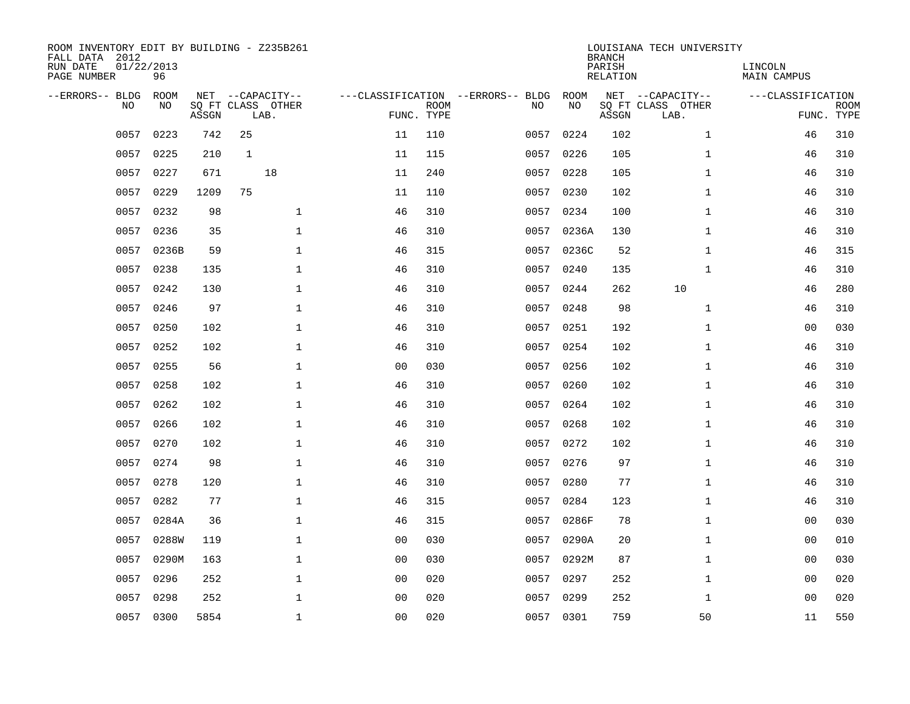| ROOM INVENTORY EDIT BY BUILDING - Z235B261<br>FALL DATA 2012<br>RUN DATE<br>PAGE NUMBER | 01/22/2013<br>96 |       |                           |                |                           |                                   |            | <b>BRANCH</b><br>PARISH<br>RELATION | LOUISIANA TECH UNIVERSITY | LINCOLN<br>MAIN CAMPUS |                           |
|-----------------------------------------------------------------------------------------|------------------|-------|---------------------------|----------------|---------------------------|-----------------------------------|------------|-------------------------------------|---------------------------|------------------------|---------------------------|
| --ERRORS-- BLDG                                                                         | ROOM             |       | NET --CAPACITY--          |                |                           | ---CLASSIFICATION --ERRORS-- BLDG | ROOM       |                                     | NET --CAPACITY--          | ---CLASSIFICATION      |                           |
| N <sub>O</sub>                                                                          | NO.              | ASSGN | SO FT CLASS OTHER<br>LAB. |                | <b>ROOM</b><br>FUNC. TYPE | NO.                               | NO         | ASSGN                               | SQ FT CLASS OTHER<br>LAB. |                        | <b>ROOM</b><br>FUNC. TYPE |
| 0057                                                                                    | 0223             | 742   | 25                        | 11             | 110                       | 0057                              | 0224       | 102                                 | $\mathbf{1}$              | 46                     | 310                       |
| 0057                                                                                    | 0225             | 210   | $\mathbf{1}$              | 11             | 115                       | 0057                              | 0226       | 105                                 | $\mathbf{1}$              | 46                     | 310                       |
| 0057                                                                                    | 0227             | 671   | 18                        | 11             | 240                       | 0057                              | 0228       | 105                                 | $\mathbf{1}$              | 46                     | 310                       |
| 0057                                                                                    | 0229             | 1209  | 75                        | 11             | 110                       | 0057                              | 0230       | 102                                 | $\mathbf{1}$              | 46                     | 310                       |
| 0057                                                                                    | 0232             | 98    | $\mathbf 1$               | 46             | 310                       | 0057                              | 0234       | 100                                 | $\mathbf{1}$              | 46                     | 310                       |
| 0057                                                                                    | 0236             | 35    | $\mathbf 1$               | 46             | 310                       | 0057                              | 0236A      | 130                                 | $\mathbf{1}$              | 46                     | 310                       |
| 0057                                                                                    | 0236B            | 59    | $\mathbf{1}$              | 46             | 315                       | 0057                              | 0236C      | 52                                  | $\mathbf{1}$              | 46                     | 315                       |
| 0057                                                                                    | 0238             | 135   | $\mathbf{1}$              | 46             | 310                       | 0057                              | 0240       | 135                                 | $\mathbf{1}$              | 46                     | 310                       |
| 0057                                                                                    | 0242             | 130   | $\mathbf{1}$              | 46             | 310                       | 0057                              | 0244       | 262                                 | 10                        | 46                     | 280                       |
|                                                                                         | 0057 0246        | 97    | $\mathbf 1$               | 46             | 310                       |                                   | 0057 0248  | 98                                  | $\mathbf{1}$              | 46                     | 310                       |
| 0057                                                                                    | 0250             | 102   | $\mathbf 1$               | 46             | 310                       | 0057                              | 0251       | 192                                 | $\mathbf{1}$              | 0 <sub>0</sub>         | 030                       |
|                                                                                         | 0057 0252        | 102   | $\mathbf{1}$              | 46             | 310                       |                                   | 0057 0254  | 102                                 | $\mathbf{1}$              | 46                     | 310                       |
| 0057                                                                                    | 0255             | 56    | $\mathbf{1}$              | 0 <sub>0</sub> | 030                       | 0057                              | 0256       | 102                                 | $\mathbf{1}$              | 46                     | 310                       |
| 0057                                                                                    | 0258             | 102   | $\mathbf{1}$              | 46             | 310                       | 0057                              | 0260       | 102                                 | $\mathbf{1}$              | 46                     | 310                       |
| 0057                                                                                    | 0262             | 102   | $\mathbf 1$               | 46             | 310                       | 0057                              | 0264       | 102                                 | $\mathbf{1}$              | 46                     | 310                       |
| 0057                                                                                    | 0266             | 102   | $\mathbf 1$               | 46             | 310                       | 0057                              | 0268       | 102                                 | $\mathbf{1}$              | 46                     | 310                       |
| 0057                                                                                    | 0270             | 102   | $\mathbf 1$               | 46             | 310                       | 0057                              | 0272       | 102                                 | $\mathbf{1}$              | 46                     | 310                       |
| 0057                                                                                    | 0274             | 98    | $\mathbf{1}$              | 46             | 310                       | 0057                              | 0276       | 97                                  | $\mathbf{1}$              | 46                     | 310                       |
| 0057                                                                                    | 0278             | 120   | $\mathbf{1}$              | 46             | 310                       | 0057                              | 0280       | 77                                  | $\mathbf{1}$              | 46                     | 310                       |
| 0057                                                                                    | 0282             | 77    | $\mathbf{1}$              | 46             | 315                       | 0057                              | 0284       | 123                                 | $\mathbf{1}$              | 46                     | 310                       |
| 0057                                                                                    | 0284A            | 36    | $\mathbf 1$               | 46             | 315                       |                                   | 0057 0286F | 78                                  | $\mathbf{1}$              | 00                     | 030                       |
| 0057                                                                                    | 0288W            | 119   | $\mathbf 1$               | 0 <sub>0</sub> | 030                       | 0057                              | 0290A      | 20                                  | $\mathbf{1}$              | 00                     | 010                       |
| 0057                                                                                    | 0290M            | 163   | $\mathbf 1$               | 0 <sub>0</sub> | 030                       | 0057                              | 0292M      | 87                                  | $\mathbf{1}$              | 00                     | 030                       |
| 0057                                                                                    | 0296             | 252   | $\mathbf 1$               | 0 <sub>0</sub> | 020                       | 0057                              | 0297       | 252                                 | $\mathbf{1}$              | 00                     | 020                       |
| 0057                                                                                    | 0298             | 252   | $\mathbf 1$               | 0 <sub>0</sub> | 020                       | 0057                              | 0299       | 252                                 | $\mathbf{1}$              | 00                     | 020                       |
| 0057                                                                                    | 0300             | 5854  | $\mathbf{1}$              | 0 <sub>0</sub> | 020                       |                                   | 0057 0301  | 759                                 | 50                        | 11                     | 550                       |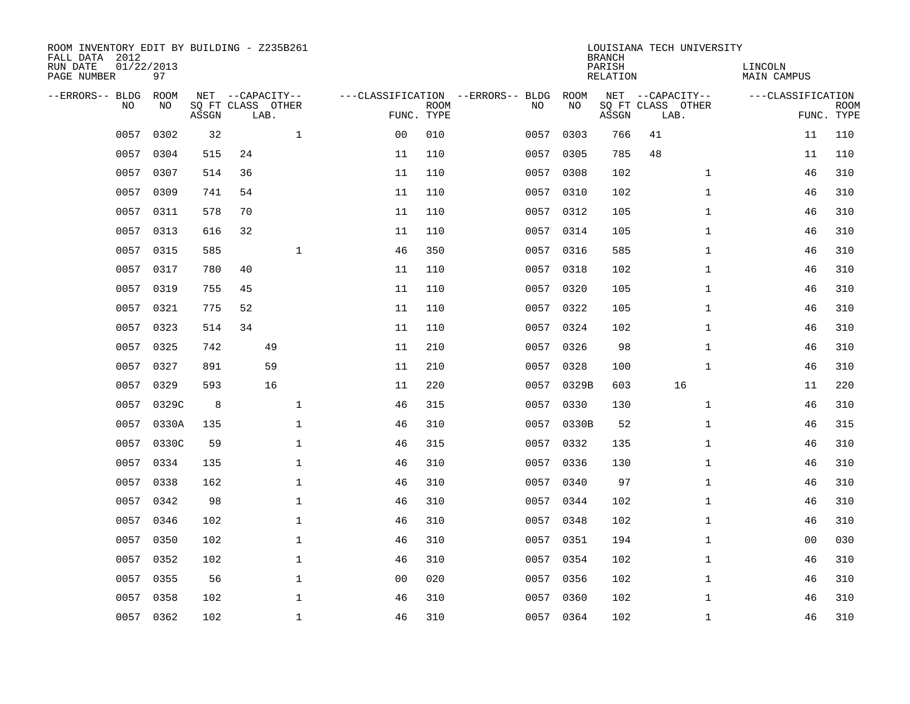| ROOM INVENTORY EDIT BY BUILDING - Z235B261<br>FALL DATA 2012<br>RUN DATE | 01/22/2013  |       |    |                                       |                |             |                                          |            | <b>BRANCH</b><br>PARISH | LOUISIANA TECH UNIVERSITY             | LINCOLN           |             |
|--------------------------------------------------------------------------|-------------|-------|----|---------------------------------------|----------------|-------------|------------------------------------------|------------|-------------------------|---------------------------------------|-------------------|-------------|
| PAGE NUMBER                                                              | 97          |       |    |                                       |                |             |                                          |            | RELATION                |                                       | MAIN CAMPUS       |             |
| --ERRORS-- BLDG<br>N <sub>O</sub>                                        | ROOM<br>NO. |       |    | NET --CAPACITY--<br>SO FT CLASS OTHER |                | <b>ROOM</b> | ---CLASSIFICATION --ERRORS-- BLDG<br>NO. | ROOM<br>NO |                         | NET --CAPACITY--<br>SQ FT CLASS OTHER | ---CLASSIFICATION | <b>ROOM</b> |
|                                                                          |             | ASSGN |    | LAB.                                  |                | FUNC. TYPE  |                                          |            | ASSGN                   | LAB.                                  |                   | FUNC. TYPE  |
| 0057                                                                     | 0302        | 32    |    | $\mathbf{1}$                          | 0 <sub>0</sub> | 010         | 0057                                     | 0303       | 766                     | 41                                    | 11                | 110         |
| 0057                                                                     | 0304        | 515   | 24 |                                       | 11             | 110         | 0057                                     | 0305       | 785                     | 48                                    | 11                | 110         |
| 0057                                                                     | 0307        | 514   | 36 |                                       | 11             | 110         | 0057                                     | 0308       | 102                     | $\mathbf{1}$                          | 46                | 310         |
| 0057                                                                     | 0309        | 741   | 54 |                                       | 11             | 110         | 0057                                     | 0310       | 102                     | $\mathbf{1}$                          | 46                | 310         |
| 0057                                                                     | 0311        | 578   | 70 |                                       | 11             | 110         | 0057                                     | 0312       | 105                     | $\mathbf{1}$                          | 46                | 310         |
| 0057                                                                     | 0313        | 616   | 32 |                                       | 11             | 110         |                                          | 0057 0314  | 105                     | $\mathbf{1}$                          | 46                | 310         |
| 0057                                                                     | 0315        | 585   |    | $\mathbf{1}$                          | 46             | 350         | 0057                                     | 0316       | 585                     | $\mathbf{1}$                          | 46                | 310         |
| 0057                                                                     | 0317        | 780   | 40 |                                       | 11             | 110         |                                          | 0057 0318  | 102                     | $\mathbf{1}$                          | 46                | 310         |
| 0057                                                                     | 0319        | 755   | 45 |                                       | 11             | 110         | 0057                                     | 0320       | 105                     | $\mathbf{1}$                          | 46                | 310         |
|                                                                          | 0057 0321   | 775   | 52 |                                       | 11             | 110         |                                          | 0057 0322  | 105                     | $\mathbf{1}$                          | 46                | 310         |
| 0057                                                                     | 0323        | 514   | 34 |                                       | 11             | 110         | 0057                                     | 0324       | 102                     | $\mathbf{1}$                          | 46                | 310         |
|                                                                          | 0057 0325   | 742   |    | 49                                    | 11             | 210         |                                          | 0057 0326  | 98                      | $\mathbf{1}$                          | 46                | 310         |
| 0057                                                                     | 0327        | 891   |    | 59                                    | 11             | 210         | 0057                                     | 0328       | 100                     | $\mathbf{1}$                          | 46                | 310         |
| 0057                                                                     | 0329        | 593   |    | 16                                    | 11             | 220         |                                          | 0057 0329B | 603                     | 16                                    | 11                | 220         |
| 0057                                                                     | 0329C       | 8     |    | $\mathbf{1}$                          | 46             | 315         | 0057                                     | 0330       | 130                     | $\mathbf{1}$                          | 46                | 310         |
| 0057                                                                     | 0330A       | 135   |    | $\mathbf 1$                           | 46             | 310         |                                          | 0057 0330B | 52                      | $\mathbf{1}$                          | 46                | 315         |
| 0057                                                                     | 0330C       | 59    |    | $\mathbf 1$                           | 46             | 315         | 0057                                     | 0332       | 135                     | $\mathbf{1}$                          | 46                | 310         |
| 0057                                                                     | 0334        | 135   |    | $\mathbf 1$                           | 46             | 310         | 0057                                     | 0336       | 130                     | $\mathbf{1}$                          | 46                | 310         |
| 0057                                                                     | 0338        | 162   |    | $\mathbf{1}$                          | 46             | 310         |                                          | 0057 0340  | 97                      | $\mathbf{1}$                          | 46                | 310         |
| 0057                                                                     | 0342        | 98    |    | $\mathbf{1}$                          | 46             | 310         | 0057                                     | 0344       | 102                     | $\mathbf{1}$                          | 46                | 310         |
| 0057                                                                     | 0346        | 102   |    | $\mathbf 1$                           | 46             | 310         |                                          | 0057 0348  | 102                     | $\mathbf{1}$                          | 46                | 310         |
| 0057                                                                     | 0350        | 102   |    | $\mathbf 1$                           | 46             | 310         | 0057                                     | 0351       | 194                     | $\mathbf{1}$                          | 00                | 030         |
| 0057                                                                     | 0352        | 102   |    | $\mathbf 1$                           | 46             | 310         |                                          | 0057 0354  | 102                     | $\mathbf{1}$                          | 46                | 310         |
| 0057                                                                     | 0355        | 56    |    | $\mathbf{1}$                          | 0 <sub>0</sub> | 020         | 0057                                     | 0356       | 102                     | $\mathbf{1}$                          | 46                | 310         |
| 0057                                                                     | 0358        | 102   |    | $\mathbf 1$                           | 46             | 310         |                                          | 0057 0360  | 102                     | $\mathbf{1}$                          | 46                | 310         |
|                                                                          | 0057 0362   | 102   |    | $\mathbf{1}$                          | 46             | 310         |                                          | 0057 0364  | 102                     | $\mathbf{1}$                          | 46                | 310         |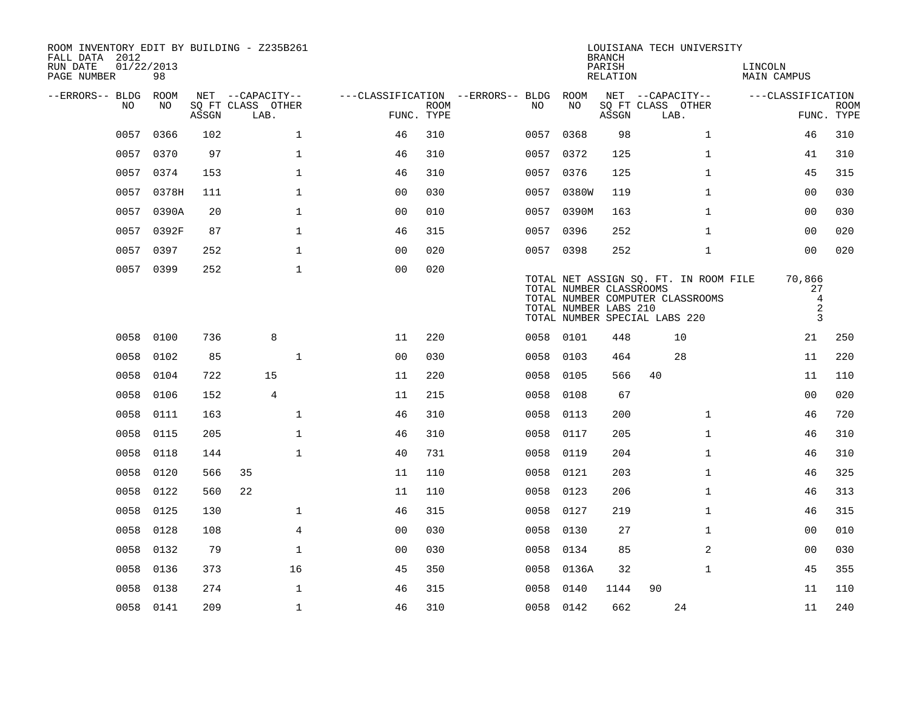| ROOM INVENTORY EDIT BY BUILDING - Z235B261<br>FALL DATA 2012<br>RUN DATE<br>PAGE NUMBER | 01/22/2013<br>98 |       |                                               |                                                      |             |           |                                                  | <b>BRANCH</b><br>PARISH<br><b>RELATION</b> | LOUISIANA TECH UNIVERSITY                                                                                  | LINCOLN<br><b>MAIN CAMPUS</b>                     |                           |
|-----------------------------------------------------------------------------------------|------------------|-------|-----------------------------------------------|------------------------------------------------------|-------------|-----------|--------------------------------------------------|--------------------------------------------|------------------------------------------------------------------------------------------------------------|---------------------------------------------------|---------------------------|
| --ERRORS-- BLDG<br>NO.                                                                  | ROOM<br>NO.      | ASSGN | NET --CAPACITY--<br>SQ FT CLASS OTHER<br>LAB. | ---CLASSIFICATION --ERRORS-- BLDG ROOM<br>FUNC. TYPE | <b>ROOM</b> | NO.       | NO                                               | ASSGN                                      | NET --CAPACITY--<br>SQ FT CLASS OTHER<br>LAB.                                                              | ---CLASSIFICATION                                 | <b>ROOM</b><br>FUNC. TYPE |
| 0057                                                                                    | 0366             | 102   | $\mathbf{1}$                                  | 46                                                   | 310         | 0057 0368 |                                                  | 98                                         | $\mathbf{1}$                                                                                               | 46                                                | 310                       |
| 0057                                                                                    | 0370             | 97    | $\mathbf{1}$                                  | 46                                                   | 310         | 0057      | 0372                                             | 125                                        | $\mathbf{1}$                                                                                               | 41                                                | 310                       |
| 0057                                                                                    | 0374             | 153   | $\mathbf 1$                                   | 46                                                   | 310         | 0057 0376 |                                                  | 125                                        | $\mathbf{1}$                                                                                               | 45                                                | 315                       |
| 0057                                                                                    | 0378H            | 111   | $\mathbf{1}$                                  | 0 <sub>0</sub>                                       | 030         | 0057      | 0380W                                            | 119                                        | $\mathbf{1}$                                                                                               | 0 <sub>0</sub>                                    | 030                       |
| 0057                                                                                    | 0390A            | 20    | $\mathbf 1$                                   | 0 <sub>0</sub>                                       | 010         |           | 0057 0390M                                       | 163                                        | $\mathbf{1}$                                                                                               | 00                                                | 030                       |
| 0057                                                                                    | 0392F            | 87    | $\mathbf 1$                                   | 46                                                   | 315         | 0057      | 0396                                             | 252                                        | $\mathbf{1}$                                                                                               | 0 <sub>0</sub>                                    | 020                       |
| 0057                                                                                    | 0397             | 252   | $\mathbf 1$                                   | 0 <sub>0</sub>                                       | 020         | 0057 0398 |                                                  | 252                                        | $\mathbf{1}$                                                                                               | 0 <sub>0</sub>                                    | 020                       |
| 0057                                                                                    | 0399             | 252   | $\mathbf 1$                                   | 0 <sub>0</sub>                                       | 020         |           | TOTAL NUMBER CLASSROOMS<br>TOTAL NUMBER LABS 210 |                                            | TOTAL NET ASSIGN SQ. FT. IN ROOM FILE<br>TOTAL NUMBER COMPUTER CLASSROOMS<br>TOTAL NUMBER SPECIAL LABS 220 | 70,866<br>27<br>$\overline{4}$<br>$\sqrt{2}$<br>3 |                           |
| 0058                                                                                    | 0100             | 736   | 8                                             | 11                                                   | 220         | 0058 0101 |                                                  | 448                                        | 10                                                                                                         | 21                                                | 250                       |
| 0058                                                                                    | 0102             | 85    | $\mathbf{1}$                                  | 0 <sub>0</sub>                                       | 030         | 0058      | 0103                                             | 464                                        | 28                                                                                                         | 11                                                | 220                       |
| 0058                                                                                    | 0104             | 722   | 15                                            | 11                                                   | 220         | 0058      | 0105                                             | 566                                        | 40                                                                                                         | 11                                                | 110                       |
| 0058                                                                                    | 0106             | 152   | $\overline{4}$                                | 11                                                   | 215         | 0058      | 0108                                             | 67                                         |                                                                                                            | 0 <sub>0</sub>                                    | 020                       |
| 0058                                                                                    | 0111             | 163   | $\mathbf{1}$                                  | 46                                                   | 310         | 0058      | 0113                                             | 200                                        | $\mathbf{1}$                                                                                               | 46                                                | 720                       |
| 0058                                                                                    | 0115             | 205   | $\mathbf{1}$                                  | 46                                                   | 310         | 0058      | 0117                                             | 205                                        | $\mathbf{1}$                                                                                               | 46                                                | 310                       |
| 0058                                                                                    | 0118             | 144   | $\mathbf{1}$                                  | 40                                                   | 731         | 0058      | 0119                                             | 204                                        | $\mathbf{1}$                                                                                               | 46                                                | 310                       |
| 0058                                                                                    | 0120             | 566   | 35                                            | 11                                                   | 110         | 0058 0121 |                                                  | 203                                        | $\mathbf{1}$                                                                                               | 46                                                | 325                       |
| 0058                                                                                    | 0122             | 560   | 22                                            | 11                                                   | 110         | 0058      | 0123                                             | 206                                        | $\mathbf{1}$                                                                                               | 46                                                | 313                       |
| 0058                                                                                    | 0125             | 130   | 1                                             | 46                                                   | 315         | 0058      | 0127                                             | 219                                        | $\mathbf{1}$                                                                                               | 46                                                | 315                       |
| 0058                                                                                    | 0128             | 108   | $\overline{4}$                                | 00                                                   | 030         | 0058      | 0130                                             | 27                                         | $\mathbf{1}$                                                                                               | 00                                                | 010                       |
| 0058                                                                                    | 0132             | 79    | $\mathbf{1}$                                  | 0 <sub>0</sub>                                       | 030         | 0058      | 0134                                             | 85                                         | $\overline{a}$                                                                                             | 0 <sub>0</sub>                                    | 030                       |
| 0058                                                                                    | 0136             | 373   | 16                                            | 45                                                   | 350         | 0058      | 0136A                                            | 32                                         | $\mathbf{1}$                                                                                               | 45                                                | 355                       |
| 0058                                                                                    | 0138             | 274   | 1                                             | 46                                                   | 315         | 0058      | 0140                                             | 1144                                       | 90                                                                                                         | 11                                                | 110                       |
|                                                                                         | 0058 0141        | 209   | $\mathbf{1}$                                  | 46                                                   | 310         | 0058 0142 |                                                  | 662                                        | 24                                                                                                         | 11                                                | 240                       |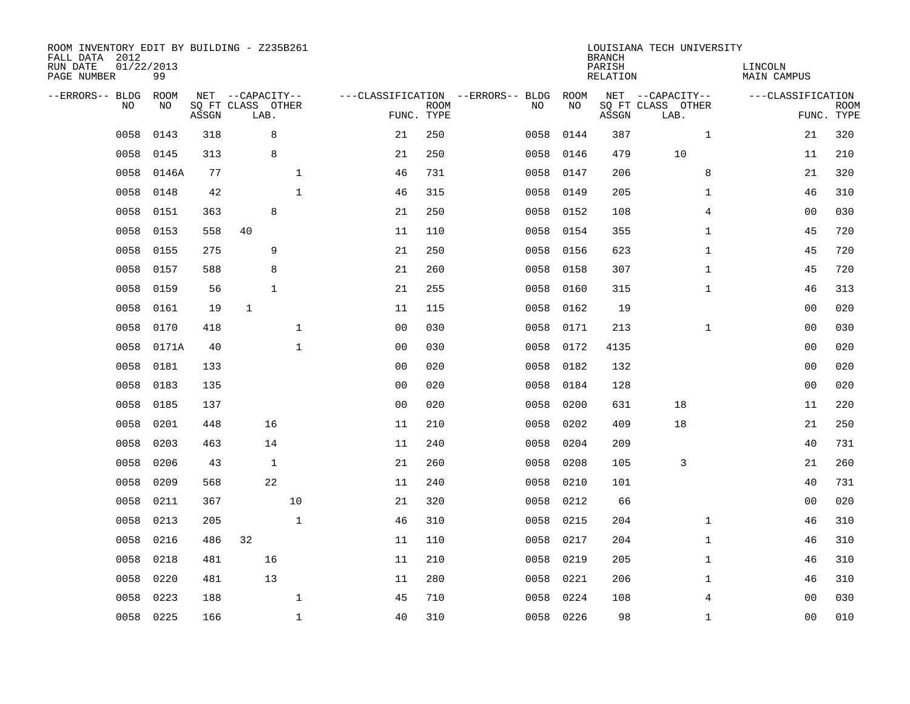| ROOM INVENTORY EDIT BY BUILDING - Z235B261<br>FALL DATA 2012<br>RUN DATE<br>PAGE NUMBER | 01/22/2013<br>99 |       |                                               |              |                |                           |                                         |            | <b>BRANCH</b><br>PARISH<br><b>RELATION</b> | LOUISIANA TECH UNIVERSITY                     | LINCOLN<br><b>MAIN CAMPUS</b> |                           |
|-----------------------------------------------------------------------------------------|------------------|-------|-----------------------------------------------|--------------|----------------|---------------------------|-----------------------------------------|------------|--------------------------------------------|-----------------------------------------------|-------------------------------|---------------------------|
| --ERRORS-- BLDG<br>NO                                                                   | ROOM<br>NO       | ASSGN | NET --CAPACITY--<br>SQ FT CLASS OTHER<br>LAB. |              |                | <b>ROOM</b><br>FUNC. TYPE | ---CLASSIFICATION --ERRORS-- BLDG<br>NO | ROOM<br>NO | ASSGN                                      | NET --CAPACITY--<br>SQ FT CLASS OTHER<br>LAB. | ---CLASSIFICATION             | <b>ROOM</b><br>FUNC. TYPE |
| 0058                                                                                    | 0143             | 318   | 8                                             |              | 21             | 250                       | 0058                                    | 0144       | 387                                        | $\mathbf{1}$                                  | 21                            | 320                       |
| 0058                                                                                    | 0145             | 313   | 8                                             |              | 21             | 250                       | 0058                                    | 0146       | 479                                        | 10                                            | 11                            | 210                       |
| 0058                                                                                    | 0146A            | 77    |                                               | $\mathbf 1$  | 46             | 731                       | 0058                                    | 0147       | 206                                        | 8                                             | 21                            | 320                       |
| 0058                                                                                    | 0148             | 42    |                                               | $\mathbf{1}$ | 46             | 315                       | 0058                                    | 0149       | 205                                        | $\mathbf{1}$                                  | 46                            | 310                       |
| 0058                                                                                    | 0151             | 363   | 8                                             |              | 21             | 250                       | 0058                                    | 0152       | 108                                        | $\overline{4}$                                | 0 <sub>0</sub>                | 030                       |
| 0058                                                                                    | 0153             | 558   | 40                                            |              | 11             | 110                       | 0058                                    | 0154       | 355                                        | $\mathbf{1}$                                  | 45                            | 720                       |
| 0058                                                                                    | 0155             | 275   | 9                                             |              | 21             | 250                       | 0058                                    | 0156       | 623                                        | $\mathbf{1}$                                  | 45                            | 720                       |
| 0058                                                                                    | 0157             | 588   | 8                                             |              | 21             | 260                       | 0058                                    | 0158       | 307                                        | $\mathbf{1}$                                  | 45                            | 720                       |
| 0058                                                                                    | 0159             | 56    | $\mathbf{1}$                                  |              | 21             | 255                       | 0058                                    | 0160       | 315                                        | $\mathbf{1}$                                  | 46                            | 313                       |
| 0058                                                                                    | 0161             | 19    | $\mathbf{1}$                                  |              | 11             | 115                       | 0058                                    | 0162       | 19                                         |                                               | 0 <sub>0</sub>                | 020                       |
| 0058                                                                                    | 0170             | 418   |                                               | $\mathbf{1}$ | 0 <sub>0</sub> | 030                       | 0058                                    | 0171       | 213                                        | $\mathbf{1}$                                  | 00                            | 030                       |
| 0058                                                                                    | 0171A            | 40    |                                               | $\mathbf{1}$ | 0 <sub>0</sub> | 030                       | 0058                                    | 0172       | 4135                                       |                                               | 0 <sub>0</sub>                | 020                       |
| 0058                                                                                    | 0181             | 133   |                                               |              | 0 <sub>0</sub> | 020                       | 0058                                    | 0182       | 132                                        |                                               | 0 <sub>0</sub>                | 020                       |
| 0058                                                                                    | 0183             | 135   |                                               |              | 0 <sub>0</sub> | 020                       | 0058                                    | 0184       | 128                                        |                                               | 0 <sub>0</sub>                | 020                       |
| 0058                                                                                    | 0185             | 137   |                                               |              | 0 <sub>0</sub> | 020                       | 0058                                    | 0200       | 631                                        | 18                                            | 11                            | 220                       |
| 0058                                                                                    | 0201             | 448   | 16                                            |              | 11             | 210                       | 0058                                    | 0202       | 409                                        | 18                                            | 21                            | 250                       |
| 0058                                                                                    | 0203             | 463   | 14                                            |              | 11             | 240                       | 0058                                    | 0204       | 209                                        |                                               | 40                            | 731                       |
| 0058                                                                                    | 0206             | 43    | $\mathbf{1}$                                  |              | 21             | 260                       | 0058                                    | 0208       | 105                                        | 3                                             | 21                            | 260                       |
| 0058                                                                                    | 0209             | 568   | 22                                            |              | 11             | 240                       | 0058                                    | 0210       | 101                                        |                                               | 40                            | 731                       |
| 0058                                                                                    | 0211             | 367   |                                               | 10           | 21             | 320                       | 0058                                    | 0212       | 66                                         |                                               | 00                            | 020                       |
| 0058                                                                                    | 0213             | 205   |                                               | $\mathbf 1$  | 46             | 310                       | 0058                                    | 0215       | 204                                        | $\mathbf{1}$                                  | 46                            | 310                       |
| 0058                                                                                    | 0216             | 486   | 32                                            |              | 11             | 110                       | 0058                                    | 0217       | 204                                        | $\mathbf{1}$                                  | 46                            | 310                       |
| 0058                                                                                    | 0218             | 481   | 16                                            |              | 11             | 210                       | 0058                                    | 0219       | 205                                        | $\mathbf{1}$                                  | 46                            | 310                       |
| 0058                                                                                    | 0220             | 481   | 13                                            |              | 11             | 280                       | 0058                                    | 0221       | 206                                        | $\mathbf{1}$                                  | 46                            | 310                       |
| 0058                                                                                    | 0223             | 188   |                                               | $\mathbf 1$  | 45             | 710                       | 0058                                    | 0224       | 108                                        | 4                                             | 00                            | 030                       |
| 0058                                                                                    | 0225             | 166   |                                               | $\mathbf{1}$ | 40             | 310                       |                                         | 0058 0226  | 98                                         | $\mathbf{1}$                                  | 0 <sub>0</sub>                | 010                       |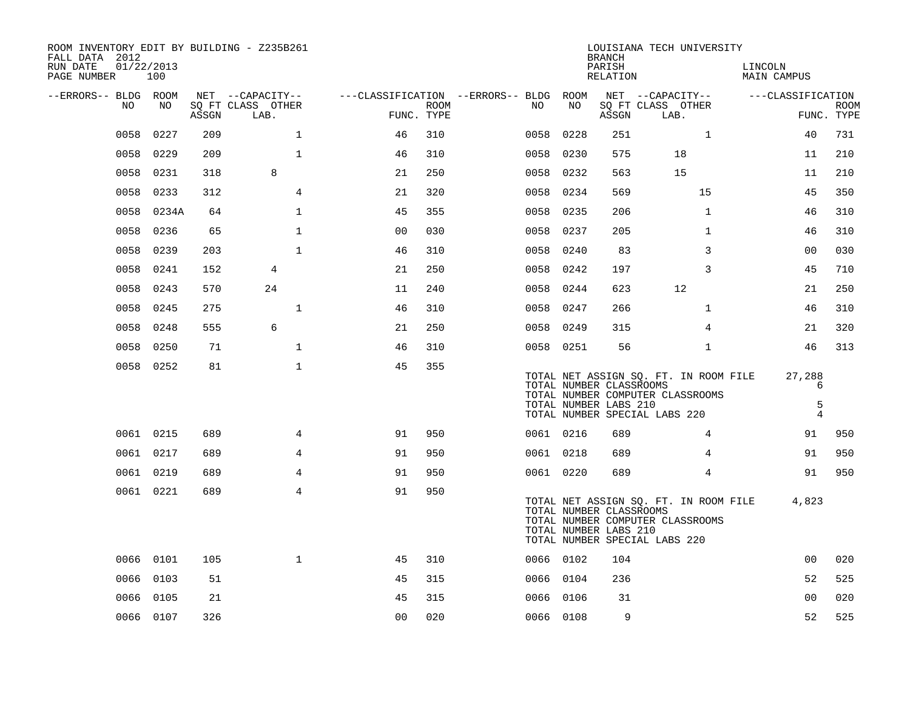| ROOM INVENTORY EDIT BY BUILDING - Z235B261<br>FALL DATA 2012 |           |       |                           |                                        |             |           |      | <b>BRANCH</b>                                    | LOUISIANA TECH UNIVERSITY                                                                                  |                                    |                           |
|--------------------------------------------------------------|-----------|-------|---------------------------|----------------------------------------|-------------|-----------|------|--------------------------------------------------|------------------------------------------------------------------------------------------------------------|------------------------------------|---------------------------|
| 01/22/2013<br>RUN DATE<br>PAGE NUMBER                        | 100       |       |                           |                                        |             |           |      | PARISH<br>RELATION                               |                                                                                                            | LINCOLN<br>MAIN CAMPUS             |                           |
| --ERRORS-- BLDG ROOM                                         |           |       | NET --CAPACITY--          | ---CLASSIFICATION --ERRORS-- BLDG ROOM |             |           |      |                                                  | NET --CAPACITY--                                                                                           | ---CLASSIFICATION                  |                           |
| NO.                                                          | NO.       | ASSGN | SQ FT CLASS OTHER<br>LAB. | FUNC. TYPE                             | <b>ROOM</b> | NO.       | NO   | ASSGN                                            | SQ FT CLASS OTHER<br>LAB.                                                                                  |                                    | <b>ROOM</b><br>FUNC. TYPE |
| 0058                                                         | 0227      | 209   | $\mathbf{1}$              | 46                                     | 310         | 0058      | 0228 | 251                                              | $\mathbf{1}$                                                                                               | 40                                 | 731                       |
|                                                              | 0058 0229 | 209   | $\mathbf{1}$              | 46                                     | 310         | 0058 0230 |      | 575                                              | 18                                                                                                         | 11                                 | 210                       |
|                                                              | 0058 0231 | 318   | 8                         | 21                                     | 250         | 0058 0232 |      | 563                                              | 15                                                                                                         | 11                                 | 210                       |
| 0058                                                         | 0233      | 312   | 4                         | 21                                     | 320         | 0058 0234 |      | 569                                              | 15                                                                                                         | 45                                 | 350                       |
| 0058                                                         | 0234A     | 64    | $\mathbf{1}$              | 45                                     | 355         | 0058      | 0235 | 206                                              | $\mathbf{1}$                                                                                               | 46                                 | 310                       |
| 0058                                                         | 0236      | 65    | $\mathbf{1}$              | 0 <sub>0</sub>                         | 030         | 0058 0237 |      | 205                                              | $\mathbf{1}$                                                                                               | 46                                 | 310                       |
| 0058                                                         | 0239      | 203   | $\mathbf{1}$              | 46                                     | 310         | 0058      | 0240 | 83                                               | 3                                                                                                          | 0 <sub>0</sub>                     | 030                       |
| 0058                                                         | 0241      | 152   | 4                         | 21                                     | 250         | 0058 0242 |      | 197                                              | 3                                                                                                          | 45                                 | 710                       |
| 0058                                                         | 0243      | 570   | 24                        | 11                                     | 240         | 0058      | 0244 | 623                                              | 12                                                                                                         | 21                                 | 250                       |
| 0058                                                         | 0245      | 275   | $\mathbf{1}$              | 46                                     | 310         | 0058 0247 |      | 266                                              | $\mathbf{1}$                                                                                               | 46                                 | 310                       |
|                                                              | 0058 0248 | 555   | $6\overline{6}$           | 21                                     | 250         | 0058 0249 |      | 315                                              | $\overline{4}$                                                                                             | 21                                 | 320                       |
|                                                              | 0058 0250 | 71    | $\mathbf 1$               | 46                                     | 310         | 0058 0251 |      | 56                                               | $\mathbf{1}$                                                                                               | 46                                 | 313                       |
|                                                              | 0058 0252 | 81    | $\mathbf{1}$              | 45                                     | 355         |           |      | TOTAL NUMBER CLASSROOMS<br>TOTAL NUMBER LABS 210 | TOTAL NET ASSIGN SQ. FT. IN ROOM FILE<br>TOTAL NUMBER COMPUTER CLASSROOMS<br>TOTAL NUMBER SPECIAL LABS 220 | 27,288<br>6<br>5<br>$\overline{4}$ |                           |
|                                                              | 0061 0215 | 689   | 4                         | 91                                     | 950         | 0061 0216 |      | 689                                              | 4                                                                                                          | 91                                 | 950                       |
|                                                              | 0061 0217 | 689   | $\overline{4}$            | 91                                     | 950         | 0061 0218 |      | 689                                              | $\overline{4}$                                                                                             | 91                                 | 950                       |
|                                                              | 0061 0219 | 689   | 4                         | 91                                     | 950         | 0061 0220 |      | 689                                              | $\overline{4}$                                                                                             | 91                                 | 950                       |
|                                                              | 0061 0221 | 689   | $\overline{4}$            | 91                                     | 950         |           |      | TOTAL NUMBER CLASSROOMS<br>TOTAL NUMBER LABS 210 | TOTAL NET ASSIGN SQ. FT. IN ROOM FILE<br>TOTAL NUMBER COMPUTER CLASSROOMS<br>TOTAL NUMBER SPECIAL LABS 220 | 4,823                              |                           |
|                                                              | 0066 0101 | 105   | $\mathbf{1}$              | 45                                     | 310         | 0066 0102 |      | 104                                              |                                                                                                            | 00                                 | 020                       |
|                                                              | 0066 0103 | 51    |                           | 45                                     | 315         | 0066 0104 |      | 236                                              |                                                                                                            | 52                                 | 525                       |
|                                                              | 0066 0105 | 21    |                           | 45                                     | 315         | 0066 0106 |      | 31                                               |                                                                                                            | 0 <sub>0</sub>                     | 020                       |
|                                                              | 0066 0107 | 326   |                           | 0 <sub>0</sub>                         | 020         | 0066 0108 |      | 9                                                |                                                                                                            | 52                                 | 525                       |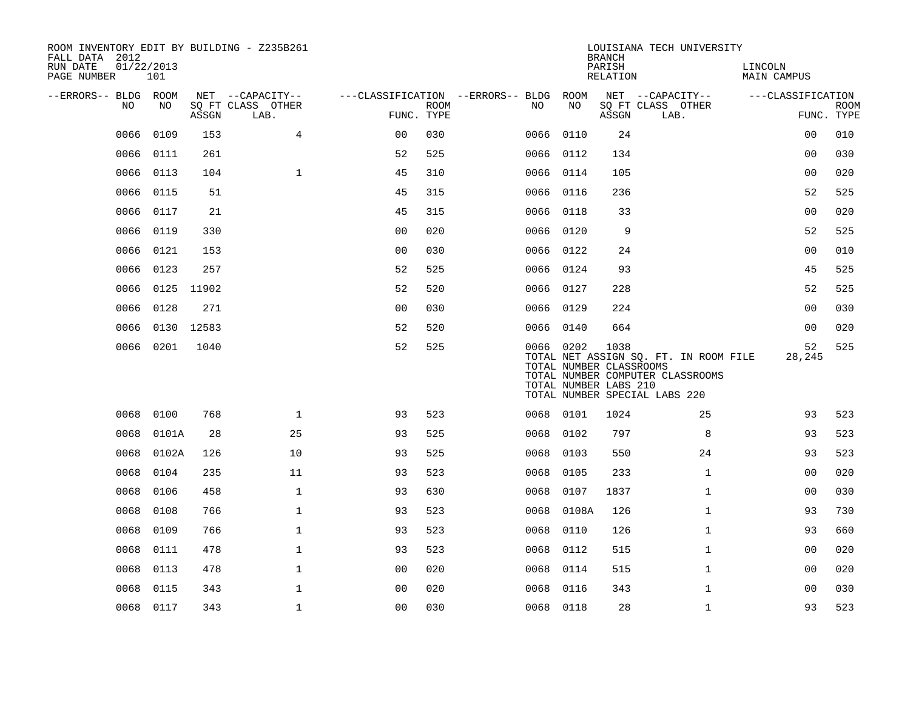| FALL DATA 2012<br>RUN DATE<br>PAGE NUMBER | 01/22/2013 | 101        |       | ROOM INVENTORY EDIT BY BUILDING - Z235B261    |                |             |                                               |           |       | <b>BRANCH</b><br>PARISH<br>RELATION                      | LOUISIANA TECH UNIVERSITY                                                                                  | LINCOLN<br><b>MAIN CAMPUS</b> |                           |
|-------------------------------------------|------------|------------|-------|-----------------------------------------------|----------------|-------------|-----------------------------------------------|-----------|-------|----------------------------------------------------------|------------------------------------------------------------------------------------------------------------|-------------------------------|---------------------------|
| --ERRORS-- BLDG ROOM                      | NO.        | NO         | ASSGN | NET --CAPACITY--<br>SQ FT CLASS OTHER<br>LAB. | FUNC. TYPE     | <b>ROOM</b> | ---CLASSIFICATION --ERRORS-- BLDG ROOM<br>NO. |           | NO    | ASSGN                                                    | NET --CAPACITY--<br>SQ FT CLASS OTHER<br>LAB.                                                              | ---CLASSIFICATION             | <b>ROOM</b><br>FUNC. TYPE |
|                                           | 0066       | 0109       | 153   | $\overline{4}$                                | 0 <sub>0</sub> | 030         |                                               | 0066 0110 |       | 24                                                       |                                                                                                            | 00                            | 010                       |
|                                           | 0066       | 0111       | 261   |                                               | 52             | 525         |                                               | 0066 0112 |       | 134                                                      |                                                                                                            | 0 <sub>0</sub>                | 030                       |
|                                           | 0066       | 0113       | 104   | $\mathbf{1}$                                  | 45             | 310         |                                               | 0066 0114 |       | 105                                                      |                                                                                                            | 0 <sub>0</sub>                | 020                       |
|                                           | 0066       | 0115       | 51    |                                               | 45             | 315         | 0066                                          |           | 0116  | 236                                                      |                                                                                                            | 52                            | 525                       |
|                                           | 0066       | 0117       | 21    |                                               | 45             | 315         |                                               | 0066 0118 |       | 33                                                       |                                                                                                            | 0 <sub>0</sub>                | 020                       |
|                                           | 0066       | 0119       | 330   |                                               | 0 <sub>0</sub> | 020         |                                               | 0066 0120 |       | 9                                                        |                                                                                                            | 52                            | 525                       |
|                                           | 0066       | 0121       | 153   |                                               | 0 <sub>0</sub> | 030         |                                               | 0066 0122 |       | 24                                                       |                                                                                                            | 0 <sub>0</sub>                | 010                       |
|                                           | 0066       | 0123       | 257   |                                               | 52             | 525         |                                               | 0066 0124 |       | 93                                                       |                                                                                                            | 45                            | 525                       |
|                                           | 0066       | 0125 11902 |       |                                               | 52             | 520         |                                               | 0066 0127 |       | 228                                                      |                                                                                                            | 52                            | 525                       |
|                                           | 0066       | 0128       | 271   |                                               | 0 <sub>0</sub> | 030         |                                               | 0066 0129 |       | 224                                                      |                                                                                                            | 00                            | 030                       |
|                                           | 0066       | 0130 12583 |       |                                               | 52             | 520         |                                               | 0066 0140 |       | 664                                                      |                                                                                                            | 0 <sub>0</sub>                | 020                       |
|                                           | 0066       | 0201       | 1040  |                                               | 52             | 525         |                                               | 0066 0202 |       | 1038<br>TOTAL NUMBER CLASSROOMS<br>TOTAL NUMBER LABS 210 | TOTAL NET ASSIGN SQ. FT. IN ROOM FILE<br>TOTAL NUMBER COMPUTER CLASSROOMS<br>TOTAL NUMBER SPECIAL LABS 220 | 52<br>28,245                  | 525                       |
|                                           | 0068       | 0100       | 768   | $\mathbf{1}$                                  | 93             | 523         |                                               | 0068 0101 |       | 1024                                                     | 25                                                                                                         | 93                            | 523                       |
|                                           | 0068       | 0101A      | 28    | 25                                            | 93             | 525         |                                               | 0068 0102 |       | 797                                                      | 8                                                                                                          | 93                            | 523                       |
|                                           | 0068       | 0102A      | 126   | 10                                            | 93             | 525         | 0068                                          |           | 0103  | 550                                                      | 24                                                                                                         | 93                            | 523                       |
|                                           | 0068       | 0104       | 235   | 11                                            | 93             | 523         | 0068                                          |           | 0105  | 233                                                      | $\mathbf{1}$                                                                                               | 0 <sub>0</sub>                | 020                       |
|                                           | 0068       | 0106       | 458   | $\mathbf{1}$                                  | 93             | 630         | 0068                                          |           | 0107  | 1837                                                     | $\mathbf{1}$                                                                                               | 00                            | 030                       |
|                                           | 0068       | 0108       | 766   | $\mathbf 1$                                   | 93             | 523         | 0068                                          |           | 0108A | 126                                                      | $\mathbf{1}$                                                                                               | 93                            | 730                       |
|                                           | 0068       | 0109       | 766   | $\mathbf 1$                                   | 93             | 523         | 0068                                          |           | 0110  | 126                                                      | $\mathbf{1}$                                                                                               | 93                            | 660                       |
|                                           | 0068       | 0111       | 478   | $\mathbf{1}$                                  | 93             | 523         | 0068                                          |           | 0112  | 515                                                      | $\mathbf{1}$                                                                                               | 0 <sub>0</sub>                | 020                       |
|                                           | 0068       | 0113       | 478   | $\mathbf 1$                                   | 0 <sub>0</sub> | 020         | 0068                                          |           | 0114  | 515                                                      | $\mathbf{1}$                                                                                               | 00                            | 020                       |
|                                           | 0068       | 0115       | 343   | $\mathbf 1$                                   | 0 <sub>0</sub> | 020         | 0068                                          |           | 0116  | 343                                                      | $\mathbf{1}$                                                                                               | 00                            | 030                       |
|                                           | 0068 0117  |            | 343   | $\mathbf{1}$                                  | 0 <sub>0</sub> | 030         |                                               | 0068 0118 |       | 28                                                       | $\mathbf{1}$                                                                                               | 93                            | 523                       |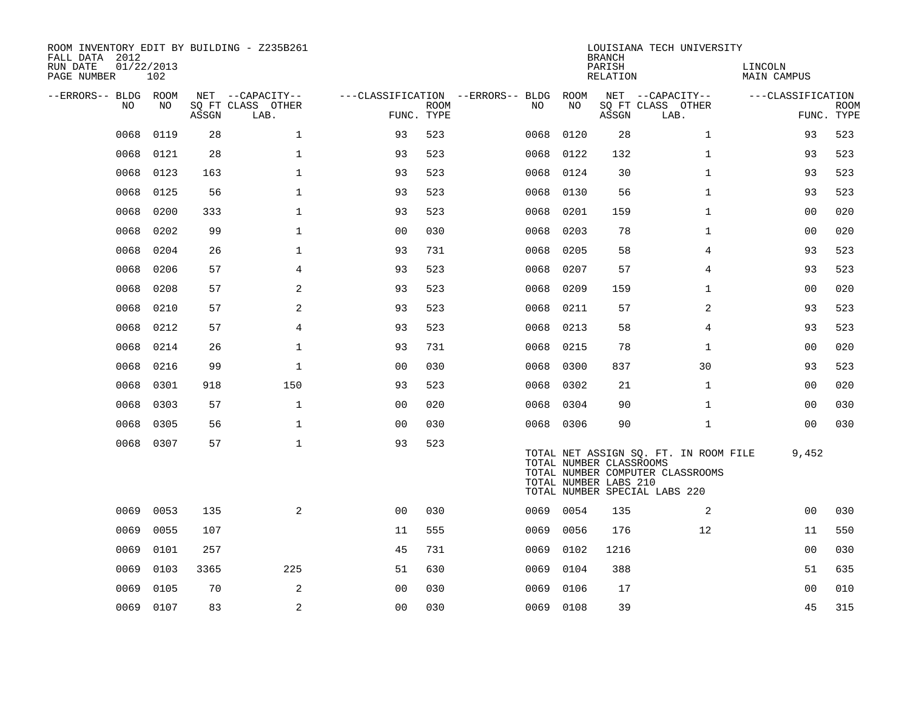| ROOM INVENTORY EDIT BY BUILDING - Z235B261<br>FALL DATA 2012<br>RUN DATE<br>PAGE NUMBER | 01/22/2013<br>102 |       |                                               |                |             |                                          |            | <b>BRANCH</b><br>PARISH<br>RELATION              | LOUISIANA TECH UNIVERSITY                                                                                  | LINCOLN<br><b>MAIN CAMPUS</b> |                           |
|-----------------------------------------------------------------------------------------|-------------------|-------|-----------------------------------------------|----------------|-------------|------------------------------------------|------------|--------------------------------------------------|------------------------------------------------------------------------------------------------------------|-------------------------------|---------------------------|
| --ERRORS-- BLDG ROOM<br>NO                                                              | NO                | ASSGN | NET --CAPACITY--<br>SQ FT CLASS OTHER<br>LAB. | FUNC. TYPE     | <b>ROOM</b> | ---CLASSIFICATION --ERRORS-- BLDG<br>NO. | ROOM<br>NO | ASSGN                                            | NET --CAPACITY--<br>SQ FT CLASS OTHER<br>LAB.                                                              | ---CLASSIFICATION             | <b>ROOM</b><br>FUNC. TYPE |
| 0068                                                                                    | 0119              | 28    | $\mathbf 1$                                   | 93             | 523         | 0068                                     | 0120       | 28                                               | $\mathbf{1}$                                                                                               | 93                            | 523                       |
| 0068                                                                                    | 0121              | 28    | $\mathbf{1}$                                  | 93             | 523         | 0068                                     | 0122       | 132                                              | $\mathbf{1}$                                                                                               | 93                            | 523                       |
| 0068                                                                                    | 0123              | 163   | $\mathbf 1$                                   | 93             | 523         | 0068                                     | 0124       | 30                                               | $\mathbf{1}$                                                                                               | 93                            | 523                       |
| 0068                                                                                    | 0125              | 56    | $\mathbf{1}$                                  | 93             | 523         | 0068                                     | 0130       | 56                                               | $\mathbf{1}$                                                                                               | 93                            | 523                       |
| 0068                                                                                    | 0200              | 333   | $\mathbf 1$                                   | 93             | 523         | 0068                                     | 0201       | 159                                              | $\mathbf{1}$                                                                                               | 00                            | 020                       |
| 0068                                                                                    | 0202              | 99    | $\mathbf{1}$                                  | 0 <sub>0</sub> | 030         | 0068                                     | 0203       | 78                                               | $\mathbf{1}$                                                                                               | 0 <sub>0</sub>                | 020                       |
| 0068                                                                                    | 0204              | 26    | $\mathbf 1$                                   | 93             | 731         | 0068                                     | 0205       | 58                                               | 4                                                                                                          | 93                            | 523                       |
| 0068                                                                                    | 0206              | 57    | $\overline{4}$                                | 93             | 523         | 0068                                     | 0207       | 57                                               | 4                                                                                                          | 93                            | 523                       |
| 0068                                                                                    | 0208              | 57    | 2                                             | 93             | 523         | 0068                                     | 0209       | 159                                              | $\mathbf{1}$                                                                                               | 00                            | 020                       |
| 0068                                                                                    | 0210              | 57    | 2                                             | 93             | 523         | 0068                                     | 0211       | 57                                               | 2                                                                                                          | 93                            | 523                       |
| 0068                                                                                    | 0212              | 57    | $\overline{4}$                                | 93             | 523         | 0068                                     | 0213       | 58                                               | $\overline{4}$                                                                                             | 93                            | 523                       |
| 0068                                                                                    | 0214              | 26    | $\mathbf{1}$                                  | 93             | 731         | 0068                                     | 0215       | 78                                               | $\mathbf{1}$                                                                                               | 0 <sub>0</sub>                | 020                       |
| 0068                                                                                    | 0216              | 99    | $\mathbf{1}$                                  | 0 <sub>0</sub> | 030         | 0068                                     | 0300       | 837                                              | 30                                                                                                         | 93                            | 523                       |
| 0068                                                                                    | 0301              | 918   | 150                                           | 93             | 523         | 0068                                     | 0302       | 21                                               | $\mathbf{1}$                                                                                               | 0 <sub>0</sub>                | 020                       |
| 0068                                                                                    | 0303              | 57    | $\mathbf{1}$                                  | 0 <sub>0</sub> | 020         | 0068                                     | 0304       | 90                                               | $\mathbf{1}$                                                                                               | 00                            | 030                       |
| 0068                                                                                    | 0305              | 56    | $\mathbf 1$                                   | 0 <sub>0</sub> | 030         |                                          | 0068 0306  | 90                                               | $\mathbf{1}$                                                                                               | 00                            | 030                       |
| 0068                                                                                    | 0307              | 57    | $\mathbf{1}$                                  | 93             | 523         |                                          |            | TOTAL NUMBER CLASSROOMS<br>TOTAL NUMBER LABS 210 | TOTAL NET ASSIGN SQ. FT. IN ROOM FILE<br>TOTAL NUMBER COMPUTER CLASSROOMS<br>TOTAL NUMBER SPECIAL LABS 220 | 9,452                         |                           |
| 0069                                                                                    | 0053              | 135   | 2                                             | 0 <sub>0</sub> | 030         |                                          | 0069 0054  | 135                                              | 2                                                                                                          | 0 <sub>0</sub>                | 030                       |
| 0069                                                                                    | 0055              | 107   |                                               | 11             | 555         | 0069                                     | 0056       | 176                                              | 12                                                                                                         | 11                            | 550                       |
| 0069                                                                                    | 0101              | 257   |                                               | 45             | 731         | 0069                                     | 0102       | 1216                                             |                                                                                                            | 0 <sub>0</sub>                | 030                       |
| 0069                                                                                    | 0103              | 3365  | 225                                           | 51             | 630         | 0069                                     | 0104       | 388                                              |                                                                                                            | 51                            | 635                       |
| 0069                                                                                    | 0105              | 70    | 2                                             | 0 <sub>0</sub> | 030         | 0069                                     | 0106       | 17                                               |                                                                                                            | 0 <sub>0</sub>                | 010                       |
|                                                                                         | 0069 0107         | 83    | $\sqrt{2}$                                    | 0 <sub>0</sub> | 030         |                                          | 0069 0108  | 39                                               |                                                                                                            | 45                            | 315                       |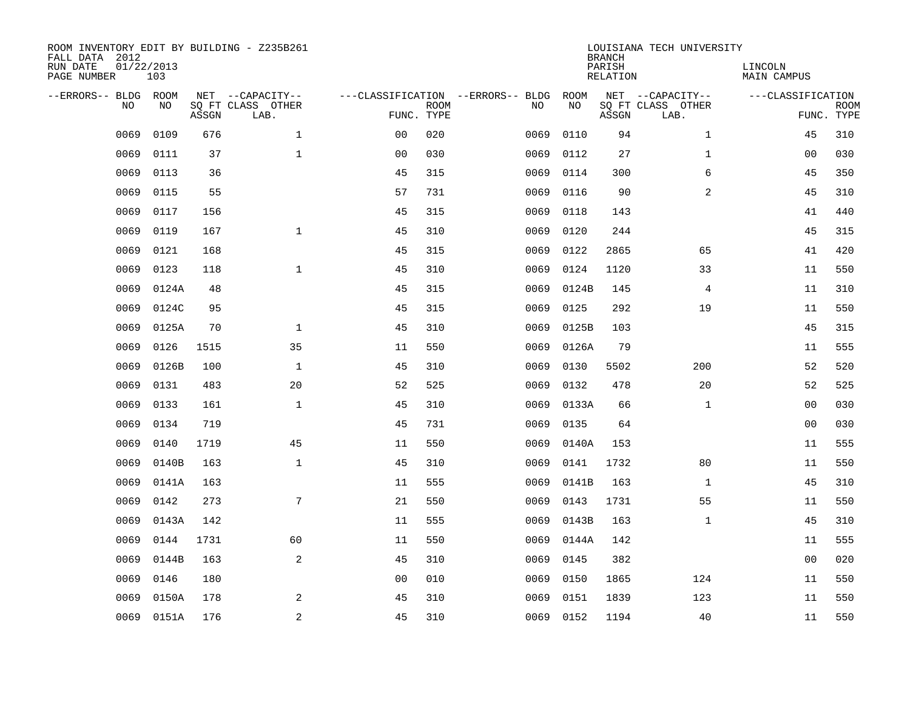| ROOM INVENTORY EDIT BY BUILDING - Z235B261<br>FALL DATA 2012<br>RUN DATE<br>PAGE NUMBER | 01/22/2013<br>103 |       |                                               |                |             |                                         |            | <b>BRANCH</b><br>PARISH<br><b>RELATION</b> | LOUISIANA TECH UNIVERSITY                     | LINCOLN<br>MAIN CAMPUS |                           |
|-----------------------------------------------------------------------------------------|-------------------|-------|-----------------------------------------------|----------------|-------------|-----------------------------------------|------------|--------------------------------------------|-----------------------------------------------|------------------------|---------------------------|
| --ERRORS-- BLDG ROOM<br>NO                                                              | NO                | ASSGN | NET --CAPACITY--<br>SQ FT CLASS OTHER<br>LAB. | FUNC. TYPE     | <b>ROOM</b> | ---CLASSIFICATION --ERRORS-- BLDG<br>NO | ROOM<br>NO | ASSGN                                      | NET --CAPACITY--<br>SQ FT CLASS OTHER<br>LAB. | ---CLASSIFICATION      | <b>ROOM</b><br>FUNC. TYPE |
| 0069                                                                                    | 0109              | 676   | $\mathbf{1}$                                  | 00             | 020         | 0069                                    | 0110       | 94                                         | $\mathbf{1}$                                  | 45                     | 310                       |
| 0069                                                                                    | 0111              | 37    | $\mathbf{1}$                                  | 0 <sub>0</sub> | 030         | 0069                                    | 0112       | 27                                         | $\mathbf{1}$                                  | 00                     | 030                       |
| 0069                                                                                    | 0113              | 36    |                                               | 45             | 315         | 0069                                    | 0114       | 300                                        | 6                                             | 45                     | 350                       |
| 0069                                                                                    | 0115              | 55    |                                               | 57             | 731         | 0069                                    | 0116       | 90                                         | 2                                             | 45                     | 310                       |
| 0069                                                                                    | 0117              | 156   |                                               | 45             | 315         | 0069                                    | 0118       | 143                                        |                                               | 41                     | 440                       |
| 0069                                                                                    | 0119              | 167   | $\mathbf{1}$                                  | 45             | 310         | 0069                                    | 0120       | 244                                        |                                               | 45                     | 315                       |
| 0069                                                                                    | 0121              | 168   |                                               | 45             | 315         | 0069                                    | 0122       | 2865                                       | 65                                            | 41                     | 420                       |
| 0069                                                                                    | 0123              | 118   | $\mathbf{1}$                                  | 45             | 310         | 0069                                    | 0124       | 1120                                       | 33                                            | 11                     | 550                       |
| 0069                                                                                    | 0124A             | 48    |                                               | 45             | 315         | 0069                                    | 0124B      | 145                                        | 4                                             | 11                     | 310                       |
| 0069                                                                                    | 0124C             | 95    |                                               | 45             | 315         | 0069                                    | 0125       | 292                                        | 19                                            | 11                     | 550                       |
| 0069                                                                                    | 0125A             | 70    | $\mathbf 1$                                   | 45             | 310         | 0069                                    | 0125B      | 103                                        |                                               | 45                     | 315                       |
| 0069                                                                                    | 0126              | 1515  | 35                                            | 11             | 550         | 0069                                    | 0126A      | 79                                         |                                               | 11                     | 555                       |
| 0069                                                                                    | 0126B             | 100   | $\mathbf 1$                                   | 45             | 310         | 0069                                    | 0130       | 5502                                       | 200                                           | 52                     | 520                       |
| 0069                                                                                    | 0131              | 483   | 20                                            | 52             | 525         | 0069                                    | 0132       | 478                                        | 20                                            | 52                     | 525                       |
| 0069                                                                                    | 0133              | 161   | $\mathbf 1$                                   | 45             | 310         | 0069                                    | 0133A      | 66                                         | $\mathbf{1}$                                  | 00                     | 030                       |
| 0069                                                                                    | 0134              | 719   |                                               | 45             | 731         | 0069                                    | 0135       | 64                                         |                                               | 0 <sub>0</sub>         | 030                       |
| 0069                                                                                    | 0140              | 1719  | 45                                            | 11             | 550         | 0069                                    | 0140A      | 153                                        |                                               | 11                     | 555                       |
| 0069                                                                                    | 0140B             | 163   | $\mathbf{1}$                                  | 45             | 310         | 0069                                    | 0141       | 1732                                       | 80                                            | 11                     | 550                       |
| 0069                                                                                    | 0141A             | 163   |                                               | 11             | 555         | 0069                                    | 0141B      | 163                                        | $\mathbf{1}$                                  | 45                     | 310                       |
| 0069                                                                                    | 0142              | 273   | 7                                             | 21             | 550         | 0069                                    | 0143       | 1731                                       | 55                                            | 11                     | 550                       |
| 0069                                                                                    | 0143A             | 142   |                                               | 11             | 555         | 0069                                    | 0143B      | 163                                        | $\mathbf{1}$                                  | 45                     | 310                       |
| 0069                                                                                    | 0144              | 1731  | 60                                            | 11             | 550         | 0069                                    | 0144A      | 142                                        |                                               | 11                     | 555                       |
| 0069                                                                                    | 0144B             | 163   | 2                                             | 45             | 310         | 0069                                    | 0145       | 382                                        |                                               | 0 <sub>0</sub>         | 020                       |
| 0069                                                                                    | 0146              | 180   |                                               | 0 <sub>0</sub> | 010         | 0069                                    | 0150       | 1865                                       | 124                                           | 11                     | 550                       |
| 0069                                                                                    | 0150A             | 178   | 2                                             | 45             | 310         | 0069                                    | 0151       | 1839                                       | 123                                           | 11                     | 550                       |
| 0069                                                                                    | 0151A             | 176   | $\sqrt{2}$                                    | 45             | 310         | 0069                                    | 0152       | 1194                                       | 40                                            | 11                     | 550                       |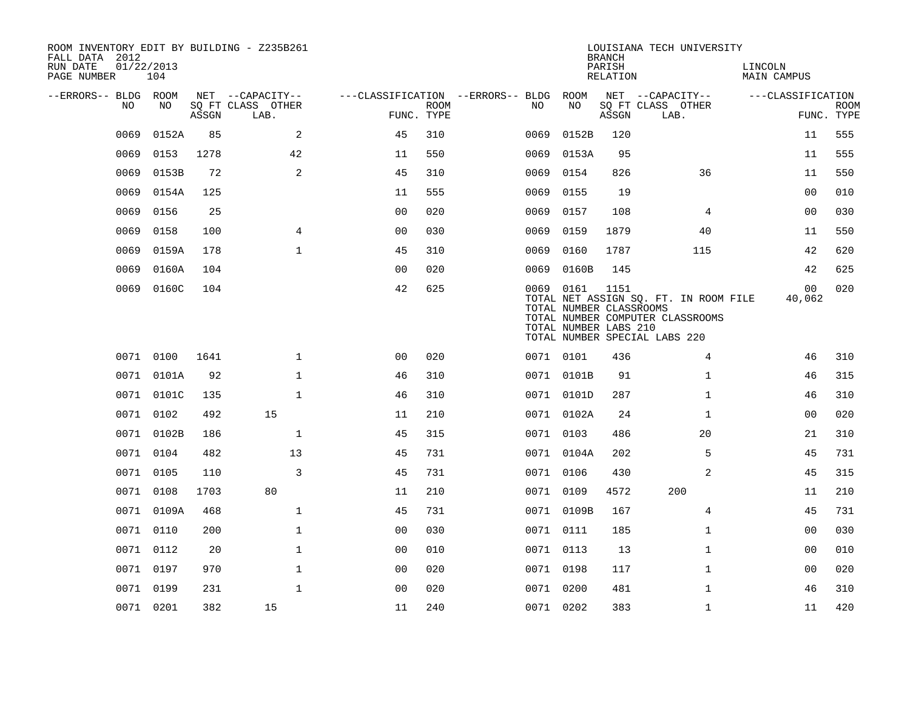| FALL DATA 2012<br>RUN DATE<br>PAGE NUMBER | 01/22/2013 | 104        |       | ROOM INVENTORY EDIT BY BUILDING - Z235B261    |                                                      |             |           |                                                  | <b>BRANCH</b><br>PARISH<br>RELATION | LOUISIANA TECH UNIVERSITY                                                                                  | LINCOLN<br><b>MAIN CAMPUS</b> |                           |
|-------------------------------------------|------------|------------|-------|-----------------------------------------------|------------------------------------------------------|-------------|-----------|--------------------------------------------------|-------------------------------------|------------------------------------------------------------------------------------------------------------|-------------------------------|---------------------------|
| --ERRORS-- BLDG ROOM                      | NO         | NO         | ASSGN | NET --CAPACITY--<br>SQ FT CLASS OTHER<br>LAB. | ---CLASSIFICATION --ERRORS-- BLDG ROOM<br>FUNC. TYPE | <b>ROOM</b> | NO        | NO                                               | ASSGN                               | NET --CAPACITY--<br>SQ FT CLASS OTHER<br>LAB.                                                              | ---CLASSIFICATION             | <b>ROOM</b><br>FUNC. TYPE |
|                                           | 0069       | 0152A      | 85    | 2                                             | 45                                                   | 310         | 0069      | 0152B                                            | 120                                 |                                                                                                            | 11                            | 555                       |
|                                           | 0069       | 0153       | 1278  | 42                                            | 11                                                   | 550         | 0069      | 0153A                                            | 95                                  |                                                                                                            | 11                            | 555                       |
|                                           | 0069       | 0153B      | 72    | 2                                             | 45                                                   | 310         | 0069      | 0154                                             | 826                                 | 36                                                                                                         | 11                            | 550                       |
|                                           | 0069       | 0154A      | 125   |                                               | 11                                                   | 555         | 0069      | 0155                                             | 19                                  |                                                                                                            | 0 <sub>0</sub>                | 010                       |
|                                           | 0069       | 0156       | 25    |                                               | 0 <sub>0</sub>                                       | 020         | 0069      | 0157                                             | 108                                 | 4                                                                                                          | 0 <sub>0</sub>                | 030                       |
|                                           | 0069       | 0158       | 100   | $\overline{4}$                                | 00                                                   | 030         | 0069      | 0159                                             | 1879                                | 40                                                                                                         | 11                            | 550                       |
|                                           | 0069       | 0159A      | 178   | $\mathbf{1}$                                  | 45                                                   | 310         | 0069      | 0160                                             | 1787                                | 115                                                                                                        | 42                            | 620                       |
|                                           | 0069       | 0160A      | 104   |                                               | 0 <sub>0</sub>                                       | 020         | 0069      | 0160B                                            | 145                                 |                                                                                                            | 42                            | 625                       |
|                                           |            | 0069 0160C | 104   |                                               | 42                                                   | 625         | 0069 0161 | TOTAL NUMBER CLASSROOMS<br>TOTAL NUMBER LABS 210 | 1151                                | TOTAL NET ASSIGN SQ. FT. IN ROOM FILE<br>TOTAL NUMBER COMPUTER CLASSROOMS<br>TOTAL NUMBER SPECIAL LABS 220 | 00<br>40,062                  | 020                       |
|                                           | 0071 0100  |            | 1641  | $\mathbf{1}$                                  | 0 <sub>0</sub>                                       | 020         | 0071 0101 |                                                  | 436                                 | 4                                                                                                          | 46                            | 310                       |
|                                           |            | 0071 0101A | 92    | $\mathbf{1}$                                  | 46                                                   | 310         |           | 0071 0101B                                       | 91                                  | $\mathbf{1}$                                                                                               | 46                            | 315                       |
|                                           |            | 0071 0101C | 135   | $\mathbf 1$                                   | 46                                                   | 310         |           | 0071 0101D                                       | 287                                 | $\mathbf{1}$                                                                                               | 46                            | 310                       |
|                                           | 0071 0102  |            | 492   | 15                                            | 11                                                   | 210         |           | 0071 0102A                                       | 24                                  | $\mathbf{1}$                                                                                               | 0 <sub>0</sub>                | 020                       |
|                                           |            | 0071 0102B | 186   | $\mathbf 1$                                   | 45                                                   | 315         | 0071 0103 |                                                  | 486                                 | 20                                                                                                         | 21                            | 310                       |
|                                           | 0071 0104  |            | 482   | 13                                            | 45                                                   | 731         |           | 0071 0104A                                       | 202                                 | 5                                                                                                          | 45                            | 731                       |
|                                           | 0071 0105  |            | 110   | 3                                             | 45                                                   | 731         | 0071 0106 |                                                  | 430                                 | 2                                                                                                          | 45                            | 315                       |
|                                           | 0071 0108  |            | 1703  | 80                                            | 11                                                   | 210         | 0071 0109 |                                                  | 4572                                | 200                                                                                                        | 11                            | 210                       |
|                                           |            | 0071 0109A | 468   | $\mathbf{1}$                                  | 45                                                   | 731         |           | 0071 0109B                                       | 167                                 | 4                                                                                                          | 45                            | 731                       |
|                                           | 0071 0110  |            | 200   | $\mathbf{1}$                                  | 0 <sub>0</sub>                                       | 030         | 0071 0111 |                                                  | 185                                 | $\mathbf{1}$                                                                                               | 00                            | 030                       |
|                                           | 0071 0112  |            | 20    | $\mathbf{1}$                                  | 0 <sub>0</sub>                                       | 010         | 0071 0113 |                                                  | 13                                  | $\mathbf{1}$                                                                                               | 00                            | 010                       |
|                                           | 0071 0197  |            | 970   | $\mathbf{1}$                                  | 00                                                   | 020         | 0071 0198 |                                                  | 117                                 | $\mathbf{1}$                                                                                               | 00                            | 020                       |
|                                           | 0071 0199  |            | 231   | $\mathbf{1}$                                  | 0 <sub>0</sub>                                       | 020         | 0071 0200 |                                                  | 481                                 | $\mathbf{1}$                                                                                               | 46                            | 310                       |
|                                           | 0071 0201  |            | 382   | 15                                            | 11                                                   | 240         | 0071 0202 |                                                  | 383                                 | $\mathbf{1}$                                                                                               | 11                            | 420                       |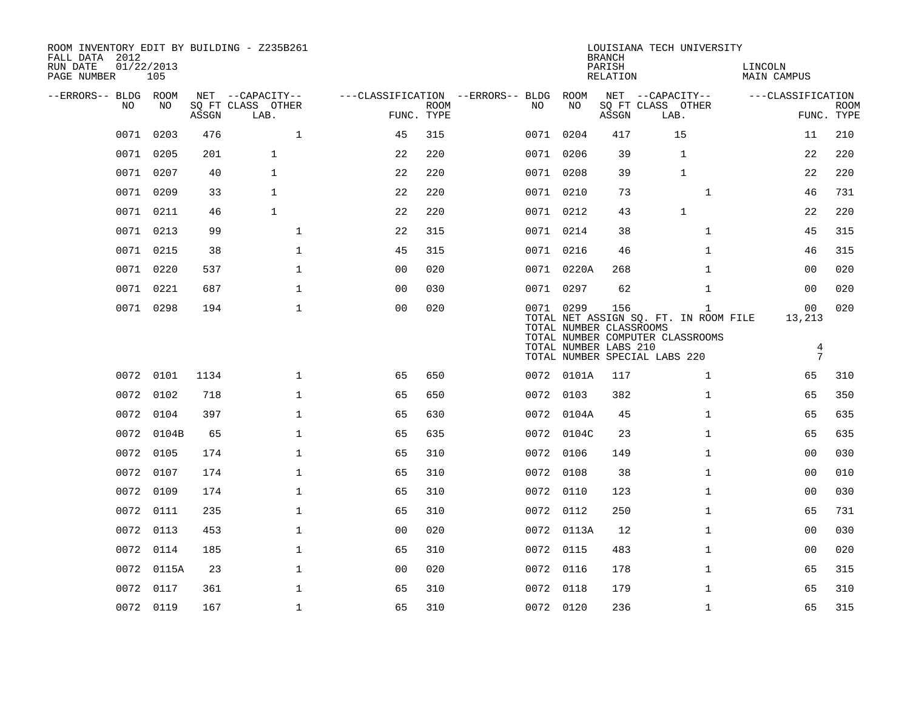| ROOM INVENTORY EDIT BY BUILDING - Z235B261<br>FALL DATA 2012<br>RUN DATE<br>PAGE NUMBER | 01/22/2013<br>105 |       |                                       |                |             |                                          |                                      | <b>BRANCH</b><br>PARISH<br>RELATION | LOUISIANA TECH UNIVERSITY                                         | LINCOLN<br>MAIN CAMPUS |             |
|-----------------------------------------------------------------------------------------|-------------------|-------|---------------------------------------|----------------|-------------|------------------------------------------|--------------------------------------|-------------------------------------|-------------------------------------------------------------------|------------------------|-------------|
| --ERRORS-- BLDG ROOM<br>NO                                                              | NO                |       | NET --CAPACITY--<br>SQ FT CLASS OTHER |                | <b>ROOM</b> | ---CLASSIFICATION --ERRORS-- BLDG<br>NO. | ROOM<br>NO                           |                                     | NET --CAPACITY--<br>SQ FT CLASS OTHER                             | ---CLASSIFICATION      | <b>ROOM</b> |
|                                                                                         |                   | ASSGN | LAB.                                  | FUNC. TYPE     |             |                                          |                                      | ASSGN                               | LAB.                                                              |                        | FUNC. TYPE  |
| 0071                                                                                    | 0203              | 476   | $\mathbf 1$                           | 45             | 315         |                                          | 0071 0204                            | 417                                 | 15                                                                | 11                     | 210         |
|                                                                                         | 0071 0205         | 201   | $\mathbf{1}$                          | 22             | 220         |                                          | 0071 0206                            | 39                                  | $\mathbf{1}$                                                      | 22                     | 220         |
|                                                                                         | 0071 0207         | 40    | $\mathbf{1}$                          | 22             | 220         |                                          | 0071 0208                            | 39                                  | $\mathbf{1}$                                                      | 22                     | 220         |
| 0071                                                                                    | 0209              | 33    | $\mathbf{1}$                          | 22             | 220         |                                          | 0071 0210                            | 73                                  | $\mathbf{1}$                                                      | 46                     | 731         |
|                                                                                         | 0071 0211         | 46    | $\mathbf{1}$                          | 22             | 220         |                                          | 0071 0212                            | 43                                  | $\mathbf{1}$                                                      | 22                     | 220         |
|                                                                                         | 0071 0213         | 99    | $\mathbf{1}$                          | 22             | 315         |                                          | 0071 0214                            | 38                                  | $\mathbf{1}$                                                      | 45                     | 315         |
|                                                                                         | 0071 0215         | 38    | $\mathbf{1}$                          | 45             | 315         |                                          | 0071 0216                            | 46                                  | $\mathbf{1}$                                                      | 46                     | 315         |
| 0071                                                                                    | 0220              | 537   | $\mathbf{1}$                          | 00             | 020         |                                          | 0071 0220A                           | 268                                 | $\mathbf{1}$                                                      | 00                     | 020         |
|                                                                                         | 0071 0221         | 687   | $\mathbf 1$                           | 0 <sub>0</sub> | 030         |                                          | 0071 0297                            | 62                                  | $\mathbf{1}$                                                      | 00                     | 020         |
|                                                                                         | 0071 0298         | 194   | $\mathbf{1}$                          | 0 <sub>0</sub> | 020         |                                          | 0071 0299<br>TOTAL NUMBER CLASSROOMS | 156                                 | $\mathbf{1}$<br>TOTAL NET ASSIGN SQ. FT. IN ROOM FILE             | 00<br>13,213           | 020         |
|                                                                                         |                   |       |                                       |                |             |                                          | TOTAL NUMBER LABS 210                |                                     | TOTAL NUMBER COMPUTER CLASSROOMS<br>TOTAL NUMBER SPECIAL LABS 220 | 4<br>$7\phantom{.0}$   |             |
|                                                                                         | 0072 0101         | 1134  | $\mathbf{1}$                          | 65             | 650         |                                          | 0072 0101A                           | 117                                 | $\mathbf{1}$                                                      | 65                     | 310         |
|                                                                                         | 0072 0102         | 718   | $\mathbf 1$                           | 65             | 650         |                                          | 0072 0103                            | 382                                 | $\mathbf{1}$                                                      | 65                     | 350         |
|                                                                                         | 0072 0104         | 397   | $\mathbf{1}$                          | 65             | 630         |                                          | 0072 0104A                           | 45                                  | $\mathbf{1}$                                                      | 65                     | 635         |
|                                                                                         | 0072 0104B        | 65    | $\mathbf{1}$                          | 65             | 635         |                                          | 0072 0104C                           | 23                                  | $\mathbf{1}$                                                      | 65                     | 635         |
| 0072                                                                                    | 0105              | 174   | $\mathbf{1}$                          | 65             | 310         |                                          | 0072 0106                            | 149                                 | $\mathbf{1}$                                                      | 0 <sub>0</sub>         | 030         |
|                                                                                         | 0072 0107         | 174   | $\mathbf{1}$                          | 65             | 310         |                                          | 0072 0108                            | 38                                  | $\mathbf{1}$                                                      | 0 <sub>0</sub>         | 010         |
|                                                                                         | 0072 0109         | 174   | $\mathbf{1}$                          | 65             | 310         |                                          | 0072 0110                            | 123                                 | $\mathbf{1}$                                                      | 0 <sub>0</sub>         | 030         |
|                                                                                         | 0072 0111         | 235   | $\mathbf{1}$                          | 65             | 310         |                                          | 0072 0112                            | 250                                 | $\mathbf{1}$                                                      | 65                     | 731         |
|                                                                                         | 0072 0113         | 453   | $\mathbf{1}$                          | 00             | 020         |                                          | 0072 0113A                           | 12                                  | $\mathbf{1}$                                                      | 0 <sub>0</sub>         | 030         |
|                                                                                         | 0072 0114         | 185   | $\mathbf{1}$                          | 65             | 310         |                                          | 0072 0115                            | 483                                 | $\mathbf{1}$                                                      | 0 <sub>0</sub>         | 020         |
|                                                                                         | 0072 0115A        | 23    | $\mathbf{1}$                          | 0 <sub>0</sub> | 020         |                                          | 0072 0116                            | 178                                 | $\mathbf{1}$                                                      | 65                     | 315         |
|                                                                                         | 0072 0117         | 361   | $\mathbf 1$                           | 65             | 310         |                                          | 0072 0118                            | 179                                 | $\mathbf{1}$                                                      | 65                     | 310         |
|                                                                                         | 0072 0119         | 167   | $\mathbf{1}$                          | 65             | 310         |                                          | 0072 0120                            | 236                                 | $\mathbf{1}$                                                      | 65                     | 315         |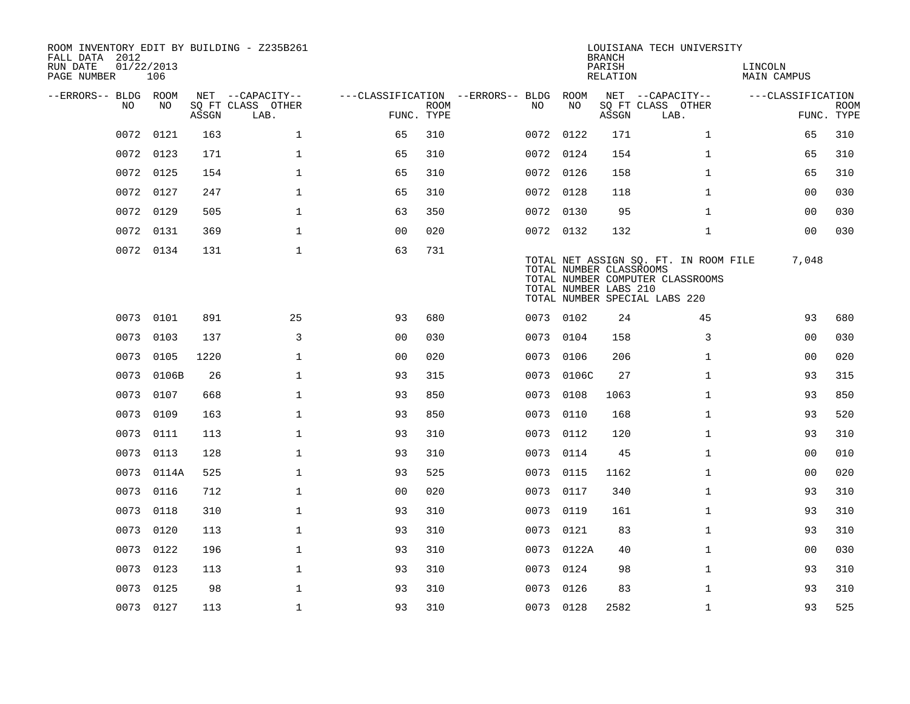| FALL DATA 2012<br>RUN DATE<br>PAGE NUMBER | 01/22/2013<br>106 |       |       | ROOM INVENTORY EDIT BY BUILDING - Z235B261 |                                        |             |           |                                                  | <b>BRANCH</b><br>PARISH<br>RELATION | LOUISIANA TECH UNIVERSITY                                                                                  | LINCOLN<br><b>MAIN CAMPUS</b> |                           |
|-------------------------------------------|-------------------|-------|-------|--------------------------------------------|----------------------------------------|-------------|-----------|--------------------------------------------------|-------------------------------------|------------------------------------------------------------------------------------------------------------|-------------------------------|---------------------------|
| --ERRORS-- BLDG ROOM                      |                   |       |       | NET --CAPACITY--                           | ---CLASSIFICATION --ERRORS-- BLDG ROOM |             |           |                                                  |                                     | NET --CAPACITY--                                                                                           | ---CLASSIFICATION             |                           |
|                                           | NO                | NO    | ASSGN | SQ FT CLASS OTHER<br>LAB.                  | FUNC. TYPE                             | <b>ROOM</b> | NO.       | NO                                               | ASSGN                               | SQ FT CLASS OTHER<br>LAB.                                                                                  |                               | <b>ROOM</b><br>FUNC. TYPE |
|                                           | 0072              | 0121  | 163   | $\mathbf{1}$                               | 65                                     | 310         | 0072 0122 |                                                  | 171                                 | $\mathbf{1}$                                                                                               | 65                            | 310                       |
|                                           | 0072              | 0123  | 171   | $\mathbf{1}$                               | 65                                     | 310         | 0072 0124 |                                                  | 154                                 | $\mathbf{1}$                                                                                               | 65                            | 310                       |
|                                           | 0072 0125         |       | 154   | $\mathbf{1}$                               | 65                                     | 310         | 0072 0126 |                                                  | 158                                 | $\mathbf{1}$                                                                                               | 65                            | 310                       |
|                                           | 0072              | 0127  | 247   | $\mathbf{1}$                               | 65                                     | 310         | 0072 0128 |                                                  | 118                                 | $\mathbf{1}$                                                                                               | 0 <sub>0</sub>                | 030                       |
|                                           | 0072 0129         |       | 505   | $\mathbf{1}$                               | 63                                     | 350         | 0072 0130 |                                                  | 95                                  | $\mathbf{1}$                                                                                               | 00                            | 030                       |
|                                           | 0072<br>0131      |       | 369   | $\mathbf{1}$                               | 0 <sub>0</sub>                         | 020         | 0072 0132 |                                                  | 132                                 | $\mathbf{1}$                                                                                               | 00                            | 030                       |
|                                           | 0072 0134         |       | 131   | $\mathbf{1}$                               | 63                                     | 731         |           | TOTAL NUMBER CLASSROOMS<br>TOTAL NUMBER LABS 210 |                                     | TOTAL NET ASSIGN SQ. FT. IN ROOM FILE<br>TOTAL NUMBER COMPUTER CLASSROOMS<br>TOTAL NUMBER SPECIAL LABS 220 | 7,048                         |                           |
|                                           | 0073 0101         |       | 891   | 25                                         | 93                                     | 680         | 0073 0102 |                                                  | 24                                  | 45                                                                                                         | 93                            | 680                       |
|                                           | 0073              | 0103  | 137   | 3                                          | 0 <sub>0</sub>                         | 030         | 0073      | 0104                                             | 158                                 | 3                                                                                                          | 0 <sub>0</sub>                | 030                       |
|                                           | 0073 0105         |       | 1220  | $\mathbf 1$                                | 0 <sub>0</sub>                         | 020         | 0073 0106 |                                                  | 206                                 | $\mathbf{1}$                                                                                               | 00                            | 020                       |
|                                           | 0073              | 0106B | 26    | $\mathbf{1}$                               | 93                                     | 315         | 0073      | 0106C                                            | 27                                  | $\mathbf{1}$                                                                                               | 93                            | 315                       |
|                                           | 0073 0107         |       | 668   | $\mathbf 1$                                | 93                                     | 850         | 0073 0108 |                                                  | 1063                                | $\mathbf{1}$                                                                                               | 93                            | 850                       |
|                                           | 0073              | 0109  | 163   | $\mathbf{1}$                               | 93                                     | 850         | 0073      | 0110                                             | 168                                 | $\mathbf{1}$                                                                                               | 93                            | 520                       |
|                                           | 0073 0111         |       | 113   | $\mathbf 1$                                | 93                                     | 310         | 0073 0112 |                                                  | 120                                 | $\mathbf{1}$                                                                                               | 93                            | 310                       |
|                                           | 0073              | 0113  | 128   | $\mathbf{1}$                               | 93                                     | 310         | 0073      | 0114                                             | 45                                  | $\mathbf{1}$                                                                                               | 0 <sub>0</sub>                | 010                       |
|                                           | 0073 0114A        |       | 525   | $\mathbf 1$                                | 93                                     | 525         | 0073 0115 |                                                  | 1162                                | $\mathbf{1}$                                                                                               | 00                            | 020                       |
|                                           | 0073              | 0116  | 712   | $\mathbf{1}$                               | 0 <sub>0</sub>                         | 020         | 0073      | 0117                                             | 340                                 | $\mathbf{1}$                                                                                               | 93                            | 310                       |
|                                           | 0073              | 0118  | 310   | $\mathbf 1$                                | 93                                     | 310         | 0073 0119 |                                                  | 161                                 | $\mathbf{1}$                                                                                               | 93                            | 310                       |
|                                           | 0073              | 0120  | 113   | $\mathbf{1}$                               | 93                                     | 310         | 0073      | 0121                                             | 83                                  | $\mathbf{1}$                                                                                               | 93                            | 310                       |
|                                           | 0073<br>0122      |       | 196   | $\mathbf 1$                                | 93                                     | 310         |           | 0073 0122A                                       | 40                                  | $\mathbf{1}$                                                                                               | 0 <sub>0</sub>                | 030                       |
|                                           | 0073              | 0123  | 113   | $\mathbf{1}$                               | 93                                     | 310         | 0073 0124 |                                                  | 98                                  | $\mathbf{1}$                                                                                               | 93                            | 310                       |
|                                           | 0073              | 0125  | 98    | $\mathbf{1}$                               | 93                                     | 310         | 0073      | 0126                                             | 83                                  | $\mathbf{1}$                                                                                               | 93                            | 310                       |
|                                           | 0073 0127         |       | 113   | $\mathbf{1}$                               | 93                                     | 310         | 0073 0128 |                                                  | 2582                                | $\mathbf{1}$                                                                                               | 93                            | 525                       |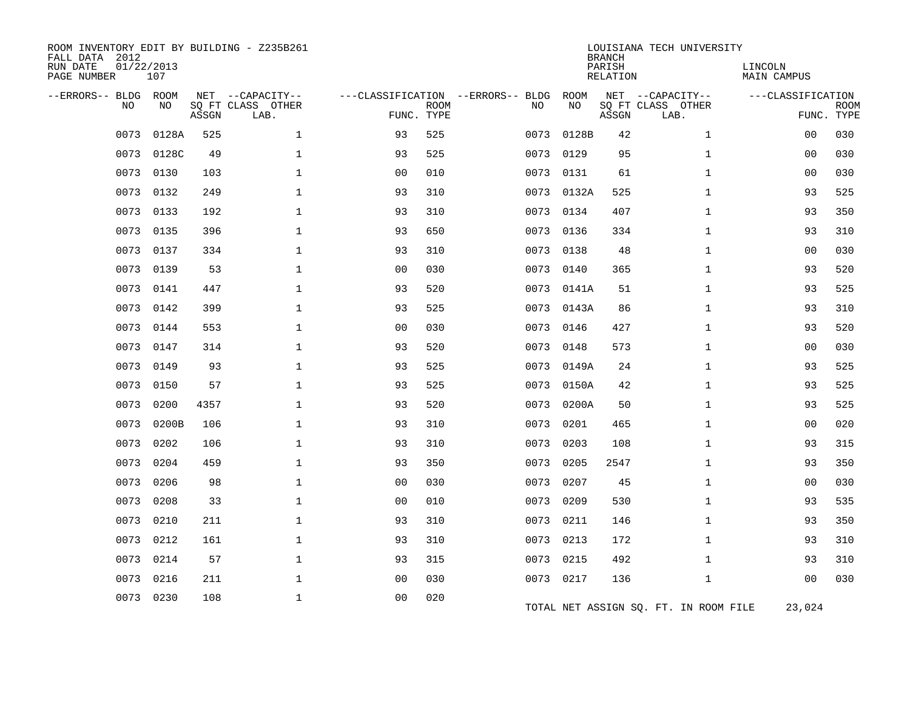| ROOM INVENTORY EDIT BY BUILDING - Z235B261<br>FALL DATA 2012<br>RUN DATE<br>PAGE NUMBER | 01/22/2013<br>107 |       |                                       |                                   |             |      |            | <b>BRANCH</b><br>PARISH<br><b>RELATION</b> | LOUISIANA TECH UNIVERSITY             | LINCOLN<br><b>MAIN CAMPUS</b> |             |
|-----------------------------------------------------------------------------------------|-------------------|-------|---------------------------------------|-----------------------------------|-------------|------|------------|--------------------------------------------|---------------------------------------|-------------------------------|-------------|
| --ERRORS-- BLDG ROOM<br><b>NO</b>                                                       | NO                |       | NET --CAPACITY--<br>SQ FT CLASS OTHER | ---CLASSIFICATION --ERRORS-- BLDG | <b>ROOM</b> | NO   | ROOM<br>NO |                                            | NET --CAPACITY--<br>SQ FT CLASS OTHER | ---CLASSIFICATION             | <b>ROOM</b> |
|                                                                                         |                   | ASSGN | LAB.                                  | FUNC. TYPE                        |             |      |            | ASSGN                                      | LAB.                                  |                               | FUNC. TYPE  |
| 0073                                                                                    | 0128A             | 525   | $\mathbf 1$                           | 93                                | 525         | 0073 | 0128B      | 42                                         | $\mathbf{1}$                          | 0 <sub>0</sub>                | 030         |
| 0073                                                                                    | 0128C             | 49    | $\mathbf 1$                           | 93                                | 525         | 0073 | 0129       | 95                                         | $\mathbf{1}$                          | 00                            | 030         |
| 0073                                                                                    | 0130              | 103   | $\mathbf 1$                           | 0 <sub>0</sub>                    | 010         | 0073 | 0131       | 61                                         | $\mathbf{1}$                          | 00                            | 030         |
| 0073                                                                                    | 0132              | 249   | 1                                     | 93                                | 310         | 0073 | 0132A      | 525                                        | $\mathbf{1}$                          | 93                            | 525         |
| 0073                                                                                    | 0133              | 192   | $\mathbf 1$                           | 93                                | 310         | 0073 | 0134       | 407                                        | $\mathbf{1}$                          | 93                            | 350         |
| 0073                                                                                    | 0135              | 396   | $\mathbf{1}$                          | 93                                | 650         | 0073 | 0136       | 334                                        | $\mathbf{1}$                          | 93                            | 310         |
| 0073                                                                                    | 0137              | 334   | $\mathbf 1$                           | 93                                | 310         | 0073 | 0138       | 48                                         | $\mathbf{1}$                          | 0 <sub>0</sub>                | 030         |
| 0073                                                                                    | 0139              | 53    | $\mathbf{1}$                          | 0 <sub>0</sub>                    | 030         | 0073 | 0140       | 365                                        | $\mathbf{1}$                          | 93                            | 520         |
| 0073                                                                                    | 0141              | 447   | $\mathbf 1$                           | 93                                | 520         |      | 0073 0141A | 51                                         | $\mathbf{1}$                          | 93                            | 525         |
| 0073                                                                                    | 0142              | 399   | $\mathbf{1}$                          | 93                                | 525         | 0073 | 0143A      | 86                                         | $\mathbf{1}$                          | 93                            | 310         |
| 0073                                                                                    | 0144              | 553   | $\mathbf{1}$                          | 0 <sub>0</sub>                    | 030         | 0073 | 0146       | 427                                        | $\mathbf{1}$                          | 93                            | 520         |
| 0073                                                                                    | 0147              | 314   | $\mathbf 1$                           | 93                                | 520         | 0073 | 0148       | 573                                        | $\mathbf{1}$                          | 00                            | 030         |
| 0073                                                                                    | 0149              | 93    | $\mathbf 1$                           | 93                                | 525         |      | 0073 0149A | 24                                         | $\mathbf{1}$                          | 93                            | 525         |
| 0073                                                                                    | 0150              | 57    | $\mathbf{1}$                          | 93                                | 525         | 0073 | 0150A      | 42                                         | $\mathbf{1}$                          | 93                            | 525         |
| 0073                                                                                    | 0200              | 4357  | $\mathbf 1$                           | 93                                | 520         |      | 0073 0200A | 50                                         | $\mathbf{1}$                          | 93                            | 525         |
| 0073                                                                                    | 0200B             | 106   | $\mathbf{1}$                          | 93                                | 310         | 0073 | 0201       | 465                                        | $\mathbf{1}$                          | 00                            | 020         |
| 0073                                                                                    | 0202              | 106   | $\mathbf{1}$                          | 93                                | 310         | 0073 | 0203       | 108                                        | $\mathbf{1}$                          | 93                            | 315         |
| 0073                                                                                    | 0204              | 459   | $\mathbf 1$                           | 93                                | 350         | 0073 | 0205       | 2547                                       | $\mathbf{1}$                          | 93                            | 350         |
| 0073                                                                                    | 0206              | 98    | $\mathbf{1}$                          | 0 <sub>0</sub>                    | 030         | 0073 | 0207       | 45                                         | $\mathbf{1}$                          | 00                            | 030         |
| 0073                                                                                    | 0208              | 33    | $\mathbf 1$                           | 00                                | 010         | 0073 | 0209       | 530                                        | $\mathbf{1}$                          | 93                            | 535         |
| 0073                                                                                    | 0210              | 211   | $\mathbf 1$                           | 93                                | 310         | 0073 | 0211       | 146                                        | $\mathbf{1}$                          | 93                            | 350         |
| 0073                                                                                    | 0212              | 161   | $\mathbf{1}$                          | 93                                | 310         | 0073 | 0213       | 172                                        | $\mathbf{1}$                          | 93                            | 310         |
| 0073                                                                                    | 0214              | 57    | $\mathbf 1$                           | 93                                | 315         | 0073 | 0215       | 492                                        | $\mathbf{1}$                          | 93                            | 310         |
| 0073                                                                                    | 0216              | 211   | $\mathbf{1}$                          | 0 <sub>0</sub>                    | 030         |      | 0073 0217  | 136                                        | $\mathbf{1}$                          | 0 <sub>0</sub>                | 030         |
| 0073                                                                                    | 0230              | 108   | $\mathbf 1$                           | 0 <sub>0</sub>                    | 020         |      |            |                                            | TOTAL NET ASSIGN SQ. FT. IN ROOM FILE | 23,024                        |             |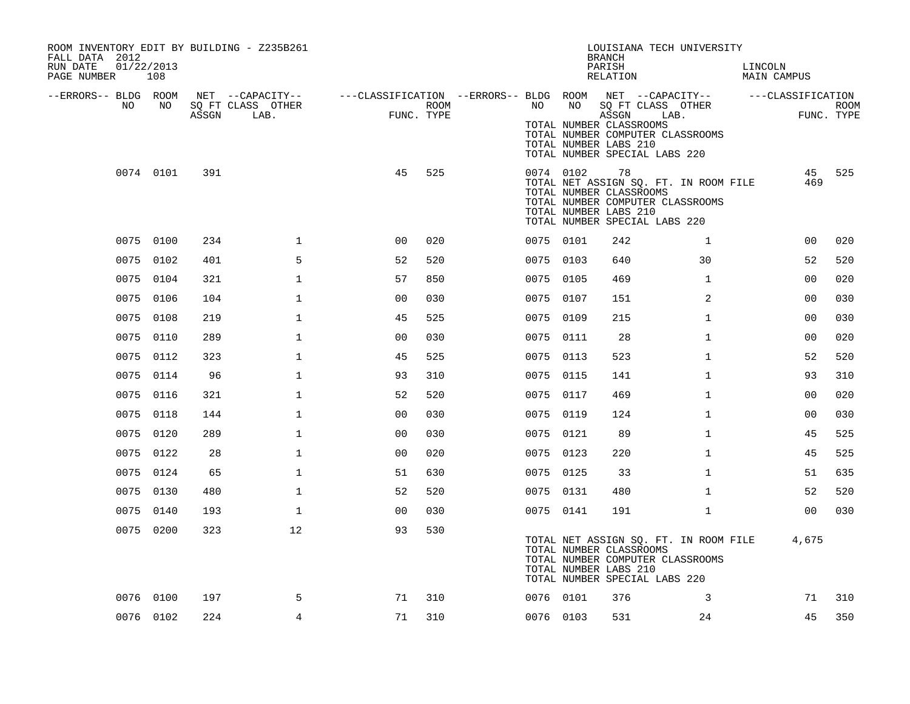| ROOM INVENTORY EDIT BY BUILDING - Z235B261<br>FALL DATA 2012<br>RUN DATE<br>01/22/2013<br>PAGE NUMBER 108 |           |       |                                       |                                                                             |            |           |           | LOUISIANA TECH UNIVERSITY<br><b>BRANCH</b><br>PARISH<br>RELATION                                                                                                     |                | LINCOLN<br>MAIN CAMPUS |                |             |
|-----------------------------------------------------------------------------------------------------------|-----------|-------|---------------------------------------|-----------------------------------------------------------------------------|------------|-----------|-----------|----------------------------------------------------------------------------------------------------------------------------------------------------------------------|----------------|------------------------|----------------|-------------|
| --ERRORS-- BLDG ROOM<br>NO.                                                                               | NO        |       | NET --CAPACITY--<br>SO FT CLASS OTHER | ---CLASSIFICATION --ERRORS-- BLDG ROOM NET --CAPACITY-- -----CLASSIFICATION | ROOM       | NO        | NO        | SO FT CLASS OTHER                                                                                                                                                    |                |                        |                | <b>ROOM</b> |
|                                                                                                           |           | ASSGN | LAB.                                  |                                                                             | FUNC. TYPE |           |           | ASSGN LAB.<br>TOTAL NUMBER CLASSROOMS<br>TOTAL NUMBER COMPUTER CLASSROOMS<br>TOTAL NUMBER LABS 210<br>TOTAL NUMBER SPECIAL LABS 220                                  |                |                        | FUNC. TYPE     |             |
|                                                                                                           | 0074 0101 | 391   |                                       | 45                                                                          | 525        |           | 0074 0102 | 78<br>TOTAL NET ASSIGN SQ. FT. IN ROOM FILE<br>TOTAL NUMBER CLASSROOMS<br>TOTAL NUMBER COMPUTER CLASSROOMS<br>TOTAL NUMBER LABS 210<br>TOTAL NUMBER SPECIAL LABS 220 |                |                        | 469            | 45 525      |
|                                                                                                           | 0075 0100 | 234   | $\mathbf 1$                           | 0 <sub>0</sub>                                                              | 020        | 0075 0101 |           | 242                                                                                                                                                                  | $\mathbf{1}$   |                        | 00             | 020         |
|                                                                                                           | 0075 0102 | 401   | 5                                     | 52                                                                          | 520        | 0075 0103 |           | 640                                                                                                                                                                  | 30             |                        | 52             | 520         |
|                                                                                                           | 0075 0104 | 321   | 1                                     | 57                                                                          | 850        | 0075 0105 |           | 469                                                                                                                                                                  | $\mathbf{1}$   |                        | 00             | 020         |
|                                                                                                           | 0075 0106 | 104   | $\mathbf{1}$                          | 0 <sub>0</sub>                                                              | 030        | 0075 0107 |           | 151                                                                                                                                                                  | $\overline{2}$ |                        | 0 <sub>0</sub> | 030         |
|                                                                                                           | 0075 0108 | 219   | $\mathbf{1}$                          | 45                                                                          | 525        | 0075 0109 |           | 215                                                                                                                                                                  | $\mathbf{1}$   |                        | 0 <sub>0</sub> | 030         |
|                                                                                                           | 0075 0110 | 289   | $\mathbf{1}$                          | 0 <sub>0</sub>                                                              | 030        | 0075 0111 |           | 28                                                                                                                                                                   | $\mathbf{1}$   |                        | 0 <sub>0</sub> | 020         |
|                                                                                                           | 0075 0112 | 323   | $\mathbf 1$                           | 45                                                                          | 525        | 0075 0113 |           | 523                                                                                                                                                                  | $\mathbf{1}$   |                        | 52             | 520         |
|                                                                                                           | 0075 0114 | 96    | $\mathbf{1}$                          | 93                                                                          | 310        | 0075 0115 |           | 141                                                                                                                                                                  | $\mathbf{1}$   |                        | 93             | 310         |
|                                                                                                           | 0075 0116 | 321   | $\mathbf 1$                           | 52                                                                          | 520        | 0075 0117 |           | 469                                                                                                                                                                  | $\mathbf{1}$   |                        | 00             | 020         |
|                                                                                                           | 0075 0118 | 144   | $\mathbf{1}$                          | 00                                                                          | 030        | 0075 0119 |           | 124                                                                                                                                                                  | $\mathbf{1}$   |                        | 00             | 030         |
|                                                                                                           | 0075 0120 | 289   | $\mathbf{1}$                          | 0 <sub>0</sub>                                                              | 030        | 0075 0121 |           | 89                                                                                                                                                                   | $\mathbf{1}$   |                        | 45             | 525         |
|                                                                                                           | 0075 0122 | 28    | $\mathbf 1$                           | 0 <sub>0</sub>                                                              | 020        | 0075 0123 |           | 220                                                                                                                                                                  | $\mathbf{1}$   |                        | 45             | 525         |
|                                                                                                           | 0075 0124 | 65    | $\mathbf{1}$                          | 51                                                                          | 630        | 0075 0125 |           | 33                                                                                                                                                                   | $\mathbf{1}$   |                        | 51             | 635         |
|                                                                                                           | 0075 0130 | 480   | $\mathbf{1}$                          | 52                                                                          | 520        | 0075 0131 |           | 480                                                                                                                                                                  | $\mathbf{1}$   |                        | 52             | 520         |
|                                                                                                           | 0075 0140 | 193   | $\mathbf{1}$                          | 0 <sub>0</sub>                                                              | 030        | 0075 0141 |           | 191                                                                                                                                                                  | $\mathbf{1}$   |                        | 00             | 030         |
|                                                                                                           | 0075 0200 | 323   | 12 <sup>°</sup>                       | 93                                                                          | 530        |           |           | TOTAL NET ASSIGN SQ. FT. IN ROOM FILE 4,675<br>TOTAL NUMBER CLASSROOMS<br>TOTAL NUMBER COMPUTER CLASSROOMS<br>TOTAL NUMBER LABS 210<br>TOTAL NUMBER SPECIAL LABS 220 |                |                        |                |             |
|                                                                                                           | 0076 0100 | 197   | 5                                     | 71                                                                          | 310        | 0076 0101 |           | 376                                                                                                                                                                  | 3              |                        | 71             | 310         |
|                                                                                                           | 0076 0102 | 224   | $\overline{4}$                        | 71                                                                          | 310        |           | 0076 0103 | 531                                                                                                                                                                  | 24             |                        | 45             | 350         |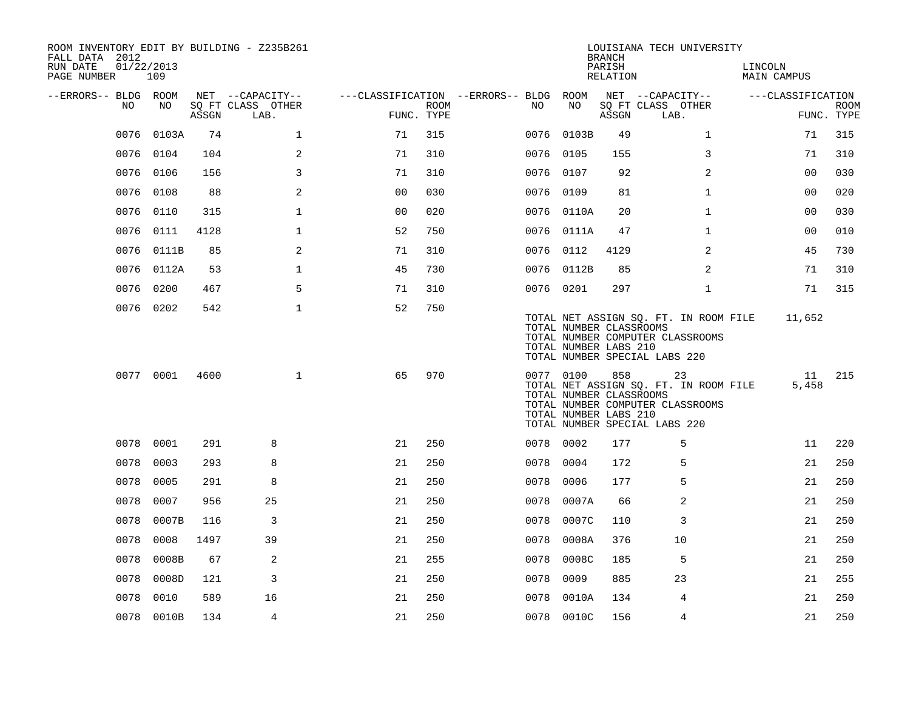| ROOM INVENTORY EDIT BY BUILDING - Z235B261<br>FALL DATA 2012 |                   |       |                           |                                        |                    |           |            | <b>BRANCH</b>                                           | LOUISIANA TECH UNIVERSITY                                                                                        |                        |                           |
|--------------------------------------------------------------|-------------------|-------|---------------------------|----------------------------------------|--------------------|-----------|------------|---------------------------------------------------------|------------------------------------------------------------------------------------------------------------------|------------------------|---------------------------|
| RUN DATE<br>PAGE NUMBER                                      | 01/22/2013<br>109 |       |                           |                                        |                    |           |            | PARISH<br>RELATION                                      |                                                                                                                  | LINCOLN<br>MAIN CAMPUS |                           |
| --ERRORS-- BLDG ROOM                                         |                   |       | NET --CAPACITY--          | ---CLASSIFICATION --ERRORS-- BLDG ROOM |                    |           |            |                                                         | NET --CAPACITY--                                                                                                 | ---CLASSIFICATION      |                           |
| NO                                                           | NO                | ASSGN | SQ FT CLASS OTHER<br>LAB. |                                        | ROOM<br>FUNC. TYPE | NO.       | NO         | ASSGN                                                   | SQ FT CLASS OTHER<br>LAB.                                                                                        |                        | <b>ROOM</b><br>FUNC. TYPE |
| 0076                                                         | 0103A             | 74    | $\mathbf 1$               | 71                                     | 315                | 0076      | 0103B      | 49                                                      | $\mathbf{1}$                                                                                                     | 71                     | 315                       |
|                                                              | 0076 0104         | 104   | 2                         | 71                                     | 310                | 0076 0105 |            | 155                                                     | 3                                                                                                                | 71                     | 310                       |
|                                                              | 0076 0106         | 156   | 3                         | 71                                     | 310                | 0076 0107 |            | 92                                                      | 2                                                                                                                | 0 <sub>0</sub>         | 030                       |
| 0076                                                         | 0108              | 88    | 2                         | 0 <sub>0</sub>                         | 030                | 0076 0109 |            | 81                                                      | $\mathbf{1}$                                                                                                     | 00                     | 020                       |
| 0076                                                         | 0110              | 315   | $\mathbf{1}$              | 00                                     | 020                |           | 0076 0110A | 20                                                      | $\mathbf{1}$                                                                                                     | 0 <sub>0</sub>         | 030                       |
| 0076                                                         | 0111              | 4128  | $\mathbf{1}$              | 52                                     | 750                |           | 0076 0111A | 47                                                      | $\mathbf{1}$                                                                                                     | 0 <sub>0</sub>         | 010                       |
| 0076                                                         | 0111B             | 85    | 2                         | 71                                     | 310                | 0076 0112 |            | 4129                                                    | 2                                                                                                                | 45                     | 730                       |
|                                                              | 0076 0112A        | 53    | $\mathbf{1}$              | 45                                     | 730                |           | 0076 0112B | 85                                                      | 2                                                                                                                | 71                     | 310                       |
| 0076                                                         | 0200              | 467   | 5                         | 71                                     | 310                | 0076 0201 |            | 297                                                     | $\mathbf{1}$                                                                                                     | 71                     | 315                       |
|                                                              | 0076 0202         | 542   | $\mathbf 1$               | 52                                     | 750                |           |            | TOTAL NUMBER CLASSROOMS<br>TOTAL NUMBER LABS 210        | TOTAL NET ASSIGN SQ. FT. IN ROOM FILE<br>TOTAL NUMBER COMPUTER CLASSROOMS<br>TOTAL NUMBER SPECIAL LABS 220       | 11,652                 |                           |
|                                                              | 0077 0001         | 4600  | $\mathbf{1}$              | 65                                     | 970                |           | 0077 0100  | 858<br>TOTAL NUMBER CLASSROOMS<br>TOTAL NUMBER LABS 210 | 23<br>TOTAL NET ASSIGN SQ. FT. IN ROOM FILE<br>TOTAL NUMBER COMPUTER CLASSROOMS<br>TOTAL NUMBER SPECIAL LABS 220 | 11<br>5,458            | 215                       |
|                                                              | 0078 0001         | 291   | 8                         | 21                                     | 250                | 0078 0002 |            | 177                                                     | 5                                                                                                                | 11                     | 220                       |
| 0078                                                         | 0003              | 293   | 8                         | 21                                     | 250                | 0078      | 0004       | 172                                                     | 5                                                                                                                | 21                     | 250                       |
| 0078                                                         | 0005              | 291   | 8                         | 21                                     | 250                | 0078      | 0006       | 177                                                     | 5                                                                                                                | 21                     | 250                       |
| 0078                                                         | 0007              | 956   | 25                        | 21                                     | 250                | 0078      | 0007A      | 66                                                      | 2                                                                                                                | 21                     | 250                       |
| 0078                                                         | 0007B             | 116   | 3                         | 21                                     | 250                | 0078      | 0007C      | 110                                                     | 3                                                                                                                | 21                     | 250                       |
| 0078                                                         | 0008              | 1497  | 39                        | 21                                     | 250                | 0078      | 0008A      | 376                                                     | 10                                                                                                               | 21                     | 250                       |
| 0078                                                         | 0008B             | 67    | 2                         | 21                                     | 255                | 0078      | 0008C      | 185                                                     | 5                                                                                                                | 21                     | 250                       |
| 0078                                                         | 0008D             | 121   | 3                         | 21                                     | 250                | 0078      | 0009       | 885                                                     | 23                                                                                                               | 21                     | 255                       |
| 0078                                                         | 0010              | 589   | 16                        | 21                                     | 250                | 0078      | 0010A      | 134                                                     | 4                                                                                                                | 21                     | 250                       |
|                                                              | 0078 0010B        | 134   | 4                         | 21                                     | 250                |           | 0078 0010C | 156                                                     | 4                                                                                                                | 21                     | 250                       |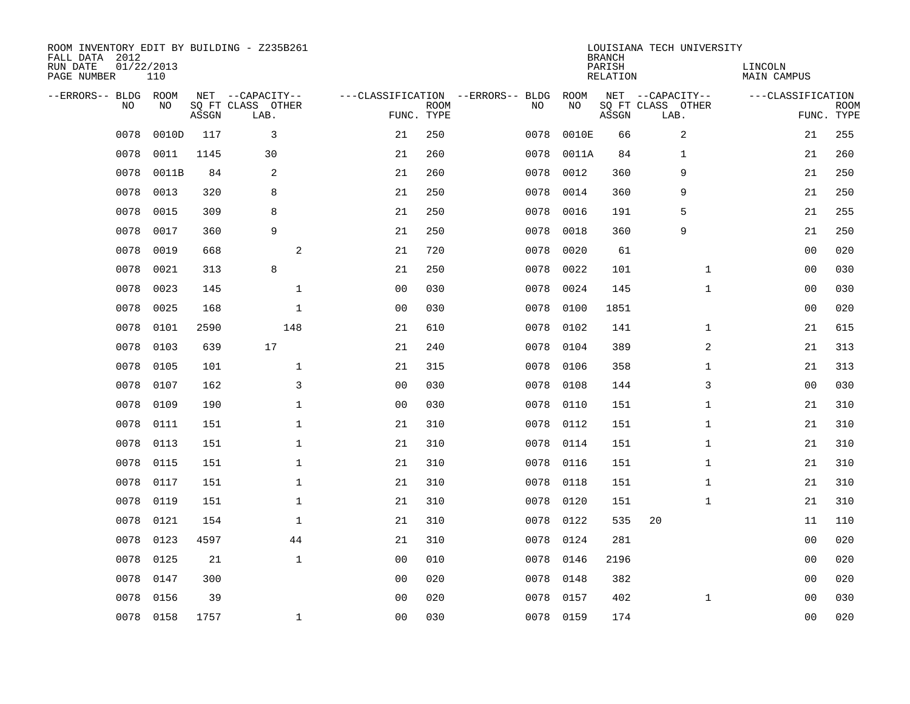| ROOM INVENTORY EDIT BY BUILDING - Z235B261<br>FALL DATA 2012<br>RUN DATE<br>PAGE NUMBER | 01/22/2013<br>110 |       |                                               |                |                           |                                         |            | <b>BRANCH</b><br>PARISH<br><b>RELATION</b> | LOUISIANA TECH UNIVERSITY                     | LINCOLN<br>MAIN CAMPUS |                           |
|-----------------------------------------------------------------------------------------|-------------------|-------|-----------------------------------------------|----------------|---------------------------|-----------------------------------------|------------|--------------------------------------------|-----------------------------------------------|------------------------|---------------------------|
| --ERRORS-- BLDG ROOM<br>NO                                                              | NO                | ASSGN | NET --CAPACITY--<br>SO FT CLASS OTHER<br>LAB. |                | <b>ROOM</b><br>FUNC. TYPE | ---CLASSIFICATION --ERRORS-- BLDG<br>NO | ROOM<br>NO | ASSGN                                      | NET --CAPACITY--<br>SO FT CLASS OTHER<br>LAB. | ---CLASSIFICATION      | <b>ROOM</b><br>FUNC. TYPE |
| 0078                                                                                    | 0010D             | 117   | 3                                             | 21             | 250                       | 0078                                    | 0010E      | 66                                         | 2                                             | 21                     | 255                       |
| 0078                                                                                    | 0011              | 1145  | 30                                            | 21             | 260                       | 0078                                    | 0011A      | 84                                         | 1                                             | 21                     | 260                       |
| 0078                                                                                    | 0011B             | 84    | 2                                             | 21             | 260                       | 0078                                    | 0012       | 360                                        | 9                                             | 21                     | 250                       |
| 0078                                                                                    | 0013              | 320   | 8                                             | 21             | 250                       | 0078                                    | 0014       | 360                                        | 9                                             | 21                     | 250                       |
| 0078                                                                                    | 0015              | 309   | 8                                             | 21             | 250                       | 0078                                    | 0016       | 191                                        | 5                                             | 21                     | 255                       |
| 0078                                                                                    | 0017              | 360   | 9                                             | 21             | 250                       | 0078                                    | 0018       | 360                                        | 9                                             | 21                     | 250                       |
| 0078                                                                                    | 0019              | 668   | 2                                             | 21             | 720                       | 0078                                    | 0020       | 61                                         |                                               | 0 <sub>0</sub>         | 020                       |
| 0078                                                                                    | 0021              | 313   | 8                                             | 21             | 250                       | 0078                                    | 0022       | 101                                        | $\mathbf{1}$                                  | 0 <sub>0</sub>         | 030                       |
| 0078                                                                                    | 0023              | 145   | $\mathbf{1}$                                  | 0 <sub>0</sub> | 030                       | 0078                                    | 0024       | 145                                        | $\mathbf{1}$                                  | 0 <sub>0</sub>         | 030                       |
| 0078                                                                                    | 0025              | 168   | $\mathbf 1$                                   | 0 <sub>0</sub> | 030                       | 0078                                    | 0100       | 1851                                       |                                               | 0 <sub>0</sub>         | 020                       |
| 0078                                                                                    | 0101              | 2590  | 148                                           | 21             | 610                       | 0078                                    | 0102       | 141                                        | $\mathbf{1}$                                  | 21                     | 615                       |
| 0078                                                                                    | 0103              | 639   | 17                                            | 21             | 240                       | 0078                                    | 0104       | 389                                        | 2                                             | 21                     | 313                       |
| 0078                                                                                    | 0105              | 101   | $\mathbf{1}$                                  | 21             | 315                       | 0078                                    | 0106       | 358                                        | $\mathbf{1}$                                  | 21                     | 313                       |
| 0078                                                                                    | 0107              | 162   | 3                                             | 0 <sub>0</sub> | 030                       | 0078                                    | 0108       | 144                                        | 3                                             | 0 <sub>0</sub>         | 030                       |
| 0078                                                                                    | 0109              | 190   | $\mathbf{1}$                                  | 0 <sub>0</sub> | 030                       | 0078                                    | 0110       | 151                                        | $\mathbf{1}$                                  | 21                     | 310                       |
| 0078                                                                                    | 0111              | 151   | $\mathbf 1$                                   | 21             | 310                       | 0078                                    | 0112       | 151                                        | $\mathbf{1}$                                  | 21                     | 310                       |
| 0078                                                                                    | 0113              | 151   | $\mathbf 1$                                   | 21             | 310                       | 0078                                    | 0114       | 151                                        | $\mathbf{1}$                                  | 21                     | 310                       |
| 0078                                                                                    | 0115              | 151   | $\mathbf 1$                                   | 21             | 310                       | 0078                                    | 0116       | 151                                        | $\mathbf{1}$                                  | 21                     | 310                       |
| 0078                                                                                    | 0117              | 151   | 1                                             | 21             | 310                       | 0078                                    | 0118       | 151                                        | $\mathbf{1}$                                  | 21                     | 310                       |
| 0078                                                                                    | 0119              | 151   | $\mathbf 1$                                   | 21             | 310                       | 0078                                    | 0120       | 151                                        | $\mathbf{1}$                                  | 21                     | 310                       |
| 0078                                                                                    | 0121              | 154   | $\mathbf 1$                                   | 21             | 310                       | 0078                                    | 0122       | 535                                        | 20                                            | 11                     | 110                       |
| 0078                                                                                    | 0123              | 4597  | 44                                            | 21             | 310                       | 0078                                    | 0124       | 281                                        |                                               | 00                     | 020                       |
| 0078                                                                                    | 0125              | 21    | $\mathbf 1$                                   | 0 <sub>0</sub> | 010                       | 0078                                    | 0146       | 2196                                       |                                               | 0 <sub>0</sub>         | 020                       |
| 0078                                                                                    | 0147              | 300   |                                               | 0 <sub>0</sub> | 020                       | 0078                                    | 0148       | 382                                        |                                               | 00                     | 020                       |
| 0078                                                                                    | 0156              | 39    |                                               | 0 <sub>0</sub> | 020                       | 0078                                    | 0157       | 402                                        | $\mathbf{1}$                                  | 00                     | 030                       |
|                                                                                         | 0078 0158         | 1757  | $\mathbf 1$                                   | 0 <sub>0</sub> | 030                       |                                         | 0078 0159  | 174                                        |                                               | 0 <sub>0</sub>         | 020                       |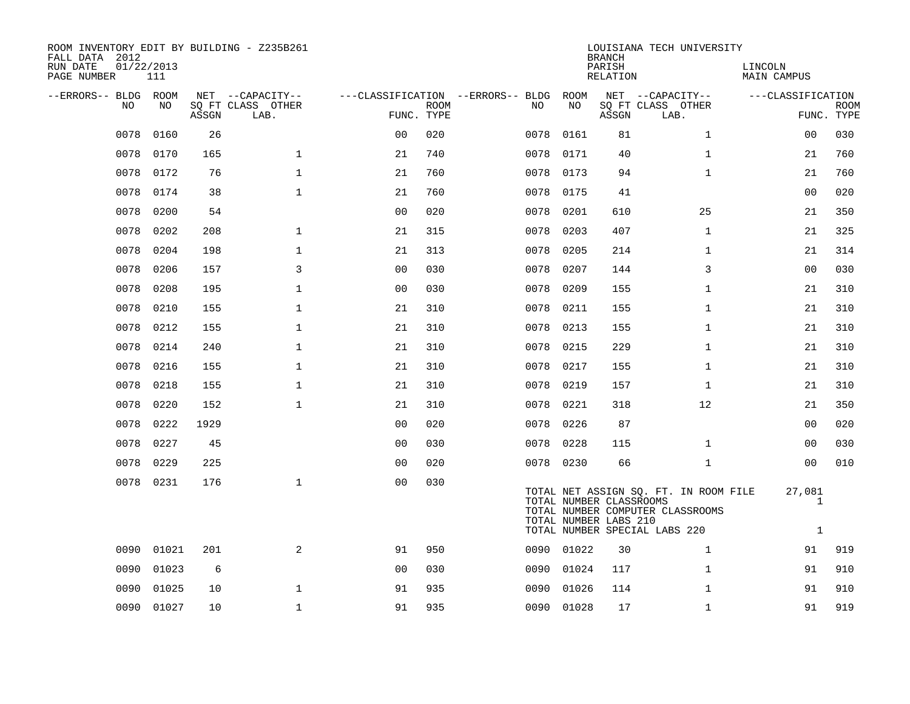| ROOM INVENTORY EDIT BY BUILDING - Z235B261<br>FALL DATA 2012<br>RUN DATE<br>PAGE NUMBER | 01/22/2013<br>111 |       |                           |                |             |                                        |            | <b>BRANCH</b><br>PARISH<br>RELATION              | LOUISIANA TECH UNIVERSITY                                                                                  | LINCOLN<br>MAIN CAMPUS      |                           |
|-----------------------------------------------------------------------------------------|-------------------|-------|---------------------------|----------------|-------------|----------------------------------------|------------|--------------------------------------------------|------------------------------------------------------------------------------------------------------------|-----------------------------|---------------------------|
| --ERRORS-- BLDG ROOM                                                                    |                   |       | NET --CAPACITY--          |                |             | ---CLASSIFICATION --ERRORS-- BLDG ROOM |            |                                                  | NET --CAPACITY--                                                                                           | ---CLASSIFICATION           |                           |
| NO.                                                                                     | NO.               | ASSGN | SQ FT CLASS OTHER<br>LAB. | FUNC. TYPE     | <b>ROOM</b> | NO.                                    | NO         | ASSGN                                            | SQ FT CLASS OTHER<br>LAB.                                                                                  |                             | <b>ROOM</b><br>FUNC. TYPE |
| 0078                                                                                    | 0160              | 26    |                           | 0 <sub>0</sub> | 020         | 0078                                   | 0161       | 81                                               | $\mathbf{1}$                                                                                               | 00                          | 030                       |
| 0078                                                                                    | 0170              | 165   | $\mathbf{1}$              | 21             | 740         | 0078                                   | 0171       | 40                                               | $\mathbf{1}$                                                                                               | 21                          | 760                       |
| 0078                                                                                    | 0172              | 76    | $\mathbf 1$               | 21             | 760         |                                        | 0078 0173  | 94                                               | $\mathbf{1}$                                                                                               | 21                          | 760                       |
| 0078                                                                                    | 0174              | 38    | $\mathbf 1$               | 21             | 760         | 0078                                   | 0175       | 41                                               |                                                                                                            | 0 <sub>0</sub>              | 020                       |
| 0078                                                                                    | 0200              | 54    |                           | 0 <sub>0</sub> | 020         | 0078                                   | 0201       | 610                                              | 25                                                                                                         | 21                          | 350                       |
| 0078                                                                                    | 0202              | 208   | $\mathbf{1}$              | 21             | 315         | 0078                                   | 0203       | 407                                              | $\mathbf{1}$                                                                                               | 21                          | 325                       |
| 0078                                                                                    | 0204              | 198   | $\mathbf 1$               | 21             | 313         | 0078                                   | 0205       | 214                                              | $\mathbf{1}$                                                                                               | 21                          | 314                       |
| 0078                                                                                    | 0206              | 157   | $\overline{3}$            | 0 <sub>0</sub> | 030         | 0078                                   | 0207       | 144                                              | 3                                                                                                          | 0 <sub>0</sub>              | 030                       |
| 0078                                                                                    | 0208              | 195   | $\mathbf{1}$              | 0 <sub>0</sub> | 030         | 0078                                   | 0209       | 155                                              | $\mathbf{1}$                                                                                               | 21                          | 310                       |
| 0078                                                                                    | 0210              | 155   | $\mathbf{1}$              | 21             | 310         | 0078                                   | 0211       | 155                                              | $\mathbf{1}$                                                                                               | 21                          | 310                       |
| 0078                                                                                    | 0212              | 155   | $\mathbf 1$               | 21             | 310         | 0078                                   | 0213       | 155                                              | $\mathbf{1}$                                                                                               | 21                          | 310                       |
| 0078                                                                                    | 0214              | 240   | $\mathbf{1}$              | 21             | 310         | 0078                                   | 0215       | 229                                              | $\mathbf{1}$                                                                                               | 21                          | 310                       |
| 0078                                                                                    | 0216              | 155   | $\mathbf 1$               | 21             | 310         |                                        | 0078 0217  | 155                                              | $\mathbf{1}$                                                                                               | 21                          | 310                       |
| 0078                                                                                    | 0218              | 155   | $\mathbf 1$               | 21             | 310         | 0078                                   | 0219       | 157                                              | $\mathbf{1}$                                                                                               | 21                          | 310                       |
| 0078                                                                                    | 0220              | 152   | $\mathbf{1}$              | 21             | 310         |                                        | 0078 0221  | 318                                              | 12                                                                                                         | 21                          | 350                       |
| 0078                                                                                    | 0222              | 1929  |                           | 00             | 020         | 0078                                   | 0226       | 87                                               |                                                                                                            | 00                          | 020                       |
| 0078                                                                                    | 0227              | 45    |                           | 0 <sub>0</sub> | 030         |                                        | 0078 0228  | 115                                              | $\mathbf{1}$                                                                                               | 00                          | 030                       |
| 0078                                                                                    | 0229              | 225   |                           | 0 <sub>0</sub> | 020         |                                        | 0078 0230  | 66                                               | $\mathbf{1}$                                                                                               | 0 <sub>0</sub>              | 010                       |
|                                                                                         | 0078 0231         | 176   | $\mathbf{1}$              | 0 <sub>0</sub> | 030         |                                        |            | TOTAL NUMBER CLASSROOMS<br>TOTAL NUMBER LABS 210 | TOTAL NET ASSIGN SQ. FT. IN ROOM FILE<br>TOTAL NUMBER COMPUTER CLASSROOMS<br>TOTAL NUMBER SPECIAL LABS 220 | 27,081<br>1<br>$\mathbf{1}$ |                           |
| 0090                                                                                    | 01021             | 201   | 2                         | 91             | 950         |                                        | 0090 01022 | 30                                               | $\mathbf{1}$                                                                                               | 91                          | 919                       |
| 0090                                                                                    | 01023             | 6     |                           | 0 <sub>0</sub> | 030         | 0090                                   | 01024      | 117                                              | $\mathbf{1}$                                                                                               | 91                          | 910                       |
| 0090                                                                                    | 01025             | 10    | $\mathbf 1$               | 91             | 935         | 0090                                   | 01026      | 114                                              | $\mathbf{1}$                                                                                               | 91                          | 910                       |
|                                                                                         | 0090 01027        | 10    | $\mathbf{1}$              | 91             | 935         |                                        | 0090 01028 | 17                                               | $\mathbf{1}$                                                                                               | 91                          | 919                       |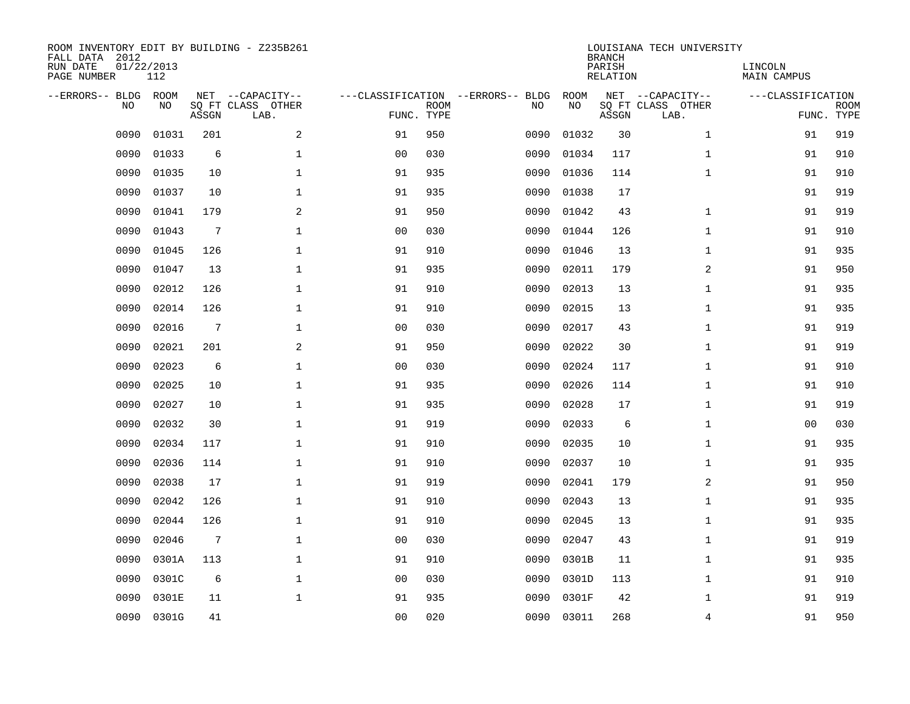| ROOM INVENTORY EDIT BY BUILDING - Z235B261<br>FALL DATA 2012<br>RUN DATE<br>PAGE NUMBER | 01/22/2013<br>112 |                 |                                               |                |                           |                                         |            | <b>BRANCH</b><br>PARISH<br><b>RELATION</b> | LOUISIANA TECH UNIVERSITY                     | LINCOLN<br>MAIN CAMPUS |                           |
|-----------------------------------------------------------------------------------------|-------------------|-----------------|-----------------------------------------------|----------------|---------------------------|-----------------------------------------|------------|--------------------------------------------|-----------------------------------------------|------------------------|---------------------------|
| --ERRORS-- BLDG<br>NO                                                                   | ROOM<br>NO.       | ASSGN           | NET --CAPACITY--<br>SQ FT CLASS OTHER<br>LAB. |                | <b>ROOM</b><br>FUNC. TYPE | ---CLASSIFICATION --ERRORS-- BLDG<br>NO | ROOM<br>NO | ASSGN                                      | NET --CAPACITY--<br>SQ FT CLASS OTHER<br>LAB. | ---CLASSIFICATION      | <b>ROOM</b><br>FUNC. TYPE |
| 0090                                                                                    | 01031             | 201             | 2                                             | 91             | 950                       | 0090                                    | 01032      | 30                                         | $\mathbf{1}$                                  | 91                     | 919                       |
| 0090                                                                                    | 01033             | 6               | $\mathbf 1$                                   | 0 <sub>0</sub> | 030                       | 0090                                    | 01034      | 117                                        | $\mathbf{1}$                                  | 91                     | 910                       |
| 0090                                                                                    | 01035             | 10              | $\mathbf{1}$                                  | 91             | 935                       | 0090                                    | 01036      | 114                                        | $\mathbf{1}$                                  | 91                     | 910                       |
| 0090                                                                                    | 01037             | 10              | $\mathbf 1$                                   | 91             | 935                       | 0090                                    | 01038      | 17                                         |                                               | 91                     | 919                       |
| 0090                                                                                    | 01041             | 179             | 2                                             | 91             | 950                       | 0090                                    | 01042      | 43                                         | $\mathbf{1}$                                  | 91                     | 919                       |
| 0090                                                                                    | 01043             | $\sqrt{ }$      | $\mathbf{1}$                                  | 0 <sub>0</sub> | 030                       | 0090                                    | 01044      | 126                                        | $\mathbf{1}$                                  | 91                     | 910                       |
| 0090                                                                                    | 01045             | 126             | $\mathbf{1}$                                  | 91             | 910                       | 0090                                    | 01046      | 13                                         | $\mathbf{1}$                                  | 91                     | 935                       |
| 0090                                                                                    | 01047             | 13              | $\mathbf 1$                                   | 91             | 935                       | 0090                                    | 02011      | 179                                        | 2                                             | 91                     | 950                       |
| 0090                                                                                    | 02012             | 126             | $\mathbf 1$                                   | 91             | 910                       | 0090                                    | 02013      | 13                                         | $\mathbf{1}$                                  | 91                     | 935                       |
| 0090                                                                                    | 02014             | 126             | $\mathbf 1$                                   | 91             | 910                       | 0090                                    | 02015      | 13                                         | $\mathbf{1}$                                  | 91                     | 935                       |
| 0090                                                                                    | 02016             | $7\phantom{.0}$ | $\mathbf 1$                                   | 0 <sub>0</sub> | 030                       | 0090                                    | 02017      | 43                                         | $\mathbf{1}$                                  | 91                     | 919                       |
| 0090                                                                                    | 02021             | 201             | 2                                             | 91             | 950                       | 0090                                    | 02022      | 30                                         | $\mathbf{1}$                                  | 91                     | 919                       |
| 0090                                                                                    | 02023             | 6               | $\mathbf 1$                                   | 0 <sub>0</sub> | 030                       | 0090                                    | 02024      | 117                                        | $\mathbf{1}$                                  | 91                     | 910                       |
| 0090                                                                                    | 02025             | 10              | $\mathbf 1$                                   | 91             | 935                       | 0090                                    | 02026      | 114                                        | $\mathbf{1}$                                  | 91                     | 910                       |
| 0090                                                                                    | 02027             | 10              | $\mathbf 1$                                   | 91             | 935                       | 0090                                    | 02028      | 17                                         | $\mathbf{1}$                                  | 91                     | 919                       |
| 0090                                                                                    | 02032             | 30              | $\mathbf{1}$                                  | 91             | 919                       | 0090                                    | 02033      | 6                                          | $\mathbf{1}$                                  | 00                     | 030                       |
| 0090                                                                                    | 02034             | 117             | $\mathbf 1$                                   | 91             | 910                       | 0090                                    | 02035      | 10                                         | $\mathbf{1}$                                  | 91                     | 935                       |
| 0090                                                                                    | 02036             | 114             | $\mathbf{1}$                                  | 91             | 910                       | 0090                                    | 02037      | 10                                         | $\mathbf{1}$                                  | 91                     | 935                       |
| 0090                                                                                    | 02038             | 17              | $\mathbf 1$                                   | 91             | 919                       | 0090                                    | 02041      | 179                                        | 2                                             | 91                     | 950                       |
| 0090                                                                                    | 02042             | 126             | $\mathbf{1}$                                  | 91             | 910                       | 0090                                    | 02043      | 13                                         | $\mathbf{1}$                                  | 91                     | 935                       |
| 0090                                                                                    | 02044             | 126             | $\mathbf{1}$                                  | 91             | 910                       | 0090                                    | 02045      | 13                                         | $\mathbf{1}$                                  | 91                     | 935                       |
| 0090                                                                                    | 02046             | $7\phantom{.0}$ | $\mathbf{1}$                                  | 0 <sub>0</sub> | 030                       | 0090                                    | 02047      | 43                                         | $\mathbf{1}$                                  | 91                     | 919                       |
| 0090                                                                                    | 0301A             | 113             | $\mathbf 1$                                   | 91             | 910                       | 0090                                    | 0301B      | 11                                         | $\mathbf{1}$                                  | 91                     | 935                       |
| 0090                                                                                    | 0301C             | 6               | $\mathbf 1$                                   | 0 <sub>0</sub> | 030                       | 0090                                    | 0301D      | 113                                        | $\mathbf{1}$                                  | 91                     | 910                       |
| 0090                                                                                    | 0301E             | 11              | 1                                             | 91             | 935                       | 0090                                    | 0301F      | 42                                         | $\mathbf{1}$                                  | 91                     | 919                       |
| 0090                                                                                    | 0301G             | 41              |                                               | 0 <sub>0</sub> | 020                       |                                         | 0090 03011 | 268                                        | $\overline{4}$                                | 91                     | 950                       |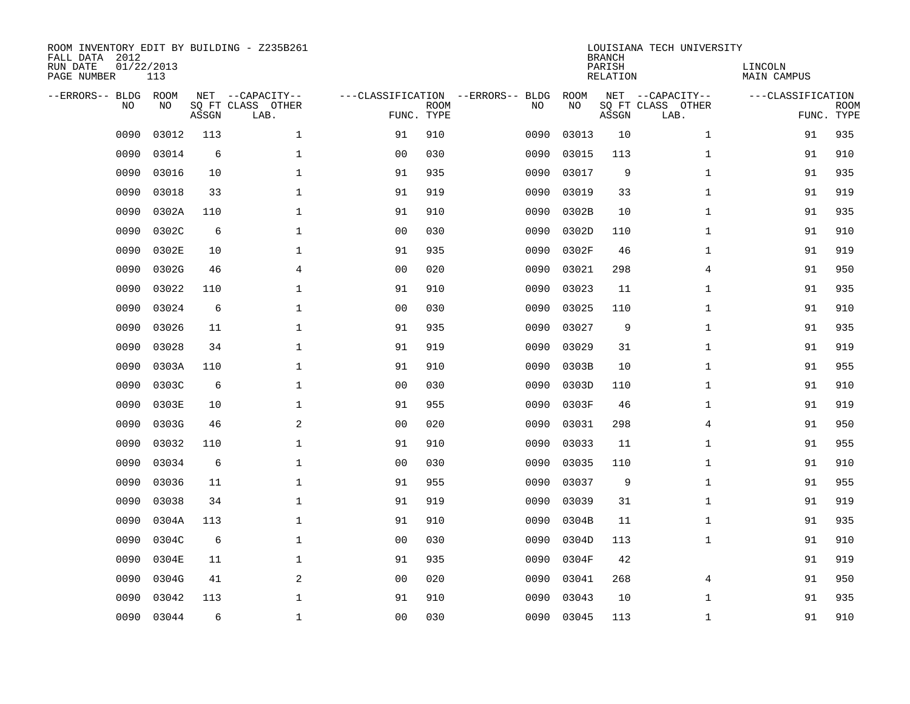| ROOM INVENTORY EDIT BY BUILDING - Z235B261<br>FALL DATA 2012<br>RUN DATE<br>PAGE NUMBER | 01/22/2013<br>113 |       |                                               |                |                           |                                         |            | <b>BRANCH</b><br>PARISH<br><b>RELATION</b> | LOUISIANA TECH UNIVERSITY                     | LINCOLN<br>MAIN CAMPUS |                           |
|-----------------------------------------------------------------------------------------|-------------------|-------|-----------------------------------------------|----------------|---------------------------|-----------------------------------------|------------|--------------------------------------------|-----------------------------------------------|------------------------|---------------------------|
| --ERRORS-- BLDG<br>NO                                                                   | ROOM<br>NO        | ASSGN | NET --CAPACITY--<br>SQ FT CLASS OTHER<br>LAB. |                | <b>ROOM</b><br>FUNC. TYPE | ---CLASSIFICATION --ERRORS-- BLDG<br>NO | ROOM<br>NO | ASSGN                                      | NET --CAPACITY--<br>SQ FT CLASS OTHER<br>LAB. | ---CLASSIFICATION      | <b>ROOM</b><br>FUNC. TYPE |
| 0090                                                                                    | 03012             | 113   | $\mathbf{1}$                                  | 91             | 910                       | 0090                                    | 03013      | 10                                         | $\mathbf{1}$                                  | 91                     | 935                       |
| 0090                                                                                    | 03014             | 6     | $\mathbf 1$                                   | 0 <sub>0</sub> | 030                       | 0090                                    | 03015      | 113                                        | $\mathbf{1}$                                  | 91                     | 910                       |
| 0090                                                                                    | 03016             | 10    | $\mathbf 1$                                   | 91             | 935                       | 0090                                    | 03017      | 9                                          | $\mathbf{1}$                                  | 91                     | 935                       |
| 0090                                                                                    | 03018             | 33    | $\mathbf{1}$                                  | 91             | 919                       | 0090                                    | 03019      | 33                                         | $\mathbf{1}$                                  | 91                     | 919                       |
| 0090                                                                                    | 0302A             | 110   | $\mathbf 1$                                   | 91             | 910                       | 0090                                    | 0302B      | 10                                         | $\mathbf{1}$                                  | 91                     | 935                       |
| 0090                                                                                    | 0302C             | 6     | $\mathbf{1}$                                  | 0 <sub>0</sub> | 030                       | 0090                                    | 0302D      | 110                                        | $\mathbf{1}$                                  | 91                     | 910                       |
| 0090                                                                                    | 0302E             | 10    | $\mathbf{1}$                                  | 91             | 935                       | 0090                                    | 0302F      | 46                                         | $\mathbf{1}$                                  | 91                     | 919                       |
| 0090                                                                                    | 0302G             | 46    | $\overline{4}$                                | 0 <sub>0</sub> | 020                       | 0090                                    | 03021      | 298                                        | 4                                             | 91                     | 950                       |
| 0090                                                                                    | 03022             | 110   | $\mathbf 1$                                   | 91             | 910                       | 0090                                    | 03023      | 11                                         | $\mathbf{1}$                                  | 91                     | 935                       |
| 0090                                                                                    | 03024             | 6     | $\mathbf 1$                                   | 0 <sub>0</sub> | 030                       | 0090                                    | 03025      | 110                                        | $\mathbf{1}$                                  | 91                     | 910                       |
| 0090                                                                                    | 03026             | 11    | $\mathbf{1}$                                  | 91             | 935                       | 0090                                    | 03027      | 9                                          | $\mathbf{1}$                                  | 91                     | 935                       |
| 0090                                                                                    | 03028             | 34    | $\mathbf 1$                                   | 91             | 919                       | 0090                                    | 03029      | 31                                         | $\mathbf{1}$                                  | 91                     | 919                       |
| 0090                                                                                    | 0303A             | 110   | $\mathbf{1}$                                  | 91             | 910                       | 0090                                    | 0303B      | 10                                         | $\mathbf{1}$                                  | 91                     | 955                       |
| 0090                                                                                    | 0303C             | 6     | $\mathbf 1$                                   | 00             | 030                       | 0090                                    | 0303D      | 110                                        | $\mathbf{1}$                                  | 91                     | 910                       |
| 0090                                                                                    | 0303E             | 10    | 1                                             | 91             | 955                       | 0090                                    | 0303F      | 46                                         | $\mathbf{1}$                                  | 91                     | 919                       |
| 0090                                                                                    | 0303G             | 46    | 2                                             | 0 <sub>0</sub> | 020                       | 0090                                    | 03031      | 298                                        | 4                                             | 91                     | 950                       |
| 0090                                                                                    | 03032             | 110   | $\mathbf 1$                                   | 91             | 910                       | 0090                                    | 03033      | 11                                         | $\mathbf{1}$                                  | 91                     | 955                       |
| 0090                                                                                    | 03034             | 6     | $\mathbf 1$                                   | 0 <sub>0</sub> | 030                       | 0090                                    | 03035      | 110                                        | $\mathbf{1}$                                  | 91                     | 910                       |
| 0090                                                                                    | 03036             | 11    | $\mathbf 1$                                   | 91             | 955                       | 0090                                    | 03037      | 9                                          | $\mathbf{1}$                                  | 91                     | 955                       |
| 0090                                                                                    | 03038             | 34    | $\mathbf 1$                                   | 91             | 919                       | 0090                                    | 03039      | 31                                         | $\mathbf{1}$                                  | 91                     | 919                       |
| 0090                                                                                    | 0304A             | 113   | $\mathbf{1}$                                  | 91             | 910                       | 0090                                    | 0304B      | 11                                         | $\mathbf{1}$                                  | 91                     | 935                       |
| 0090                                                                                    | 0304C             | 6     | $\mathbf{1}$                                  | 0 <sub>0</sub> | 030                       | 0090                                    | 0304D      | 113                                        | $\mathbf{1}$                                  | 91                     | 910                       |
| 0090                                                                                    | 0304E             | 11    | $\mathbf{1}$                                  | 91             | 935                       | 0090                                    | 0304F      | 42                                         |                                               | 91                     | 919                       |
| 0090                                                                                    | 0304G             | 41    | 2                                             | 0 <sub>0</sub> | 020                       | 0090                                    | 03041      | 268                                        | 4                                             | 91                     | 950                       |
| 0090                                                                                    | 03042             | 113   | $\mathbf 1$                                   | 91             | 910                       | 0090                                    | 03043      | 10                                         | $\mathbf{1}$                                  | 91                     | 935                       |
| 0090                                                                                    | 03044             | 6     | $\mathbf 1$                                   | 00             | 030                       | 0090                                    | 03045      | 113                                        | $\mathbf{1}$                                  | 91                     | 910                       |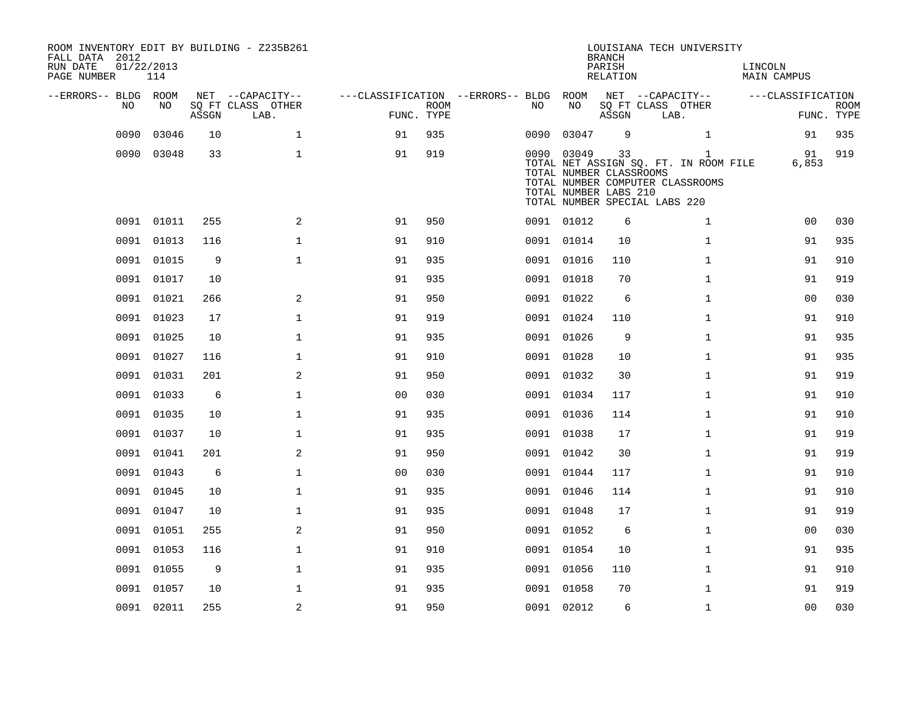| ROOM INVENTORY EDIT BY BUILDING - Z235B261<br>FALL DATA 2012<br>RUN DATE<br>01/22/2013<br>PAGE NUMBER<br>114 |            |       |                           |                                   |                           |      | <b>BRANCH</b><br>PARISH<br>RELATION                            | LOUISIANA TECH UNIVERSITY | LINCOLN<br><b>MAIN CAMPUS</b>                                                                                              |                   |                           |
|--------------------------------------------------------------------------------------------------------------|------------|-------|---------------------------|-----------------------------------|---------------------------|------|----------------------------------------------------------------|---------------------------|----------------------------------------------------------------------------------------------------------------------------|-------------------|---------------------------|
| --ERRORS-- BLDG ROOM                                                                                         |            |       | NET --CAPACITY--          | ---CLASSIFICATION --ERRORS-- BLDG |                           |      | ROOM                                                           |                           | NET --CAPACITY--                                                                                                           | ---CLASSIFICATION |                           |
| NO.                                                                                                          | NO.        | ASSGN | SQ FT CLASS OTHER<br>LAB. |                                   | <b>ROOM</b><br>FUNC. TYPE | NO.  | NO                                                             | ASSGN                     | SQ FT CLASS OTHER<br>LAB.                                                                                                  |                   | <b>ROOM</b><br>FUNC. TYPE |
| 0090                                                                                                         | 03046      | 10    | $\mathbf{1}$              | 91                                | 935                       | 0090 | 03047                                                          | 9                         | $\mathbf{1}$                                                                                                               | 91                | 935                       |
|                                                                                                              | 0090 03048 | 33    | $\mathbf{1}$              | 91                                | 919                       |      | 0090 03049<br>TOTAL NUMBER CLASSROOMS<br>TOTAL NUMBER LABS 210 | 33                        | $\mathbf{1}$<br>TOTAL NET ASSIGN SQ. FT. IN ROOM FILE<br>TOTAL NUMBER COMPUTER CLASSROOMS<br>TOTAL NUMBER SPECIAL LABS 220 | 91<br>6,853       | 919                       |
|                                                                                                              | 0091 01011 | 255   | 2                         | 91                                | 950                       |      | 0091 01012                                                     | 6                         | 1                                                                                                                          | 0 <sub>0</sub>    | 030                       |
|                                                                                                              | 0091 01013 | 116   | $\mathbf{1}$              | 91                                | 910                       |      | 0091 01014                                                     | 10                        | $\mathbf{1}$                                                                                                               | 91                | 935                       |
|                                                                                                              | 0091 01015 | 9     | $\mathbf{1}$              | 91                                | 935                       |      | 0091 01016                                                     | 110                       | $\mathbf{1}$                                                                                                               | 91                | 910                       |
|                                                                                                              | 0091 01017 | 10    |                           | 91                                | 935                       |      | 0091 01018                                                     | 70                        | $\mathbf{1}$                                                                                                               | 91                | 919                       |
|                                                                                                              | 0091 01021 | 266   | 2                         | 91                                | 950                       |      | 0091 01022                                                     | 6                         | $\mathbf{1}$                                                                                                               | 00                | 030                       |
|                                                                                                              | 0091 01023 | 17    | $\mathbf 1$               | 91                                | 919                       |      | 0091 01024                                                     | 110                       | $\mathbf{1}$                                                                                                               | 91                | 910                       |
|                                                                                                              | 0091 01025 | 10    | $\mathbf 1$               | 91                                | 935                       |      | 0091 01026                                                     | 9                         | $\mathbf{1}$                                                                                                               | 91                | 935                       |
|                                                                                                              | 0091 01027 | 116   | $\mathbf{1}$              | 91                                | 910                       |      | 0091 01028                                                     | 10                        | $\mathbf{1}$                                                                                                               | 91                | 935                       |
|                                                                                                              | 0091 01031 | 201   | 2                         | 91                                | 950                       |      | 0091 01032                                                     | 30                        | $\mathbf{1}$                                                                                                               | 91                | 919                       |
|                                                                                                              | 0091 01033 | 6     | $\mathbf{1}$              | 0 <sub>0</sub>                    | 030                       |      | 0091 01034                                                     | 117                       | $\mathbf{1}$                                                                                                               | 91                | 910                       |
|                                                                                                              | 0091 01035 | 10    | $\mathbf{1}$              | 91                                | 935                       |      | 0091 01036                                                     | 114                       | $\mathbf{1}$                                                                                                               | 91                | 910                       |
|                                                                                                              | 0091 01037 | 10    | $\mathbf{1}$              | 91                                | 935                       |      | 0091 01038                                                     | 17                        | $\mathbf{1}$                                                                                                               | 91                | 919                       |
| 0091                                                                                                         | 01041      | 201   | 2                         | 91                                | 950                       |      | 0091 01042                                                     | 30                        | $\mathbf{1}$                                                                                                               | 91                | 919                       |
| 0091                                                                                                         | 01043      | 6     | $\mathbf 1$               | 0 <sub>0</sub>                    | 030                       |      | 0091 01044                                                     | 117                       | $\mathbf{1}$                                                                                                               | 91                | 910                       |
|                                                                                                              | 0091 01045 | 10    | $\mathbf 1$               | 91                                | 935                       |      | 0091 01046                                                     | 114                       | $\mathbf{1}$                                                                                                               | 91                | 910                       |
|                                                                                                              | 0091 01047 | 10    | $\mathbf 1$               | 91                                | 935                       |      | 0091 01048                                                     | 17                        | $\mathbf{1}$                                                                                                               | 91                | 919                       |
|                                                                                                              | 0091 01051 | 255   | 2                         | 91                                | 950                       |      | 0091 01052                                                     | 6                         | $\mathbf{1}$                                                                                                               | 0 <sub>0</sub>    | 030                       |
|                                                                                                              | 0091 01053 | 116   | $\mathbf 1$               | 91                                | 910                       |      | 0091 01054                                                     | 10                        | $\mathbf{1}$                                                                                                               | 91                | 935                       |
|                                                                                                              | 0091 01055 | 9     | $\mathbf{1}$              | 91                                | 935                       |      | 0091 01056                                                     | 110                       | $\mathbf{1}$                                                                                                               | 91                | 910                       |
|                                                                                                              | 0091 01057 | 10    | $\mathbf 1$               | 91                                | 935                       |      | 0091 01058                                                     | 70                        | $\mathbf{1}$                                                                                                               | 91                | 919                       |
|                                                                                                              | 0091 02011 | 255   | 2                         | 91                                | 950                       |      | 0091 02012                                                     | 6                         | $\mathbf{1}$                                                                                                               | 0 <sub>0</sub>    | 030                       |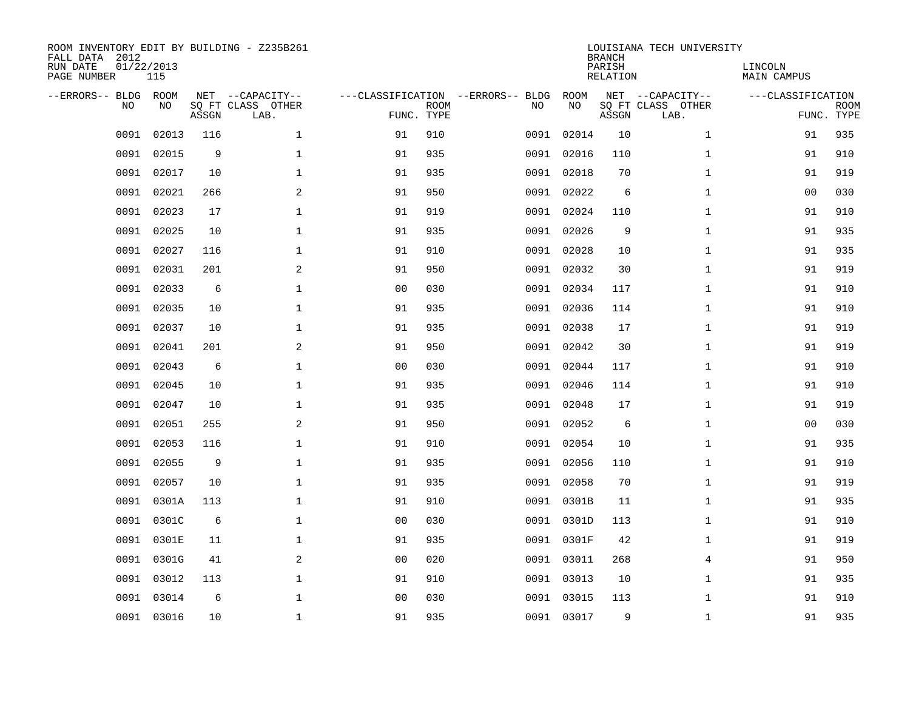| FALL DATA 2012<br>RUN DATE<br>PAGE NUMBER | 01/22/2013<br>115 |       | ROOM INVENTORY EDIT BY BUILDING - Z235B261    |                                                 |             |      |            | <b>BRANCH</b><br>PARISH<br>RELATION | LOUISIANA TECH UNIVERSITY                     | LINCOLN<br><b>MAIN CAMPUS</b>   |             |
|-------------------------------------------|-------------------|-------|-----------------------------------------------|-------------------------------------------------|-------------|------|------------|-------------------------------------|-----------------------------------------------|---------------------------------|-------------|
| --ERRORS-- BLDG<br>NO                     | ROOM<br>NO.       | ASSGN | NET --CAPACITY--<br>SO FT CLASS OTHER<br>LAB. | ---CLASSIFICATION --ERRORS-- BLDG<br>FUNC. TYPE | <b>ROOM</b> | NO   | ROOM<br>NO | ASSGN                               | NET --CAPACITY--<br>SQ FT CLASS OTHER<br>LAB. | ---CLASSIFICATION<br>FUNC. TYPE | <b>ROOM</b> |
| 0091                                      | 02013             | 116   | $\mathbf{1}$                                  | 91                                              | 910         | 0091 | 02014      | 10                                  | $\mathbf{1}$                                  | 91                              | 935         |
| 0091                                      | 02015             | 9     | $\mathbf 1$                                   | 91                                              | 935         | 0091 | 02016      | 110                                 | $\mathbf{1}$                                  | 91                              | 910         |
| 0091                                      | 02017             | 10    | $\mathbf 1$                                   | 91                                              | 935         | 0091 | 02018      | 70                                  | $\mathbf{1}$                                  | 91                              | 919         |
| 0091                                      | 02021             | 266   | 2                                             | 91                                              | 950         |      | 0091 02022 | 6                                   | $\mathbf{1}$                                  | 0 <sub>0</sub>                  | 030         |
| 0091                                      | 02023             | 17    | $\mathbf{1}$                                  | 91                                              | 919         | 0091 | 02024      | 110                                 | $\mathbf{1}$                                  | 91                              | 910         |
| 0091                                      | 02025             | 10    | $\mathbf{1}$                                  | 91                                              | 935         |      | 0091 02026 | 9                                   | $\mathbf{1}$                                  | 91                              | 935         |
| 0091                                      | 02027             | 116   | $\mathbf{1}$                                  | 91                                              | 910         |      | 0091 02028 | 10                                  | $\mathbf{1}$                                  | 91                              | 935         |
| 0091                                      | 02031             | 201   | $\overline{2}$                                | 91                                              | 950         |      | 0091 02032 | 30                                  | $\mathbf{1}$                                  | 91                              | 919         |
| 0091                                      | 02033             | 6     | $\mathbf 1$                                   | 0 <sub>0</sub>                                  | 030         | 0091 | 02034      | 117                                 | $\mathbf{1}$                                  | 91                              | 910         |
| 0091                                      | 02035             | 10    | $\mathbf 1$                                   | 91                                              | 935         | 0091 | 02036      | 114                                 | $\mathbf{1}$                                  | 91                              | 910         |
| 0091                                      | 02037             | 10    | $\mathbf 1$                                   | 91                                              | 935         | 0091 | 02038      | 17                                  | $\mathbf{1}$                                  | 91                              | 919         |
| 0091                                      | 02041             | 201   | 2                                             | 91                                              | 950         |      | 0091 02042 | 30                                  | $\mathbf{1}$                                  | 91                              | 919         |
| 0091                                      | 02043             | 6     | $\mathbf 1$                                   | 0 <sub>0</sub>                                  | 030         | 0091 | 02044      | 117                                 | $\mathbf{1}$                                  | 91                              | 910         |
| 0091                                      | 02045             | 10    | $\mathbf 1$                                   | 91                                              | 935         | 0091 | 02046      | 114                                 | $\mathbf{1}$                                  | 91                              | 910         |
| 0091                                      | 02047             | 10    | $\mathbf 1$                                   | 91                                              | 935         | 0091 | 02048      | 17                                  | $\mathbf{1}$                                  | 91                              | 919         |
| 0091                                      | 02051             | 255   | 2                                             | 91                                              | 950         | 0091 | 02052      | 6                                   | $\mathbf{1}$                                  | 00                              | 030         |
| 0091                                      | 02053             | 116   | $\mathbf{1}$                                  | 91                                              | 910         | 0091 | 02054      | 10                                  | $\mathbf{1}$                                  | 91                              | 935         |
| 0091                                      | 02055             | 9     | $\mathbf{1}$                                  | 91                                              | 935         | 0091 | 02056      | 110                                 | $\mathbf{1}$                                  | 91                              | 910         |
| 0091                                      | 02057             | 10    | $\mathbf{1}$                                  | 91                                              | 935         |      | 0091 02058 | 70                                  | $\mathbf{1}$                                  | 91                              | 919         |
| 0091                                      | 0301A             | 113   | $\mathbf{1}$                                  | 91                                              | 910         |      | 0091 0301B | 11                                  | $\mathbf{1}$                                  | 91                              | 935         |
| 0091                                      | 0301C             | 6     | $\mathbf{1}$                                  | 0 <sub>0</sub>                                  | 030         |      | 0091 0301D | 113                                 | $\mathbf{1}$                                  | 91                              | 910         |
| 0091                                      | 0301E             | 11    | $\mathbf{1}$                                  | 91                                              | 935         | 0091 | 0301F      | 42                                  | $\mathbf{1}$                                  | 91                              | 919         |
| 0091                                      | 0301G             | 41    | 2                                             | 0 <sub>0</sub>                                  | 020         |      | 0091 03011 | 268                                 | 4                                             | 91                              | 950         |
| 0091                                      | 03012             | 113   | $\mathbf{1}$                                  | 91                                              | 910         | 0091 | 03013      | 10                                  | $\mathbf{1}$                                  | 91                              | 935         |
| 0091                                      | 03014             | 6     | $\mathbf 1$                                   | 0 <sub>0</sub>                                  | 030         |      | 0091 03015 | 113                                 | $\mathbf{1}$                                  | 91                              | 910         |
|                                           | 0091 03016        | 10    | $\mathbf 1$                                   | 91                                              | 935         |      | 0091 03017 | 9                                   | $\mathbf{1}$                                  | 91                              | 935         |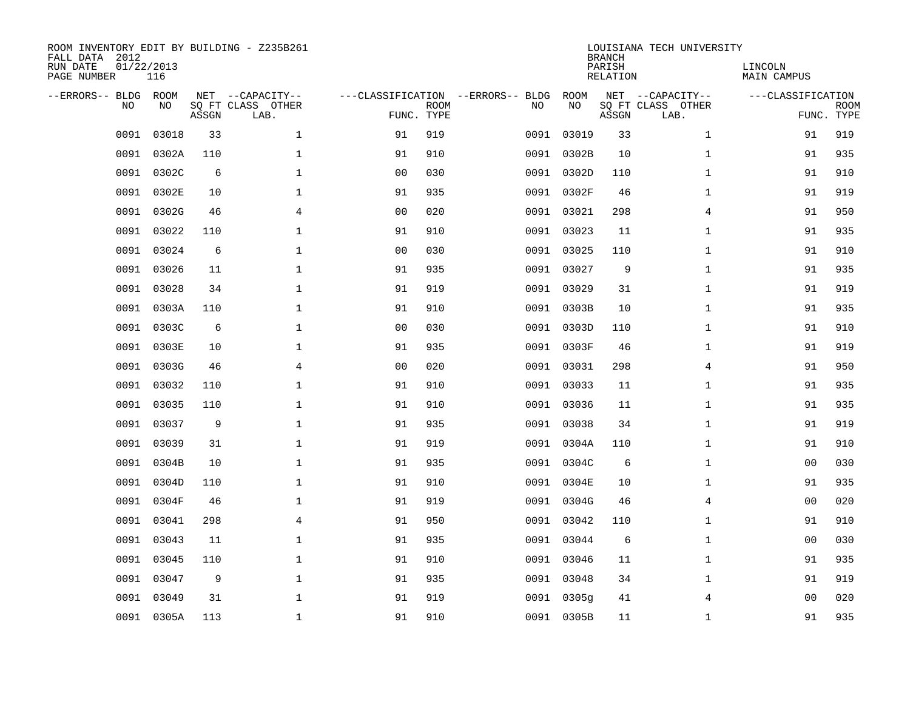| ROOM INVENTORY EDIT BY BUILDING - Z235B261<br>FALL DATA 2012<br>RUN DATE<br>PAGE NUMBER | 01/22/2013<br>116 |       |                                               |                                                 |             |      |            | <b>BRANCH</b><br>PARISH<br>RELATION | LOUISIANA TECH UNIVERSITY                     | LINCOLN<br>MAIN CAMPUS |                           |
|-----------------------------------------------------------------------------------------|-------------------|-------|-----------------------------------------------|-------------------------------------------------|-------------|------|------------|-------------------------------------|-----------------------------------------------|------------------------|---------------------------|
| --ERRORS-- BLDG<br>NO                                                                   | ROOM<br>NO.       | ASSGN | NET --CAPACITY--<br>SQ FT CLASS OTHER<br>LAB. | ---CLASSIFICATION --ERRORS-- BLDG<br>FUNC. TYPE | <b>ROOM</b> | NO   | ROOM<br>NO | ASSGN                               | NET --CAPACITY--<br>SQ FT CLASS OTHER<br>LAB. | ---CLASSIFICATION      | <b>ROOM</b><br>FUNC. TYPE |
| 0091                                                                                    | 03018             | 33    | $\mathbf{1}$                                  | 91                                              | 919         | 0091 | 03019      | 33                                  | $\mathbf{1}$                                  | 91                     | 919                       |
| 0091                                                                                    | 0302A             | 110   | $\mathbf 1$                                   | 91                                              | 910         | 0091 | 0302B      | 10                                  | $\mathbf{1}$                                  | 91                     | 935                       |
| 0091                                                                                    | 0302C             | 6     | $\mathbf 1$                                   | 0 <sub>0</sub>                                  | 030         | 0091 | 0302D      | 110                                 | $\mathbf{1}$                                  | 91                     | 910                       |
| 0091                                                                                    | 0302E             | 10    | $\mathbf 1$                                   | 91                                              | 935         |      | 0091 0302F | 46                                  | $\mathbf{1}$                                  | 91                     | 919                       |
| 0091                                                                                    | 0302G             | 46    | $\overline{4}$                                | 0 <sub>0</sub>                                  | 020         | 0091 | 03021      | 298                                 | $\overline{4}$                                | 91                     | 950                       |
| 0091                                                                                    | 03022             | 110   | $\mathbf{1}$                                  | 91                                              | 910         |      | 0091 03023 | 11                                  | $\mathbf{1}$                                  | 91                     | 935                       |
| 0091                                                                                    | 03024             | 6     | $\mathbf{1}$                                  | 0 <sub>0</sub>                                  | 030         |      | 0091 03025 | 110                                 | $\mathbf{1}$                                  | 91                     | 910                       |
|                                                                                         | 0091 03026        | 11    | $\mathbf{1}$                                  | 91                                              | 935         |      | 0091 03027 | 9                                   | $\mathbf{1}$                                  | 91                     | 935                       |
| 0091                                                                                    | 03028             | 34    | $\mathbf{1}$                                  | 91                                              | 919         | 0091 | 03029      | 31                                  | $\mathbf{1}$                                  | 91                     | 919                       |
| 0091                                                                                    | 0303A             | 110   | $\mathbf{1}$                                  | 91                                              | 910         |      | 0091 0303B | 10                                  | $\mathbf{1}$                                  | 91                     | 935                       |
| 0091                                                                                    | 0303C             | 6     | $\mathbf{1}$                                  | 0 <sub>0</sub>                                  | 030         | 0091 | 0303D      | 110                                 | $\mathbf{1}$                                  | 91                     | 910                       |
| 0091                                                                                    | 0303E             | 10    | $\mathbf{1}$                                  | 91                                              | 935         |      | 0091 0303F | 46                                  | $\mathbf{1}$                                  | 91                     | 919                       |
| 0091                                                                                    | 0303G             | 46    | $\overline{4}$                                | 0 <sub>0</sub>                                  | 020         | 0091 | 03031      | 298                                 | $\overline{4}$                                | 91                     | 950                       |
| 0091                                                                                    | 03032             | 110   | $\mathbf{1}$                                  | 91                                              | 910         |      | 0091 03033 | 11                                  | $\mathbf{1}$                                  | 91                     | 935                       |
| 0091                                                                                    | 03035             | 110   | $\mathbf 1$                                   | 91                                              | 910         |      | 0091 03036 | 11                                  | $\mathbf{1}$                                  | 91                     | 935                       |
| 0091                                                                                    | 03037             | 9     | $\mathbf{1}$                                  | 91                                              | 935         |      | 0091 03038 | 34                                  | $\mathbf{1}$                                  | 91                     | 919                       |
| 0091                                                                                    | 03039             | 31    | $\mathbf{1}$                                  | 91                                              | 919         | 0091 | 0304A      | 110                                 | $\mathbf{1}$                                  | 91                     | 910                       |
| 0091                                                                                    | 0304B             | 10    | $\mathbf 1$                                   | 91                                              | 935         | 0091 | 0304C      | 6                                   | $\mathbf{1}$                                  | 00                     | 030                       |
| 0091                                                                                    | 0304D             | 110   | $\mathbf{1}$                                  | 91                                              | 910         |      | 0091 0304E | 10                                  | $\mathbf{1}$                                  | 91                     | 935                       |
| 0091                                                                                    | 0304F             | 46    | $\mathbf{1}$                                  | 91                                              | 919         |      | 0091 0304G | 46                                  | 4                                             | 0 <sub>0</sub>         | 020                       |
| 0091                                                                                    | 03041             | 298   | 4                                             | 91                                              | 950         | 0091 | 03042      | 110                                 | $\mathbf{1}$                                  | 91                     | 910                       |
| 0091                                                                                    | 03043             | 11    | $\mathbf 1$                                   | 91                                              | 935         | 0091 | 03044      | 6                                   | $\mathbf{1}$                                  | 00                     | 030                       |
| 0091                                                                                    | 03045             | 110   | $\mathbf 1$                                   | 91                                              | 910         | 0091 | 03046      | 11                                  | $\mathbf{1}$                                  | 91                     | 935                       |
| 0091                                                                                    | 03047             | 9     | $\mathbf 1$                                   | 91                                              | 935         |      | 0091 03048 | 34                                  | $\mathbf{1}$                                  | 91                     | 919                       |
| 0091                                                                                    | 03049             | 31    | $\mathbf 1$                                   | 91                                              | 919         | 0091 | 0305q      | 41                                  | 4                                             | 00                     | 020                       |
|                                                                                         | 0091 0305A        | 113   | $\mathbf{1}$                                  | 91                                              | 910         |      | 0091 0305B | 11                                  | $\mathbf{1}$                                  | 91                     | 935                       |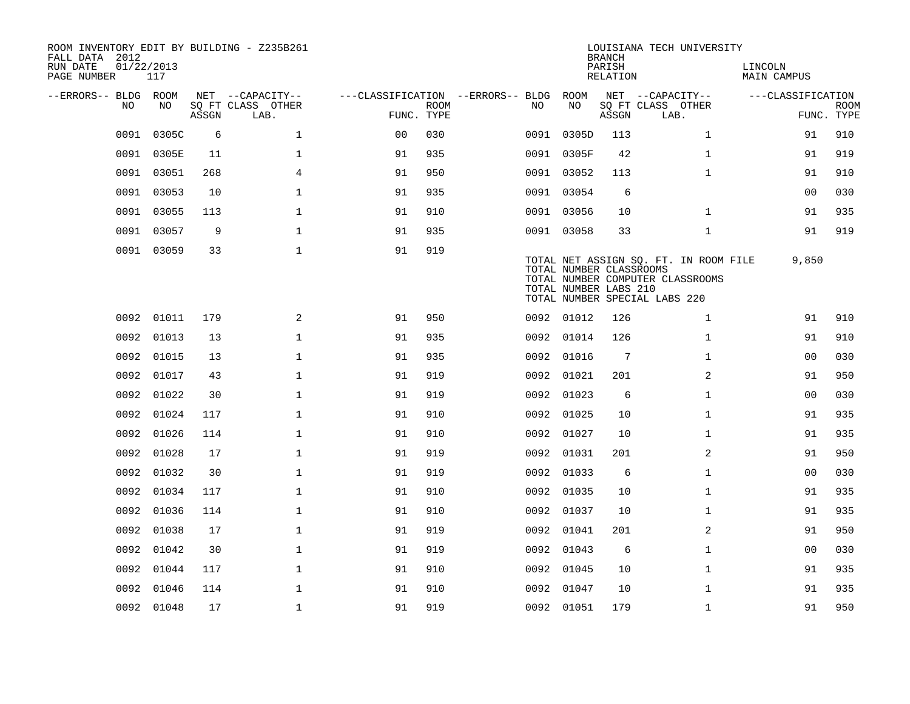| ROOM INVENTORY EDIT BY BUILDING - Z235B261<br>FALL DATA 2012<br>RUN DATE<br>PAGE NUMBER | 01/22/2013<br>117 |       |                           |                                        |             |      |                                                  | <b>BRANCH</b><br>PARISH<br>RELATION | LOUISIANA TECH UNIVERSITY                                                                                  | LINCOLN<br><b>MAIN CAMPUS</b> |                           |
|-----------------------------------------------------------------------------------------|-------------------|-------|---------------------------|----------------------------------------|-------------|------|--------------------------------------------------|-------------------------------------|------------------------------------------------------------------------------------------------------------|-------------------------------|---------------------------|
| --ERRORS-- BLDG ROOM                                                                    |                   |       | NET --CAPACITY--          | ---CLASSIFICATION --ERRORS-- BLDG ROOM |             |      |                                                  |                                     | NET --CAPACITY--                                                                                           | ---CLASSIFICATION             |                           |
| NO                                                                                      | NO                | ASSGN | SQ FT CLASS OTHER<br>LAB. | FUNC. TYPE                             | <b>ROOM</b> | NO.  | NO                                               | ASSGN                               | SQ FT CLASS OTHER<br>LAB.                                                                                  |                               | <b>ROOM</b><br>FUNC. TYPE |
| 0091                                                                                    | 0305C             | 6     | $\mathbf{1}$              | 0 <sup>0</sup>                         | 030         |      | 0091 0305D                                       | 113                                 | $\mathbf{1}$                                                                                               | 91                            | 910                       |
| 0091                                                                                    | 0305E             | 11    | $\mathbf{1}$              | 91                                     | 935         |      | 0091 0305F                                       | 42                                  | $\mathbf{1}$                                                                                               | 91                            | 919                       |
| 0091                                                                                    | 03051             | 268   | $\overline{4}$            | 91                                     | 950         |      | 0091 03052                                       | 113                                 | $\mathbf{1}$                                                                                               | 91                            | 910                       |
| 0091                                                                                    | 03053             | 10    | $\mathbf{1}$              | 91                                     | 935         |      | 0091 03054                                       | 6                                   |                                                                                                            | 0 <sub>0</sub>                | 030                       |
| 0091                                                                                    | 03055             | 113   | $\mathbf{1}$              | 91                                     | 910         |      | 0091 03056                                       | 10                                  | $\mathbf{1}$                                                                                               | 91                            | 935                       |
| 0091                                                                                    | 03057             | 9     | $\mathbf 1$               | 91                                     | 935         |      | 0091 03058                                       | 33                                  | $\mathbf{1}$                                                                                               | 91                            | 919                       |
|                                                                                         | 0091 03059        | 33    | $\mathbf{1}$              | 91                                     | 919         |      | TOTAL NUMBER CLASSROOMS<br>TOTAL NUMBER LABS 210 |                                     | TOTAL NET ASSIGN SQ. FT. IN ROOM FILE<br>TOTAL NUMBER COMPUTER CLASSROOMS<br>TOTAL NUMBER SPECIAL LABS 220 | 9,850                         |                           |
|                                                                                         | 0092 01011        | 179   | 2                         | 91                                     | 950         |      | 0092 01012                                       | 126                                 | $\mathbf{1}$                                                                                               | 91                            | 910                       |
| 0092                                                                                    | 01013             | 13    | $\mathbf{1}$              | 91                                     | 935         | 0092 | 01014                                            | 126                                 | $\mathbf{1}$                                                                                               | 91                            | 910                       |
|                                                                                         | 0092 01015        | 13    | $\mathbf 1$               | 91                                     | 935         |      | 0092 01016                                       | 7                                   | $\mathbf{1}$                                                                                               | 0 <sub>0</sub>                | 030                       |
| 0092                                                                                    | 01017             | 43    | $\mathbf{1}$              | 91                                     | 919         | 0092 | 01021                                            | 201                                 | 2                                                                                                          | 91                            | 950                       |
| 0092                                                                                    | 01022             | 30    | $\mathbf{1}$              | 91                                     | 919         |      | 0092 01023                                       | 6                                   | $\mathbf{1}$                                                                                               | 0 <sub>0</sub>                | 030                       |
| 0092                                                                                    | 01024             | 117   | $\mathbf{1}$              | 91                                     | 910         |      | 0092 01025                                       | 10                                  | $\mathbf{1}$                                                                                               | 91                            | 935                       |
| 0092                                                                                    | 01026             | 114   | $\mathbf{1}$              | 91                                     | 910         |      | 0092 01027                                       | 10                                  | $\mathbf{1}$                                                                                               | 91                            | 935                       |
| 0092                                                                                    | 01028             | 17    | $\mathbf{1}$              | 91                                     | 919         | 0092 | 01031                                            | 201                                 | 2                                                                                                          | 91                            | 950                       |
| 0092                                                                                    | 01032             | 30    | $\mathbf{1}$              | 91                                     | 919         |      | 0092 01033                                       | 6                                   | $\mathbf{1}$                                                                                               | 00                            | 030                       |
| 0092                                                                                    | 01034             | 117   | $\mathbf 1$               | 91                                     | 910         |      | 0092 01035                                       | 10                                  | $\mathbf{1}$                                                                                               | 91                            | 935                       |
| 0092                                                                                    | 01036             | 114   | $\mathbf 1$               | 91                                     | 910         |      | 0092 01037                                       | 10                                  | $\mathbf{1}$                                                                                               | 91                            | 935                       |
| 0092                                                                                    | 01038             | 17    | $\mathbf{1}$              | 91                                     | 919         | 0092 | 01041                                            | 201                                 | 2                                                                                                          | 91                            | 950                       |
| 0092                                                                                    | 01042             | 30    | $\mathbf 1$               | 91                                     | 919         |      | 0092 01043                                       | 6                                   | $\mathbf{1}$                                                                                               | 00                            | 030                       |
| 0092                                                                                    | 01044             | 117   | $\mathbf{1}$              | 91                                     | 910         |      | 0092 01045                                       | 10                                  | $\mathbf{1}$                                                                                               | 91                            | 935                       |
|                                                                                         | 0092 01046        | 114   | $\mathbf 1$               | 91                                     | 910         |      | 0092 01047                                       | 10                                  | $\mathbf{1}$                                                                                               | 91                            | 935                       |
|                                                                                         | 0092 01048        | 17    | $\mathbf{1}$              | 91                                     | 919         |      | 0092 01051                                       | 179                                 | $\mathbf{1}$                                                                                               | 91                            | 950                       |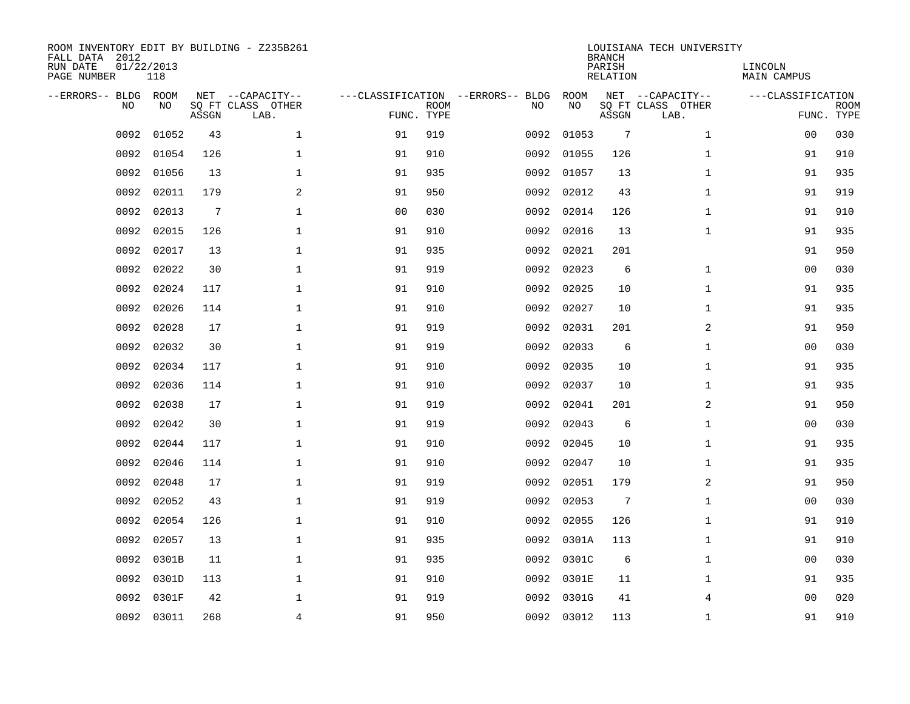| ROOM INVENTORY EDIT BY BUILDING - Z235B261<br>FALL DATA 2012<br>RUN DATE<br>PAGE NUMBER | 01/22/2013<br>118 |                 |                                               |    |                           |                                         |            | <b>BRANCH</b><br>PARISH<br><b>RELATION</b> | LOUISIANA TECH UNIVERSITY                     | LINCOLN<br>MAIN CAMPUS |                           |
|-----------------------------------------------------------------------------------------|-------------------|-----------------|-----------------------------------------------|----|---------------------------|-----------------------------------------|------------|--------------------------------------------|-----------------------------------------------|------------------------|---------------------------|
| --ERRORS-- BLDG<br>NO                                                                   | ROOM<br>NO        | ASSGN           | NET --CAPACITY--<br>SQ FT CLASS OTHER<br>LAB. |    | <b>ROOM</b><br>FUNC. TYPE | ---CLASSIFICATION --ERRORS-- BLDG<br>NO | ROOM<br>NO | ASSGN                                      | NET --CAPACITY--<br>SQ FT CLASS OTHER<br>LAB. | ---CLASSIFICATION      | <b>ROOM</b><br>FUNC. TYPE |
| 0092                                                                                    | 01052             | 43              | $\mathbf{1}$                                  | 91 | 919                       | 0092                                    | 01053      | $7\phantom{.0}$                            | $\mathbf{1}$                                  | 0 <sub>0</sub>         | 030                       |
| 0092                                                                                    | 01054             | 126             | $\mathbf 1$                                   | 91 | 910                       | 0092                                    | 01055      | 126                                        | $\mathbf{1}$                                  | 91                     | 910                       |
| 0092                                                                                    | 01056             | 13              | $\mathbf 1$                                   | 91 | 935                       | 0092                                    | 01057      | 13                                         | $\mathbf{1}$                                  | 91                     | 935                       |
| 0092                                                                                    | 02011             | 179             | $\overline{a}$                                | 91 | 950                       | 0092                                    | 02012      | 43                                         | $\mathbf{1}$                                  | 91                     | 919                       |
| 0092                                                                                    | 02013             | $7\phantom{.0}$ | $\mathbf 1$                                   | 00 | 030                       | 0092                                    | 02014      | 126                                        | $\mathbf{1}$                                  | 91                     | 910                       |
| 0092                                                                                    | 02015             | 126             | $\mathbf{1}$                                  | 91 | 910                       | 0092                                    | 02016      | 13                                         | $\mathbf{1}$                                  | 91                     | 935                       |
| 0092                                                                                    | 02017             | 13              | $\mathbf{1}$                                  | 91 | 935                       | 0092                                    | 02021      | 201                                        |                                               | 91                     | 950                       |
| 0092                                                                                    | 02022             | 30              | $\mathbf 1$                                   | 91 | 919                       | 0092                                    | 02023      | 6                                          | $\mathbf{1}$                                  | 0 <sub>0</sub>         | 030                       |
| 0092                                                                                    | 02024             | 117             | $\mathbf{1}$                                  | 91 | 910                       | 0092                                    | 02025      | 10                                         | $\mathbf{1}$                                  | 91                     | 935                       |
| 0092                                                                                    | 02026             | 114             | $\mathbf 1$                                   | 91 | 910                       | 0092                                    | 02027      | 10                                         | $\mathbf{1}$                                  | 91                     | 935                       |
| 0092                                                                                    | 02028             | 17              | $\mathbf{1}$                                  | 91 | 919                       | 0092                                    | 02031      | 201                                        | 2                                             | 91                     | 950                       |
| 0092                                                                                    | 02032             | 30              | $\mathbf 1$                                   | 91 | 919                       | 0092                                    | 02033      | 6                                          | $\mathbf{1}$                                  | 0 <sub>0</sub>         | 030                       |
| 0092                                                                                    | 02034             | 117             | $\mathbf{1}$                                  | 91 | 910                       | 0092                                    | 02035      | 10                                         | $\mathbf{1}$                                  | 91                     | 935                       |
| 0092                                                                                    | 02036             | 114             | $\mathbf{1}$                                  | 91 | 910                       | 0092                                    | 02037      | 10                                         | $\mathbf{1}$                                  | 91                     | 935                       |
| 0092                                                                                    | 02038             | 17              | 1                                             | 91 | 919                       | 0092                                    | 02041      | 201                                        | $\overline{a}$                                | 91                     | 950                       |
| 0092                                                                                    | 02042             | 30              | $\mathbf 1$                                   | 91 | 919                       | 0092                                    | 02043      | 6                                          | $\mathbf{1}$                                  | 00                     | 030                       |
| 0092                                                                                    | 02044             | 117             | $\mathbf 1$                                   | 91 | 910                       | 0092                                    | 02045      | 10                                         | $\mathbf{1}$                                  | 91                     | 935                       |
| 0092                                                                                    | 02046             | 114             | $\mathbf 1$                                   | 91 | 910                       | 0092                                    | 02047      | 10                                         | $\mathbf{1}$                                  | 91                     | 935                       |
| 0092                                                                                    | 02048             | 17              | $\mathbf{1}$                                  | 91 | 919                       | 0092                                    | 02051      | 179                                        | 2                                             | 91                     | 950                       |
| 0092                                                                                    | 02052             | 43              | $\mathbf{1}$                                  | 91 | 919                       | 0092                                    | 02053      | $7\phantom{.0}$                            | $\mathbf{1}$                                  | 00                     | 030                       |
| 0092                                                                                    | 02054             | 126             | $\mathbf{1}$                                  | 91 | 910                       |                                         | 0092 02055 | 126                                        | $\mathbf{1}$                                  | 91                     | 910                       |
| 0092                                                                                    | 02057             | 13              | $\mathbf{1}$                                  | 91 | 935                       | 0092                                    | 0301A      | 113                                        | $\mathbf{1}$                                  | 91                     | 910                       |
| 0092                                                                                    | 0301B             | 11              | $\mathbf{1}$                                  | 91 | 935                       |                                         | 0092 0301C | 6                                          | $\mathbf{1}$                                  | 0 <sub>0</sub>         | 030                       |
| 0092                                                                                    | 0301D             | 113             | $\mathbf 1$                                   | 91 | 910                       | 0092                                    | 0301E      | 11                                         | $\mathbf{1}$                                  | 91                     | 935                       |
| 0092                                                                                    | 0301F             | 42              | $\mathbf 1$                                   | 91 | 919                       |                                         | 0092 0301G | 41                                         | 4                                             | 0 <sub>0</sub>         | 020                       |
|                                                                                         | 0092 03011        | 268             | 4                                             | 91 | 950                       |                                         | 0092 03012 | 113                                        | $\mathbf{1}$                                  | 91                     | 910                       |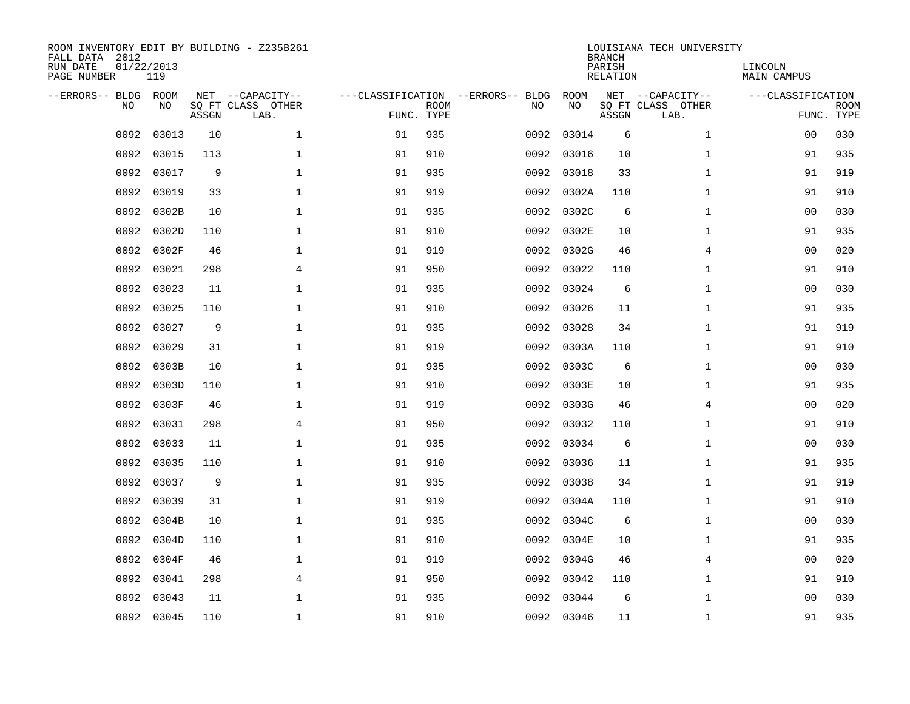| ROOM INVENTORY EDIT BY BUILDING - Z235B261<br>FALL DATA 2012<br>RUN DATE<br>PAGE NUMBER | 01/22/2013<br>119 |       |                                               |                                                 |             |      |            | <b>BRANCH</b><br>PARISH<br>RELATION | LOUISIANA TECH UNIVERSITY                     | LINCOLN<br>MAIN CAMPUS |                           |
|-----------------------------------------------------------------------------------------|-------------------|-------|-----------------------------------------------|-------------------------------------------------|-------------|------|------------|-------------------------------------|-----------------------------------------------|------------------------|---------------------------|
| --ERRORS-- BLDG<br>NO                                                                   | ROOM<br>NO.       | ASSGN | NET --CAPACITY--<br>SQ FT CLASS OTHER<br>LAB. | ---CLASSIFICATION --ERRORS-- BLDG<br>FUNC. TYPE | <b>ROOM</b> | NO   | ROOM<br>NO | ASSGN                               | NET --CAPACITY--<br>SQ FT CLASS OTHER<br>LAB. | ---CLASSIFICATION      | <b>ROOM</b><br>FUNC. TYPE |
| 0092                                                                                    | 03013             | 10    | $\mathbf{1}$                                  | 91                                              | 935         | 0092 | 03014      | 6                                   | $\mathbf{1}$                                  | 00                     | 030                       |
| 0092                                                                                    | 03015             | 113   | $\mathbf 1$                                   | 91                                              | 910         | 0092 | 03016      | 10                                  | $\mathbf{1}$                                  | 91                     | 935                       |
| 0092                                                                                    | 03017             | 9     | $\mathbf 1$                                   | 91                                              | 935         | 0092 | 03018      | 33                                  | $\mathbf{1}$                                  | 91                     | 919                       |
| 0092                                                                                    | 03019             | 33    | $\mathbf{1}$                                  | 91                                              | 919         | 0092 | 0302A      | 110                                 | $\mathbf{1}$                                  | 91                     | 910                       |
| 0092                                                                                    | 0302B             | 10    | $\mathbf{1}$                                  | 91                                              | 935         | 0092 | 0302C      | 6                                   | $\mathbf{1}$                                  | 0 <sub>0</sub>         | 030                       |
| 0092                                                                                    | 0302D             | 110   | $\mathbf{1}$                                  | 91                                              | 910         | 0092 | 0302E      | 10                                  | $\mathbf{1}$                                  | 91                     | 935                       |
| 0092                                                                                    | 0302F             | 46    | $\mathbf{1}$                                  | 91                                              | 919         | 0092 | 0302G      | 46                                  | $\overline{4}$                                | 0 <sub>0</sub>         | 020                       |
| 0092                                                                                    | 03021             | 298   | $\overline{4}$                                | 91                                              | 950         | 0092 | 03022      | 110                                 | $\mathbf{1}$                                  | 91                     | 910                       |
| 0092                                                                                    | 03023             | 11    | $\mathbf{1}$                                  | 91                                              | 935         | 0092 | 03024      | 6                                   | $\mathbf{1}$                                  | 0 <sub>0</sub>         | 030                       |
| 0092                                                                                    | 03025             | 110   | $\mathbf{1}$                                  | 91                                              | 910         | 0092 | 03026      | 11                                  | $\mathbf{1}$                                  | 91                     | 935                       |
| 0092                                                                                    | 03027             | 9     | $\mathbf{1}$                                  | 91                                              | 935         | 0092 | 03028      | 34                                  | $\mathbf{1}$                                  | 91                     | 919                       |
| 0092                                                                                    | 03029             | 31    | $\mathbf{1}$                                  | 91                                              | 919         | 0092 | 0303A      | 110                                 | $\mathbf{1}$                                  | 91                     | 910                       |
| 0092                                                                                    | 0303B             | 10    | $\mathbf{1}$                                  | 91                                              | 935         | 0092 | 0303C      | 6                                   | $\mathbf{1}$                                  | 0 <sub>0</sub>         | 030                       |
| 0092                                                                                    | 0303D             | 110   | $\mathbf{1}$                                  | 91                                              | 910         | 0092 | 0303E      | 10                                  | $\mathbf{1}$                                  | 91                     | 935                       |
| 0092                                                                                    | 0303F             | 46    | $\mathbf 1$                                   | 91                                              | 919         | 0092 | 0303G      | 46                                  | 4                                             | 0 <sub>0</sub>         | 020                       |
| 0092                                                                                    | 03031             | 298   | 4                                             | 91                                              | 950         | 0092 | 03032      | 110                                 | $\mathbf{1}$                                  | 91                     | 910                       |
| 0092                                                                                    | 03033             | 11    | $\mathbf 1$                                   | 91                                              | 935         | 0092 | 03034      | 6                                   | $\mathbf{1}$                                  | 00                     | 030                       |
| 0092                                                                                    | 03035             | 110   | $\mathbf 1$                                   | 91                                              | 910         | 0092 | 03036      | 11                                  | $\mathbf{1}$                                  | 91                     | 935                       |
| 0092                                                                                    | 03037             | 9     | $\mathbf{1}$                                  | 91                                              | 935         | 0092 | 03038      | 34                                  | $\mathbf{1}$                                  | 91                     | 919                       |
| 0092                                                                                    | 03039             | 31    | $\mathbf{1}$                                  | 91                                              | 919         |      | 0092 0304A | 110                                 | $\mathbf{1}$                                  | 91                     | 910                       |
| 0092                                                                                    | 0304B             | 10    | $\mathbf 1$                                   | 91                                              | 935         |      | 0092 0304C | 6                                   | $\mathbf{1}$                                  | 00                     | 030                       |
| 0092                                                                                    | 0304D             | 110   | $\mathbf 1$                                   | 91                                              | 910         | 0092 | 0304E      | 10                                  | $\mathbf{1}$                                  | 91                     | 935                       |
| 0092                                                                                    | 0304F             | 46    | $\mathbf 1$                                   | 91                                              | 919         | 0092 | 0304G      | 46                                  | 4                                             | 00                     | 020                       |
| 0092                                                                                    | 03041             | 298   | 4                                             | 91                                              | 950         | 0092 | 03042      | 110                                 | $\mathbf{1}$                                  | 91                     | 910                       |
| 0092                                                                                    | 03043             | 11    | $\mathbf 1$                                   | 91                                              | 935         | 0092 | 03044      | 6                                   | $\mathbf{1}$                                  | 00                     | 030                       |
|                                                                                         | 0092 03045        | 110   | $\mathbf{1}$                                  | 91                                              | 910         |      | 0092 03046 | 11                                  | $\mathbf{1}$                                  | 91                     | 935                       |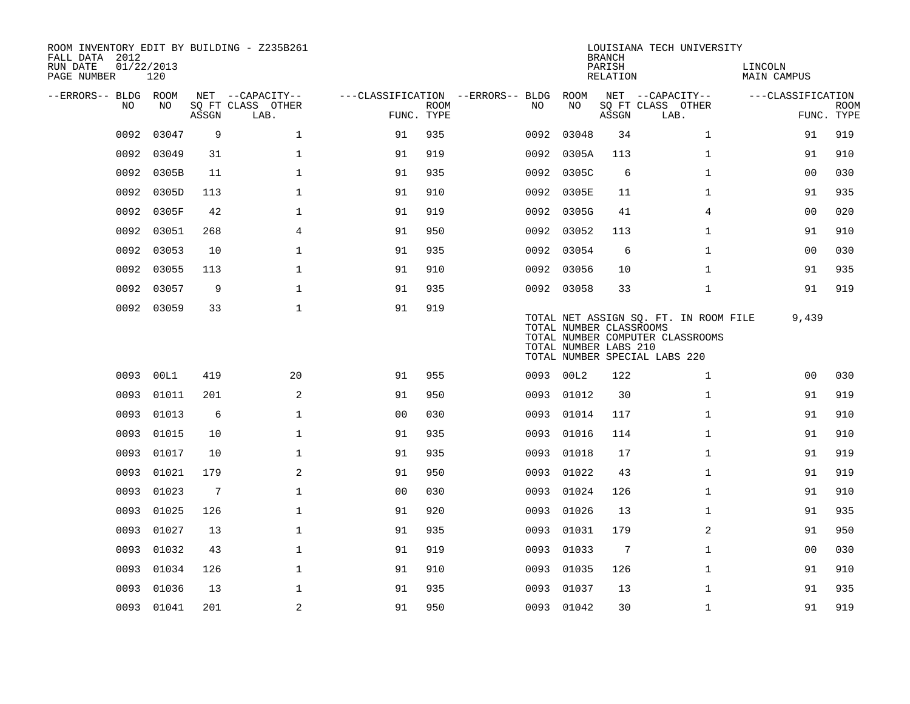| ROOM INVENTORY EDIT BY BUILDING - Z235B261<br>FALL DATA 2012<br>RUN DATE<br>PAGE NUMBER | 01/22/2013<br>120 |                 |                           |                |             |                                   |                                                  | <b>BRANCH</b><br>PARISH<br>RELATION | LOUISIANA TECH UNIVERSITY                                                                                  | LINCOLN<br><b>MAIN CAMPUS</b> |                           |
|-----------------------------------------------------------------------------------------|-------------------|-----------------|---------------------------|----------------|-------------|-----------------------------------|--------------------------------------------------|-------------------------------------|------------------------------------------------------------------------------------------------------------|-------------------------------|---------------------------|
| --ERRORS-- BLDG ROOM                                                                    |                   |                 | NET --CAPACITY--          |                |             | ---CLASSIFICATION --ERRORS-- BLDG | ROOM                                             |                                     | NET --CAPACITY--                                                                                           | ---CLASSIFICATION             |                           |
| NO                                                                                      | NO                | ASSGN           | SQ FT CLASS OTHER<br>LAB. | FUNC. TYPE     | <b>ROOM</b> | NO.                               | NO                                               | ASSGN                               | SQ FT CLASS OTHER<br>LAB.                                                                                  |                               | <b>ROOM</b><br>FUNC. TYPE |
| 0092                                                                                    | 03047             | 9               | $\mathbf{1}$              | 91             | 935         | 0092                              | 03048                                            | 34                                  | $\mathbf{1}$                                                                                               | 91                            | 919                       |
| 0092                                                                                    | 03049             | 31              | $\mathbf{1}$              | 91             | 919         | 0092                              | 0305A                                            | 113                                 | $\mathbf{1}$                                                                                               | 91                            | 910                       |
| 0092                                                                                    | 0305B             | 11              | $\mathbf 1$               | 91             | 935         |                                   | 0092 0305C                                       | 6                                   | $\mathbf{1}$                                                                                               | 0 <sub>0</sub>                | 030                       |
| 0092                                                                                    | 0305D             | 113             | $\mathbf 1$               | 91             | 910         |                                   | 0092 0305E                                       | 11                                  | $\mathbf{1}$                                                                                               | 91                            | 935                       |
| 0092                                                                                    | 0305F             | 42              | $\mathbf 1$               | 91             | 919         |                                   | 0092 0305G                                       | 41                                  | 4                                                                                                          | 00                            | 020                       |
| 0092                                                                                    | 03051             | 268             | 4                         | 91             | 950         |                                   | 0092 03052                                       | 113                                 | $\mathbf{1}$                                                                                               | 91                            | 910                       |
| 0092                                                                                    | 03053             | 10              | $\mathbf{1}$              | 91             | 935         |                                   | 0092 03054                                       | 6                                   | $\mathbf{1}$                                                                                               | 0 <sub>0</sub>                | 030                       |
| 0092                                                                                    | 03055             | 113             | $\mathbf 1$               | 91             | 910         |                                   | 0092 03056                                       | 10                                  | $\mathbf{1}$                                                                                               | 91                            | 935                       |
| 0092                                                                                    | 03057             | 9               | $\mathbf{1}$              | 91             | 935         |                                   | 0092 03058                                       | 33                                  | $\mathbf{1}$                                                                                               | 91                            | 919                       |
|                                                                                         | 0092 03059        | 33              | $\mathbf 1$               | 91             | 919         |                                   | TOTAL NUMBER CLASSROOMS<br>TOTAL NUMBER LABS 210 |                                     | TOTAL NET ASSIGN SQ. FT. IN ROOM FILE<br>TOTAL NUMBER COMPUTER CLASSROOMS<br>TOTAL NUMBER SPECIAL LABS 220 | 9,439                         |                           |
|                                                                                         | 0093 00L1         | 419             | 20                        | 91             | 955         |                                   | 0093 00L2                                        | 122                                 | $\mathbf{1}$                                                                                               | 0 <sub>0</sub>                | 030                       |
| 0093                                                                                    | 01011             | 201             | 2                         | 91             | 950         |                                   | 0093 01012                                       | 30                                  | $\mathbf{1}$                                                                                               | 91                            | 919                       |
| 0093                                                                                    | 01013             | 6               | $\mathbf{1}$              | 0 <sub>0</sub> | 030         | 0093                              | 01014                                            | 117                                 | $\mathbf{1}$                                                                                               | 91                            | 910                       |
| 0093                                                                                    | 01015             | 10              | $\mathbf 1$               | 91             | 935         | 0093                              | 01016                                            | 114                                 | $\mathbf{1}$                                                                                               | 91                            | 910                       |
| 0093                                                                                    | 01017             | 10              | $\mathbf{1}$              | 91             | 935         | 0093                              | 01018                                            | 17                                  | $\mathbf{1}$                                                                                               | 91                            | 919                       |
| 0093                                                                                    | 01021             | 179             | 2                         | 91             | 950         | 0093                              | 01022                                            | 43                                  | $\mathbf{1}$                                                                                               | 91                            | 919                       |
| 0093                                                                                    | 01023             | $7\phantom{.0}$ | $\mathbf{1}$              | 0 <sub>0</sub> | 030         | 0093                              | 01024                                            | 126                                 | $\mathbf{1}$                                                                                               | 91                            | 910                       |
| 0093                                                                                    | 01025             | 126             | $\mathbf 1$               | 91             | 920         | 0093                              | 01026                                            | 13                                  | $\mathbf{1}$                                                                                               | 91                            | 935                       |
| 0093                                                                                    | 01027             | 13              | $\mathbf{1}$              | 91             | 935         | 0093                              | 01031                                            | 179                                 | $\overline{a}$                                                                                             | 91                            | 950                       |
| 0093                                                                                    | 01032             | 43              | $\mathbf 1$               | 91             | 919         | 0093                              | 01033                                            | 7                                   | $\mathbf{1}$                                                                                               | 0 <sub>0</sub>                | 030                       |
| 0093                                                                                    | 01034             | 126             | $\mathbf 1$               | 91             | 910         | 0093                              | 01035                                            | 126                                 | $\mathbf{1}$                                                                                               | 91                            | 910                       |
| 0093                                                                                    | 01036             | 13              | $\mathbf 1$               | 91             | 935         | 0093                              | 01037                                            | 13                                  | $\mathbf{1}$                                                                                               | 91                            | 935                       |
|                                                                                         | 0093 01041        | 201             | 2                         | 91             | 950         |                                   | 0093 01042                                       | 30                                  | $\mathbf{1}$                                                                                               | 91                            | 919                       |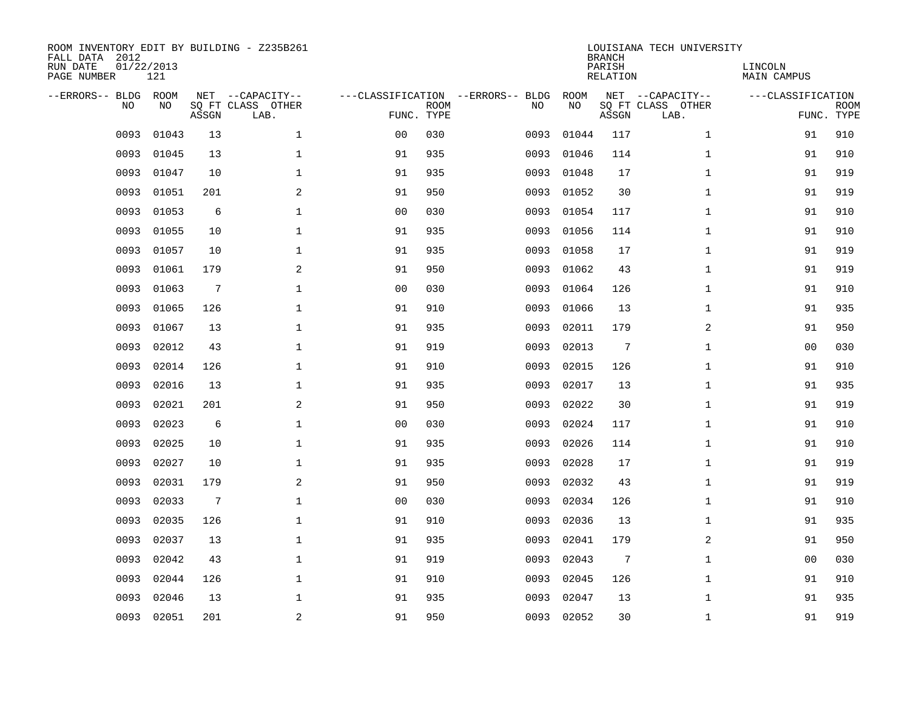| ROOM INVENTORY EDIT BY BUILDING - Z235B261<br>FALL DATA 2012<br>RUN DATE<br>01/22/2013<br>PAGE NUMBER |            |                 |                                               |                |             |                                         | <b>BRANCH</b><br>PARISH<br><b>RELATION</b> | LOUISIANA TECH UNIVERSITY | LINCOLN<br>MAIN CAMPUS                        |                   |                           |
|-------------------------------------------------------------------------------------------------------|------------|-----------------|-----------------------------------------------|----------------|-------------|-----------------------------------------|--------------------------------------------|---------------------------|-----------------------------------------------|-------------------|---------------------------|
| --ERRORS-- BLDG<br>NO                                                                                 | ROOM<br>NO | ASSGN           | NET --CAPACITY--<br>SQ FT CLASS OTHER<br>LAB. | FUNC. TYPE     | <b>ROOM</b> | ---CLASSIFICATION --ERRORS-- BLDG<br>NO | ROOM<br>NO                                 | ASSGN                     | NET --CAPACITY--<br>SQ FT CLASS OTHER<br>LAB. | ---CLASSIFICATION | <b>ROOM</b><br>FUNC. TYPE |
| 0093                                                                                                  | 01043      | 13              | $\mathbf{1}$                                  | 0 <sub>0</sub> | 030         | 0093                                    | 01044                                      | 117                       | $\mathbf{1}$                                  | 91                | 910                       |
| 0093                                                                                                  | 01045      | 13              | $\mathbf 1$                                   | 91             | 935         | 0093                                    | 01046                                      | 114                       | $\mathbf{1}$                                  | 91                | 910                       |
| 0093                                                                                                  | 01047      | 10              | $\mathbf{1}$                                  | 91             | 935         | 0093                                    | 01048                                      | 17                        | $\mathbf{1}$                                  | 91                | 919                       |
| 0093                                                                                                  | 01051      | 201             | $\mathbf{2}$                                  | 91             | 950         | 0093                                    | 01052                                      | 30                        | $\mathbf{1}$                                  | 91                | 919                       |
| 0093                                                                                                  | 01053      | 6               | $\mathbf 1$                                   | 00             | 030         | 0093                                    | 01054                                      | 117                       | $\mathbf{1}$                                  | 91                | 910                       |
| 0093                                                                                                  | 01055      | 10              | $\mathbf{1}$                                  | 91             | 935         | 0093                                    | 01056                                      | 114                       | $\mathbf{1}$                                  | 91                | 910                       |
| 0093                                                                                                  | 01057      | 10              | $\mathbf{1}$                                  | 91             | 935         | 0093                                    | 01058                                      | 17                        | $\mathbf{1}$                                  | 91                | 919                       |
| 0093                                                                                                  | 01061      | 179             | 2                                             | 91             | 950         | 0093                                    | 01062                                      | 43                        | $\mathbf{1}$                                  | 91                | 919                       |
| 0093                                                                                                  | 01063      | $7\phantom{.0}$ | $\mathbf 1$                                   | 0 <sub>0</sub> | 030         | 0093                                    | 01064                                      | 126                       | $\mathbf{1}$                                  | 91                | 910                       |
| 0093                                                                                                  | 01065      | 126             | $\mathbf 1$                                   | 91             | 910         | 0093                                    | 01066                                      | 13                        | $\mathbf{1}$                                  | 91                | 935                       |
| 0093                                                                                                  | 01067      | 13              | $\mathbf{1}$                                  | 91             | 935         | 0093                                    | 02011                                      | 179                       | 2                                             | 91                | 950                       |
| 0093                                                                                                  | 02012      | 43              | $\mathbf 1$                                   | 91             | 919         | 0093                                    | 02013                                      | $7\phantom{.0}$           | $\mathbf{1}$                                  | 0 <sub>0</sub>    | 030                       |
| 0093                                                                                                  | 02014      | 126             | $\mathbf{1}$                                  | 91             | 910         | 0093                                    | 02015                                      | 126                       | $\mathbf{1}$                                  | 91                | 910                       |
| 0093                                                                                                  | 02016      | 13              | $\mathbf{1}$                                  | 91             | 935         | 0093                                    | 02017                                      | 13                        | $\mathbf{1}$                                  | 91                | 935                       |
| 0093                                                                                                  | 02021      | 201             | $\mathbf{2}$                                  | 91             | 950         | 0093                                    | 02022                                      | 30                        | $\mathbf{1}$                                  | 91                | 919                       |
| 0093                                                                                                  | 02023      | 6               | $\mathbf 1$                                   | 0 <sub>0</sub> | 030         | 0093                                    | 02024                                      | 117                       | $\mathbf{1}$                                  | 91                | 910                       |
| 0093                                                                                                  | 02025      | 10              | $\mathbf 1$                                   | 91             | 935         | 0093                                    | 02026                                      | 114                       | $\mathbf{1}$                                  | 91                | 910                       |
| 0093                                                                                                  | 02027      | 10              | $\mathbf 1$                                   | 91             | 935         | 0093                                    | 02028                                      | 17                        | $\mathbf{1}$                                  | 91                | 919                       |
| 0093                                                                                                  | 02031      | 179             | 2                                             | 91             | 950         | 0093                                    | 02032                                      | 43                        | $\mathbf{1}$                                  | 91                | 919                       |
| 0093                                                                                                  | 02033      | $7\phantom{.0}$ | $\mathbf 1$                                   | 0 <sub>0</sub> | 030         | 0093                                    | 02034                                      | 126                       | $\mathbf{1}$                                  | 91                | 910                       |
| 0093                                                                                                  | 02035      | 126             | $\mathbf{1}$                                  | 91             | 910         | 0093                                    | 02036                                      | 13                        | $\mathbf{1}$                                  | 91                | 935                       |
| 0093                                                                                                  | 02037      | 13              | $\mathbf{1}$                                  | 91             | 935         | 0093                                    | 02041                                      | 179                       | 2                                             | 91                | 950                       |
| 0093                                                                                                  | 02042      | 43              | $\mathbf{1}$                                  | 91             | 919         | 0093                                    | 02043                                      | 7                         | $\mathbf{1}$                                  | 0 <sub>0</sub>    | 030                       |
| 0093                                                                                                  | 02044      | 126             | $\mathbf 1$                                   | 91             | 910         | 0093                                    | 02045                                      | 126                       | $\mathbf{1}$                                  | 91                | 910                       |
| 0093                                                                                                  | 02046      | 13              | $\mathbf 1$                                   | 91             | 935         | 0093                                    | 02047                                      | 13                        | $\mathbf{1}$                                  | 91                | 935                       |
|                                                                                                       | 0093 02051 | 201             | 2                                             | 91             | 950         |                                         | 0093 02052                                 | 30                        | $\mathbf{1}$                                  | 91                | 919                       |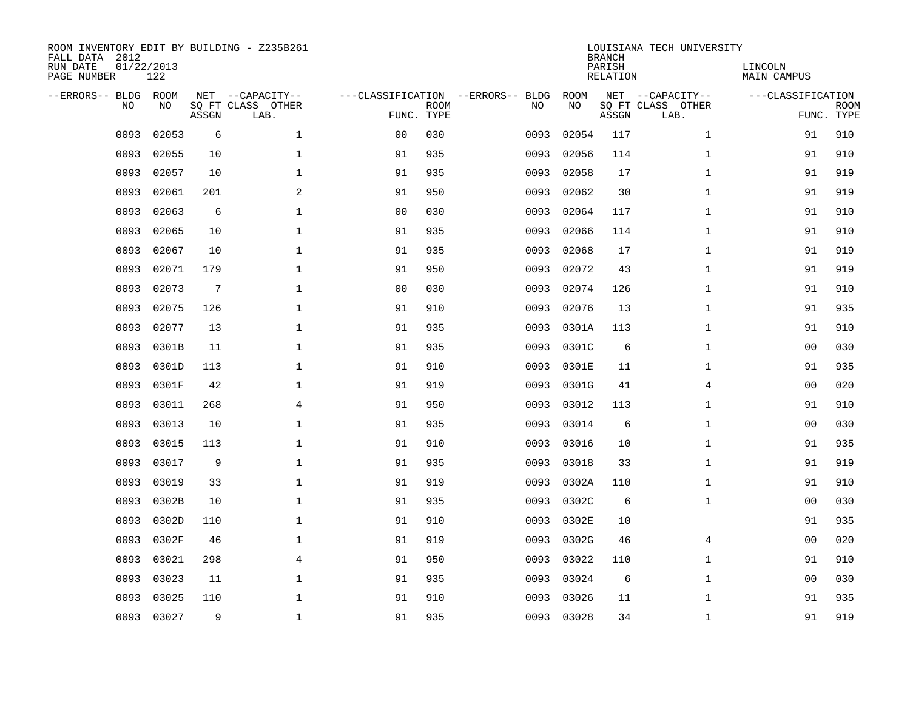| ROOM INVENTORY EDIT BY BUILDING - Z235B261<br>FALL DATA 2012<br>RUN DATE<br>PAGE NUMBER | 01/22/2013<br>122 |                 |                                               |                |             |                                         |            | <b>BRANCH</b><br>PARISH<br><b>RELATION</b> | LOUISIANA TECH UNIVERSITY                     | LINCOLN<br>MAIN CAMPUS |                           |
|-----------------------------------------------------------------------------------------|-------------------|-----------------|-----------------------------------------------|----------------|-------------|-----------------------------------------|------------|--------------------------------------------|-----------------------------------------------|------------------------|---------------------------|
| --ERRORS-- BLDG<br>NO                                                                   | ROOM<br>NO        | ASSGN           | NET --CAPACITY--<br>SQ FT CLASS OTHER<br>LAB. | FUNC. TYPE     | <b>ROOM</b> | ---CLASSIFICATION --ERRORS-- BLDG<br>NO | ROOM<br>NO | ASSGN                                      | NET --CAPACITY--<br>SQ FT CLASS OTHER<br>LAB. | ---CLASSIFICATION      | <b>ROOM</b><br>FUNC. TYPE |
| 0093                                                                                    | 02053             | 6               | $\mathbf{1}$                                  | 0 <sub>0</sub> | 030         | 0093                                    | 02054      | 117                                        | $\mathbf{1}$                                  | 91                     | 910                       |
| 0093                                                                                    | 02055             | 10              | $\mathbf 1$                                   | 91             | 935         | 0093                                    | 02056      | 114                                        | $\mathbf{1}$                                  | 91                     | 910                       |
| 0093                                                                                    | 02057             | 10              | $\mathbf 1$                                   | 91             | 935         | 0093                                    | 02058      | 17                                         | $\mathbf{1}$                                  | 91                     | 919                       |
| 0093                                                                                    | 02061             | 201             | $\mathbf{2}$                                  | 91             | 950         | 0093                                    | 02062      | 30                                         | $\mathbf{1}$                                  | 91                     | 919                       |
| 0093                                                                                    | 02063             | 6               | $\mathbf 1$                                   | 00             | 030         | 0093                                    | 02064      | 117                                        | $\mathbf{1}$                                  | 91                     | 910                       |
| 0093                                                                                    | 02065             | 10              | $\mathbf{1}$                                  | 91             | 935         | 0093                                    | 02066      | 114                                        | $\mathbf{1}$                                  | 91                     | 910                       |
| 0093                                                                                    | 02067             | 10              | $\mathbf{1}$                                  | 91             | 935         | 0093                                    | 02068      | 17                                         | $\mathbf{1}$                                  | 91                     | 919                       |
| 0093                                                                                    | 02071             | 179             | $\mathbf 1$                                   | 91             | 950         | 0093                                    | 02072      | 43                                         | $\mathbf{1}$                                  | 91                     | 919                       |
| 0093                                                                                    | 02073             | $7\phantom{.0}$ | $\mathbf{1}$                                  | 0 <sub>0</sub> | 030         | 0093                                    | 02074      | 126                                        | $\mathbf{1}$                                  | 91                     | 910                       |
| 0093                                                                                    | 02075             | 126             | $\mathbf 1$                                   | 91             | 910         | 0093                                    | 02076      | 13                                         | $\mathbf{1}$                                  | 91                     | 935                       |
| 0093                                                                                    | 02077             | 13              | $\mathbf{1}$                                  | 91             | 935         | 0093                                    | 0301A      | 113                                        | $\mathbf{1}$                                  | 91                     | 910                       |
| 0093                                                                                    | 0301B             | 11              | $\mathbf 1$                                   | 91             | 935         | 0093                                    | 0301C      | 6                                          | $\mathbf{1}$                                  | 0 <sub>0</sub>         | 030                       |
| 0093                                                                                    | 0301D             | 113             | $\mathbf{1}$                                  | 91             | 910         | 0093                                    | 0301E      | 11                                         | $\mathbf{1}$                                  | 91                     | 935                       |
| 0093                                                                                    | 0301F             | 42              | $\mathbf{1}$                                  | 91             | 919         | 0093                                    | 0301G      | 41                                         | 4                                             | 00                     | 020                       |
| 0093                                                                                    | 03011             | 268             | 4                                             | 91             | 950         | 0093                                    | 03012      | 113                                        | $\mathbf{1}$                                  | 91                     | 910                       |
| 0093                                                                                    | 03013             | 10              | $\mathbf 1$                                   | 91             | 935         | 0093                                    | 03014      | 6                                          | $\mathbf{1}$                                  | 00                     | 030                       |
| 0093                                                                                    | 03015             | 113             | $\mathbf 1$                                   | 91             | 910         | 0093                                    | 03016      | 10                                         | $\mathbf{1}$                                  | 91                     | 935                       |
| 0093                                                                                    | 03017             | 9               | $\mathbf 1$                                   | 91             | 935         | 0093                                    | 03018      | 33                                         | $\mathbf{1}$                                  | 91                     | 919                       |
| 0093                                                                                    | 03019             | 33              | $\mathbf{1}$                                  | 91             | 919         | 0093                                    | 0302A      | 110                                        | $\mathbf{1}$                                  | 91                     | 910                       |
| 0093                                                                                    | 0302B             | 10              | $\mathbf 1$                                   | 91             | 935         | 0093                                    | 0302C      | 6                                          | $\mathbf{1}$                                  | 00                     | 030                       |
| 0093                                                                                    | 0302D             | 110             | $\mathbf{1}$                                  | 91             | 910         | 0093                                    | 0302E      | 10                                         |                                               | 91                     | 935                       |
| 0093                                                                                    | 0302F             | 46              | $\mathbf{1}$                                  | 91             | 919         | 0093                                    | 0302G      | 46                                         | 4                                             | 0 <sub>0</sub>         | 020                       |
| 0093                                                                                    | 03021             | 298             | $\overline{4}$                                | 91             | 950         | 0093                                    | 03022      | 110                                        | $\mathbf{1}$                                  | 91                     | 910                       |
| 0093                                                                                    | 03023             | 11              | $\mathbf 1$                                   | 91             | 935         | 0093                                    | 03024      | 6                                          | $\mathbf{1}$                                  | 0 <sub>0</sub>         | 030                       |
| 0093                                                                                    | 03025             | 110             | $\mathbf 1$                                   | 91             | 910         | 0093                                    | 03026      | 11                                         | $\mathbf{1}$                                  | 91                     | 935                       |
|                                                                                         | 0093 03027        | 9               | $\mathbf 1$                                   | 91             | 935         |                                         | 0093 03028 | 34                                         | $\mathbf{1}$                                  | 91                     | 919                       |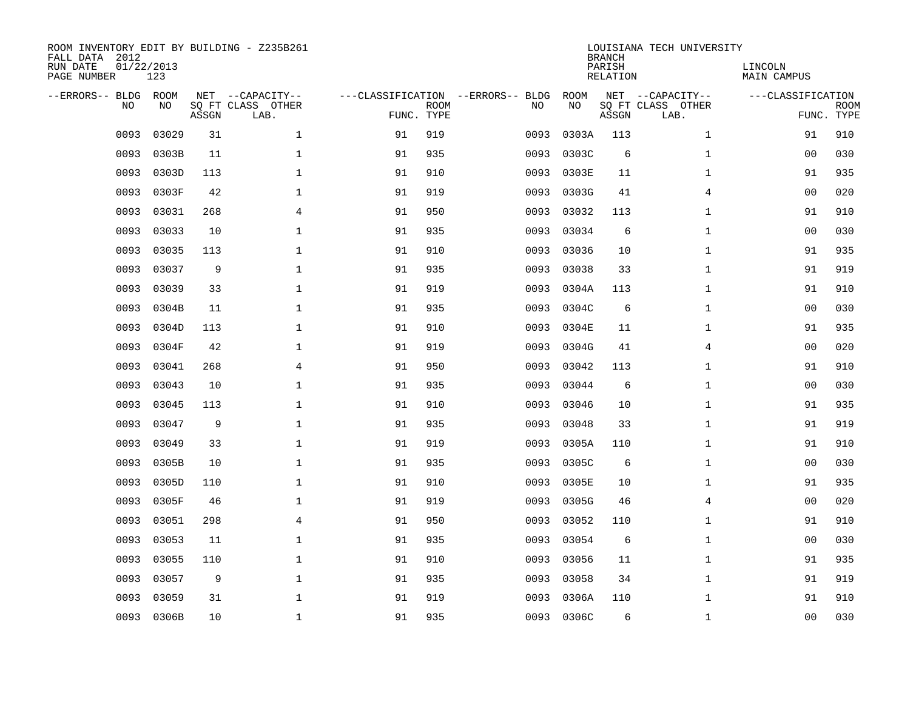| ROOM INVENTORY EDIT BY BUILDING - Z235B261<br>FALL DATA 2012<br>RUN DATE<br>PAGE NUMBER | 01/22/2013<br>123 |       |                                               |            |             |                                         |            | <b>BRANCH</b><br>PARISH<br><b>RELATION</b> | LOUISIANA TECH UNIVERSITY                     | LINCOLN<br><b>MAIN CAMPUS</b> |                           |
|-----------------------------------------------------------------------------------------|-------------------|-------|-----------------------------------------------|------------|-------------|-----------------------------------------|------------|--------------------------------------------|-----------------------------------------------|-------------------------------|---------------------------|
| --ERRORS-- BLDG ROOM<br>NO                                                              | NO                | ASSGN | NET --CAPACITY--<br>SQ FT CLASS OTHER<br>LAB. | FUNC. TYPE | <b>ROOM</b> | ---CLASSIFICATION --ERRORS-- BLDG<br>NO | ROOM<br>NO | ASSGN                                      | NET --CAPACITY--<br>SQ FT CLASS OTHER<br>LAB. | ---CLASSIFICATION             | <b>ROOM</b><br>FUNC. TYPE |
| 0093                                                                                    | 03029             | 31    | $\mathbf 1$                                   | 91         | 919         | 0093                                    | 0303A      | 113                                        | $\mathbf{1}$                                  | 91                            | 910                       |
| 0093                                                                                    | 0303B             | 11    | $\mathbf 1$                                   | 91         | 935         | 0093                                    | 0303C      | 6                                          | $\mathbf{1}$                                  | 00                            | 030                       |
| 0093                                                                                    | 0303D             | 113   | $\mathbf 1$                                   | 91         | 910         | 0093                                    | 0303E      | 11                                         | $\mathbf{1}$                                  | 91                            | 935                       |
| 0093                                                                                    | 0303F             | 42    | $\mathbf 1$                                   | 91         | 919         | 0093                                    | 0303G      | 41                                         | 4                                             | 00                            | 020                       |
| 0093                                                                                    | 03031             | 268   | $\overline{4}$                                | 91         | 950         | 0093                                    | 03032      | 113                                        | $\mathbf{1}$                                  | 91                            | 910                       |
| 0093                                                                                    | 03033             | 10    | $\mathbf 1$                                   | 91         | 935         | 0093                                    | 03034      | 6                                          | $\mathbf{1}$                                  | 0 <sub>0</sub>                | 030                       |
| 0093                                                                                    | 03035             | 113   | $\mathbf{1}$                                  | 91         | 910         | 0093                                    | 03036      | 10                                         | $\mathbf{1}$                                  | 91                            | 935                       |
| 0093                                                                                    | 03037             | 9     | $\mathbf{1}$                                  | 91         | 935         | 0093                                    | 03038      | 33                                         | $\mathbf{1}$                                  | 91                            | 919                       |
| 0093                                                                                    | 03039             | 33    | $\mathbf{1}$                                  | 91         | 919         | 0093                                    | 0304A      | 113                                        | $\mathbf{1}$                                  | 91                            | 910                       |
| 0093                                                                                    | 0304B             | 11    | 1                                             | 91         | 935         | 0093                                    | 0304C      | 6                                          | $\mathbf{1}$                                  | 0 <sub>0</sub>                | 030                       |
| 0093                                                                                    | 0304D             | 113   | $\mathbf 1$                                   | 91         | 910         | 0093                                    | 0304E      | 11                                         | $\mathbf{1}$                                  | 91                            | 935                       |
| 0093                                                                                    | 0304F             | 42    | $\mathbf 1$                                   | 91         | 919         | 0093                                    | 0304G      | 41                                         | 4                                             | 00                            | 020                       |
| 0093                                                                                    | 03041             | 268   | $\overline{4}$                                | 91         | 950         | 0093                                    | 03042      | 113                                        | $\mathbf{1}$                                  | 91                            | 910                       |
| 0093                                                                                    | 03043             | 10    | $\mathbf{1}$                                  | 91         | 935         | 0093                                    | 03044      | 6                                          | $\mathbf{1}$                                  | 00                            | 030                       |
| 0093                                                                                    | 03045             | 113   | $\mathbf{1}$                                  | 91         | 910         | 0093                                    | 03046      | 10                                         | $\mathbf{1}$                                  | 91                            | 935                       |
| 0093                                                                                    | 03047             | 9     | $\mathbf{1}$                                  | 91         | 935         | 0093                                    | 03048      | 33                                         | $\mathbf{1}$                                  | 91                            | 919                       |
| 0093                                                                                    | 03049             | 33    | $\mathbf{1}$                                  | 91         | 919         | 0093                                    | 0305A      | 110                                        | $\mathbf{1}$                                  | 91                            | 910                       |
| 0093                                                                                    | 0305B             | 10    | $\mathbf 1$                                   | 91         | 935         | 0093                                    | 0305C      | 6                                          | $\mathbf{1}$                                  | 00                            | 030                       |
| 0093                                                                                    | 0305D             | 110   | $\mathbf 1$                                   | 91         | 910         | 0093                                    | 0305E      | 10                                         | $\mathbf{1}$                                  | 91                            | 935                       |
| 0093                                                                                    | 0305F             | 46    | $\mathbf 1$                                   | 91         | 919         | 0093                                    | 0305G      | 46                                         | 4                                             | 00                            | 020                       |
| 0093                                                                                    | 03051             | 298   | $\overline{4}$                                | 91         | 950         | 0093                                    | 03052      | 110                                        | $\mathbf{1}$                                  | 91                            | 910                       |
| 0093                                                                                    | 03053             | 11    | $\mathbf{1}$                                  | 91         | 935         | 0093                                    | 03054      | 6                                          | $\mathbf{1}$                                  | 00                            | 030                       |
| 0093                                                                                    | 03055             | 110   | $\mathbf{1}$                                  | 91         | 910         | 0093                                    | 03056      | 11                                         | $\mathbf{1}$                                  | 91                            | 935                       |
| 0093                                                                                    | 03057             | 9     | $\mathbf 1$                                   | 91         | 935         | 0093                                    | 03058      | 34                                         | $\mathbf{1}$                                  | 91                            | 919                       |
| 0093                                                                                    | 03059             | 31    | $\mathbf{1}$                                  | 91         | 919         | 0093                                    | 0306A      | 110                                        | $\mathbf{1}$                                  | 91                            | 910                       |
|                                                                                         | 0093 0306B        | 10    | $\mathbf 1$                                   | 91         | 935         |                                         | 0093 0306C | 6                                          | $\mathbf{1}$                                  | 00                            | 030                       |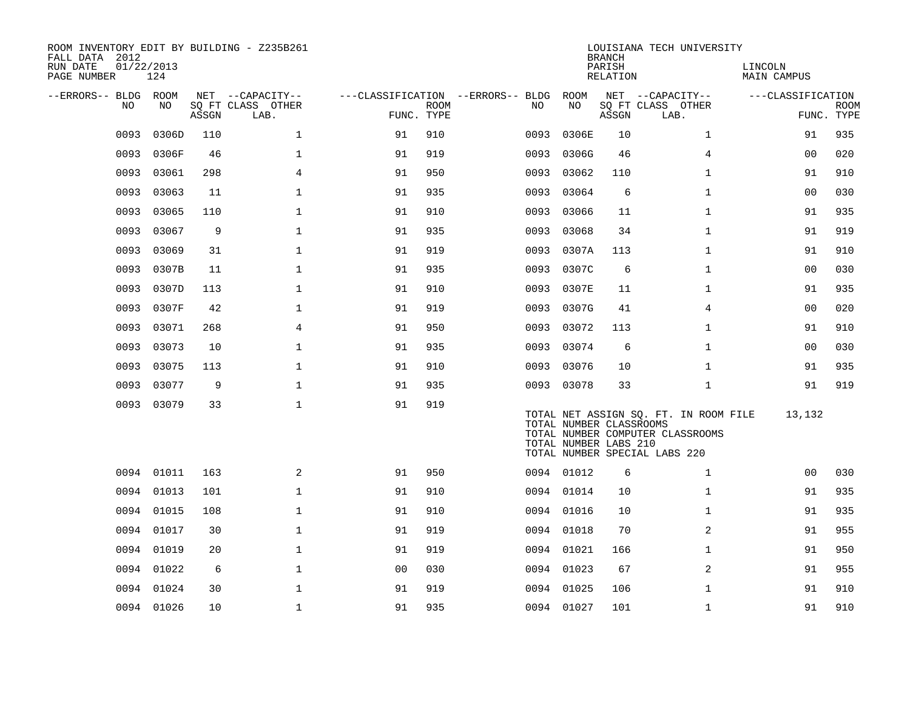| ROOM INVENTORY EDIT BY BUILDING - Z235B261<br>FALL DATA 2012<br>RUN DATE<br>PAGE NUMBER | 01/22/2013<br>124 |       |                           |                |             |                                   |                                                  | <b>BRANCH</b><br>PARISH<br>RELATION | LOUISIANA TECH UNIVERSITY                                                                                  | LINCOLN<br>MAIN CAMPUS |                           |
|-----------------------------------------------------------------------------------------|-------------------|-------|---------------------------|----------------|-------------|-----------------------------------|--------------------------------------------------|-------------------------------------|------------------------------------------------------------------------------------------------------------|------------------------|---------------------------|
| --ERRORS-- BLDG ROOM                                                                    |                   |       | NET --CAPACITY--          |                |             | ---CLASSIFICATION --ERRORS-- BLDG | ROOM                                             |                                     | NET --CAPACITY--                                                                                           | ---CLASSIFICATION      |                           |
| NO                                                                                      | NO                | ASSGN | SQ FT CLASS OTHER<br>LAB. | FUNC. TYPE     | <b>ROOM</b> | NO.                               | NO                                               | ASSGN                               | SQ FT CLASS OTHER<br>LAB.                                                                                  |                        | <b>ROOM</b><br>FUNC. TYPE |
| 0093                                                                                    | 0306D             | 110   | $\mathbf{1}$              | 91             | 910         | 0093                              | 0306E                                            | 10                                  | $\mathbf{1}$                                                                                               | 91                     | 935                       |
| 0093                                                                                    | 0306F             | 46    | $\mathbf 1$               | 91             | 919         | 0093                              | 0306G                                            | 46                                  | 4                                                                                                          | 00                     | 020                       |
| 0093                                                                                    | 03061             | 298   | $\overline{4}$            | 91             | 950         | 0093                              | 03062                                            | 110                                 | $\mathbf{1}$                                                                                               | 91                     | 910                       |
| 0093                                                                                    | 03063             | 11    | $\mathbf 1$               | 91             | 935         | 0093                              | 03064                                            | 6                                   | $\mathbf{1}$                                                                                               | 00                     | 030                       |
| 0093                                                                                    | 03065             | 110   | $\mathbf 1$               | 91             | 910         | 0093                              | 03066                                            | 11                                  | $\mathbf{1}$                                                                                               | 91                     | 935                       |
| 0093                                                                                    | 03067             | 9     | $\mathbf{1}$              | 91             | 935         | 0093                              | 03068                                            | 34                                  | $\mathbf{1}$                                                                                               | 91                     | 919                       |
| 0093                                                                                    | 03069             | 31    | $\mathbf{1}$              | 91             | 919         | 0093                              | 0307A                                            | 113                                 | $\mathbf{1}$                                                                                               | 91                     | 910                       |
| 0093                                                                                    | 0307B             | 11    | $\mathbf{1}$              | 91             | 935         | 0093                              | 0307C                                            | 6                                   | $\mathbf{1}$                                                                                               | 0 <sub>0</sub>         | 030                       |
| 0093                                                                                    | 0307D             | 113   | $\mathbf 1$               | 91             | 910         | 0093                              | 0307E                                            | 11                                  | $\mathbf{1}$                                                                                               | 91                     | 935                       |
| 0093                                                                                    | 0307F             | 42    | $\mathbf 1$               | 91             | 919         | 0093                              | 0307G                                            | 41                                  | 4                                                                                                          | 0 <sub>0</sub>         | 020                       |
| 0093                                                                                    | 03071             | 268   | $\overline{4}$            | 91             | 950         | 0093                              | 03072                                            | 113                                 | $\mathbf{1}$                                                                                               | 91                     | 910                       |
| 0093                                                                                    | 03073             | 10    | $\mathbf 1$               | 91             | 935         | 0093                              | 03074                                            | 6                                   | $\mathbf{1}$                                                                                               | 0 <sub>0</sub>         | 030                       |
| 0093                                                                                    | 03075             | 113   | $\mathbf 1$               | 91             | 910         | 0093                              | 03076                                            | 10                                  | $\mathbf{1}$                                                                                               | 91                     | 935                       |
| 0093                                                                                    | 03077             | 9     | $\mathbf 1$               | 91             | 935         | 0093                              | 03078                                            | 33                                  | $\mathbf{1}$                                                                                               | 91                     | 919                       |
|                                                                                         | 0093 03079        | 33    | $\mathbf{1}$              | 91             | 919         |                                   | TOTAL NUMBER CLASSROOMS<br>TOTAL NUMBER LABS 210 |                                     | TOTAL NET ASSIGN SQ. FT. IN ROOM FILE<br>TOTAL NUMBER COMPUTER CLASSROOMS<br>TOTAL NUMBER SPECIAL LABS 220 | 13,132                 |                           |
|                                                                                         | 0094 01011        | 163   | 2                         | 91             | 950         |                                   | 0094 01012                                       | 6                                   | $\mathbf{1}$                                                                                               | 0 <sub>0</sub>         | 030                       |
|                                                                                         | 0094 01013        | 101   | $\mathbf 1$               | 91             | 910         |                                   | 0094 01014                                       | 10                                  | $\mathbf{1}$                                                                                               | 91                     | 935                       |
|                                                                                         | 0094 01015        | 108   | $\mathbf 1$               | 91             | 910         |                                   | 0094 01016                                       | 10                                  | $\mathbf{1}$                                                                                               | 91                     | 935                       |
| 0094                                                                                    | 01017             | 30    | $\mathbf 1$               | 91             | 919         | 0094                              | 01018                                            | 70                                  | 2                                                                                                          | 91                     | 955                       |
| 0094                                                                                    | 01019             | 20    | $\mathbf 1$               | 91             | 919         |                                   | 0094 01021                                       | 166                                 | $\mathbf{1}$                                                                                               | 91                     | 950                       |
|                                                                                         | 0094 01022        | 6     | $\mathbf{1}$              | 0 <sub>0</sub> | 030         |                                   | 0094 01023                                       | 67                                  | 2                                                                                                          | 91                     | 955                       |
|                                                                                         | 0094 01024        | 30    | $\mathbf 1$               | 91             | 919         |                                   | 0094 01025                                       | 106                                 | $\mathbf{1}$                                                                                               | 91                     | 910                       |
|                                                                                         | 0094 01026        | 10    | $\mathbf{1}$              | 91             | 935         |                                   | 0094 01027                                       | 101                                 | $\mathbf{1}$                                                                                               | 91                     | 910                       |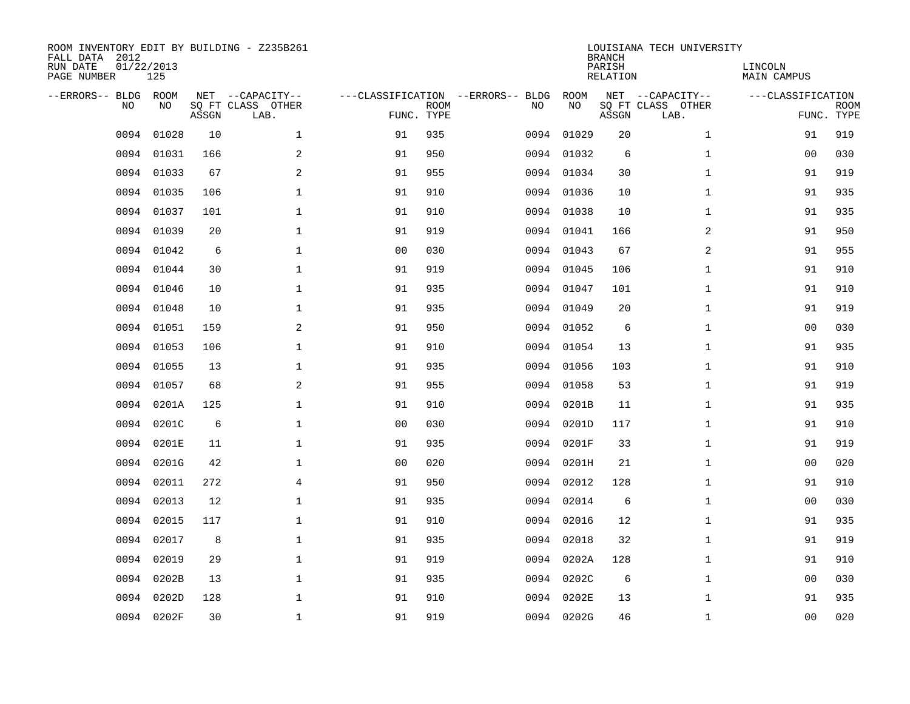| ROOM INVENTORY EDIT BY BUILDING - Z235B261<br>FALL DATA 2012<br>01/22/2013<br>RUN DATE<br>PAGE NUMBER |            |       |                                               |                |             |                                         | <b>BRANCH</b><br>PARISH<br><b>RELATION</b> | LOUISIANA TECH UNIVERSITY | LINCOLN<br>MAIN CAMPUS                        |                   |                           |
|-------------------------------------------------------------------------------------------------------|------------|-------|-----------------------------------------------|----------------|-------------|-----------------------------------------|--------------------------------------------|---------------------------|-----------------------------------------------|-------------------|---------------------------|
| --ERRORS-- BLDG<br>NO                                                                                 | ROOM<br>NO | ASSGN | NET --CAPACITY--<br>SQ FT CLASS OTHER<br>LAB. | FUNC. TYPE     | <b>ROOM</b> | ---CLASSIFICATION --ERRORS-- BLDG<br>NO | ROOM<br>NO                                 | ASSGN                     | NET --CAPACITY--<br>SQ FT CLASS OTHER<br>LAB. | ---CLASSIFICATION | <b>ROOM</b><br>FUNC. TYPE |
| 0094                                                                                                  | 01028      | 10    | $\mathbf{1}$                                  | 91             | 935         | 0094                                    | 01029                                      | 20                        | $\mathbf{1}$                                  | 91                | 919                       |
| 0094                                                                                                  | 01031      | 166   | 2                                             | 91             | 950         | 0094                                    | 01032                                      | 6                         | $\mathbf{1}$                                  | 00                | 030                       |
| 0094                                                                                                  | 01033      | 67    | $\overline{a}$                                | 91             | 955         | 0094                                    | 01034                                      | 30                        | $\mathbf{1}$                                  | 91                | 919                       |
| 0094                                                                                                  | 01035      | 106   | $\mathbf{1}$                                  | 91             | 910         |                                         | 0094 01036                                 | 10                        | $\mathbf{1}$                                  | 91                | 935                       |
| 0094                                                                                                  | 01037      | 101   | $\mathbf{1}$                                  | 91             | 910         | 0094                                    | 01038                                      | 10                        | $\mathbf{1}$                                  | 91                | 935                       |
| 0094                                                                                                  | 01039      | 20    | $\mathbf{1}$                                  | 91             | 919         |                                         | 0094 01041                                 | 166                       | 2                                             | 91                | 950                       |
| 0094                                                                                                  | 01042      | 6     | $\mathbf{1}$                                  | 0 <sub>0</sub> | 030         |                                         | 0094 01043                                 | 67                        | 2                                             | 91                | 955                       |
| 0094                                                                                                  | 01044      | 30    | $\mathbf 1$                                   | 91             | 919         |                                         | 0094 01045                                 | 106                       | $\mathbf{1}$                                  | 91                | 910                       |
| 0094                                                                                                  | 01046      | 10    | $\mathbf{1}$                                  | 91             | 935         | 0094                                    | 01047                                      | 101                       | $\mathbf{1}$                                  | 91                | 910                       |
| 0094                                                                                                  | 01048      | 10    | $\mathbf 1$                                   | 91             | 935         |                                         | 0094 01049                                 | 20                        | $\mathbf{1}$                                  | 91                | 919                       |
| 0094                                                                                                  | 01051      | 159   | 2                                             | 91             | 950         |                                         | 0094 01052                                 | 6                         | $\mathbf{1}$                                  | 00                | 030                       |
| 0094                                                                                                  | 01053      | 106   | $\mathbf 1$                                   | 91             | 910         |                                         | 0094 01054                                 | 13                        | $\mathbf{1}$                                  | 91                | 935                       |
| 0094                                                                                                  | 01055      | 13    | $\mathbf{1}$                                  | 91             | 935         | 0094                                    | 01056                                      | 103                       | $\mathbf{1}$                                  | 91                | 910                       |
| 0094                                                                                                  | 01057      | 68    | $\mathbf{2}$                                  | 91             | 955         | 0094                                    | 01058                                      | 53                        | $\mathbf{1}$                                  | 91                | 919                       |
| 0094                                                                                                  | 0201A      | 125   | 1                                             | 91             | 910         | 0094                                    | 0201B                                      | 11                        | $\mathbf{1}$                                  | 91                | 935                       |
| 0094                                                                                                  | 0201C      | 6     | $\mathbf 1$                                   | 0 <sub>0</sub> | 030         | 0094                                    | 0201D                                      | 117                       | $\mathbf{1}$                                  | 91                | 910                       |
| 0094                                                                                                  | 0201E      | 11    | $\mathbf 1$                                   | 91             | 935         | 0094                                    | 0201F                                      | 33                        | $\mathbf{1}$                                  | 91                | 919                       |
| 0094                                                                                                  | 0201G      | 42    | $\mathbf 1$                                   | 0 <sub>0</sub> | 020         | 0094                                    | 0201H                                      | 21                        | $\mathbf{1}$                                  | 00                | 020                       |
| 0094                                                                                                  | 02011      | 272   | $\overline{4}$                                | 91             | 950         |                                         | 0094 02012                                 | 128                       | $\mathbf{1}$                                  | 91                | 910                       |
| 0094                                                                                                  | 02013      | 12    | $\mathbf 1$                                   | 91             | 935         | 0094                                    | 02014                                      | 6                         | $\mathbf{1}$                                  | 00                | 030                       |
| 0094                                                                                                  | 02015      | 117   | $\mathbf{1}$                                  | 91             | 910         |                                         | 0094 02016                                 | 12                        | $\mathbf{1}$                                  | 91                | 935                       |
| 0094                                                                                                  | 02017      | 8     | $\mathbf{1}$                                  | 91             | 935         | 0094                                    | 02018                                      | 32                        | $\mathbf{1}$                                  | 91                | 919                       |
| 0094                                                                                                  | 02019      | 29    | $\mathbf{1}$                                  | 91             | 919         | 0094                                    | 0202A                                      | 128                       | $\mathbf{1}$                                  | 91                | 910                       |
| 0094                                                                                                  | 0202B      | 13    | $\mathbf 1$                                   | 91             | 935         |                                         | 0094 0202C                                 | 6                         | $\mathbf{1}$                                  | 00                | 030                       |
| 0094                                                                                                  | 0202D      | 128   | $\mathbf 1$                                   | 91             | 910         | 0094                                    | 0202E                                      | 13                        | $\mathbf{1}$                                  | 91                | 935                       |
|                                                                                                       | 0094 0202F | 30    | $\mathbf 1$                                   | 91             | 919         |                                         | 0094 0202G                                 | 46                        | $\mathbf{1}$                                  | 00                | 020                       |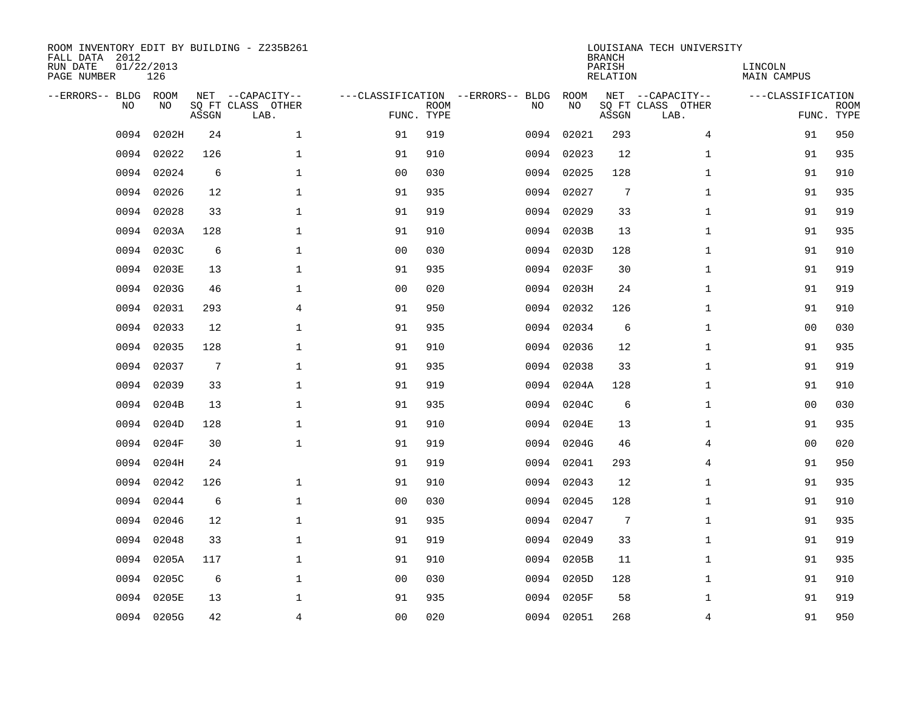| ROOM INVENTORY EDIT BY BUILDING - Z235B261<br>FALL DATA 2012<br>RUN DATE<br>01/22/2013<br>PAGE NUMBER |            |                 |                                               |                |             |                                         | <b>BRANCH</b><br>PARISH<br><b>RELATION</b> | LOUISIANA TECH UNIVERSITY | LINCOLN<br><b>MAIN CAMPUS</b>                 |                   |                           |
|-------------------------------------------------------------------------------------------------------|------------|-----------------|-----------------------------------------------|----------------|-------------|-----------------------------------------|--------------------------------------------|---------------------------|-----------------------------------------------|-------------------|---------------------------|
| --ERRORS-- BLDG ROOM<br>NO                                                                            | NO         | ASSGN           | NET --CAPACITY--<br>SQ FT CLASS OTHER<br>LAB. | FUNC. TYPE     | <b>ROOM</b> | ---CLASSIFICATION --ERRORS-- BLDG<br>NO | ROOM<br>NO                                 | ASSGN                     | NET --CAPACITY--<br>SQ FT CLASS OTHER<br>LAB. | ---CLASSIFICATION | <b>ROOM</b><br>FUNC. TYPE |
| 0094                                                                                                  | 0202H      | 24              | $\mathbf 1$                                   | 91             | 919         | 0094                                    | 02021                                      | 293                       | 4                                             | 91                | 950                       |
| 0094                                                                                                  | 02022      | 126             | 1                                             | 91             | 910         | 0094                                    | 02023                                      | 12                        | $\mathbf{1}$                                  | 91                | 935                       |
| 0094                                                                                                  | 02024      | 6               | 1                                             | 0 <sub>0</sub> | 030         | 0094                                    | 02025                                      | 128                       | $\mathbf{1}$                                  | 91                | 910                       |
| 0094                                                                                                  | 02026      | 12              | $\mathbf 1$                                   | 91             | 935         | 0094                                    | 02027                                      | 7                         | $\mathbf{1}$                                  | 91                | 935                       |
| 0094                                                                                                  | 02028      | 33              | $\mathbf{1}$                                  | 91             | 919         | 0094                                    | 02029                                      | 33                        | $\mathbf{1}$                                  | 91                | 919                       |
| 0094                                                                                                  | 0203A      | 128             | $\mathbf{1}$                                  | 91             | 910         |                                         | 0094 0203B                                 | 13                        | $\mathbf{1}$                                  | 91                | 935                       |
| 0094                                                                                                  | 0203C      | 6               | $\mathbf{1}$                                  | 0 <sub>0</sub> | 030         | 0094                                    | 0203D                                      | 128                       | $\mathbf{1}$                                  | 91                | 910                       |
| 0094                                                                                                  | 0203E      | 13              | $\mathbf 1$                                   | 91             | 935         |                                         | 0094 0203F                                 | 30                        | $\mathbf{1}$                                  | 91                | 919                       |
| 0094                                                                                                  | 0203G      | 46              | $\mathbf 1$                                   | 0 <sub>0</sub> | 020         | 0094                                    | 0203H                                      | 24                        | $\mathbf{1}$                                  | 91                | 919                       |
| 0094                                                                                                  | 02031      | 293             | $\overline{4}$                                | 91             | 950         |                                         | 0094 02032                                 | 126                       | $\mathbf{1}$                                  | 91                | 910                       |
| 0094                                                                                                  | 02033      | 12              | $\mathbf 1$                                   | 91             | 935         | 0094                                    | 02034                                      | 6                         | $\mathbf{1}$                                  | 00                | 030                       |
| 0094                                                                                                  | 02035      | 128             | $\mathbf{1}$                                  | 91             | 910         |                                         | 0094 02036                                 | 12                        | $\mathbf{1}$                                  | 91                | 935                       |
| 0094                                                                                                  | 02037      | $7\phantom{.0}$ | $\mathbf 1$                                   | 91             | 935         | 0094                                    | 02038                                      | 33                        | $\mathbf{1}$                                  | 91                | 919                       |
| 0094                                                                                                  | 02039      | 33              | $\mathbf 1$                                   | 91             | 919         | 0094                                    | 0204A                                      | 128                       | $\mathbf{1}$                                  | 91                | 910                       |
| 0094                                                                                                  | 0204B      | 13              | $\mathbf 1$                                   | 91             | 935         | 0094                                    | 0204C                                      | 6                         | $\mathbf{1}$                                  | 00                | 030                       |
| 0094                                                                                                  | 0204D      | 128             | $\mathbf{1}$                                  | 91             | 910         | 0094                                    | 0204E                                      | 13                        | $\mathbf{1}$                                  | 91                | 935                       |
| 0094                                                                                                  | 0204F      | 30              | $\mathbf{1}$                                  | 91             | 919         | 0094                                    | 0204G                                      | 46                        | 4                                             | 00                | 020                       |
| 0094                                                                                                  | 0204H      | 24              |                                               | 91             | 919         | 0094                                    | 02041                                      | 293                       | $\overline{4}$                                | 91                | 950                       |
| 0094                                                                                                  | 02042      | 126             | $\mathbf{1}$                                  | 91             | 910         | 0094                                    | 02043                                      | 12                        | $\mathbf{1}$                                  | 91                | 935                       |
| 0094                                                                                                  | 02044      | 6               | $\mathbf 1$                                   | 0 <sub>0</sub> | 030         |                                         | 0094 02045                                 | 128                       | $\mathbf{1}$                                  | 91                | 910                       |
| 0094                                                                                                  | 02046      | 12              | 1                                             | 91             | 935         |                                         | 0094 02047                                 | $7\phantom{.0}$           | $\mathbf{1}$                                  | 91                | 935                       |
| 0094                                                                                                  | 02048      | 33              | $\mathbf 1$                                   | 91             | 919         | 0094                                    | 02049                                      | 33                        | $\mathbf{1}$                                  | 91                | 919                       |
| 0094                                                                                                  | 0205A      | 117             | $\mathbf 1$                                   | 91             | 910         |                                         | 0094 0205B                                 | 11                        | $\mathbf{1}$                                  | 91                | 935                       |
| 0094                                                                                                  | 0205C      | 6               | $\mathbf 1$                                   | 0 <sub>0</sub> | 030         | 0094                                    | 0205D                                      | 128                       | $\mathbf{1}$                                  | 91                | 910                       |
| 0094                                                                                                  | 0205E      | 13              | $\mathbf 1$                                   | 91             | 935         | 0094                                    | 0205F                                      | 58                        | $\mathbf{1}$                                  | 91                | 919                       |
|                                                                                                       | 0094 0205G | 42              | $\overline{4}$                                | 0 <sub>0</sub> | 020         |                                         | 0094 02051                                 | 268                       | 4                                             | 91                | 950                       |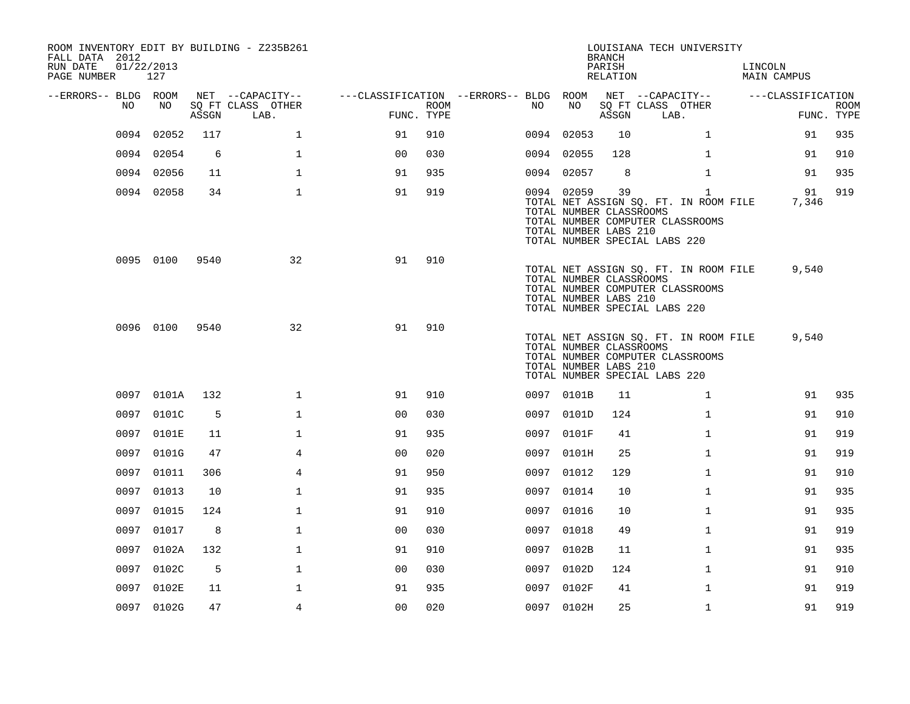| FALL DATA 2012<br>RUN DATE<br>PAGE NUMBER | 01/22/2013 | 127        |       | ROOM INVENTORY EDIT BY BUILDING - Z235B261    |                                        |                    |      |            | <b>BRANCH</b><br>PARISH<br>RELATION                    | LOUISIANA TECH UNIVERSITY                                                                                                  | LINCOLN<br><b>MAIN CAMPUS</b> |                           |
|-------------------------------------------|------------|------------|-------|-----------------------------------------------|----------------------------------------|--------------------|------|------------|--------------------------------------------------------|----------------------------------------------------------------------------------------------------------------------------|-------------------------------|---------------------------|
| --ERRORS-- BLDG ROOM                      | NO         | NO.        | ASSGN | NET --CAPACITY--<br>SQ FT CLASS OTHER<br>LAB. | ---CLASSIFICATION --ERRORS-- BLDG ROOM | ROOM<br>FUNC. TYPE | NO . | NO         | ASSGN                                                  | NET --CAPACITY--<br>SQ FT CLASS OTHER<br>LAB.                                                                              | ---CLASSIFICATION             | <b>ROOM</b><br>FUNC. TYPE |
|                                           | 0094       | 02052      | 117   | $\mathbf{1}$                                  | 91                                     | 910                |      | 0094 02053 | 10                                                     | $\mathbf{1}$                                                                                                               | 91                            | 935                       |
|                                           |            | 0094 02054 | 6     | $\mathbf{1}$                                  | 0 <sub>0</sub>                         | 030                |      | 0094 02055 | 128                                                    | $\mathbf{1}$                                                                                                               | 91                            | 910                       |
|                                           |            | 0094 02056 | 11    | $\mathbf 1$                                   | 91                                     | 935                |      | 0094 02057 | 8                                                      | $\mathbf{1}$                                                                                                               | 91                            | 935                       |
|                                           |            | 0094 02058 | 34    | $\mathbf{1}$                                  | 91                                     | 919                |      | 0094 02059 | 39<br>TOTAL NUMBER CLASSROOMS<br>TOTAL NUMBER LABS 210 | $\mathbf{1}$<br>TOTAL NET ASSIGN SQ. FT. IN ROOM FILE<br>TOTAL NUMBER COMPUTER CLASSROOMS<br>TOTAL NUMBER SPECIAL LABS 220 | 91<br>7,346                   | 919                       |
|                                           |            | 0095 0100  | 9540  | 32                                            | 91                                     | 910                |      |            | TOTAL NUMBER CLASSROOMS<br>TOTAL NUMBER LABS 210       | TOTAL NET ASSIGN SQ. FT. IN ROOM FILE<br>TOTAL NUMBER COMPUTER CLASSROOMS<br>TOTAL NUMBER SPECIAL LABS 220                 | 9,540                         |                           |
|                                           |            | 0096 0100  | 9540  | 32                                            | 91                                     | 910                |      |            | TOTAL NUMBER CLASSROOMS<br>TOTAL NUMBER LABS 210       | TOTAL NET ASSIGN SQ. FT. IN ROOM FILE<br>TOTAL NUMBER COMPUTER CLASSROOMS<br>TOTAL NUMBER SPECIAL LABS 220                 | 9,540                         |                           |
|                                           |            | 0097 0101A | 132   | $\mathbf 1$                                   | 91                                     | 910                |      | 0097 0101B | 11                                                     | $\mathbf{1}$                                                                                                               | 91                            | 935                       |
|                                           |            | 0097 0101C | 5     | $\mathbf{1}$                                  | 0 <sub>0</sub>                         | 030                |      | 0097 0101D | 124                                                    | $\mathbf{1}$                                                                                                               | 91                            | 910                       |
|                                           |            | 0097 0101E | 11    | $\mathbf 1$                                   | 91                                     | 935                |      | 0097 0101F | 41                                                     | $\mathbf{1}$                                                                                                               | 91                            | 919                       |
|                                           |            | 0097 0101G | 47    | 4                                             | 00                                     | 020                | 0097 | 0101H      | 25                                                     | $\mathbf{1}$                                                                                                               | 91                            | 919                       |
|                                           |            | 0097 01011 | 306   | $\overline{4}$                                | 91                                     | 950                |      | 0097 01012 | 129                                                    | $\mathbf{1}$                                                                                                               | 91                            | 910                       |
|                                           |            | 0097 01013 | 10    | $\mathbf{1}$                                  | 91                                     | 935                | 0097 | 01014      | 10                                                     | $\mathbf{1}$                                                                                                               | 91                            | 935                       |
|                                           |            | 0097 01015 | 124   | $\mathbf 1$                                   | 91                                     | 910                |      | 0097 01016 | 10                                                     | $\mathbf{1}$                                                                                                               | 91                            | 935                       |
|                                           |            | 0097 01017 | 8     | $\mathbf{1}$                                  | 0 <sub>0</sub>                         | 030                |      | 0097 01018 | 49                                                     | $\mathbf{1}$                                                                                                               | 91                            | 919                       |
|                                           |            | 0097 0102A | 132   | $\mathbf 1$                                   | 91                                     | 910                |      | 0097 0102B | 11                                                     | $\mathbf{1}$                                                                                                               | 91                            | 935                       |
|                                           |            | 0097 0102C | 5     | 1                                             | 00                                     | 030                | 0097 | 0102D      | 124                                                    | $\mathbf{1}$                                                                                                               | 91                            | 910                       |
|                                           |            | 0097 0102E | 11    | $\mathbf 1$                                   | 91                                     | 935                |      | 0097 0102F | 41                                                     | $\mathbf{1}$                                                                                                               | 91                            | 919                       |
|                                           |            | 0097 0102G | 47    | $\overline{4}$                                | 0 <sub>0</sub>                         | 020                |      | 0097 0102H | 25                                                     | $\mathbf{1}$                                                                                                               | 91                            | 919                       |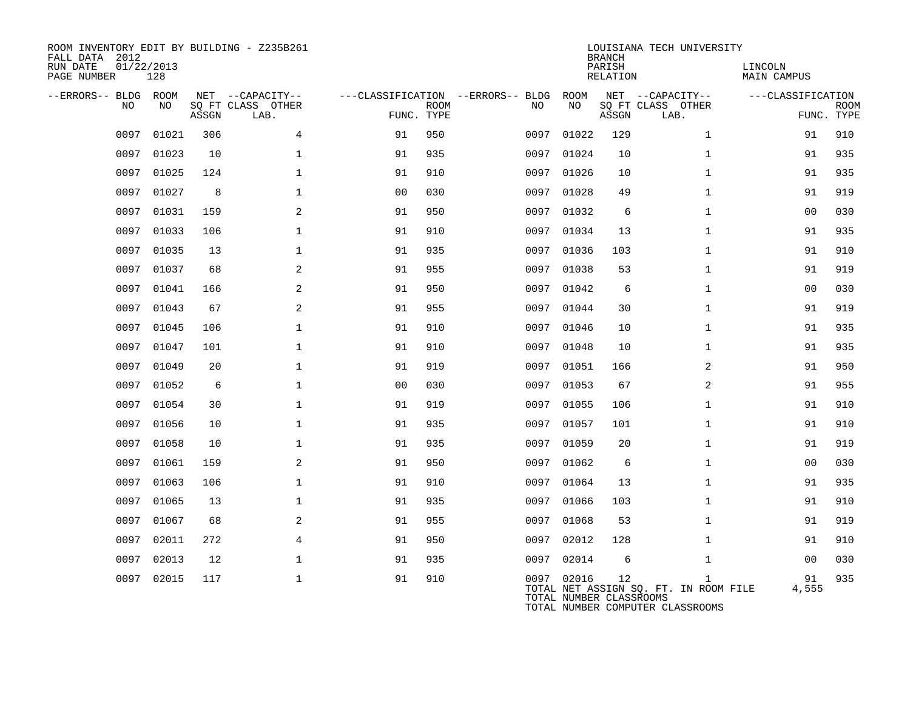| ROOM INVENTORY EDIT BY BUILDING - Z235B261<br>FALL DATA 2012<br>01/22/2013<br>RUN DATE<br>PAGE NUMBER<br>128 |       |       |                                       |                |             |                                         | <b>BRANCH</b><br>PARISH<br><b>RELATION</b> | LOUISIANA TECH UNIVERSITY | LINCOLN<br><b>MAIN CAMPUS</b>                                                             |                   |             |
|--------------------------------------------------------------------------------------------------------------|-------|-------|---------------------------------------|----------------|-------------|-----------------------------------------|--------------------------------------------|---------------------------|-------------------------------------------------------------------------------------------|-------------------|-------------|
| --ERRORS-- BLDG ROOM<br>NO                                                                                   | NO    |       | NET --CAPACITY--<br>SQ FT CLASS OTHER |                | <b>ROOM</b> | ---CLASSIFICATION --ERRORS-- BLDG<br>NO | ROOM<br>NO                                 |                           | NET --CAPACITY--<br>SQ FT CLASS OTHER                                                     | ---CLASSIFICATION | <b>ROOM</b> |
|                                                                                                              |       | ASSGN | LAB.                                  | FUNC. TYPE     |             |                                         |                                            | ASSGN                     | LAB.                                                                                      |                   | FUNC. TYPE  |
| 0097                                                                                                         | 01021 | 306   | 4                                     | 91             | 950         | 0097                                    | 01022                                      | 129                       | $\mathbf{1}$                                                                              | 91                | 910         |
| 0097                                                                                                         | 01023 | 10    | 1                                     | 91             | 935         | 0097                                    | 01024                                      | 10                        | $\mathbf{1}$                                                                              | 91                | 935         |
| 0097                                                                                                         | 01025 | 124   | $\mathbf{1}$                          | 91             | 910         |                                         | 0097 01026                                 | 10                        | $\mathbf{1}$                                                                              | 91                | 935         |
| 0097                                                                                                         | 01027 | 8     | $\mathbf 1$                           | 0 <sub>0</sub> | 030         | 0097                                    | 01028                                      | 49                        | $\mathbf{1}$                                                                              | 91                | 919         |
| 0097                                                                                                         | 01031 | 159   | 2                                     | 91             | 950         |                                         | 0097 01032                                 | 6                         | $\mathbf{1}$                                                                              | 00                | 030         |
| 0097                                                                                                         | 01033 | 106   | $\mathbf{1}$                          | 91             | 910         | 0097                                    | 01034                                      | 13                        | $\mathbf{1}$                                                                              | 91                | 935         |
| 0097                                                                                                         | 01035 | 13    | $\mathbf{1}$                          | 91             | 935         | 0097                                    | 01036                                      | 103                       | $\mathbf{1}$                                                                              | 91                | 910         |
| 0097                                                                                                         | 01037 | 68    | $\mathbf{2}$                          | 91             | 955         | 0097                                    | 01038                                      | 53                        | $\mathbf{1}$                                                                              | 91                | 919         |
| 0097                                                                                                         | 01041 | 166   | $\mathbf{2}$                          | 91             | 950         | 0097                                    | 01042                                      | 6                         | $\mathbf{1}$                                                                              | 00                | 030         |
| 0097                                                                                                         | 01043 | 67    | 2                                     | 91             | 955         | 0097                                    | 01044                                      | 30                        | $\mathbf{1}$                                                                              | 91                | 919         |
| 0097                                                                                                         | 01045 | 106   | $\mathbf 1$                           | 91             | 910         | 0097                                    | 01046                                      | 10                        | $\mathbf{1}$                                                                              | 91                | 935         |
| 0097                                                                                                         | 01047 | 101   | $\mathbf 1$                           | 91             | 910         | 0097                                    | 01048                                      | 10                        | $\mathbf{1}$                                                                              | 91                | 935         |
| 0097                                                                                                         | 01049 | 20    | $\mathbf{1}$                          | 91             | 919         | 0097                                    | 01051                                      | 166                       | 2                                                                                         | 91                | 950         |
| 0097                                                                                                         | 01052 | 6     | $\mathbf{1}$                          | 0 <sub>0</sub> | 030         | 0097                                    | 01053                                      | 67                        | 2                                                                                         | 91                | 955         |
| 0097                                                                                                         | 01054 | 30    | $\mathbf{1}$                          | 91             | 919         | 0097                                    | 01055                                      | 106                       | $\mathbf{1}$                                                                              | 91                | 910         |
| 0097                                                                                                         | 01056 | 10    | $\mathbf{1}$                          | 91             | 935         | 0097                                    | 01057                                      | 101                       | $\mathbf{1}$                                                                              | 91                | 910         |
| 0097                                                                                                         | 01058 | 10    | $\mathbf{1}$                          | 91             | 935         | 0097                                    | 01059                                      | 20                        | $\mathbf{1}$                                                                              | 91                | 919         |
| 0097                                                                                                         | 01061 | 159   | 2                                     | 91             | 950         |                                         | 0097 01062                                 | 6                         | $\mathbf{1}$                                                                              | 00                | 030         |
| 0097                                                                                                         | 01063 | 106   | $\mathbf{1}$                          | 91             | 910         | 0097                                    | 01064                                      | 13                        | $\mathbf{1}$                                                                              | 91                | 935         |
| 0097                                                                                                         | 01065 | 13    | $\mathbf 1$                           | 91             | 935         | 0097                                    | 01066                                      | 103                       | $\mathbf{1}$                                                                              | 91                | 910         |
| 0097                                                                                                         | 01067 | 68    | 2                                     | 91             | 955         | 0097                                    | 01068                                      | 53                        | $\mathbf{1}$                                                                              | 91                | 919         |
| 0097                                                                                                         | 02011 | 272   | 4                                     | 91             | 950         | 0097                                    | 02012                                      | 128                       | $\mathbf{1}$                                                                              | 91                | 910         |
| 0097                                                                                                         | 02013 | 12    | $\mathbf 1$                           | 91             | 935         | 0097                                    | 02014                                      | 6                         | $\mathbf{1}$                                                                              | 00                | 030         |
| 0097                                                                                                         | 02015 | 117   | $\mathbf{1}$                          | 91             | 910         |                                         | 0097 02016<br>TOTAL NUMBER CLASSROOMS      | 12                        | $\mathbf{1}$<br>TOTAL NET ASSIGN SQ. FT. IN ROOM FILE<br>TOTAL NUMBER COMPUTER CLASSROOMS | 91<br>4,555       | 935         |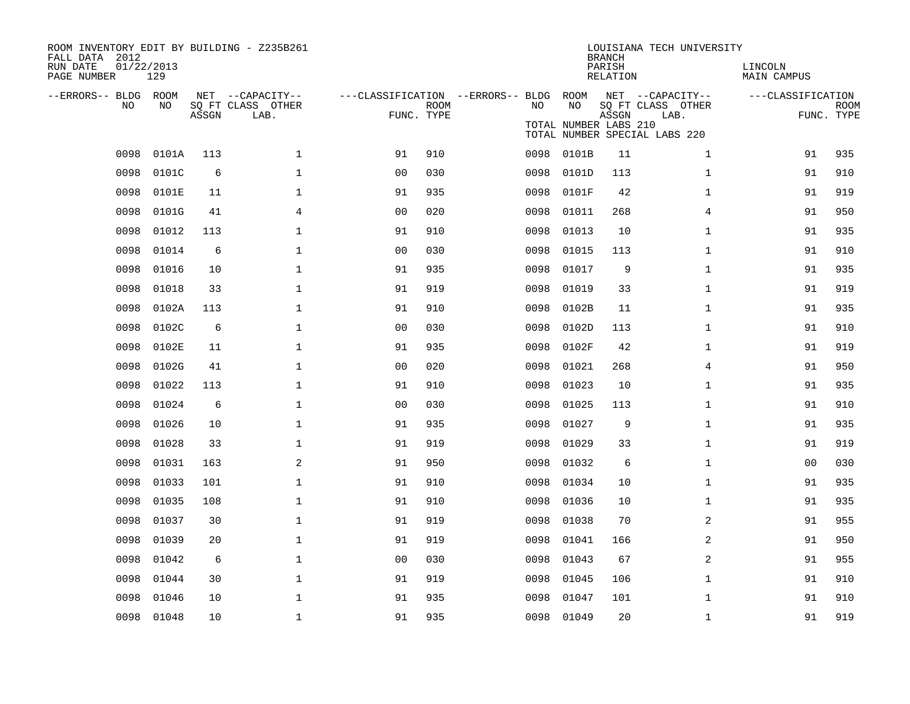| ROOM INVENTORY EDIT BY BUILDING - Z235B261<br>FALL DATA 2012<br>RUN DATE<br>PAGE NUMBER | 01/22/2013<br>129 |       |                                               |                                                      |             |      |                             | <b>BRANCH</b><br>PARISH<br><b>RELATION</b> | LOUISIANA TECH UNIVERSITY                                                      | LINCOLN<br><b>MAIN CAMPUS</b> |                           |
|-----------------------------------------------------------------------------------------|-------------------|-------|-----------------------------------------------|------------------------------------------------------|-------------|------|-----------------------------|--------------------------------------------|--------------------------------------------------------------------------------|-------------------------------|---------------------------|
| --ERRORS-- BLDG ROOM<br>NO                                                              | NO                | ASSGN | NET --CAPACITY--<br>SQ FT CLASS OTHER<br>LAB. | ---CLASSIFICATION --ERRORS-- BLDG ROOM<br>FUNC. TYPE | <b>ROOM</b> | NO   | NO<br>TOTAL NUMBER LABS 210 | ASSGN                                      | NET --CAPACITY--<br>SQ FT CLASS OTHER<br>LAB.<br>TOTAL NUMBER SPECIAL LABS 220 | ---CLASSIFICATION             | <b>ROOM</b><br>FUNC. TYPE |
| 0098                                                                                    | 0101A             | 113   | $\mathbf 1$                                   | 91                                                   | 910         | 0098 | 0101B                       | 11                                         | $\mathbf{1}$                                                                   | 91                            | 935                       |
| 0098                                                                                    | 0101C             | 6     | $\mathbf{1}$                                  | 0 <sub>0</sub>                                       | 030         | 0098 | 0101D                       | 113                                        | $\mathbf{1}$                                                                   | 91                            | 910                       |
| 0098                                                                                    | 0101E             | 11    | $\mathbf{1}$                                  | 91                                                   | 935         | 0098 | 0101F                       | 42                                         | $\mathbf{1}$                                                                   | 91                            | 919                       |
| 0098                                                                                    | 0101G             | 41    | $\overline{4}$                                | 00                                                   | 020         | 0098 | 01011                       | 268                                        | 4                                                                              | 91                            | 950                       |
| 0098                                                                                    | 01012             | 113   | $\mathbf{1}$                                  | 91                                                   | 910         | 0098 | 01013                       | 10                                         | $\mathbf{1}$                                                                   | 91                            | 935                       |
| 0098                                                                                    | 01014             | 6     | $\mathbf{1}$                                  | 0 <sub>0</sub>                                       | 030         | 0098 | 01015                       | 113                                        | $\mathbf{1}$                                                                   | 91                            | 910                       |
| 0098                                                                                    | 01016             | 10    | $\mathbf{1}$                                  | 91                                                   | 935         | 0098 | 01017                       | 9                                          | $\mathbf{1}$                                                                   | 91                            | 935                       |
| 0098                                                                                    | 01018             | 33    | $\mathbf 1$                                   | 91                                                   | 919         | 0098 | 01019                       | 33                                         | $\mathbf{1}$                                                                   | 91                            | 919                       |
| 0098                                                                                    | 0102A             | 113   | $\mathbf 1$                                   | 91                                                   | 910         | 0098 | 0102B                       | 11                                         | $\mathbf{1}$                                                                   | 91                            | 935                       |
| 0098                                                                                    | 0102C             | 6     | $\mathbf 1$                                   | 0 <sub>0</sub>                                       | 030         | 0098 | 0102D                       | 113                                        | $\mathbf{1}$                                                                   | 91                            | 910                       |
| 0098                                                                                    | 0102E             | 11    | $\mathbf 1$                                   | 91                                                   | 935         | 0098 | 0102F                       | 42                                         | $\mathbf{1}$                                                                   | 91                            | 919                       |
| 0098                                                                                    | 0102G             | 41    | $\mathbf 1$                                   | 0 <sub>0</sub>                                       | 020         | 0098 | 01021                       | 268                                        | 4                                                                              | 91                            | 950                       |
| 0098                                                                                    | 01022             | 113   | $\mathbf 1$                                   | 91                                                   | 910         | 0098 | 01023                       | 10                                         | $\mathbf{1}$                                                                   | 91                            | 935                       |
| 0098                                                                                    | 01024             | 6     | $\mathbf{1}$                                  | 0 <sub>0</sub>                                       | 030         | 0098 | 01025                       | 113                                        | $\mathbf{1}$                                                                   | 91                            | 910                       |
| 0098                                                                                    | 01026             | 10    | $\mathbf{1}$                                  | 91                                                   | 935         | 0098 | 01027                       | 9                                          | $\mathbf{1}$                                                                   | 91                            | 935                       |
| 0098                                                                                    | 01028             | 33    | $\mathbf{1}$                                  | 91                                                   | 919         | 0098 | 01029                       | 33                                         | $\mathbf{1}$                                                                   | 91                            | 919                       |
| 0098                                                                                    | 01031             | 163   | $\mathbf{2}$                                  | 91                                                   | 950         | 0098 | 01032                       | 6                                          | $\mathbf{1}$                                                                   | 0 <sub>0</sub>                | 030                       |
| 0098                                                                                    | 01033             | 101   | 1                                             | 91                                                   | 910         | 0098 | 01034                       | 10                                         | $\mathbf{1}$                                                                   | 91                            | 935                       |
| 0098                                                                                    | 01035             | 108   | 1                                             | 91                                                   | 910         | 0098 | 01036                       | 10                                         | $\mathbf{1}$                                                                   | 91                            | 935                       |
| 0098                                                                                    | 01037             | 30    | $\mathbf{1}$                                  | 91                                                   | 919         | 0098 | 01038                       | 70                                         | 2                                                                              | 91                            | 955                       |
| 0098                                                                                    | 01039             | 20    | $\mathbf 1$                                   | 91                                                   | 919         | 0098 | 01041                       | 166                                        | 2                                                                              | 91                            | 950                       |
| 0098                                                                                    | 01042             | 6     | 1                                             | 0 <sub>0</sub>                                       | 030         | 0098 | 01043                       | 67                                         | 2                                                                              | 91                            | 955                       |
| 0098                                                                                    | 01044             | 30    | $\mathbf 1$                                   | 91                                                   | 919         | 0098 | 01045                       | 106                                        | $\mathbf{1}$                                                                   | 91                            | 910                       |
| 0098                                                                                    | 01046             | 10    | $\mathbf{1}$                                  | 91                                                   | 935         | 0098 | 01047                       | 101                                        | $\mathbf{1}$                                                                   | 91                            | 910                       |
|                                                                                         | 0098 01048        | 10    | $\mathbf 1$                                   | 91                                                   | 935         |      | 0098 01049                  | 20                                         | $\mathbf{1}$                                                                   | 91                            | 919                       |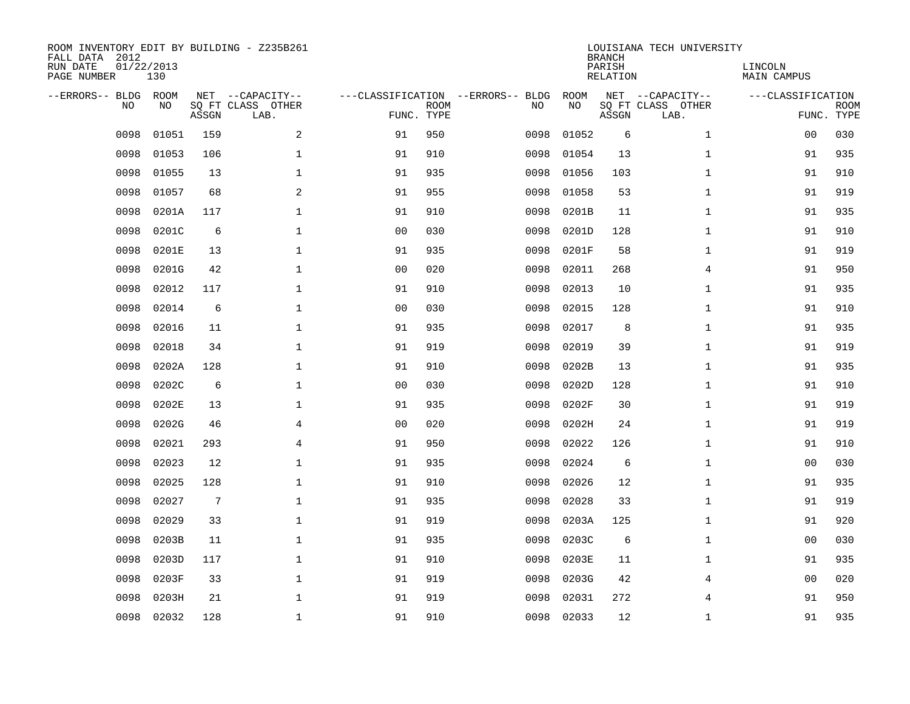| ROOM INVENTORY EDIT BY BUILDING - Z235B261<br>FALL DATA 2012<br>RUN DATE<br>01/22/2013<br>PAGE NUMBER |            |       |                                               |                |                           |                                         | <b>BRANCH</b><br>PARISH<br><b>RELATION</b> | LOUISIANA TECH UNIVERSITY | LINCOLN<br>MAIN CAMPUS                        |                   |                           |
|-------------------------------------------------------------------------------------------------------|------------|-------|-----------------------------------------------|----------------|---------------------------|-----------------------------------------|--------------------------------------------|---------------------------|-----------------------------------------------|-------------------|---------------------------|
| --ERRORS-- BLDG<br>NO                                                                                 | ROOM<br>NO | ASSGN | NET --CAPACITY--<br>SQ FT CLASS OTHER<br>LAB. |                | <b>ROOM</b><br>FUNC. TYPE | ---CLASSIFICATION --ERRORS-- BLDG<br>NO | ROOM<br>NO                                 | ASSGN                     | NET --CAPACITY--<br>SQ FT CLASS OTHER<br>LAB. | ---CLASSIFICATION | <b>ROOM</b><br>FUNC. TYPE |
| 0098                                                                                                  | 01051      | 159   | 2                                             | 91             | 950                       | 0098                                    | 01052                                      | 6                         | $\mathbf{1}$                                  | 00                | 030                       |
| 0098                                                                                                  | 01053      | 106   | $\mathbf 1$                                   | 91             | 910                       | 0098                                    | 01054                                      | 13                        | $\mathbf{1}$                                  | 91                | 935                       |
| 0098                                                                                                  | 01055      | 13    | $\mathbf 1$                                   | 91             | 935                       | 0098                                    | 01056                                      | 103                       | $\mathbf{1}$                                  | 91                | 910                       |
| 0098                                                                                                  | 01057      | 68    | $\mathbf{2}$                                  | 91             | 955                       | 0098                                    | 01058                                      | 53                        | $\mathbf{1}$                                  | 91                | 919                       |
| 0098                                                                                                  | 0201A      | 117   | $\mathbf 1$                                   | 91             | 910                       | 0098                                    | 0201B                                      | 11                        | $\mathbf{1}$                                  | 91                | 935                       |
| 0098                                                                                                  | 0201C      | 6     | $\mathbf{1}$                                  | 0 <sub>0</sub> | 030                       | 0098                                    | 0201D                                      | 128                       | $\mathbf{1}$                                  | 91                | 910                       |
| 0098                                                                                                  | 0201E      | 13    | $\mathbf{1}$                                  | 91             | 935                       | 0098                                    | 0201F                                      | 58                        | $\mathbf{1}$                                  | 91                | 919                       |
| 0098                                                                                                  | 0201G      | 42    | $\mathbf 1$                                   | 0 <sub>0</sub> | 020                       | 0098                                    | 02011                                      | 268                       | 4                                             | 91                | 950                       |
| 0098                                                                                                  | 02012      | 117   | $\mathbf{1}$                                  | 91             | 910                       | 0098                                    | 02013                                      | 10                        | $\mathbf{1}$                                  | 91                | 935                       |
| 0098                                                                                                  | 02014      | 6     | $\mathbf 1$                                   | 0 <sub>0</sub> | 030                       | 0098                                    | 02015                                      | 128                       | $\mathbf{1}$                                  | 91                | 910                       |
| 0098                                                                                                  | 02016      | 11    | $\mathbf{1}$                                  | 91             | 935                       | 0098                                    | 02017                                      | 8                         | $\mathbf{1}$                                  | 91                | 935                       |
| 0098                                                                                                  | 02018      | 34    | $\mathbf 1$                                   | 91             | 919                       | 0098                                    | 02019                                      | 39                        | $\mathbf{1}$                                  | 91                | 919                       |
| 0098                                                                                                  | 0202A      | 128   | $\mathbf{1}$                                  | 91             | 910                       | 0098                                    | 0202B                                      | 13                        | $\mathbf{1}$                                  | 91                | 935                       |
| 0098                                                                                                  | 0202C      | 6     | $\mathbf 1$                                   | 00             | 030                       | 0098                                    | 0202D                                      | 128                       | $\mathbf{1}$                                  | 91                | 910                       |
| 0098                                                                                                  | 0202E      | 13    | 1                                             | 91             | 935                       | 0098                                    | 0202F                                      | 30                        | $\mathbf{1}$                                  | 91                | 919                       |
| 0098                                                                                                  | 0202G      | 46    | 4                                             | 0 <sub>0</sub> | 020                       | 0098                                    | 0202H                                      | 24                        | $\mathbf{1}$                                  | 91                | 919                       |
| 0098                                                                                                  | 02021      | 293   | 4                                             | 91             | 950                       | 0098                                    | 02022                                      | 126                       | $\mathbf{1}$                                  | 91                | 910                       |
| 0098                                                                                                  | 02023      | 12    | 1                                             | 91             | 935                       | 0098                                    | 02024                                      | 6                         | $\mathbf{1}$                                  | 00                | 030                       |
| 0098                                                                                                  | 02025      | 128   | $\mathbf 1$                                   | 91             | 910                       | 0098                                    | 02026                                      | 12                        | $\mathbf{1}$                                  | 91                | 935                       |
| 0098                                                                                                  | 02027      | 7     | $\mathbf 1$                                   | 91             | 935                       | 0098                                    | 02028                                      | 33                        | $\mathbf{1}$                                  | 91                | 919                       |
| 0098                                                                                                  | 02029      | 33    | $\mathbf{1}$                                  | 91             | 919                       | 0098                                    | 0203A                                      | 125                       | $\mathbf{1}$                                  | 91                | 920                       |
| 0098                                                                                                  | 0203B      | 11    | $\mathbf{1}$                                  | 91             | 935                       | 0098                                    | 0203C                                      | 6                         | $\mathbf{1}$                                  | 00                | 030                       |
| 0098                                                                                                  | 0203D      | 117   | $\mathbf{1}$                                  | 91             | 910                       | 0098                                    | 0203E                                      | 11                        | $\mathbf{1}$                                  | 91                | 935                       |
| 0098                                                                                                  | 0203F      | 33    | $\mathbf 1$                                   | 91             | 919                       | 0098                                    | 0203G                                      | 42                        | 4                                             | 0 <sub>0</sub>    | 020                       |
| 0098                                                                                                  | 0203H      | 21    | $\mathbf 1$                                   | 91             | 919                       | 0098                                    | 02031                                      | 272                       | 4                                             | 91                | 950                       |
| 0098                                                                                                  | 02032      | 128   | $\mathbf 1$                                   | 91             | 910                       | 0098                                    | 02033                                      | 12                        | $\mathbf{1}$                                  | 91                | 935                       |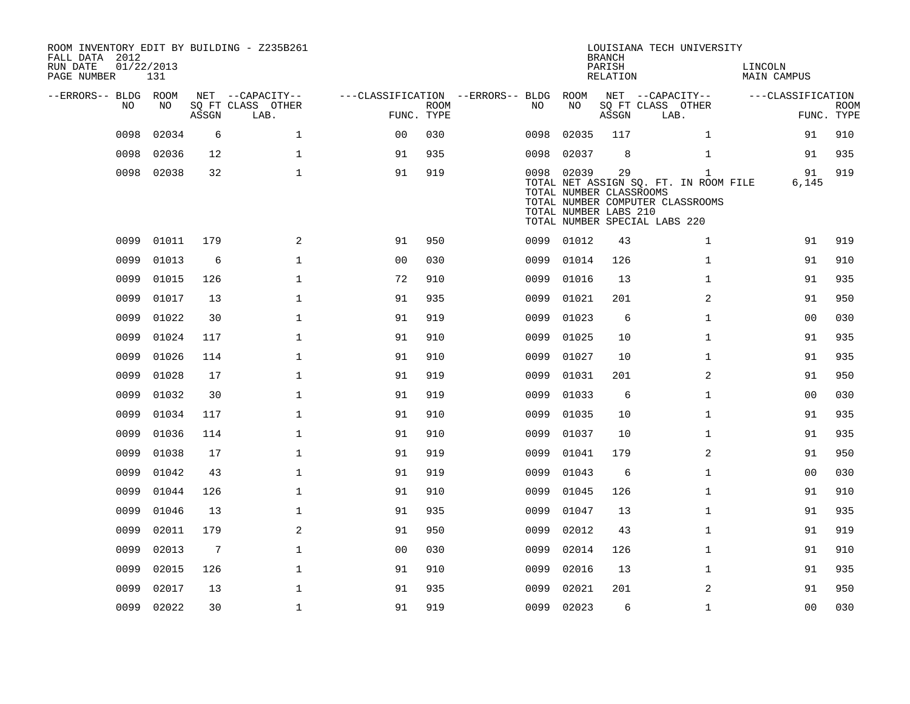| FALL DATA 2012<br>RUN DATE<br>PAGE NUMBER | 01/22/2013 | 131        |       | ROOM INVENTORY EDIT BY BUILDING - Z235B261 |                                   |                           |      |                                                                | <b>BRANCH</b><br>PARISH<br>RELATION | LOUISIANA TECH UNIVERSITY                                                                                                  | LINCOLN<br><b>MAIN CAMPUS</b> |                           |
|-------------------------------------------|------------|------------|-------|--------------------------------------------|-----------------------------------|---------------------------|------|----------------------------------------------------------------|-------------------------------------|----------------------------------------------------------------------------------------------------------------------------|-------------------------------|---------------------------|
| --ERRORS-- BLDG ROOM                      |            |            |       | NET --CAPACITY--                           | ---CLASSIFICATION --ERRORS-- BLDG |                           |      | ROOM                                                           |                                     | NET --CAPACITY--                                                                                                           | ---CLASSIFICATION             |                           |
|                                           | NO         | NO         | ASSGN | SQ FT CLASS OTHER<br>LAB.                  |                                   | <b>ROOM</b><br>FUNC. TYPE | NO.  | NO                                                             | ASSGN                               | SQ FT CLASS OTHER<br>LAB.                                                                                                  |                               | <b>ROOM</b><br>FUNC. TYPE |
|                                           | 0098       | 02034      | 6     | $\mathbf 1$                                | 0 <sup>0</sup>                    | 030                       | 0098 | 02035                                                          | 117                                 | $\mathbf{1}$                                                                                                               | 91                            | 910                       |
|                                           | 0098       | 02036      | 12    | $\mathbf{1}$                               | 91                                | 935                       | 0098 | 02037                                                          | 8                                   | $\mathbf{1}$                                                                                                               | 91                            | 935                       |
|                                           |            | 0098 02038 | 32    | $\mathbf{1}$                               | 91                                | 919                       |      | 0098 02039<br>TOTAL NUMBER CLASSROOMS<br>TOTAL NUMBER LABS 210 | 29                                  | $\mathbf{1}$<br>TOTAL NET ASSIGN SQ. FT. IN ROOM FILE<br>TOTAL NUMBER COMPUTER CLASSROOMS<br>TOTAL NUMBER SPECIAL LABS 220 | 91<br>6,145                   | 919                       |
|                                           | 0099       | 01011      | 179   | $\overline{a}$                             | 91                                | 950                       | 0099 | 01012                                                          | 43                                  | $\mathbf{1}$                                                                                                               | 91                            | 919                       |
|                                           | 0099       | 01013      | 6     | $\mathbf{1}$                               | 0 <sup>0</sup>                    | 030                       | 0099 | 01014                                                          | 126                                 | $\mathbf{1}$                                                                                                               | 91                            | 910                       |
|                                           | 0099       | 01015      | 126   | $\mathbf{1}$                               | 72                                | 910                       | 0099 | 01016                                                          | 13                                  | $\mathbf{1}$                                                                                                               | 91                            | 935                       |
|                                           | 0099       | 01017      | 13    | $\mathbf{1}$                               | 91                                | 935                       | 0099 | 01021                                                          | 201                                 | 2                                                                                                                          | 91                            | 950                       |
|                                           | 0099       | 01022      | 30    | $\mathbf 1$                                | 91                                | 919                       | 0099 | 01023                                                          | 6                                   | $\mathbf{1}$                                                                                                               | 00                            | 030                       |
|                                           | 0099       | 01024      | 117   | $\mathbf{1}$                               | 91                                | 910                       | 0099 | 01025                                                          | 10                                  | $\mathbf{1}$                                                                                                               | 91                            | 935                       |
|                                           | 0099       | 01026      | 114   | $\mathbf 1$                                | 91                                | 910                       | 0099 | 01027                                                          | 10                                  | $\mathbf{1}$                                                                                                               | 91                            | 935                       |
|                                           | 0099       | 01028      | 17    | $\mathbf{1}$                               | 91                                | 919                       | 0099 | 01031                                                          | 201                                 | 2                                                                                                                          | 91                            | 950                       |
|                                           | 0099       | 01032      | 30    | $\mathbf 1$                                | 91                                | 919                       | 0099 | 01033                                                          | 6                                   | $\mathbf{1}$                                                                                                               | 00                            | 030                       |
|                                           | 0099       | 01034      | 117   | $\mathbf{1}$                               | 91                                | 910                       | 0099 | 01035                                                          | 10                                  | $\mathbf{1}$                                                                                                               | 91                            | 935                       |
|                                           | 0099       | 01036      | 114   | $\mathbf 1$                                | 91                                | 910                       | 0099 | 01037                                                          | 10                                  | $\mathbf{1}$                                                                                                               | 91                            | 935                       |
|                                           | 0099       | 01038      | 17    | $\mathbf{1}$                               | 91                                | 919                       | 0099 | 01041                                                          | 179                                 | $\overline{a}$                                                                                                             | 91                            | 950                       |
|                                           | 0099       | 01042      | 43    | 1                                          | 91                                | 919                       | 0099 | 01043                                                          | 6                                   | $\mathbf{1}$                                                                                                               | 00                            | 030                       |
|                                           | 0099       | 01044      | 126   | $\mathbf{1}$                               | 91                                | 910                       | 0099 | 01045                                                          | 126                                 | $\mathbf{1}$                                                                                                               | 91                            | 910                       |
|                                           | 0099       | 01046      | 13    | $\mathbf 1$                                | 91                                | 935                       | 0099 | 01047                                                          | 13                                  | $\mathbf{1}$                                                                                                               | 91                            | 935                       |
|                                           | 0099       | 02011      | 179   | 2                                          | 91                                | 950                       | 0099 | 02012                                                          | 43                                  | $\mathbf{1}$                                                                                                               | 91                            | 919                       |
|                                           | 0099       | 02013      | 7     | $\mathbf 1$                                | 0 <sub>0</sub>                    | 030                       | 0099 | 02014                                                          | 126                                 | $\mathbf{1}$                                                                                                               | 91                            | 910                       |
|                                           | 0099       | 02015      | 126   | $\mathbf 1$                                | 91                                | 910                       | 0099 | 02016                                                          | 13                                  | $\mathbf{1}$                                                                                                               | 91                            | 935                       |
|                                           | 0099       | 02017      | 13    | $\mathbf{1}$                               | 91                                | 935                       | 0099 | 02021                                                          | 201                                 | 2                                                                                                                          | 91                            | 950                       |
|                                           |            | 0099 02022 | 30    | $\mathbf{1}$                               | 91                                | 919                       |      | 0099 02023                                                     | 6                                   | $\mathbf{1}$                                                                                                               | 0 <sub>0</sub>                | 030                       |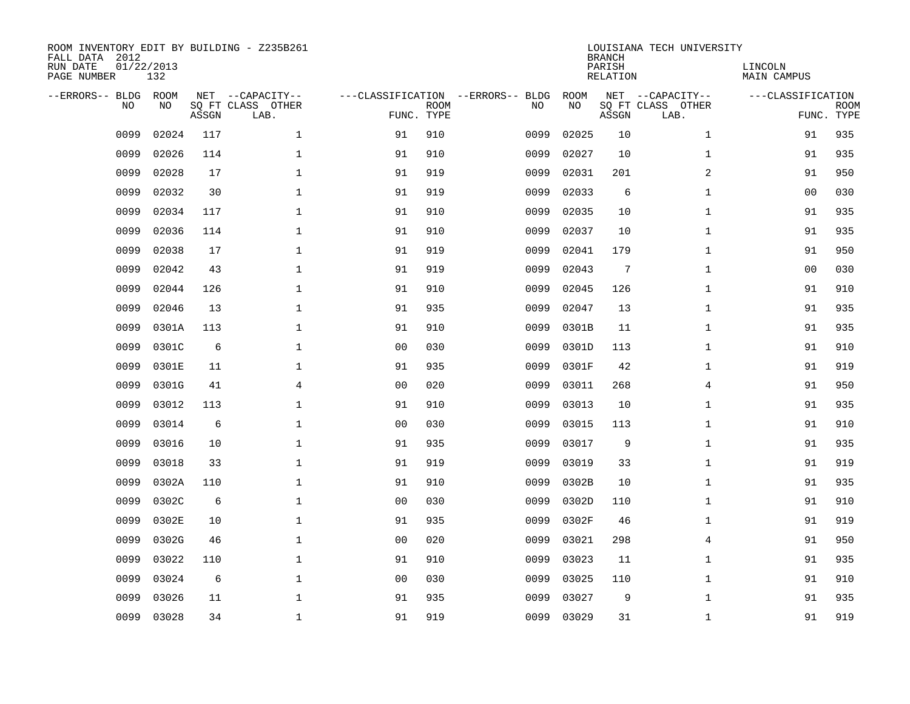| ROOM INVENTORY EDIT BY BUILDING - Z235B261<br>FALL DATA 2012<br>RUN DATE<br>01/22/2013<br>PAGE NUMBER |            |       |                                               |                |             |                                         | <b>BRANCH</b><br>PARISH<br><b>RELATION</b> | LOUISIANA TECH UNIVERSITY | LINCOLN<br>MAIN CAMPUS                        |                   |                           |
|-------------------------------------------------------------------------------------------------------|------------|-------|-----------------------------------------------|----------------|-------------|-----------------------------------------|--------------------------------------------|---------------------------|-----------------------------------------------|-------------------|---------------------------|
| --ERRORS-- BLDG<br>NO                                                                                 | ROOM<br>NO | ASSGN | NET --CAPACITY--<br>SQ FT CLASS OTHER<br>LAB. | FUNC. TYPE     | <b>ROOM</b> | ---CLASSIFICATION --ERRORS-- BLDG<br>NO | ROOM<br>NO                                 | ASSGN                     | NET --CAPACITY--<br>SQ FT CLASS OTHER<br>LAB. | ---CLASSIFICATION | <b>ROOM</b><br>FUNC. TYPE |
| 0099                                                                                                  | 02024      | 117   | $\mathbf{1}$                                  | 91             | 910         | 0099                                    | 02025                                      | 10                        | $\mathbf{1}$                                  | 91                | 935                       |
| 0099                                                                                                  | 02026      | 114   | $\mathbf{1}$                                  | 91             | 910         | 0099                                    | 02027                                      | 10                        | $\mathbf{1}$                                  | 91                | 935                       |
| 0099                                                                                                  | 02028      | 17    | $\mathbf 1$                                   | 91             | 919         | 0099                                    | 02031                                      | 201                       | $\overline{a}$                                | 91                | 950                       |
| 0099                                                                                                  | 02032      | 30    | $\mathbf 1$                                   | 91             | 919         | 0099                                    | 02033                                      | 6                         | $\mathbf{1}$                                  | 0 <sub>0</sub>    | 030                       |
| 0099                                                                                                  | 02034      | 117   | $\mathbf{1}$                                  | 91             | 910         | 0099                                    | 02035                                      | 10                        | $\mathbf{1}$                                  | 91                | 935                       |
| 0099                                                                                                  | 02036      | 114   | $\mathbf 1$                                   | 91             | 910         | 0099                                    | 02037                                      | 10                        | $\mathbf{1}$                                  | 91                | 935                       |
| 0099                                                                                                  | 02038      | 17    | $\mathbf{1}$                                  | 91             | 919         | 0099                                    | 02041                                      | 179                       | $\mathbf{1}$                                  | 91                | 950                       |
| 0099                                                                                                  | 02042      | 43    | $\mathbf{1}$                                  | 91             | 919         | 0099                                    | 02043                                      | $7\phantom{.0}$           | $\mathbf{1}$                                  | 0 <sub>0</sub>    | 030                       |
| 0099                                                                                                  | 02044      | 126   | $\mathbf 1$                                   | 91             | 910         | 0099                                    | 02045                                      | 126                       | $\mathbf{1}$                                  | 91                | 910                       |
| 0099                                                                                                  | 02046      | 13    | $\mathbf 1$                                   | 91             | 935         | 0099                                    | 02047                                      | 13                        | $\mathbf{1}$                                  | 91                | 935                       |
| 0099                                                                                                  | 0301A      | 113   | $\mathbf 1$                                   | 91             | 910         | 0099                                    | 0301B                                      | 11                        | $\mathbf{1}$                                  | 91                | 935                       |
| 0099                                                                                                  | 0301C      | 6     | $\mathbf 1$                                   | 0 <sub>0</sub> | 030         | 0099                                    | 0301D                                      | 113                       | $\mathbf{1}$                                  | 91                | 910                       |
| 0099                                                                                                  | 0301E      | 11    | $\mathbf 1$                                   | 91             | 935         | 0099                                    | 0301F                                      | 42                        | $\mathbf{1}$                                  | 91                | 919                       |
| 0099                                                                                                  | 0301G      | 41    | $\overline{4}$                                | 0 <sub>0</sub> | 020         | 0099                                    | 03011                                      | 268                       | 4                                             | 91                | 950                       |
| 0099                                                                                                  | 03012      | 113   | $\mathbf 1$                                   | 91             | 910         | 0099                                    | 03013                                      | 10                        | $\mathbf{1}$                                  | 91                | 935                       |
| 0099                                                                                                  | 03014      | 6     | $\mathbf{1}$                                  | 0 <sub>0</sub> | 030         | 0099                                    | 03015                                      | 113                       | $\mathbf{1}$                                  | 91                | 910                       |
| 0099                                                                                                  | 03016      | 10    | $\mathbf{1}$                                  | 91             | 935         | 0099                                    | 03017                                      | 9                         | $\mathbf{1}$                                  | 91                | 935                       |
| 0099                                                                                                  | 03018      | 33    | $\mathbf{1}$                                  | 91             | 919         | 0099                                    | 03019                                      | 33                        | $\mathbf{1}$                                  | 91                | 919                       |
| 0099                                                                                                  | 0302A      | 110   | $\mathbf 1$                                   | 91             | 910         | 0099                                    | 0302B                                      | 10                        | $\mathbf{1}$                                  | 91                | 935                       |
| 0099                                                                                                  | 0302C      | 6     | $\mathbf 1$                                   | 0 <sub>0</sub> | 030         | 0099                                    | 0302D                                      | 110                       | $\mathbf{1}$                                  | 91                | 910                       |
| 0099                                                                                                  | 0302E      | 10    | $\mathbf 1$                                   | 91             | 935         | 0099                                    | 0302F                                      | 46                        | $\mathbf{1}$                                  | 91                | 919                       |
| 0099                                                                                                  | 0302G      | 46    | $\mathbf 1$                                   | 0 <sub>0</sub> | 020         | 0099                                    | 03021                                      | 298                       | $\overline{4}$                                | 91                | 950                       |
| 0099                                                                                                  | 03022      | 110   | $\mathbf 1$                                   | 91             | 910         | 0099                                    | 03023                                      | 11                        | $\mathbf{1}$                                  | 91                | 935                       |
| 0099                                                                                                  | 03024      | 6     | $\mathbf{1}$                                  | 0 <sub>0</sub> | 030         | 0099                                    | 03025                                      | 110                       | $\mathbf{1}$                                  | 91                | 910                       |
| 0099                                                                                                  | 03026      | 11    | $\mathbf 1$                                   | 91             | 935         | 0099                                    | 03027                                      | 9                         | $\mathbf{1}$                                  | 91                | 935                       |
| 0099                                                                                                  | 03028      | 34    | $\mathbf{1}$                                  | 91             | 919         | 0099                                    | 03029                                      | 31                        | $\mathbf{1}$                                  | 91                | 919                       |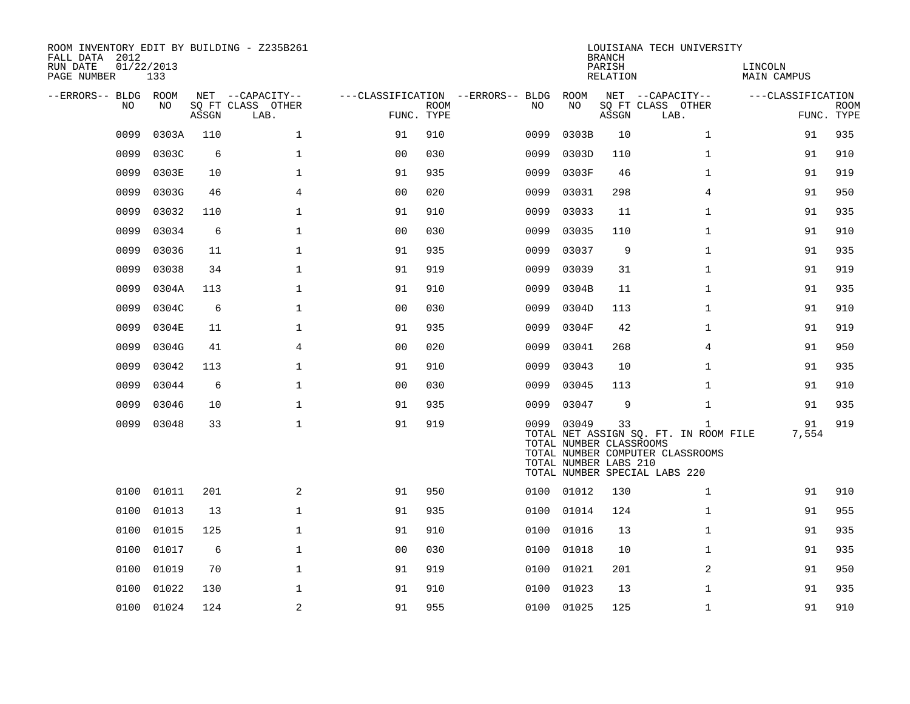| ROOM INVENTORY EDIT BY BUILDING - Z235B261<br>FALL DATA 2012<br>RUN DATE<br>PAGE NUMBER | 01/22/2013<br>133 |       |                                               |                |             |                                          |                                                                | <b>BRANCH</b><br>PARISH<br>RELATION | LOUISIANA TECH UNIVERSITY                                                                                                  | LINCOLN<br><b>MAIN CAMPUS</b> |                           |
|-----------------------------------------------------------------------------------------|-------------------|-------|-----------------------------------------------|----------------|-------------|------------------------------------------|----------------------------------------------------------------|-------------------------------------|----------------------------------------------------------------------------------------------------------------------------|-------------------------------|---------------------------|
| --ERRORS-- BLDG ROOM<br>NO                                                              | NO                | ASSGN | NET --CAPACITY--<br>SQ FT CLASS OTHER<br>LAB. | FUNC. TYPE     | <b>ROOM</b> | ---CLASSIFICATION --ERRORS-- BLDG<br>NO. | ROOM<br>NO                                                     | ASSGN                               | NET --CAPACITY--<br>SQ FT CLASS OTHER<br>LAB.                                                                              | ---CLASSIFICATION             | <b>ROOM</b><br>FUNC. TYPE |
| 0099                                                                                    | 0303A             | 110   | $\mathbf 1$                                   | 91             | 910         | 0099                                     | 0303B                                                          | 10                                  | $\mathbf{1}$                                                                                                               | 91                            | 935                       |
| 0099                                                                                    | 0303C             | 6     | $\mathbf{1}$                                  | 0 <sub>0</sub> | 030         | 0099                                     | 0303D                                                          | 110                                 | $\mathbf{1}$                                                                                                               | 91                            | 910                       |
| 0099                                                                                    | 0303E             | 10    | $\mathbf 1$                                   | 91             | 935         | 0099                                     | 0303F                                                          | 46                                  | $\mathbf{1}$                                                                                                               | 91                            | 919                       |
| 0099                                                                                    | 0303G             | 46    | 4                                             | 0 <sub>0</sub> | 020         | 0099                                     | 03031                                                          | 298                                 | 4                                                                                                                          | 91                            | 950                       |
| 0099                                                                                    | 03032             | 110   | $\mathbf{1}$                                  | 91             | 910         | 0099                                     | 03033                                                          | 11                                  | $\mathbf{1}$                                                                                                               | 91                            | 935                       |
| 0099                                                                                    | 03034             | 6     | $\mathbf 1$                                   | 0 <sub>0</sub> | 030         | 0099                                     | 03035                                                          | 110                                 | $\mathbf{1}$                                                                                                               | 91                            | 910                       |
| 0099                                                                                    | 03036             | 11    | $\mathbf{1}$                                  | 91             | 935         | 0099                                     | 03037                                                          | 9                                   | $\mathbf{1}$                                                                                                               | 91                            | 935                       |
| 0099                                                                                    | 03038             | 34    | $\mathbf{1}$                                  | 91             | 919         | 0099                                     | 03039                                                          | 31                                  | $\mathbf{1}$                                                                                                               | 91                            | 919                       |
| 0099                                                                                    | 0304A             | 113   | $\mathbf{1}$                                  | 91             | 910         | 0099                                     | 0304B                                                          | 11                                  | $\mathbf{1}$                                                                                                               | 91                            | 935                       |
| 0099                                                                                    | 0304C             | 6     | $\mathbf{1}$                                  | 0 <sub>0</sub> | 030         | 0099                                     | 0304D                                                          | 113                                 | $\mathbf{1}$                                                                                                               | 91                            | 910                       |
| 0099                                                                                    | 0304E             | 11    | $\mathbf{1}$                                  | 91             | 935         | 0099                                     | 0304F                                                          | 42                                  | $\mathbf{1}$                                                                                                               | 91                            | 919                       |
| 0099                                                                                    | 0304G             | 41    | $\overline{4}$                                | 0 <sub>0</sub> | 020         | 0099                                     | 03041                                                          | 268                                 | $\overline{4}$                                                                                                             | 91                            | 950                       |
| 0099                                                                                    | 03042             | 113   | $\mathbf 1$                                   | 91             | 910         | 0099                                     | 03043                                                          | 10                                  | $\mathbf{1}$                                                                                                               | 91                            | 935                       |
| 0099                                                                                    | 03044             | 6     | $\mathbf{1}$                                  | 0 <sub>0</sub> | 030         | 0099                                     | 03045                                                          | 113                                 | $\mathbf{1}$                                                                                                               | 91                            | 910                       |
| 0099                                                                                    | 03046             | 10    | $\mathbf 1$                                   | 91             | 935         | 0099                                     | 03047                                                          | 9                                   | $\mathbf{1}$                                                                                                               | 91                            | 935                       |
| 0099                                                                                    | 03048             | 33    | $\mathbf{1}$                                  | 91             | 919         |                                          | 0099 03049<br>TOTAL NUMBER CLASSROOMS<br>TOTAL NUMBER LABS 210 | 33                                  | $\mathbf{1}$<br>TOTAL NET ASSIGN SQ. FT. IN ROOM FILE<br>TOTAL NUMBER COMPUTER CLASSROOMS<br>TOTAL NUMBER SPECIAL LABS 220 | 91<br>7,554                   | 919                       |
| 0100                                                                                    | 01011             | 201   | 2                                             | 91             | 950         |                                          | 0100 01012                                                     | 130                                 | $\mathbf{1}$                                                                                                               | 91                            | 910                       |
| 0100                                                                                    | 01013             | 13    | $\mathbf{1}$                                  | 91             | 935         | 0100                                     | 01014                                                          | 124                                 | $\mathbf{1}$                                                                                                               | 91                            | 955                       |
| 0100                                                                                    | 01015             | 125   | $\mathbf{1}$                                  | 91             | 910         | 0100                                     | 01016                                                          | 13                                  | $\mathbf{1}$                                                                                                               | 91                            | 935                       |
| 0100                                                                                    | 01017             | 6     | $\mathbf{1}$                                  | 0 <sub>0</sub> | 030         | 0100                                     | 01018                                                          | 10                                  | $\mathbf{1}$                                                                                                               | 91                            | 935                       |
| 0100                                                                                    | 01019             | 70    | $\mathbf{1}$                                  | 91             | 919         | 0100                                     | 01021                                                          | 201                                 | 2                                                                                                                          | 91                            | 950                       |
| 0100                                                                                    | 01022             | 130   | $\mathbf{1}$                                  | 91             | 910         | 0100                                     | 01023                                                          | 13                                  | $\mathbf{1}$                                                                                                               | 91                            | 935                       |
|                                                                                         | 0100 01024        | 124   | 2                                             | 91             | 955         |                                          | 0100 01025                                                     | 125                                 | $\mathbf{1}$                                                                                                               | 91                            | 910                       |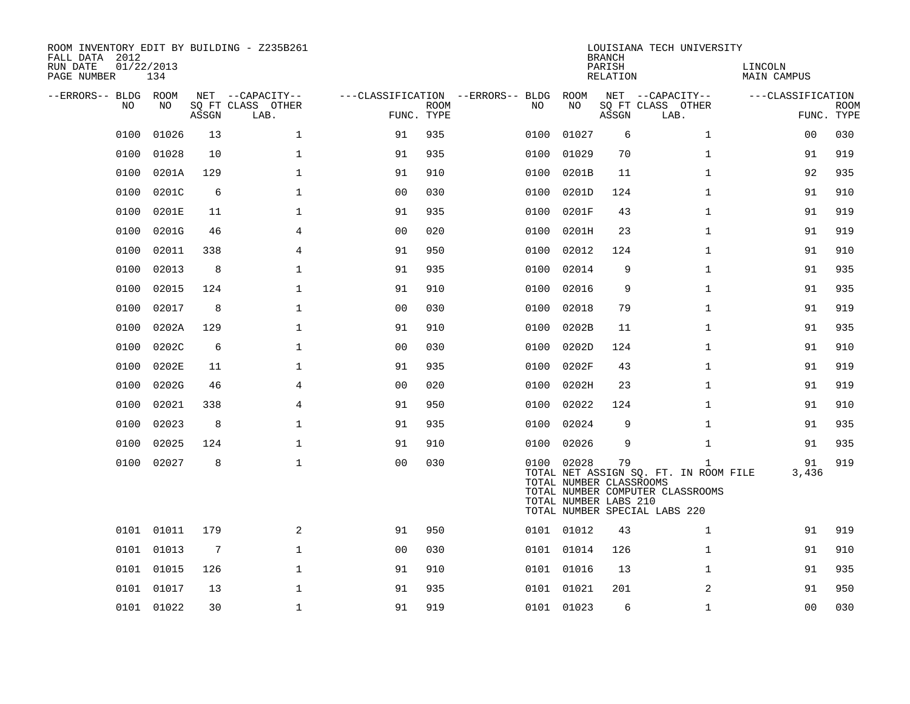| ROOM INVENTORY EDIT BY BUILDING - Z235B261<br>FALL DATA 2012<br>RUN DATE<br>PAGE NUMBER | 01/22/2013<br>134 |       |                           |                                   |             |      |                                                                | <b>BRANCH</b><br>PARISH<br>RELATION | LOUISIANA TECH UNIVERSITY                                                                                                  | LINCOLN<br>MAIN CAMPUS |                           |
|-----------------------------------------------------------------------------------------|-------------------|-------|---------------------------|-----------------------------------|-------------|------|----------------------------------------------------------------|-------------------------------------|----------------------------------------------------------------------------------------------------------------------------|------------------------|---------------------------|
| --ERRORS-- BLDG ROOM                                                                    |                   |       | NET --CAPACITY--          | ---CLASSIFICATION --ERRORS-- BLDG |             |      | ROOM                                                           |                                     | NET --CAPACITY--                                                                                                           | ---CLASSIFICATION      |                           |
| NO.                                                                                     | NO.               | ASSGN | SQ FT CLASS OTHER<br>LAB. | FUNC. TYPE                        | <b>ROOM</b> | NO.  | NO                                                             | ASSGN                               | SQ FT CLASS OTHER<br>LAB.                                                                                                  |                        | <b>ROOM</b><br>FUNC. TYPE |
| 0100                                                                                    | 01026             | 13    | $\mathbf{1}$              | 91                                | 935         | 0100 | 01027                                                          | 6                                   | $\mathbf{1}$                                                                                                               | 00                     | 030                       |
| 0100                                                                                    | 01028             | 10    | $\mathbf{1}$              | 91                                | 935         | 0100 | 01029                                                          | 70                                  | $\mathbf{1}$                                                                                                               | 91                     | 919                       |
| 0100                                                                                    | 0201A             | 129   | $\mathbf{1}$              | 91                                | 910         | 0100 | 0201B                                                          | 11                                  | $\mathbf{1}$                                                                                                               | 92                     | 935                       |
| 0100                                                                                    | 0201C             | 6     | $\mathbf 1$               | 0 <sub>0</sub>                    | 030         | 0100 | 0201D                                                          | 124                                 | $\mathbf{1}$                                                                                                               | 91                     | 910                       |
| 0100                                                                                    | 0201E             | 11    | $\mathbf{1}$              | 91                                | 935         | 0100 | 0201F                                                          | 43                                  | $\mathbf{1}$                                                                                                               | 91                     | 919                       |
| 0100                                                                                    | 0201G             | 46    | 4                         | 0 <sub>0</sub>                    | 020         | 0100 | 0201H                                                          | 23                                  | $\mathbf{1}$                                                                                                               | 91                     | 919                       |
| 0100                                                                                    | 02011             | 338   | $\overline{4}$            | 91                                | 950         | 0100 | 02012                                                          | 124                                 | $\mathbf{1}$                                                                                                               | 91                     | 910                       |
| 0100                                                                                    | 02013             | 8     | $\mathbf{1}$              | 91                                | 935         | 0100 | 02014                                                          | 9                                   | $\mathbf{1}$                                                                                                               | 91                     | 935                       |
| 0100                                                                                    | 02015             | 124   | $\mathbf{1}$              | 91                                | 910         | 0100 | 02016                                                          | 9                                   | $\mathbf{1}$                                                                                                               | 91                     | 935                       |
| 0100                                                                                    | 02017             | 8     | $\mathbf{1}$              | 0 <sub>0</sub>                    | 030         | 0100 | 02018                                                          | 79                                  | $\mathbf{1}$                                                                                                               | 91                     | 919                       |
| 0100                                                                                    | 0202A             | 129   | $\mathbf 1$               | 91                                | 910         | 0100 | 0202B                                                          | 11                                  | $\mathbf{1}$                                                                                                               | 91                     | 935                       |
| 0100                                                                                    | 0202C             | 6     | $\mathbf{1}$              | 00                                | 030         | 0100 | 0202D                                                          | 124                                 | $\mathbf{1}$                                                                                                               | 91                     | 910                       |
| 0100                                                                                    | 0202E             | 11    | $\mathbf 1$               | 91                                | 935         | 0100 | 0202F                                                          | 43                                  | $\mathbf{1}$                                                                                                               | 91                     | 919                       |
| 0100                                                                                    | 0202G             | 46    | 4                         | 00                                | 020         | 0100 | 0202H                                                          | 23                                  | $\mathbf{1}$                                                                                                               | 91                     | 919                       |
| 0100                                                                                    | 02021             | 338   | $\overline{4}$            | 91                                | 950         | 0100 | 02022                                                          | 124                                 | $\mathbf{1}$                                                                                                               | 91                     | 910                       |
| 0100                                                                                    | 02023             | 8     | $\mathbf{1}$              | 91                                | 935         | 0100 | 02024                                                          | 9                                   | $\mathbf{1}$                                                                                                               | 91                     | 935                       |
| 0100                                                                                    | 02025             | 124   | $\mathbf{1}$              | 91                                | 910         | 0100 | 02026                                                          | 9                                   | $\mathbf{1}$                                                                                                               | 91                     | 935                       |
| 0100                                                                                    | 02027             | 8     | $\mathbf{1}$              | 0 <sub>0</sub>                    | 030         |      | 0100 02028<br>TOTAL NUMBER CLASSROOMS<br>TOTAL NUMBER LABS 210 | 79                                  | $\mathbf{1}$<br>TOTAL NET ASSIGN SQ. FT. IN ROOM FILE<br>TOTAL NUMBER COMPUTER CLASSROOMS<br>TOTAL NUMBER SPECIAL LABS 220 | 91<br>3,436            | 919                       |
|                                                                                         | 0101 01011        | 179   | 2                         | 91                                | 950         |      | 0101 01012                                                     | 43                                  | $\mathbf{1}$                                                                                                               | 91                     | 919                       |
|                                                                                         | 0101 01013        | 7     | $\mathbf{1}$              | 0 <sub>0</sub>                    | 030         |      | 0101 01014                                                     | 126                                 | $\mathbf{1}$                                                                                                               | 91                     | 910                       |
|                                                                                         | 0101 01015        | 126   | $\mathbf 1$               | 91                                | 910         |      | 0101 01016                                                     | 13                                  | $\mathbf{1}$                                                                                                               | 91                     | 935                       |
|                                                                                         | 0101 01017        | 13    | $\mathbf 1$               | 91                                | 935         |      | 0101 01021                                                     | 201                                 | 2                                                                                                                          | 91                     | 950                       |
|                                                                                         | 0101 01022        | 30    | $\mathbf{1}$              | 91                                | 919         |      | 0101 01023                                                     | 6                                   | $\mathbf{1}$                                                                                                               | 0 <sub>0</sub>         | 030                       |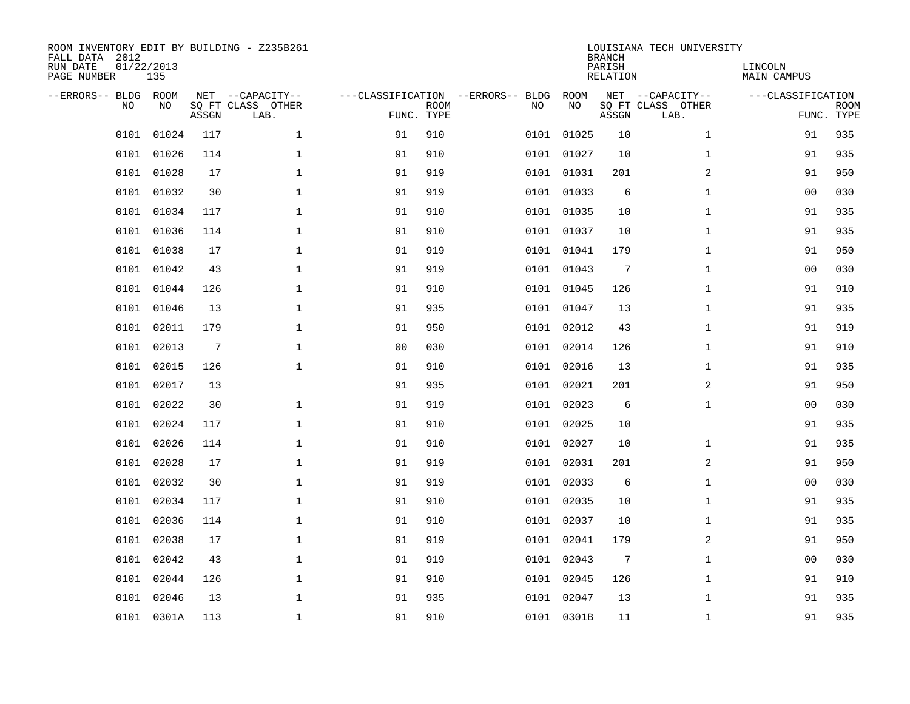| ROOM INVENTORY EDIT BY BUILDING - Z235B261<br>FALL DATA 2012<br>RUN DATE<br>PAGE NUMBER | 01/22/2013<br>135 |       |                                               |                                                 |             |      |            | <b>BRANCH</b><br>PARISH<br>RELATION | LOUISIANA TECH UNIVERSITY                     | LINCOLN<br><b>MAIN CAMPUS</b> |                           |
|-----------------------------------------------------------------------------------------|-------------------|-------|-----------------------------------------------|-------------------------------------------------|-------------|------|------------|-------------------------------------|-----------------------------------------------|-------------------------------|---------------------------|
| --ERRORS-- BLDG<br><b>NO</b>                                                            | ROOM<br>NO.       | ASSGN | NET --CAPACITY--<br>SO FT CLASS OTHER<br>LAB. | ---CLASSIFICATION --ERRORS-- BLDG<br>FUNC. TYPE | <b>ROOM</b> | NO   | ROOM<br>NO | ASSGN                               | NET --CAPACITY--<br>SQ FT CLASS OTHER<br>LAB. | ---CLASSIFICATION             | <b>ROOM</b><br>FUNC. TYPE |
| 0101                                                                                    | 01024             | 117   | $\mathbf{1}$                                  | 91                                              | 910         | 0101 | 01025      | 10                                  | $\mathbf{1}$                                  | 91                            | 935                       |
| 0101                                                                                    | 01026             | 114   | $\mathbf 1$                                   | 91                                              | 910         |      | 0101 01027 | 10                                  | $\mathbf{1}$                                  | 91                            | 935                       |
| 0101                                                                                    | 01028             | 17    | $\mathbf 1$                                   | 91                                              | 919         | 0101 | 01031      | 201                                 | $\overline{a}$                                | 91                            | 950                       |
| 0101                                                                                    | 01032             | 30    | $\mathbf{1}$                                  | 91                                              | 919         |      | 0101 01033 | 6                                   | $\mathbf{1}$                                  | 0 <sub>0</sub>                | 030                       |
| 0101                                                                                    | 01034             | 117   | $\mathbf{1}$                                  | 91                                              | 910         |      | 0101 01035 | 10                                  | $\mathbf{1}$                                  | 91                            | 935                       |
| 0101                                                                                    | 01036             | 114   | $\mathbf{1}$                                  | 91                                              | 910         |      | 0101 01037 | 10                                  | $\mathbf{1}$                                  | 91                            | 935                       |
| 0101                                                                                    | 01038             | 17    | $\mathbf{1}$                                  | 91                                              | 919         |      | 0101 01041 | 179                                 | $\mathbf{1}$                                  | 91                            | 950                       |
|                                                                                         | 0101 01042        | 43    | $\mathbf 1$                                   | 91                                              | 919         |      | 0101 01043 | $7\phantom{.0}$                     | $\mathbf{1}$                                  | 0 <sub>0</sub>                | 030                       |
| 0101                                                                                    | 01044             | 126   | $\mathbf{1}$                                  | 91                                              | 910         | 0101 | 01045      | 126                                 | $\mathbf{1}$                                  | 91                            | 910                       |
| 0101                                                                                    | 01046             | 13    | $\mathbf 1$                                   | 91                                              | 935         |      | 0101 01047 | 13                                  | $\mathbf{1}$                                  | 91                            | 935                       |
| 0101                                                                                    | 02011             | 179   | $\mathbf 1$                                   | 91                                              | 950         |      | 0101 02012 | 43                                  | $\mathbf{1}$                                  | 91                            | 919                       |
| 0101                                                                                    | 02013             | 7     | $\mathbf 1$                                   | 0 <sub>0</sub>                                  | 030         |      | 0101 02014 | 126                                 | $\mathbf{1}$                                  | 91                            | 910                       |
| 0101                                                                                    | 02015             | 126   | $\mathbf{1}$                                  | 91                                              | 910         | 0101 | 02016      | 13                                  | $\mathbf{1}$                                  | 91                            | 935                       |
| 0101                                                                                    | 02017             | 13    |                                               | 91                                              | 935         | 0101 | 02021      | 201                                 | 2                                             | 91                            | 950                       |
| 0101                                                                                    | 02022             | 30    | $\mathbf 1$                                   | 91                                              | 919         | 0101 | 02023      | 6                                   | $\mathbf{1}$                                  | 0 <sub>0</sub>                | 030                       |
| 0101                                                                                    | 02024             | 117   | $\mathbf 1$                                   | 91                                              | 910         |      | 0101 02025 | 10                                  |                                               | 91                            | 935                       |
| 0101                                                                                    | 02026             | 114   | $\mathbf 1$                                   | 91                                              | 910         | 0101 | 02027      | 10                                  | $\mathbf{1}$                                  | 91                            | 935                       |
| 0101                                                                                    | 02028             | 17    | $\mathbf{1}$                                  | 91                                              | 919         | 0101 | 02031      | 201                                 | 2                                             | 91                            | 950                       |
|                                                                                         | 0101 02032        | 30    | $\mathbf{1}$                                  | 91                                              | 919         |      | 0101 02033 | 6                                   | $\mathbf{1}$                                  | 00                            | 030                       |
| 0101                                                                                    | 02034             | 117   | $\mathbf{1}$                                  | 91                                              | 910         |      | 0101 02035 | 10                                  | $\mathbf{1}$                                  | 91                            | 935                       |
| 0101                                                                                    | 02036             | 114   | $\mathbf{1}$                                  | 91                                              | 910         |      | 0101 02037 | 10                                  | $\mathbf{1}$                                  | 91                            | 935                       |
| 0101                                                                                    | 02038             | 17    | $\mathbf{1}$                                  | 91                                              | 919         | 0101 | 02041      | 179                                 | 2                                             | 91                            | 950                       |
| 0101                                                                                    | 02042             | 43    | $\mathbf{1}$                                  | 91                                              | 919         |      | 0101 02043 | 7                                   | $\mathbf{1}$                                  | 0 <sub>0</sub>                | 030                       |
| 0101                                                                                    | 02044             | 126   | $\mathbf{1}$                                  | 91                                              | 910         |      | 0101 02045 | 126                                 | $\mathbf{1}$                                  | 91                            | 910                       |
|                                                                                         | 0101 02046        | 13    | $\mathbf 1$                                   | 91                                              | 935         |      | 0101 02047 | 13                                  | $\mathbf{1}$                                  | 91                            | 935                       |
|                                                                                         | 0101 0301A        | 113   | $\mathbf 1$                                   | 91                                              | 910         |      | 0101 0301B | 11                                  | $\mathbf{1}$                                  | 91                            | 935                       |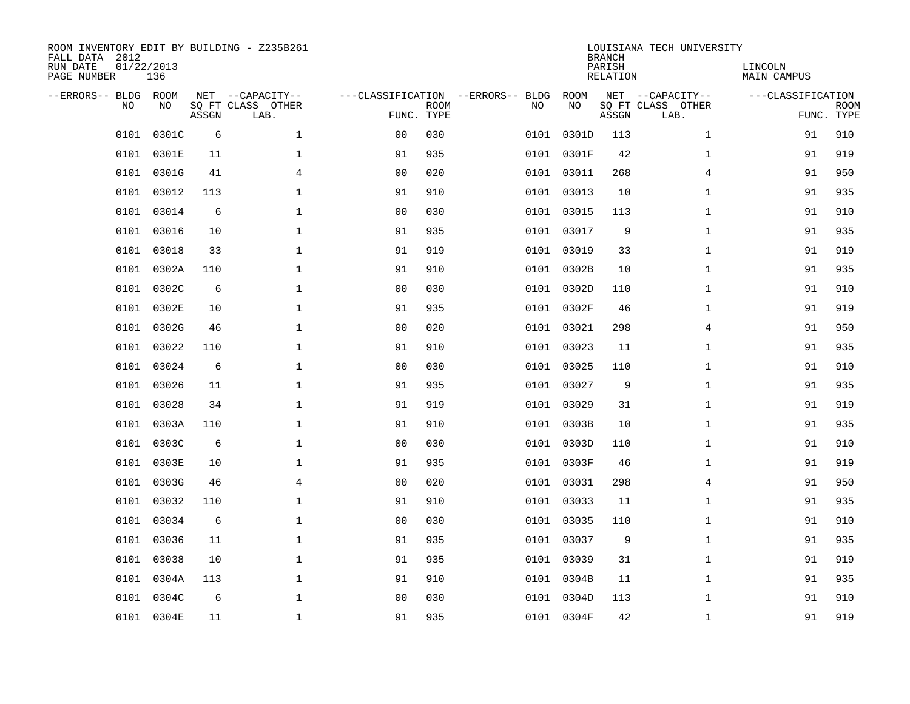| ROOM INVENTORY EDIT BY BUILDING - Z235B261<br>FALL DATA 2012<br>RUN DATE<br>PAGE NUMBER | 01/22/2013<br>136 |       |                                               |                                                 |             |      |            | <b>BRANCH</b><br>PARISH<br>RELATION | LOUISIANA TECH UNIVERSITY                     | LINCOLN<br><b>MAIN CAMPUS</b> |                           |
|-----------------------------------------------------------------------------------------|-------------------|-------|-----------------------------------------------|-------------------------------------------------|-------------|------|------------|-------------------------------------|-----------------------------------------------|-------------------------------|---------------------------|
| --ERRORS-- BLDG<br>NO                                                                   | ROOM<br>NO.       | ASSGN | NET --CAPACITY--<br>SQ FT CLASS OTHER<br>LAB. | ---CLASSIFICATION --ERRORS-- BLDG<br>FUNC. TYPE | <b>ROOM</b> | NO   | ROOM<br>NO | ASSGN                               | NET --CAPACITY--<br>SQ FT CLASS OTHER<br>LAB. | ---CLASSIFICATION             | <b>ROOM</b><br>FUNC. TYPE |
| 0101                                                                                    | 0301C             | 6     | $\mathbf{1}$                                  | 0 <sub>0</sub>                                  | 030         | 0101 | 0301D      | 113                                 | $\mathbf{1}$                                  | 91                            | 910                       |
| 0101                                                                                    | 0301E             | 11    | $\mathbf 1$                                   | 91                                              | 935         |      | 0101 0301F | 42                                  | $\mathbf{1}$                                  | 91                            | 919                       |
| 0101                                                                                    | 0301G             | 41    | $\overline{4}$                                | 0 <sub>0</sub>                                  | 020         | 0101 | 03011      | 268                                 | $\overline{4}$                                | 91                            | 950                       |
| 0101                                                                                    | 03012             | 113   | $\mathbf{1}$                                  | 91                                              | 910         |      | 0101 03013 | 10                                  | $\mathbf{1}$                                  | 91                            | 935                       |
| 0101                                                                                    | 03014             | 6     | $\mathbf{1}$                                  | 0 <sub>0</sub>                                  | 030         |      | 0101 03015 | 113                                 | $\mathbf{1}$                                  | 91                            | 910                       |
| 0101                                                                                    | 03016             | 10    | $\mathbf{1}$                                  | 91                                              | 935         |      | 0101 03017 | 9                                   | $\mathbf{1}$                                  | 91                            | 935                       |
| 0101                                                                                    | 03018             | 33    | $\mathbf{1}$                                  | 91                                              | 919         |      | 0101 03019 | 33                                  | $\mathbf{1}$                                  | 91                            | 919                       |
|                                                                                         | 0101 0302A        | 110   | $\mathbf 1$                                   | 91                                              | 910         |      | 0101 0302B | 10                                  | $\mathbf{1}$                                  | 91                            | 935                       |
| 0101                                                                                    | 0302C             | 6     | $\mathbf{1}$                                  | 0 <sub>0</sub>                                  | 030         |      | 0101 0302D | 110                                 | $\mathbf{1}$                                  | 91                            | 910                       |
| 0101                                                                                    | 0302E             | 10    | $\mathbf 1$                                   | 91                                              | 935         |      | 0101 0302F | 46                                  | $\mathbf{1}$                                  | 91                            | 919                       |
| 0101                                                                                    | 0302G             | 46    | $\mathbf 1$                                   | 0 <sub>0</sub>                                  | 020         |      | 0101 03021 | 298                                 | 4                                             | 91                            | 950                       |
|                                                                                         | 0101 03022        | 110   | $\mathbf 1$                                   | 91                                              | 910         |      | 0101 03023 | 11                                  | $\mathbf{1}$                                  | 91                            | 935                       |
| 0101                                                                                    | 03024             | 6     | $\mathbf 1$                                   | 0 <sub>0</sub>                                  | 030         | 0101 | 03025      | 110                                 | $\mathbf{1}$                                  | 91                            | 910                       |
| 0101                                                                                    | 03026             | 11    | $\mathbf 1$                                   | 91                                              | 935         | 0101 | 03027      | 9                                   | $\mathbf{1}$                                  | 91                            | 935                       |
| 0101                                                                                    | 03028             | 34    | $\mathbf 1$                                   | 91                                              | 919         | 0101 | 03029      | 31                                  | $\mathbf{1}$                                  | 91                            | 919                       |
| 0101                                                                                    | 0303A             | 110   | $\mathbf 1$                                   | 91                                              | 910         |      | 0101 0303B | 10                                  | $\mathbf{1}$                                  | 91                            | 935                       |
| 0101                                                                                    | 0303C             | 6     | $\mathbf 1$                                   | 0 <sub>0</sub>                                  | 030         | 0101 | 0303D      | 110                                 | $\mathbf{1}$                                  | 91                            | 910                       |
| 0101                                                                                    | 0303E             | 10    | $\mathbf{1}$                                  | 91                                              | 935         |      | 0101 0303F | 46                                  | $\mathbf{1}$                                  | 91                            | 919                       |
|                                                                                         | 0101 0303G        | 46    | $\overline{4}$                                | 0 <sub>0</sub>                                  | 020         |      | 0101 03031 | 298                                 | $\overline{4}$                                | 91                            | 950                       |
| 0101                                                                                    | 03032             | 110   | $\mathbf{1}$                                  | 91                                              | 910         |      | 0101 03033 | 11                                  | $\mathbf{1}$                                  | 91                            | 935                       |
| 0101                                                                                    | 03034             | 6     | $\mathbf{1}$                                  | 0 <sub>0</sub>                                  | 030         |      | 0101 03035 | 110                                 | $\mathbf{1}$                                  | 91                            | 910                       |
| 0101                                                                                    | 03036             | 11    | $\mathbf{1}$                                  | 91                                              | 935         |      | 0101 03037 | 9                                   | $\mathbf{1}$                                  | 91                            | 935                       |
| 0101                                                                                    | 03038             | 10    | $\mathbf{1}$                                  | 91                                              | 935         |      | 0101 03039 | 31                                  | $\mathbf{1}$                                  | 91                            | 919                       |
| 0101                                                                                    | 0304A             | 113   | $\mathbf{1}$                                  | 91                                              | 910         |      | 0101 0304B | 11                                  | $\mathbf{1}$                                  | 91                            | 935                       |
| 0101                                                                                    | 0304C             | 6     | $\mathbf 1$                                   | 0 <sub>0</sub>                                  | 030         |      | 0101 0304D | 113                                 | $\mathbf{1}$                                  | 91                            | 910                       |
|                                                                                         | 0101 0304E        | 11    | $\mathbf 1$                                   | 91                                              | 935         |      | 0101 0304F | 42                                  | $\mathbf{1}$                                  | 91                            | 919                       |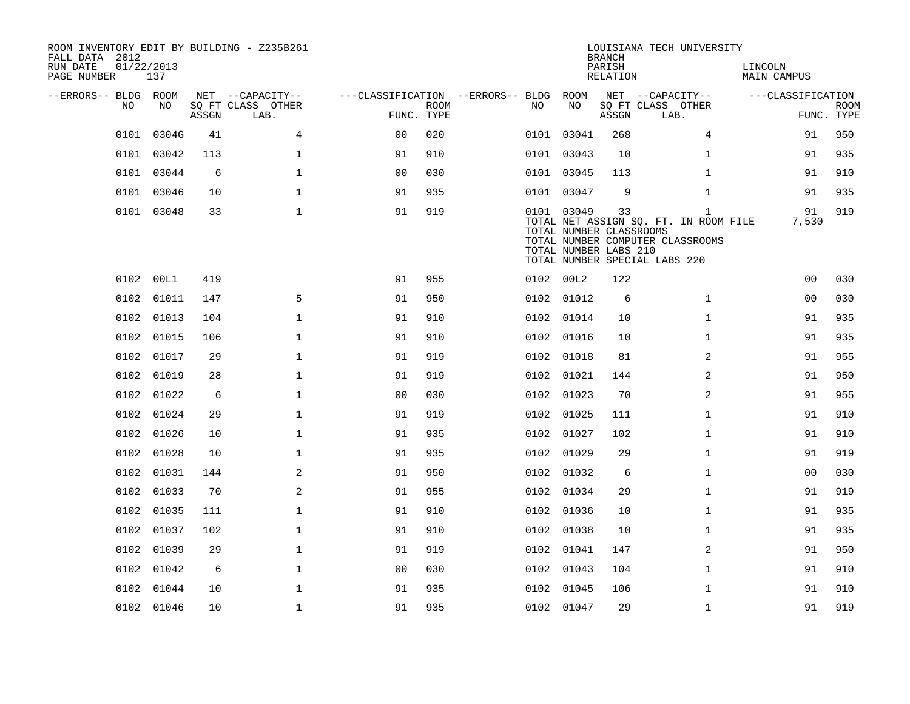| FALL DATA 2012<br>RUN DATE<br>PAGE NUMBER | 01/22/2013 | 137        |       | ROOM INVENTORY EDIT BY BUILDING - Z235B261 |                                        |                           |     |                                                                | <b>BRANCH</b><br>PARISH<br>RELATION | LOUISIANA TECH UNIVERSITY                                                                                                  | LINCOLN<br><b>MAIN CAMPUS</b> |                           |
|-------------------------------------------|------------|------------|-------|--------------------------------------------|----------------------------------------|---------------------------|-----|----------------------------------------------------------------|-------------------------------------|----------------------------------------------------------------------------------------------------------------------------|-------------------------------|---------------------------|
| --ERRORS-- BLDG ROOM                      |            |            |       | NET --CAPACITY--                           | ---CLASSIFICATION --ERRORS-- BLDG ROOM |                           |     |                                                                |                                     | NET --CAPACITY--                                                                                                           | ---CLASSIFICATION             |                           |
|                                           | NO         | NO.        | ASSGN | SQ FT CLASS OTHER<br>LAB.                  |                                        | <b>ROOM</b><br>FUNC. TYPE | NO. | NO                                                             | ASSGN                               | SQ FT CLASS OTHER<br>LAB.                                                                                                  |                               | <b>ROOM</b><br>FUNC. TYPE |
|                                           |            | 0101 0304G | 41    | $\overline{4}$                             | 0 <sub>0</sub>                         | 020                       |     | 0101 03041                                                     | 268                                 | 4                                                                                                                          | 91                            | 950                       |
|                                           | 0101       | 03042      | 113   | $\mathbf{1}$                               | 91                                     | 910                       |     | 0101 03043                                                     | 10                                  | $\mathbf{1}$                                                                                                               | 91                            | 935                       |
|                                           |            | 0101 03044 | 6     | $\mathbf{1}$                               | 0 <sub>0</sub>                         | 030                       |     | 0101 03045                                                     | 113                                 | $\mathbf{1}$                                                                                                               | 91                            | 910                       |
|                                           | 0101       | 03046      | 10    | $\mathbf{1}$                               | 91                                     | 935                       |     | 0101 03047                                                     | 9                                   | $\mathbf{1}$                                                                                                               | 91                            | 935                       |
|                                           |            | 0101 03048 | 33    | $\mathbf{1}$                               | 91                                     | 919                       |     | 0101 03049<br>TOTAL NUMBER CLASSROOMS<br>TOTAL NUMBER LABS 210 | 33                                  | $\mathbf{1}$<br>TOTAL NET ASSIGN SQ. FT. IN ROOM FILE<br>TOTAL NUMBER COMPUTER CLASSROOMS<br>TOTAL NUMBER SPECIAL LABS 220 | 91<br>7,530                   | 919                       |
|                                           | 0102 00L1  |            | 419   |                                            | 91                                     | 955                       |     | 0102 00L2                                                      | 122                                 |                                                                                                                            | 0 <sub>0</sub>                | 030                       |
|                                           | 0102       | 01011      | 147   | 5                                          | 91                                     | 950                       |     | 0102 01012                                                     | 6                                   | $\mathbf{1}$                                                                                                               | 00                            | 030                       |
|                                           |            | 0102 01013 | 104   | $\mathbf 1$                                | 91                                     | 910                       |     | 0102 01014                                                     | 10                                  | $\mathbf{1}$                                                                                                               | 91                            | 935                       |
|                                           |            | 0102 01015 | 106   | $\mathbf{1}$                               | 91                                     | 910                       |     | 0102 01016                                                     | 10                                  | $\mathbf{1}$                                                                                                               | 91                            | 935                       |
|                                           |            | 0102 01017 | 29    | $\mathbf 1$                                | 91                                     | 919                       |     | 0102 01018                                                     | 81                                  | 2                                                                                                                          | 91                            | 955                       |
|                                           |            | 0102 01019 | 28    | $\mathbf{1}$                               | 91                                     | 919                       |     | 0102 01021                                                     | 144                                 | $\overline{a}$                                                                                                             | 91                            | 950                       |
|                                           |            | 0102 01022 | 6     | 1                                          | 0 <sub>0</sub>                         | 030                       |     | 0102 01023                                                     | 70                                  | 2                                                                                                                          | 91                            | 955                       |
|                                           |            | 0102 01024 | 29    | $\mathbf{1}$                               | 91                                     | 919                       |     | 0102 01025                                                     | 111                                 | $\mathbf{1}$                                                                                                               | 91                            | 910                       |
|                                           |            | 0102 01026 | 10    | $\mathbf 1$                                | 91                                     | 935                       |     | 0102 01027                                                     | 102                                 | $\mathbf{1}$                                                                                                               | 91                            | 910                       |
|                                           |            | 0102 01028 | 10    | $\mathbf 1$                                | 91                                     | 935                       |     | 0102 01029                                                     | 29                                  | $\mathbf{1}$                                                                                                               | 91                            | 919                       |
|                                           |            | 0102 01031 | 144   | 2                                          | 91                                     | 950                       |     | 0102 01032                                                     | 6                                   | $\mathbf{1}$                                                                                                               | 00                            | 030                       |
|                                           |            | 0102 01033 | 70    | 2                                          | 91                                     | 955                       |     | 0102 01034                                                     | 29                                  | $\mathbf{1}$                                                                                                               | 91                            | 919                       |
|                                           |            | 0102 01035 | 111   | $\mathbf{1}$                               | 91                                     | 910                       |     | 0102 01036                                                     | 10                                  | $\mathbf{1}$                                                                                                               | 91                            | 935                       |
|                                           |            | 0102 01037 | 102   | $\mathbf{1}$                               | 91                                     | 910                       |     | 0102 01038                                                     | 10                                  | $\mathbf{1}$                                                                                                               | 91                            | 935                       |
|                                           |            | 0102 01039 | 29    | $\mathbf 1$                                | 91                                     | 919                       |     | 0102 01041                                                     | 147                                 | 2                                                                                                                          | 91                            | 950                       |
|                                           |            | 0102 01042 | 6     | $\mathbf{1}$                               | 00                                     | 030                       |     | 0102 01043                                                     | 104                                 | $\mathbf{1}$                                                                                                               | 91                            | 910                       |
|                                           |            | 0102 01044 | 10    | $\mathbf 1$                                | 91                                     | 935                       |     | 0102 01045                                                     | 106                                 | $\mathbf{1}$                                                                                                               | 91                            | 910                       |
|                                           |            | 0102 01046 | 10    | $\mathbf{1}$                               | 91                                     | 935                       |     | 0102 01047                                                     | 29                                  | $\mathbf{1}$                                                                                                               | 91                            | 919                       |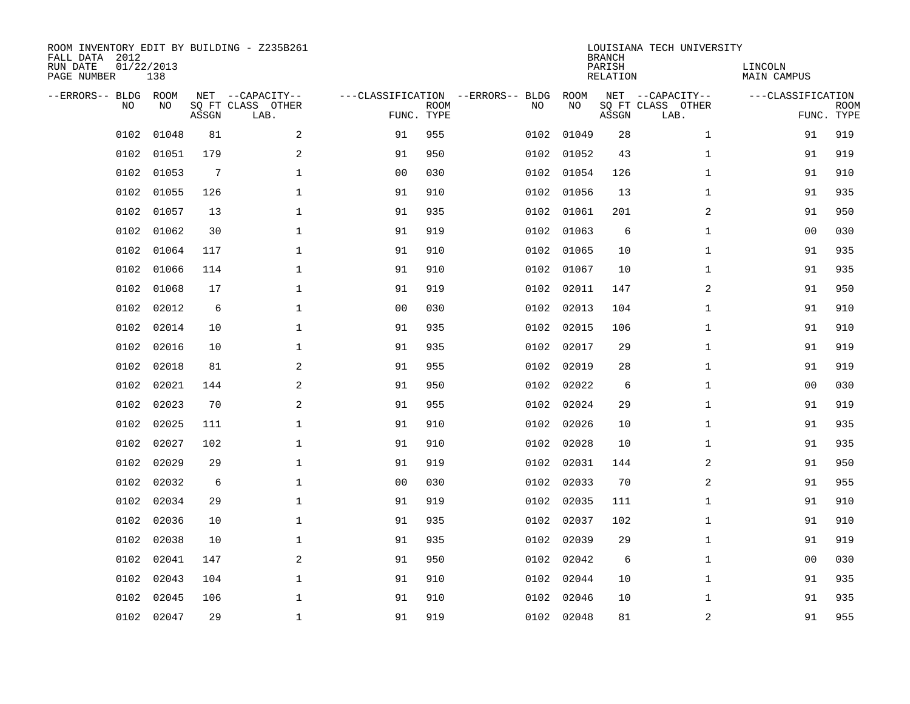| FALL DATA 2012<br>RUN DATE<br>PAGE NUMBER | 01/22/2013<br>138        |                 | ROOM INVENTORY EDIT BY BUILDING - Z235B261    |                                                 |             |      |            | <b>BRANCH</b><br>PARISH<br>RELATION | LOUISIANA TECH UNIVERSITY                     | LINCOLN<br><b>MAIN CAMPUS</b> |                           |
|-------------------------------------------|--------------------------|-----------------|-----------------------------------------------|-------------------------------------------------|-------------|------|------------|-------------------------------------|-----------------------------------------------|-------------------------------|---------------------------|
| --ERRORS-- BLDG                           | ROOM<br><b>NO</b><br>NO. | ASSGN           | NET --CAPACITY--<br>SO FT CLASS OTHER<br>LAB. | ---CLASSIFICATION --ERRORS-- BLDG<br>FUNC. TYPE | <b>ROOM</b> | NO   | ROOM<br>NO | ASSGN                               | NET --CAPACITY--<br>SQ FT CLASS OTHER<br>LAB. | ---CLASSIFICATION             | <b>ROOM</b><br>FUNC. TYPE |
|                                           | 0102<br>01048            | 81              | 2                                             | 91                                              | 955         | 0102 | 01049      | 28                                  | $\mathbf{1}$                                  | 91                            | 919                       |
|                                           | 01051<br>0102            | 179             | 2                                             | 91                                              | 950         |      | 0102 01052 | 43                                  | $\mathbf{1}$                                  | 91                            | 919                       |
|                                           | 0102<br>01053            | $7\phantom{.0}$ | $\mathbf 1$                                   | 0 <sub>0</sub>                                  | 030         | 0102 | 01054      | 126                                 | $\mathbf{1}$                                  | 91                            | 910                       |
|                                           | 01055<br>0102            | 126             | $\mathbf 1$                                   | 91                                              | 910         | 0102 | 01056      | 13                                  | $\mathbf{1}$                                  | 91                            | 935                       |
|                                           | 0102<br>01057            | 13              | $\mathbf{1}$                                  | 91                                              | 935         | 0102 | 01061      | 201                                 | 2                                             | 91                            | 950                       |
|                                           | 0102<br>01062            | 30              | $\mathbf{1}$                                  | 91                                              | 919         | 0102 | 01063      | 6                                   | $\mathbf{1}$                                  | 0 <sub>0</sub>                | 030                       |
|                                           | 0102<br>01064            | 117             | $\mathbf{1}$                                  | 91                                              | 910         | 0102 | 01065      | 10                                  | $\mathbf{1}$                                  | 91                            | 935                       |
|                                           | 0102<br>01066            | 114             | $\mathbf 1$                                   | 91                                              | 910         | 0102 | 01067      | 10                                  | $\mathbf{1}$                                  | 91                            | 935                       |
|                                           | 0102<br>01068            | 17              | $\mathbf{1}$                                  | 91                                              | 919         | 0102 | 02011      | 147                                 | 2                                             | 91                            | 950                       |
|                                           | 0102<br>02012            | 6               | $\mathbf 1$                                   | 0 <sub>0</sub>                                  | 030         | 0102 | 02013      | 104                                 | $\mathbf{1}$                                  | 91                            | 910                       |
|                                           | 0102<br>02014            | 10              | $\mathbf 1$                                   | 91                                              | 935         | 0102 | 02015      | 106                                 | $\mathbf{1}$                                  | 91                            | 910                       |
|                                           | 0102<br>02016            | 10              | $\mathbf 1$                                   | 91                                              | 935         | 0102 | 02017      | 29                                  | $\mathbf{1}$                                  | 91                            | 919                       |
|                                           | 0102<br>02018            | 81              | 2                                             | 91                                              | 955         | 0102 | 02019      | 28                                  | $\mathbf{1}$                                  | 91                            | 919                       |
|                                           | 0102<br>02021            | 144             | 2                                             | 91                                              | 950         | 0102 | 02022      | 6                                   | $\mathbf{1}$                                  | 00                            | 030                       |
|                                           | 0102<br>02023            | 70              | 2                                             | 91                                              | 955         | 0102 | 02024      | 29                                  | $\mathbf{1}$                                  | 91                            | 919                       |
|                                           | 02025<br>0102            | 111             | 1                                             | 91                                              | 910         |      | 0102 02026 | 10                                  | $\mathbf{1}$                                  | 91                            | 935                       |
|                                           | 02027<br>0102            | 102             | $\mathbf 1$                                   | 91                                              | 910         | 0102 | 02028      | 10                                  | $\mathbf{1}$                                  | 91                            | 935                       |
|                                           | 0102<br>02029            | 29              | $\mathbf{1}$                                  | 91                                              | 919         | 0102 | 02031      | 144                                 | 2                                             | 91                            | 950                       |
|                                           | 0102<br>02032            | 6               | $\mathbf{1}$                                  | 0 <sub>0</sub>                                  | 030         |      | 0102 02033 | 70                                  | 2                                             | 91                            | 955                       |
|                                           | 0102<br>02034            | 29              | $\mathbf{1}$                                  | 91                                              | 919         | 0102 | 02035      | 111                                 | $\mathbf{1}$                                  | 91                            | 910                       |
|                                           | 0102<br>02036            | 10              | $\mathbf{1}$                                  | 91                                              | 935         |      | 0102 02037 | 102                                 | $\mathbf{1}$                                  | 91                            | 910                       |
|                                           | 0102<br>02038            | 10              | $\mathbf{1}$                                  | 91                                              | 935         | 0102 | 02039      | 29                                  | $\mathbf{1}$                                  | 91                            | 919                       |
|                                           | 0102<br>02041            | 147             | 2                                             | 91                                              | 950         |      | 0102 02042 | 6                                   | $\mathbf{1}$                                  | 0 <sub>0</sub>                | 030                       |
|                                           | 02043<br>0102            | 104             | $\mathbf{1}$                                  | 91                                              | 910         | 0102 | 02044      | 10                                  | $\mathbf{1}$                                  | 91                            | 935                       |
|                                           | 0102<br>02045            | 106             | 1                                             | 91                                              | 910         |      | 0102 02046 | 10                                  | 1                                             | 91                            | 935                       |
|                                           | 0102 02047               | 29              | $\mathbf 1$                                   | 91                                              | 919         |      | 0102 02048 | 81                                  | 2                                             | 91                            | 955                       |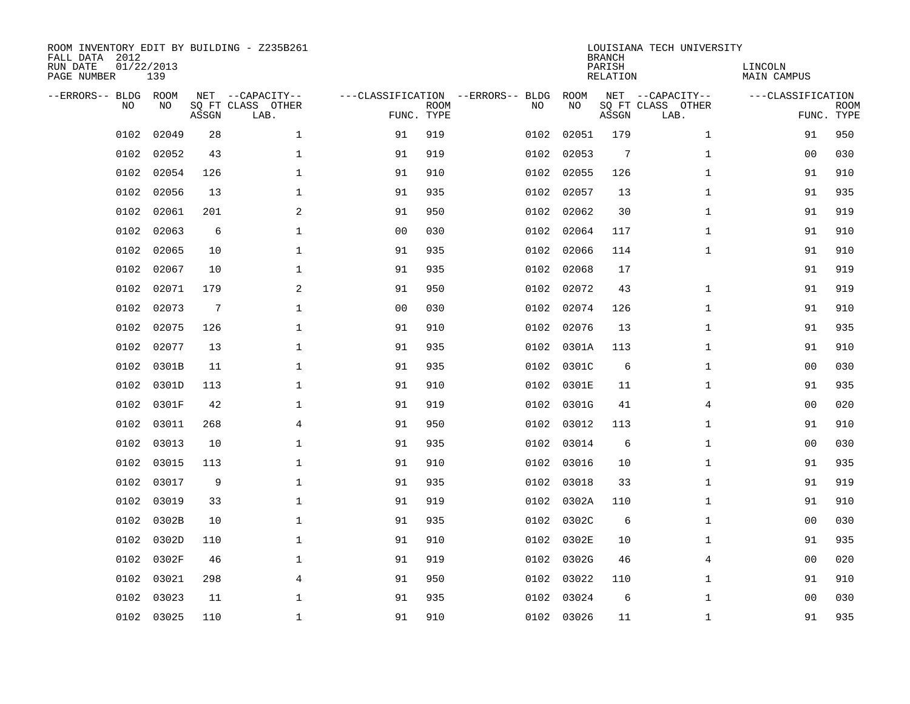| ROOM INVENTORY EDIT BY BUILDING - Z235B261<br>FALL DATA 2012<br>RUN DATE<br>PAGE NUMBER | 01/22/2013<br>139 |       |                                               |                |                           |                                         |            | <b>BRANCH</b><br>PARISH<br><b>RELATION</b> | LOUISIANA TECH UNIVERSITY                     | LINCOLN<br><b>MAIN CAMPUS</b> |                           |
|-----------------------------------------------------------------------------------------|-------------------|-------|-----------------------------------------------|----------------|---------------------------|-----------------------------------------|------------|--------------------------------------------|-----------------------------------------------|-------------------------------|---------------------------|
| --ERRORS-- BLDG ROOM<br>NO                                                              | NO.               | ASSGN | NET --CAPACITY--<br>SQ FT CLASS OTHER<br>LAB. |                | <b>ROOM</b><br>FUNC. TYPE | ---CLASSIFICATION --ERRORS-- BLDG<br>NO | ROOM<br>NO | ASSGN                                      | NET --CAPACITY--<br>SQ FT CLASS OTHER<br>LAB. | ---CLASSIFICATION             | <b>ROOM</b><br>FUNC. TYPE |
| 0102                                                                                    | 02049             | 28    | $\mathbf{1}$                                  | 91             | 919                       | 0102                                    | 02051      | 179                                        | $\mathbf{1}$                                  | 91                            | 950                       |
| 0102                                                                                    | 02052             | 43    | $\mathbf 1$                                   | 91             | 919                       | 0102                                    | 02053      | 7                                          | $\mathbf{1}$                                  | 00                            | 030                       |
| 0102                                                                                    | 02054             | 126   | $\mathbf{1}$                                  | 91             | 910                       | 0102                                    | 02055      | 126                                        | $\mathbf{1}$                                  | 91                            | 910                       |
| 0102                                                                                    | 02056             | 13    | $\mathbf 1$                                   | 91             | 935                       | 0102                                    | 02057      | 13                                         | $\mathbf{1}$                                  | 91                            | 935                       |
| 0102                                                                                    | 02061             | 201   | 2                                             | 91             | 950                       | 0102                                    | 02062      | 30                                         | $\mathbf{1}$                                  | 91                            | 919                       |
| 0102                                                                                    | 02063             | 6     | $\mathbf{1}$                                  | 0 <sub>0</sub> | 030                       | 0102                                    | 02064      | 117                                        | $\mathbf{1}$                                  | 91                            | 910                       |
| 0102                                                                                    | 02065             | 10    | $\mathbf{1}$                                  | 91             | 935                       | 0102                                    | 02066      | 114                                        | $\mathbf{1}$                                  | 91                            | 910                       |
| 0102                                                                                    | 02067             | 10    | $\mathbf 1$                                   | 91             | 935                       | 0102                                    | 02068      | 17                                         |                                               | 91                            | 919                       |
| 0102                                                                                    | 02071             | 179   | 2                                             | 91             | 950                       | 0102                                    | 02072      | 43                                         | $\mathbf{1}$                                  | 91                            | 919                       |
| 0102                                                                                    | 02073             | 7     | 1                                             | 0 <sub>0</sub> | 030                       | 0102                                    | 02074      | 126                                        | $\mathbf{1}$                                  | 91                            | 910                       |
| 0102                                                                                    | 02075             | 126   | 1                                             | 91             | 910                       | 0102                                    | 02076      | 13                                         | $\mathbf{1}$                                  | 91                            | 935                       |
| 0102                                                                                    | 02077             | 13    | $\mathbf 1$                                   | 91             | 935                       | 0102                                    | 0301A      | 113                                        | $\mathbf{1}$                                  | 91                            | 910                       |
| 0102                                                                                    | 0301B             | 11    | $\mathbf{1}$                                  | 91             | 935                       | 0102                                    | 0301C      | 6                                          | $\mathbf{1}$                                  | 00                            | 030                       |
| 0102                                                                                    | 0301D             | 113   | $\mathbf 1$                                   | 91             | 910                       |                                         | 0102 0301E | 11                                         | $\mathbf{1}$                                  | 91                            | 935                       |
| 0102                                                                                    | 0301F             | 42    | $\mathbf 1$                                   | 91             | 919                       | 0102                                    | 0301G      | 41                                         | 4                                             | 0 <sub>0</sub>                | 020                       |
| 0102                                                                                    | 03011             | 268   | 4                                             | 91             | 950                       |                                         | 0102 03012 | 113                                        | $\mathbf{1}$                                  | 91                            | 910                       |
| 0102                                                                                    | 03013             | 10    | $\mathbf 1$                                   | 91             | 935                       | 0102                                    | 03014      | 6                                          | $\mathbf{1}$                                  | 00                            | 030                       |
| 0102                                                                                    | 03015             | 113   | $\mathbf 1$                                   | 91             | 910                       |                                         | 0102 03016 | 10                                         | $\mathbf{1}$                                  | 91                            | 935                       |
| 0102                                                                                    | 03017             | 9     | $\mathbf 1$                                   | 91             | 935                       | 0102                                    | 03018      | 33                                         | $\mathbf{1}$                                  | 91                            | 919                       |
| 0102                                                                                    | 03019             | 33    | $\mathbf{1}$                                  | 91             | 919                       |                                         | 0102 0302A | 110                                        | $\mathbf{1}$                                  | 91                            | 910                       |
| 0102                                                                                    | 0302B             | 10    | $\mathbf{1}$                                  | 91             | 935                       | 0102                                    | 0302C      | 6                                          | $\mathbf{1}$                                  | 0 <sub>0</sub>                | 030                       |
| 0102                                                                                    | 0302D             | 110   | $\mathbf{1}$                                  | 91             | 910                       |                                         | 0102 0302E | 10                                         | $\mathbf{1}$                                  | 91                            | 935                       |
| 0102                                                                                    | 0302F             | 46    | $\mathbf{1}$                                  | 91             | 919                       | 0102                                    | 0302G      | 46                                         | 4                                             | 0 <sub>0</sub>                | 020                       |
| 0102                                                                                    | 03021             | 298   | 4                                             | 91             | 950                       |                                         | 0102 03022 | 110                                        | $\mathbf{1}$                                  | 91                            | 910                       |
| 0102                                                                                    | 03023             | 11    | 1                                             | 91             | 935                       | 0102                                    | 03024      | 6                                          | $\mathbf{1}$                                  | 00                            | 030                       |
|                                                                                         | 0102 03025        | 110   | $\mathbf{1}$                                  | 91             | 910                       |                                         | 0102 03026 | 11                                         | $\mathbf{1}$                                  | 91                            | 935                       |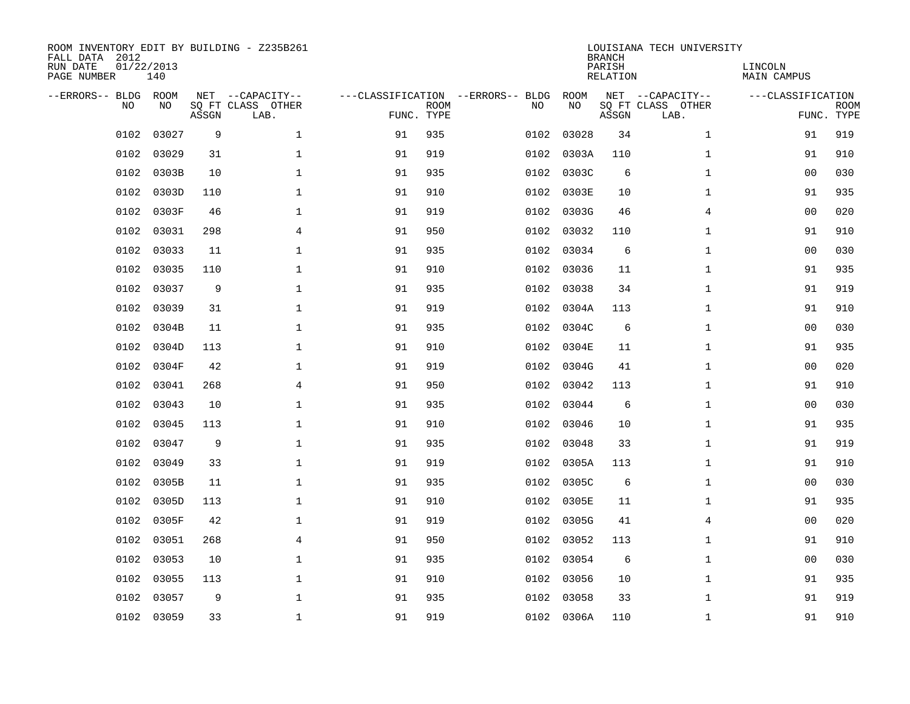| ROOM INVENTORY EDIT BY BUILDING - Z235B261<br>FALL DATA 2012<br>RUN DATE<br>PAGE NUMBER | 01/22/2013<br>140 |       |                                               |            |             |                                         |            | <b>BRANCH</b><br>PARISH<br><b>RELATION</b> | LOUISIANA TECH UNIVERSITY                     | LINCOLN<br><b>MAIN CAMPUS</b> |                           |
|-----------------------------------------------------------------------------------------|-------------------|-------|-----------------------------------------------|------------|-------------|-----------------------------------------|------------|--------------------------------------------|-----------------------------------------------|-------------------------------|---------------------------|
| --ERRORS-- BLDG ROOM<br>NO                                                              | NO                | ASSGN | NET --CAPACITY--<br>SQ FT CLASS OTHER<br>LAB. | FUNC. TYPE | <b>ROOM</b> | ---CLASSIFICATION --ERRORS-- BLDG<br>NO | ROOM<br>NO | ASSGN                                      | NET --CAPACITY--<br>SQ FT CLASS OTHER<br>LAB. | ---CLASSIFICATION             | <b>ROOM</b><br>FUNC. TYPE |
| 0102                                                                                    | 03027             | 9     | $\mathbf{1}$                                  | 91         | 935         | 0102                                    | 03028      | 34                                         | $\mathbf{1}$                                  | 91                            | 919                       |
| 0102                                                                                    | 03029             | 31    | $\mathbf 1$                                   | 91         | 919         | 0102                                    | 0303A      | 110                                        | $\mathbf{1}$                                  | 91                            | 910                       |
| 0102                                                                                    | 0303B             | 10    | $\mathbf 1$                                   | 91         | 935         | 0102                                    | 0303C      | 6                                          | $\mathbf{1}$                                  | 0 <sub>0</sub>                | 030                       |
| 0102                                                                                    | 0303D             | 110   | $\mathbf 1$                                   | 91         | 910         | 0102                                    | 0303E      | 10                                         | $\mathbf{1}$                                  | 91                            | 935                       |
| 0102                                                                                    | 0303F             | 46    | $\mathbf 1$                                   | 91         | 919         | 0102                                    | 0303G      | 46                                         | 4                                             | 00                            | 020                       |
| 0102                                                                                    | 03031             | 298   | 4                                             | 91         | 950         | 0102                                    | 03032      | 110                                        | $\mathbf{1}$                                  | 91                            | 910                       |
| 0102                                                                                    | 03033             | 11    | $\mathbf{1}$                                  | 91         | 935         | 0102                                    | 03034      | 6                                          | $\mathbf{1}$                                  | 00                            | 030                       |
| 0102                                                                                    | 03035             | 110   | $\mathbf 1$                                   | 91         | 910         |                                         | 0102 03036 | 11                                         | $\mathbf{1}$                                  | 91                            | 935                       |
| 0102                                                                                    | 03037             | 9     | $\mathbf{1}$                                  | 91         | 935         | 0102                                    | 03038      | 34                                         | $\mathbf{1}$                                  | 91                            | 919                       |
| 0102                                                                                    | 03039             | 31    | $\mathbf 1$                                   | 91         | 919         | 0102                                    | 0304A      | 113                                        | $\mathbf{1}$                                  | 91                            | 910                       |
| 0102                                                                                    | 0304B             | 11    | $\mathbf{1}$                                  | 91         | 935         | 0102                                    | 0304C      | 6                                          | $\mathbf{1}$                                  | 00                            | 030                       |
| 0102                                                                                    | 0304D             | 113   | $\mathbf 1$                                   | 91         | 910         |                                         | 0102 0304E | 11                                         | $\mathbf{1}$                                  | 91                            | 935                       |
| 0102                                                                                    | 0304F             | 42    | $\mathbf{1}$                                  | 91         | 919         | 0102                                    | 0304G      | 41                                         | $\mathbf{1}$                                  | 0 <sub>0</sub>                | 020                       |
| 0102                                                                                    | 03041             | 268   | 4                                             | 91         | 950         | 0102                                    | 03042      | 113                                        | $\mathbf{1}$                                  | 91                            | 910                       |
| 0102                                                                                    | 03043             | 10    | 1                                             | 91         | 935         | 0102                                    | 03044      | 6                                          | $\mathbf{1}$                                  | 00                            | 030                       |
| 0102                                                                                    | 03045             | 113   | 1                                             | 91         | 910         | 0102                                    | 03046      | 10                                         | $\mathbf{1}$                                  | 91                            | 935                       |
| 0102                                                                                    | 03047             | 9     | $\mathbf 1$                                   | 91         | 935         | 0102                                    | 03048      | 33                                         | $\mathbf{1}$                                  | 91                            | 919                       |
| 0102                                                                                    | 03049             | 33    | $\mathbf 1$                                   | 91         | 919         | 0102                                    | 0305A      | 113                                        | $\mathbf{1}$                                  | 91                            | 910                       |
| 0102                                                                                    | 0305B             | 11    | $\mathbf 1$                                   | 91         | 935         |                                         | 0102 0305C | 6                                          | $\mathbf{1}$                                  | 00                            | 030                       |
| 0102                                                                                    | 0305D             | 113   | $\mathbf{1}$                                  | 91         | 910         |                                         | 0102 0305E | 11                                         | $\mathbf{1}$                                  | 91                            | 935                       |
| 0102                                                                                    | 0305F             | 42    | $\mathbf{1}$                                  | 91         | 919         |                                         | 0102 0305G | 41                                         | 4                                             | 0 <sub>0</sub>                | 020                       |
| 0102                                                                                    | 03051             | 268   | $\overline{4}$                                | 91         | 950         | 0102                                    | 03052      | 113                                        | $\mathbf{1}$                                  | 91                            | 910                       |
| 0102                                                                                    | 03053             | 10    | $\mathbf{1}$                                  | 91         | 935         |                                         | 0102 03054 | 6                                          | $\mathbf{1}$                                  | 0 <sub>0</sub>                | 030                       |
| 0102                                                                                    | 03055             | 113   | $\mathbf 1$                                   | 91         | 910         |                                         | 0102 03056 | 10                                         | $\mathbf{1}$                                  | 91                            | 935                       |
| 0102                                                                                    | 03057             | 9     | $\mathbf 1$                                   | 91         | 935         |                                         | 0102 03058 | 33                                         | $\mathbf{1}$                                  | 91                            | 919                       |
|                                                                                         | 0102 03059        | 33    | $\mathbf 1$                                   | 91         | 919         |                                         | 0102 0306A | 110                                        | $\mathbf{1}$                                  | 91                            | 910                       |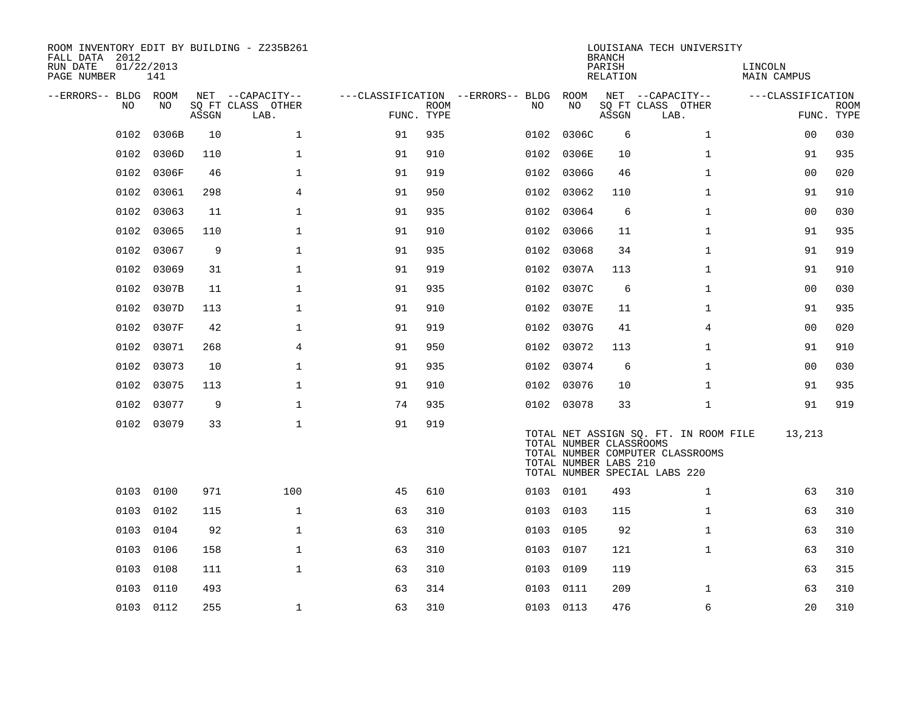| ROOM INVENTORY EDIT BY BUILDING - Z235B261<br>FALL DATA 2012<br>RUN DATE<br>PAGE NUMBER | 01/22/2013<br>141 |       |                                               |            |             |                                          |                                                  | <b>BRANCH</b><br>PARISH<br>RELATION | LOUISIANA TECH UNIVERSITY                                                                                  | LINCOLN<br><b>MAIN CAMPUS</b> |                           |
|-----------------------------------------------------------------------------------------|-------------------|-------|-----------------------------------------------|------------|-------------|------------------------------------------|--------------------------------------------------|-------------------------------------|------------------------------------------------------------------------------------------------------------|-------------------------------|---------------------------|
| --ERRORS-- BLDG ROOM<br>NO                                                              | NO                | ASSGN | NET --CAPACITY--<br>SQ FT CLASS OTHER<br>LAB. | FUNC. TYPE | <b>ROOM</b> | ---CLASSIFICATION --ERRORS-- BLDG<br>NO. | ROOM<br>NO                                       | ASSGN                               | NET --CAPACITY--<br>SQ FT CLASS OTHER<br>LAB.                                                              | ---CLASSIFICATION             | <b>ROOM</b><br>FUNC. TYPE |
| 0102                                                                                    | 0306B             | 10    | $\mathbf 1$                                   | 91         | 935         | 0102                                     | 0306C                                            | 6                                   | $\mathbf{1}$                                                                                               | 00                            | 030                       |
| 0102                                                                                    | 0306D             | 110   | $\mathbf{1}$                                  | 91         | 910         | 0102                                     | 0306E                                            | 10                                  | $\mathbf{1}$                                                                                               | 91                            | 935                       |
| 0102                                                                                    | 0306F             | 46    | $\mathbf 1$                                   | 91         | 919         |                                          | 0102 0306G                                       | 46                                  | $\mathbf{1}$                                                                                               | 0 <sub>0</sub>                | 020                       |
| 0102                                                                                    | 03061             | 298   | $\overline{4}$                                | 91         | 950         | 0102                                     | 03062                                            | 110                                 | $\mathbf{1}$                                                                                               | 91                            | 910                       |
| 0102                                                                                    | 03063             | 11    | $\mathbf{1}$                                  | 91         | 935         | 0102                                     | 03064                                            | 6                                   | $\mathbf{1}$                                                                                               | 0 <sub>0</sub>                | 030                       |
| 0102                                                                                    | 03065             | 110   | $\mathbf{1}$                                  | 91         | 910         |                                          | 0102 03066                                       | 11                                  | $\mathbf{1}$                                                                                               | 91                            | 935                       |
| 0102                                                                                    | 03067             | 9     | $\mathbf{1}$                                  | 91         | 935         |                                          | 0102 03068                                       | 34                                  | $\mathbf{1}$                                                                                               | 91                            | 919                       |
| 0102                                                                                    | 03069             | 31    | $\mathbf{1}$                                  | 91         | 919         | 0102                                     | 0307A                                            | 113                                 | $\mathbf{1}$                                                                                               | 91                            | 910                       |
| 0102                                                                                    | 0307B             | 11    | $\mathbf 1$                                   | 91         | 935         |                                          | 0102 0307C                                       | 6                                   | $\mathbf{1}$                                                                                               | 00                            | 030                       |
| 0102                                                                                    | 0307D             | 113   | $\mathbf 1$                                   | 91         | 910         |                                          | 0102 0307E                                       | 11                                  | $\mathbf{1}$                                                                                               | 91                            | 935                       |
| 0102                                                                                    | 0307F             | 42    | $\mathbf{1}$                                  | 91         | 919         |                                          | 0102 0307G                                       | 41                                  | 4                                                                                                          | 00                            | 020                       |
| 0102                                                                                    | 03071             | 268   | 4                                             | 91         | 950         |                                          | 0102 03072                                       | 113                                 | $\mathbf{1}$                                                                                               | 91                            | 910                       |
| 0102                                                                                    | 03073             | 10    | $\mathbf 1$                                   | 91         | 935         |                                          | 0102 03074                                       | 6                                   | $\mathbf{1}$                                                                                               | 00                            | 030                       |
| 0102                                                                                    | 03075             | 113   | $\mathbf 1$                                   | 91         | 910         |                                          | 0102 03076                                       | 10                                  | $\mathbf{1}$                                                                                               | 91                            | 935                       |
| 0102                                                                                    | 03077             | 9     | $\mathbf{1}$                                  | 74         | 935         |                                          | 0102 03078                                       | 33                                  | $\mathbf{1}$                                                                                               | 91                            | 919                       |
|                                                                                         | 0102 03079        | 33    | $\mathbf{1}$                                  | 91         | 919         |                                          | TOTAL NUMBER CLASSROOMS<br>TOTAL NUMBER LABS 210 |                                     | TOTAL NET ASSIGN SQ. FT. IN ROOM FILE<br>TOTAL NUMBER COMPUTER CLASSROOMS<br>TOTAL NUMBER SPECIAL LABS 220 | 13,213                        |                           |
| 0103                                                                                    | 0100              | 971   | 100                                           | 45         | 610         |                                          | 0103 0101                                        | 493                                 | $\mathbf{1}$                                                                                               | 63                            | 310                       |
| 0103                                                                                    | 0102              | 115   | $\mathbf{1}$                                  | 63         | 310         |                                          | 0103 0103                                        | 115                                 | $\mathbf{1}$                                                                                               | 63                            | 310                       |
| 0103                                                                                    | 0104              | 92    | $\mathbf{1}$                                  | 63         | 310         | 0103                                     | 0105                                             | 92                                  | $\mathbf{1}$                                                                                               | 63                            | 310                       |
| 0103                                                                                    | 0106              | 158   | $\mathbf 1$                                   | 63         | 310         | 0103                                     | 0107                                             | 121                                 | $\mathbf{1}$                                                                                               | 63                            | 310                       |
| 0103                                                                                    | 0108              | 111   | $\mathbf{1}$                                  | 63         | 310         | 0103                                     | 0109                                             | 119                                 |                                                                                                            | 63                            | 315                       |
| 0103                                                                                    | 0110              | 493   |                                               | 63         | 314         |                                          | 0103 0111                                        | 209                                 | $\mathbf{1}$                                                                                               | 63                            | 310                       |
|                                                                                         | 0103 0112         | 255   | $\mathbf{1}$                                  | 63         | 310         |                                          | 0103 0113                                        | 476                                 | 6                                                                                                          | 20                            | 310                       |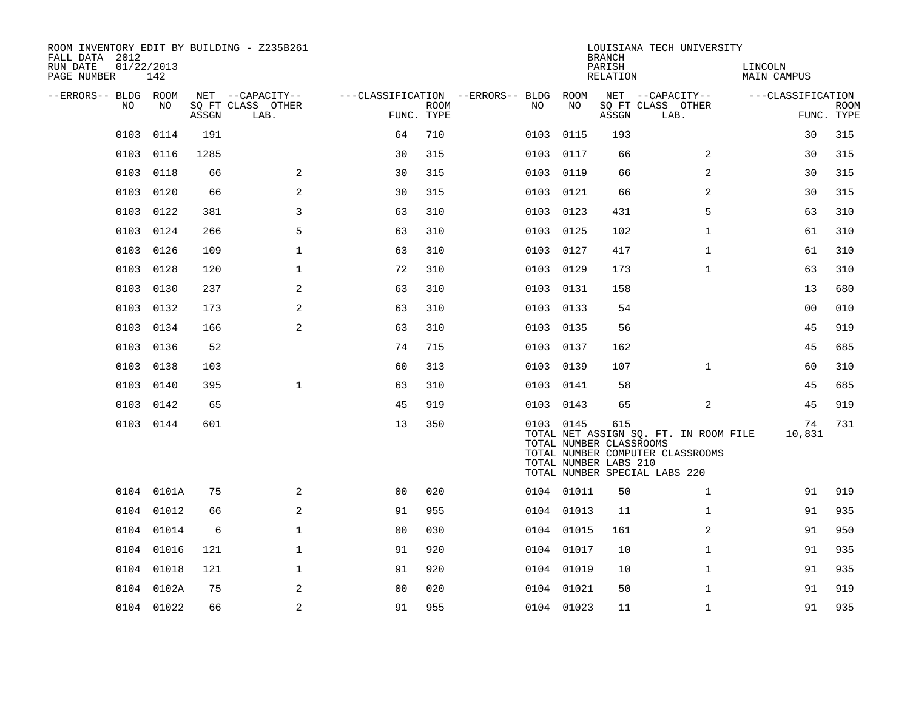| ROOM INVENTORY EDIT BY BUILDING - Z235B261<br>FALL DATA 2012<br>RUN DATE | 01/22/2013 |       |                                       |                |             |                                               |                                                  | <b>BRANCH</b>      | LOUISIANA TECH UNIVERSITY                                                                                  |                               |             |
|--------------------------------------------------------------------------|------------|-------|---------------------------------------|----------------|-------------|-----------------------------------------------|--------------------------------------------------|--------------------|------------------------------------------------------------------------------------------------------------|-------------------------------|-------------|
| PAGE NUMBER                                                              | 142        |       |                                       |                |             |                                               |                                                  | PARISH<br>RELATION |                                                                                                            | LINCOLN<br><b>MAIN CAMPUS</b> |             |
| --ERRORS-- BLDG ROOM<br>NO                                               | NO         |       | NET --CAPACITY--<br>SO FT CLASS OTHER |                | <b>ROOM</b> | ---CLASSIFICATION --ERRORS-- BLDG ROOM<br>NO. | NO                                               |                    | NET --CAPACITY--<br>SQ FT CLASS OTHER                                                                      | ---CLASSIFICATION             | <b>ROOM</b> |
|                                                                          |            | ASSGN | LAB.                                  | FUNC. TYPE     |             |                                               |                                                  | ASSGN              | LAB.                                                                                                       |                               | FUNC. TYPE  |
| 0103                                                                     | 0114       | 191   |                                       | 64             | 710         | 0103                                          | 0115                                             | 193                |                                                                                                            | 30                            | 315         |
| 0103                                                                     | 0116       | 1285  |                                       | 30             | 315         | 0103                                          | 0117                                             | 66                 | $\overline{2}$                                                                                             | 30                            | 315         |
| 0103                                                                     | 0118       | 66    | 2                                     | 30             | 315         | 0103 0119                                     |                                                  | 66                 | 2                                                                                                          | 30                            | 315         |
| 0103                                                                     | 0120       | 66    | 2                                     | 30             | 315         | 0103                                          | 0121                                             | 66                 | 2                                                                                                          | 30                            | 315         |
| 0103                                                                     | 0122       | 381   | 3                                     | 63             | 310         | 0103 0123                                     |                                                  | 431                | 5                                                                                                          | 63                            | 310         |
| 0103                                                                     | 0124       | 266   | 5                                     | 63             | 310         | 0103 0125                                     |                                                  | 102                | $\mathbf{1}$                                                                                               | 61                            | 310         |
| 0103                                                                     | 0126       | 109   | $\mathbf{1}$                          | 63             | 310         | 0103 0127                                     |                                                  | 417                | $\mathbf{1}$                                                                                               | 61                            | 310         |
| 0103                                                                     | 0128       | 120   | $\mathbf{1}$                          | 72             | 310         | 0103                                          | 0129                                             | 173                | $\mathbf{1}$                                                                                               | 63                            | 310         |
| 0103                                                                     | 0130       | 237   | 2                                     | 63             | 310         | 0103 0131                                     |                                                  | 158                |                                                                                                            | 13                            | 680         |
| 0103                                                                     | 0132       | 173   | 2                                     | 63             | 310         | 0103 0133                                     |                                                  | 54                 |                                                                                                            | 0 <sub>0</sub>                | 010         |
|                                                                          | 0103 0134  | 166   | 2                                     | 63             | 310         | 0103 0135                                     |                                                  | 56                 |                                                                                                            | 45                            | 919         |
| 0103                                                                     | 0136       | 52    |                                       | 74             | 715         | 0103                                          | 0137                                             | 162                |                                                                                                            | 45                            | 685         |
| 0103                                                                     | 0138       | 103   |                                       | 60             | 313         | 0103 0139                                     |                                                  | 107                | $\mathbf{1}$                                                                                               | 60                            | 310         |
| 0103                                                                     | 0140       | 395   | $\mathbf{1}$                          | 63             | 310         | 0103 0141                                     |                                                  | 58                 |                                                                                                            | 45                            | 685         |
|                                                                          | 0103 0142  | 65    |                                       | 45             | 919         | 0103 0143                                     |                                                  | 65                 | 2                                                                                                          | 45                            | 919         |
|                                                                          | 0103 0144  | 601   |                                       | 13             | 350         | 0103 0145                                     | TOTAL NUMBER CLASSROOMS<br>TOTAL NUMBER LABS 210 | 615                | TOTAL NET ASSIGN SQ. FT. IN ROOM FILE<br>TOTAL NUMBER COMPUTER CLASSROOMS<br>TOTAL NUMBER SPECIAL LABS 220 | 74<br>10,831                  | 731         |
|                                                                          | 0104 0101A | 75    | 2                                     | 0 <sup>0</sup> | 020         |                                               | 0104 01011                                       | 50                 | $\mathbf{1}$                                                                                               | 91                            | 919         |
|                                                                          | 0104 01012 | 66    | 2                                     | 91             | 955         |                                               | 0104 01013                                       | 11                 | $\mathbf{1}$                                                                                               | 91                            | 935         |
| 0104                                                                     | 01014      | 6     | $\mathbf 1$                           | 0 <sub>0</sub> | 030         |                                               | 0104 01015                                       | 161                | 2                                                                                                          | 91                            | 950         |
|                                                                          | 0104 01016 | 121   | $\mathbf 1$                           | 91             | 920         |                                               | 0104 01017                                       | 10                 | $\mathbf{1}$                                                                                               | 91                            | 935         |
|                                                                          | 0104 01018 | 121   | $\mathbf 1$                           | 91             | 920         |                                               | 0104 01019                                       | 10                 | $\mathbf{1}$                                                                                               | 91                            | 935         |
|                                                                          | 0104 0102A | 75    | 2                                     | 0 <sub>0</sub> | 020         |                                               | 0104 01021                                       | 50                 | $\mathbf{1}$                                                                                               | 91                            | 919         |
|                                                                          | 0104 01022 | 66    | 2                                     | 91             | 955         |                                               | 0104 01023                                       | 11                 | $\mathbf{1}$                                                                                               | 91                            | 935         |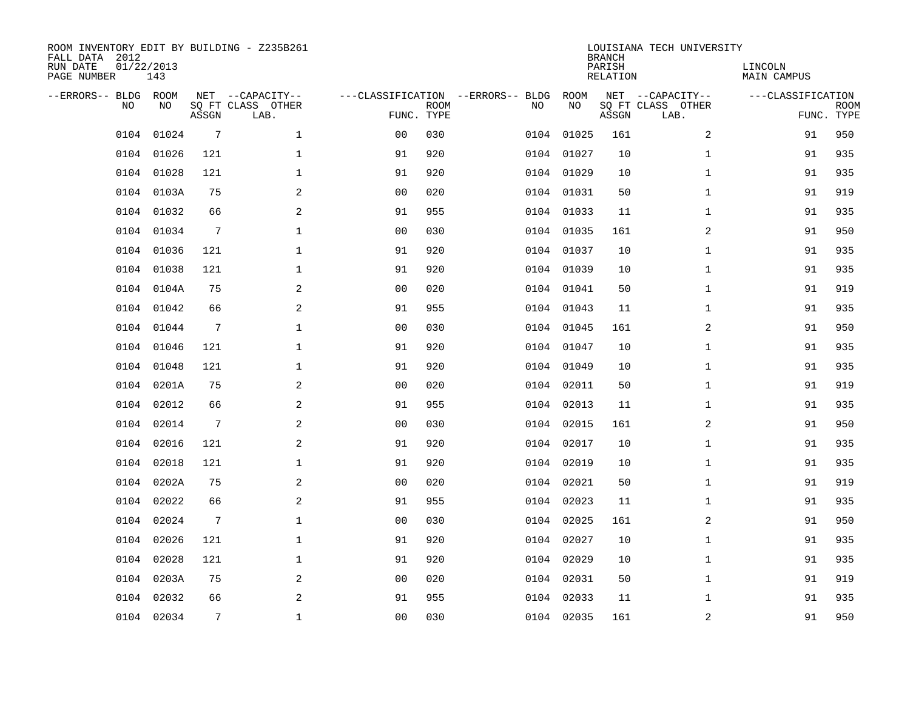| ROOM INVENTORY EDIT BY BUILDING - Z235B261<br>FALL DATA 2012<br>RUN DATE<br>PAGE NUMBER | 01/22/2013<br>143 |                 |                                               |                |             |                                         |            | <b>BRANCH</b><br>PARISH<br><b>RELATION</b> | LOUISIANA TECH UNIVERSITY                     | LINCOLN<br><b>MAIN CAMPUS</b> |                           |
|-----------------------------------------------------------------------------------------|-------------------|-----------------|-----------------------------------------------|----------------|-------------|-----------------------------------------|------------|--------------------------------------------|-----------------------------------------------|-------------------------------|---------------------------|
| --ERRORS-- BLDG<br>NO                                                                   | ROOM<br>NO        | ASSGN           | NET --CAPACITY--<br>SQ FT CLASS OTHER<br>LAB. | FUNC. TYPE     | <b>ROOM</b> | ---CLASSIFICATION --ERRORS-- BLDG<br>NO | ROOM<br>NO | ASSGN                                      | NET --CAPACITY--<br>SQ FT CLASS OTHER<br>LAB. | ---CLASSIFICATION             | <b>ROOM</b><br>FUNC. TYPE |
| 0104                                                                                    | 01024             | $7\phantom{.0}$ | $\mathbf{1}$                                  | 00             | 030         | 0104                                    | 01025      | 161                                        | 2                                             | 91                            | 950                       |
| 0104                                                                                    | 01026             | 121             | $\mathbf{1}$                                  | 91             | 920         | 0104                                    | 01027      | 10                                         | $\mathbf{1}$                                  | 91                            | 935                       |
| 0104                                                                                    | 01028             | 121             | $\mathbf 1$                                   | 91             | 920         | 0104                                    | 01029      | 10                                         | $\mathbf{1}$                                  | 91                            | 935                       |
| 0104                                                                                    | 0103A             | 75              | 2                                             | 0 <sub>0</sub> | 020         |                                         | 0104 01031 | 50                                         | $\mathbf{1}$                                  | 91                            | 919                       |
| 0104                                                                                    | 01032             | 66              | 2                                             | 91             | 955         |                                         | 0104 01033 | 11                                         | $\mathbf{1}$                                  | 91                            | 935                       |
|                                                                                         | 0104 01034        | 7               | $\mathbf 1$                                   | 0 <sub>0</sub> | 030         |                                         | 0104 01035 | 161                                        | 2                                             | 91                            | 950                       |
| 0104                                                                                    | 01036             | 121             | $\mathbf{1}$                                  | 91             | 920         |                                         | 0104 01037 | 10                                         | $\mathbf{1}$                                  | 91                            | 935                       |
| 0104                                                                                    | 01038             | 121             | $\mathbf 1$                                   | 91             | 920         |                                         | 0104 01039 | 10                                         | $\mathbf{1}$                                  | 91                            | 935                       |
| 0104                                                                                    | 0104A             | 75              | 2                                             | 0 <sub>0</sub> | 020         |                                         | 0104 01041 | 50                                         | $\mathbf{1}$                                  | 91                            | 919                       |
| 0104                                                                                    | 01042             | 66              | $\overline{a}$                                | 91             | 955         |                                         | 0104 01043 | 11                                         | $\mathbf{1}$                                  | 91                            | 935                       |
| 0104                                                                                    | 01044             | 7               | $\mathbf 1$                                   | 0 <sub>0</sub> | 030         |                                         | 0104 01045 | 161                                        | 2                                             | 91                            | 950                       |
| 0104                                                                                    | 01046             | 121             | $\mathbf 1$                                   | 91             | 920         |                                         | 0104 01047 | 10                                         | $\mathbf{1}$                                  | 91                            | 935                       |
| 0104                                                                                    | 01048             | 121             | $\mathbf 1$                                   | 91             | 920         | 0104                                    | 01049      | 10                                         | $\mathbf{1}$                                  | 91                            | 935                       |
| 0104                                                                                    | 0201A             | 75              | 2                                             | 0 <sub>0</sub> | 020         |                                         | 0104 02011 | 50                                         | $\mathbf{1}$                                  | 91                            | 919                       |
| 0104                                                                                    | 02012             | 66              | 2                                             | 91             | 955         | 0104                                    | 02013      | 11                                         | $\mathbf{1}$                                  | 91                            | 935                       |
| 0104                                                                                    | 02014             | $7\phantom{.0}$ | 2                                             | 0 <sub>0</sub> | 030         | 0104                                    | 02015      | 161                                        | $\overline{a}$                                | 91                            | 950                       |
| 0104                                                                                    | 02016             | 121             | 2                                             | 91             | 920         | 0104                                    | 02017      | 10                                         | $\mathbf{1}$                                  | 91                            | 935                       |
| 0104                                                                                    | 02018             | 121             | $\mathbf 1$                                   | 91             | 920         | 0104                                    | 02019      | 10                                         | $\mathbf{1}$                                  | 91                            | 935                       |
| 0104                                                                                    | 0202A             | 75              | 2                                             | 0 <sub>0</sub> | 020         |                                         | 0104 02021 | 50                                         | $\mathbf{1}$                                  | 91                            | 919                       |
| 0104                                                                                    | 02022             | 66              | 2                                             | 91             | 955         |                                         | 0104 02023 | 11                                         | $\mathbf{1}$                                  | 91                            | 935                       |
| 0104                                                                                    | 02024             | 7               | 1                                             | 0 <sub>0</sub> | 030         |                                         | 0104 02025 | 161                                        | 2                                             | 91                            | 950                       |
| 0104                                                                                    | 02026             | 121             | $\mathbf 1$                                   | 91             | 920         | 0104                                    | 02027      | 10                                         | $\mathbf{1}$                                  | 91                            | 935                       |
| 0104                                                                                    | 02028             | 121             | $\mathbf 1$                                   | 91             | 920         |                                         | 0104 02029 | 10                                         | $\mathbf{1}$                                  | 91                            | 935                       |
| 0104                                                                                    | 0203A             | 75              | 2                                             | 0 <sub>0</sub> | 020         |                                         | 0104 02031 | 50                                         | $\mathbf{1}$                                  | 91                            | 919                       |
| 0104                                                                                    | 02032             | 66              | 2                                             | 91             | 955         | 0104                                    | 02033      | 11                                         | $\mathbf{1}$                                  | 91                            | 935                       |
|                                                                                         | 0104 02034        | 7               | $\mathbf{1}$                                  | 0 <sub>0</sub> | 030         |                                         | 0104 02035 | 161                                        | $\boldsymbol{2}$                              | 91                            | 950                       |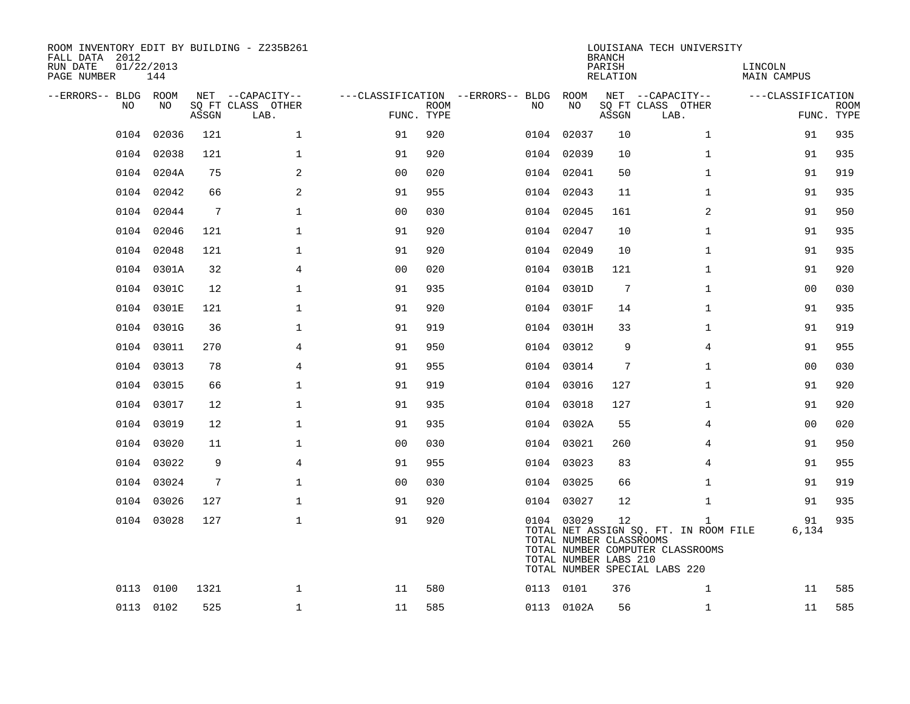| ROOM INVENTORY EDIT BY BUILDING - Z235B261<br>FALL DATA 2012<br>RUN DATE<br>PAGE NUMBER | 01/22/2013<br>144 |       |                                               |                |             |                                              |                                                                | <b>BRANCH</b><br>PARISH<br>RELATION | LOUISIANA TECH UNIVERSITY                                                                                                  | LINCOLN<br>MAIN CAMPUS |                           |
|-----------------------------------------------------------------------------------------|-------------------|-------|-----------------------------------------------|----------------|-------------|----------------------------------------------|----------------------------------------------------------------|-------------------------------------|----------------------------------------------------------------------------------------------------------------------------|------------------------|---------------------------|
| --ERRORS-- BLDG ROOM<br>NO                                                              | NO                | ASSGN | NET --CAPACITY--<br>SQ FT CLASS OTHER<br>LAB. | FUNC. TYPE     | <b>ROOM</b> | ---CLASSIFICATION --ERRORS-- BLDG ROOM<br>NO | NO                                                             | ASSGN                               | NET --CAPACITY--<br>SQ FT CLASS OTHER<br>LAB.                                                                              | ---CLASSIFICATION      | <b>ROOM</b><br>FUNC. TYPE |
| 0104                                                                                    | 02036             | 121   | $\mathbf 1$                                   | 91             | 920         |                                              | 0104 02037                                                     | 10                                  | $\mathbf{1}$                                                                                                               | 91                     | 935                       |
|                                                                                         | 0104 02038        | 121   | $\mathbf 1$                                   | 91             | 920         |                                              | 0104 02039                                                     | 10                                  | $\mathbf{1}$                                                                                                               | 91                     | 935                       |
|                                                                                         | 0104 0204A        | 75    | 2                                             | 0 <sub>0</sub> | 020         |                                              | 0104 02041                                                     | 50                                  | $\mathbf{1}$                                                                                                               | 91                     | 919                       |
|                                                                                         | 0104 02042        | 66    | 2                                             | 91             | 955         |                                              | 0104 02043                                                     | 11                                  | $\mathbf{1}$                                                                                                               | 91                     | 935                       |
|                                                                                         | 0104 02044        | 7     | $\mathbf 1$                                   | 0 <sub>0</sub> | 030         |                                              | 0104 02045                                                     | 161                                 | 2                                                                                                                          | 91                     | 950                       |
|                                                                                         | 0104 02046        | 121   | $\mathbf{1}$                                  | 91             | 920         |                                              | 0104 02047                                                     | 10                                  | $\mathbf{1}$                                                                                                               | 91                     | 935                       |
|                                                                                         | 0104 02048        | 121   | $\mathbf{1}$                                  | 91             | 920         |                                              | 0104 02049                                                     | 10                                  | $\mathbf{1}$                                                                                                               | 91                     | 935                       |
|                                                                                         | 0104 0301A        | 32    | $\overline{4}$                                | 0 <sub>0</sub> | 020         |                                              | 0104 0301B                                                     | 121                                 | $\mathbf{1}$                                                                                                               | 91                     | 920                       |
|                                                                                         | 0104 0301C        | 12    | $\mathbf{1}$                                  | 91             | 935         |                                              | 0104 0301D                                                     | $7\phantom{.0}$                     | $\mathbf{1}$                                                                                                               | 00                     | 030                       |
|                                                                                         | 0104 0301E        | 121   | $\mathbf 1$                                   | 91             | 920         |                                              | 0104 0301F                                                     | 14                                  | $\mathbf{1}$                                                                                                               | 91                     | 935                       |
|                                                                                         | 0104 0301G        | 36    | $\mathbf 1$                                   | 91             | 919         |                                              | 0104 0301H                                                     | 33                                  | $\mathbf{1}$                                                                                                               | 91                     | 919                       |
|                                                                                         | 0104 03011        | 270   | $\overline{4}$                                | 91             | 950         |                                              | 0104 03012                                                     | 9                                   | $\overline{4}$                                                                                                             | 91                     | 955                       |
|                                                                                         | 0104 03013        | 78    | 4                                             | 91             | 955         |                                              | 0104 03014                                                     | 7                                   | $\mathbf{1}$                                                                                                               | 0 <sub>0</sub>         | 030                       |
|                                                                                         | 0104 03015        | 66    | $\mathbf{1}$                                  | 91             | 919         |                                              | 0104 03016                                                     | 127                                 | $\mathbf{1}$                                                                                                               | 91                     | 920                       |
| 0104                                                                                    | 03017             | 12    | $\mathbf{1}$                                  | 91             | 935         |                                              | 0104 03018                                                     | 127                                 | $\mathbf{1}$                                                                                                               | 91                     | 920                       |
|                                                                                         | 0104 03019        | 12    | $\mathbf{1}$                                  | 91             | 935         |                                              | 0104 0302A                                                     | 55                                  | 4                                                                                                                          | 00                     | 020                       |
|                                                                                         | 0104 03020        | 11    | $\mathbf{1}$                                  | 0 <sub>0</sub> | 030         |                                              | 0104 03021                                                     | 260                                 | 4                                                                                                                          | 91                     | 950                       |
|                                                                                         | 0104 03022        | 9     | $\overline{4}$                                | 91             | 955         |                                              | 0104 03023                                                     | 83                                  | 4                                                                                                                          | 91                     | 955                       |
|                                                                                         | 0104 03024        | 7     | $\mathbf{1}$                                  | 0 <sub>0</sub> | 030         |                                              | 0104 03025                                                     | 66                                  | $\mathbf{1}$                                                                                                               | 91                     | 919                       |
|                                                                                         | 0104 03026        | 127   | $\mathbf{1}$                                  | 91             | 920         |                                              | 0104 03027                                                     | 12                                  | $\mathbf{1}$                                                                                                               | 91                     | 935                       |
|                                                                                         | 0104 03028        | 127   | $\mathbf{1}$                                  | 91             | 920         |                                              | 0104 03029<br>TOTAL NUMBER CLASSROOMS<br>TOTAL NUMBER LABS 210 | 12                                  | $\mathbf{1}$<br>TOTAL NET ASSIGN SQ. FT. IN ROOM FILE<br>TOTAL NUMBER COMPUTER CLASSROOMS<br>TOTAL NUMBER SPECIAL LABS 220 | 91<br>6,134            | 935                       |
|                                                                                         | 0113 0100         | 1321  | $\mathbf 1$                                   | 11             | 580         |                                              | 0113 0101                                                      | 376                                 | $\mathbf{1}$                                                                                                               | 11                     | 585                       |
|                                                                                         | 0113 0102         | 525   | $\mathbf 1$                                   | 11             | 585         |                                              | 0113 0102A                                                     | 56                                  | $\mathbf{1}$                                                                                                               | 11                     | 585                       |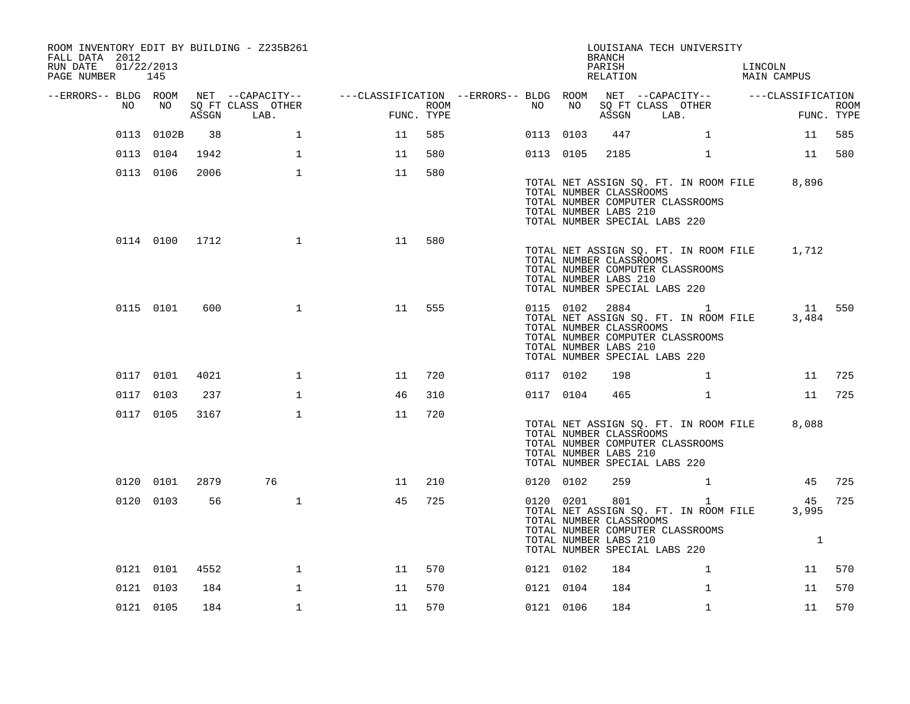| FALL DATA 2012<br>RUN DATE<br>PAGE NUMBER 145 | 01/22/2013 |            |                | ROOM INVENTORY EDIT BY BUILDING - Z235B261    |                                                                             |                    |           |    | <b>BRANCH</b><br>PARISH<br>RELATION                     | LOUISIANA TECH UNIVERSITY                                                                                                      | LINCOLN<br>MAIN CAMPUS |                           |
|-----------------------------------------------|------------|------------|----------------|-----------------------------------------------|-----------------------------------------------------------------------------|--------------------|-----------|----|---------------------------------------------------------|--------------------------------------------------------------------------------------------------------------------------------|------------------------|---------------------------|
| --ERRORS-- BLDG ROOM                          | NO         | NO         | ASSGN          | NET --CAPACITY--<br>SQ FT CLASS OTHER<br>LAB. | ---CLASSIFICATION --ERRORS-- BLDG ROOM NET --CAPACITY-- -----CLASSIFICATION | ROOM<br>FUNC. TYPE | NO        | NO | ASSGN                                                   | SQ FT CLASS OTHER<br>LAB.                                                                                                      |                        | <b>ROOM</b><br>FUNC. TYPE |
|                                               |            | 0113 0102B | 38             | $\mathbf{1}$                                  | 11                                                                          | 585                | 0113 0103 |    | 447                                                     | $\mathbf{1}$                                                                                                                   | 11                     | 585                       |
|                                               |            | 0113 0104  | 1942           | $\mathbf{1}$                                  | 11                                                                          | 580                | 0113 0105 |    | 2185                                                    | $\mathbf{1}$                                                                                                                   |                        | 11 580                    |
|                                               |            | 0113 0106  | 2006           | $\mathbf{1}$                                  | 11                                                                          | 580                |           |    |                                                         |                                                                                                                                |                        |                           |
|                                               |            |            |                |                                               |                                                                             |                    |           |    | TOTAL NUMBER CLASSROOMS<br>TOTAL NUMBER LABS 210        | TOTAL NET ASSIGN SQ. FT. IN ROOM FILE<br>TOTAL NUMBER COMPUTER CLASSROOMS<br>TOTAL NUMBER SPECIAL LABS 220                     | 8,896                  |                           |
|                                               |            |            | 0114 0100 1712 | $\mathbf{1}$                                  | 11                                                                          | 580                |           |    | TOTAL NUMBER CLASSROOMS<br>TOTAL NUMBER LABS 210        | TOTAL NET ASSIGN SQ. FT. IN ROOM FILE<br>TOTAL NUMBER COMPUTER CLASSROOMS<br>TOTAL NUMBER SPECIAL LABS 220                     | 1,712                  |                           |
|                                               |            | 0115 0101  | 600            | $\mathbf{1}$                                  | 11                                                                          | 555                |           |    | TOTAL NUMBER CLASSROOMS<br>TOTAL NUMBER LABS 210        | 0115 0102 2884 1<br>TOTAL NET ASSIGN SQ. FT. IN ROOM FILE<br>TOTAL NUMBER COMPUTER CLASSROOMS<br>TOTAL NUMBER SPECIAL LABS 220 | 3,484                  | 11 550                    |
|                                               |            | 0117 0101  | 4021           | $\mathbf{1}$                                  | 11                                                                          | 720                | 0117 0102 |    | 198                                                     | $\mathbf{1}$                                                                                                                   | 11                     | 725                       |
|                                               | 0117 0103  |            | 237            | $\mathbf{1}$                                  | 46                                                                          | 310                | 0117 0104 |    | 465                                                     | $\mathbf{1}$                                                                                                                   | 11                     | 725                       |
|                                               |            | 0117 0105  | 3167           | $\mathbf{1}$                                  | 11                                                                          | 720                |           |    | TOTAL NUMBER CLASSROOMS<br>TOTAL NUMBER LABS 210        | TOTAL NET ASSIGN SQ. FT. IN ROOM FILE<br>TOTAL NUMBER COMPUTER CLASSROOMS<br>TOTAL NUMBER SPECIAL LABS 220                     | 8,088                  |                           |
|                                               |            | 0120 0101  | 2879           | 76                                            | 11                                                                          | 210                | 0120 0102 |    | 259                                                     | $\mathbf{1}$                                                                                                                   | 45                     | 725                       |
|                                               |            | 0120 0103  | 56             | $\mathbf{1}$                                  | 45                                                                          | 725                | 0120 0201 |    | 801<br>TOTAL NUMBER CLASSROOMS<br>TOTAL NUMBER LABS 210 | $\mathbf{1}$<br>TOTAL NET ASSIGN SQ. FT. IN ROOM FILE<br>TOTAL NUMBER COMPUTER CLASSROOMS<br>TOTAL NUMBER SPECIAL LABS 220     | 45<br>3,995<br>1       | 725                       |
|                                               |            | 0121 0101  | 4552           | $\mathbf{1}$                                  | 11                                                                          | 570                | 0121 0102 |    | 184                                                     | $\mathbf{1}$                                                                                                                   | 11                     | 570                       |
|                                               | 0121 0103  |            | 184            | $\mathbf 1$                                   | 11                                                                          | 570                | 0121 0104 |    | 184                                                     | $\mathbf{1}$                                                                                                                   | 11                     | 570                       |
|                                               | 0121 0105  |            | 184            | $\mathbf{1}$                                  | 11                                                                          | 570                | 0121 0106 |    | 184                                                     | $\mathbf{1}$                                                                                                                   | 11                     | 570                       |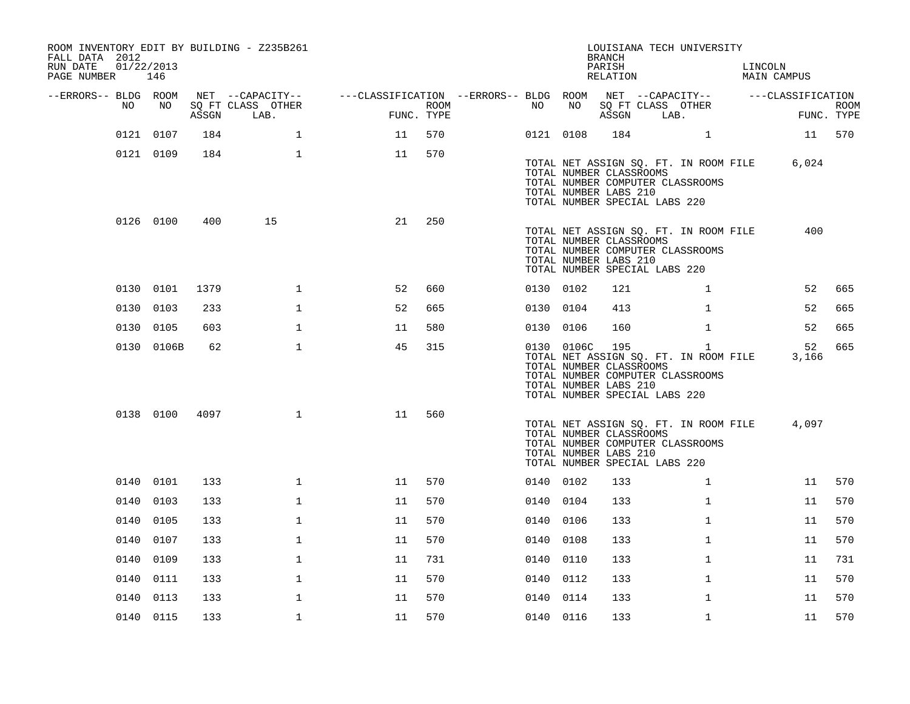| ROOM INVENTORY EDIT BY BUILDING - Z235B261<br>FALL DATA 2012<br>RUN DATE<br>PAGE NUMBER | 01/22/2013<br>146 |       |                           |                                                         |      |           |            | <b>BRANCH</b><br>PARISH<br>RELATION                                                      |      | LOUISIANA TECH UNIVERSITY                                                                 | LINCOLN | MAIN CAMPUS       |                           |
|-----------------------------------------------------------------------------------------|-------------------|-------|---------------------------|---------------------------------------------------------|------|-----------|------------|------------------------------------------------------------------------------------------|------|-------------------------------------------------------------------------------------------|---------|-------------------|---------------------------|
| --ERRORS-- BLDG ROOM<br>NO                                                              | NO                |       | NET --CAPACITY--          | ---CLASSIFICATION --ERRORS-- BLDG ROOM NET --CAPACITY-- | ROOM | NO        | NO         | SQ FT CLASS OTHER                                                                        |      |                                                                                           |         | ---CLASSIFICATION |                           |
|                                                                                         |                   | ASSGN | SQ FT CLASS OTHER<br>LAB. | FUNC. TYPE                                              |      |           |            | ASSGN                                                                                    | LAB. |                                                                                           |         |                   | <b>ROOM</b><br>FUNC. TYPE |
|                                                                                         | 0121 0107         | 184   | $\mathbf{1}$              | 11                                                      | 570  | 0121 0108 |            | 184                                                                                      |      | $\mathbf{1}$                                                                              |         |                   | 11 570                    |
|                                                                                         | 0121 0109         | 184   | $\mathbf{1}$              | 11                                                      | 570  |           |            | TOTAL NUMBER CLASSROOMS<br>TOTAL NUMBER LABS 210<br>TOTAL NUMBER SPECIAL LABS 220        |      | TOTAL NET ASSIGN SQ. FT. IN ROOM FILE<br>TOTAL NUMBER COMPUTER CLASSROOMS                 |         | 6,024             |                           |
|                                                                                         | 0126 0100         | 400   | 15                        | 21                                                      | 250  |           |            | TOTAL NUMBER CLASSROOMS<br>TOTAL NUMBER LABS 210<br>TOTAL NUMBER SPECIAL LABS 220        |      | TOTAL NET ASSIGN SQ. FT. IN ROOM FILE<br>TOTAL NUMBER COMPUTER CLASSROOMS                 |         | 400               |                           |
|                                                                                         | 0130 0101         | 1379  | $\mathbf 1$               | 52                                                      | 660  | 0130 0102 |            | 121                                                                                      |      | $\mathbf{1}$                                                                              |         | 52                | 665                       |
|                                                                                         | 0130 0103         | 233   | $\mathbf 1$               | 52                                                      | 665  | 0130 0104 |            | 413                                                                                      |      | $\mathbf{1}$                                                                              |         | 52                | 665                       |
|                                                                                         | 0130 0105         | 603   | $\mathbf 1$               | 11                                                      | 580  | 0130 0106 |            | 160                                                                                      |      | $\mathbf{1}$                                                                              |         | 52                | 665                       |
|                                                                                         | 0130 0106B        | 62    | $\mathbf{1}$              | 45                                                      | 315  |           | 0130 0106C | 195<br>TOTAL NUMBER CLASSROOMS<br>TOTAL NUMBER LABS 210<br>TOTAL NUMBER SPECIAL LABS 220 |      | $\mathbf{1}$<br>TOTAL NET ASSIGN SQ. FT. IN ROOM FILE<br>TOTAL NUMBER COMPUTER CLASSROOMS |         | 52<br>3,166       | 665                       |
|                                                                                         | 0138 0100         | 4097  | $\mathbf{1}$              | 11                                                      | 560  |           |            | TOTAL NUMBER CLASSROOMS<br>TOTAL NUMBER LABS 210<br>TOTAL NUMBER SPECIAL LABS 220        |      | TOTAL NET ASSIGN SQ. FT. IN ROOM FILE<br>TOTAL NUMBER COMPUTER CLASSROOMS                 |         | 4,097             |                           |
|                                                                                         | 0140 0101         | 133   | $\mathbf 1$               | 11                                                      | 570  | 0140 0102 |            | 133                                                                                      |      | $\mathbf{1}$                                                                              |         | 11                | 570                       |
|                                                                                         | 0140 0103         | 133   | $\mathbf{1}$              | 11                                                      | 570  | 0140 0104 |            | 133                                                                                      |      | $\mathbf{1}$                                                                              |         | 11                | 570                       |
|                                                                                         | 0140 0105         | 133   | $\mathbf 1$               | 11                                                      | 570  | 0140 0106 |            | 133                                                                                      |      | $\mathbf{1}$                                                                              |         | 11                | 570                       |
|                                                                                         | 0140 0107         | 133   | $\mathbf{1}$              | 11                                                      | 570  | 0140 0108 |            | 133                                                                                      |      | $\mathbf{1}$                                                                              |         | 11                | 570                       |
|                                                                                         | 0140 0109         | 133   | $\mathbf 1$               | 11                                                      | 731  | 0140 0110 |            | 133                                                                                      |      | $\mathbf{1}$                                                                              |         | 11                | 731                       |
|                                                                                         | 0140 0111         | 133   | $\mathbf 1$               | 11                                                      | 570  | 0140 0112 |            | 133                                                                                      |      | $\mathbf{1}$                                                                              |         | 11                | 570                       |
| 0140                                                                                    | 0113              | 133   | $\mathbf{1}$              | 11                                                      | 570  | 0140 0114 |            | 133                                                                                      |      | $\mathbf{1}$                                                                              |         | 11                | 570                       |
|                                                                                         | 0140 0115         | 133   | $\mathbf 1$               | 11                                                      | 570  | 0140 0116 |            | 133                                                                                      |      | $\mathbf{1}$                                                                              |         | 11                | 570                       |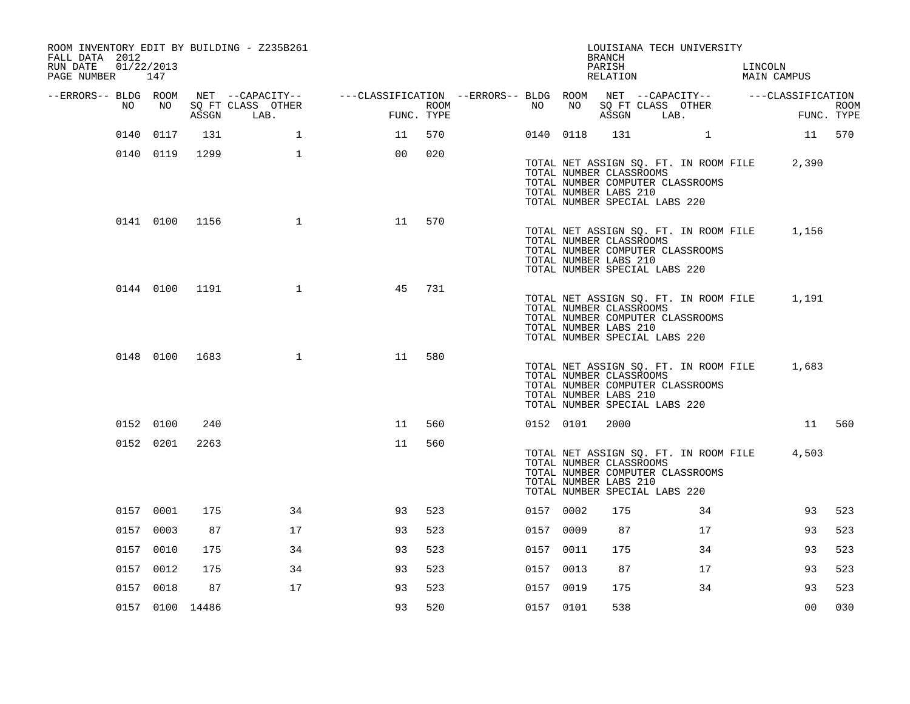| ROOM INVENTORY EDIT BY BUILDING - Z235B261<br>FALL DATA 2012<br>RUN DATE<br>PAGE NUMBER 147 | 01/22/2013      |       |                           |                                                                             |                    |           |           | <b>BRANCH</b><br>PARISH<br>RELATION                                               |      | LOUISIANA TECH UNIVERSITY                                                 | LINCOLN | MAIN CAMPUS                                 |                           |
|---------------------------------------------------------------------------------------------|-----------------|-------|---------------------------|-----------------------------------------------------------------------------|--------------------|-----------|-----------|-----------------------------------------------------------------------------------|------|---------------------------------------------------------------------------|---------|---------------------------------------------|---------------------------|
| --ERRORS-- BLDG ROOM                                                                        |                 |       | NET --CAPACITY--          | ---CLASSIFICATION --ERRORS-- BLDG ROOM NET --CAPACITY-- -----CLASSIFICATION |                    |           |           |                                                                                   |      |                                                                           |         |                                             |                           |
| NO                                                                                          | NO              | ASSGN | SQ FT CLASS OTHER<br>LAB. |                                                                             | ROOM<br>FUNC. TYPE | NO        | NO        | SQ FT CLASS OTHER<br>ASSGN                                                        | LAB. |                                                                           |         |                                             | <b>ROOM</b><br>FUNC. TYPE |
|                                                                                             | 0140 0117       | 131   | $\mathbf{1}$              | 11                                                                          | 570                |           | 0140 0118 |                                                                                   |      | $\mathbf{1}$                                                              |         | 11 570                                      |                           |
|                                                                                             | 0140 0119       | 1299  | $\mathbf{1}$              | 00                                                                          | 020                |           |           | TOTAL NUMBER CLASSROOMS<br>TOTAL NUMBER LABS 210<br>TOTAL NUMBER SPECIAL LABS 220 |      | TOTAL NET ASSIGN SQ. FT. IN ROOM FILE<br>TOTAL NUMBER COMPUTER CLASSROOMS |         | 2,390                                       |                           |
|                                                                                             | 0141 0100 1156  |       | $\mathbf{1}$              | 11                                                                          | 570                |           |           | TOTAL NUMBER CLASSROOMS<br>TOTAL NUMBER LABS 210<br>TOTAL NUMBER SPECIAL LABS 220 |      | TOTAL NUMBER COMPUTER CLASSROOMS                                          |         | TOTAL NET ASSIGN SQ. FT. IN ROOM FILE 1,156 |                           |
|                                                                                             | 0144 0100 1191  |       | 1                         | 45                                                                          | 731                |           |           | TOTAL NUMBER CLASSROOMS<br>TOTAL NUMBER LABS 210<br>TOTAL NUMBER SPECIAL LABS 220 |      | TOTAL NUMBER COMPUTER CLASSROOMS                                          |         | TOTAL NET ASSIGN SQ. FT. IN ROOM FILE 1,191 |                           |
|                                                                                             | 0148 0100 1683  |       | $\mathbf{1}$              | 11                                                                          | 580                |           |           | TOTAL NUMBER CLASSROOMS<br>TOTAL NUMBER LABS 210<br>TOTAL NUMBER SPECIAL LABS 220 |      | TOTAL NET ASSIGN SQ. FT. IN ROOM FILE<br>TOTAL NUMBER COMPUTER CLASSROOMS |         | 1,683                                       |                           |
|                                                                                             | 0152 0100       | 240   |                           | 11                                                                          | 560                |           | 0152 0101 | 2000                                                                              |      |                                                                           |         |                                             | 11 560                    |
|                                                                                             | 0152 0201       | 2263  |                           | 11                                                                          | 560                |           |           | TOTAL NUMBER CLASSROOMS<br>TOTAL NUMBER LABS 210<br>TOTAL NUMBER SPECIAL LABS 220 |      | TOTAL NUMBER COMPUTER CLASSROOMS                                          |         | TOTAL NET ASSIGN SQ. FT. IN ROOM FILE 4,503 |                           |
|                                                                                             | 0157 0001       | 175   | 34                        | 93                                                                          | 523                | 0157 0002 |           | 175                                                                               |      | 34                                                                        |         | 93                                          | 523                       |
|                                                                                             | 0157 0003       | 87    | 17                        | 93                                                                          | 523                | 0157 0009 |           | 87                                                                                |      | 17                                                                        |         | 93                                          | 523                       |
|                                                                                             | 0157 0010       | 175   | 34                        | 93                                                                          | 523                | 0157 0011 |           | 175                                                                               |      | 34                                                                        |         | 93                                          | 523                       |
|                                                                                             | 0157 0012       | 175   | 34                        | 93                                                                          | 523                | 0157 0013 |           | 87                                                                                |      | 17                                                                        |         | 93                                          | 523                       |
|                                                                                             | 0157 0018       | 87    | 17                        | 93                                                                          | 523                | 0157 0019 |           | 175                                                                               |      | 34                                                                        |         | 93                                          | 523                       |
|                                                                                             | 0157 0100 14486 |       |                           | 93                                                                          | 520                | 0157 0101 |           | 538                                                                               |      |                                                                           |         | 0 <sub>0</sub>                              | 030                       |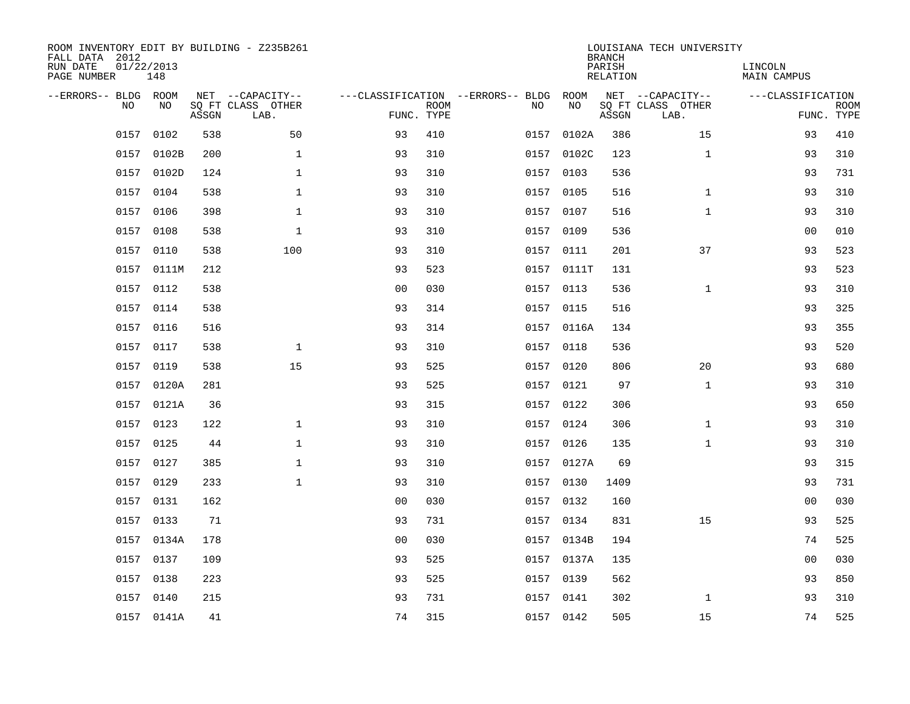| ROOM INVENTORY EDIT BY BUILDING - Z235B261<br>FALL DATA 2012<br>RUN DATE<br>PAGE NUMBER | 01/22/2013<br>148 |       |                                               |                                                 |             |      |            | <b>BRANCH</b><br>PARISH<br><b>RELATION</b> | LOUISIANA TECH UNIVERSITY                     | LINCOLN<br><b>MAIN CAMPUS</b> |                           |
|-----------------------------------------------------------------------------------------|-------------------|-------|-----------------------------------------------|-------------------------------------------------|-------------|------|------------|--------------------------------------------|-----------------------------------------------|-------------------------------|---------------------------|
| --ERRORS-- BLDG ROOM<br>NO                                                              | NO                | ASSGN | NET --CAPACITY--<br>SQ FT CLASS OTHER<br>LAB. | ---CLASSIFICATION --ERRORS-- BLDG<br>FUNC. TYPE | <b>ROOM</b> | NO   | ROOM<br>NO | ASSGN                                      | NET --CAPACITY--<br>SQ FT CLASS OTHER<br>LAB. | ---CLASSIFICATION             | <b>ROOM</b><br>FUNC. TYPE |
| 0157                                                                                    | 0102              | 538   | 50                                            | 93                                              | 410         | 0157 | 0102A      | 386                                        | 15                                            | 93                            | 410                       |
| 0157                                                                                    | 0102B             | 200   | $\mathbf 1$                                   | 93                                              | 310         | 0157 | 0102C      | 123                                        | $\mathbf{1}$                                  | 93                            | 310                       |
| 0157                                                                                    | 0102D             | 124   | $\mathbf 1$                                   | 93                                              | 310         | 0157 | 0103       | 536                                        |                                               | 93                            | 731                       |
|                                                                                         | 0157 0104         | 538   | $\mathbf 1$                                   | 93                                              | 310         |      | 0157 0105  | 516                                        | $\mathbf{1}$                                  | 93                            | 310                       |
| 0157                                                                                    | 0106              | 398   | $\mathbf{1}$                                  | 93                                              | 310         | 0157 | 0107       | 516                                        | $\mathbf{1}$                                  | 93                            | 310                       |
|                                                                                         | 0157 0108         | 538   | $\mathbf 1$                                   | 93                                              | 310         |      | 0157 0109  | 536                                        |                                               | 0 <sub>0</sub>                | 010                       |
|                                                                                         | 0157 0110         | 538   | 100                                           | 93                                              | 310         |      | 0157 0111  | 201                                        | 37                                            | 93                            | 523                       |
|                                                                                         | 0157 0111M        | 212   |                                               | 93                                              | 523         |      | 0157 0111T | 131                                        |                                               | 93                            | 523                       |
|                                                                                         | 0157 0112         | 538   |                                               | 0 <sub>0</sub>                                  | 030         |      | 0157 0113  | 536                                        | $\mathbf{1}$                                  | 93                            | 310                       |
|                                                                                         | 0157 0114         | 538   |                                               | 93                                              | 314         |      | 0157 0115  | 516                                        |                                               | 93                            | 325                       |
|                                                                                         | 0157 0116         | 516   |                                               | 93                                              | 314         |      | 0157 0116A | 134                                        |                                               | 93                            | 355                       |
|                                                                                         | 0157 0117         | 538   | $\mathbf 1$                                   | 93                                              | 310         |      | 0157 0118  | 536                                        |                                               | 93                            | 520                       |
| 0157                                                                                    | 0119              | 538   | 15                                            | 93                                              | 525         | 0157 | 0120       | 806                                        | 20                                            | 93                            | 680                       |
|                                                                                         | 0157 0120A        | 281   |                                               | 93                                              | 525         |      | 0157 0121  | 97                                         | $\mathbf{1}$                                  | 93                            | 310                       |
|                                                                                         | 0157 0121A        | 36    |                                               | 93                                              | 315         |      | 0157 0122  | 306                                        |                                               | 93                            | 650                       |
| 0157                                                                                    | 0123              | 122   | $\mathbf{1}$                                  | 93                                              | 310         |      | 0157 0124  | 306                                        | $\mathbf{1}$                                  | 93                            | 310                       |
|                                                                                         | 0157 0125         | 44    | $\mathbf{1}$                                  | 93                                              | 310         |      | 0157 0126  | 135                                        | $\mathbf{1}$                                  | 93                            | 310                       |
| 0157                                                                                    | 0127              | 385   | $\mathbf 1$                                   | 93                                              | 310         |      | 0157 0127A | 69                                         |                                               | 93                            | 315                       |
|                                                                                         | 0157 0129         | 233   | $\mathbf 1$                                   | 93                                              | 310         |      | 0157 0130  | 1409                                       |                                               | 93                            | 731                       |
| 0157                                                                                    | 0131              | 162   |                                               | 0 <sub>0</sub>                                  | 030         |      | 0157 0132  | 160                                        |                                               | 0 <sub>0</sub>                | 030                       |
|                                                                                         | 0157 0133         | 71    |                                               | 93                                              | 731         |      | 0157 0134  | 831                                        | 15                                            | 93                            | 525                       |
| 0157                                                                                    | 0134A             | 178   |                                               | 0 <sub>0</sub>                                  | 030         |      | 0157 0134B | 194                                        |                                               | 74                            | 525                       |
| 0157                                                                                    | 0137              | 109   |                                               | 93                                              | 525         |      | 0157 0137A | 135                                        |                                               | 0 <sub>0</sub>                | 030                       |
| 0157                                                                                    | 0138              | 223   |                                               | 93                                              | 525         | 0157 | 0139       | 562                                        |                                               | 93                            | 850                       |
|                                                                                         | 0157 0140         | 215   |                                               | 93                                              | 731         |      | 0157 0141  | 302                                        | $\mathbf{1}$                                  | 93                            | 310                       |
|                                                                                         | 0157 0141A        | 41    |                                               | 74                                              | 315         |      | 0157 0142  | 505                                        | 15                                            | 74                            | 525                       |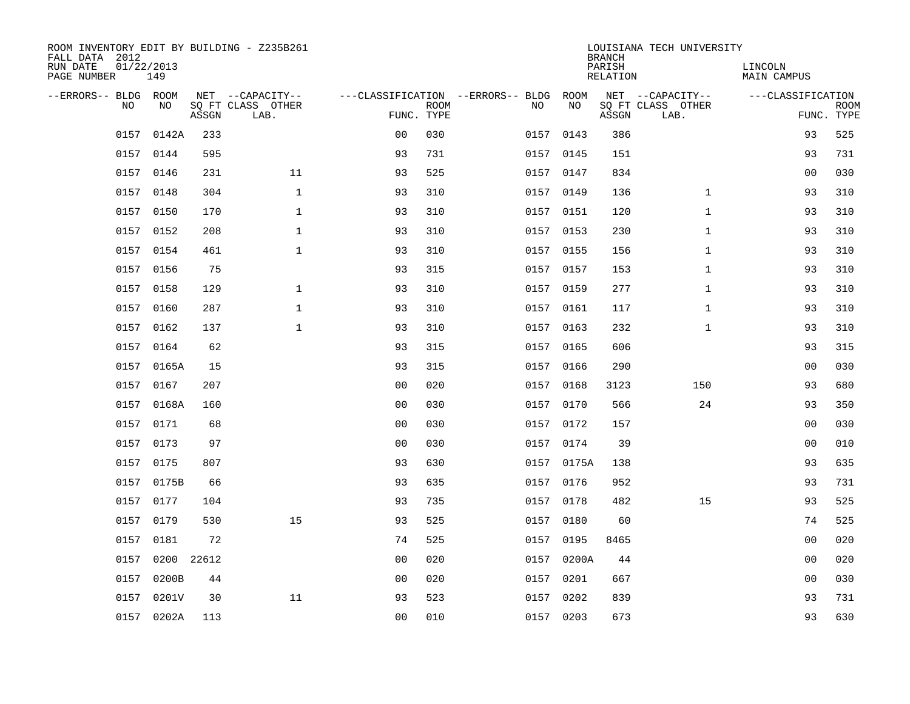| ROOM INVENTORY EDIT BY BUILDING - Z235B261<br>FALL DATA 2012 |                   |       |                           |                |             |                                        |            | <b>BRANCH</b>             | LOUISIANA TECH UNIVERSITY |                               |                           |
|--------------------------------------------------------------|-------------------|-------|---------------------------|----------------|-------------|----------------------------------------|------------|---------------------------|---------------------------|-------------------------------|---------------------------|
| RUN DATE<br>PAGE NUMBER                                      | 01/22/2013<br>149 |       |                           |                |             |                                        |            | PARISH<br><b>RELATION</b> |                           | LINCOLN<br><b>MAIN CAMPUS</b> |                           |
| --ERRORS-- BLDG ROOM                                         |                   |       | NET --CAPACITY--          |                |             | ---CLASSIFICATION --ERRORS-- BLDG ROOM |            |                           | NET --CAPACITY--          | ---CLASSIFICATION             |                           |
| N <sub>O</sub>                                               | NO.               | ASSGN | SO FT CLASS OTHER<br>LAB. | FUNC. TYPE     | <b>ROOM</b> | NO.                                    | NO         | ASSGN                     | SQ FT CLASS OTHER<br>LAB. |                               | <b>ROOM</b><br>FUNC. TYPE |
| 0157                                                         | 0142A             | 233   |                           | 0 <sub>0</sub> | 030         |                                        | 0157 0143  | 386                       |                           | 93                            | 525                       |
|                                                              | 0157 0144         | 595   |                           | 93             | 731         |                                        | 0157 0145  | 151                       |                           | 93                            | 731                       |
|                                                              | 0157 0146         | 231   | 11                        | 93             | 525         |                                        | 0157 0147  | 834                       |                           | 00                            | 030                       |
|                                                              | 0157 0148         | 304   | $\mathbf{1}$              | 93             | 310         |                                        | 0157 0149  | 136                       | $\mathbf{1}$              | 93                            | 310                       |
| 0157                                                         | 0150              | 170   | $\mathbf 1$               | 93             | 310         |                                        | 0157 0151  | 120                       | $\mathbf{1}$              | 93                            | 310                       |
|                                                              | 0157 0152         | 208   | $\mathbf{1}$              | 93             | 310         |                                        | 0157 0153  | 230                       | $\mathbf{1}$              | 93                            | 310                       |
|                                                              | 0157 0154         | 461   | $\mathbf{1}$              | 93             | 310         |                                        | 0157 0155  | 156                       | $\mathbf{1}$              | 93                            | 310                       |
|                                                              | 0157 0156         | 75    |                           | 93             | 315         |                                        | 0157 0157  | 153                       | $\mathbf{1}$              | 93                            | 310                       |
| 0157                                                         | 0158              | 129   | $\mathbf{1}$              | 93             | 310         | 0157                                   | 0159       | 277                       | $\mathbf{1}$              | 93                            | 310                       |
|                                                              | 0157 0160         | 287   | $\mathbf{1}$              | 93             | 310         |                                        | 0157 0161  | 117                       | $\mathbf{1}$              | 93                            | 310                       |
|                                                              | 0157 0162         | 137   | $\mathbf{1}$              | 93             | 310         |                                        | 0157 0163  | 232                       | $\mathbf{1}$              | 93                            | 310                       |
|                                                              | 0157 0164         | 62    |                           | 93             | 315         |                                        | 0157 0165  | 606                       |                           | 93                            | 315                       |
|                                                              | 0157 0165A        | 15    |                           | 93             | 315         | 0157                                   | 0166       | 290                       |                           | 0 <sub>0</sub>                | 030                       |
|                                                              | 0157 0167         | 207   |                           | 0 <sub>0</sub> | 020         |                                        | 0157 0168  | 3123                      | 150                       | 93                            | 680                       |
|                                                              | 0157 0168A        | 160   |                           | 0 <sub>0</sub> | 030         |                                        | 0157 0170  | 566                       | 24                        | 93                            | 350                       |
|                                                              | 0157 0171         | 68    |                           | 0 <sub>0</sub> | 030         |                                        | 0157 0172  | 157                       |                           | 0 <sub>0</sub>                | 030                       |
|                                                              | 0157 0173         | 97    |                           | 0 <sub>0</sub> | 030         |                                        | 0157 0174  | 39                        |                           | 00                            | 010                       |
|                                                              | 0157 0175         | 807   |                           | 93             | 630         |                                        | 0157 0175A | 138                       |                           | 93                            | 635                       |
|                                                              | 0157 0175B        | 66    |                           | 93             | 635         | 0157                                   | 0176       | 952                       |                           | 93                            | 731                       |
|                                                              | 0157 0177         | 104   |                           | 93             | 735         |                                        | 0157 0178  | 482                       | 15                        | 93                            | 525                       |
| 0157                                                         | 0179              | 530   | 15                        | 93             | 525         | 0157                                   | 0180       | 60                        |                           | 74                            | 525                       |
| 0157                                                         | 0181              | 72    |                           | 74             | 525         |                                        | 0157 0195  | 8465                      |                           | 0 <sub>0</sub>                | 020                       |
| 0157                                                         | 0200              | 22612 |                           | 0 <sub>0</sub> | 020         |                                        | 0157 0200A | 44                        |                           | 0 <sub>0</sub>                | 020                       |
| 0157                                                         | 0200B             | 44    |                           | 0 <sub>0</sub> | 020         |                                        | 0157 0201  | 667                       |                           | 0 <sub>0</sub>                | 030                       |
|                                                              | 0157 0201V        | 30    | 11                        | 93             | 523         |                                        | 0157 0202  | 839                       |                           | 93                            | 731                       |
|                                                              | 0157 0202A        | 113   |                           | 0 <sub>0</sub> | 010         |                                        | 0157 0203  | 673                       |                           | 93                            | 630                       |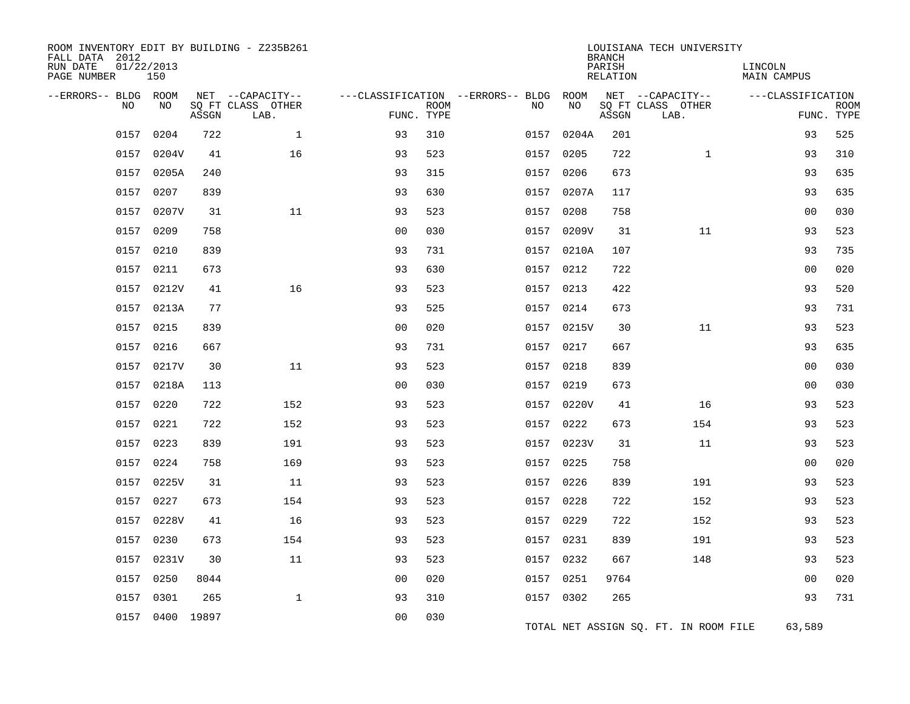| ROOM INVENTORY EDIT BY BUILDING - Z235B261<br>FALL DATA 2012<br>RUN DATE<br>PAGE NUMBER | 01/22/2013<br>150 |       |                                               |                |             |                                              |            | <b>BRANCH</b><br>PARISH<br>RELATION | LOUISIANA TECH UNIVERSITY                     | LINCOLN<br>MAIN CAMPUS |                           |
|-----------------------------------------------------------------------------------------|-------------------|-------|-----------------------------------------------|----------------|-------------|----------------------------------------------|------------|-------------------------------------|-----------------------------------------------|------------------------|---------------------------|
| --ERRORS-- BLDG ROOM<br>NO                                                              | NO                | ASSGN | NET --CAPACITY--<br>SQ FT CLASS OTHER<br>LAB. | FUNC. TYPE     | <b>ROOM</b> | ---CLASSIFICATION --ERRORS-- BLDG ROOM<br>NO | NO         | ASSGN                               | NET --CAPACITY--<br>SQ FT CLASS OTHER<br>LAB. | ---CLASSIFICATION      | <b>ROOM</b><br>FUNC. TYPE |
| 0157                                                                                    | 0204              | 722   | $\mathbf{1}$                                  | 93             | 310         | 0157                                         | 0204A      | 201                                 |                                               | 93                     | 525                       |
|                                                                                         | 0157 0204V        | 41    | 16                                            | 93             | 523         | 0157                                         | 0205       | 722                                 | $\mathbf{1}$                                  | 93                     | 310                       |
| 0157                                                                                    | 0205A             | 240   |                                               | 93             | 315         | 0157                                         | 0206       | 673                                 |                                               | 93                     | 635                       |
| 0157                                                                                    | 0207              | 839   |                                               | 93             | 630         |                                              | 0157 0207A | 117                                 |                                               | 93                     | 635                       |
| 0157                                                                                    | 0207V             | 31    | 11                                            | 93             | 523         | 0157                                         | 0208       | 758                                 |                                               | 00                     | 030                       |
| 0157                                                                                    | 0209              | 758   |                                               | 00             | 030         | 0157                                         | 0209V      | 31                                  | 11                                            | 93                     | 523                       |
|                                                                                         | 0157 0210         | 839   |                                               | 93             | 731         |                                              | 0157 0210A | 107                                 |                                               | 93                     | 735                       |
| 0157                                                                                    | 0211              | 673   |                                               | 93             | 630         | 0157                                         | 0212       | 722                                 |                                               | 0 <sub>0</sub>         | 020                       |
|                                                                                         | 0157 0212V        | 41    | 16                                            | 93             | 523         |                                              | 0157 0213  | 422                                 |                                               | 93                     | 520                       |
| 0157                                                                                    | 0213A             | 77    |                                               | 93             | 525         | 0157                                         | 0214       | 673                                 |                                               | 93                     | 731                       |
| 0157                                                                                    | 0215              | 839   |                                               | 0 <sub>0</sub> | 020         |                                              | 0157 0215V | 30                                  | 11                                            | 93                     | 523                       |
| 0157                                                                                    | 0216              | 667   |                                               | 93             | 731         |                                              | 0157 0217  | 667                                 |                                               | 93                     | 635                       |
| 0157                                                                                    | 0217V             | 30    | 11                                            | 93             | 523         | 0157                                         | 0218       | 839                                 |                                               | 0 <sub>0</sub>         | 030                       |
|                                                                                         | 0157 0218A        | 113   |                                               | 0 <sub>0</sub> | 030         |                                              | 0157 0219  | 673                                 |                                               | 0 <sub>0</sub>         | 030                       |
| 0157                                                                                    | 0220              | 722   | 152                                           | 93             | 523         | 0157                                         | 0220V      | 41                                  | 16                                            | 93                     | 523                       |
|                                                                                         | 0157 0221         | 722   | 152                                           | 93             | 523         |                                              | 0157 0222  | 673                                 | 154                                           | 93                     | 523                       |
| 0157                                                                                    | 0223              | 839   | 191                                           | 93             | 523         | 0157                                         | 0223V      | 31                                  | 11                                            | 93                     | 523                       |
| 0157                                                                                    | 0224              | 758   | 169                                           | 93             | 523         | 0157                                         | 0225       | 758                                 |                                               | 0 <sub>0</sub>         | 020                       |
|                                                                                         | 0157 0225V        | 31    | 11                                            | 93             | 523         |                                              | 0157 0226  | 839                                 | 191                                           | 93                     | 523                       |
| 0157                                                                                    | 0227              | 673   | 154                                           | 93             | 523         | 0157                                         | 0228       | 722                                 | 152                                           | 93                     | 523                       |
|                                                                                         | 0157 0228V        | 41    | 16                                            | 93             | 523         |                                              | 0157 0229  | 722                                 | 152                                           | 93                     | 523                       |
| 0157                                                                                    | 0230              | 673   | 154                                           | 93             | 523         |                                              | 0157 0231  | 839                                 | 191                                           | 93                     | 523                       |
|                                                                                         | 0157 0231V        | 30    | 11                                            | 93             | 523         |                                              | 0157 0232  | 667                                 | 148                                           | 93                     | 523                       |
| 0157                                                                                    | 0250              | 8044  |                                               | 0 <sub>0</sub> | 020         | 0157                                         | 0251       | 9764                                |                                               | 00                     | 020                       |
| 0157                                                                                    | 0301              | 265   | $\mathbf{1}$                                  | 93             | 310         |                                              | 0157 0302  | 265                                 |                                               | 93                     | 731                       |
|                                                                                         | 0157 0400 19897   |       |                                               | 0 <sub>0</sub> | 030         |                                              |            |                                     | TOTAL NET ASSIGN SQ. FT. IN ROOM FILE         | 63,589                 |                           |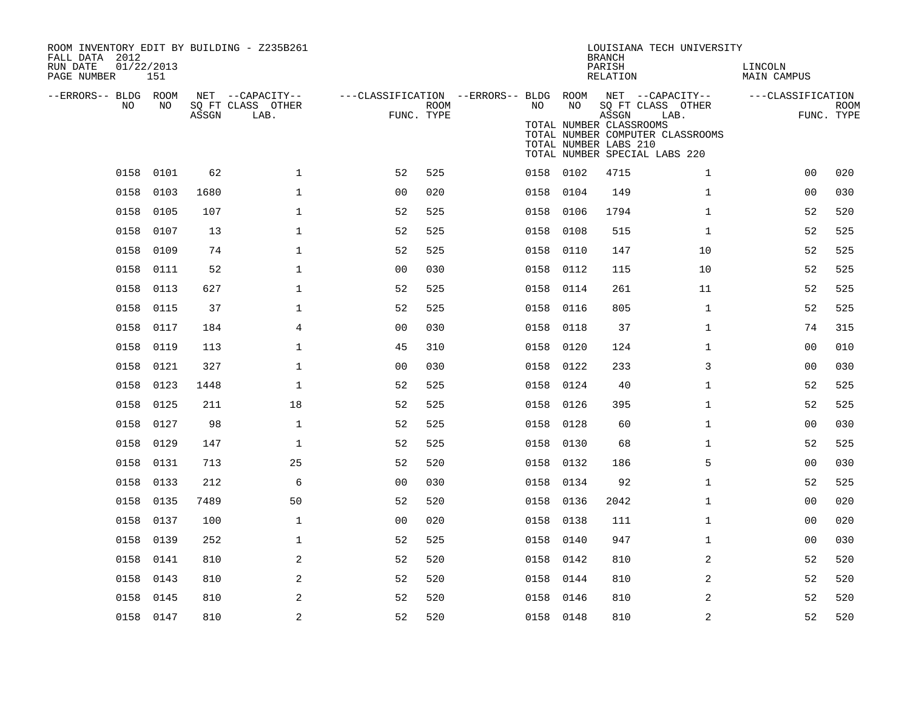| ROOM INVENTORY EDIT BY BUILDING - Z235B261<br>FALL DATA 2012<br>RUN DATE<br>PAGE NUMBER | 01/22/2013<br>151 |       |                                               |                                                      |             |           |      | <b>BRANCH</b><br>PARISH<br><b>RELATION</b>                | LOUISIANA TECH UNIVERSITY                                                                                          | LINCOLN<br><b>MAIN CAMPUS</b> |                           |
|-----------------------------------------------------------------------------------------|-------------------|-------|-----------------------------------------------|------------------------------------------------------|-------------|-----------|------|-----------------------------------------------------------|--------------------------------------------------------------------------------------------------------------------|-------------------------------|---------------------------|
| --ERRORS-- BLDG ROOM<br>NO                                                              | NO                | ASSGN | NET --CAPACITY--<br>SQ FT CLASS OTHER<br>LAB. | ---CLASSIFICATION --ERRORS-- BLDG ROOM<br>FUNC. TYPE | <b>ROOM</b> | NO.       | NO   | ASSGN<br>TOTAL NUMBER CLASSROOMS<br>TOTAL NUMBER LABS 210 | NET --CAPACITY--<br>SQ FT CLASS OTHER<br>LAB.<br>TOTAL NUMBER COMPUTER CLASSROOMS<br>TOTAL NUMBER SPECIAL LABS 220 | ---CLASSIFICATION             | <b>ROOM</b><br>FUNC. TYPE |
| 0158                                                                                    | 0101              | 62    | $\mathbf{1}$                                  | 52                                                   | 525         | 0158 0102 |      | 4715                                                      | $\mathbf{1}$                                                                                                       | 0 <sub>0</sub>                | 020                       |
| 0158                                                                                    | 0103              | 1680  | $\mathbf{1}$                                  | 0 <sub>0</sub>                                       | 020         | 0158 0104 |      | 149                                                       | $\mathbf{1}$                                                                                                       | 00                            | 030                       |
| 0158                                                                                    | 0105              | 107   | $\mathbf{1}$                                  | 52                                                   | 525         | 0158      | 0106 | 1794                                                      | $\mathbf{1}$                                                                                                       | 52                            | 520                       |
| 0158                                                                                    | 0107              | 13    | $\mathbf 1$                                   | 52                                                   | 525         | 0158 0108 |      | 515                                                       | $\mathbf{1}$                                                                                                       | 52                            | 525                       |
| 0158                                                                                    | 0109              | 74    | $\mathbf{1}$                                  | 52                                                   | 525         | 0158      | 0110 | 147                                                       | 10                                                                                                                 | 52                            | 525                       |
|                                                                                         | 0158 0111         | 52    | $\mathbf{1}$                                  | 0 <sub>0</sub>                                       | 030         | 0158 0112 |      | 115                                                       | 10                                                                                                                 | 52                            | 525                       |
| 0158                                                                                    | 0113              | 627   | $\mathbf 1$                                   | 52                                                   | 525         | 0158      | 0114 | 261                                                       | 11                                                                                                                 | 52                            | 525                       |
| 0158                                                                                    | 0115              | 37    | $\mathbf 1$                                   | 52                                                   | 525         | 0158      | 0116 | 805                                                       | $\mathbf{1}$                                                                                                       | 52                            | 525                       |
| 0158                                                                                    | 0117              | 184   | 4                                             | 0 <sub>0</sub>                                       | 030         | 0158      | 0118 | 37                                                        | $\mathbf{1}$                                                                                                       | 74                            | 315                       |
| 0158                                                                                    | 0119              | 113   | $\mathbf 1$                                   | 45                                                   | 310         | 0158      | 0120 | 124                                                       | $\mathbf{1}$                                                                                                       | 00                            | 010                       |
| 0158                                                                                    | 0121              | 327   | $\mathbf 1$                                   | 0 <sub>0</sub>                                       | 030         | 0158      | 0122 | 233                                                       | 3                                                                                                                  | 00                            | 030                       |
| 0158                                                                                    | 0123              | 1448  | $\mathbf 1$                                   | 52                                                   | 525         | 0158      | 0124 | 40                                                        | $\mathbf{1}$                                                                                                       | 52                            | 525                       |
|                                                                                         | 0158 0125         | 211   | 18                                            | 52                                                   | 525         | 0158      | 0126 | 395                                                       | $\mathbf{1}$                                                                                                       | 52                            | 525                       |
| 0158                                                                                    | 0127              | 98    | $\mathbf{1}$                                  | 52                                                   | 525         | 0158      | 0128 | 60                                                        | $\mathbf{1}$                                                                                                       | 0 <sub>0</sub>                | 030                       |
|                                                                                         | 0158 0129         | 147   | $\mathbf{1}$                                  | 52                                                   | 525         | 0158      | 0130 | 68                                                        | $\mathbf{1}$                                                                                                       | 52                            | 525                       |
| 0158                                                                                    | 0131              | 713   | 25                                            | 52                                                   | 520         | 0158      | 0132 | 186                                                       | 5                                                                                                                  | 00                            | 030                       |
| 0158                                                                                    | 0133              | 212   | 6                                             | 0 <sub>0</sub>                                       | 030         | 0158 0134 |      | 92                                                        | $\mathbf{1}$                                                                                                       | 52                            | 525                       |
| 0158                                                                                    | 0135              | 7489  | 50                                            | 52                                                   | 520         | 0158      | 0136 | 2042                                                      | $\mathbf{1}$                                                                                                       | 00                            | 020                       |
| 0158                                                                                    | 0137              | 100   | $\mathbf 1$                                   | 0 <sub>0</sub>                                       | 020         | 0158 0138 |      | 111                                                       | $\mathbf{1}$                                                                                                       | 00                            | 020                       |
| 0158                                                                                    | 0139              | 252   | $\mathbf 1$                                   | 52                                                   | 525         | 0158      | 0140 | 947                                                       | $\mathbf{1}$                                                                                                       | 0 <sub>0</sub>                | 030                       |
| 0158                                                                                    | 0141              | 810   | 2                                             | 52                                                   | 520         | 0158 0142 |      | 810                                                       | 2                                                                                                                  | 52                            | 520                       |
| 0158                                                                                    | 0143              | 810   | 2                                             | 52                                                   | 520         | 0158      | 0144 | 810                                                       | 2                                                                                                                  | 52                            | 520                       |
| 0158                                                                                    | 0145              | 810   | 2                                             | 52                                                   | 520         | 0158 0146 |      | 810                                                       | 2                                                                                                                  | 52                            | 520                       |
|                                                                                         | 0158 0147         | 810   | $\overline{a}$                                | 52                                                   | 520         | 0158 0148 |      | 810                                                       | 2                                                                                                                  | 52                            | 520                       |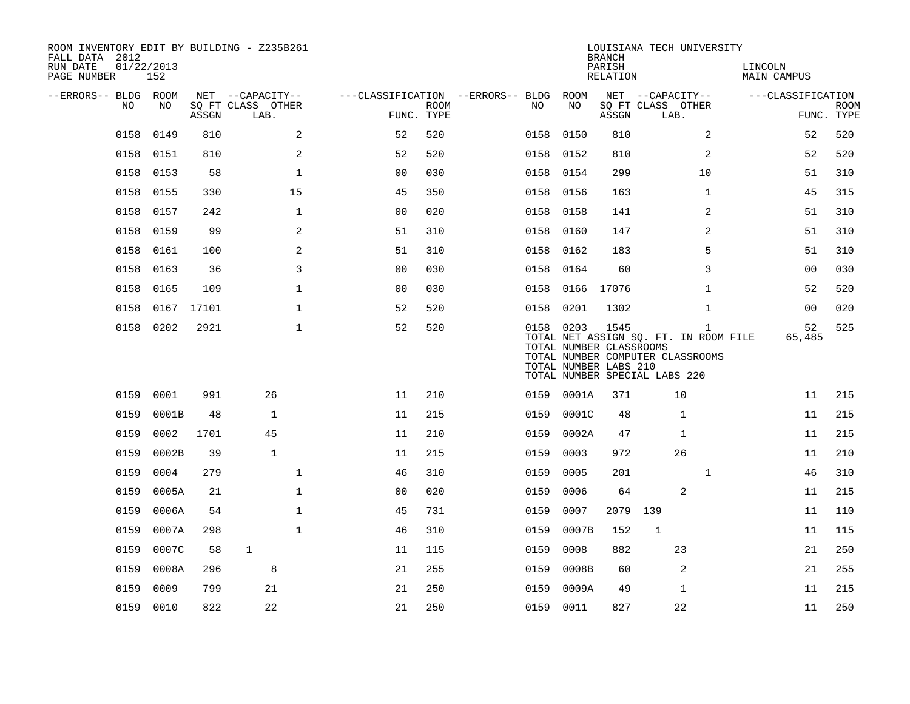| ROOM INVENTORY EDIT BY BUILDING - Z235B261<br>FALL DATA 2012<br>RUN DATE<br>PAGE NUMBER | 01/22/2013<br>152 |       |                           |                                |                           |                                        |            | <b>BRANCH</b><br>PARISH<br>RELATION                      | LOUISIANA TECH UNIVERSITY                                                                                                  | LINCOLN<br>MAIN CAMPUS |                           |
|-----------------------------------------------------------------------------------------|-------------------|-------|---------------------------|--------------------------------|---------------------------|----------------------------------------|------------|----------------------------------------------------------|----------------------------------------------------------------------------------------------------------------------------|------------------------|---------------------------|
| --ERRORS-- BLDG ROOM                                                                    |                   |       | NET --CAPACITY--          |                                |                           | ---CLASSIFICATION --ERRORS-- BLDG ROOM |            |                                                          | NET --CAPACITY--                                                                                                           | ---CLASSIFICATION      |                           |
| NO.                                                                                     | NO.               | ASSGN | SO FT CLASS OTHER<br>LAB. |                                | <b>ROOM</b><br>FUNC. TYPE | NO                                     | NO         | ASSGN                                                    | SQ FT CLASS OTHER<br>LAB.                                                                                                  |                        | <b>ROOM</b><br>FUNC. TYPE |
| 0158                                                                                    | 0149              | 810   |                           | 2<br>52                        | 520                       |                                        | 0158 0150  | 810                                                      | 2                                                                                                                          | 52                     | 520                       |
| 0158                                                                                    | 0151              | 810   |                           | 2<br>52                        | 520                       | 0158                                   | 0152       | 810                                                      | 2                                                                                                                          | 52                     | 520                       |
| 0158                                                                                    | 0153              | 58    |                           | $\mathbf 1$<br>0 <sub>0</sub>  | 030                       |                                        | 0158 0154  | 299                                                      | 10                                                                                                                         | 51                     | 310                       |
| 0158                                                                                    | 0155              | 330   | 15                        | 45                             | 350                       | 0158                                   | 0156       | 163                                                      | $\mathbf{1}$                                                                                                               | 45                     | 315                       |
| 0158                                                                                    | 0157              | 242   |                           | $\mathbf{1}$<br>0 <sub>0</sub> | 020                       |                                        | 0158 0158  | 141                                                      | 2                                                                                                                          | 51                     | 310                       |
| 0158                                                                                    | 0159              | 99    |                           | 2<br>51                        | 310                       | 0158                                   | 0160       | 147                                                      | 2                                                                                                                          | 51                     | 310                       |
| 0158                                                                                    | 0161              | 100   |                           | 2<br>51                        | 310                       |                                        | 0158 0162  | 183                                                      | 5                                                                                                                          | 51                     | 310                       |
| 0158                                                                                    | 0163              | 36    |                           | 3<br>00                        | 030                       | 0158                                   | 0164       | 60                                                       | 3                                                                                                                          | 00                     | 030                       |
| 0158                                                                                    | 0165              | 109   |                           | $\mathbf{1}$<br>0 <sub>0</sub> | 030                       | 0158                                   | 0166       | 17076                                                    | $\mathbf{1}$                                                                                                               | 52                     | 520                       |
|                                                                                         | 0158 0167 17101   |       |                           | $\mathbf 1$<br>52              | 520                       | 0158                                   | 0201       | 1302                                                     | $\mathbf{1}$                                                                                                               | 0 <sub>0</sub>         | 020                       |
|                                                                                         | 0158 0202         | 2921  |                           | $\mathbf{1}$<br>52             | 520                       |                                        | 0158 0203  | 1545<br>TOTAL NUMBER CLASSROOMS<br>TOTAL NUMBER LABS 210 | $\mathbf{1}$<br>TOTAL NET ASSIGN SQ. FT. IN ROOM FILE<br>TOTAL NUMBER COMPUTER CLASSROOMS<br>TOTAL NUMBER SPECIAL LABS 220 | 52<br>65,485           | 525                       |
| 0159                                                                                    | 0001              | 991   | 26                        | 11                             | 210                       |                                        | 0159 0001A | 371                                                      | 10                                                                                                                         | 11                     | 215                       |
| 0159                                                                                    | 0001B             | 48    | $\mathbf{1}$              | 11                             | 215                       | 0159                                   | 0001C      | 48                                                       | $\mathbf{1}$                                                                                                               | 11                     | 215                       |
| 0159                                                                                    | 0002              | 1701  | 45                        | 11                             | 210                       | 0159                                   | 0002A      | 47                                                       | $\mathbf 1$                                                                                                                | 11                     | 215                       |
| 0159                                                                                    | 0002B             | 39    | $\mathbf{1}$              | 11                             | 215                       | 0159                                   | 0003       | 972                                                      | 26                                                                                                                         | 11                     | 210                       |
| 0159                                                                                    | 0004              | 279   |                           | $\mathbf 1$<br>46              | 310                       | 0159                                   | 0005       | 201                                                      | $\mathbf{1}$                                                                                                               | 46                     | 310                       |
| 0159                                                                                    | 0005A             | 21    |                           | $\mathbf{1}$<br>0 <sub>0</sub> | 020                       | 0159                                   | 0006       | 64                                                       | 2                                                                                                                          | 11                     | 215                       |
| 0159                                                                                    | 0006A             | 54    |                           | $\mathbf{1}$<br>45             | 731                       | 0159                                   | 0007       | 2079 139                                                 |                                                                                                                            | 11                     | 110                       |
| 0159                                                                                    | 0007A             | 298   |                           | $\mathbf{1}$<br>46             | 310                       | 0159                                   | 0007B      | 152                                                      | $\mathbf{1}$                                                                                                               | 11                     | 115                       |
| 0159                                                                                    | 0007C             | 58    | $\mathbf 1$               | 11                             | 115                       | 0159                                   | 0008       | 882                                                      | 23                                                                                                                         | 21                     | 250                       |
| 0159                                                                                    | 0008A             | 296   | 8                         | 21                             | 255                       | 0159                                   | 0008B      | 60                                                       | 2                                                                                                                          | 21                     | 255                       |
| 0159                                                                                    | 0009              | 799   | 21                        | 21                             | 250                       | 0159                                   | 0009A      | 49                                                       | 1                                                                                                                          | 11                     | 215                       |
|                                                                                         | 0159 0010         | 822   | 22                        | 21                             | 250                       |                                        | 0159 0011  | 827                                                      | 22                                                                                                                         | 11                     | 250                       |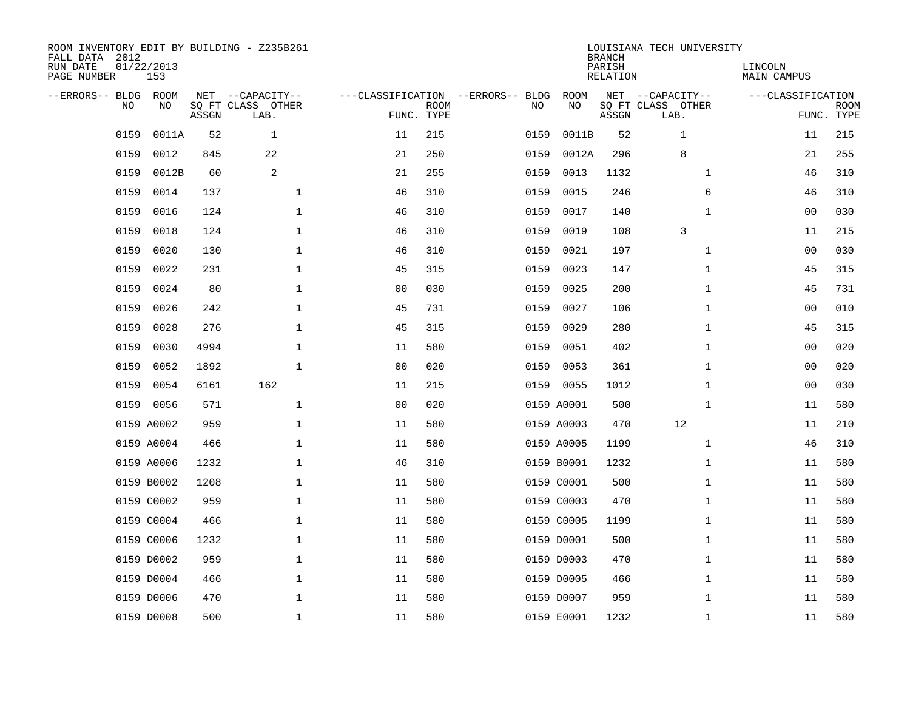| ROOM INVENTORY EDIT BY BUILDING - Z235B261<br>FALL DATA 2012<br>RUN DATE<br>PAGE NUMBER | 01/22/2013<br>153 |       |                                               |                |                           |                                         |            | <b>BRANCH</b><br>PARISH<br><b>RELATION</b> | LOUISIANA TECH UNIVERSITY                     | LINCOLN<br><b>MAIN CAMPUS</b> |                           |
|-----------------------------------------------------------------------------------------|-------------------|-------|-----------------------------------------------|----------------|---------------------------|-----------------------------------------|------------|--------------------------------------------|-----------------------------------------------|-------------------------------|---------------------------|
| --ERRORS-- BLDG ROOM<br>NO                                                              | NO                | ASSGN | NET --CAPACITY--<br>SQ FT CLASS OTHER<br>LAB. |                | <b>ROOM</b><br>FUNC. TYPE | ---CLASSIFICATION --ERRORS-- BLDG<br>NO | ROOM<br>NO | ASSGN                                      | NET --CAPACITY--<br>SQ FT CLASS OTHER<br>LAB. | ---CLASSIFICATION             | <b>ROOM</b><br>FUNC. TYPE |
| 0159                                                                                    | 0011A             | 52    | $\mathbf{1}$                                  | 11             | 215                       | 0159                                    | 0011B      | 52                                         | 1                                             | 11                            | 215                       |
| 0159                                                                                    | 0012              | 845   | 22                                            | 21             | 250                       | 0159                                    | 0012A      | 296                                        | 8                                             | 21                            | 255                       |
| 0159                                                                                    | 0012B             | 60    | 2                                             | 21             | 255                       | 0159                                    | 0013       | 1132                                       | $\mathbf{1}$                                  | 46                            | 310                       |
| 0159                                                                                    | 0014              | 137   | $\mathbf{1}$                                  | 46             | 310                       | 0159                                    | 0015       | 246                                        | 6                                             | 46                            | 310                       |
| 0159                                                                                    | 0016              | 124   | $\mathbf 1$                                   | 46             | 310                       | 0159                                    | 0017       | 140                                        | $\mathbf{1}$                                  | 00                            | 030                       |
| 0159                                                                                    | 0018              | 124   | $\mathbf 1$                                   | 46             | 310                       | 0159                                    | 0019       | 108                                        | 3                                             | 11                            | 215                       |
| 0159                                                                                    | 0020              | 130   | $\mathbf{1}$                                  | 46             | 310                       | 0159                                    | 0021       | 197                                        | $\mathbf{1}$                                  | 0 <sub>0</sub>                | 030                       |
| 0159                                                                                    | 0022              | 231   | $\mathbf{1}$                                  | 45             | 315                       | 0159                                    | 0023       | 147                                        | $\mathbf{1}$                                  | 45                            | 315                       |
| 0159                                                                                    | 0024              | 80    | $\mathbf{1}$                                  | 0 <sub>0</sub> | 030                       | 0159                                    | 0025       | 200                                        | $\mathbf{1}$                                  | 45                            | 731                       |
| 0159                                                                                    | 0026              | 242   | $\mathbf{1}$                                  | 45             | 731                       | 0159                                    | 0027       | 106                                        | $\mathbf{1}$                                  | 0 <sub>0</sub>                | 010                       |
| 0159                                                                                    | 0028              | 276   | $\mathbf 1$                                   | 45             | 315                       | 0159                                    | 0029       | 280                                        | $\mathbf{1}$                                  | 45                            | 315                       |
| 0159                                                                                    | 0030              | 4994  | $\mathbf 1$                                   | 11             | 580                       | 0159                                    | 0051       | 402                                        | $\mathbf{1}$                                  | 00                            | 020                       |
| 0159                                                                                    | 0052              | 1892  | $\mathbf{1}$                                  | 0 <sub>0</sub> | 020                       | 0159                                    | 0053       | 361                                        | $\mathbf{1}$                                  | 00                            | 020                       |
| 0159                                                                                    | 0054              | 6161  | 162                                           | 11             | 215                       |                                         | 0159 0055  | 1012                                       | $\mathbf{1}$                                  | 0 <sub>0</sub>                | 030                       |
| 0159                                                                                    | 0056              | 571   | $\mathbf 1$                                   | 0 <sub>0</sub> | 020                       |                                         | 0159 A0001 | 500                                        | $\mathbf{1}$                                  | 11                            | 580                       |
|                                                                                         | 0159 A0002        | 959   | 1                                             | 11             | 580                       |                                         | 0159 A0003 | 470                                        | 12                                            | 11                            | 210                       |
|                                                                                         | 0159 A0004        | 466   | $\mathbf 1$                                   | 11             | 580                       |                                         | 0159 A0005 | 1199                                       | $\mathbf{1}$                                  | 46                            | 310                       |
|                                                                                         | 0159 A0006        | 1232  | $\mathbf 1$                                   | 46             | 310                       |                                         | 0159 B0001 | 1232                                       | $\mathbf{1}$                                  | 11                            | 580                       |
|                                                                                         | 0159 B0002        | 1208  | $\mathbf 1$                                   | 11             | 580                       |                                         | 0159 C0001 | 500                                        | $\mathbf{1}$                                  | 11                            | 580                       |
|                                                                                         | 0159 C0002        | 959   | $\mathbf 1$                                   | 11             | 580                       |                                         | 0159 C0003 | 470                                        | $\mathbf{1}$                                  | 11                            | 580                       |
|                                                                                         | 0159 C0004        | 466   | $\mathbf 1$                                   | 11             | 580                       |                                         | 0159 C0005 | 1199                                       | $\mathbf{1}$                                  | 11                            | 580                       |
|                                                                                         | 0159 C0006        | 1232  | $\mathbf 1$                                   | 11             | 580                       |                                         | 0159 D0001 | 500                                        | $\mathbf{1}$                                  | 11                            | 580                       |
|                                                                                         | 0159 D0002        | 959   | $\mathbf{1}$                                  | 11             | 580                       |                                         | 0159 D0003 | 470                                        | $\mathbf{1}$                                  | 11                            | 580                       |
|                                                                                         | 0159 D0004        | 466   | $\mathbf 1$                                   | 11             | 580                       |                                         | 0159 D0005 | 466                                        | $\mathbf{1}$                                  | 11                            | 580                       |
|                                                                                         | 0159 D0006        | 470   | $\mathbf{1}$                                  | 11             | 580                       |                                         | 0159 D0007 | 959                                        | $\mathbf{1}$                                  | 11                            | 580                       |
|                                                                                         | 0159 D0008        | 500   | 1                                             | 11             | 580                       |                                         | 0159 E0001 | 1232                                       | $\mathbf{1}$                                  | 11                            | 580                       |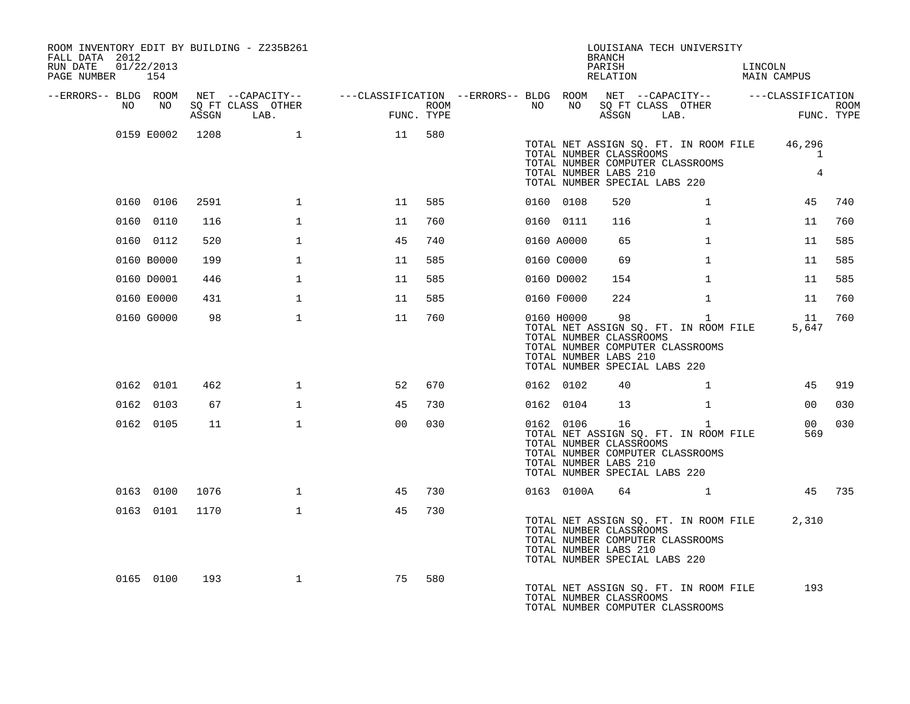| ROOM INVENTORY EDIT BY BUILDING - Z235B261<br>FALL DATA 2012<br>RUN DATE<br>PAGE NUMBER 154 | 01/22/2013 |                 |                   |                                                                                                |     |                  |    |            | BRANCH<br>PARISH<br>RELATION                                      | LOUISIANA TECH UNIVERSITY                                                                                                             | LINCOLN<br><b>MAIN CAMPUS</b> |        |
|---------------------------------------------------------------------------------------------|------------|-----------------|-------------------|------------------------------------------------------------------------------------------------|-----|------------------|----|------------|-------------------------------------------------------------------|---------------------------------------------------------------------------------------------------------------------------------------|-------------------------------|--------|
| --ERRORS-- BLDG ROOM<br>NO                                                                  | NO         |                 | SO FT CLASS OTHER | NET --CAPACITY-- - ---CLASSIFICATION --ERRORS-- BLDG ROOM NET --CAPACITY-- - ---CLASSIFICATION |     | ROOM <b>ROOM</b> | NO |            |                                                                   | NO SQ FT CLASS OTHER                                                                                                                  |                               |        |
|                                                                                             |            |                 | ASSGN LAB.        | $\begin{aligned} \mathbb{E}^{\text{IMIA}} \end{aligned}$<br>FUNC. TYPE                         |     |                  |    |            |                                                                   | ASSGN LAB.                                                                                                                            | ROOM<br>FUNC. TYPE            |        |
|                                                                                             |            | 0159 E0002 1208 |                   | 11 580                                                                                         |     |                  |    |            | TOTAL NUMBER LABS 210                                             | TOTAL NET ASSIGN SQ. FT. IN ROOM FILE<br>TOTAL NUMBER CLASSROOMS<br>TOTAL NUMBER COMPUTER CLASSROOMS<br>TOTAL NUMBER SPECIAL LABS 220 | 46,296<br>$\mathbf{1}$<br>4   |        |
|                                                                                             | 0160 0106  | 2591            | $\mathbf{1}$      | 11                                                                                             | 585 |                  |    | 0160 0108  | 520                                                               | $\mathbf{1}$                                                                                                                          | 45                            | 740    |
|                                                                                             | 0160 0110  | 116             | $\mathbf{1}$      | 11                                                                                             | 760 |                  |    | 0160 0111  | 116                                                               | $\mathbf{1}$                                                                                                                          | 11                            | 760    |
|                                                                                             | 0160 0112  | 520             | $\mathbf{1}$      | 45                                                                                             | 740 |                  |    | 0160 A0000 | 65                                                                | $\mathbf{1}$                                                                                                                          | 11                            | 585    |
|                                                                                             | 0160 B0000 | 199             | $\mathbf{1}$      | 11                                                                                             | 585 |                  |    | 0160 C0000 | 69                                                                | $\mathbf{1}$                                                                                                                          | 11                            | 585    |
|                                                                                             | 0160 D0001 | 446             | $\mathbf{1}$      | 11                                                                                             | 585 |                  |    | 0160 D0002 | 154                                                               | $\mathbf{1}$                                                                                                                          | 11                            | 585    |
|                                                                                             | 0160 E0000 | 431             | $\mathbf{1}$      | 11                                                                                             | 585 |                  |    | 0160 F0000 | 224                                                               | $\mathbf{1}$                                                                                                                          | 11                            | 760    |
|                                                                                             | 0160 G0000 | 98              | $\mathbf{1}$      | 11                                                                                             | 760 |                  |    |            | 0160 H0000 98<br>TOTAL NUMBER CLASSROOMS<br>TOTAL NUMBER LABS 210 | $\mathbf{1}$<br>TOTAL NET ASSIGN SQ. FT. IN ROOM FILE<br>TOTAL NUMBER COMPUTER CLASSROOMS<br>TOTAL NUMBER SPECIAL LABS 220            | 11<br>5,647                   | 760    |
|                                                                                             | 0162 0101  | 462             | $\mathbf{1}$      | 52                                                                                             | 670 |                  |    | 0162 0102  | 40                                                                | $\mathbf{1}$                                                                                                                          |                               | 45 919 |
|                                                                                             | 0162 0103  | 67              | $\mathbf{1}$      | 45                                                                                             | 730 |                  |    | 0162 0104  | 13                                                                | $\mathbf{1}$                                                                                                                          | 00                            | 030    |
|                                                                                             | 0162 0105  | 11              | $\mathbf{1}$      | 00                                                                                             | 030 |                  |    | 0162 0106  | TOTAL NUMBER CLASSROOMS<br>TOTAL NUMBER LABS 210                  | $\mathbf{1}$<br>TOTAL NET ASSIGN SQ. FT. IN ROOM FILE<br>TOTAL NUMBER COMPUTER CLASSROOMS<br>TOTAL NUMBER SPECIAL LABS 220            | 00 <sup>1</sup><br>569        | 030    |
|                                                                                             | 0163 0100  | 1076            | $\mathbf{1}$      | 45                                                                                             | 730 |                  |    | 0163 0100A |                                                                   | 64 1                                                                                                                                  |                               | 45 735 |
|                                                                                             | 0163 0101  | 1170            | $\mathbf{1}$      | 45                                                                                             | 730 |                  |    |            | TOTAL NUMBER CLASSROOMS<br>TOTAL NUMBER LABS 210                  | TOTAL NET ASSIGN SQ. FT. IN ROOM FILE<br>TOTAL NUMBER COMPUTER CLASSROOMS<br>TOTAL NUMBER SPECIAL LABS 220                            | 2,310                         |        |
|                                                                                             | 0165 0100  | 193             | $\mathbf{1}$      | 75                                                                                             | 580 |                  |    |            | TOTAL NUMBER CLASSROOMS                                           | TOTAL NET ASSIGN SO. FT. IN ROOM FILE<br>TOTAL NUMBER COMPUTER CLASSROOMS                                                             | 193                           |        |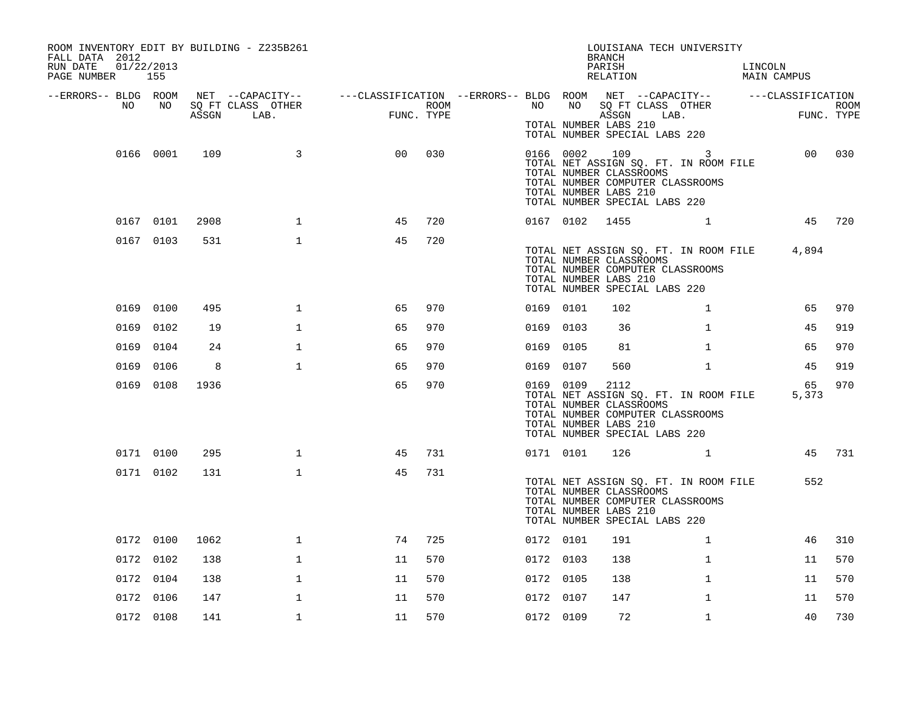| ROOM INVENTORY EDIT BY BUILDING - Z235B261<br>FALL DATA 2012<br>RUN DATE<br>01/22/2013<br>PAGE NUMBER 155 |           |       |                   |                                                                                                |            |           |           | LOUISIANA TECH UNIVERSITY<br><b>BRANCH</b><br>PARISH<br>RELATION                                                                                                                  |              | LINCOLN | MAIN CAMPUS |             |
|-----------------------------------------------------------------------------------------------------------|-----------|-------|-------------------|------------------------------------------------------------------------------------------------|------------|-----------|-----------|-----------------------------------------------------------------------------------------------------------------------------------------------------------------------------------|--------------|---------|-------------|-------------|
| --ERRORS-- BLDG ROOM<br>NO                                                                                | NO        |       | SQ FT CLASS OTHER | NET --CAPACITY-- - ---CLASSIFICATION --ERRORS-- BLDG ROOM NET --CAPACITY-- - ---CLASSIFICATION | ROOM       | NO NO     | NO        | SQ FT CLASS OTHER                                                                                                                                                                 |              |         |             | <b>ROOM</b> |
|                                                                                                           |           | ASSGN | LAB.              |                                                                                                | FUNC. TYPE |           |           | ASSGN LAB.<br>TOTAL NUMBER LABS 210<br>TOTAL NUMBER SPECIAL LABS 220                                                                                                              |              |         |             | FUNC. TYPE  |
|                                                                                                           | 0166 0001 | 109   | 3                 | 0 <sub>0</sub>                                                                                 | 030        |           |           | 0166 0002 109 3<br>TOTAL NET ASSIGN SQ. FT. IN ROOM FILE<br>TOTAL NUMBER CLASSROOMS<br>TOTAL NUMBER COMPUTER CLASSROOMS<br>TOTAL NUMBER LABS 210<br>TOTAL NUMBER SPECIAL LABS 220 |              |         |             | 00 030      |
|                                                                                                           | 0167 0101 | 2908  | $\mathbf 1$       | 45                                                                                             | 720        |           | 0167 0102 | 1455                                                                                                                                                                              | $\mathbf{1}$ |         |             | 45 720      |
|                                                                                                           | 0167 0103 | 531   | $\mathbf{1}$      | 45                                                                                             | 720        |           |           | TOTAL NET ASSIGN SQ. FT. IN ROOM FILE<br>TOTAL NUMBER CLASSROOMS<br>TOTAL NUMBER COMPUTER CLASSROOMS<br>TOTAL NUMBER LABS 210<br>TOTAL NUMBER SPECIAL LABS 220                    |              |         | 4,894       |             |
|                                                                                                           | 0169 0100 | 495   | $\mathbf{1}$      | 65                                                                                             | 970        | 0169 0101 |           | 102                                                                                                                                                                               | $\mathbf{1}$ |         | 65          | 970         |
|                                                                                                           | 0169 0102 | 19    | $\mathbf{1}$      | 65                                                                                             | 970        | 0169 0103 |           | 36                                                                                                                                                                                | $\mathbf{1}$ |         | 45          | 919         |
|                                                                                                           | 0169 0104 | 24    | $\mathbf{1}$      | 65                                                                                             | 970        | 0169 0105 |           | 81                                                                                                                                                                                | $\mathbf{1}$ |         | 65          | 970         |
| 0169                                                                                                      | 0106      | 8     | $\mathbf{1}$      | 65                                                                                             | 970        | 0169 0107 |           | 560                                                                                                                                                                               | $\mathbf{1}$ |         | 45          | 919         |
|                                                                                                           | 0169 0108 | 1936  |                   | 65                                                                                             | 970        | 0169 0109 |           | 2112<br>TOTAL NET ASSIGN SQ. FT. IN ROOM FILE<br>TOTAL NUMBER CLASSROOMS<br>TOTAL NUMBER COMPUTER CLASSROOMS<br>TOTAL NUMBER LABS 210<br>TOTAL NUMBER SPECIAL LABS 220            |              |         | 65<br>5,373 | 970         |
|                                                                                                           | 0171 0100 | 295   | $\mathbf{1}$      | 45                                                                                             | 731        |           | 0171 0101 | $126$ 1                                                                                                                                                                           |              |         |             | 45 731      |
|                                                                                                           | 0171 0102 | 131   | $\mathbf{1}$      | 45                                                                                             | 731        |           |           | TOTAL NET ASSIGN SQ. FT. IN ROOM FILE<br>TOTAL NUMBER CLASSROOMS<br>TOTAL NUMBER COMPUTER CLASSROOMS<br>TOTAL NUMBER LABS 210<br>TOTAL NUMBER SPECIAL LABS 220                    |              |         | 552         |             |
|                                                                                                           | 0172 0100 | 1062  | $\mathbf{1}$      | 74                                                                                             | 725        | 0172 0101 |           | 191                                                                                                                                                                               | $\mathbf{1}$ |         | 46          | 310         |
|                                                                                                           | 0172 0102 | 138   | $\mathbf{1}$      | 11                                                                                             | 570        | 0172 0103 |           | 138                                                                                                                                                                               | $\mathbf{1}$ |         | 11          | 570         |
|                                                                                                           | 0172 0104 | 138   | 1                 | 11                                                                                             | 570        | 0172 0105 |           | 138                                                                                                                                                                               | $\mathbf{1}$ |         | 11          | 570         |
|                                                                                                           | 0172 0106 | 147   | $\mathbf{1}$      | 11                                                                                             | 570        | 0172 0107 |           | 147                                                                                                                                                                               | $\mathbf{1}$ |         | 11          | 570         |
|                                                                                                           | 0172 0108 | 141   | $\mathbf{1}$      | 11                                                                                             | 570        | 0172 0109 |           | 72                                                                                                                                                                                | $\mathbf{1}$ |         | 40          | 730         |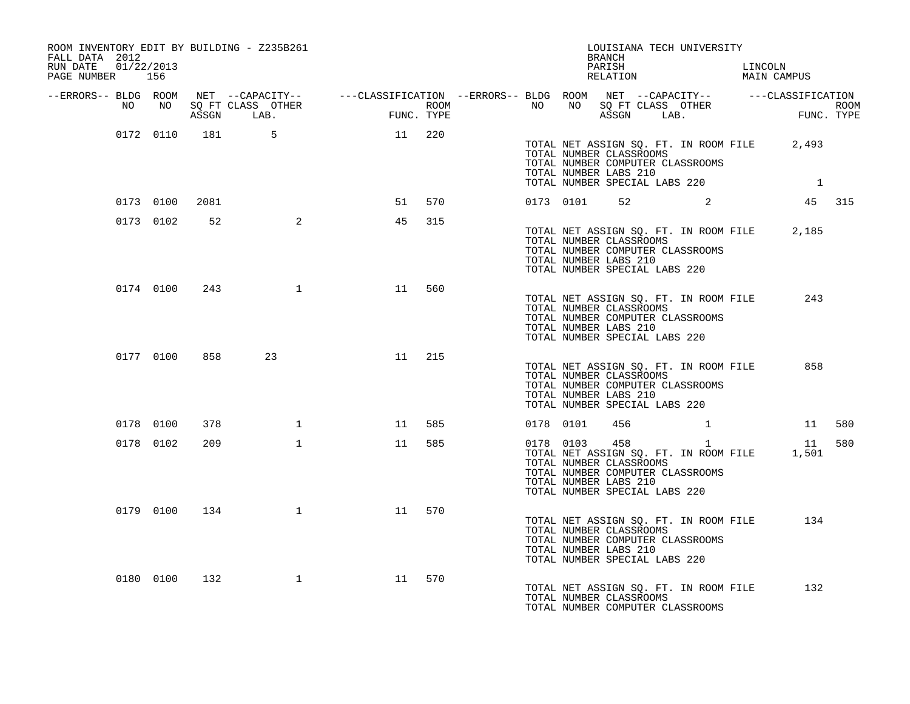| FALL DATA 2012<br>RUN DATE  01/22/2013<br>PAGE NUMBER 156 |           |                | ROOM INVENTORY EDIT BY BUILDING - Z235B261 |                                                                                                                                                                                                                                      |        |  | BRANCH                                                                            | LOUISIANA TECH UNIVERSITY                                                 | PARISH LINCOLN LINCOLN RELATION MAIN CAMPUS                                                                                                                                                     |  |
|-----------------------------------------------------------|-----------|----------------|--------------------------------------------|--------------------------------------------------------------------------------------------------------------------------------------------------------------------------------------------------------------------------------------|--------|--|-----------------------------------------------------------------------------------|---------------------------------------------------------------------------|-------------------------------------------------------------------------------------------------------------------------------------------------------------------------------------------------|--|
|                                                           |           |                |                                            | ERRORS-- BLDG ROOM NET --CAPACITY--- --CLASSIFICATION--ERRORS-- BLDG ROOM NET --CAPACITY----------CLASSIFICATION--<br>ROOM MO SQ FT CLASS OTHER ROOM NO SQ FT CLASS OTHER ROOM NO SQ FT CLASS OTHER<br>ASSGN LAB. FUNC. TYPE ASSGN A |        |  |                                                                                   |                                                                           |                                                                                                                                                                                                 |  |
|                                                           |           |                |                                            | 0172 0110 181 5 11 220                                                                                                                                                                                                               |        |  | TOTAL NUMBER LABS 210                                                             | TOTAL NUMBER CLASSROOMS<br>TOTAL NUMBER COMPUTER CLASSROOMS               | TOTAL NET ASSIGN SQ. FT. IN ROOM FILE 2,493<br>TOTAL NUMBER SPECIAL LABS 220 1                                                                                                                  |  |
|                                                           |           | 0173 0100 2081 |                                            |                                                                                                                                                                                                                                      | 51 570 |  |                                                                                   |                                                                           | 0173 0101 52 2 45 315                                                                                                                                                                           |  |
|                                                           | 0173 0102 | 52             | $\overline{a}$                             | 45                                                                                                                                                                                                                                   | 315    |  | TOTAL NUMBER CLASSROOMS<br>TOTAL NUMBER LABS 210<br>TOTAL NUMBER SPECIAL LABS 220 | TOTAL NUMBER COMPUTER CLASSROOMS                                          | TOTAL NET ASSIGN SQ. FT. IN ROOM FILE 2,185                                                                                                                                                     |  |
|                                                           | 0174 0100 | 243            |                                            | 1 1 560                                                                                                                                                                                                                              |        |  | TOTAL NUMBER CLASSROOMS<br>TOTAL NUMBER LABS 210<br>TOTAL NUMBER SPECIAL LABS 220 | TOTAL NUMBER COMPUTER CLASSROOMS                                          | TOTAL NET ASSIGN SQ. FT. IN ROOM FILE 243                                                                                                                                                       |  |
|                                                           |           |                |                                            | 0177 0100 858 23 11 215                                                                                                                                                                                                              |        |  | TOTAL NUMBER CLASSROOMS<br>TOTAL NUMBER LABS 210<br>TOTAL NUMBER SPECIAL LABS 220 | TOTAL NET ASSIGN SQ. FT. IN ROOM FILE<br>TOTAL NUMBER COMPUTER CLASSROOMS | 858                                                                                                                                                                                             |  |
|                                                           | 0178 0100 | 378            |                                            | 11 585                                                                                                                                                                                                                               |        |  | 0178 0101 456                                                                     |                                                                           | 11 580                                                                                                                                                                                          |  |
|                                                           | 0178 0102 | 209            | $\mathbf{1}$                               | 11 585                                                                                                                                                                                                                               |        |  | TOTAL NUMBER CLASSROOMS<br>TOTAL NUMBER LABS 210<br>TOTAL NUMBER SPECIAL LABS 220 | TOTAL NUMBER COMPUTER CLASSROOMS                                          | $\begin{array}{cccc} \texttt{0178} & \texttt{0103} & \texttt{458} & \texttt{1} & \texttt{11} & \texttt{580} \\ \texttt{TOTAL NET ASSIGN SQ. FT. IN ROM FILE} & \texttt{1,501} & \\ \end{array}$ |  |
|                                                           | 0179 0100 |                | 134 1                                      | 11 570                                                                                                                                                                                                                               |        |  | TOTAL NUMBER CLASSROOMS<br>TOTAL NUMBER LABS 210<br>TOTAL NUMBER SPECIAL LABS 220 | TOTAL NET ASSIGN SQ. FT. IN ROOM FILE<br>TOTAL NUMBER COMPUTER CLASSROOMS | 134                                                                                                                                                                                             |  |
|                                                           | 0180 0100 |                |                                            | 132 1 1 570                                                                                                                                                                                                                          |        |  | TOTAL NUMBER CLASSROOMS                                                           | TOTAL NUMBER COMPUTER CLASSROOMS                                          | TOTAL NET ASSIGN SQ. FT. IN ROOM FILE 132                                                                                                                                                       |  |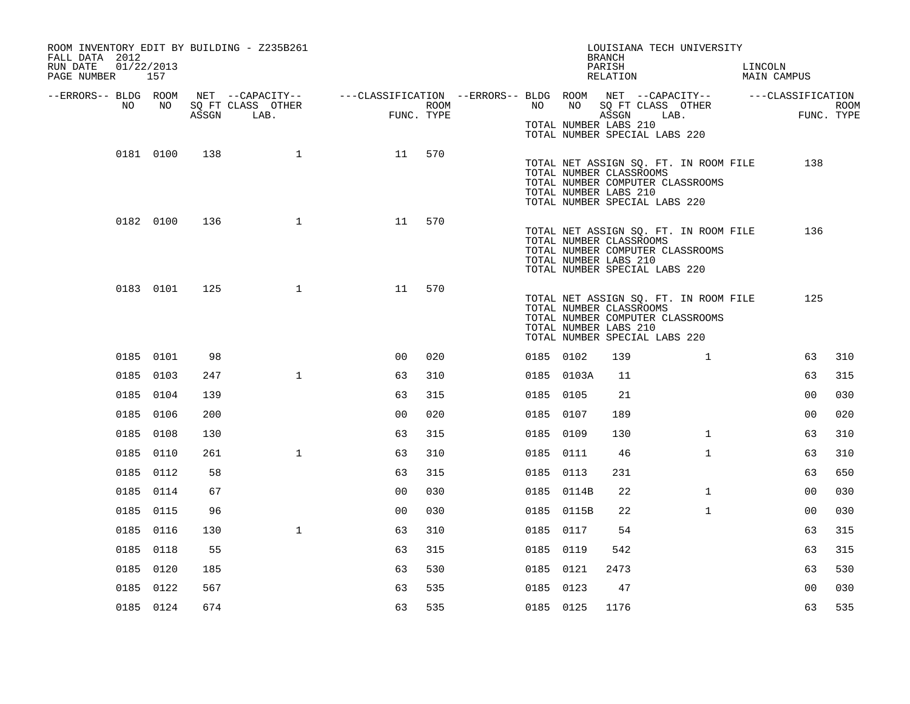| ROOM INVENTORY EDIT BY BUILDING - Z235B261<br>FALL DATA 2012<br>RUN DATE<br>01/22/2013<br>PAGE NUMBER 157 |           |       |                           |                                                                                                       |                    |           |            | LOUISIANA TECH UNIVERSITY<br><b>BRANCH</b><br>PARISH<br>RELATION                                                                                               |              | LINCOLN<br>MAIN CAMPUS |      |
|-----------------------------------------------------------------------------------------------------------|-----------|-------|---------------------------|-------------------------------------------------------------------------------------------------------|--------------------|-----------|------------|----------------------------------------------------------------------------------------------------------------------------------------------------------------|--------------|------------------------|------|
| --ERRORS-- BLDG ROOM<br>NO .                                                                              | NO        | ASSGN | SQ FT CLASS OTHER<br>LAB. | NET --CAPACITY-- - ---CLASSIFICATION --ERRORS-- BLDG ROOM NET --CAPACITY-- - ---CLASSIFICATION<br>FUN | ROOM<br>FUNC. TYPE | NO        |            | NO SQ FT CLASS OTHER<br>ASSGN LAB.                                                                                                                             |              | FUNC. TYPE             | ROOM |
|                                                                                                           |           |       |                           |                                                                                                       |                    |           |            | TOTAL NUMBER LABS 210<br>TOTAL NUMBER SPECIAL LABS 220                                                                                                         |              |                        |      |
|                                                                                                           | 0181 0100 | 138   | $\mathbf{1}$              | 11 570                                                                                                |                    |           |            | TOTAL NET ASSIGN SQ. FT. IN ROOM FILE<br>TOTAL NUMBER CLASSROOMS<br>TOTAL NUMBER COMPUTER CLASSROOMS<br>TOTAL NUMBER LABS 210<br>TOTAL NUMBER SPECIAL LABS 220 |              | 138                    |      |
|                                                                                                           | 0182 0100 | 136   | $\mathbf{1}$              | 11                                                                                                    | 570                |           |            | TOTAL NET ASSIGN SQ. FT. IN ROOM FILE<br>TOTAL NUMBER CLASSROOMS<br>TOTAL NUMBER COMPUTER CLASSROOMS<br>TOTAL NUMBER LABS 210<br>TOTAL NUMBER SPECIAL LABS 220 |              | 136                    |      |
|                                                                                                           | 0183 0101 | 125   | $\mathbf{1}$              | 11                                                                                                    | 570                |           |            | TOTAL NET ASSIGN SQ. FT. IN ROOM FILE<br>TOTAL NUMBER CLASSROOMS<br>TOTAL NUMBER COMPUTER CLASSROOMS<br>TOTAL NUMBER LABS 210<br>TOTAL NUMBER SPECIAL LABS 220 |              | 125                    |      |
|                                                                                                           | 0185 0101 | 98    |                           | 0 <sup>0</sup>                                                                                        | 020                | 0185 0102 |            | 139                                                                                                                                                            | $\mathbf{1}$ | 63                     | 310  |
|                                                                                                           | 0185 0103 | 247   | $\mathbf{1}$              | 63                                                                                                    | 310                |           | 0185 0103A | 11                                                                                                                                                             |              | 63                     | 315  |
|                                                                                                           | 0185 0104 | 139   |                           | 63                                                                                                    | 315                | 0185 0105 |            | 21                                                                                                                                                             |              | 0 <sub>0</sub>         | 030  |
|                                                                                                           | 0185 0106 | 200   |                           | 0 <sub>0</sub>                                                                                        | 020                | 0185 0107 |            | 189                                                                                                                                                            |              | 0 <sub>0</sub>         | 020  |
|                                                                                                           | 0185 0108 | 130   |                           | 63                                                                                                    | 315                | 0185 0109 |            | 130                                                                                                                                                            | $\mathbf{1}$ | 63                     | 310  |
|                                                                                                           | 0185 0110 | 261   | $\mathbf{1}$              | 63                                                                                                    | 310                | 0185 0111 |            | 46                                                                                                                                                             | $\mathbf{1}$ | 63                     | 310  |
|                                                                                                           | 0185 0112 | 58    |                           | 63                                                                                                    | 315                | 0185 0113 |            | 231                                                                                                                                                            |              | 63                     | 650  |
|                                                                                                           | 0185 0114 | 67    |                           | 0 <sub>0</sub>                                                                                        | 030                |           | 0185 0114B | 22                                                                                                                                                             | $\mathbf{1}$ | 00                     | 030  |
|                                                                                                           | 0185 0115 | 96    |                           | 0 <sub>0</sub>                                                                                        | 030                |           | 0185 0115B | 22                                                                                                                                                             | $\mathbf{1}$ | 0 <sub>0</sub>         | 030  |
|                                                                                                           | 0185 0116 | 130   | $\mathbf{1}$              | 63                                                                                                    | 310                | 0185 0117 |            | 54                                                                                                                                                             |              | 63                     | 315  |
|                                                                                                           | 0185 0118 | 55    |                           | 63                                                                                                    | 315                | 0185 0119 |            | 542                                                                                                                                                            |              | 63                     | 315  |
|                                                                                                           | 0185 0120 | 185   |                           | 63                                                                                                    | 530                | 0185 0121 |            | 2473                                                                                                                                                           |              | 63                     | 530  |
|                                                                                                           | 0185 0122 | 567   |                           | 63                                                                                                    | 535                | 0185 0123 |            | 47                                                                                                                                                             |              | 0 <sub>0</sub>         | 030  |
|                                                                                                           | 0185 0124 | 674   |                           | 63                                                                                                    | 535                | 0185 0125 |            | 1176                                                                                                                                                           |              | 63                     | 535  |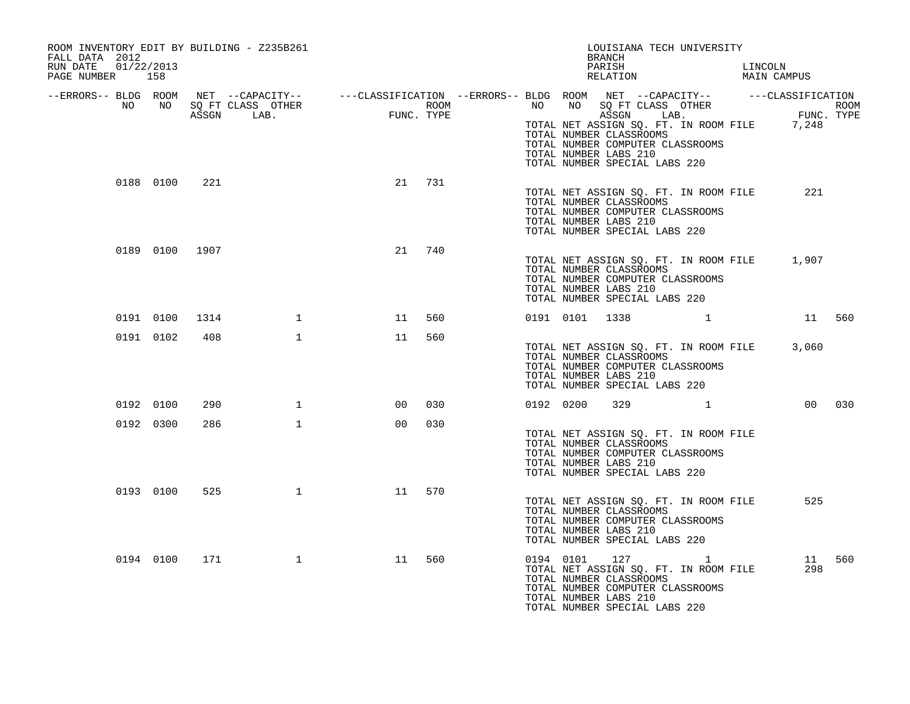| ROOM INVENTORY EDIT BY BUILDING - Z235B261<br>FALL DATA 2012<br>RUN DATE<br>01/22/2013<br>PAGE NUMBER 158 |           |                |              |                                                                                                                                                                                                                                      |     |           |           | LOUISIANA TECH UNIVERSITY<br>BRANCH<br>PARISH LINCOLN RELATION MAIN CAMPUS                                                                                            |              |                            |        |
|-----------------------------------------------------------------------------------------------------------|-----------|----------------|--------------|--------------------------------------------------------------------------------------------------------------------------------------------------------------------------------------------------------------------------------------|-----|-----------|-----------|-----------------------------------------------------------------------------------------------------------------------------------------------------------------------|--------------|----------------------------|--------|
|                                                                                                           |           |                |              | ERRORS-- BLDG ROOM NET --CAPACITY--------CLASSIFICATION--ERRORS-- BLDG ROOM NET --CAPACITY--------------------<br>NO NO SQ FT CLASS OTHER ROOM NO SQ FT CLASS OTHER ROOM NO SQ FT CLASS OTHER ROOM<br>ASSGN LAB. FUNC. TYPE PROVE AS |     |           |           | TOTAL NET ASSIGN SQ. FT. IN ROOM FILE 7,248<br>TOTAL NUMBER CLASSROOMS<br>TOTAL NUMBER COMPUTER CLASSROOMS<br>TOTAL NUMBER LABS 210<br>TOTAL NUMBER SPECIAL LABS 220  |              |                            |        |
|                                                                                                           |           | 0188 0100 221  |              | 21 731                                                                                                                                                                                                                               |     |           |           | TOTAL NET ASSIGN SQ. FT. IN ROOM FILE<br>TOTAL NUMBER CLASSROOMS<br>TOTAL NUMBER COMPUTER CLASSROOMS<br>TOTAL NUMBER LABS 210<br>TOTAL NUMBER SPECIAL LABS 220        |              | 221                        |        |
|                                                                                                           |           | 0189 0100 1907 |              | 21                                                                                                                                                                                                                                   | 740 |           |           | TOTAL NET ASSIGN SQ. FT. IN ROOM FILE 1,907<br>TOTAL NUMBER CLASSROOMS<br>TOTAL NUMBER COMPUTER CLASSROOMS<br>TOTAL NUMBER LABS 210<br>TOTAL NUMBER SPECIAL LABS 220  |              |                            |        |
|                                                                                                           | 0191 0100 | 1314           | $\sim$ 1     | 11                                                                                                                                                                                                                                   | 560 |           |           | 0191 0101 1338 1 1 560                                                                                                                                                |              |                            |        |
|                                                                                                           | 0191 0102 | 408            | 1            | 11                                                                                                                                                                                                                                   | 560 |           |           | TOTAL NET ASSIGN SQ. FT. IN ROOM FILE 3,060<br>TOTAL NUMBER CLASSROOMS<br>TOTAL NUMBER COMPUTER CLASSROOMS<br>TOTAL NUMBER LABS 210<br>TOTAL NUMBER SPECIAL LABS 220  |              |                            |        |
|                                                                                                           | 0192 0100 | 290            | $\mathbf{1}$ | 00                                                                                                                                                                                                                                   | 030 | 0192 0200 |           | 329                                                                                                                                                                   | 1            |                            | 00 030 |
|                                                                                                           | 0192 0300 | 286            | $\mathbf{1}$ | 0 <sub>0</sub>                                                                                                                                                                                                                       | 030 |           |           | TOTAL NET ASSIGN SQ. FT. IN ROOM FILE<br>TOTAL NUMBER CLASSROOMS<br>TOTAL NUMBER COMPUTER CLASSROOMS<br>TOTAL NUMBER LABS 210<br>TOTAL NUMBER SPECIAL LABS 220        |              |                            |        |
|                                                                                                           | 0193 0100 | 525            | $\mathbf{1}$ | 11                                                                                                                                                                                                                                   | 570 |           |           | TOTAL NET ASSIGN SQ. FT. IN ROOM FILE<br>TOTAL NUMBER CLASSROOMS<br>TOTAL NUMBER COMPUTER CLASSROOMS<br>TOTAL NUMBER LABS 210<br>TOTAL NUMBER SPECIAL LABS 220        |              | 525                        |        |
|                                                                                                           | 0194 0100 | 171            | $\mathbf{1}$ | 11                                                                                                                                                                                                                                   | 560 |           | 0194 0101 | 127<br>TOTAL NET ASSIGN SQ. FT. IN ROOM FILE<br>TOTAL NUMBER CLASSROOMS<br>TOTAL NUMBER COMPUTER CLASSROOMS<br>TOTAL NUMBER LABS 210<br>TOTAL NUMBER SPECIAL LABS 220 | $\mathbf{1}$ | ्ति ।<br>स्रोताः स्<br>298 | 11 560 |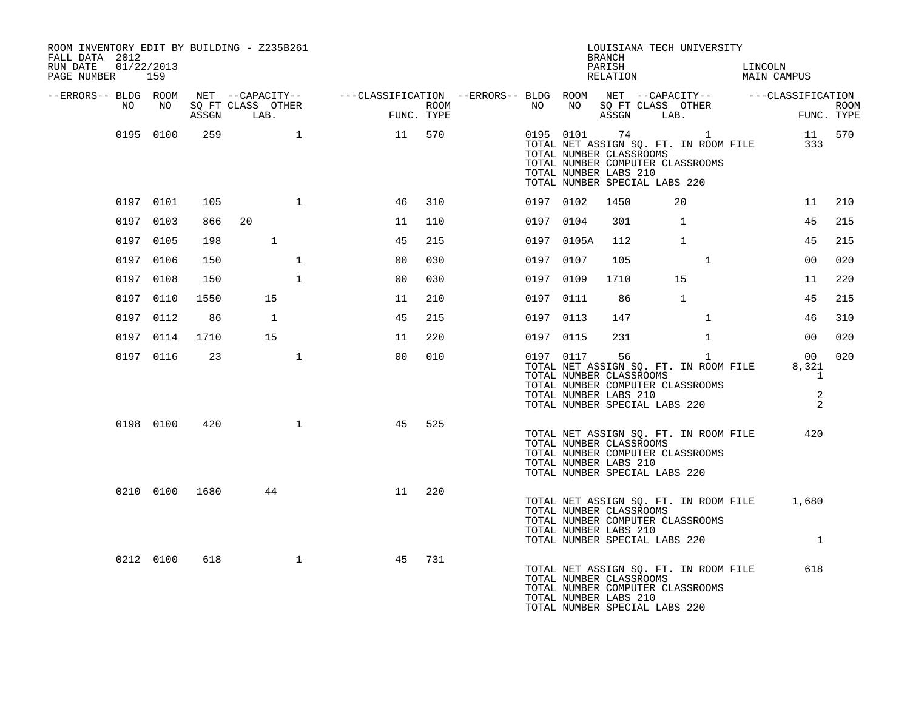| ROOM INVENTORY EDIT BY BUILDING - Z235B261<br>FALL DATA 2012<br>RUN DATE 01/22/2013<br>PAGE NUMBER 159 |           |                |                                   |              |                                                                                                                     |     |      |           |              | LOUISIANA TECH UNIVERSITY<br>BRANCH                                                                                                                            |              | PARISH LINCOLN RELATION MAIN CAMPUS                                                                                                 |                                                      |             |
|--------------------------------------------------------------------------------------------------------|-----------|----------------|-----------------------------------|--------------|---------------------------------------------------------------------------------------------------------------------|-----|------|-----------|--------------|----------------------------------------------------------------------------------------------------------------------------------------------------------------|--------------|-------------------------------------------------------------------------------------------------------------------------------------|------------------------------------------------------|-------------|
|                                                                                                        |           |                |                                   |              | --ERRORS-- BLDG ROOM NET --CAPACITY-- -----CLASSIFICATION --ERRORS-- BLDG ROOM NET --CAPACITY-- -----CLASSIFICATION |     |      |           |              |                                                                                                                                                                |              |                                                                                                                                     |                                                      |             |
| NO                                                                                                     |           |                | NO SOFT CLASS OTHER<br>ASSGN LAB. |              | $$\mathsf{FUNC}$$<br>FUNC. TYPE                                                                                     |     | ROOM |           |              | NO NO SQ FT CLASS OTHER<br>ASSGN LAB.                                                                                                                          |              | <b>FUN</b>                                                                                                                          | FUNC. TYPE                                           | <b>ROOM</b> |
|                                                                                                        | 0195 0100 | 259            |                                   |              | 11 570                                                                                                              |     |      |           |              | TOTAL NUMBER CLASSROOMS<br>TOTAL NUMBER COMPUTER CLASSROOMS<br>TOTAL NUMBER LABS 210<br>TOTAL NUMBER SPECIAL LABS 220                                          |              | $\begin{tabular}{llllll} 0195 & 0101 & 74 & 1 & 11 & 570 \\ \text{TOTAL NET ASSIGN SQ. FT. IN ROM FILE} & & & 333 \\ \end{tabular}$ |                                                      |             |
|                                                                                                        | 0197 0101 | 105            |                                   | $\mathbf{1}$ | 46                                                                                                                  | 310 |      | 0197 0102 |              | 1450                                                                                                                                                           | 20           |                                                                                                                                     | 11                                                   | 210         |
|                                                                                                        | 0197 0103 | 866            | 20                                |              | 11                                                                                                                  | 110 |      | 0197 0104 |              | 301                                                                                                                                                            | $\mathbf{1}$ |                                                                                                                                     | 45                                                   | 215         |
|                                                                                                        | 0197 0105 | 198            | $\mathbf{1}$                      |              | 45                                                                                                                  | 215 |      |           | 0197 0105A   | 112                                                                                                                                                            | 1            |                                                                                                                                     | 45                                                   | 215         |
|                                                                                                        | 0197 0106 | 150            |                                   | $\mathbf{1}$ | 0 <sup>0</sup>                                                                                                      | 030 |      | 0197 0107 |              | 105                                                                                                                                                            | $\mathbf{1}$ |                                                                                                                                     | 00                                                   | 020         |
|                                                                                                        | 0197 0108 | 150            |                                   | $\mathbf{1}$ | 0 <sup>0</sup>                                                                                                      | 030 |      | 0197 0109 |              | 1710                                                                                                                                                           | 15           |                                                                                                                                     | 11                                                   | 220         |
|                                                                                                        | 0197 0110 | 1550           | 15                                |              | 11                                                                                                                  | 210 |      | 0197 0111 |              | 86                                                                                                                                                             | <sup>1</sup> |                                                                                                                                     | 45                                                   | 215         |
|                                                                                                        | 0197 0112 | 86             | 1                                 |              | 45                                                                                                                  | 215 |      | 0197 0113 |              | 147                                                                                                                                                            | $\mathbf{1}$ |                                                                                                                                     | 46                                                   | 310         |
|                                                                                                        | 0197 0114 | 1710           | 15                                |              | 11                                                                                                                  | 220 |      | 0197 0115 |              | 231                                                                                                                                                            | $\mathbf{1}$ |                                                                                                                                     | 00                                                   | 020         |
|                                                                                                        | 0197 0116 | 23             |                                   | $\mathbf{1}$ | 0 <sub>0</sub>                                                                                                      | 010 |      |           | 0197 0117 56 | TOTAL NET ASSIGN SQ. FT. IN ROOM FILE<br>TOTAL NUMBER CLASSROOMS<br>TOTAL NUMBER COMPUTER CLASSROOMS<br>TOTAL NUMBER LABS 210<br>TOTAL NUMBER SPECIAL LABS 220 | $\mathbf{1}$ |                                                                                                                                     | 00<br>8,321<br>$\overline{1}$<br>2<br>$\overline{2}$ | 020         |
|                                                                                                        | 0198 0100 | 420            |                                   | $\mathbf{1}$ | 45                                                                                                                  | 525 |      |           |              | TOTAL NET ASSIGN SQ. FT. IN ROOM FILE<br>TOTAL NUMBER CLASSROOMS<br>TOTAL NUMBER COMPUTER CLASSROOMS<br>TOTAL NUMBER LABS 210<br>TOTAL NUMBER SPECIAL LABS 220 |              |                                                                                                                                     | 420                                                  |             |
|                                                                                                        |           | 0210 0100 1680 | 44                                |              | 11                                                                                                                  | 220 |      |           |              | TOTAL NUMBER CLASSROOMS<br>TOTAL NUMBER COMPUTER CLASSROOMS<br>TOTAL NUMBER LABS 210<br>TOTAL NUMBER SPECIAL LABS 220                                          |              | TOTAL NET ASSIGN SQ. FT. IN ROOM FILE 1,680                                                                                         | $\overline{1}$                                       |             |
|                                                                                                        | 0212 0100 | 618            |                                   | $\mathbf{1}$ | 45                                                                                                                  | 731 |      |           |              | TOTAL NUMBER CLASSROOMS<br>TOTAL NUMBER COMPUTER CLASSROOMS<br>TOTAL NUMBER LABS 210<br>TOTAL NUMBER SPECIAL LABS 220                                          |              | TOTAL NET ASSIGN SQ. FT. IN ROOM FILE                                                                                               | 618                                                  |             |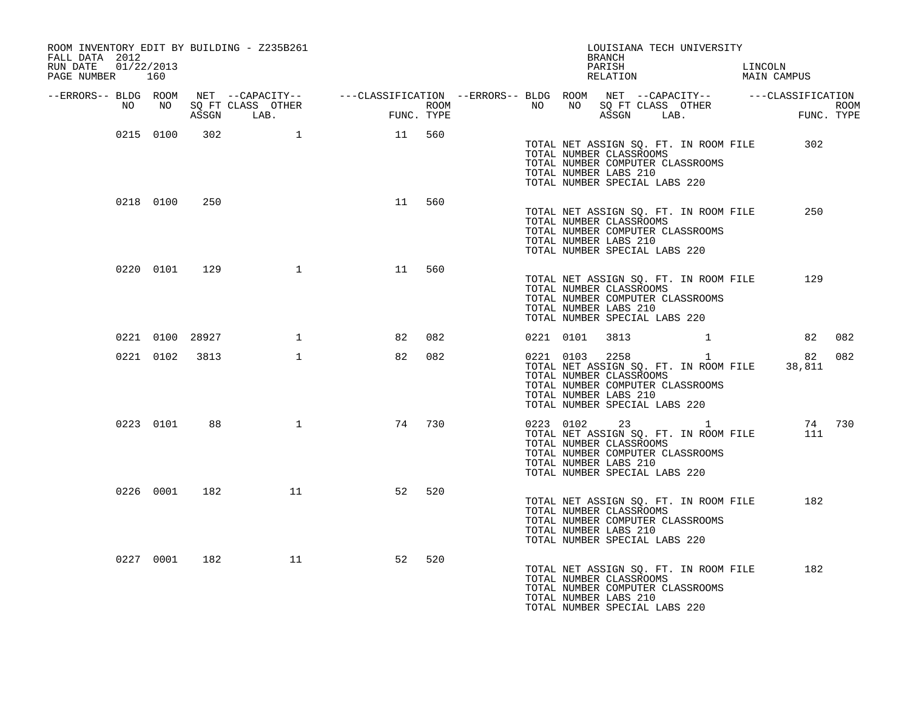| ROOM INVENTORY EDIT BY BUILDING - Z235B261<br>FALL DATA 2012<br>RUN DATE<br>01/22/2013<br>PAGE NUMBER 160 |           |                 |              |                                                                                                                                                                                                                                      |     |  |           | LOUISIANA TECH UNIVERSITY<br>BRANCH<br>PARISH LINCOLN RELATION MAIN CAMPUS                                                                                                       |                |              |        |
|-----------------------------------------------------------------------------------------------------------|-----------|-----------------|--------------|--------------------------------------------------------------------------------------------------------------------------------------------------------------------------------------------------------------------------------------|-----|--|-----------|----------------------------------------------------------------------------------------------------------------------------------------------------------------------------------|----------------|--------------|--------|
|                                                                                                           |           |                 |              | ERRORS-- BLDG ROOM NET --CAPACITY--- --CLASSIFICATION --ERRORS-- BLDG ROOM NET --CAPACITY--- ---CLASSIFICATION<br>NO NO SQ FT CLASS OTHER ROOM NO BORT CLASS OTHER ROOM NO SQ FT CLASS OTHER ROOM<br>ASSGN LAB. FUNC. TYPE ASSGN LAB |     |  |           |                                                                                                                                                                                  |                |              |        |
|                                                                                                           | 0215 0100 | 302             | $\sim$ 1     | 11 560                                                                                                                                                                                                                               |     |  |           | TOTAL NET ASSIGN SQ. FT. IN ROOM FILE<br>TOTAL NUMBER CLASSROOMS<br>TOTAL NUMBER COMPUTER CLASSROOMS<br>TOTAL NUMBER LABS 210<br>TOTAL NUMBER SPECIAL LABS 220                   |                | 302          |        |
|                                                                                                           | 0218 0100 | 250             |              | 11 560                                                                                                                                                                                                                               |     |  |           | TOTAL NET ASSIGN SQ. FT. IN ROOM FILE<br>TOTAL NUMBER CLASSROOMS<br>TOTAL NUMBER COMPUTER CLASSROOMS<br>TOTAL NUMBER LABS 210<br>TOTAL NUMBER SPECIAL LABS 220                   |                | 250          |        |
|                                                                                                           | 0220 0101 | 129             | $\mathbf{1}$ | 11                                                                                                                                                                                                                                   | 560 |  |           | TOTAL NET ASSIGN SQ. FT. IN ROOM FILE<br>TOTAL NUMBER CLASSROOMS<br>TOTAL NUMBER COMPUTER CLASSROOMS<br>TOTAL NUMBER LABS 210<br>TOTAL NUMBER SPECIAL LABS 220                   |                | 129          |        |
|                                                                                                           |           | 0221 0100 28927 | 1            | 82                                                                                                                                                                                                                                   | 082 |  |           | 0221 0101 3813 1                                                                                                                                                                 |                |              | 82 082 |
|                                                                                                           |           | 0221 0102 3813  | $\mathbf{1}$ | 82                                                                                                                                                                                                                                   | 082 |  | 0221 0103 | 2258<br>TOTAL NET ASSIGN SQ. FT. IN ROOM FILE<br>TOTAL NUMBER CLASSROOMS<br>TOTAL NUMBER COMPUTER CLASSROOMS<br>TOTAL NUMBER LABS 210<br>TOTAL NUMBER SPECIAL LABS 220           | $\overline{1}$ | 82<br>38,811 | 082    |
|                                                                                                           | 0223 0101 | 88              | $\mathbf{1}$ | 74                                                                                                                                                                                                                                   | 730 |  |           | 0223 0102 23 1<br>TOTAL NET ASSIGN SQ. FT. IN ROOM FILE<br>TOTAL NUMBER CLASSROOMS<br>TOTAL NUMBER COMPUTER CLASSROOMS<br>TOTAL NUMBER LABS 210<br>TOTAL NUMBER SPECIAL LABS 220 |                | 111          | 74 730 |
|                                                                                                           | 0226 0001 | 182             | 11           | 52                                                                                                                                                                                                                                   | 520 |  |           | TOTAL NET ASSIGN SQ. FT. IN ROOM FILE<br>TOTAL NUMBER CLASSROOMS<br>TOTAL NUMBER COMPUTER CLASSROOMS<br>TOTAL NUMBER LABS 210<br>TOTAL NUMBER SPECIAL LABS 220                   |                | 182          |        |
|                                                                                                           | 0227 0001 | 182             | 11           | 52                                                                                                                                                                                                                                   | 520 |  |           | TOTAL NET ASSIGN SQ. FT. IN ROOM FILE<br>TOTAL NUMBER CLASSROOMS<br>TOTAL NUMBER COMPUTER CLASSROOMS<br>TOTAL NUMBER LABS 210<br>TOTAL NUMBER SPECIAL LABS 220                   |                | 182          |        |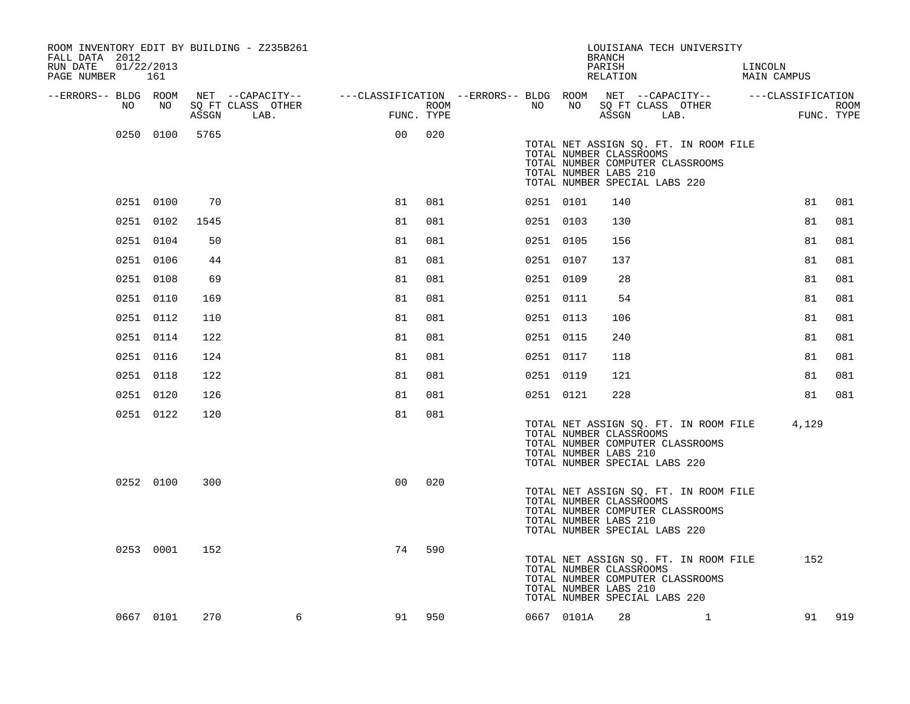| ROOM INVENTORY EDIT BY BUILDING - Z235B261<br>FALL DATA 2012<br>01/22/2013<br>RUN DATE<br>PAGE NUMBER | 161       |       |                                                                                                                             |                |      |           |                                                                                   | <b>BRANCH</b><br>PARISH<br>RELATION |            | LOUISIANA TECH UNIVERSITY                                                 | LINCOLN<br>MAIN CAMPUS |            |             |
|-------------------------------------------------------------------------------------------------------|-----------|-------|-----------------------------------------------------------------------------------------------------------------------------|----------------|------|-----------|-----------------------------------------------------------------------------------|-------------------------------------|------------|---------------------------------------------------------------------------|------------------------|------------|-------------|
| --ERRORS-- BLDG ROOM<br>NO.                                                                           | NO        | ASSGN | NET --CAPACITY-- - ---CLASSIFICATION --ERRORS-- BLDG ROOM NET --CAPACITY-- - ---CLASSIFICATION<br>SQ FT CLASS OTHER<br>LAB. | FUNC. TYPE     | ROOM | NO .      | NO                                                                                |                                     | ASSGN LAB. | SQ FT CLASS OTHER                                                         |                        | FUNC. TYPE | <b>ROOM</b> |
|                                                                                                       | 0250 0100 | 5765  |                                                                                                                             | 00             | 020  |           | TOTAL NUMBER CLASSROOMS<br>TOTAL NUMBER LABS 210<br>TOTAL NUMBER SPECIAL LABS 220 |                                     |            | TOTAL NET ASSIGN SQ. FT. IN ROOM FILE<br>TOTAL NUMBER COMPUTER CLASSROOMS |                        |            |             |
|                                                                                                       | 0251 0100 | 70    |                                                                                                                             | 81             | 081  | 0251 0101 |                                                                                   | 140                                 |            |                                                                           |                        | 81         | 081         |
|                                                                                                       | 0251 0102 | 1545  |                                                                                                                             | 81             | 081  | 0251 0103 |                                                                                   | 130                                 |            |                                                                           |                        | 81         | 081         |
|                                                                                                       | 0251 0104 | 50    |                                                                                                                             | 81             | 081  | 0251 0105 |                                                                                   | 156                                 |            |                                                                           |                        | 81         | 081         |
|                                                                                                       | 0251 0106 | 44    |                                                                                                                             | 81             | 081  | 0251 0107 |                                                                                   | 137                                 |            |                                                                           |                        | 81         | 081         |
|                                                                                                       | 0251 0108 | 69    |                                                                                                                             | 81             | 081  | 0251 0109 |                                                                                   | 28                                  |            |                                                                           |                        | 81         | 081         |
|                                                                                                       | 0251 0110 | 169   |                                                                                                                             | 81             | 081  | 0251 0111 |                                                                                   | 54                                  |            |                                                                           |                        | 81         | 081         |
|                                                                                                       | 0251 0112 | 110   |                                                                                                                             | 81             | 081  | 0251 0113 |                                                                                   | 106                                 |            |                                                                           |                        | 81         | 081         |
|                                                                                                       | 0251 0114 | 122   |                                                                                                                             | 81             | 081  | 0251 0115 |                                                                                   | 240                                 |            |                                                                           |                        | 81         | 081         |
|                                                                                                       | 0251 0116 | 124   |                                                                                                                             | 81             | 081  | 0251 0117 |                                                                                   | 118                                 |            |                                                                           |                        | 81         | 081         |
|                                                                                                       | 0251 0118 | 122   |                                                                                                                             | 81             | 081  | 0251 0119 |                                                                                   | 121                                 |            |                                                                           |                        | 81         | 081         |
|                                                                                                       | 0251 0120 | 126   |                                                                                                                             | 81             | 081  | 0251 0121 |                                                                                   | 228                                 |            |                                                                           |                        | 81         | 081         |
|                                                                                                       | 0251 0122 | 120   |                                                                                                                             | 81             | 081  |           | TOTAL NUMBER CLASSROOMS<br>TOTAL NUMBER LABS 210<br>TOTAL NUMBER SPECIAL LABS 220 |                                     |            | TOTAL NET ASSIGN SQ. FT. IN ROOM FILE<br>TOTAL NUMBER COMPUTER CLASSROOMS |                        | 4,129      |             |
|                                                                                                       | 0252 0100 | 300   |                                                                                                                             | 0 <sub>0</sub> | 020  |           | TOTAL NUMBER CLASSROOMS<br>TOTAL NUMBER LABS 210<br>TOTAL NUMBER SPECIAL LABS 220 |                                     |            | TOTAL NET ASSIGN SQ. FT. IN ROOM FILE<br>TOTAL NUMBER COMPUTER CLASSROOMS |                        |            |             |
|                                                                                                       | 0253 0001 | 152   |                                                                                                                             | 74             | 590  |           | TOTAL NUMBER CLASSROOMS<br>TOTAL NUMBER LABS 210<br>TOTAL NUMBER SPECIAL LABS 220 |                                     |            | TOTAL NET ASSIGN SQ. FT. IN ROOM FILE<br>TOTAL NUMBER COMPUTER CLASSROOMS |                        | 152        |             |
|                                                                                                       | 0667 0101 | 270   | 6                                                                                                                           | 91             | 950  |           | 0667 0101A                                                                        | 28                                  |            | $\mathbf{1}$                                                              |                        |            | 91 919      |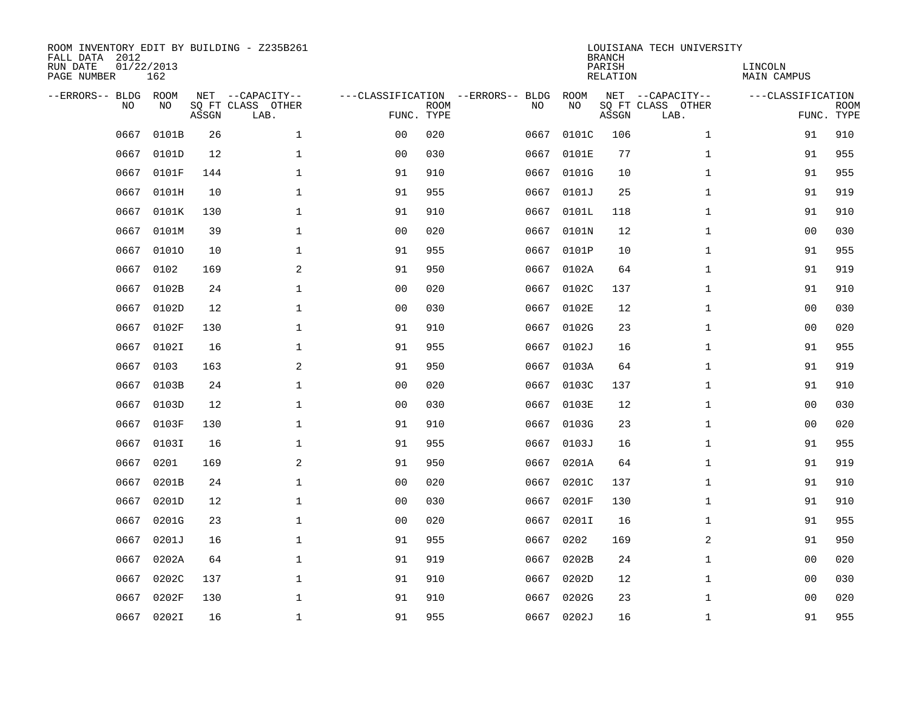| ROOM INVENTORY EDIT BY BUILDING - Z235B261<br>FALL DATA 2012<br>RUN DATE<br>PAGE NUMBER | 01/22/2013<br>162 |       |                                               |                |             |                                         |            | <b>BRANCH</b><br>PARISH<br><b>RELATION</b> | LOUISIANA TECH UNIVERSITY                     | LINCOLN<br>MAIN CAMPUS |                           |
|-----------------------------------------------------------------------------------------|-------------------|-------|-----------------------------------------------|----------------|-------------|-----------------------------------------|------------|--------------------------------------------|-----------------------------------------------|------------------------|---------------------------|
| --ERRORS-- BLDG<br>NO.                                                                  | ROOM<br>NO        | ASSGN | NET --CAPACITY--<br>SQ FT CLASS OTHER<br>LAB. | FUNC. TYPE     | <b>ROOM</b> | ---CLASSIFICATION --ERRORS-- BLDG<br>NO | ROOM<br>NO | ASSGN                                      | NET --CAPACITY--<br>SQ FT CLASS OTHER<br>LAB. | ---CLASSIFICATION      | <b>ROOM</b><br>FUNC. TYPE |
| 0667                                                                                    | 0101B             | 26    | $\mathbf{1}$                                  | 0 <sub>0</sub> | 020         | 0667                                    | 0101C      | 106                                        | $\mathbf{1}$                                  | 91                     | 910                       |
| 0667                                                                                    | 0101D             | 12    | $\mathbf 1$                                   | 0 <sub>0</sub> | 030         | 0667                                    | 0101E      | 77                                         | $\mathbf{1}$                                  | 91                     | 955                       |
| 0667                                                                                    | 0101F             | 144   | $\mathbf{1}$                                  | 91             | 910         | 0667                                    | 0101G      | 10                                         | $\mathbf{1}$                                  | 91                     | 955                       |
| 0667                                                                                    | 0101H             | 10    | $\mathbf 1$                                   | 91             | 955         | 0667                                    | 0101J      | 25                                         | $\mathbf{1}$                                  | 91                     | 919                       |
| 0667                                                                                    | 0101K             | 130   | $\mathbf 1$                                   | 91             | 910         | 0667                                    | 0101L      | 118                                        | $\mathbf{1}$                                  | 91                     | 910                       |
| 0667                                                                                    | 0101M             | 39    | $\mathbf{1}$                                  | 0 <sub>0</sub> | 020         | 0667                                    | 0101N      | 12                                         | $\mathbf{1}$                                  | 00                     | 030                       |
| 0667                                                                                    | 01010             | 10    | $\mathbf{1}$                                  | 91             | 955         | 0667                                    | 0101P      | 10                                         | $\mathbf{1}$                                  | 91                     | 955                       |
| 0667                                                                                    | 0102              | 169   | 2                                             | 91             | 950         |                                         | 0667 0102A | 64                                         | $\mathbf{1}$                                  | 91                     | 919                       |
| 0667                                                                                    | 0102B             | 24    | $\mathbf 1$                                   | 0 <sub>0</sub> | 020         | 0667                                    | 0102C      | 137                                        | $\mathbf{1}$                                  | 91                     | 910                       |
| 0667                                                                                    | 0102D             | 12    | $\mathbf 1$                                   | 0 <sub>0</sub> | 030         |                                         | 0667 0102E | 12                                         | $\mathbf{1}$                                  | 00                     | 030                       |
| 0667                                                                                    | 0102F             | 130   | $\mathbf{1}$                                  | 91             | 910         | 0667                                    | 0102G      | 23                                         | $\mathbf{1}$                                  | 0 <sub>0</sub>         | 020                       |
| 0667                                                                                    | 0102I             | 16    | $\mathbf 1$                                   | 91             | 955         |                                         | 0667 0102J | 16                                         | $\mathbf{1}$                                  | 91                     | 955                       |
| 0667                                                                                    | 0103              | 163   | 2                                             | 91             | 950         | 0667                                    | 0103A      | 64                                         | $\mathbf{1}$                                  | 91                     | 919                       |
| 0667                                                                                    | 0103B             | 24    | $\mathbf{1}$                                  | 00             | 020         | 0667                                    | 0103C      | 137                                        | $\mathbf{1}$                                  | 91                     | 910                       |
| 0667                                                                                    | 0103D             | 12    | 1                                             | 0 <sub>0</sub> | 030         | 0667                                    | 0103E      | 12                                         | $\mathbf{1}$                                  | 00                     | 030                       |
| 0667                                                                                    | 0103F             | 130   | $\mathbf 1$                                   | 91             | 910         | 0667                                    | 0103G      | 23                                         | $\mathbf{1}$                                  | 00                     | 020                       |
| 0667                                                                                    | 0103I             | 16    | $\mathbf 1$                                   | 91             | 955         | 0667                                    | 0103J      | 16                                         | $\mathbf{1}$                                  | 91                     | 955                       |
| 0667                                                                                    | 0201              | 169   | 2                                             | 91             | 950         | 0667                                    | 0201A      | 64                                         | $\mathbf{1}$                                  | 91                     | 919                       |
| 0667                                                                                    | 0201B             | 24    | $\mathbf{1}$                                  | 0 <sub>0</sub> | 020         | 0667                                    | 0201C      | 137                                        | $\mathbf{1}$                                  | 91                     | 910                       |
| 0667                                                                                    | 0201D             | 12    | $\mathbf 1$                                   | 0 <sub>0</sub> | 030         | 0667                                    | 0201F      | 130                                        | $\mathbf{1}$                                  | 91                     | 910                       |
| 0667                                                                                    | 0201G             | 23    | $\mathbf{1}$                                  | 0 <sub>0</sub> | 020         | 0667                                    | 0201I      | 16                                         | $\mathbf{1}$                                  | 91                     | 955                       |
| 0667                                                                                    | 0201J             | 16    | $\mathbf{1}$                                  | 91             | 955         | 0667                                    | 0202       | 169                                        | 2                                             | 91                     | 950                       |
| 0667                                                                                    | 0202A             | 64    | $\mathbf{1}$                                  | 91             | 919         | 0667                                    | 0202B      | 24                                         | $\mathbf{1}$                                  | 0 <sub>0</sub>         | 020                       |
| 0667                                                                                    | 0202C             | 137   | $\mathbf 1$                                   | 91             | 910         | 0667                                    | 0202D      | 12                                         | $\mathbf{1}$                                  | 0 <sub>0</sub>         | 030                       |
| 0667                                                                                    | 0202F             | 130   | $\mathbf 1$                                   | 91             | 910         | 0667                                    | 0202G      | 23                                         | $\mathbf{1}$                                  | 0 <sub>0</sub>         | 020                       |
|                                                                                         | 0667 0202I        | 16    | $\mathbf 1$                                   | 91             | 955         |                                         | 0667 0202J | 16                                         | $\mathbf{1}$                                  | 91                     | 955                       |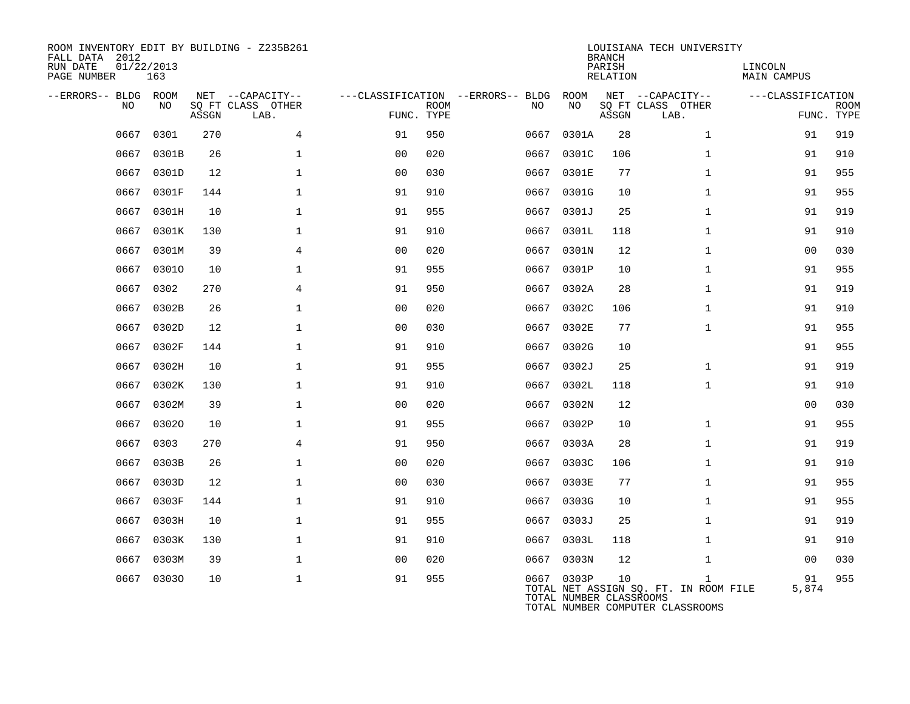| ROOM INVENTORY EDIT BY BUILDING - Z235B261<br>FALL DATA 2012<br>RUN DATE<br>PAGE NUMBER | 01/22/2013<br>163 |           |                                               |                |             |                                         |                                       | <b>BRANCH</b><br>PARISH<br><b>RELATION</b> | LOUISIANA TECH UNIVERSITY                                                                 | LINCOLN<br><b>MAIN CAMPUS</b> |                           |
|-----------------------------------------------------------------------------------------|-------------------|-----------|-----------------------------------------------|----------------|-------------|-----------------------------------------|---------------------------------------|--------------------------------------------|-------------------------------------------------------------------------------------------|-------------------------------|---------------------------|
| --ERRORS-- BLDG ROOM<br>NO.                                                             | NO                | ASSGN     | NET --CAPACITY--<br>SQ FT CLASS OTHER<br>LAB. | FUNC. TYPE     | <b>ROOM</b> | ---CLASSIFICATION --ERRORS-- BLDG<br>NO | ROOM<br>NΟ                            | ASSGN                                      | NET --CAPACITY--<br>SQ FT CLASS OTHER<br>LAB.                                             | ---CLASSIFICATION             | <b>ROOM</b><br>FUNC. TYPE |
|                                                                                         |                   |           |                                               |                |             |                                         |                                       |                                            |                                                                                           |                               |                           |
| 0667                                                                                    | 0301              | 270       | 4                                             | 91             | 950         | 0667                                    | 0301A                                 | 28                                         | $\mathbf{1}$                                                                              | 91                            | 919                       |
| 0667                                                                                    | 0301B             | 26        | 1                                             | 00             | 020         | 0667                                    | 0301C                                 | 106                                        | $\mathbf{1}$                                                                              | 91                            | 910                       |
|                                                                                         | 0667 0301D        | 12        | $\mathbf 1$                                   | 0 <sub>0</sub> | 030         |                                         | 0667 0301E                            | 77                                         | $\mathbf{1}$                                                                              | 91                            | 955                       |
| 0667                                                                                    | 0301F             | 144       | $\mathbf 1$                                   | 91             | 910         | 0667                                    | 0301G                                 | 10                                         | $\mathbf{1}$                                                                              | 91                            | 955                       |
| 0667                                                                                    | 0301H             | 10        | $\mathbf{1}$                                  | 91             | 955         |                                         | 0667 0301J                            | 25                                         | $\mathbf{1}$                                                                              | 91                            | 919                       |
| 0667                                                                                    | 0301K             | 130       | $\mathbf{1}$                                  | 91             | 910         | 0667                                    | 0301L                                 | 118                                        | $\mathbf{1}$                                                                              | 91                            | 910                       |
| 0667                                                                                    | 0301M             | 39        | 4                                             | 0 <sub>0</sub> | 020         | 0667                                    | 0301N                                 | 12                                         | $\mathbf{1}$                                                                              | 0 <sub>0</sub>                | 030                       |
| 0667<br>0667                                                                            | 03010<br>0302     | 10<br>270 | $\mathbf{1}$<br>$\overline{4}$                | 91             | 955         | 0667                                    | 0301P                                 | 10                                         | $\mathbf{1}$<br>$\mathbf{1}$                                                              | 91                            | 955<br>919                |
|                                                                                         |                   |           |                                               | 91             | 950         | 0667                                    | 0302A                                 | 28                                         |                                                                                           | 91                            |                           |
| 0667                                                                                    | 0302B             | 26        | $\mathbf 1$                                   | 0 <sub>0</sub> | 020         | 0667                                    | 0302C                                 | 106                                        | $\mathbf{1}$                                                                              | 91                            | 910                       |
| 0667                                                                                    | 0302D             | 12        | $\mathbf 1$                                   | 0 <sub>0</sub> | 030         |                                         | 0667 0302E                            | 77                                         | $\mathbf{1}$                                                                              | 91                            | 955                       |
| 0667<br>0667                                                                            | 0302F             | 144<br>10 | $\mathbf{1}$<br>$\mathbf{1}$                  | 91<br>91       | 910<br>955  | 0667                                    | 0302G<br>0302J                        | 10<br>25                                   | $\mathbf{1}$                                                                              | 91                            | 955                       |
| 0667                                                                                    | 0302H<br>0302K    | 130       | $\mathbf{1}$                                  | 91             | 910         | 0667<br>0667                            | 0302L                                 | 118                                        | $\mathbf{1}$                                                                              | 91<br>91                      | 919<br>910                |
| 0667                                                                                    |                   | 39        | $\mathbf{1}$                                  | 0 <sub>0</sub> | 020         | 0667                                    | 0302N                                 | 12                                         |                                                                                           | 0 <sub>0</sub>                | 030                       |
|                                                                                         | 0302M             |           |                                               |                |             |                                         |                                       |                                            |                                                                                           |                               |                           |
| 0667                                                                                    | 03020             | 10        | $\mathbf 1$                                   | 91             | 955         | 0667                                    | 0302P                                 | 10                                         | $\mathbf{1}$                                                                              | 91                            | 955                       |
| 0667                                                                                    | 0303              | 270       | 4                                             | 91             | 950         | 0667                                    | 0303A                                 | 28                                         | $\mathbf{1}$                                                                              | 91                            | 919                       |
|                                                                                         | 0667 0303B        | 26        | $\mathbf 1$                                   | 0 <sub>0</sub> | 020         |                                         | 0667 0303C                            | 106                                        | $\mathbf{1}$                                                                              | 91                            | 910                       |
| 0667                                                                                    | 0303D             | 12        | $\mathbf 1$                                   | 0 <sub>0</sub> | 030         | 0667                                    | 0303E                                 | 77                                         | $\mathbf{1}$                                                                              | 91                            | 955                       |
| 0667<br>0667                                                                            | 0303F             | 144<br>10 | $\mathbf 1$<br>$\mathbf{1}$                   | 91<br>91       | 910<br>955  |                                         | 0667 0303G                            | 10<br>25                                   | $\mathbf{1}$<br>$\mathbf{1}$                                                              | 91<br>91                      | 955                       |
|                                                                                         | 0303H             |           | $\mathbf{1}$                                  |                |             | 0667                                    | 0303J                                 |                                            |                                                                                           |                               | 919                       |
| 0667                                                                                    | 0303K             | 130       |                                               | 91             | 910         | 0667                                    | 0303L                                 | 118                                        | $\mathbf{1}$                                                                              | 91                            | 910                       |
| 0667                                                                                    | 0303M             | 39        | $\mathbf{1}$                                  | 00             | 020         | 0667                                    | 0303N                                 | 12                                         | $\mathbf{1}$                                                                              | 00                            | 030                       |
| 0667                                                                                    | 03030             | 10        | $\mathbf{1}$                                  | 91             | 955         |                                         | 0667 0303P<br>TOTAL NUMBER CLASSROOMS | 10                                         | $\mathbf{1}$<br>TOTAL NET ASSIGN SQ. FT. IN ROOM FILE<br>TOTAL NUMBER COMPUTER CLASSROOMS | 91<br>5,874                   | 955                       |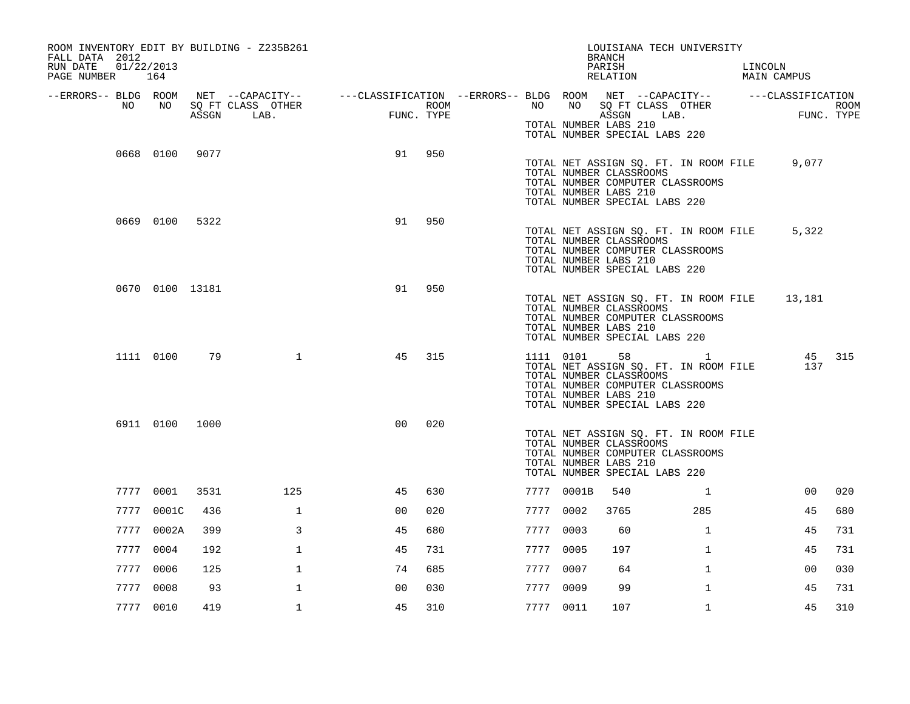| ROOM INVENTORY EDIT BY BUILDING - Z235B261<br>FALL DATA 2012<br>RUN DATE<br>PAGE NUMBER 164 | 01/22/2013      |       |                                                                                                                             |                     |      |           |            | LOUISIANA TECH UNIVERSITY<br><b>BRANCH</b><br>PARISH<br>RELATION                                                                                                       |              | LINCOLN | MAIN CAMPUS                                               |        |
|---------------------------------------------------------------------------------------------|-----------------|-------|-----------------------------------------------------------------------------------------------------------------------------|---------------------|------|-----------|------------|------------------------------------------------------------------------------------------------------------------------------------------------------------------------|--------------|---------|-----------------------------------------------------------|--------|
| --ERRORS-- BLDG ROOM<br>NO                                                                  | NO              | ASSGN | NET --CAPACITY--   ---CLASSIFICATION --ERRORS-- BLDG ROOM NET --CAPACITY--   ---CLASSIFICATION<br>SQ FT CLASS OTHER<br>LAB. | FUNC.<br>FUNC. TYPE | ROOM |           | NO NO      | SQ FT CLASS OTHER<br>ASSGN LAB.<br>TOTAL NUMBER LABS 210                                                                                                               |              |         | $\begin{array}{c} \text{FIIMC} \end{array}$<br>FUNC. TYPE | ROOM   |
|                                                                                             | 0668 0100 9077  |       |                                                                                                                             | 91                  | 950  |           |            | TOTAL NUMBER SPECIAL LABS 220                                                                                                                                          |              |         |                                                           |        |
|                                                                                             |                 |       |                                                                                                                             |                     |      |           |            | TOTAL NET ASSIGN SQ. FT. IN ROOM FILE 9,077<br>TOTAL NUMBER CLASSROOMS<br>TOTAL NUMBER COMPUTER CLASSROOMS<br>TOTAL NUMBER LABS 210<br>TOTAL NUMBER SPECIAL LABS 220   |              |         |                                                           |        |
|                                                                                             | 0669 0100 5322  |       |                                                                                                                             | 91                  | 950  |           |            | TOTAL NET ASSIGN SQ. FT. IN ROOM FILE<br>TOTAL NUMBER CLASSROOMS<br>TOTAL NUMBER COMPUTER CLASSROOMS<br>TOTAL NUMBER LABS 210<br>TOTAL NUMBER SPECIAL LABS 220         |              |         | 5,322                                                     |        |
|                                                                                             | 0670 0100 13181 |       |                                                                                                                             | 91                  | 950  |           |            | TOTAL NET ASSIGN SQ. FT. IN ROOM FILE<br>TOTAL NUMBER CLASSROOMS<br>TOTAL NUMBER COMPUTER CLASSROOMS<br>TOTAL NUMBER LABS 210<br>TOTAL NUMBER SPECIAL LABS 220         |              |         | 13,181                                                    |        |
|                                                                                             | 1111 0100       | 79    | $\mathbf{1}$                                                                                                                | 45                  | 315  |           | 1111 0101  | 58 1<br>TOTAL NET ASSIGN SQ. FT. IN ROOM FILE<br>TOTAL NUMBER CLASSROOMS<br>TOTAL NUMBER COMPUTER CLASSROOMS<br>TOTAL NUMBER LABS 210<br>TOTAL NUMBER SPECIAL LABS 220 |              |         | 137                                                       | 45 315 |
|                                                                                             | 6911 0100 1000  |       |                                                                                                                             | 0 <sup>0</sup>      | 020  |           |            | TOTAL NET ASSIGN SQ. FT. IN ROOM FILE<br>TOTAL NUMBER CLASSROOMS<br>TOTAL NUMBER COMPUTER CLASSROOMS<br>TOTAL NUMBER LABS 210<br>TOTAL NUMBER SPECIAL LABS 220         |              |         |                                                           |        |
|                                                                                             | 7777 0001       | 3531  | 125                                                                                                                         | 45                  | 630  |           | 7777 0001B | 540                                                                                                                                                                    | $\mathbf{1}$ |         | 00                                                        | 020    |
|                                                                                             | 7777 0001C      | 436   | $\mathbf{1}$                                                                                                                | 0 <sub>0</sub>      | 020  | 7777 0002 |            | 3765                                                                                                                                                                   | 285          |         | 45                                                        | 680    |
|                                                                                             | 7777 0002A      | 399   | 3                                                                                                                           | 45                  | 680  | 7777 0003 |            | 60                                                                                                                                                                     | $\mathbf{1}$ |         | 45                                                        | 731    |
|                                                                                             | 7777 0004       | 192   | $\mathbf{1}$                                                                                                                | 45                  | 731  | 7777 0005 |            | 197                                                                                                                                                                    | $\mathbf{1}$ |         | 45                                                        | 731    |
|                                                                                             | 7777 0006       | 125   | $\mathbf{1}$                                                                                                                | 74                  | 685  | 7777 0007 |            | 64                                                                                                                                                                     | $\mathbf{1}$ |         | 00                                                        | 030    |
|                                                                                             | 7777 0008       | 93    | $\mathbf{1}$                                                                                                                | 0 <sup>0</sup>      | 030  | 7777 0009 |            | 99                                                                                                                                                                     | $\mathbf{1}$ |         | 45                                                        | 731    |
|                                                                                             | 7777 0010       | 419   | $\mathbf{1}$                                                                                                                | 45                  | 310  | 7777 0011 |            | 107                                                                                                                                                                    | $\mathbf{1}$ |         | 45                                                        | 310    |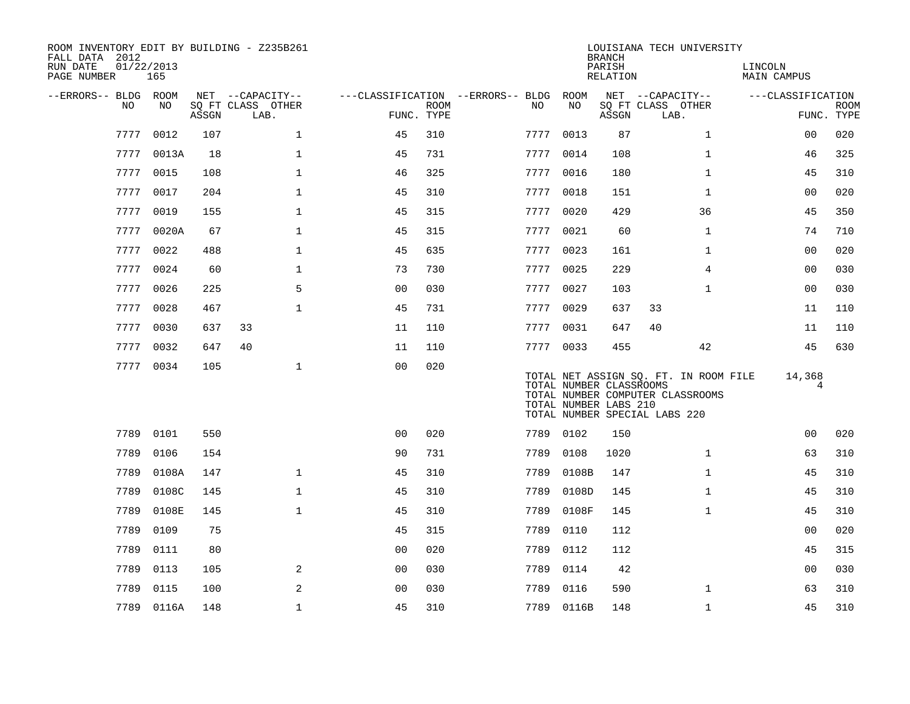| ROOM INVENTORY EDIT BY BUILDING - Z235B261<br>FALL DATA 2012<br>RUN DATE<br>PAGE NUMBER | 01/22/2013<br>165 |       |                           |                |                           |                                   |                                                  | <b>BRANCH</b><br>PARISH<br>RELATION | LOUISIANA TECH UNIVERSITY                                                                                  | LINCOLN<br><b>MAIN CAMPUS</b> |                           |
|-----------------------------------------------------------------------------------------|-------------------|-------|---------------------------|----------------|---------------------------|-----------------------------------|--------------------------------------------------|-------------------------------------|------------------------------------------------------------------------------------------------------------|-------------------------------|---------------------------|
| --ERRORS-- BLDG ROOM                                                                    |                   |       | NET --CAPACITY--          |                |                           | ---CLASSIFICATION --ERRORS-- BLDG | ROOM                                             |                                     | NET --CAPACITY--                                                                                           | ---CLASSIFICATION             |                           |
| NO                                                                                      | NO                | ASSGN | SQ FT CLASS OTHER<br>LAB. |                | <b>ROOM</b><br>FUNC. TYPE | NO.                               | NO                                               | ASSGN                               | SQ FT CLASS OTHER<br>LAB.                                                                                  |                               | <b>ROOM</b><br>FUNC. TYPE |
| 7777                                                                                    | 0012              | 107   | $\mathbf{1}$              | 45             | 310                       | 7777                              | 0013                                             | 87                                  | $\mathbf{1}$                                                                                               | 00                            | 020                       |
|                                                                                         | 7777 0013A        | 18    | $\mathbf{1}$              | 45             | 731                       | 7777                              | 0014                                             | 108                                 | $\mathbf{1}$                                                                                               | 46                            | 325                       |
|                                                                                         | 7777 0015         | 108   | $\mathbf{1}$              | 46             | 325                       |                                   | 7777 0016                                        | 180                                 | $\mathbf{1}$                                                                                               | 45                            | 310                       |
| 7777                                                                                    | 0017              | 204   | $\mathbf{1}$              | 45             | 310                       | 7777                              | 0018                                             | 151                                 | $\mathbf{1}$                                                                                               | 0 <sub>0</sub>                | 020                       |
|                                                                                         | 7777 0019         | 155   | $\mathbf{1}$              | 45             | 315                       |                                   | 7777 0020                                        | 429                                 | 36                                                                                                         | 45                            | 350                       |
|                                                                                         | 7777 0020A        | 67    | $\mathbf{1}$              | 45             | 315                       | 7777                              | 0021                                             | 60                                  | $\mathbf{1}$                                                                                               | 74                            | 710                       |
|                                                                                         | 7777 0022         | 488   | $\mathbf{1}$              | 45             | 635                       |                                   | 7777 0023                                        | 161                                 | $\mathbf{1}$                                                                                               | 0 <sub>0</sub>                | 020                       |
| 7777                                                                                    | 0024              | 60    | $\mathbf 1$               | 73             | 730                       | 7777                              | 0025                                             | 229                                 | $\overline{4}$                                                                                             | 0 <sub>0</sub>                | 030                       |
| 7777                                                                                    | 0026              | 225   | 5                         | 0 <sub>0</sub> | 030                       |                                   | 7777 0027                                        | 103                                 | $\mathbf{1}$                                                                                               | 00                            | 030                       |
| 7777                                                                                    | 0028              | 467   | $\mathbf{1}$              | 45             | 731                       | 7777                              | 0029                                             | 637                                 | 33                                                                                                         | 11                            | 110                       |
| 7777                                                                                    | 0030              | 637   | 33                        | 11             | 110                       |                                   | 7777 0031                                        | 647                                 | 40                                                                                                         | 11                            | 110                       |
| 7777                                                                                    | 0032              | 647   | 40                        | 11             | 110                       |                                   | 7777 0033                                        | 455                                 | 42                                                                                                         | 45                            | 630                       |
|                                                                                         | 7777 0034         | 105   | $\mathbf 1$               | 0 <sub>0</sub> | 020                       |                                   | TOTAL NUMBER CLASSROOMS<br>TOTAL NUMBER LABS 210 |                                     | TOTAL NET ASSIGN SQ. FT. IN ROOM FILE<br>TOTAL NUMBER COMPUTER CLASSROOMS<br>TOTAL NUMBER SPECIAL LABS 220 | 14,368<br>4                   |                           |
|                                                                                         | 7789 0101         | 550   |                           | 0 <sup>0</sup> | 020                       |                                   | 7789 0102                                        | 150                                 |                                                                                                            | 0 <sub>0</sub>                | 020                       |
| 7789                                                                                    | 0106              | 154   |                           | 90             | 731                       | 7789                              | 0108                                             | 1020                                | $\mathbf{1}$                                                                                               | 63                            | 310                       |
| 7789                                                                                    | 0108A             | 147   | $\mathbf 1$               | 45             | 310                       | 7789                              | 0108B                                            | 147                                 | $\mathbf{1}$                                                                                               | 45                            | 310                       |
| 7789                                                                                    | 0108C             | 145   | $\mathbf{1}$              | 45             | 310                       | 7789                              | 0108D                                            | 145                                 | $\mathbf{1}$                                                                                               | 45                            | 310                       |
| 7789                                                                                    | 0108E             | 145   | $\mathbf{1}$              | 45             | 310                       | 7789                              | 0108F                                            | 145                                 | $\mathbf{1}$                                                                                               | 45                            | 310                       |
| 7789                                                                                    | 0109              | 75    |                           | 45             | 315                       | 7789                              | 0110                                             | 112                                 |                                                                                                            | 0 <sub>0</sub>                | 020                       |
| 7789                                                                                    | 0111              | 80    |                           | 0 <sub>0</sub> | 020                       | 7789                              | 0112                                             | 112                                 |                                                                                                            | 45                            | 315                       |
| 7789                                                                                    | 0113              | 105   | 2                         | 0 <sub>0</sub> | 030                       | 7789                              | 0114                                             | 42                                  |                                                                                                            | 0 <sub>0</sub>                | 030                       |
| 7789                                                                                    | 0115              | 100   | 2                         | 0 <sub>0</sub> | 030                       | 7789                              | 0116                                             | 590                                 | $\mathbf{1}$                                                                                               | 63                            | 310                       |
|                                                                                         | 7789 0116A        | 148   | $\mathbf 1$               | 45             | 310                       |                                   | 7789 0116B                                       | 148                                 | $\mathbf{1}$                                                                                               | 45                            | 310                       |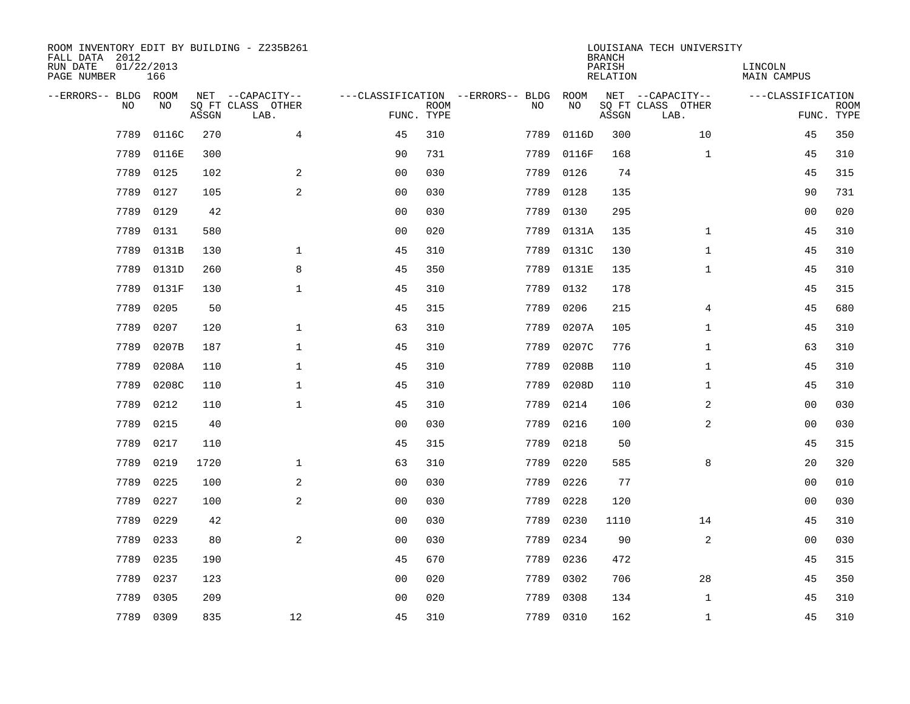| ROOM INVENTORY EDIT BY BUILDING - Z235B261<br>FALL DATA 2012<br>RUN DATE<br>PAGE NUMBER | 01/22/2013<br>166 |       |                                               |                |             |                                         |            | <b>BRANCH</b><br>PARISH<br><b>RELATION</b> | LOUISIANA TECH UNIVERSITY                     | LINCOLN<br><b>MAIN CAMPUS</b> |                           |
|-----------------------------------------------------------------------------------------|-------------------|-------|-----------------------------------------------|----------------|-------------|-----------------------------------------|------------|--------------------------------------------|-----------------------------------------------|-------------------------------|---------------------------|
| --ERRORS-- BLDG ROOM<br>NO                                                              | NO                | ASSGN | NET --CAPACITY--<br>SQ FT CLASS OTHER<br>LAB. | FUNC. TYPE     | <b>ROOM</b> | ---CLASSIFICATION --ERRORS-- BLDG<br>NO | ROOM<br>NO | ASSGN                                      | NET --CAPACITY--<br>SQ FT CLASS OTHER<br>LAB. | ---CLASSIFICATION             | <b>ROOM</b><br>FUNC. TYPE |
| 7789                                                                                    | 0116C             | 270   | 4                                             | 45             | 310         | 7789                                    | 0116D      | 300                                        | 10                                            | 45                            | 350                       |
| 7789                                                                                    | 0116E             | 300   |                                               | 90             | 731         | 7789                                    | 0116F      | 168                                        | $\mathbf{1}$                                  | 45                            | 310                       |
| 7789                                                                                    | 0125              | 102   | 2                                             | 0 <sub>0</sub> | 030         | 7789                                    | 0126       | 74                                         |                                               | 45                            | 315                       |
| 7789                                                                                    | 0127              | 105   | $\mathbf{2}$                                  | 0 <sub>0</sub> | 030         | 7789                                    | 0128       | 135                                        |                                               | 90                            | 731                       |
| 7789                                                                                    | 0129              | 42    |                                               | 0 <sub>0</sub> | 030         | 7789                                    | 0130       | 295                                        |                                               | 0 <sub>0</sub>                | 020                       |
| 7789                                                                                    | 0131              | 580   |                                               | 0 <sub>0</sub> | 020         | 7789                                    | 0131A      | 135                                        | $\mathbf{1}$                                  | 45                            | 310                       |
| 7789                                                                                    | 0131B             | 130   | $\mathbf{1}$                                  | 45             | 310         | 7789                                    | 0131C      | 130                                        | $\mathbf{1}$                                  | 45                            | 310                       |
| 7789                                                                                    | 0131D             | 260   | 8                                             | 45             | 350         | 7789                                    | 0131E      | 135                                        | $\mathbf{1}$                                  | 45                            | 310                       |
| 7789                                                                                    | 0131F             | 130   | $\mathbf{1}$                                  | 45             | 310         | 7789                                    | 0132       | 178                                        |                                               | 45                            | 315                       |
| 7789                                                                                    | 0205              | 50    |                                               | 45             | 315         | 7789                                    | 0206       | 215                                        | 4                                             | 45                            | 680                       |
| 7789                                                                                    | 0207              | 120   | $\mathbf 1$                                   | 63             | 310         | 7789                                    | 0207A      | 105                                        | $\mathbf{1}$                                  | 45                            | 310                       |
| 7789                                                                                    | 0207B             | 187   | $\mathbf 1$                                   | 45             | 310         | 7789                                    | 0207C      | 776                                        | $\mathbf{1}$                                  | 63                            | 310                       |
| 7789                                                                                    | 0208A             | 110   | $\mathbf{1}$                                  | 45             | 310         | 7789                                    | 0208B      | 110                                        | $\mathbf{1}$                                  | 45                            | 310                       |
| 7789                                                                                    | 0208C             | 110   | $\mathbf 1$                                   | 45             | 310         | 7789                                    | 0208D      | 110                                        | $\mathbf{1}$                                  | 45                            | 310                       |
| 7789                                                                                    | 0212              | 110   | $\mathbf{1}$                                  | 45             | 310         | 7789                                    | 0214       | 106                                        | 2                                             | 0 <sub>0</sub>                | 030                       |
| 7789                                                                                    | 0215              | 40    |                                               | 00             | 030         | 7789                                    | 0216       | 100                                        | $\overline{a}$                                | 00                            | 030                       |
| 7789                                                                                    | 0217              | 110   |                                               | 45             | 315         | 7789                                    | 0218       | 50                                         |                                               | 45                            | 315                       |
| 7789                                                                                    | 0219              | 1720  | $\mathbf 1$                                   | 63             | 310         | 7789                                    | 0220       | 585                                        | 8                                             | 20                            | 320                       |
| 7789                                                                                    | 0225              | 100   | 2                                             | 0 <sub>0</sub> | 030         | 7789                                    | 0226       | 77                                         |                                               | 00                            | 010                       |
| 7789                                                                                    | 0227              | 100   | 2                                             | 0 <sub>0</sub> | 030         | 7789                                    | 0228       | 120                                        |                                               | 00                            | 030                       |
| 7789                                                                                    | 0229              | 42    |                                               | 0 <sub>0</sub> | 030         | 7789                                    | 0230       | 1110                                       | 14                                            | 45                            | 310                       |
| 7789                                                                                    | 0233              | 80    | 2                                             | 00             | 030         | 7789                                    | 0234       | 90                                         | 2                                             | 00                            | 030                       |
| 7789                                                                                    | 0235              | 190   |                                               | 45             | 670         | 7789                                    | 0236       | 472                                        |                                               | 45                            | 315                       |
| 7789                                                                                    | 0237              | 123   |                                               | 00             | 020         | 7789                                    | 0302       | 706                                        | 28                                            | 45                            | 350                       |
| 7789                                                                                    | 0305              | 209   |                                               | 0 <sub>0</sub> | 020         | 7789                                    | 0308       | 134                                        | $\mathbf{1}$                                  | 45                            | 310                       |
| 7789                                                                                    | 0309              | 835   | 12                                            | 45             | 310         |                                         | 7789 0310  | 162                                        | $\mathbf{1}$                                  | 45                            | 310                       |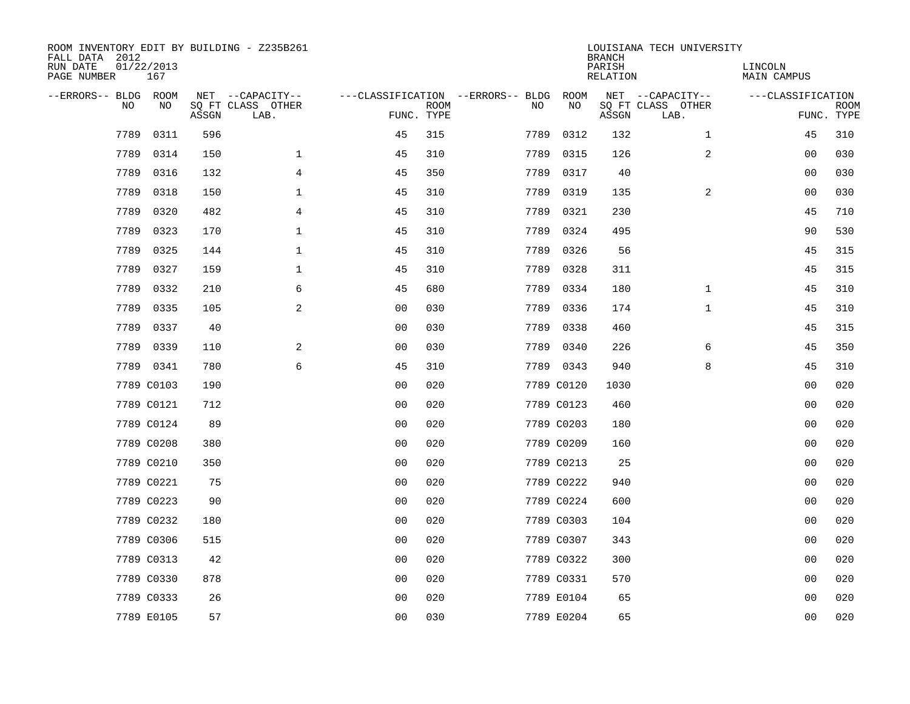| ROOM INVENTORY EDIT BY BUILDING - Z235B261<br>FALL DATA 2012<br>RUN DATE<br>PAGE NUMBER | 01/22/2013<br>167 |       |                                               |                |             |                                         |            | <b>BRANCH</b><br>PARISH<br><b>RELATION</b> | LOUISIANA TECH UNIVERSITY                     | LINCOLN<br><b>MAIN CAMPUS</b> |                           |
|-----------------------------------------------------------------------------------------|-------------------|-------|-----------------------------------------------|----------------|-------------|-----------------------------------------|------------|--------------------------------------------|-----------------------------------------------|-------------------------------|---------------------------|
| --ERRORS-- BLDG ROOM<br>NO                                                              | NO                | ASSGN | NET --CAPACITY--<br>SQ FT CLASS OTHER<br>LAB. | FUNC. TYPE     | <b>ROOM</b> | ---CLASSIFICATION --ERRORS-- BLDG<br>NO | ROOM<br>NO | ASSGN                                      | NET --CAPACITY--<br>SQ FT CLASS OTHER<br>LAB. | ---CLASSIFICATION             | <b>ROOM</b><br>FUNC. TYPE |
| 7789                                                                                    | 0311              | 596   |                                               | 45             | 315         | 7789                                    | 0312       | 132                                        | $\mathbf{1}$                                  | 45                            | 310                       |
| 7789                                                                                    | 0314              | 150   | $\mathbf 1$                                   | 45             | 310         | 7789                                    | 0315       | 126                                        | 2                                             | 00                            | 030                       |
| 7789                                                                                    | 0316              | 132   | 4                                             | 45             | 350         | 7789                                    | 0317       | 40                                         |                                               | 00                            | 030                       |
| 7789                                                                                    | 0318              | 150   | $\mathbf 1$                                   | 45             | 310         |                                         | 7789 0319  | 135                                        | 2                                             | 00                            | 030                       |
| 7789                                                                                    | 0320              | 482   | 4                                             | 45             | 310         | 7789                                    | 0321       | 230                                        |                                               | 45                            | 710                       |
| 7789                                                                                    | 0323              | 170   | $\mathbf 1$                                   | 45             | 310         | 7789                                    | 0324       | 495                                        |                                               | 90                            | 530                       |
| 7789                                                                                    | 0325              | 144   | $\mathbf{1}$                                  | 45             | 310         | 7789                                    | 0326       | 56                                         |                                               | 45                            | 315                       |
| 7789                                                                                    | 0327              | 159   | $\mathbf{1}$                                  | 45             | 310         | 7789                                    | 0328       | 311                                        |                                               | 45                            | 315                       |
| 7789                                                                                    | 0332              | 210   | 6                                             | 45             | 680         | 7789                                    | 0334       | 180                                        | $\mathbf{1}$                                  | 45                            | 310                       |
| 7789                                                                                    | 0335              | 105   | 2                                             | 0 <sub>0</sub> | 030         |                                         | 7789 0336  | 174                                        | $\mathbf{1}$                                  | 45                            | 310                       |
| 7789                                                                                    | 0337              | 40    |                                               | 0 <sub>0</sub> | 030         | 7789                                    | 0338       | 460                                        |                                               | 45                            | 315                       |
|                                                                                         | 7789 0339         | 110   | 2                                             | 0 <sub>0</sub> | 030         |                                         | 7789 0340  | 226                                        | 6                                             | 45                            | 350                       |
|                                                                                         | 7789 0341         | 780   | 6                                             | 45             | 310         |                                         | 7789 0343  | 940                                        | 8                                             | 45                            | 310                       |
|                                                                                         | 7789 C0103        | 190   |                                               | 0 <sub>0</sub> | 020         |                                         | 7789 C0120 | 1030                                       |                                               | 00                            | 020                       |
|                                                                                         | 7789 C0121        | 712   |                                               | 0 <sub>0</sub> | 020         |                                         | 7789 C0123 | 460                                        |                                               | 0 <sub>0</sub>                | 020                       |
|                                                                                         | 7789 C0124        | 89    |                                               | 0 <sub>0</sub> | 020         |                                         | 7789 C0203 | 180                                        |                                               | 00                            | 020                       |
|                                                                                         | 7789 C0208        | 380   |                                               | 0 <sub>0</sub> | 020         |                                         | 7789 C0209 | 160                                        |                                               | 00                            | 020                       |
|                                                                                         | 7789 C0210        | 350   |                                               | 0 <sub>0</sub> | 020         |                                         | 7789 C0213 | 25                                         |                                               | 00                            | 020                       |
|                                                                                         | 7789 C0221        | 75    |                                               | 0 <sub>0</sub> | 020         |                                         | 7789 C0222 | 940                                        |                                               | 0 <sub>0</sub>                | 020                       |
|                                                                                         | 7789 C0223        | 90    |                                               | 0 <sub>0</sub> | 020         |                                         | 7789 C0224 | 600                                        |                                               | 0 <sub>0</sub>                | 020                       |
|                                                                                         | 7789 C0232        | 180   |                                               | 0 <sub>0</sub> | 020         |                                         | 7789 C0303 | 104                                        |                                               | 0 <sub>0</sub>                | 020                       |
|                                                                                         | 7789 C0306        | 515   |                                               | 0 <sub>0</sub> | 020         |                                         | 7789 C0307 | 343                                        |                                               | 00                            | 020                       |
|                                                                                         | 7789 C0313        | 42    |                                               | 0 <sub>0</sub> | 020         |                                         | 7789 C0322 | 300                                        |                                               | 00                            | 020                       |
|                                                                                         | 7789 C0330        | 878   |                                               | 0 <sub>0</sub> | 020         |                                         | 7789 C0331 | 570                                        |                                               | 00                            | 020                       |
|                                                                                         | 7789 C0333        | 26    |                                               | 0 <sub>0</sub> | 020         |                                         | 7789 E0104 | 65                                         |                                               | 00                            | 020                       |
|                                                                                         | 7789 E0105        | 57    |                                               | 0 <sub>0</sub> | 030         |                                         | 7789 E0204 | 65                                         |                                               | 0 <sub>0</sub>                | 020                       |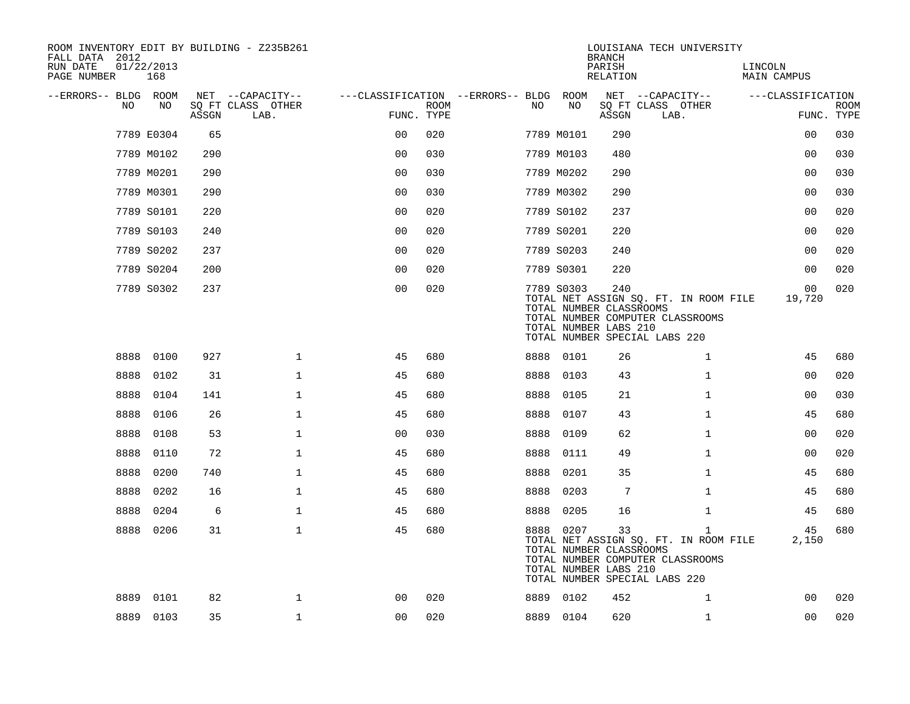| ROOM INVENTORY EDIT BY BUILDING - Z235B261<br>FALL DATA 2012<br>RUN DATE<br>PAGE NUMBER | 01/22/2013<br>168 |       |                           |                |             |                                        |            | <b>BRANCH</b><br>PARISH<br>RELATION                     | LOUISIANA TECH UNIVERSITY                                                                                                  | LINCOLN<br>MAIN CAMPUS |                           |
|-----------------------------------------------------------------------------------------|-------------------|-------|---------------------------|----------------|-------------|----------------------------------------|------------|---------------------------------------------------------|----------------------------------------------------------------------------------------------------------------------------|------------------------|---------------------------|
| --ERRORS-- BLDG ROOM                                                                    |                   |       | NET --CAPACITY--          |                |             | ---CLASSIFICATION --ERRORS-- BLDG ROOM |            |                                                         | NET --CAPACITY--                                                                                                           | ---CLASSIFICATION      |                           |
| NO                                                                                      | NO                | ASSGN | SQ FT CLASS OTHER<br>LAB. | FUNC. TYPE     | <b>ROOM</b> | NO                                     | NO         | ASSGN                                                   | SQ FT CLASS OTHER<br>LAB.                                                                                                  |                        | <b>ROOM</b><br>FUNC. TYPE |
|                                                                                         | 7789 E0304        | 65    |                           | 0 <sub>0</sub> | 020         |                                        | 7789 M0101 | 290                                                     |                                                                                                                            | 00                     | 030                       |
|                                                                                         | 7789 M0102        | 290   |                           | 0 <sub>0</sub> | 030         |                                        | 7789 M0103 | 480                                                     |                                                                                                                            | 0 <sub>0</sub>         | 030                       |
|                                                                                         | 7789 M0201        | 290   |                           | 0 <sub>0</sub> | 030         |                                        | 7789 M0202 | 290                                                     |                                                                                                                            | 0 <sub>0</sub>         | 030                       |
|                                                                                         | 7789 M0301        | 290   |                           | 0 <sub>0</sub> | 030         |                                        | 7789 M0302 | 290                                                     |                                                                                                                            | 0 <sub>0</sub>         | 030                       |
|                                                                                         | 7789 S0101        | 220   |                           | 0 <sub>0</sub> | 020         |                                        | 7789 S0102 | 237                                                     |                                                                                                                            | 0 <sub>0</sub>         | 020                       |
|                                                                                         | 7789 S0103        | 240   |                           | 0 <sub>0</sub> | 020         |                                        | 7789 S0201 | 220                                                     |                                                                                                                            | 0 <sub>0</sub>         | 020                       |
|                                                                                         | 7789 S0202        | 237   |                           | 0 <sub>0</sub> | 020         |                                        | 7789 S0203 | 240                                                     |                                                                                                                            | 0 <sub>0</sub>         | 020                       |
|                                                                                         | 7789 S0204        | 200   |                           | 0 <sub>0</sub> | 020         |                                        | 7789 S0301 | 220                                                     |                                                                                                                            | 0 <sub>0</sub>         | 020                       |
|                                                                                         | 7789 S0302        | 237   |                           | 0 <sub>0</sub> | 020         |                                        | 7789 S0303 | 240<br>TOTAL NUMBER CLASSROOMS<br>TOTAL NUMBER LABS 210 | TOTAL NET ASSIGN SQ. FT. IN ROOM FILE<br>TOTAL NUMBER COMPUTER CLASSROOMS<br>TOTAL NUMBER SPECIAL LABS 220                 | 00<br>19,720           | 020                       |
| 8888                                                                                    | 0100              | 927   | $\mathbf 1$               | 45             | 680         |                                        | 8888 0101  | 26                                                      | $\mathbf{1}$                                                                                                               | 45                     | 680                       |
| 8888                                                                                    | 0102              | 31    | $\mathbf 1$               | 45             | 680         | 8888                                   | 0103       | 43                                                      | $\mathbf{1}$                                                                                                               | 00                     | 020                       |
| 8888                                                                                    | 0104              | 141   | $\mathbf{1}$              | 45             | 680         | 8888                                   | 0105       | 21                                                      | $\mathbf{1}$                                                                                                               | 0 <sub>0</sub>         | 030                       |
| 8888                                                                                    | 0106              | 26    | $\mathbf{1}$              | 45             | 680         | 8888                                   | 0107       | 43                                                      | $\mathbf{1}$                                                                                                               | 45                     | 680                       |
| 8888                                                                                    | 0108              | 53    | $\mathbf{1}$              | 0 <sub>0</sub> | 030         | 8888                                   | 0109       | 62                                                      | $\mathbf{1}$                                                                                                               | 0 <sub>0</sub>         | 020                       |
| 8888                                                                                    | 0110              | 72    | $\mathbf{1}$              | 45             | 680         | 8888                                   | 0111       | 49                                                      | $\mathbf{1}$                                                                                                               | 00                     | 020                       |
| 8888                                                                                    | 0200              | 740   | $\mathbf{1}$              | 45             | 680         | 8888                                   | 0201       | 35                                                      | $\mathbf{1}$                                                                                                               | 45                     | 680                       |
| 8888                                                                                    | 0202              | 16    | $\mathbf 1$               | 45             | 680         | 8888                                   | 0203       | 7                                                       | $\mathbf{1}$                                                                                                               | 45                     | 680                       |
| 8888                                                                                    | 0204              | 6     | $\mathbf 1$               | 45             | 680         | 8888                                   | 0205       | 16                                                      | $\mathbf{1}$                                                                                                               | 45                     | 680                       |
| 8888                                                                                    | 0206              | 31    | $\mathbf 1$               | 45             | 680         |                                        | 8888 0207  | 33<br>TOTAL NUMBER CLASSROOMS<br>TOTAL NUMBER LABS 210  | $\mathbf{1}$<br>TOTAL NET ASSIGN SQ. FT. IN ROOM FILE<br>TOTAL NUMBER COMPUTER CLASSROOMS<br>TOTAL NUMBER SPECIAL LABS 220 | 45<br>2,150            | 680                       |
| 8889                                                                                    | 0101              | 82    | $\mathbf 1$               | 00             | 020         |                                        | 8889 0102  | 452                                                     | 1                                                                                                                          | 0 <sub>0</sub>         | 020                       |
|                                                                                         | 8889 0103         | 35    | $\mathbf{1}$              | 0 <sub>0</sub> | 020         |                                        | 8889 0104  | 620                                                     | $\mathbf{1}$                                                                                                               | 0 <sub>0</sub>         | 020                       |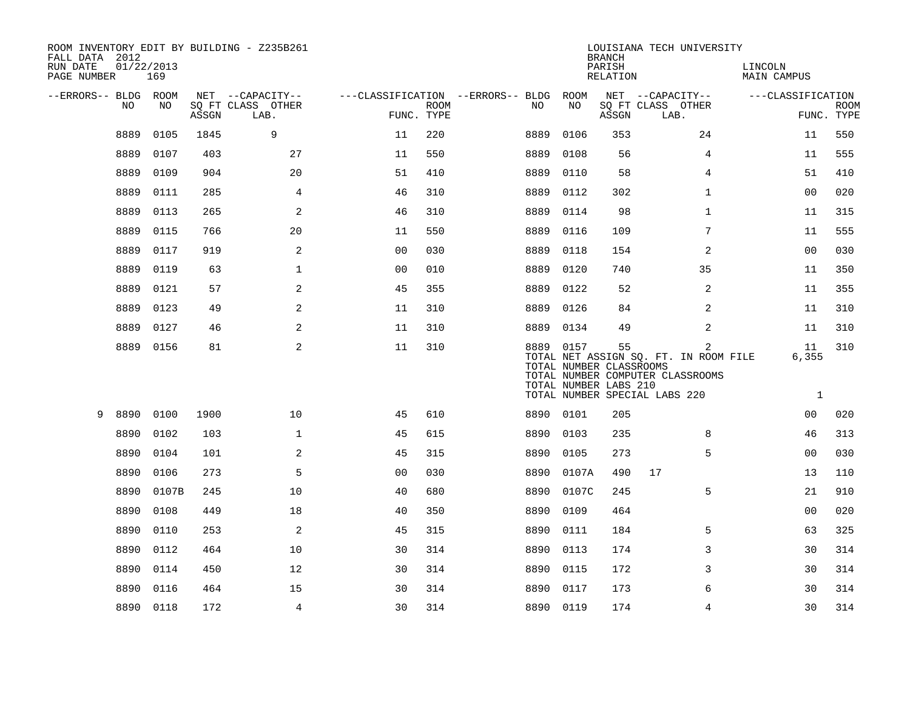| FALL DATA 2012<br>RUN DATE<br>PAGE NUMBER | 01/22/2013<br>169 |       | ROOM INVENTORY EDIT BY BUILDING - Z235B261    |                |                           |                                               |           | <b>BRANCH</b><br>PARISH<br><b>RELATION</b>             | LOUISIANA TECH UNIVERSITY                                                                                                    | LINCOLN<br><b>MAIN CAMPUS</b> |                           |
|-------------------------------------------|-------------------|-------|-----------------------------------------------|----------------|---------------------------|-----------------------------------------------|-----------|--------------------------------------------------------|------------------------------------------------------------------------------------------------------------------------------|-------------------------------|---------------------------|
| --ERRORS-- BLDG ROOM                      | NO<br>NO          | ASSGN | NET --CAPACITY--<br>SQ FT CLASS OTHER<br>LAB. |                | <b>ROOM</b><br>FUNC. TYPE | ---CLASSIFICATION --ERRORS-- BLDG ROOM<br>NO. | NO        | ASSGN                                                  | NET --CAPACITY--<br>SQ FT CLASS OTHER<br>LAB.                                                                                | ---CLASSIFICATION             | <b>ROOM</b><br>FUNC. TYPE |
|                                           | 8889<br>0105      | 1845  | 9                                             | 11             | 220                       | 8889                                          | 0106      | 353                                                    | 24                                                                                                                           | 11                            | 550                       |
|                                           | 8889<br>0107      | 403   | 27                                            | 11             | 550                       | 8889                                          | 0108      | 56                                                     | $\overline{4}$                                                                                                               | 11                            | 555                       |
|                                           | 8889<br>0109      | 904   | 20                                            | 51             | 410                       | 8889                                          | 0110      | 58                                                     | 4                                                                                                                            | 51                            | 410                       |
|                                           | 8889<br>0111      | 285   | $\overline{4}$                                | 46             | 310                       | 8889                                          | 0112      | 302                                                    | $\mathbf{1}$                                                                                                                 | 0 <sub>0</sub>                | 020                       |
|                                           | 8889<br>0113      | 265   | 2                                             | 46             | 310                       | 8889                                          | 0114      | 98                                                     | $\mathbf{1}$                                                                                                                 | 11                            | 315                       |
|                                           | 8889<br>0115      | 766   | 20                                            | 11             | 550                       | 8889                                          | 0116      | 109                                                    | 7                                                                                                                            | 11                            | 555                       |
|                                           | 8889<br>0117      | 919   | 2                                             | 0 <sub>0</sub> | 030                       | 8889                                          | 0118      | 154                                                    | 2                                                                                                                            | 00                            | 030                       |
|                                           | 8889<br>0119      | 63    | $\mathbf{1}$                                  | 0 <sub>0</sub> | 010                       | 8889                                          | 0120      | 740                                                    | 35                                                                                                                           | 11                            | 350                       |
|                                           | 8889<br>0121      | 57    | 2                                             | 45             | 355                       | 8889                                          | 0122      | 52                                                     | 2                                                                                                                            | 11                            | 355                       |
|                                           | 8889<br>0123      | 49    | 2                                             | 11             | 310                       | 8889                                          | 0126      | 84                                                     | 2                                                                                                                            | 11                            | 310                       |
|                                           | 0127<br>8889      | 46    | 2                                             | 11             | 310                       | 8889                                          | 0134      | 49                                                     | 2                                                                                                                            | 11                            | 310                       |
|                                           | 8889<br>0156      | 81    | 2                                             | 11             | 310                       |                                               | 8889 0157 | 55<br>TOTAL NUMBER CLASSROOMS<br>TOTAL NUMBER LABS 210 | $\overline{2}$<br>TOTAL NET ASSIGN SQ. FT. IN ROOM FILE<br>TOTAL NUMBER COMPUTER CLASSROOMS<br>TOTAL NUMBER SPECIAL LABS 220 | 11<br>6,355<br>1              | 310                       |
| 9                                         | 8890<br>0100      | 1900  | 10                                            | 45             | 610                       |                                               | 8890 0101 | 205                                                    |                                                                                                                              | 0 <sub>0</sub>                | 020                       |
|                                           | 8890<br>0102      | 103   | $\mathbf 1$                                   | 45             | 615                       | 8890                                          | 0103      | 235                                                    | 8                                                                                                                            | 46                            | 313                       |
|                                           | 8890<br>0104      | 101   | $\mathbf{2}$                                  | 45             | 315                       | 8890                                          | 0105      | 273                                                    | 5                                                                                                                            | 0 <sub>0</sub>                | 030                       |
|                                           | 8890<br>0106      | 273   | 5                                             | 0 <sub>0</sub> | 030                       | 8890                                          | 0107A     | 490                                                    | 17                                                                                                                           | 13                            | 110                       |
|                                           | 8890<br>0107B     | 245   | 10                                            | 40             | 680                       | 8890                                          | 0107C     | 245                                                    | 5                                                                                                                            | 21                            | 910                       |
|                                           | 8890<br>0108      | 449   | 18                                            | 40             | 350                       | 8890                                          | 0109      | 464                                                    |                                                                                                                              | 0 <sub>0</sub>                | 020                       |
|                                           | 8890<br>0110      | 253   | 2                                             | 45             | 315                       | 8890                                          | 0111      | 184                                                    | 5                                                                                                                            | 63                            | 325                       |
|                                           | 8890<br>0112      | 464   | 10                                            | 30             | 314                       | 8890                                          | 0113      | 174                                                    | 3                                                                                                                            | 30                            | 314                       |
|                                           | 8890<br>0114      | 450   | 12                                            | 30             | 314                       | 8890                                          | 0115      | 172                                                    | 3                                                                                                                            | 30                            | 314                       |
|                                           | 8890<br>0116      | 464   | 15                                            | 30             | 314                       | 8890                                          | 0117      | 173                                                    | 6                                                                                                                            | 30                            | 314                       |
|                                           | 8890 0118         | 172   | $\overline{4}$                                | 30             | 314                       |                                               | 8890 0119 | 174                                                    | $\overline{4}$                                                                                                               | 30                            | 314                       |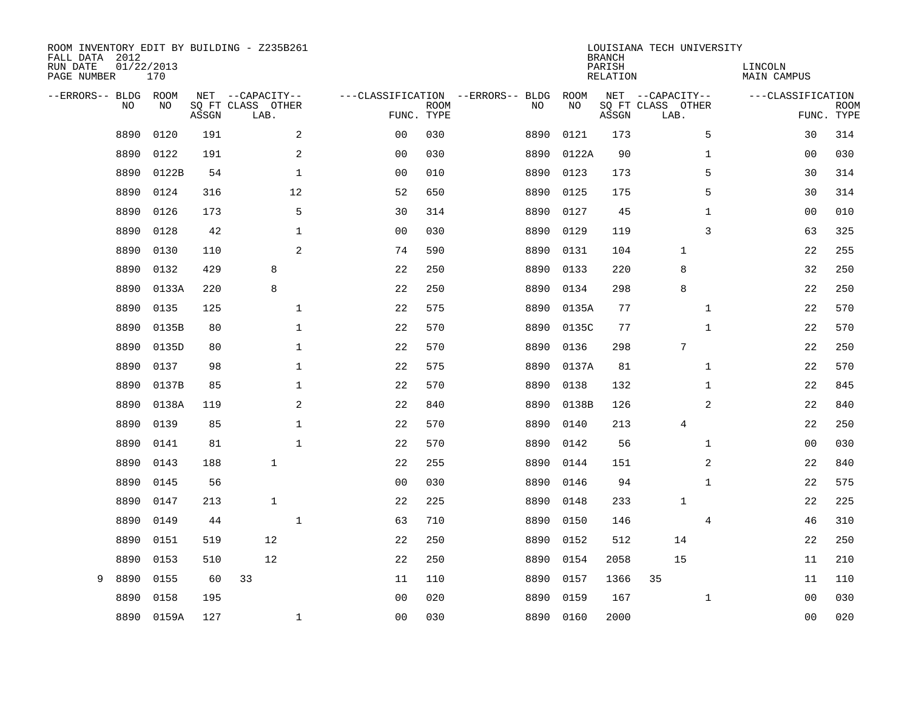| ROOM INVENTORY EDIT BY BUILDING - Z235B261<br>FALL DATA 2012<br>RUN DATE<br>PAGE NUMBER | 01/22/2013<br>170 |       |                                               |                |                           |                                         |            | <b>BRANCH</b><br>PARISH<br><b>RELATION</b> | LOUISIANA TECH UNIVERSITY                     | LINCOLN<br><b>MAIN CAMPUS</b> |                           |
|-----------------------------------------------------------------------------------------|-------------------|-------|-----------------------------------------------|----------------|---------------------------|-----------------------------------------|------------|--------------------------------------------|-----------------------------------------------|-------------------------------|---------------------------|
| --ERRORS-- BLDG ROOM<br>NO                                                              | NO                | ASSGN | NET --CAPACITY--<br>SQ FT CLASS OTHER<br>LAB. |                | <b>ROOM</b><br>FUNC. TYPE | ---CLASSIFICATION --ERRORS-- BLDG<br>NO | ROOM<br>NO | ASSGN                                      | NET --CAPACITY--<br>SQ FT CLASS OTHER<br>LAB. | ---CLASSIFICATION             | <b>ROOM</b><br>FUNC. TYPE |
| 8890                                                                                    | 0120              | 191   | 2                                             | 0 <sub>0</sub> | 030                       | 8890                                    | 0121       | 173                                        | 5                                             | 30                            | 314                       |
| 8890                                                                                    | 0122              | 191   | 2                                             | 0 <sub>0</sub> | 030                       | 8890                                    | 0122A      | 90                                         | $\mathbf{1}$                                  | 0 <sub>0</sub>                | 030                       |
| 8890                                                                                    | 0122B             | 54    | $\mathbf{1}$                                  | 0 <sub>0</sub> | 010                       | 8890                                    | 0123       | 173                                        | 5                                             | 30                            | 314                       |
| 8890                                                                                    | 0124              | 316   | 12                                            | 52             | 650                       | 8890                                    | 0125       | 175                                        | 5                                             | 30                            | 314                       |
| 8890                                                                                    | 0126              | 173   | 5                                             | 30             | 314                       | 8890                                    | 0127       | 45                                         | $\mathbf{1}$                                  | 0 <sub>0</sub>                | 010                       |
| 8890                                                                                    | 0128              | 42    | $\mathbf{1}$                                  | 0 <sub>0</sub> | 030                       | 8890                                    | 0129       | 119                                        | 3                                             | 63                            | 325                       |
| 8890                                                                                    | 0130              | 110   | $\overline{2}$                                | 74             | 590                       | 8890                                    | 0131       | 104                                        | $\mathbf 1$                                   | 22                            | 255                       |
| 8890                                                                                    | 0132              | 429   | 8                                             | 22             | 250                       | 8890                                    | 0133       | 220                                        | 8                                             | 32                            | 250                       |
| 8890                                                                                    | 0133A             | 220   | 8                                             | 22             | 250                       | 8890                                    | 0134       | 298                                        | 8                                             | 22                            | 250                       |
| 8890                                                                                    | 0135              | 125   | $\mathbf{1}$                                  | 22             | 575                       | 8890                                    | 0135A      | 77                                         | $\mathbf{1}$                                  | 22                            | 570                       |
| 8890                                                                                    | 0135B             | 80    | $\mathbf{1}$                                  | 22             | 570                       | 8890                                    | 0135C      | 77                                         | $\mathbf{1}$                                  | 22                            | 570                       |
| 8890                                                                                    | 0135D             | 80    | $\mathbf 1$                                   | 22             | 570                       | 8890                                    | 0136       | 298                                        | $7\overline{ }$                               | 22                            | 250                       |
| 8890                                                                                    | 0137              | 98    | $\mathbf{1}$                                  | 22             | 575                       | 8890                                    | 0137A      | 81                                         | $\mathbf{1}$                                  | 22                            | 570                       |
| 8890                                                                                    | 0137B             | 85    | $\mathbf 1$                                   | 22             | 570                       | 8890                                    | 0138       | 132                                        | $\mathbf{1}$                                  | 22                            | 845                       |
| 8890                                                                                    | 0138A             | 119   | 2                                             | 22             | 840                       | 8890                                    | 0138B      | 126                                        | 2                                             | 22                            | 840                       |
| 8890                                                                                    | 0139              | 85    | $\mathbf 1$                                   | 22             | 570                       | 8890                                    | 0140       | 213                                        | 4                                             | 22                            | 250                       |
| 8890                                                                                    | 0141              | 81    | $\mathbf{1}$                                  | 22             | 570                       | 8890                                    | 0142       | 56                                         | $\mathbf{1}$                                  | 0 <sub>0</sub>                | 030                       |
| 8890                                                                                    | 0143              | 188   | $\mathbf{1}$                                  | 22             | 255                       | 8890                                    | 0144       | 151                                        | 2                                             | 22                            | 840                       |
| 8890                                                                                    | 0145              | 56    |                                               | 0 <sub>0</sub> | 030                       | 8890                                    | 0146       | 94                                         | $\mathbf{1}$                                  | 22                            | 575                       |
| 8890                                                                                    | 0147              | 213   | 1                                             | 22             | 225                       | 8890                                    | 0148       | 233                                        | $\mathbf{1}$                                  | 22                            | 225                       |
| 8890                                                                                    | 0149              | 44    | $\mathbf{1}$                                  | 63             | 710                       | 8890                                    | 0150       | 146                                        | 4                                             | 46                            | 310                       |
| 8890                                                                                    | 0151              | 519   | 12                                            | 22             | 250                       | 8890                                    | 0152       | 512                                        | 14                                            | 22                            | 250                       |
| 8890                                                                                    | 0153              | 510   | 12                                            | 22             | 250                       | 8890                                    | 0154       | 2058                                       | 15                                            | 11                            | 210                       |
| 9<br>8890                                                                               | 0155              | 60    | 33                                            | 11             | 110                       | 8890                                    | 0157       | 1366                                       | 35                                            | 11                            | 110                       |
| 8890                                                                                    | 0158              | 195   |                                               | 0 <sub>0</sub> | 020                       | 8890                                    | 0159       | 167                                        | $\mathbf{1}$                                  | 00                            | 030                       |
|                                                                                         | 8890 0159A        | 127   | $\mathbf 1$                                   | 0 <sub>0</sub> | 030                       |                                         | 8890 0160  | 2000                                       |                                               | 0 <sub>0</sub>                | 020                       |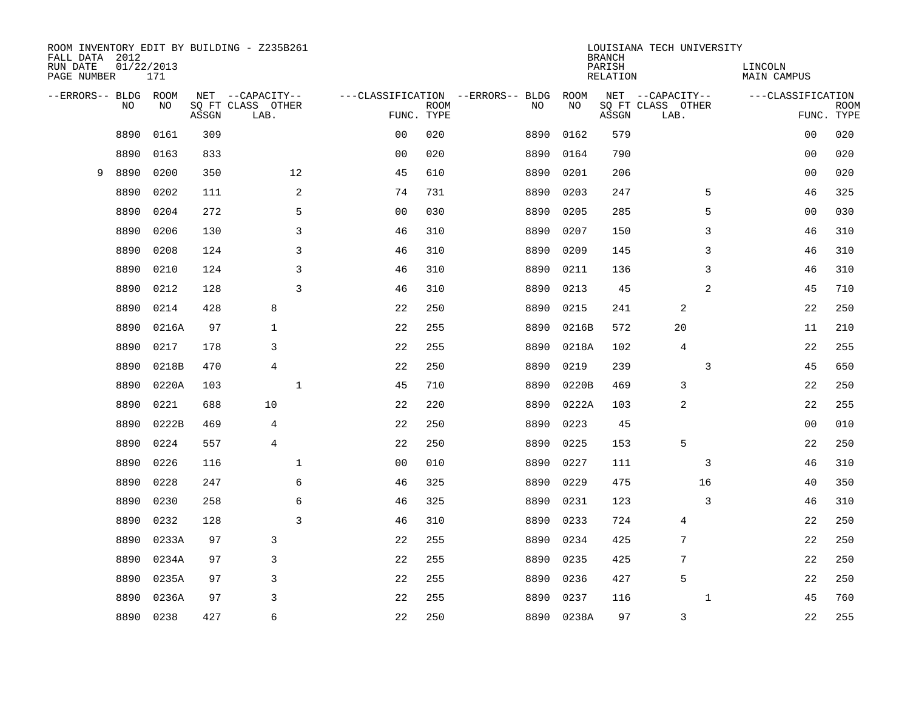| FALL DATA 2012<br>RUN DATE<br>PAGE NUMBER |      | 01/22/2013<br>171 |       | ROOM INVENTORY EDIT BY BUILDING - Z235B261 |                |             |                                         |            | <b>BRANCH</b><br>PARISH<br><b>RELATION</b> | LOUISIANA TECH UNIVERSITY             | LINCOLN<br><b>MAIN CAMPUS</b> |             |
|-------------------------------------------|------|-------------------|-------|--------------------------------------------|----------------|-------------|-----------------------------------------|------------|--------------------------------------------|---------------------------------------|-------------------------------|-------------|
|                                           |      |                   |       |                                            |                |             |                                         |            |                                            |                                       |                               |             |
| --ERRORS-- BLDG ROOM                      | NO   | NO                |       | NET --CAPACITY--<br>SQ FT CLASS OTHER      |                | <b>ROOM</b> | ---CLASSIFICATION --ERRORS-- BLDG<br>NO | ROOM<br>NO |                                            | NET --CAPACITY--<br>SQ FT CLASS OTHER | ---CLASSIFICATION             | <b>ROOM</b> |
|                                           |      |                   | ASSGN | LAB.                                       | FUNC. TYPE     |             |                                         |            | ASSGN                                      | LAB.                                  |                               | FUNC. TYPE  |
|                                           | 8890 | 0161              | 309   |                                            | 0 <sub>0</sub> | 020         | 8890                                    | 0162       | 579                                        |                                       | 00                            | 020         |
|                                           | 8890 | 0163              | 833   |                                            | 0 <sub>0</sub> | 020         | 8890                                    | 0164       | 790                                        |                                       | 00                            | 020         |
| 9                                         | 8890 | 0200              | 350   | 12                                         | 45             | 610         | 8890                                    | 0201       | 206                                        |                                       | 00                            | 020         |
|                                           | 8890 | 0202              | 111   | 2                                          | 74             | 731         | 8890                                    | 0203       | 247                                        | 5                                     | 46                            | 325         |
|                                           | 8890 | 0204              | 272   | 5                                          | 0 <sub>0</sub> | 030         | 8890                                    | 0205       | 285                                        | 5                                     | 0 <sub>0</sub>                | 030         |
|                                           | 8890 | 0206              | 130   | 3                                          | 46             | 310         | 8890                                    | 0207       | 150                                        | 3                                     | 46                            | 310         |
|                                           | 8890 | 0208              | 124   | 3                                          | 46             | 310         | 8890                                    | 0209       | 145                                        | 3                                     | 46                            | 310         |
|                                           | 8890 | 0210              | 124   | 3                                          | 46             | 310         | 8890                                    | 0211       | 136                                        | 3                                     | 46                            | 310         |
|                                           | 8890 | 0212              | 128   | 3                                          | 46             | 310         | 8890                                    | 0213       | 45                                         | 2                                     | 45                            | 710         |
|                                           | 8890 | 0214              | 428   | 8                                          | 22             | 250         | 8890                                    | 0215       | 241                                        | 2                                     | 22                            | 250         |
|                                           | 8890 | 0216A             | 97    | $\mathbf{1}$                               | 22             | 255         | 8890                                    | 0216B      | 572                                        | 20                                    | 11                            | 210         |
|                                           | 8890 | 0217              | 178   | 3                                          | 22             | 255         | 8890                                    | 0218A      | 102                                        | $\overline{4}$                        | 22                            | 255         |
|                                           | 8890 | 0218B             | 470   | 4                                          | 22             | 250         | 8890                                    | 0219       | 239                                        | 3                                     | 45                            | 650         |
|                                           | 8890 | 0220A             | 103   | $\mathbf 1$                                | 45             | 710         | 8890                                    | 0220B      | 469                                        | 3                                     | 22                            | 250         |
|                                           | 8890 | 0221              | 688   | 10                                         | 22             | 220         | 8890                                    | 0222A      | 103                                        | 2                                     | 22                            | 255         |
|                                           | 8890 | 0222B             | 469   | 4                                          | 22             | 250         | 8890                                    | 0223       | 45                                         |                                       | 00                            | 010         |
|                                           | 8890 | 0224              | 557   | $\overline{4}$                             | 22             | 250         | 8890                                    | 0225       | 153                                        | 5                                     | 22                            | 250         |
|                                           | 8890 | 0226              | 116   | $\mathbf 1$                                | 0 <sub>0</sub> | 010         | 8890                                    | 0227       | 111                                        | 3                                     | 46                            | 310         |
|                                           | 8890 | 0228              | 247   | 6                                          | 46             | 325         | 8890                                    | 0229       | 475                                        | 16                                    | 40                            | 350         |
|                                           | 8890 | 0230              | 258   | 6                                          | 46             | 325         | 8890                                    | 0231       | 123                                        | $\overline{3}$                        | 46                            | 310         |
|                                           | 8890 | 0232              | 128   | 3                                          | 46             | 310         | 8890                                    | 0233       | 724                                        | 4                                     | 22                            | 250         |
|                                           | 8890 | 0233A             | 97    | 3                                          | 22             | 255         | 8890                                    | 0234       | 425                                        | 7                                     | 22                            | 250         |
|                                           | 8890 | 0234A             | 97    | 3                                          | 22             | 255         | 8890                                    | 0235       | 425                                        | 7                                     | 22                            | 250         |
|                                           | 8890 | 0235A             | 97    | 3                                          | 22             | 255         | 8890                                    | 0236       | 427                                        | 5                                     | 22                            | 250         |
|                                           | 8890 | 0236A             | 97    | 3                                          | 22             | 255         | 8890                                    | 0237       | 116                                        | $\mathbf{1}$                          | 45                            | 760         |
|                                           | 8890 | 0238              | 427   | 6                                          | 22             | 250         |                                         | 8890 0238A | 97                                         | 3                                     | 22                            | 255         |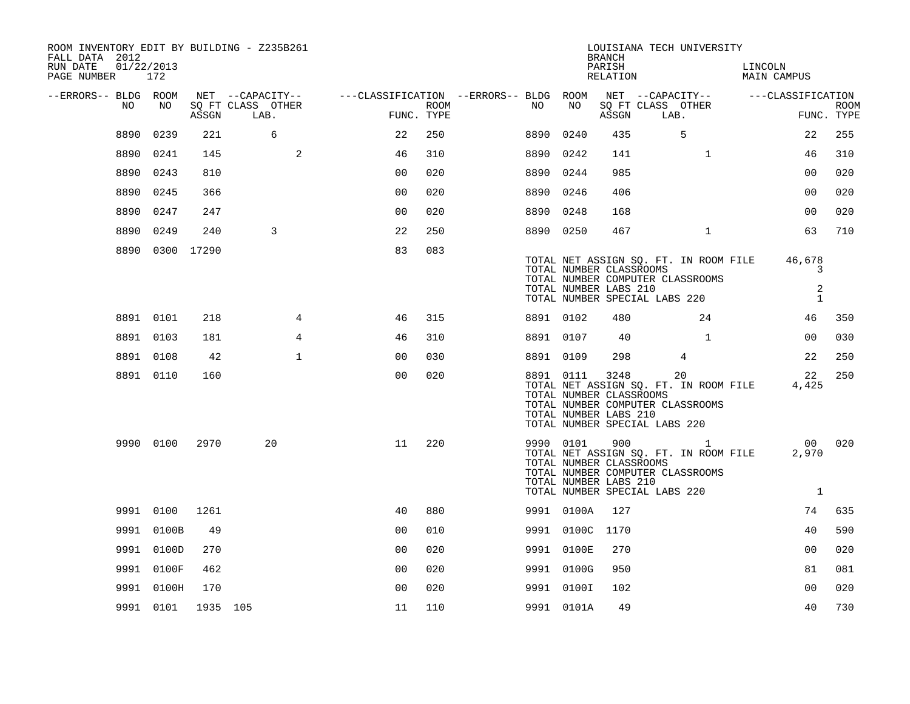| ROOM INVENTORY EDIT BY BUILDING - Z235B261<br>FALL DATA 2012<br>RUN DATE<br>01/22/2013<br>PAGE NUMBER 172 |                 |          |                           |                                                                                                              |      |           |                                                  | <b>BRANCH</b><br>PARISH<br>RELATION | LOUISIANA TECH UNIVERSITY                                                                                                     | LINCOLN<br>MAIN CAMPUS |                           |
|-----------------------------------------------------------------------------------------------------------|-----------------|----------|---------------------------|--------------------------------------------------------------------------------------------------------------|------|-----------|--------------------------------------------------|-------------------------------------|-------------------------------------------------------------------------------------------------------------------------------|------------------------|---------------------------|
| --ERRORS-- BLDG ROOM<br>NO.                                                                               | NO              | ASSGN    | SQ FT CLASS OTHER<br>LAB. | NET --CAPACITY-- - ---CLASSIFICATION --ERRORS-- BLDG ROOM NET --CAPACITY-- - ---CLASSIFICATION<br>FUNC. TYPE | ROOM | NO .      | NO                                               | ASSGN                               | SQ FT CLASS OTHER<br>LAB.                                                                                                     |                        | <b>ROOM</b><br>FUNC. TYPE |
|                                                                                                           | 8890 0239       | 221      | 6                         | 22                                                                                                           | 250  | 8890 0240 |                                                  | 435                                 | 5                                                                                                                             | 22                     | 255                       |
|                                                                                                           | 8890 0241       | 145      | 2                         | 46                                                                                                           | 310  | 8890 0242 |                                                  | 141                                 | $\mathbf{1}$                                                                                                                  | 46                     | 310                       |
|                                                                                                           | 8890 0243       | 810      |                           | 0 <sub>0</sub>                                                                                               | 020  | 8890 0244 |                                                  | 985                                 |                                                                                                                               | 0 <sub>0</sub>         | 020                       |
| 8890                                                                                                      | 0245            | 366      |                           | 0 <sub>0</sub>                                                                                               | 020  | 8890 0246 |                                                  | 406                                 |                                                                                                                               | 0 <sub>0</sub>         | 020                       |
|                                                                                                           | 8890 0247       | 247      |                           | 0 <sub>0</sub>                                                                                               | 020  | 8890 0248 |                                                  | 168                                 |                                                                                                                               | 0 <sub>0</sub>         | 020                       |
|                                                                                                           | 8890 0249       | 240      | 3                         | 22                                                                                                           | 250  | 8890 0250 |                                                  | 467                                 | $\mathbf{1}$                                                                                                                  | 63                     | 710                       |
|                                                                                                           | 8890 0300 17290 |          |                           | 83                                                                                                           | 083  |           | TOTAL NUMBER CLASSROOMS<br>TOTAL NUMBER LABS 210 |                                     | TOTAL NET ASSIGN SQ. FT. IN ROOM FILE<br>TOTAL NUMBER COMPUTER CLASSROOMS<br>TOTAL NUMBER SPECIAL LABS 220                    | 46,678                 | 3<br>2<br>$\mathbf{1}$    |
|                                                                                                           | 8891 0101       | 218      | $\overline{4}$            | 46                                                                                                           | 315  | 8891 0102 |                                                  | 480                                 | 24                                                                                                                            | 46                     | 350                       |
|                                                                                                           | 8891 0103       | 181      | 4                         | 46                                                                                                           | 310  | 8891 0107 |                                                  | 40                                  | $\mathbf{1}$                                                                                                                  | 00                     | 030                       |
|                                                                                                           | 8891 0108       | 42       | $\mathbf{1}$              | 00                                                                                                           | 030  | 8891 0109 |                                                  | 298                                 | $\overline{4}$                                                                                                                | 22                     | 250                       |
|                                                                                                           | 8891 0110       | 160      |                           | 0 <sub>0</sub>                                                                                               | 020  | 8891 0111 | TOTAL NUMBER CLASSROOMS<br>TOTAL NUMBER LABS 210 | 3248                                | 20<br>TOTAL NET ASSIGN SQ. FT. IN ROOM FILE<br>TOTAL NUMBER COMPUTER CLASSROOMS<br>TOTAL NUMBER SPECIAL LABS 220              | 22<br>4,425            | 250                       |
|                                                                                                           | 9990 0100       | 2970     | 20                        | 11                                                                                                           | 220  |           | TOTAL NUMBER CLASSROOMS<br>TOTAL NUMBER LABS 210 |                                     | 9990 0101 900 1<br>TOTAL NET ASSIGN SQ. FT. IN ROOM FILE<br>TOTAL NUMBER COMPUTER CLASSROOMS<br>TOTAL NUMBER SPECIAL LABS 220 | 2,970                  | 00 020<br><sup>1</sup>    |
|                                                                                                           | 9991 0100       | 1261     |                           | 40                                                                                                           | 880  |           | 9991 0100A                                       | 127                                 |                                                                                                                               | 74                     | 635                       |
|                                                                                                           | 9991 0100B      | 49       |                           | 0 <sub>0</sub>                                                                                               | 010  |           | 9991 0100C 1170                                  |                                     |                                                                                                                               | 40                     | 590                       |
|                                                                                                           | 9991 0100D      | 270      |                           | 0 <sub>0</sub>                                                                                               | 020  |           | 9991 0100E                                       | 270                                 |                                                                                                                               | 0 <sub>0</sub>         | 020                       |
|                                                                                                           | 9991 0100F      | 462      |                           | 0 <sub>0</sub>                                                                                               | 020  |           | 9991 0100G                                       | 950                                 |                                                                                                                               | 81                     | 081                       |
|                                                                                                           | 9991 0100H      | 170      |                           | 0 <sup>0</sup>                                                                                               | 020  |           | 9991 0100I                                       | 102                                 |                                                                                                                               | 0 <sub>0</sub>         | 020                       |
|                                                                                                           | 9991 0101       | 1935 105 |                           | 11                                                                                                           | 110  |           | 9991 0101A                                       | 49                                  |                                                                                                                               | 40                     | 730                       |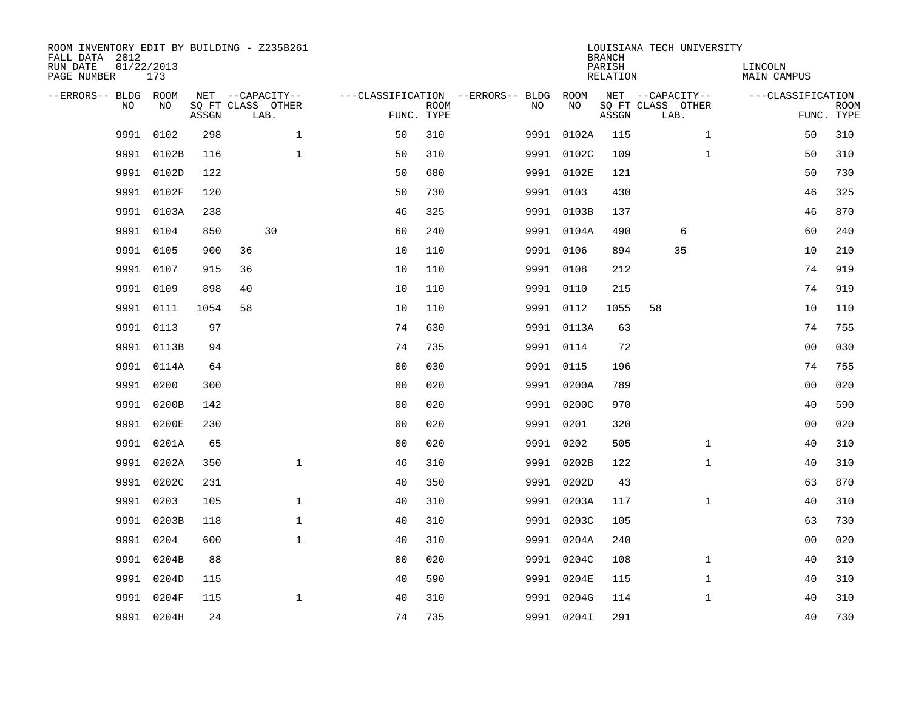| ROOM INVENTORY EDIT BY BUILDING - Z235B261<br>FALL DATA 2012<br>RUN DATE<br>PAGE NUMBER | 01/22/2013<br>173 |       |                                               |              |                                                      |             |           |            | <b>BRANCH</b><br>PARISH<br><b>RELATION</b> | LOUISIANA TECH UNIVERSITY                     | LINCOLN<br><b>MAIN CAMPUS</b> |                           |
|-----------------------------------------------------------------------------------------|-------------------|-------|-----------------------------------------------|--------------|------------------------------------------------------|-------------|-----------|------------|--------------------------------------------|-----------------------------------------------|-------------------------------|---------------------------|
| --ERRORS-- BLDG ROOM<br>NO                                                              | NO                | ASSGN | NET --CAPACITY--<br>SQ FT CLASS OTHER<br>LAB. |              | ---CLASSIFICATION --ERRORS-- BLDG ROOM<br>FUNC. TYPE | <b>ROOM</b> | NO        | NO         | ASSGN                                      | NET --CAPACITY--<br>SQ FT CLASS OTHER<br>LAB. | ---CLASSIFICATION             | <b>ROOM</b><br>FUNC. TYPE |
| 9991                                                                                    | 0102              | 298   |                                               | $\mathbf 1$  | 50                                                   | 310         | 9991      | 0102A      | 115                                        | $\mathbf{1}$                                  | 50                            | 310                       |
| 9991                                                                                    | 0102B             | 116   |                                               | $\mathbf{1}$ | 50                                                   | 310         |           | 9991 0102C | 109                                        | $\mathbf{1}$                                  | 50                            | 310                       |
| 9991                                                                                    | 0102D             | 122   |                                               |              | 50                                                   | 680         |           | 9991 0102E | 121                                        |                                               | 50                            | 730                       |
| 9991                                                                                    | 0102F             | 120   |                                               |              | 50                                                   | 730         | 9991 0103 |            | 430                                        |                                               | 46                            | 325                       |
| 9991                                                                                    | 0103A             | 238   |                                               |              | 46                                                   | 325         |           | 9991 0103B | 137                                        |                                               | 46                            | 870                       |
|                                                                                         | 9991 0104         | 850   | 30                                            |              | 60                                                   | 240         |           | 9991 0104A | 490                                        | 6                                             | 60                            | 240                       |
| 9991                                                                                    | 0105              | 900   | 36                                            |              | 10                                                   | 110         | 9991 0106 |            | 894                                        | 35                                            | 10                            | 210                       |
|                                                                                         | 9991 0107         | 915   | 36                                            |              | 10                                                   | 110         | 9991 0108 |            | 212                                        |                                               | 74                            | 919                       |
| 9991                                                                                    | 0109              | 898   | 40                                            |              | 10                                                   | 110         | 9991 0110 |            | 215                                        |                                               | 74                            | 919                       |
|                                                                                         | 9991 0111         | 1054  | 58                                            |              | 10                                                   | 110         | 9991 0112 |            | 1055                                       | 58                                            | 10                            | 110                       |
| 9991                                                                                    | 0113              | 97    |                                               |              | 74                                                   | 630         |           | 9991 0113A | 63                                         |                                               | 74                            | 755                       |
|                                                                                         | 9991 0113B        | 94    |                                               |              | 74                                                   | 735         | 9991 0114 |            | 72                                         |                                               | 0 <sub>0</sub>                | 030                       |
| 9991                                                                                    | 0114A             | 64    |                                               |              | 0 <sub>0</sub>                                       | 030         | 9991      | 0115       | 196                                        |                                               | 74                            | 755                       |
| 9991                                                                                    | 0200              | 300   |                                               |              | 0 <sub>0</sub>                                       | 020         |           | 9991 0200A | 789                                        |                                               | 00                            | 020                       |
| 9991                                                                                    | 0200B             | 142   |                                               |              | 0 <sub>0</sub>                                       | 020         |           | 9991 0200C | 970                                        |                                               | 40                            | 590                       |
| 9991                                                                                    | 0200E             | 230   |                                               |              | 0 <sub>0</sub>                                       | 020         | 9991 0201 |            | 320                                        |                                               | 0 <sub>0</sub>                | 020                       |
| 9991                                                                                    | 0201A             | 65    |                                               |              | 0 <sub>0</sub>                                       | 020         | 9991      | 0202       | 505                                        | $\mathbf{1}$                                  | 40                            | 310                       |
| 9991                                                                                    | 0202A             | 350   |                                               | $\mathbf{1}$ | 46                                                   | 310         |           | 9991 0202B | 122                                        | $\mathbf{1}$                                  | 40                            | 310                       |
| 9991                                                                                    | 0202C             | 231   |                                               |              | 40                                                   | 350         |           | 9991 0202D | 43                                         |                                               | 63                            | 870                       |
| 9991                                                                                    | 0203              | 105   |                                               | $\mathbf 1$  | 40                                                   | 310         |           | 9991 0203A | 117                                        | $\mathbf{1}$                                  | 40                            | 310                       |
| 9991                                                                                    | 0203B             | 118   |                                               | $\mathbf 1$  | 40                                                   | 310         |           | 9991 0203C | 105                                        |                                               | 63                            | 730                       |
| 9991                                                                                    | 0204              | 600   |                                               | $\mathbf{1}$ | 40                                                   | 310         |           | 9991 0204A | 240                                        |                                               | 00                            | 020                       |
| 9991                                                                                    | 0204B             | 88    |                                               |              | 0 <sub>0</sub>                                       | 020         |           | 9991 0204C | 108                                        | $\mathbf{1}$                                  | 40                            | 310                       |
| 9991                                                                                    | 0204D             | 115   |                                               |              | 40                                                   | 590         |           | 9991 0204E | 115                                        | $\mathbf{1}$                                  | 40                            | 310                       |
| 9991                                                                                    | 0204F             | 115   |                                               | $\mathbf 1$  | 40                                                   | 310         | 9991      | 0204G      | 114                                        | $\mathbf{1}$                                  | 40                            | 310                       |
|                                                                                         | 9991 0204H        | 24    |                                               |              | 74                                                   | 735         |           | 9991 0204I | 291                                        |                                               | 40                            | 730                       |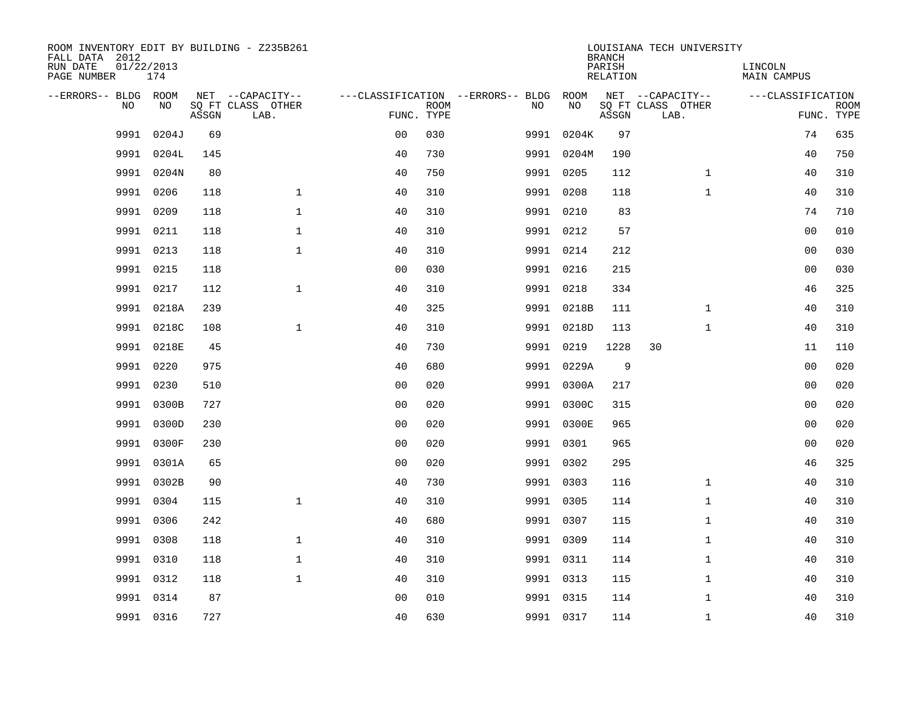| ROOM INVENTORY EDIT BY BUILDING - Z235B261<br>FALL DATA 2012 |                   |       |                           |                |             |                                        |            | <b>BRANCH</b>      | LOUISIANA TECH UNIVERSITY |                        |                           |
|--------------------------------------------------------------|-------------------|-------|---------------------------|----------------|-------------|----------------------------------------|------------|--------------------|---------------------------|------------------------|---------------------------|
| RUN DATE<br>PAGE NUMBER                                      | 01/22/2013<br>174 |       |                           |                |             |                                        |            | PARISH<br>RELATION |                           | LINCOLN<br>MAIN CAMPUS |                           |
| --ERRORS-- BLDG ROOM                                         |                   |       | NET --CAPACITY--          |                |             | ---CLASSIFICATION --ERRORS-- BLDG ROOM |            |                    | NET --CAPACITY--          | ---CLASSIFICATION      |                           |
| NO.                                                          | NO.               | ASSGN | SQ FT CLASS OTHER<br>LAB. | FUNC. TYPE     | <b>ROOM</b> | NO.                                    | NO         | ASSGN              | SQ FT CLASS OTHER<br>LAB. |                        | <b>ROOM</b><br>FUNC. TYPE |
| 9991                                                         | 0204J             | 69    |                           | 0 <sub>0</sub> | 030         |                                        | 9991 0204K | 97                 |                           | 74                     | 635                       |
| 9991                                                         | 0204L             | 145   |                           | 40             | 730         |                                        | 9991 0204M | 190                |                           | 40                     | 750                       |
|                                                              | 9991 0204N        | 80    |                           | 40             | 750         |                                        | 9991 0205  | 112                | $\mathbf{1}$              | 40                     | 310                       |
|                                                              | 9991 0206         | 118   | $\mathbf 1$               | 40             | 310         |                                        | 9991 0208  | 118                | $\mathbf{1}$              | 40                     | 310                       |
| 9991                                                         | 0209              | 118   | $\mathbf{1}$              | 40             | 310         |                                        | 9991 0210  | 83                 |                           | 74                     | 710                       |
|                                                              | 9991 0211         | 118   | $\mathbf{1}$              | 40             | 310         |                                        | 9991 0212  | 57                 |                           | 0 <sub>0</sub>         | 010                       |
| 9991                                                         | 0213              | 118   | $\mathbf{1}$              | 40             | 310         |                                        | 9991 0214  | 212                |                           | 0 <sub>0</sub>         | 030                       |
| 9991                                                         | 0215              | 118   |                           | 0 <sub>0</sub> | 030         |                                        | 9991 0216  | 215                |                           | 00                     | 030                       |
| 9991                                                         | 0217              | 112   | $\mathbf{1}$              | 40             | 310         |                                        | 9991 0218  | 334                |                           | 46                     | 325                       |
|                                                              | 9991 0218A        | 239   |                           | 40             | 325         |                                        | 9991 0218B | 111                | $\mathbf{1}$              | 40                     | 310                       |
|                                                              | 9991 0218C        | 108   | $\mathbf{1}$              | 40             | 310         |                                        | 9991 0218D | 113                | $\mathbf{1}$              | 40                     | 310                       |
|                                                              | 9991 0218E        | 45    |                           | 40             | 730         |                                        | 9991 0219  | 1228               | 30                        | 11                     | 110                       |
|                                                              | 9991 0220         | 975   |                           | 40             | 680         |                                        | 9991 0229A | 9                  |                           | 0 <sub>0</sub>         | 020                       |
|                                                              | 9991 0230         | 510   |                           | 0 <sub>0</sub> | 020         |                                        | 9991 0300A | 217                |                           | 00                     | 020                       |
|                                                              | 9991 0300B        | 727   |                           | 0 <sub>0</sub> | 020         |                                        | 9991 0300C | 315                |                           | 0 <sub>0</sub>         | 020                       |
|                                                              | 9991 0300D        | 230   |                           | 0 <sub>0</sub> | 020         |                                        | 9991 0300E | 965                |                           | 0 <sub>0</sub>         | 020                       |
| 9991                                                         | 0300F             | 230   |                           | 0 <sub>0</sub> | 020         |                                        | 9991 0301  | 965                |                           | 00                     | 020                       |
| 9991                                                         | 0301A             | 65    |                           | 0 <sub>0</sub> | 020         |                                        | 9991 0302  | 295                |                           | 46                     | 325                       |
|                                                              | 9991 0302B        | 90    |                           | 40             | 730         |                                        | 9991 0303  | 116                | $\mathbf{1}$              | 40                     | 310                       |
|                                                              | 9991 0304         | 115   | $\mathbf{1}$              | 40             | 310         |                                        | 9991 0305  | 114                | $\mathbf{1}$              | 40                     | 310                       |
|                                                              | 9991 0306         | 242   |                           | 40             | 680         |                                        | 9991 0307  | 115                | $\mathbf{1}$              | 40                     | 310                       |
| 9991                                                         | 0308              | 118   | $\mathbf 1$               | 40             | 310         |                                        | 9991 0309  | 114                | $\mathbf{1}$              | 40                     | 310                       |
|                                                              | 9991 0310         | 118   | $\mathbf 1$               | 40             | 310         |                                        | 9991 0311  | 114                | $\mathbf{1}$              | 40                     | 310                       |
|                                                              | 9991 0312         | 118   | $\mathbf{1}$              | 40             | 310         |                                        | 9991 0313  | 115                | $\mathbf{1}$              | 40                     | 310                       |
| 9991                                                         | 0314              | 87    |                           | 0 <sub>0</sub> | 010         |                                        | 9991 0315  | 114                | $\mathbf{1}$              | 40                     | 310                       |
|                                                              | 9991 0316         | 727   |                           | 40             | 630         |                                        | 9991 0317  | 114                | $\mathbf{1}$              | 40                     | 310                       |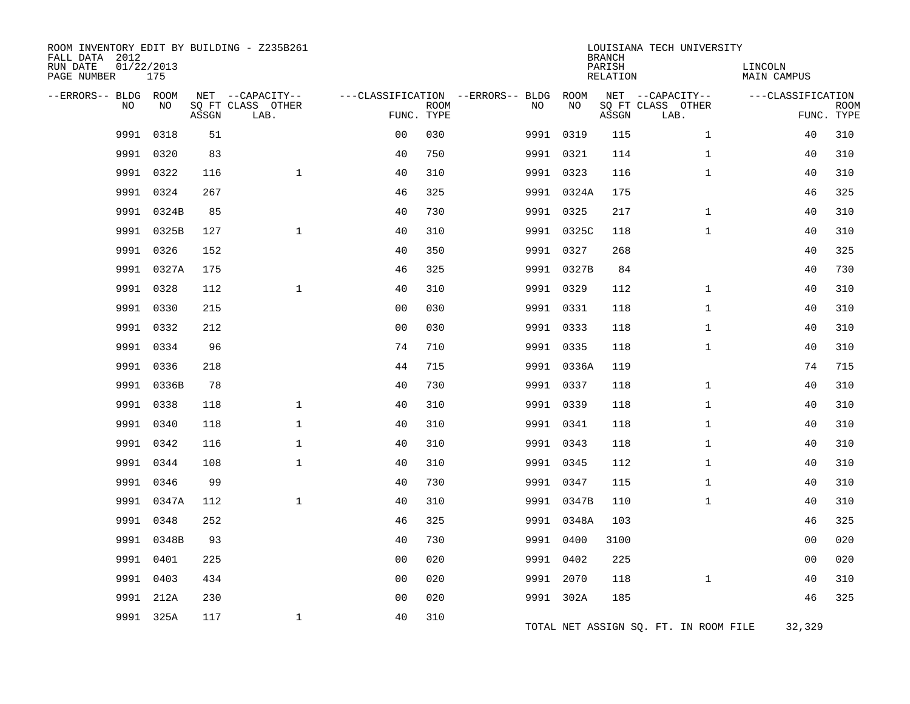| FALL DATA 2012<br>RUN DATE<br>PAGE NUMBER | 01/22/2013 | 175        |       | ROOM INVENTORY EDIT BY BUILDING - Z235B261    |                                        |                           |           |            | <b>BRANCH</b><br>PARISH<br>RELATION | LOUISIANA TECH UNIVERSITY                     | LINCOLN<br><b>MAIN CAMPUS</b> |                           |
|-------------------------------------------|------------|------------|-------|-----------------------------------------------|----------------------------------------|---------------------------|-----------|------------|-------------------------------------|-----------------------------------------------|-------------------------------|---------------------------|
| --ERRORS-- BLDG ROOM                      | NO         | NO         | ASSGN | NET --CAPACITY--<br>SQ FT CLASS OTHER<br>LAB. | ---CLASSIFICATION --ERRORS-- BLDG ROOM | <b>ROOM</b><br>FUNC. TYPE | NO        | NO         | ASSGN                               | NET --CAPACITY--<br>SQ FT CLASS OTHER<br>LAB. | ---CLASSIFICATION             | <b>ROOM</b><br>FUNC. TYPE |
|                                           | 9991       | 0318       | 51    |                                               | 0 <sub>0</sub>                         | 030                       |           | 9991 0319  | 115                                 | $\mathbf{1}$                                  | 40                            | 310                       |
|                                           | 9991 0320  |            | 83    |                                               | 40                                     | 750                       |           | 9991 0321  | 114                                 | $\mathbf{1}$                                  | 40                            | 310                       |
|                                           | 9991       | 0322       | 116   | $\mathbf{1}$                                  | 40                                     | 310                       |           | 9991 0323  | 116                                 | $\mathbf{1}$                                  | 40                            | 310                       |
|                                           | 9991       | 0324       | 267   |                                               | 46                                     | 325                       |           | 9991 0324A | 175                                 |                                               | 46                            | 325                       |
|                                           |            | 9991 0324B | 85    |                                               | 40                                     | 730                       |           | 9991 0325  | 217                                 | $\mathbf{1}$                                  | 40                            | 310                       |
|                                           | 9991       | 0325B      | 127   | $\mathbf{1}$                                  | 40                                     | 310                       |           | 9991 0325C | 118                                 | $\mathbf{1}$                                  | 40                            | 310                       |
|                                           | 9991       | 0326       | 152   |                                               | 40                                     | 350                       |           | 9991 0327  | 268                                 |                                               | 40                            | 325                       |
|                                           |            | 9991 0327A | 175   |                                               | 46                                     | 325                       |           | 9991 0327B | 84                                  |                                               | 40                            | 730                       |
|                                           | 9991 0328  |            | 112   | $\mathbf{1}$                                  | 40                                     | 310                       |           | 9991 0329  | 112                                 | $\mathbf{1}$                                  | 40                            | 310                       |
|                                           | 9991       | 0330       | 215   |                                               | 0 <sub>0</sub>                         | 030                       |           | 9991 0331  | 118                                 | $\mathbf{1}$                                  | 40                            | 310                       |
|                                           | 9991 0332  |            | 212   |                                               | 0 <sub>0</sub>                         | 030                       |           | 9991 0333  | 118                                 | $\mathbf{1}$                                  | 40                            | 310                       |
|                                           | 9991       | 0334       | 96    |                                               | 74                                     | 710                       |           | 9991 0335  | 118                                 | $\mathbf{1}$                                  | 40                            | 310                       |
|                                           | 9991       | 0336       | 218   |                                               | 44                                     | 715                       |           | 9991 0336A | 119                                 |                                               | 74                            | 715                       |
|                                           | 9991       | 0336B      | 78    |                                               | 40                                     | 730                       |           | 9991 0337  | 118                                 | $\mathbf{1}$                                  | 40                            | 310                       |
|                                           | 9991       | 0338       | 118   | $\mathbf 1$                                   | 40                                     | 310                       |           | 9991 0339  | 118                                 | $\mathbf{1}$                                  | 40                            | 310                       |
|                                           | 9991       | 0340       | 118   | $\mathbf{1}$                                  | 40                                     | 310                       |           | 9991 0341  | 118                                 | $\mathbf{1}$                                  | 40                            | 310                       |
|                                           | 9991       | 0342       | 116   | $\mathbf{1}$                                  | 40                                     | 310                       | 9991 0343 |            | 118                                 | $\mathbf{1}$                                  | 40                            | 310                       |
|                                           | 9991 0344  |            | 108   | $\mathbf{1}$                                  | 40                                     | 310                       |           | 9991 0345  | 112                                 | $\mathbf{1}$                                  | 40                            | 310                       |
|                                           | 9991       | 0346       | 99    |                                               | 40                                     | 730                       |           | 9991 0347  | 115                                 | $\mathbf{1}$                                  | 40                            | 310                       |
|                                           |            | 9991 0347A | 112   | $\mathbf{1}$                                  | 40                                     | 310                       |           | 9991 0347B | 110                                 | $\mathbf{1}$                                  | 40                            | 310                       |
|                                           | 9991       | 0348       | 252   |                                               | 46                                     | 325                       |           | 9991 0348A | 103                                 |                                               | 46                            | 325                       |
|                                           |            | 9991 0348B | 93    |                                               | 40                                     | 730                       |           | 9991 0400  | 3100                                |                                               | 0 <sub>0</sub>                | 020                       |
|                                           | 9991       | 0401       | 225   |                                               | 0 <sub>0</sub>                         | 020                       |           | 9991 0402  | 225                                 |                                               | 0 <sub>0</sub>                | 020                       |
|                                           | 9991       | 0403       | 434   |                                               | 0 <sub>0</sub>                         | 020                       |           | 9991 2070  | 118                                 | $\mathbf{1}$                                  | 40                            | 310                       |
|                                           | 9991       | 212A       | 230   |                                               | 0 <sub>0</sub>                         | 020                       |           | 9991 302A  | 185                                 |                                               | 46                            | 325                       |
|                                           |            | 9991 325A  | 117   | $\mathbf{1}$                                  | 40                                     | 310                       |           |            |                                     | TOTAL NET ASSIGN SQ. FT. IN ROOM FILE         | 32,329                        |                           |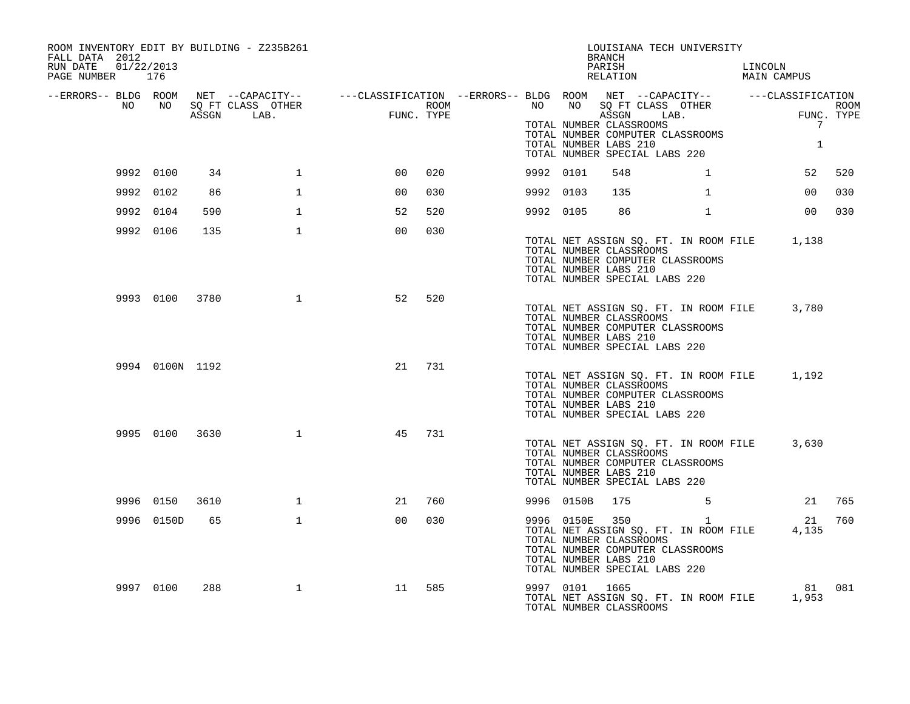| ROOM INVENTORY EDIT BY BUILDING - Z235B261<br>FALL DATA 2012                                                                                                                                   |                 |      |              |                 |     |             |           |                | LOUISIANA TECH UNIVERSITY<br>BRANCH                                                                                                                                                      |              |                        |                                 |      |
|------------------------------------------------------------------------------------------------------------------------------------------------------------------------------------------------|-----------------|------|--------------|-----------------|-----|-------------|-----------|----------------|------------------------------------------------------------------------------------------------------------------------------------------------------------------------------------------|--------------|------------------------|---------------------------------|------|
| RUN DATE 01/22/2013<br>PAGE NUMBER 176                                                                                                                                                         |                 |      |              |                 |     |             |           |                | PARISH<br>RELATION                                                                                                                                                                       |              | LINCOLN<br>MAIN CAMPUS |                                 |      |
| -ERRORS-- BLDG ROOM NET --CAPACITY-- ----CLASSIFICATION --ERRORS-- BLDG ROOM NET --CAPACITY-- -----CLASSIFICATION-<br>NO NO SQ FT CLASS OTHER ---CLASSIFICATION ROOM NO SQ FT CLASS OTHER ROOM |                 |      |              |                 |     |             |           |                |                                                                                                                                                                                          |              |                        |                                 | ROOM |
|                                                                                                                                                                                                |                 |      | ASSGN LAB.   | ROOM FUNC. TYPE |     | <b>ROOM</b> |           |                | ASSGN LAB.<br>TOTAL NUMBER CLASSROOMS<br>TOTAL NUMBER COMPUTER CLASSROOMS<br>TOTAL NUMBER LABS 210<br>TOTAL NUMBER SPECIAL LABS 220                                                      |              | $\tt FUNC$ .           | FUNC. TYPE<br>7<br>$\mathbf{1}$ |      |
|                                                                                                                                                                                                | 9992 0100       | 34   | $\mathbf{1}$ | 0 <sub>0</sub>  | 020 |             | 9992 0101 |                | 548                                                                                                                                                                                      | $\mathbf{1}$ |                        | 52                              | 520  |
|                                                                                                                                                                                                | 9992 0102       | 86   | $\mathbf{1}$ | 0 <sub>0</sub>  | 030 |             | 9992 0103 |                | 135                                                                                                                                                                                      | $\mathbf{1}$ |                        | 0 <sub>0</sub>                  | 030  |
|                                                                                                                                                                                                | 9992 0104       | 590  | $\mathbf{1}$ | 52              | 520 |             | 9992 0105 |                | 86 — 1                                                                                                                                                                                   | $\mathbf{1}$ |                        | 0 <sub>0</sub>                  | 030  |
|                                                                                                                                                                                                | 9992 0106       | 135  | $\mathbf{1}$ | 0 <sub>0</sub>  | 030 |             |           |                | TOTAL NET ASSIGN SQ. FT. IN ROOM FILE 1,138<br>TOTAL NUMBER CLASSROOMS<br>TOTAL NUMBER COMPUTER CLASSROOMS<br>TOTAL NUMBER LABS 210<br>TOTAL NUMBER SPECIAL LABS 220                     |              |                        |                                 |      |
|                                                                                                                                                                                                | 9993 0100 3780  |      | $\mathbf{1}$ | 52              | 520 |             |           |                | TOTAL NET ASSIGN SQ. FT. IN ROOM FILE 3,780<br>TOTAL NUMBER CLASSROOMS<br>TOTAL NUMBER COMPUTER CLASSROOMS<br>TOTAL NUMBER LABS 210<br>TOTAL NUMBER SPECIAL LABS 220                     |              |                        |                                 |      |
|                                                                                                                                                                                                | 9994 0100N 1192 |      |              | 21              | 731 |             |           |                | TOTAL NET ASSIGN SQ. FT. IN ROOM FILE 1,192<br>TOTAL NUMBER CLASSROOMS<br>TOTAL NUMBER COMPUTER CLASSROOMS<br>TOTAL NUMBER LABS 210<br>TOTAL NUMBER SPECIAL LABS 220                     |              |                        |                                 |      |
|                                                                                                                                                                                                | 9995 0100 3630  |      | $\mathbf{1}$ | 45              | 731 |             |           |                | TOTAL NET ASSIGN SQ. FT. IN ROOM FILE<br>TOTAL NUMBER CLASSROOMS<br>TOTAL NUMBER COMPUTER CLASSROOMS<br>TOTAL NUMBER LABS 210<br>TOTAL NUMBER SPECIAL LABS 220                           |              |                        | 3,630                           |      |
|                                                                                                                                                                                                | 9996 0150       | 3610 | $\mathbf{1}$ | 21              | 760 |             |           | 9996 0150B     | 175 5                                                                                                                                                                                    |              |                        | 21                              | 765  |
|                                                                                                                                                                                                | 9996 0150D      | 65   | $\mathbf{1}$ | 0 <sub>0</sub>  | 030 |             |           |                | 9996 0150E 350 1<br>TOTAL NET ASSIGN SQ. FT. IN ROOM FILE 4,135<br>TOTAL NUMBER CLASSROOMS<br>TOTAL NUMBER COMPUTER CLASSROOMS<br>TOTAL NUMBER LABS 210<br>TOTAL NUMBER SPECIAL LABS 220 |              |                        | 21                              | 760  |
|                                                                                                                                                                                                | 9997 0100       | 288  | $\mathbf 1$  | 11              | 585 |             |           | 9997 0101 1665 | TOTAL NET ASSIGN SQ. FT. IN ROOM FILE 1,953<br>TOTAL NUMBER CLASSROOMS                                                                                                                   |              |                        | 81 081                          |      |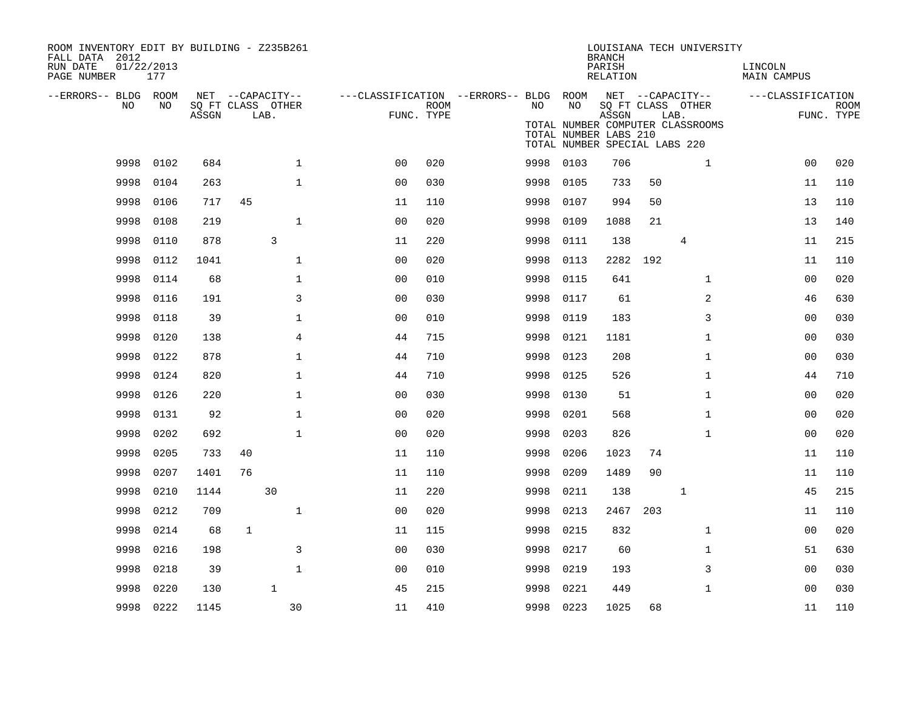| ROOM INVENTORY EDIT BY BUILDING - Z235B261<br>FALL DATA 2012<br>RUN DATE<br>PAGE NUMBER | 01/22/2013<br>177 |       |                                               |                |                |                    |                                                               |           | <b>BRANCH</b><br>PARISH<br>RELATION                             |          | LOUISIANA TECH UNIVERSITY                                     | LINCOLN<br>MAIN CAMPUS |                           |
|-----------------------------------------------------------------------------------------|-------------------|-------|-----------------------------------------------|----------------|----------------|--------------------|---------------------------------------------------------------|-----------|-----------------------------------------------------------------|----------|---------------------------------------------------------------|------------------------|---------------------------|
| --ERRORS-- BLDG ROOM<br>NO                                                              | NO                | ASSGN | NET --CAPACITY--<br>SQ FT CLASS OTHER<br>LAB. |                |                | ROOM<br>FUNC. TYPE | ---CLASSIFICATION --ERRORS-- BLDG ROOM NET --CAPACITY--<br>NO | NO        | ASSGN<br>TOTAL NUMBER LABS 210<br>TOTAL NUMBER SPECIAL LABS 220 |          | SQ FT CLASS OTHER<br>LAB.<br>TOTAL NUMBER COMPUTER CLASSROOMS | ---CLASSIFICATION      | <b>ROOM</b><br>FUNC. TYPE |
| 9998                                                                                    | 0102              | 684   |                                               | $\mathbf{1}$   | 0 <sub>0</sub> | 020                | 9998                                                          | 0103      | 706                                                             |          | $\mathbf{1}$                                                  | 0 <sub>0</sub>         | 020                       |
| 9998                                                                                    | 0104              | 263   |                                               | $\mathbf{1}$   | 00             | 030                | 9998                                                          | 0105      | 733                                                             | 50       |                                                               | 11                     | 110                       |
| 9998                                                                                    | 0106              | 717   | 45                                            |                | 11             | 110                | 9998                                                          | 0107      | 994                                                             | 50       |                                                               | 13                     | 110                       |
| 9998                                                                                    | 0108              | 219   |                                               | $\mathbf{1}$   | 0 <sub>0</sub> | 020                | 9998                                                          | 0109      | 1088                                                            | 21       |                                                               | 13                     | 140                       |
| 9998                                                                                    | 0110              | 878   |                                               | 3              | 11             | 220                | 9998                                                          | 0111      | 138                                                             |          | 4                                                             | 11                     | 215                       |
| 9998                                                                                    | 0112              | 1041  |                                               | $\mathbf{1}$   | 0 <sub>0</sub> | 020                | 9998                                                          | 0113      | 2282                                                            | 192      |                                                               | 11                     | 110                       |
| 9998                                                                                    | 0114              | 68    |                                               | $\mathbf 1$    | 0 <sub>0</sub> | 010                | 9998                                                          | 0115      | 641                                                             |          | $\mathbf{1}$                                                  | 00                     | 020                       |
| 9998                                                                                    | 0116              | 191   |                                               | $\overline{3}$ | 0 <sub>0</sub> | 030                | 9998                                                          | 0117      | 61                                                              |          | 2                                                             | 46                     | 630                       |
| 9998                                                                                    | 0118              | 39    |                                               | $\mathbf 1$    | 0 <sub>0</sub> | 010                | 9998                                                          | 0119      | 183                                                             |          | 3                                                             | 00                     | 030                       |
| 9998                                                                                    | 0120              | 138   |                                               | $\overline{4}$ | 44             | 715                | 9998                                                          | 0121      | 1181                                                            |          | $\mathbf{1}$                                                  | 00                     | 030                       |
| 9998                                                                                    | 0122              | 878   |                                               | $\mathbf 1$    | 44             | 710                | 9998                                                          | 0123      | 208                                                             |          | $\mathbf{1}$                                                  | 00                     | 030                       |
| 9998                                                                                    | 0124              | 820   |                                               | $\mathbf{1}$   | 44             | 710                | 9998                                                          | 0125      | 526                                                             |          | $\mathbf{1}$                                                  | 44                     | 710                       |
| 9998                                                                                    | 0126              | 220   |                                               | $\mathbf 1$    | 0 <sub>0</sub> | 030                | 9998                                                          | 0130      | 51                                                              |          | $\mathbf{1}$                                                  | 00                     | 020                       |
| 9998                                                                                    | 0131              | 92    |                                               | $\mathbf{1}$   | 0 <sub>0</sub> | 020                | 9998                                                          | 0201      | 568                                                             |          | $\mathbf{1}$                                                  | 0 <sub>0</sub>         | 020                       |
| 9998                                                                                    | 0202              | 692   |                                               | $\mathbf 1$    | 0 <sub>0</sub> | 020                | 9998                                                          | 0203      | 826                                                             |          | $\mathbf{1}$                                                  | 00                     | 020                       |
| 9998                                                                                    | 0205              | 733   | 40                                            |                | 11             | 110                | 9998                                                          | 0206      | 1023                                                            | 74       |                                                               | 11                     | 110                       |
| 9998                                                                                    | 0207              | 1401  | 76                                            |                | 11             | 110                | 9998                                                          | 0209      | 1489                                                            | 90       |                                                               | 11                     | 110                       |
| 9998                                                                                    | 0210              | 1144  |                                               | 30             | 11             | 220                | 9998                                                          | 0211      | 138                                                             |          | 1                                                             | 45                     | 215                       |
| 9998                                                                                    | 0212              | 709   |                                               | $\mathbf{1}$   | 0 <sub>0</sub> | 020                | 9998                                                          | 0213      |                                                                 | 2467 203 |                                                               | 11                     | 110                       |
| 9998                                                                                    | 0214              | 68    | 1                                             |                | 11             | 115                | 9998                                                          | 0215      | 832                                                             |          | $\mathbf{1}$                                                  | 0 <sub>0</sub>         | 020                       |
| 9998                                                                                    | 0216              | 198   |                                               | 3              | 0 <sub>0</sub> | 030                | 9998                                                          | 0217      | 60                                                              |          | $\mathbf{1}$                                                  | 51                     | 630                       |
| 9998                                                                                    | 0218              | 39    |                                               | $\mathbf{1}$   | 0 <sub>0</sub> | 010                | 9998                                                          | 0219      | 193                                                             |          | 3                                                             | 0 <sub>0</sub>         | 030                       |
| 9998                                                                                    | 0220              | 130   |                                               | $\mathbf{1}$   | 45             | 215                | 9998                                                          | 0221      | 449                                                             |          | $\mathbf{1}$                                                  | 0 <sub>0</sub>         | 030                       |
| 9998                                                                                    | 0222              | 1145  |                                               | 30             | 11             | 410                |                                                               | 9998 0223 | 1025                                                            | 68       |                                                               | 11                     | 110                       |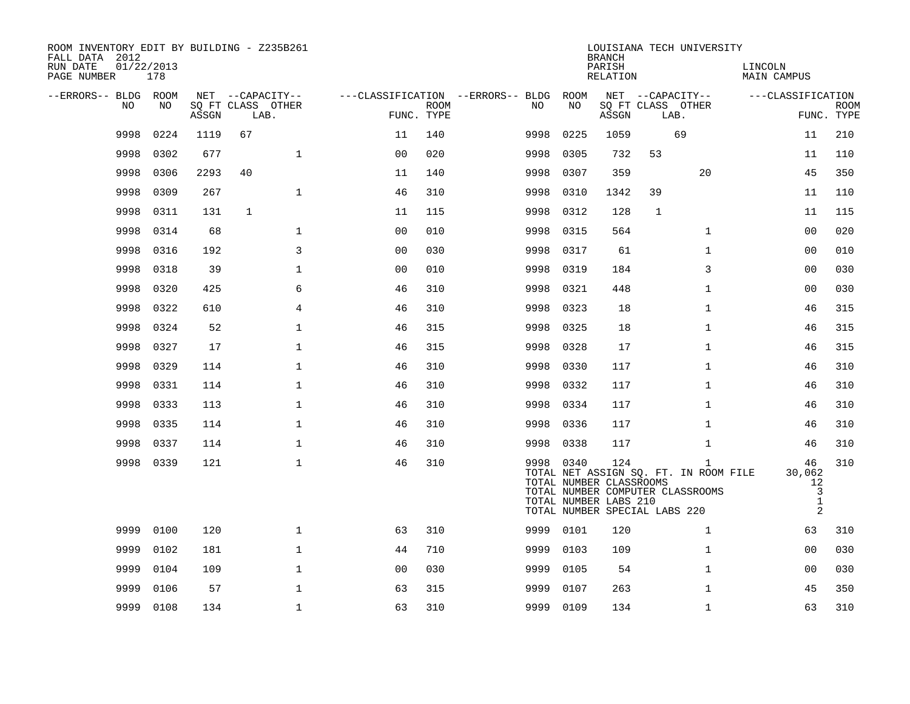| ROOM INVENTORY EDIT BY BUILDING - Z235B261<br>FALL DATA 2012<br>RUN DATE<br>PAGE NUMBER | 01/22/2013<br>178 |       |              |                           |                |             |                                        |           | <b>BRANCH</b><br>PARISH<br>RELATION                     |                               | LOUISIANA TECH UNIVERSITY                                                                 | LINCOLN<br>MAIN CAMPUS                                    |                           |
|-----------------------------------------------------------------------------------------|-------------------|-------|--------------|---------------------------|----------------|-------------|----------------------------------------|-----------|---------------------------------------------------------|-------------------------------|-------------------------------------------------------------------------------------------|-----------------------------------------------------------|---------------------------|
| --ERRORS-- BLDG ROOM                                                                    |                   |       |              | NET --CAPACITY--          |                |             | ---CLASSIFICATION --ERRORS-- BLDG ROOM |           |                                                         | NET --CAPACITY--              |                                                                                           | ---CLASSIFICATION                                         |                           |
| NO                                                                                      | NO                | ASSGN |              | SQ FT CLASS OTHER<br>LAB. | FUNC. TYPE     | <b>ROOM</b> | NO                                     | NO        | ASSGN                                                   | SQ FT CLASS OTHER<br>LAB.     |                                                                                           |                                                           | <b>ROOM</b><br>FUNC. TYPE |
| 9998                                                                                    | 0224              | 1119  | 67           |                           | 11             | 140         | 9998                                   | 0225      | 1059                                                    |                               | 69                                                                                        | 11                                                        | 210                       |
| 9998                                                                                    | 0302              | 677   |              | $\mathbf{1}$              | 0 <sub>0</sub> | 020         | 9998                                   | 0305      | 732                                                     | 53                            |                                                                                           | 11                                                        | 110                       |
| 9998                                                                                    | 0306              | 2293  | 40           |                           | 11             | 140         | 9998                                   | 0307      | 359                                                     |                               | 20                                                                                        | 45                                                        | 350                       |
| 9998                                                                                    | 0309              | 267   |              | $\mathbf{1}$              | 46             | 310         | 9998                                   | 0310      | 1342                                                    | 39                            |                                                                                           | 11                                                        | 110                       |
| 9998                                                                                    | 0311              | 131   | $\mathbf{1}$ |                           | 11             | 115         | 9998                                   | 0312      | 128                                                     | $\mathbf{1}$                  |                                                                                           | 11                                                        | 115                       |
| 9998                                                                                    | 0314              | 68    |              | $\mathbf{1}$              | 0 <sub>0</sub> | 010         | 9998                                   | 0315      | 564                                                     |                               | $\mathbf{1}$                                                                              | 0 <sub>0</sub>                                            | 020                       |
| 9998                                                                                    | 0316              | 192   |              | 3                         | 0 <sub>0</sub> | 030         | 9998                                   | 0317      | 61                                                      |                               | $\mathbf{1}$                                                                              | 0 <sub>0</sub>                                            | 010                       |
| 9998                                                                                    | 0318              | 39    |              | $\mathbf 1$               | 00             | 010         | 9998                                   | 0319      | 184                                                     |                               | 3                                                                                         | 0 <sub>0</sub>                                            | 030                       |
| 9998                                                                                    | 0320              | 425   |              | 6                         | 46             | 310         | 9998                                   | 0321      | 448                                                     |                               | $\mathbf{1}$                                                                              | 0 <sub>0</sub>                                            | 030                       |
| 9998                                                                                    | 0322              | 610   |              | 4                         | 46             | 310         | 9998                                   | 0323      | 18                                                      |                               | $\mathbf{1}$                                                                              | 46                                                        | 315                       |
| 9998                                                                                    | 0324              | 52    |              | $\mathbf{1}$              | 46             | 315         | 9998                                   | 0325      | 18                                                      |                               | $\mathbf{1}$                                                                              | 46                                                        | 315                       |
| 9998                                                                                    | 0327              | 17    |              | $\mathbf 1$               | 46             | 315         | 9998                                   | 0328      | 17                                                      |                               | $\mathbf{1}$                                                                              | 46                                                        | 315                       |
| 9998                                                                                    | 0329              | 114   |              | $\mathbf{1}$              | 46             | 310         | 9998                                   | 0330      | 117                                                     |                               | $\mathbf{1}$                                                                              | 46                                                        | 310                       |
| 9998                                                                                    | 0331              | 114   |              | $\mathbf 1$               | 46             | 310         | 9998                                   | 0332      | 117                                                     |                               | $\mathbf{1}$                                                                              | 46                                                        | 310                       |
| 9998                                                                                    | 0333              | 113   |              | $\mathbf{1}$              | 46             | 310         | 9998                                   | 0334      | 117                                                     |                               | $\mathbf{1}$                                                                              | 46                                                        | 310                       |
| 9998                                                                                    | 0335              | 114   |              | $\mathbf 1$               | 46             | 310         | 9998                                   | 0336      | 117                                                     |                               | $\mathbf{1}$                                                                              | 46                                                        | 310                       |
| 9998                                                                                    | 0337              | 114   |              | $\mathbf{1}$              | 46             | 310         |                                        | 9998 0338 | 117                                                     |                               | $\mathbf{1}$                                                                              | 46                                                        | 310                       |
|                                                                                         | 9998 0339         | 121   |              | $\mathbf{1}$              | 46             | 310         |                                        | 9998 0340 | 124<br>TOTAL NUMBER CLASSROOMS<br>TOTAL NUMBER LABS 210 | TOTAL NUMBER SPECIAL LABS 220 | $\mathbf{1}$<br>TOTAL NET ASSIGN SQ. FT. IN ROOM FILE<br>TOTAL NUMBER COMPUTER CLASSROOMS | 46<br>30,062<br>12<br>$\overline{3}$<br>$\mathbf{1}$<br>2 | 310                       |
| 9999                                                                                    | 0100              | 120   |              | $\mathbf{1}$              | 63             | 310         |                                        | 9999 0101 | 120                                                     |                               | $\mathbf{1}$                                                                              | 63                                                        | 310                       |
| 9999                                                                                    | 0102              | 181   |              | $\mathbf{1}$              | 44             | 710         | 9999                                   | 0103      | 109                                                     |                               | $\mathbf{1}$                                                                              | 00                                                        | 030                       |
| 9999                                                                                    | 0104              | 109   |              | $\mathbf 1$               | 0 <sub>0</sub> | 030         | 9999                                   | 0105      | 54                                                      |                               | $\mathbf{1}$                                                                              | 00                                                        | 030                       |
| 9999                                                                                    | 0106              | 57    |              | $\mathbf{1}$              | 63             | 315         | 9999                                   | 0107      | 263                                                     |                               | $\mathbf{1}$                                                                              | 45                                                        | 350                       |
| 9999                                                                                    | 0108              | 134   |              | $\mathbf 1$               | 63             | 310         |                                        | 9999 0109 | 134                                                     |                               | $\mathbf{1}$                                                                              | 63                                                        | 310                       |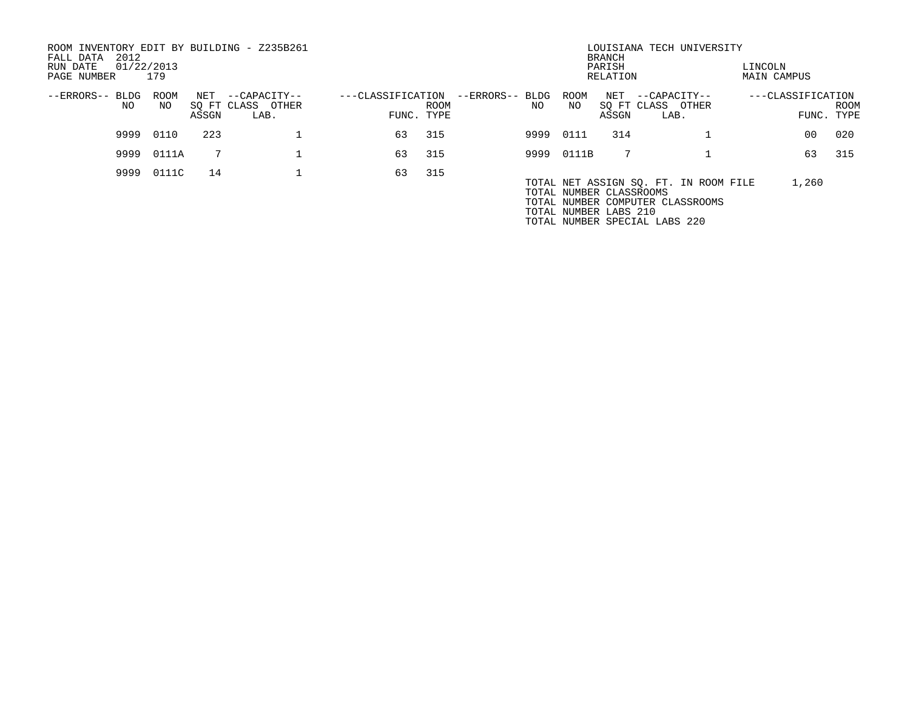| ROOM INVENTORY EDIT BY BUILDING - Z235B261<br>2012<br>FALL DATA<br>RUN DATE<br>PAGE NUMBER | 01/22/2013<br>179 |       |                           |                   |      |                 |       | <b>BRANCH</b><br>PARISH<br>RELATION              | LOUISIANA TECH UNIVERSITY                                                 | LINCOLN<br>MAIN CAMPUS |                           |
|--------------------------------------------------------------------------------------------|-------------------|-------|---------------------------|-------------------|------|-----------------|-------|--------------------------------------------------|---------------------------------------------------------------------------|------------------------|---------------------------|
| --ERRORS-- BLDG                                                                            | ROOM              | NET   | --CAPACITY--              | ---CLASSIFICATION |      | --ERRORS-- BLDG | ROOM  | NET                                              | --CAPACITY--                                                              | ---CLASSIFICATION      |                           |
| NO.                                                                                        | NO.               | ASSGN | SQ FT CLASS OTHER<br>LAB. | FUNC. TYPE        | ROOM | NO.             | NO    | SQ FT CLASS<br>ASSGN                             | OTHER<br>LAB.                                                             |                        | <b>ROOM</b><br>FUNC. TYPE |
| 9999                                                                                       | 0110              | 223   |                           | 63                | 315  | 9999            | 0111  | 314                                              |                                                                           | 00                     | 020                       |
| 9999                                                                                       | 0111A             |       |                           | 63                | 315  | 9999            | 0111B |                                                  |                                                                           | 63                     | 315                       |
| 9999                                                                                       | 0111C             | 14    |                           | 63                | 315  |                 |       | TOTAL NUMBER CLASSROOMS<br>TOTAL NUMBER LABS 210 | TOTAL NET ASSIGN SQ. FT. IN ROOM FILE<br>TOTAL NUMBER COMPUTER CLASSROOMS | 1,260                  |                           |

TOTAL NUMBER SPECIAL LABS 220